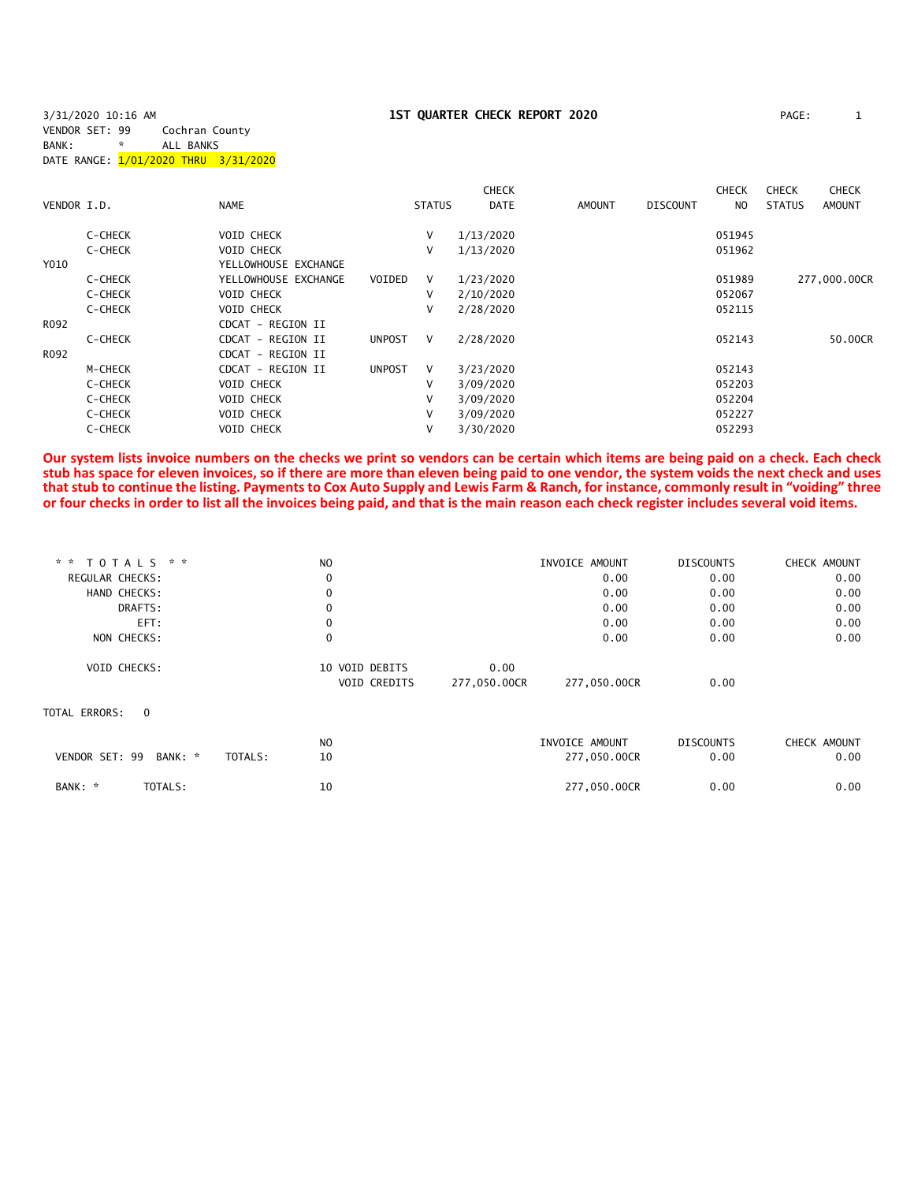# **1ST QUARTER CHECK REPORT 2020** PAGE: 1

| 3/31/2020 10:16 AM                   |   |                |  |
|--------------------------------------|---|----------------|--|
| VENDOR SET: 99                       |   | Cochran County |  |
| BANK:                                | * | ALL BANKS      |  |
| DATE RANGE: 1/01/2020 THRU 3/31/2020 |   |                |  |
|                                      |   |                |  |

|             |         |                      |               |               | <b>CHECK</b> |               |                 | <b>CHECK</b> | <b>CHECK</b>  | <b>CHECK</b>  |
|-------------|---------|----------------------|---------------|---------------|--------------|---------------|-----------------|--------------|---------------|---------------|
| VENDOR I.D. |         | <b>NAME</b>          |               | <b>STATUS</b> | DATE         | <b>AMOUNT</b> | <b>DISCOUNT</b> | NO.          | <b>STATUS</b> | <b>AMOUNT</b> |
|             | C-CHECK | <b>VOID CHECK</b>    |               | V             | 1/13/2020    |               |                 | 051945       |               |               |
|             | C-CHECK | <b>VOID CHECK</b>    |               | v             | 1/13/2020    |               |                 | 051962       |               |               |
| Y010        |         | YELLOWHOUSE EXCHANGE |               |               |              |               |                 |              |               |               |
|             | C-CHECK | YELLOWHOUSE EXCHANGE | VOIDED        | V             | 1/23/2020    |               |                 | 051989       |               | 277,000.00CR  |
|             | C-CHECK | <b>VOID CHECK</b>    |               | v             | 2/10/2020    |               |                 | 052067       |               |               |
|             | C-CHECK | <b>VOID CHECK</b>    |               | v             | 2/28/2020    |               |                 | 052115       |               |               |
| R092        |         | CDCAT - REGION II    |               |               |              |               |                 |              |               |               |
|             | C-CHECK | CDCAT - REGION II    | <b>UNPOST</b> | $\vee$        | 2/28/2020    |               |                 | 052143       |               | 50.00CR       |
| R092        |         | CDCAT - REGION II    |               |               |              |               |                 |              |               |               |
|             | M-CHECK | CDCAT - REGION II    | <b>UNPOST</b> | V             | 3/23/2020    |               |                 | 052143       |               |               |
|             | C-CHECK | <b>VOID CHECK</b>    |               | v             | 3/09/2020    |               |                 | 052203       |               |               |
|             | C-CHECK | <b>VOID CHECK</b>    |               | v             | 3/09/2020    |               |                 | 052204       |               |               |
|             | C-CHECK | <b>VOID CHECK</b>    |               | V             | 3/09/2020    |               |                 | 052227       |               |               |
|             | C-CHECK | <b>VOID CHECK</b>    |               | V             | 3/30/2020    |               |                 | 052293       |               |               |

**Our system lists invoice numbers on the checks we print so vendors can be certain which items are being paid on a check. Each check stub has space for eleven invoices, so if there are more than eleven being paid to one vendor, the system voids the next check and uses that stub to continue the listing. Payments to Cox Auto Supply and Lewis Farm & Ranch, for instance, commonly result in "voiding" three or four checks in order to list all the invoices being paid, and that is the main reason each check register includes several void items.**

| * *             | TOTALS * *          | N <sub>O</sub> |                     |              | INVOICE AMOUNT | <b>DISCOUNTS</b> | CHECK AMOUNT |
|-----------------|---------------------|----------------|---------------------|--------------|----------------|------------------|--------------|
| REGULAR CHECKS: |                     | 0              |                     |              | 0.00           | 0.00             | 0.00         |
|                 | HAND CHECKS:        | 0              |                     |              | 0.00           | 0.00             | 0.00         |
|                 | DRAFTS:             | $\Omega$       |                     |              | 0.00           | 0.00             | 0.00         |
|                 | EFT:                | 0              |                     |              | 0.00           | 0.00             | 0.00         |
|                 | NON CHECKS:         | $\mathbf 0$    |                     |              | 0.00           | 0.00             | 0.00         |
|                 | <b>VOID CHECKS:</b> |                | 10 VOID DEBITS      | 0.00         |                |                  |              |
|                 |                     |                | <b>VOID CREDITS</b> | 277,050.00CR | 277,050.00CR   | 0.00             |              |
| TOTAL ERRORS:   | $\Omega$            |                |                     |              |                |                  |              |
|                 |                     | N <sub>O</sub> |                     |              | INVOICE AMOUNT | <b>DISCOUNTS</b> | CHECK AMOUNT |
| VENDOR SET: 99  | BANK: *             | 10<br>TOTALS:  |                     |              | 277,050.00CR   | 0.00             | 0.00         |
| BANK: *         | TOTALS:             | 10             |                     |              | 277,050.00CR   | 0.00             | 0.00         |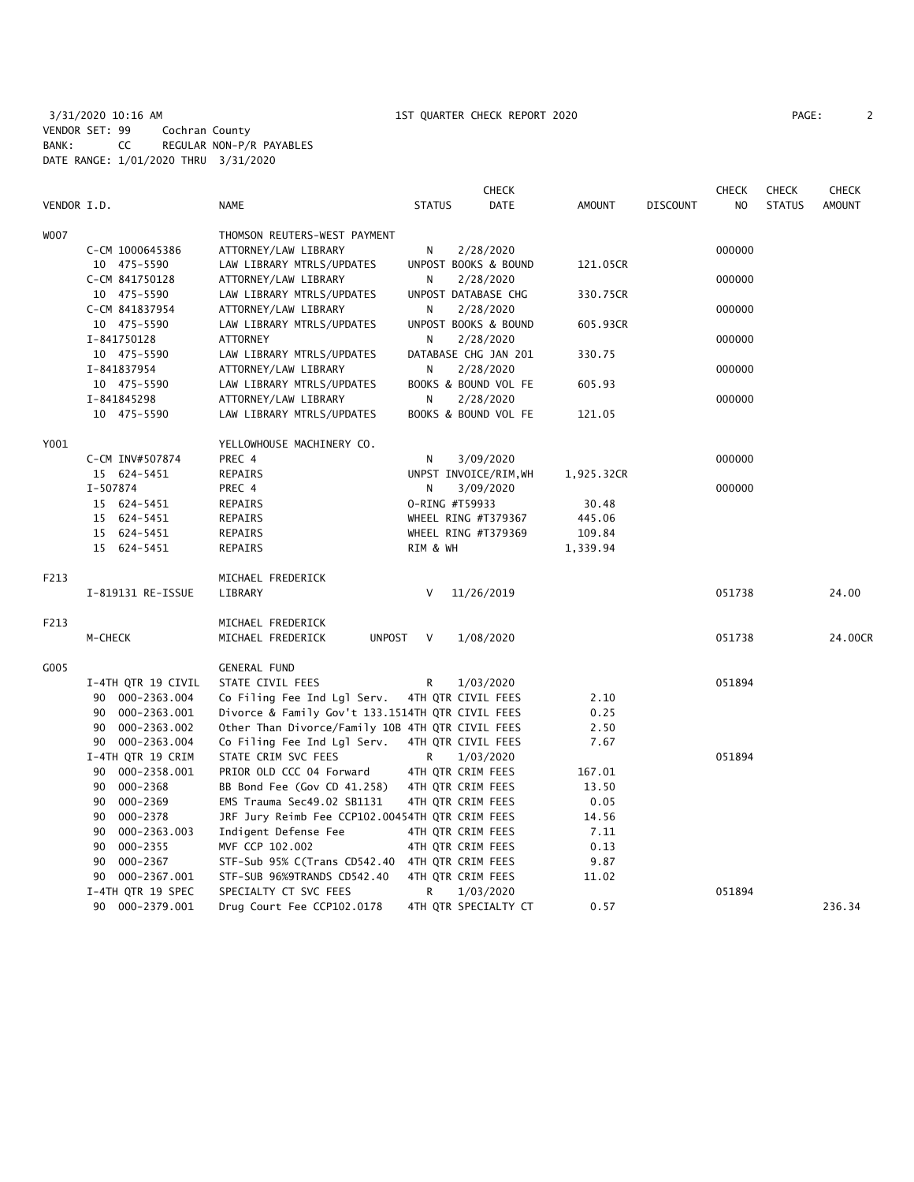3/31/2020 10:16 AM 1ST QUARTER CHECK REPORT 2020 PAGE: 2 VENDOR SET: 99 Cochran County BANK: CC REGULAR NON-P/R PAYABLES DATE RANGE: 1/01/2020 THRU 3/31/2020

|             |                    |                                                  | <b>CHECK</b>          |            |                 | <b>CHECK</b> | <b>CHECK</b>  | <b>CHECK</b>  |
|-------------|--------------------|--------------------------------------------------|-----------------------|------------|-----------------|--------------|---------------|---------------|
| VENDOR I.D. |                    | <b>NAME</b>                                      | DATE<br><b>STATUS</b> | AMOUNT     | <b>DISCOUNT</b> | NO.          | <b>STATUS</b> | <b>AMOUNT</b> |
| <b>WOO7</b> |                    | THOMSON REUTERS-WEST PAYMENT                     |                       |            |                 |              |               |               |
|             | C-CM 1000645386    | ATTORNEY/LAW LIBRARY                             | N<br>2/28/2020        |            |                 | 000000       |               |               |
|             | 10 475-5590        | LAW LIBRARY MTRLS/UPDATES                        | UNPOST BOOKS & BOUND  | 121.05CR   |                 |              |               |               |
|             | C-CM 841750128     | ATTORNEY/LAW LIBRARY                             | N<br>2/28/2020        |            |                 | 000000       |               |               |
|             | 10 475-5590        | LAW LIBRARY MTRLS/UPDATES                        | UNPOST DATABASE CHG   | 330.75CR   |                 |              |               |               |
|             | C-CM 841837954     | ATTORNEY/LAW LIBRARY                             | N<br>2/28/2020        |            |                 | 000000       |               |               |
|             | 10 475-5590        | LAW LIBRARY MTRLS/UPDATES                        | UNPOST BOOKS & BOUND  | 605.93CR   |                 |              |               |               |
|             | I-841750128        | ATTORNEY                                         | N<br>2/28/2020        |            |                 | 000000       |               |               |
|             | 10 475-5590        | LAW LIBRARY MTRLS/UPDATES                        | DATABASE CHG JAN 201  | 330.75     |                 |              |               |               |
|             | I-841837954        | ATTORNEY/LAW LIBRARY                             | N<br>2/28/2020        |            |                 | 000000       |               |               |
|             | 10 475-5590        | LAW LIBRARY MTRLS/UPDATES                        | BOOKS & BOUND VOL FE  | 605.93     |                 |              |               |               |
|             | I-841845298        | ATTORNEY/LAW LIBRARY                             | 2/28/2020<br>N        |            |                 | 000000       |               |               |
|             | 10 475-5590        | LAW LIBRARY MTRLS/UPDATES                        | BOOKS & BOUND VOL FE  | 121.05     |                 |              |               |               |
| Y001        |                    | YELLOWHOUSE MACHINERY CO.                        |                       |            |                 |              |               |               |
|             | C-CM INV#507874    | PREC 4                                           | 3/09/2020<br>N        |            |                 | 000000       |               |               |
|             | 15 624-5451        | <b>REPAIRS</b>                                   | UNPST INVOICE/RIM, WH | 1,925.32CR |                 |              |               |               |
|             | I-507874           | PREC 4                                           | N<br>3/09/2020        |            |                 | 000000       |               |               |
|             | 15 624-5451        | REPAIRS                                          | 0-RING #T59933        | 30.48      |                 |              |               |               |
|             | 15 624-5451        | REPAIRS                                          | WHEEL RING #T379367   | 445.06     |                 |              |               |               |
|             | 15 624-5451        | REPAIRS                                          | WHEEL RING #T379369   | 109.84     |                 |              |               |               |
|             |                    | REPAIRS                                          | RIM & WH              |            |                 |              |               |               |
|             | 15 624-5451        |                                                  |                       | 1,339.94   |                 |              |               |               |
| F213        |                    | MICHAEL FREDERICK                                |                       |            |                 |              |               |               |
|             | I-819131 RE-ISSUE  | LIBRARY                                          | 11/26/2019<br>V       |            |                 | 051738       |               | 24.00         |
| F213        |                    | MICHAEL FREDERICK                                |                       |            |                 |              |               |               |
|             | M-CHECK            | MICHAEL FREDERICK<br><b>UNPOST</b>               | V<br>1/08/2020        |            |                 | 051738       |               | 24.00CR       |
| G005        |                    | <b>GENERAL FUND</b>                              |                       |            |                 |              |               |               |
|             | I-4TH QTR 19 CIVIL | STATE CIVIL FEES                                 | 1/03/2020<br>R.       |            |                 | 051894       |               |               |
|             | 90 000-2363.004    | Co Filing Fee Ind Lgl Serv.                      | 4TH QTR CIVIL FEES    | 2.10       |                 |              |               |               |
|             | 90 000-2363.001    | Divorce & Family Gov't 133.1514TH QTR CIVIL FEES |                       | 0.25       |                 |              |               |               |
|             | 90 000-2363.002    | Other Than Divorce/Family 10B 4TH QTR CIVIL FEES |                       | 2.50       |                 |              |               |               |
|             | 90 000-2363.004    | Co Filing Fee Ind Lgl Serv.                      | 4TH QTR CIVIL FEES    | 7.67       |                 |              |               |               |
|             | I-4TH QTR 19 CRIM  | STATE CRIM SVC FEES                              | R<br>1/03/2020        |            |                 | 051894       |               |               |
|             | 90 000-2358.001    | PRIOR OLD CCC 04 Forward                         | 4TH QTR CRIM FEES     | 167.01     |                 |              |               |               |
|             | 90 000-2368        | BB Bond Fee (Gov CD 41.258)                      | 4TH QTR CRIM FEES     | 13.50      |                 |              |               |               |
|             | 000-2369<br>90     | EMS Trauma Sec49.02 SB1131                       | 4TH QTR CRIM FEES     | 0.05       |                 |              |               |               |
|             | 000-2378<br>90     | JRF Jury Reimb Fee CCP102.00454TH QTR CRIM FEES  |                       | 14.56      |                 |              |               |               |
|             | 000-2363.003<br>90 | Indigent Defense Fee                             | 4TH QTR CRIM FEES     | 7.11       |                 |              |               |               |
|             | 90<br>000-2355     | MVF CCP 102.002                                  | 4TH QTR CRIM FEES     | 0.13       |                 |              |               |               |
|             | 000-2367<br>90     | STF-Sub 95% C(Trans CD542.40 4TH QTR CRIM FEES   |                       | 9.87       |                 |              |               |               |
|             | 90<br>000-2367.001 | STF-SUB 96%9TRANDS CD542.40                      | 4TH QTR CRIM FEES     | 11.02      |                 |              |               |               |
|             | I-4TH QTR 19 SPEC  | SPECIALTY CT SVC FEES                            | 1/03/2020<br>R        |            |                 | 051894       |               |               |
|             | 90 000-2379.001    | Drug Court Fee CCP102.0178                       | 4TH QTR SPECIALTY CT  | 0.57       |                 |              |               | 236.34        |
|             |                    |                                                  |                       |            |                 |              |               |               |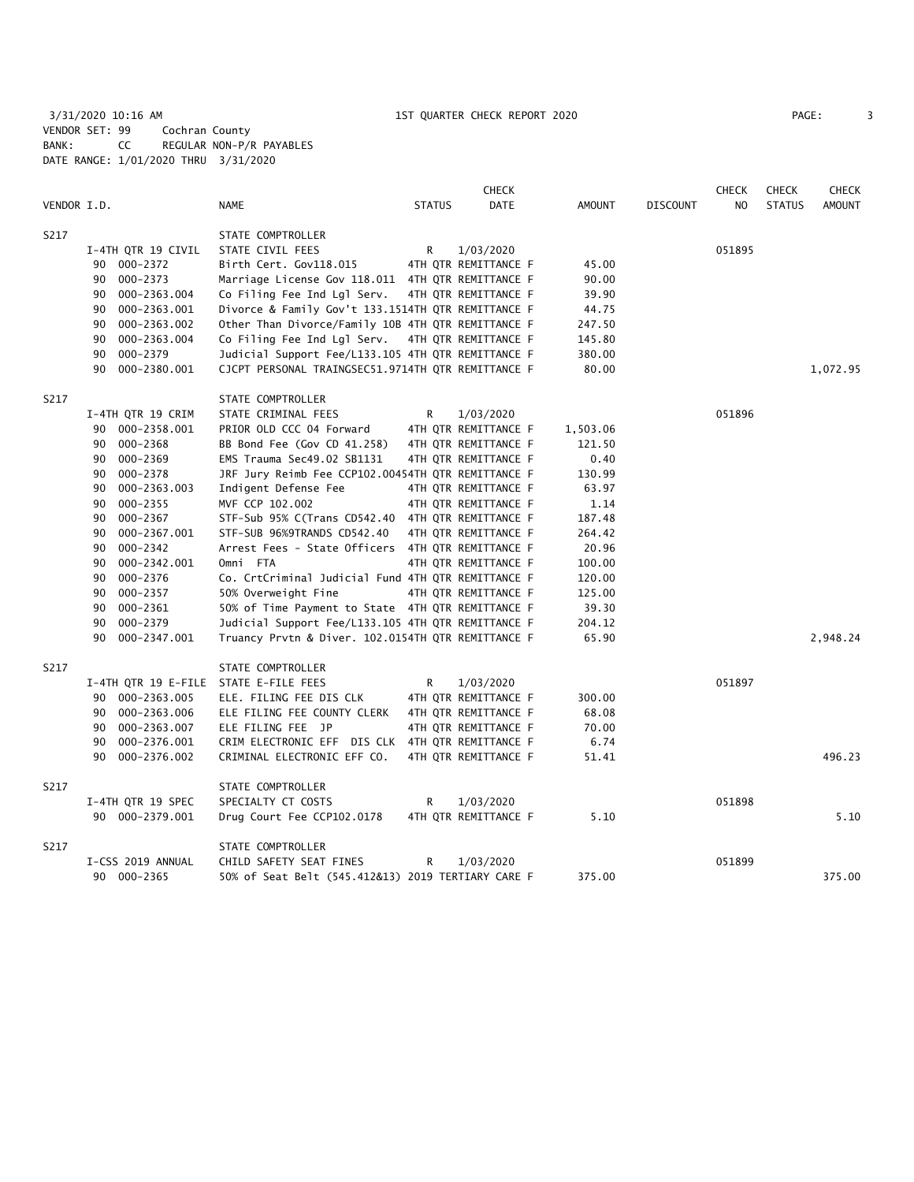3/31/2020 10:16 AM 1ST QUARTER CHECK REPORT 2020 PAGE: 3 VENDOR SET: 99 Cochran County BANK: CC REGULAR NON-P/R PAYABLES DATE RANGE: 1/01/2020 THRU 3/31/2020

| PAGE. |  |
|-------|--|
|       |  |

|             |                     |                                                    |               | <b>CHECK</b>         |          |                 | <b>CHECK</b> | <b>CHECK</b>  | <b>CHECK</b>  |
|-------------|---------------------|----------------------------------------------------|---------------|----------------------|----------|-----------------|--------------|---------------|---------------|
| VENDOR I.D. |                     | NAME                                               | <b>STATUS</b> | <b>DATE</b>          | AMOUNT   | <b>DISCOUNT</b> | NO           | <b>STATUS</b> | <b>AMOUNT</b> |
| S217        |                     | STATE COMPTROLLER                                  |               |                      |          |                 |              |               |               |
|             | I-4TH QTR 19 CIVIL  | STATE CIVIL FEES                                   | R             | 1/03/2020            |          |                 | 051895       |               |               |
|             | 90 000-2372         | Birth Cert. Gov118.015                             |               | 4TH QTR REMITTANCE F | 45.00    |                 |              |               |               |
|             | 000-2373<br>90      | Marriage License Gov 118.011 4TH QTR REMITTANCE F  |               |                      | 90.00    |                 |              |               |               |
|             | 000-2363.004<br>90  | Co Filing Fee Ind Lgl Serv.                        |               | 4TH QTR REMITTANCE F | 39.90    |                 |              |               |               |
|             | 000-2363.001<br>90  | Divorce & Family Gov't 133.1514TH QTR REMITTANCE F |               |                      | 44.75    |                 |              |               |               |
|             | 000-2363.002<br>90  | Other Than Divorce/Family 10B 4TH QTR REMITTANCE F |               |                      | 247.50   |                 |              |               |               |
|             | 90<br>000-2363.004  | Co Filing Fee Ind Lgl Serv.                        |               | 4TH QTR REMITTANCE F | 145.80   |                 |              |               |               |
|             | 000-2379<br>90      | Judicial Support Fee/L133.105 4TH QTR REMITTANCE F |               |                      | 380.00   |                 |              |               |               |
|             | 90<br>000-2380.001  | CJCPT PERSONAL TRAINGSEC51.9714TH QTR REMITTANCE F |               |                      | 80.00    |                 |              |               | 1,072.95      |
| S217        |                     | STATE COMPTROLLER                                  |               |                      |          |                 |              |               |               |
|             | I-4TH QTR 19 CRIM   | STATE CRIMINAL FEES                                | R             | 1/03/2020            |          |                 | 051896       |               |               |
|             | 90 000-2358.001     | PRIOR OLD CCC 04 Forward                           |               | 4TH QTR REMITTANCE F | 1,503.06 |                 |              |               |               |
|             | 000-2368<br>90      | BB Bond Fee (Gov CD 41.258)                        |               | 4TH QTR REMITTANCE F | 121.50   |                 |              |               |               |
|             | $000 - 2369$<br>90  | EMS Trauma Sec49.02 SB1131                         |               | 4TH QTR REMITTANCE F | 0.40     |                 |              |               |               |
|             | 90<br>000-2378      | JRF Jury Reimb Fee CCP102.00454TH QTR REMITTANCE F |               |                      | 130.99   |                 |              |               |               |
|             | 000-2363.003<br>90  | Indigent Defense Fee                               |               | 4TH QTR REMITTANCE F | 63.97    |                 |              |               |               |
|             | 000-2355<br>90      | MVF CCP 102.002                                    |               | 4TH QTR REMITTANCE F | 1.14     |                 |              |               |               |
|             | 000-2367<br>90      | STF-Sub 95% C(Trans CD542.40 4TH QTR REMITTANCE F  |               |                      | 187.48   |                 |              |               |               |
|             | 000-2367.001<br>90  | STF-SUB 96%9TRANDS CD542.40                        |               | 4TH OTR REMITTANCE F | 264.42   |                 |              |               |               |
|             | 000-2342<br>90      | Arrest Fees - State Officers 4TH QTR REMITTANCE F  |               |                      | 20.96    |                 |              |               |               |
|             | 000-2342.001<br>90  | Omni FTA                                           |               | 4TH QTR REMITTANCE F | 100.00   |                 |              |               |               |
|             | 000-2376<br>90      | Co. CrtCriminal Judicial Fund 4TH QTR REMITTANCE F |               |                      | 120.00   |                 |              |               |               |
|             | 000-2357<br>90      | 50% Overweight Fine                                |               | 4TH QTR REMITTANCE F | 125.00   |                 |              |               |               |
|             | 000-2361<br>90      | 50% of Time Payment to State 4TH QTR REMITTANCE F  |               |                      | 39.30    |                 |              |               |               |
|             | 000-2379<br>90      | Judicial Support Fee/L133.105 4TH QTR REMITTANCE F |               |                      | 204.12   |                 |              |               |               |
|             | 90<br>000-2347.001  | Truancy Prvtn & Diver. 102.0154TH QTR REMITTANCE F |               |                      | 65.90    |                 |              |               | 2,948.24      |
| S217        |                     | STATE COMPTROLLER                                  |               |                      |          |                 |              |               |               |
|             | I-4TH QTR 19 E-FILE | STATE E-FILE FEES                                  | R             | 1/03/2020            |          |                 | 051897       |               |               |
|             | 90 000-2363.005     | ELE. FILING FEE DIS CLK                            |               | 4TH QTR REMITTANCE F | 300.00   |                 |              |               |               |
|             | 000-2363.006<br>90  | ELE FILING FEE COUNTY CLERK                        |               | 4TH QTR REMITTANCE F | 68.08    |                 |              |               |               |
|             | 000-2363.007<br>90  | ELE FILING FEE JP                                  |               | 4TH QTR REMITTANCE F | 70.00    |                 |              |               |               |
|             | 000-2376.001<br>90  | CRIM ELECTRONIC EFF DIS CLK 4TH QTR REMITTANCE F   |               |                      | 6.74     |                 |              |               |               |
|             | 000-2376.002<br>90  | CRIMINAL ELECTRONIC EFF CO.                        |               | 4TH QTR REMITTANCE F | 51.41    |                 |              |               | 496.23        |
| S217        |                     | STATE COMPTROLLER                                  |               |                      |          |                 |              |               |               |
|             | I-4TH QTR 19 SPEC   | SPECIALTY CT COSTS                                 | R             | 1/03/2020            |          |                 | 051898       |               |               |
|             | 90 000-2379.001     | Drug Court Fee CCP102.0178                         |               | 4TH QTR REMITTANCE F | 5.10     |                 |              |               | 5.10          |
| S217        |                     | STATE COMPTROLLER                                  |               |                      |          |                 |              |               |               |
|             | I-CSS 2019 ANNUAL   | CHILD SAFETY SEAT FINES                            | R             | 1/03/2020            |          |                 | 051899       |               |               |
|             | 90 000-2365         | 50% of Seat Belt (545.412&13) 2019 TERTIARY CARE F |               |                      | 375.00   |                 |              |               | 375.00        |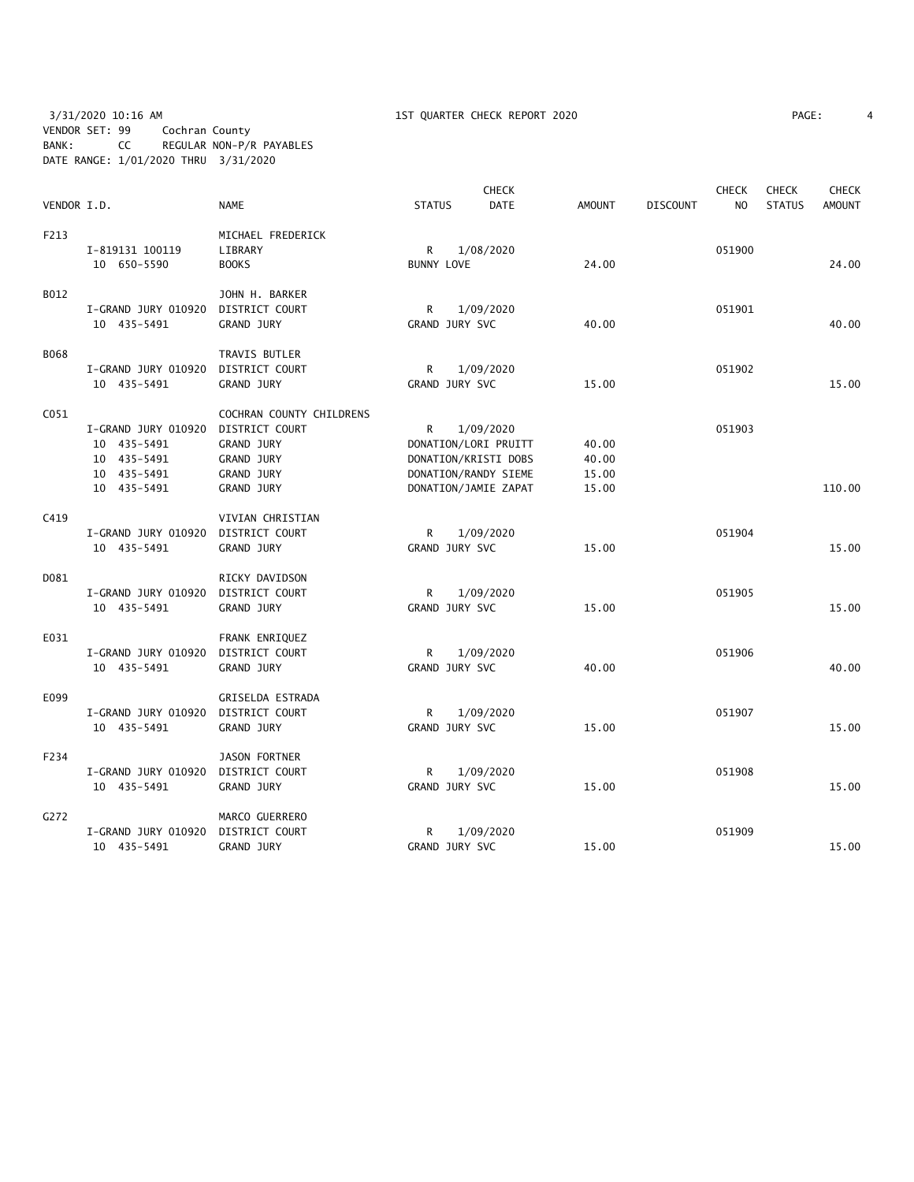3/31/2020 10:16 AM 1ST QUARTER CHECK REPORT 2020 PAGE: 4 VENDOR SET: 99 Cochran County BANK: CC REGULAR NON-P/R PAYABLES DATE RANGE: 1/01/2020 THRU 3/31/2020

|                  |                     |                          |                      | <b>CHECK</b> |               |                 | <b>CHECK</b>   | <b>CHECK</b>  | <b>CHECK</b>  |
|------------------|---------------------|--------------------------|----------------------|--------------|---------------|-----------------|----------------|---------------|---------------|
| VENDOR I.D.      |                     | <b>NAME</b>              | <b>STATUS</b>        | <b>DATE</b>  | <b>AMOUNT</b> | <b>DISCOUNT</b> | N <sub>O</sub> | <b>STATUS</b> | <b>AMOUNT</b> |
| F213             |                     | MICHAEL FREDERICK        |                      |              |               |                 |                |               |               |
|                  | I-819131 100119     | LIBRARY                  | R                    | 1/08/2020    |               |                 | 051900         |               |               |
|                  | 10 650-5590         | <b>BOOKS</b>             | <b>BUNNY LOVE</b>    |              | 24.00         |                 |                |               | 24.00         |
| B012             |                     | JOHN H. BARKER           |                      |              |               |                 |                |               |               |
|                  | I-GRAND JURY 010920 | DISTRICT COURT           | R                    | 1/09/2020    |               |                 | 051901         |               |               |
|                  | 10 435-5491         | <b>GRAND JURY</b>        | GRAND JURY SVC       |              | 40.00         |                 |                |               | 40.00         |
| <b>B068</b>      |                     | TRAVIS BUTLER            |                      |              |               |                 |                |               |               |
|                  | I-GRAND JURY 010920 | DISTRICT COURT           | R                    | 1/09/2020    |               |                 | 051902         |               |               |
|                  | 10 435-5491         | <b>GRAND JURY</b>        | GRAND JURY SVC       |              | 15.00         |                 |                |               | 15.00         |
| C <sub>051</sub> |                     | COCHRAN COUNTY CHILDRENS |                      |              |               |                 |                |               |               |
|                  | I-GRAND JURY 010920 | DISTRICT COURT           | R                    | 1/09/2020    |               |                 | 051903         |               |               |
|                  | 10 435-5491         | <b>GRAND JURY</b>        | DONATION/LORI PRUITT |              | 40.00         |                 |                |               |               |
|                  | 10 435-5491         | <b>GRAND JURY</b>        | DONATION/KRISTI DOBS |              | 40.00         |                 |                |               |               |
|                  | 10 435-5491         | <b>GRAND JURY</b>        | DONATION/RANDY SIEME |              | 15.00         |                 |                |               |               |
|                  | 10 435-5491         | <b>GRAND JURY</b>        | DONATION/JAMIE ZAPAT |              | 15.00         |                 |                |               | 110.00        |
| C419             |                     | VIVIAN CHRISTIAN         |                      |              |               |                 |                |               |               |
|                  | I-GRAND JURY 010920 | DISTRICT COURT           | R                    | 1/09/2020    |               |                 | 051904         |               |               |
|                  | 10 435-5491         | <b>GRAND JURY</b>        | GRAND JURY SVC       |              | 15.00         |                 |                |               | 15.00         |
| D081             |                     | RICKY DAVIDSON           |                      |              |               |                 |                |               |               |
|                  | I-GRAND JURY 010920 | DISTRICT COURT           | R                    | 1/09/2020    |               |                 | 051905         |               |               |
|                  | 10 435-5491         | <b>GRAND JURY</b>        | GRAND JURY SVC       |              | 15.00         |                 |                |               | 15.00         |
| E031             |                     | FRANK ENRIQUEZ           |                      |              |               |                 |                |               |               |
|                  | I-GRAND JURY 010920 | DISTRICT COURT           | R                    | 1/09/2020    |               |                 | 051906         |               |               |
|                  | 10 435-5491         | GRAND JURY               | GRAND JURY SVC       |              | 40.00         |                 |                |               | 40.00         |
| E099             |                     | GRISELDA ESTRADA         |                      |              |               |                 |                |               |               |
|                  | I-GRAND JURY 010920 | DISTRICT COURT           | R                    | 1/09/2020    |               |                 | 051907         |               |               |
|                  | 10 435-5491         | <b>GRAND JURY</b>        | GRAND JURY SVC       |              | 15.00         |                 |                |               | 15.00         |
| F234             |                     | JASON FORTNER            |                      |              |               |                 |                |               |               |
|                  | I-GRAND JURY 010920 | DISTRICT COURT           | R                    | 1/09/2020    |               |                 | 051908         |               |               |
|                  | 10 435-5491         | GRAND JURY               | GRAND JURY SVC       |              | 15.00         |                 |                |               | 15.00         |
| G272             |                     | MARCO GUERRERO           |                      |              |               |                 |                |               |               |
|                  | I-GRAND JURY 010920 | DISTRICT COURT           | R                    | 1/09/2020    |               |                 | 051909         |               |               |
|                  | 10 435-5491         | GRAND JURY               | GRAND JURY SVC       |              | 15.00         |                 |                |               | 15.00         |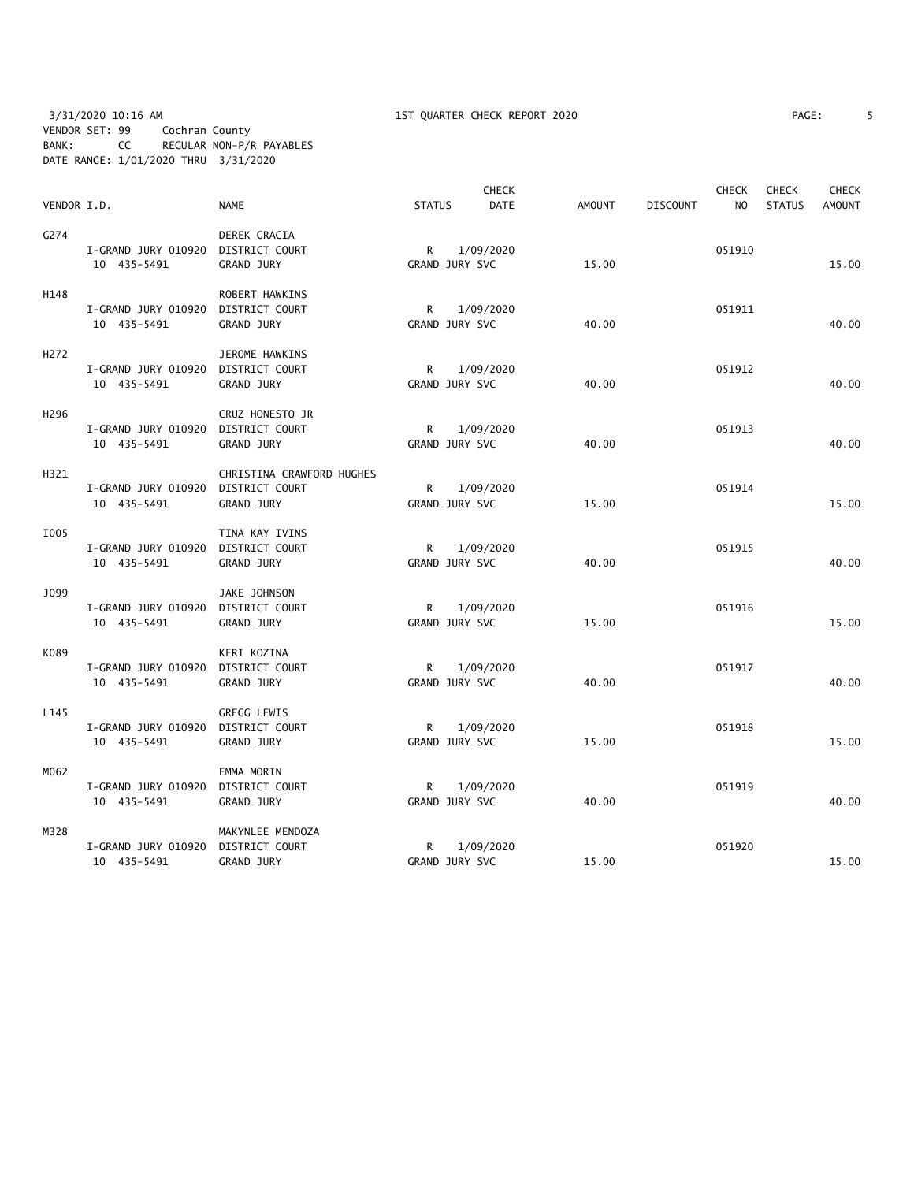3/31/2020 10:16 AM 1ST QUARTER CHECK REPORT 2020 PAGE: 5 VENDOR SET: 99 Cochran County BANK: CC REGULAR NON-P/R PAYABLES DATE RANGE: 1/01/2020 THRU 3/31/2020

| PAGE: |  |
|-------|--|
|-------|--|

|                  |                                    |                           |                | <b>CHECK</b> |               |                 | <b>CHECK</b>   | <b>CHECK</b>  | <b>CHECK</b>  |
|------------------|------------------------------------|---------------------------|----------------|--------------|---------------|-----------------|----------------|---------------|---------------|
| VENDOR I.D.      |                                    | <b>NAME</b>               | <b>STATUS</b>  | <b>DATE</b>  | <b>AMOUNT</b> | <b>DISCOUNT</b> | N <sub>O</sub> | <b>STATUS</b> | <b>AMOUNT</b> |
| G274             |                                    | DEREK GRACIA              |                |              |               |                 |                |               |               |
|                  | I-GRAND JURY 010920 DISTRICT COURT |                           | R              | 1/09/2020    |               |                 | 051910         |               |               |
|                  | 10 435-5491                        | GRAND JURY                | GRAND JURY SVC |              | 15.00         |                 |                |               | 15.00         |
| H148             |                                    | ROBERT HAWKINS            |                |              |               |                 |                |               |               |
|                  | I-GRAND JURY 010920                | DISTRICT COURT            | R              | 1/09/2020    |               |                 | 051911         |               |               |
|                  | 10 435-5491                        | GRAND JURY                | GRAND JURY SVC |              | 40.00         |                 |                |               | 40.00         |
| H <sub>272</sub> |                                    | JEROME HAWKINS            |                |              |               |                 |                |               |               |
|                  | I-GRAND JURY 010920                | DISTRICT COURT            | R              | 1/09/2020    |               |                 | 051912         |               |               |
|                  | 10 435-5491                        | GRAND JURY                | GRAND JURY SVC |              | 40.00         |                 |                |               | 40.00         |
| H <sub>296</sub> |                                    | CRUZ HONESTO JR           |                |              |               |                 |                |               |               |
|                  | I-GRAND JURY 010920                | DISTRICT COURT            | R.             | 1/09/2020    |               |                 | 051913         |               |               |
|                  | 10 435-5491                        | <b>GRAND JURY</b>         | GRAND JURY SVC |              | 40.00         |                 |                |               | 40.00         |
| H321             |                                    | CHRISTINA CRAWFORD HUGHES |                |              |               |                 |                |               |               |
|                  | I-GRAND JURY 010920 DISTRICT COURT |                           | R              | 1/09/2020    |               |                 | 051914         |               |               |
|                  | 10 435-5491                        | <b>GRAND JURY</b>         | GRAND JURY SVC |              | 15.00         |                 |                |               | 15.00         |
| I005             |                                    | TINA KAY IVINS            |                |              |               |                 |                |               |               |
|                  | I-GRAND JURY 010920 DISTRICT COURT |                           | R              | 1/09/2020    |               |                 | 051915         |               |               |
|                  | 10 435-5491                        | GRAND JURY                | GRAND JURY SVC |              | 40.00         |                 |                |               | 40.00         |
| J099             |                                    | JAKE JOHNSON              |                |              |               |                 |                |               |               |
|                  | I-GRAND JURY 010920                | DISTRICT COURT            | R              | 1/09/2020    |               |                 | 051916         |               |               |
|                  | 10 435-5491                        | <b>GRAND JURY</b>         | GRAND JURY SVC |              | 15.00         |                 |                |               | 15.00         |
| K089             |                                    | KERI KOZINA               |                |              |               |                 |                |               |               |
|                  | I-GRAND JURY 010920 DISTRICT COURT |                           | R              | 1/09/2020    |               |                 | 051917         |               |               |
|                  | 10 435-5491                        | <b>GRAND JURY</b>         | GRAND JURY SVC |              | 40.00         |                 |                |               | 40.00         |
| L145             |                                    | <b>GREGG LEWIS</b>        |                |              |               |                 |                |               |               |
|                  | I-GRAND JURY 010920                | DISTRICT COURT            | R              | 1/09/2020    |               |                 | 051918         |               |               |
|                  | 10 435-5491                        | <b>GRAND JURY</b>         | GRAND JURY SVC |              | 15.00         |                 |                |               | 15.00         |
| M062             |                                    | EMMA MORIN                |                |              |               |                 |                |               |               |
|                  | I-GRAND JURY 010920                | DISTRICT COURT            | R              | 1/09/2020    |               |                 | 051919         |               |               |
|                  | 10 435-5491                        | GRAND JURY                | GRAND JURY SVC |              | 40.00         |                 |                |               | 40.00         |
| M328             |                                    | MAKYNLEE MENDOZA          |                |              |               |                 |                |               |               |
|                  | I-GRAND JURY 010920 DISTRICT COURT |                           | R              | 1/09/2020    |               |                 | 051920         |               |               |
|                  | 10 435-5491                        | GRAND JURY                | GRAND JURY SVC |              | 15.00         |                 |                |               | 15.00         |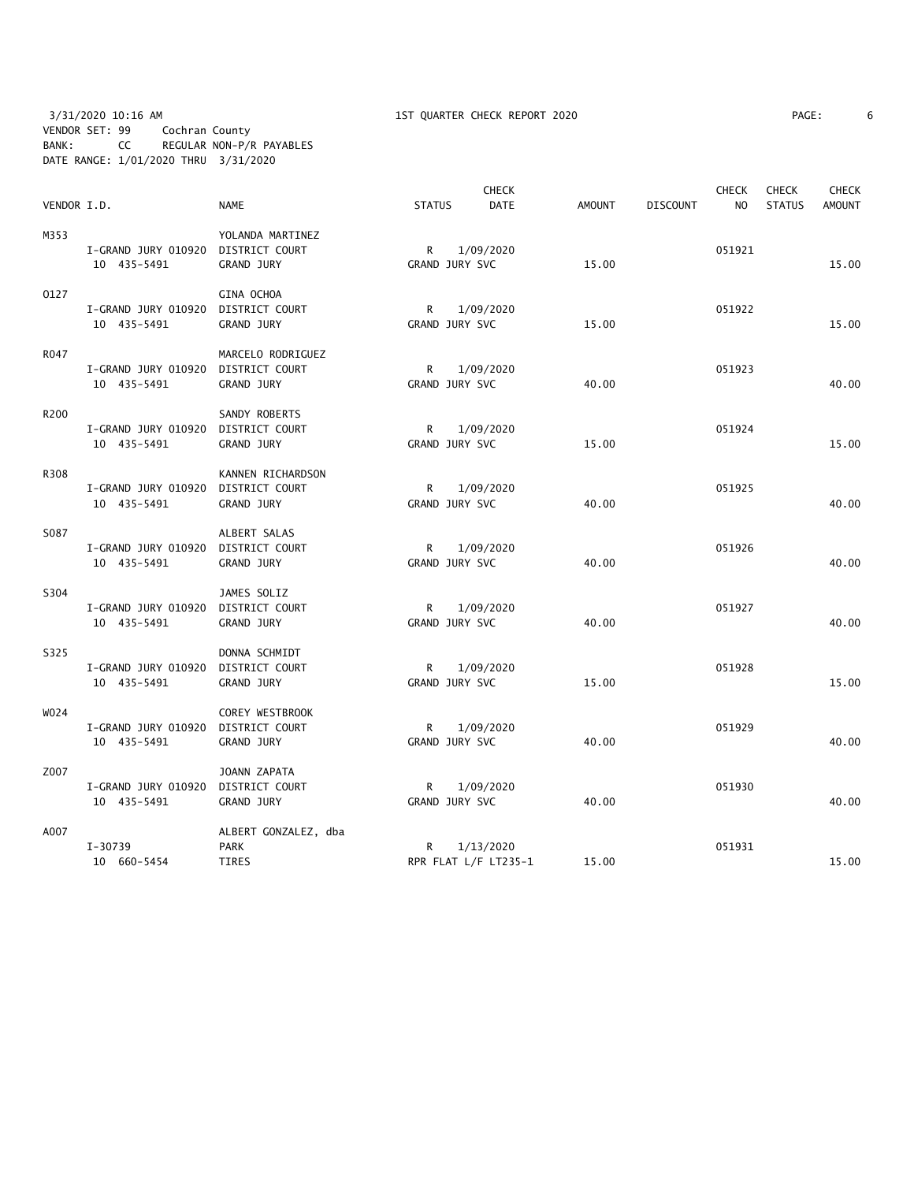3/31/2020 10:16 AM 1ST QUARTER CHECK REPORT 2020 PAGE: 6 VENDOR SET: 99 Cochran County BANK: CC REGULAR NON-P/R PAYABLES DATE RANGE: 1/01/2020 THRU 3/31/2020

| PAGE: |
|-------|
|-------|

|             |                                    |                      |                | <b>CHECK</b>         |               |                 | <b>CHECK</b>   | <b>CHECK</b>  | <b>CHECK</b>  |
|-------------|------------------------------------|----------------------|----------------|----------------------|---------------|-----------------|----------------|---------------|---------------|
| VENDOR I.D. |                                    | <b>NAME</b>          | <b>STATUS</b>  | <b>DATE</b>          | <b>AMOUNT</b> | <b>DISCOUNT</b> | N <sub>O</sub> | <b>STATUS</b> | <b>AMOUNT</b> |
| M353        |                                    | YOLANDA MARTINEZ     |                |                      |               |                 |                |               |               |
|             | I-GRAND JURY 010920 DISTRICT COURT |                      | R              | 1/09/2020            |               |                 | 051921         |               |               |
|             | 10 435-5491                        | <b>GRAND JURY</b>    | GRAND JURY SVC |                      | 15.00         |                 |                |               | 15.00         |
| 0127        |                                    | GINA OCHOA           |                |                      |               |                 |                |               |               |
|             | I-GRAND JURY 010920                | DISTRICT COURT       | R              | 1/09/2020            |               |                 | 051922         |               |               |
|             | 10 435-5491                        | GRAND JURY           | GRAND JURY SVC |                      | 15.00         |                 |                |               | 15.00         |
| R047        |                                    | MARCELO RODRIGUEZ    |                |                      |               |                 |                |               |               |
|             | I-GRAND JURY 010920                | DISTRICT COURT       | R              | 1/09/2020            |               |                 | 051923         |               |               |
|             | 10 435-5491                        | GRAND JURY           | GRAND JURY SVC |                      | 40.00         |                 |                |               | 40.00         |
| R200        |                                    | SANDY ROBERTS        |                |                      |               |                 |                |               |               |
|             | I-GRAND JURY 010920                | DISTRICT COURT       | R              | 1/09/2020            |               |                 | 051924         |               |               |
|             | 10 435-5491                        | <b>GRAND JURY</b>    | GRAND JURY SVC |                      | 15.00         |                 |                |               | 15.00         |
| R308        |                                    | KANNEN RICHARDSON    |                |                      |               |                 |                |               |               |
|             | I-GRAND JURY 010920                | DISTRICT COURT       | R              | 1/09/2020            |               |                 | 051925         |               |               |
|             | 10 435-5491                        | <b>GRAND JURY</b>    | GRAND JURY SVC |                      | 40.00         |                 |                |               | 40.00         |
| S087        |                                    | ALBERT SALAS         |                |                      |               |                 |                |               |               |
|             | I-GRAND JURY 010920 DISTRICT COURT |                      | R              | 1/09/2020            |               |                 | 051926         |               |               |
|             | 10 435-5491                        | GRAND JURY           | GRAND JURY SVC |                      | 40.00         |                 |                |               | 40.00         |
| S304        |                                    | JAMES SOLIZ          |                |                      |               |                 |                |               |               |
|             | I-GRAND JURY 010920                | DISTRICT COURT       | R              | 1/09/2020            |               |                 | 051927         |               |               |
|             | 10 435-5491                        | <b>GRAND JURY</b>    | GRAND JURY SVC |                      | 40.00         |                 |                |               | 40.00         |
| S325        |                                    | DONNA SCHMIDT        |                |                      |               |                 |                |               |               |
|             | I-GRAND JURY 010920                | DISTRICT COURT       | R              | 1/09/2020            |               |                 | 051928         |               |               |
|             | 10 435-5491                        | <b>GRAND JURY</b>    | GRAND JURY SVC |                      | 15.00         |                 |                |               | 15.00         |
| W024        |                                    | COREY WESTBROOK      |                |                      |               |                 |                |               |               |
|             | I-GRAND JURY 010920                | DISTRICT COURT       | R              | 1/09/2020            |               |                 | 051929         |               |               |
|             | 10 435-5491                        | GRAND JURY           | GRAND JURY SVC |                      | 40.00         |                 |                |               | 40.00         |
| Z007        |                                    | JOANN ZAPATA         |                |                      |               |                 |                |               |               |
|             | I-GRAND JURY 010920                | DISTRICT COURT       | R              | 1/09/2020            |               |                 | 051930         |               |               |
|             | 10 435-5491                        | GRAND JURY           | GRAND JURY SVC |                      | 40.00         |                 |                |               | 40.00         |
| A007        |                                    | ALBERT GONZALEZ, dba |                |                      |               |                 |                |               |               |
|             | $I-30739$                          | <b>PARK</b>          | R              | 1/13/2020            |               |                 | 051931         |               |               |
|             | 10 660-5454                        | <b>TIRES</b>         |                | RPR FLAT L/F LT235-1 | 15.00         |                 |                |               | 15.00         |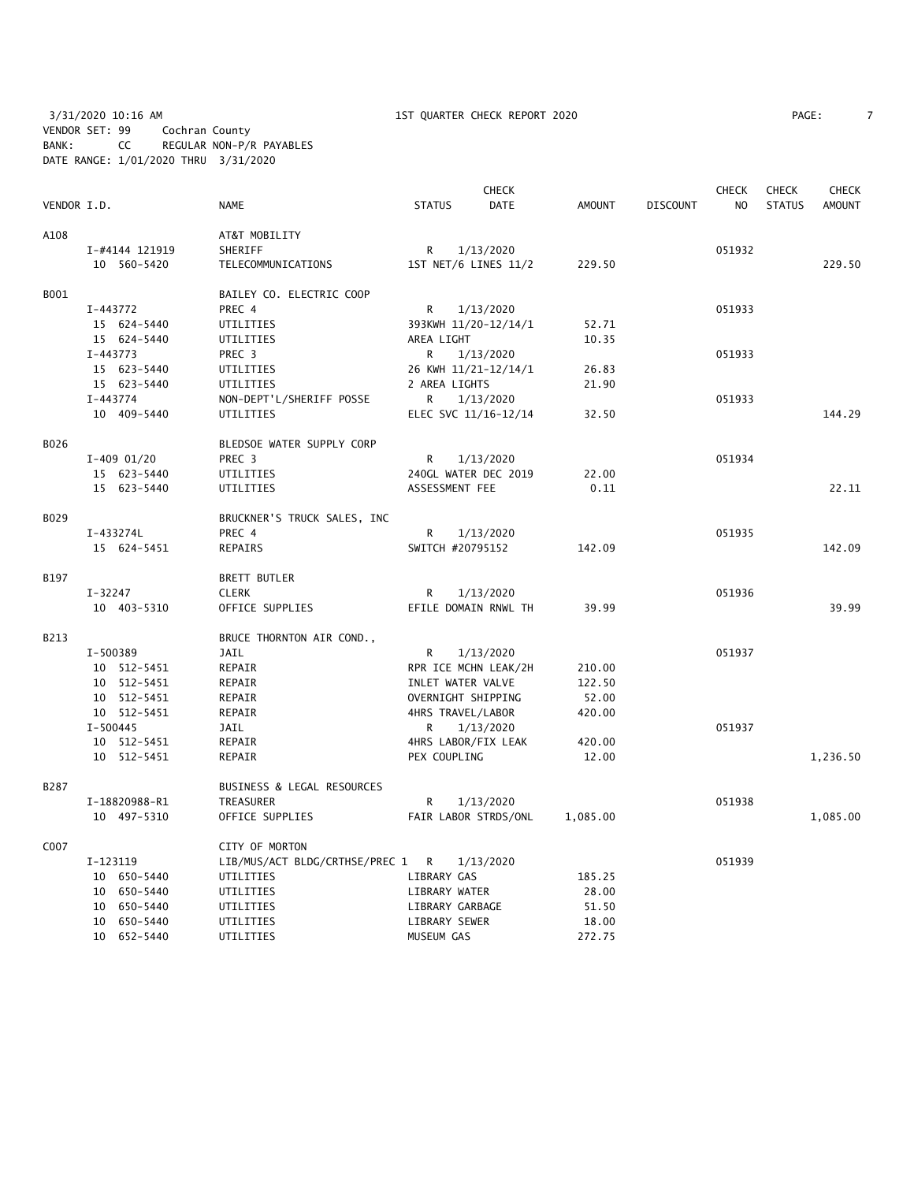3/31/2020 10:16 AM 1ST QUARTER CHECK REPORT 2020 PAGE: 7 VENDOR SET: 99 Cochran County BANK: CC REGULAR NON-P/R PAYABLES DATE RANGE: 1/01/2020 THRU 3/31/2020

|             |                |                                  |                     | <b>CHECK</b>         |               |                 | <b>CHECK</b>   | <b>CHECK</b>  | <b>CHECK</b>  |
|-------------|----------------|----------------------------------|---------------------|----------------------|---------------|-----------------|----------------|---------------|---------------|
| VENDOR I.D. |                | <b>NAME</b>                      | <b>STATUS</b>       | <b>DATE</b>          | <b>AMOUNT</b> | <b>DISCOUNT</b> | N <sub>O</sub> | <b>STATUS</b> | <b>AMOUNT</b> |
| A108        |                | AT&T MOBILITY                    |                     |                      |               |                 |                |               |               |
|             | I-#4144 121919 | SHERIFF                          | R                   | 1/13/2020            |               |                 | 051932         |               |               |
|             | 10 560-5420    | TELECOMMUNICATIONS               |                     | 1ST NET/6 LINES 11/2 | 229.50        |                 |                |               | 229.50        |
| B001        |                | BAILEY CO. ELECTRIC COOP         |                     |                      |               |                 |                |               |               |
|             | I-443772       | PREC 4                           | R                   | 1/13/2020            |               |                 | 051933         |               |               |
|             | 15 624-5440    | UTILITIES                        |                     | 393KWH 11/20-12/14/1 | 52.71         |                 |                |               |               |
|             | 15 624-5440    | UTILITIES                        | AREA LIGHT          |                      | 10.35         |                 |                |               |               |
|             | $I-443773$     | PREC 3                           | R                   | 1/13/2020            |               |                 | 051933         |               |               |
|             | 15 623-5440    | UTILITIES                        |                     | 26 KWH 11/21-12/14/1 | 26.83         |                 |                |               |               |
|             | 15 623-5440    | UTILITIES                        | 2 AREA LIGHTS       |                      | 21.90         |                 |                |               |               |
|             | I-443774       | NON-DEPT'L/SHERIFF POSSE         | R                   | 1/13/2020            |               |                 | 051933         |               |               |
|             | 10 409-5440    | UTILITIES                        |                     | ELEC SVC 11/16-12/14 | 32.50         |                 |                |               | 144.29        |
| B026        |                | BLEDSOE WATER SUPPLY CORP        |                     |                      |               |                 |                |               |               |
|             | $I-409$ 01/20  | PREC <sub>3</sub>                | R                   | 1/13/2020            |               |                 | 051934         |               |               |
|             | 15 623-5440    | UTILITIES                        |                     | 240GL WATER DEC 2019 | 22.00         |                 |                |               |               |
|             | 15 623-5440    | UTILITIES                        | ASSESSMENT FEE      |                      | 0.11          |                 |                |               | 22.11         |
| B029        |                | BRUCKNER'S TRUCK SALES, INC      |                     |                      |               |                 |                |               |               |
|             | I-433274L      | PREC 4                           | R                   | 1/13/2020            |               |                 | 051935         |               |               |
|             | 15 624-5451    | REPAIRS                          | SWITCH #20795152    |                      | 142.09        |                 |                |               | 142.09        |
| B197        |                | <b>BRETT BUTLER</b>              |                     |                      |               |                 |                |               |               |
|             | $I - 32247$    | <b>CLERK</b>                     | R                   | 1/13/2020            |               |                 | 051936         |               |               |
|             | 10 403-5310    | OFFICE SUPPLIES                  |                     | EFILE DOMAIN RNWL TH | 39.99         |                 |                |               | 39.99         |
| B213        |                | BRUCE THORNTON AIR COND.,        |                     |                      |               |                 |                |               |               |
|             | I-500389       | JAIL                             | R                   | 1/13/2020            |               |                 | 051937         |               |               |
|             | 10 512-5451    | REPAIR                           |                     | RPR ICE MCHN LEAK/2H | 210.00        |                 |                |               |               |
|             | 10 512-5451    | REPAIR                           | INLET WATER VALVE   |                      | 122.50        |                 |                |               |               |
|             | 10 512-5451    | REPAIR                           | OVERNIGHT SHIPPING  |                      | 52.00         |                 |                |               |               |
|             | 10 512-5451    | REPAIR                           | 4HRS TRAVEL/LABOR   |                      | 420.00        |                 |                |               |               |
|             | $I - 500445$   | JAIL                             | R                   | 1/13/2020            |               |                 | 051937         |               |               |
|             | 10 512-5451    | REPAIR                           | 4HRS LABOR/FIX LEAK |                      | 420.00        |                 |                |               |               |
|             | 10 512-5451    | REPAIR                           | PEX COUPLING        |                      | 12.00         |                 |                |               | 1,236.50      |
| B287        |                | BUSINESS & LEGAL RESOURCES       |                     |                      |               |                 |                |               |               |
|             | I-18820988-R1  | TREASURER                        | R                   | 1/13/2020            |               |                 | 051938         |               |               |
|             | 10 497-5310    | OFFICE SUPPLIES                  |                     | FAIR LABOR STRDS/ONL | 1,085.00      |                 |                |               | 1,085.00      |
| C007        |                | CITY OF MORTON                   |                     |                      |               |                 |                |               |               |
|             | I-123119       | LIB/MUS/ACT BLDG/CRTHSE/PREC 1 R |                     | 1/13/2020            |               |                 | 051939         |               |               |
|             | 10 650-5440    | UTILITIES                        | LIBRARY GAS         |                      | 185.25        |                 |                |               |               |
|             | 10 650-5440    | UTILITIES                        | LIBRARY WATER       |                      | 28.00         |                 |                |               |               |
|             | 10 650-5440    | UTILITIES                        | LIBRARY GARBAGE     |                      | 51.50         |                 |                |               |               |
|             | 10 650-5440    | UTILITIES                        | LIBRARY SEWER       |                      | 18.00         |                 |                |               |               |
|             | 10 652-5440    | UTILITIES                        | MUSEUM GAS          |                      | 272.75        |                 |                |               |               |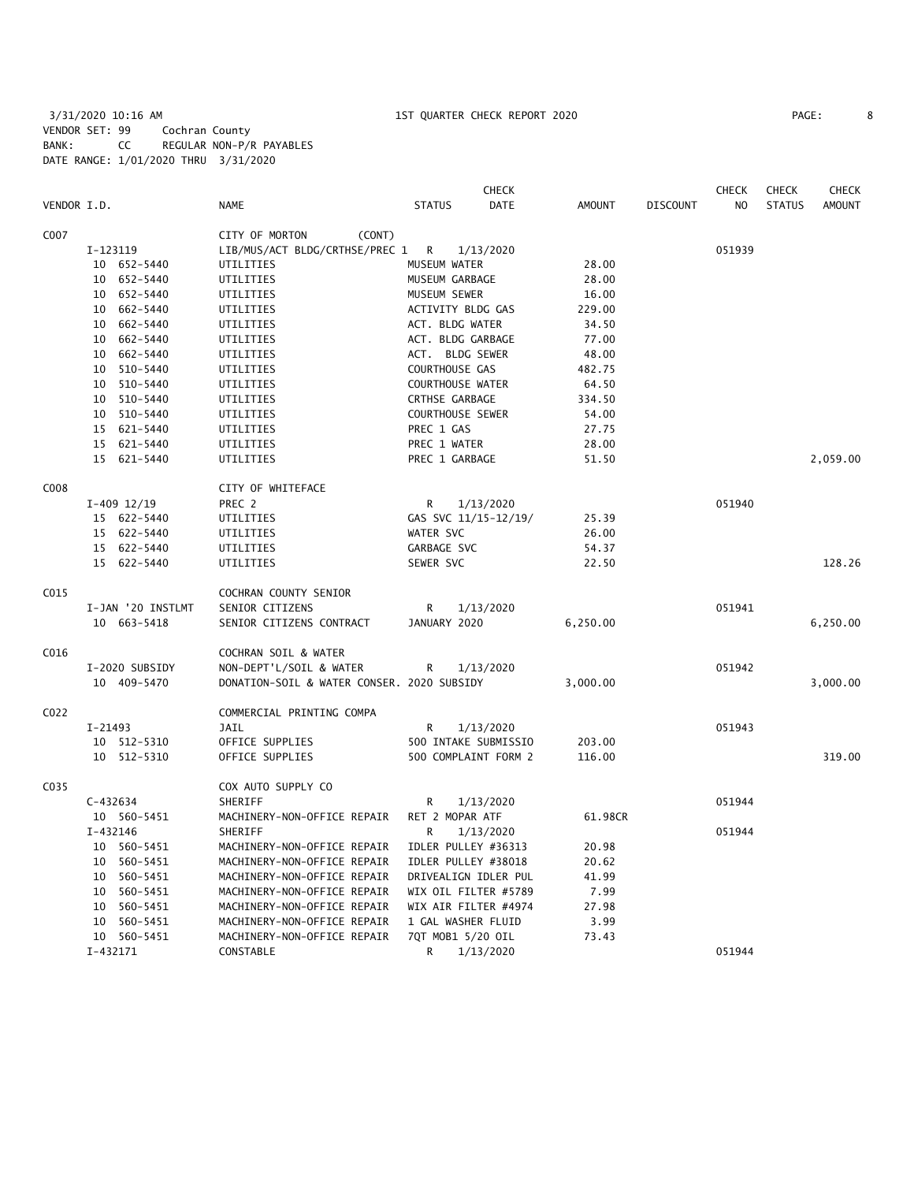3/31/2020 10:16 AM 1ST QUARTER CHECK REPORT 2020 PAGE: 8 VENDOR SET: 99 Cochran County BANK: CC REGULAR NON-P/R PAYABLES DATE RANGE: 1/01/2020 THRU 3/31/2020

| PAGE: |  |
|-------|--|
|       |  |

|             |                   |                                            | <b>CHECK</b>                 |               |                 | <b>CHECK</b>   | <b>CHECK</b>  | <b>CHECK</b>  |
|-------------|-------------------|--------------------------------------------|------------------------------|---------------|-----------------|----------------|---------------|---------------|
| VENDOR I.D. |                   | <b>NAME</b>                                | <b>DATE</b><br><b>STATUS</b> | <b>AMOUNT</b> | <b>DISCOUNT</b> | N <sub>O</sub> | <b>STATUS</b> | <b>AMOUNT</b> |
| C007        |                   | CITY OF MORTON<br>(CONT)                   |                              |               |                 |                |               |               |
|             | I-123119          | LIB/MUS/ACT BLDG/CRTHSE/PREC 1             | R<br>1/13/2020               |               |                 | 051939         |               |               |
|             | 10 652-5440       | UTILITIES                                  | MUSEUM WATER                 | 28.00         |                 |                |               |               |
|             | 652-5440<br>10    | UTILITIES                                  | MUSEUM GARBAGE               | 28.00         |                 |                |               |               |
|             | 10 652-5440       | UTILITIES                                  | MUSEUM SEWER                 | 16.00         |                 |                |               |               |
|             | 10 662-5440       | UTILITIES                                  | ACTIVITY BLDG GAS            | 229.00        |                 |                |               |               |
|             | 10 662-5440       | UTILITIES                                  | ACT. BLDG WATER              | 34.50         |                 |                |               |               |
|             | 10<br>662-5440    | UTILITIES                                  | ACT. BLDG GARBAGE            | 77.00         |                 |                |               |               |
|             | 10<br>662-5440    | UTILITIES                                  | ACT. BLDG SEWER              | 48.00         |                 |                |               |               |
|             | 510-5440<br>10    | UTILITIES                                  | COURTHOUSE GAS               | 482.75        |                 |                |               |               |
|             | 10 510-5440       | UTILITIES                                  | <b>COURTHOUSE WATER</b>      | 64.50         |                 |                |               |               |
|             | 10 510-5440       | UTILITIES                                  | CRTHSE GARBAGE               | 334.50        |                 |                |               |               |
|             | 10<br>510-5440    | UTILITIES                                  | <b>COURTHOUSE SEWER</b>      | 54.00         |                 |                |               |               |
|             | 621-5440<br>15    | UTILITIES                                  | PREC 1 GAS                   | 27.75         |                 |                |               |               |
|             | 15 621-5440       | UTILITIES                                  | PREC 1 WATER                 | 28.00         |                 |                |               |               |
|             | 15 621-5440       | UTILITIES                                  | PREC 1 GARBAGE               | 51.50         |                 |                |               | 2,059.00      |
|             |                   |                                            |                              |               |                 |                |               |               |
| C008        |                   | CITY OF WHITEFACE                          |                              |               |                 |                |               |               |
|             | $I-409$ $12/19$   | PREC 2                                     | $\mathsf{R}$<br>1/13/2020    |               |                 | 051940         |               |               |
|             | 15 622-5440       | UTILITIES                                  | GAS SVC 11/15-12/19/         | 25.39         |                 |                |               |               |
|             | 15 622-5440       | UTILITIES                                  | WATER SVC                    | 26.00         |                 |                |               |               |
|             | 15 622-5440       | UTILITIES                                  | GARBAGE SVC                  | 54.37         |                 |                |               |               |
|             | 15 622-5440       | UTILITIES                                  | SEWER SVC                    | 22.50         |                 |                |               | 128.26        |
| C015        |                   | COCHRAN COUNTY SENIOR                      |                              |               |                 |                |               |               |
|             | I-JAN '20 INSTLMT | SENIOR CITIZENS                            | R<br>1/13/2020               |               |                 | 051941         |               |               |
|             | 10 663-5418       | SENIOR CITIZENS CONTRACT                   | JANUARY 2020                 | 6,250.00      |                 |                |               | 6,250.00      |
| C016        |                   | COCHRAN SOIL & WATER                       |                              |               |                 |                |               |               |
|             | I-2020 SUBSIDY    | NON-DEPT'L/SOIL & WATER                    | R<br>1/13/2020               |               |                 | 051942         |               |               |
|             | 10 409-5470       | DONATION-SOIL & WATER CONSER. 2020 SUBSIDY |                              | 3,000.00      |                 |                |               | 3,000.00      |
|             |                   |                                            |                              |               |                 |                |               |               |
| C022        |                   | COMMERCIAL PRINTING COMPA                  |                              |               |                 |                |               |               |
|             | I-21493           | JAIL                                       | R<br>1/13/2020               |               |                 | 051943         |               |               |
|             | 10 512-5310       | OFFICE SUPPLIES                            | 500 INTAKE SUBMISSIO         | 203.00        |                 |                |               |               |
|             | 10 512-5310       | OFFICE SUPPLIES                            | 500 COMPLAINT FORM 2         | 116.00        |                 |                |               | 319.00        |
| C035        |                   | COX AUTO SUPPLY CO                         |                              |               |                 |                |               |               |
|             | $C - 432634$      | SHERIFF                                    | R<br>1/13/2020               |               |                 | 051944         |               |               |
|             | 10 560-5451       | MACHINERY-NON-OFFICE REPAIR                | RET 2 MOPAR ATF              | 61.98CR       |                 |                |               |               |
|             | I-432146          | SHERIFF                                    | R<br>1/13/2020               |               |                 | 051944         |               |               |
|             | 10 560-5451       | MACHINERY-NON-OFFICE REPAIR                | IDLER PULLEY #36313          | 20.98         |                 |                |               |               |
|             | 10 560-5451       | MACHINERY-NON-OFFICE REPAIR                | IDLER PULLEY #38018          | 20.62         |                 |                |               |               |
|             | 10 560-5451       | MACHINERY-NON-OFFICE REPAIR                | DRIVEALIGN IDLER PUL         | 41.99         |                 |                |               |               |
|             | 10<br>560-5451    | MACHINERY-NON-OFFICE REPAIR                | WIX OIL FILTER #5789         | 7.99          |                 |                |               |               |
|             | 10<br>560-5451    | MACHINERY-NON-OFFICE REPAIR                | WIX AIR FILTER #4974         | 27.98         |                 |                |               |               |
|             | 560-5451<br>10    | MACHINERY-NON-OFFICE REPAIR                | 1 GAL WASHER FLUID           | 3.99          |                 |                |               |               |
|             | 10 560-5451       | MACHINERY-NON-OFFICE REPAIR                | 7QT MOB1 5/20 OIL            | 73.43         |                 |                |               |               |
|             | I-432171          | CONSTABLE                                  | R<br>1/13/2020               |               |                 | 051944         |               |               |
|             |                   |                                            |                              |               |                 |                |               |               |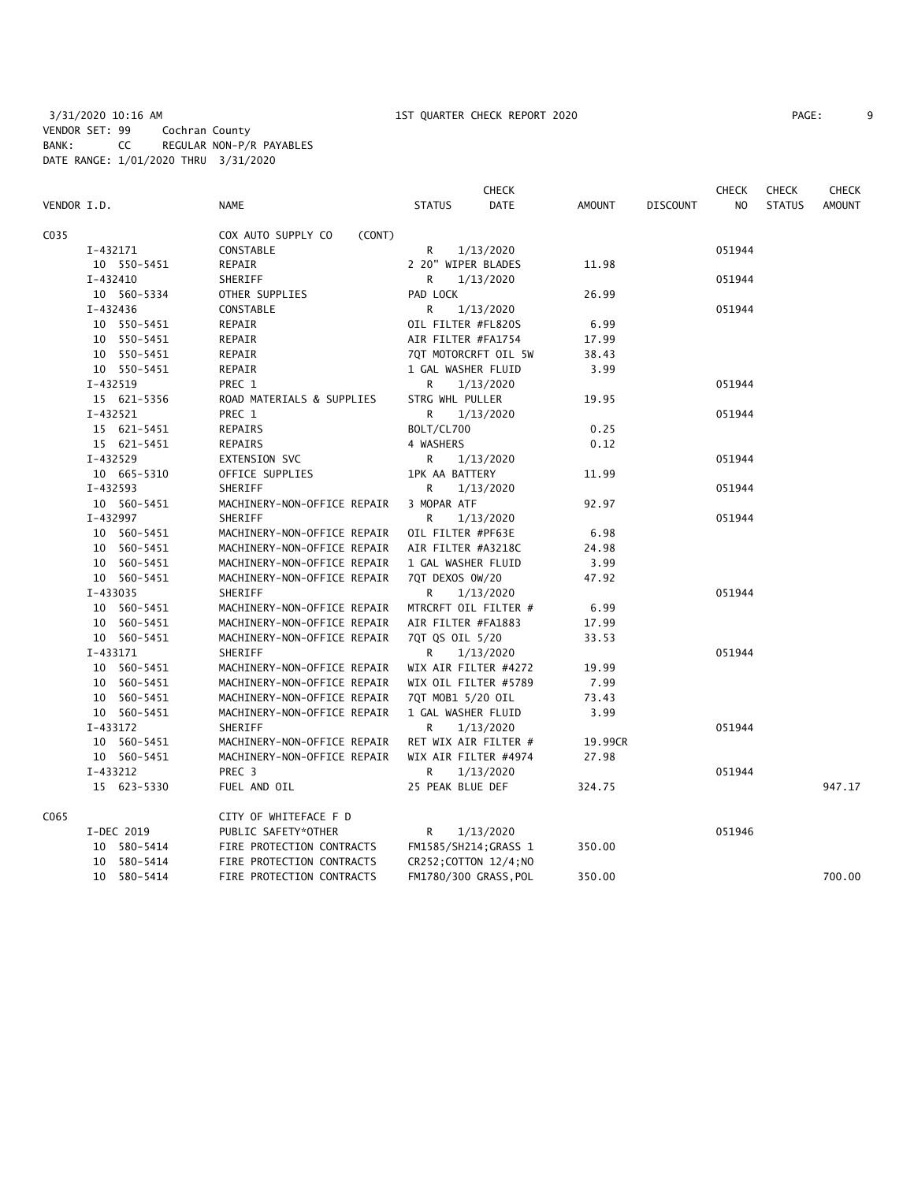|             |              |                              |                        | <b>CHECK</b>          |               |                 | <b>CHECK</b> | <b>CHECK</b>  | <b>CHECK</b>  |
|-------------|--------------|------------------------------|------------------------|-----------------------|---------------|-----------------|--------------|---------------|---------------|
| VENDOR I.D. |              | <b>NAME</b>                  | <b>STATUS</b>          | <b>DATE</b>           | <b>AMOUNT</b> | <b>DISCOUNT</b> | NO.          | <b>STATUS</b> | <b>AMOUNT</b> |
| C035        |              | COX AUTO SUPPLY CO<br>(CONT) |                        |                       |               |                 |              |               |               |
|             | I-432171     | CONSTABLE                    | R                      | 1/13/2020             |               |                 | 051944       |               |               |
|             | 10 550-5451  | REPAIR                       | 2 20" WIPER BLADES     |                       | 11.98         |                 |              |               |               |
|             | I-432410     | SHERIFF                      | R.                     | 1/13/2020             |               |                 | 051944       |               |               |
|             | 10 560-5334  | OTHER SUPPLIES               | PAD LOCK               |                       | 26.99         |                 |              |               |               |
|             | $I - 432436$ | CONSTABLE                    | R                      | 1/13/2020             |               |                 | 051944       |               |               |
|             | 10 550-5451  | REPAIR                       | OIL FILTER #FL820S     |                       | 6.99          |                 |              |               |               |
|             | 10 550-5451  | REPAIR                       | AIR FILTER #FA1754     |                       | 17.99         |                 |              |               |               |
|             | 10 550-5451  | REPAIR                       | 7QT MOTORCRFT OIL 5W   |                       | 38.43         |                 |              |               |               |
|             | 10 550-5451  | REPAIR                       | 1 GAL WASHER FLUID     |                       | 3.99          |                 |              |               |               |
|             | I-432519     | PREC 1                       | R                      | 1/13/2020             |               |                 | 051944       |               |               |
|             | 15 621-5356  | ROAD MATERIALS & SUPPLIES    | STRG WHL PULLER        |                       | 19.95         |                 |              |               |               |
|             | $I-432521$   | PREC 1                       | R                      | 1/13/2020             |               |                 | 051944       |               |               |
|             | 15 621-5451  | REPAIRS                      | BOLT/CL700             |                       | 0.25          |                 |              |               |               |
|             | 15 621-5451  | REPAIRS                      | 4 WASHERS              |                       | 0.12          |                 |              |               |               |
|             | I-432529     | EXTENSION SVC                | R                      | 1/13/2020             |               |                 | 051944       |               |               |
|             | 10 665-5310  | OFFICE SUPPLIES              | 1PK AA BATTERY         |                       | 11.99         |                 |              |               |               |
|             | $I-432593$   | SHERIFF                      | R                      | 1/13/2020             |               |                 | 051944       |               |               |
|             | 10 560-5451  | MACHINERY-NON-OFFICE REPAIR  | 3 MOPAR ATF            |                       | 92.97         |                 |              |               |               |
|             | I-432997     | SHERIFF                      | R                      | 1/13/2020             |               |                 | 051944       |               |               |
|             | 10 560-5451  | MACHINERY-NON-OFFICE REPAIR  | OIL FILTER #PF63E      |                       | 6.98          |                 |              |               |               |
|             | 10 560-5451  | MACHINERY-NON-OFFICE REPAIR  | AIR FILTER #A3218C     |                       | 24.98         |                 |              |               |               |
|             | 10 560-5451  | MACHINERY-NON-OFFICE REPAIR  | 1 GAL WASHER FLUID     |                       | 3.99          |                 |              |               |               |
|             | 10 560-5451  | MACHINERY-NON-OFFICE REPAIR  | 7QT DEXOS 0W/20        |                       | 47.92         |                 |              |               |               |
|             | I-433035     | SHERIFF                      | R                      | 1/13/2020             |               |                 | 051944       |               |               |
|             | 10 560-5451  | MACHINERY-NON-OFFICE REPAIR  | MTRCRFT OIL FILTER #   |                       | 6.99          |                 |              |               |               |
|             | 10 560-5451  | MACHINERY-NON-OFFICE REPAIR  | AIR FILTER #FA1883     |                       | 17.99         |                 |              |               |               |
|             | 10 560-5451  | MACHINERY-NON-OFFICE REPAIR  | 7QT QS OIL 5/20        |                       | 33.53         |                 |              |               |               |
|             | I-433171     | SHERIFF                      | R                      | 1/13/2020             |               |                 | 051944       |               |               |
|             | 10 560-5451  | MACHINERY-NON-OFFICE REPAIR  | WIX AIR FILTER #4272   |                       | 19.99         |                 |              |               |               |
|             | 10 560-5451  | MACHINERY-NON-OFFICE REPAIR  | WIX OIL FILTER #5789   |                       | 7.99          |                 |              |               |               |
|             | 10 560-5451  | MACHINERY-NON-OFFICE REPAIR  | 7QT MOB1 5/20 OIL      |                       | 73.43         |                 |              |               |               |
|             | 10 560-5451  | MACHINERY-NON-OFFICE REPAIR  | 1 GAL WASHER FLUID     |                       | 3.99          |                 |              |               |               |
|             | I-433172     | SHERIFF                      | R                      | 1/13/2020             |               |                 | 051944       |               |               |
|             | 10 560-5451  | MACHINERY-NON-OFFICE REPAIR  |                        | RET WIX AIR FILTER #  | 19.99CR       |                 |              |               |               |
|             | 10 560-5451  | MACHINERY-NON-OFFICE REPAIR  | WIX AIR FILTER #4974   |                       | 27.98         |                 |              |               |               |
|             | I-433212     | PREC <sub>3</sub>            | R                      | 1/13/2020             |               |                 | 051944       |               |               |
|             | 15 623-5330  | FUEL AND OIL                 | 25 PEAK BLUE DEF       |                       | 324.75        |                 |              |               | 947.17        |
| C065        |              | CITY OF WHITEFACE F D        |                        |                       |               |                 |              |               |               |
|             | I-DEC 2019   | PUBLIC SAFETY*OTHER          | R                      | 1/13/2020             |               |                 | 051946       |               |               |
|             | 10 580-5414  | FIRE PROTECTION CONTRACTS    |                        | FM1585/SH214; GRASS 1 | 350.00        |                 |              |               |               |
|             | 10 580-5414  | FIRE PROTECTION CONTRACTS    | CR252; COTTON 12/4; NO |                       |               |                 |              |               |               |
|             | 10 580-5414  | FIRE PROTECTION CONTRACTS    | FM1780/300 GRASS, POL  |                       | 350.00        |                 |              |               | 700.00        |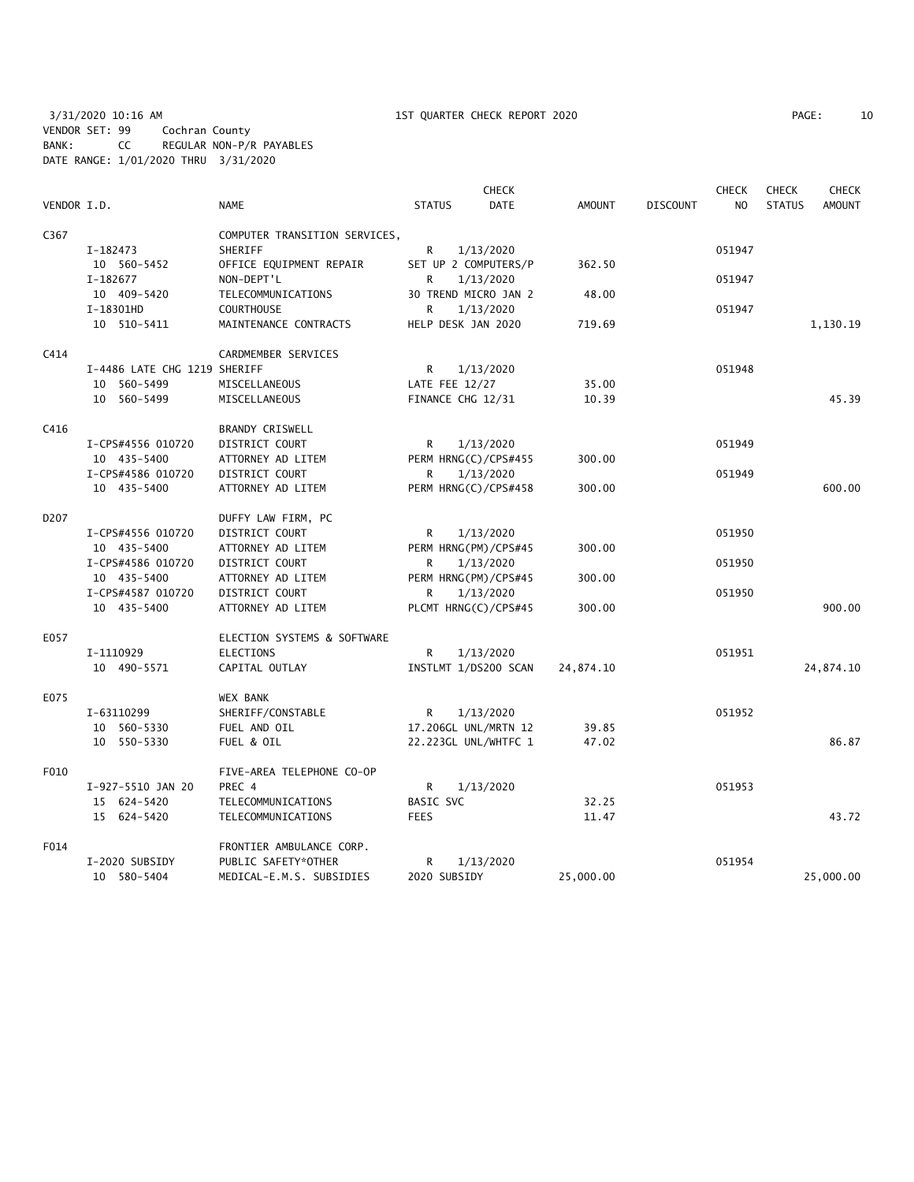3/31/2020 10:16 AM 1ST QUARTER CHECK REPORT 2020 PAGE: 10 VENDOR SET: 99 Cochran County BANK: CC REGULAR NON-P/R PAYABLES DATE RANGE: 1/01/2020 THRU 3/31/2020

| 10<br>PAGE: |
|-------------|
|-------------|

|                  |                              |                               |                      | <b>CHECK</b> |               |                 | <b>CHECK</b> | <b>CHECK</b>  | <b>CHECK</b>  |
|------------------|------------------------------|-------------------------------|----------------------|--------------|---------------|-----------------|--------------|---------------|---------------|
| VENDOR I.D.      |                              | <b>NAME</b>                   | <b>STATUS</b>        | <b>DATE</b>  | <b>AMOUNT</b> | <b>DISCOUNT</b> | NO.          | <b>STATUS</b> | <b>AMOUNT</b> |
| C367             |                              | COMPUTER TRANSITION SERVICES, |                      |              |               |                 |              |               |               |
|                  | I-182473                     | SHERIFF                       | R                    | 1/13/2020    |               |                 | 051947       |               |               |
|                  | 10 560-5452                  | OFFICE EQUIPMENT REPAIR       | SET UP 2 COMPUTERS/P |              | 362.50        |                 |              |               |               |
|                  | I-182677                     | NON-DEPT'L                    | R                    | 1/13/2020    |               |                 | 051947       |               |               |
|                  | 10 409-5420                  | TELECOMMUNICATIONS            | 30 TREND MICRO JAN 2 |              | 48.00         |                 |              |               |               |
|                  | I-18301HD                    | <b>COURTHOUSE</b>             | R                    | 1/13/2020    |               |                 | 051947       |               |               |
|                  | 10 510-5411                  | MAINTENANCE CONTRACTS         | HELP DESK JAN 2020   |              | 719.69        |                 |              |               | 1,130.19      |
| C414             |                              | CARDMEMBER SERVICES           |                      |              |               |                 |              |               |               |
|                  | I-4486 LATE CHG 1219 SHERIFF |                               | R                    | 1/13/2020    |               |                 | 051948       |               |               |
|                  | 10 560-5499                  | MISCELLANEOUS                 | LATE FEE 12/27       |              | 35.00         |                 |              |               |               |
|                  | 10 560-5499                  | MISCELLANEOUS                 | FINANCE CHG 12/31    |              | 10.39         |                 |              |               | 45.39         |
|                  |                              |                               |                      |              |               |                 |              |               |               |
| C416             |                              | BRANDY CRISWELL               |                      |              |               |                 |              |               |               |
|                  | I-CPS#4556 010720            | DISTRICT COURT                | R                    | 1/13/2020    |               |                 | 051949       |               |               |
|                  | 10 435-5400                  | ATTORNEY AD LITEM             | PERM HRNG(C)/CPS#455 |              | 300.00        |                 |              |               |               |
|                  | I-CPS#4586 010720            | <b>DISTRICT COURT</b>         | R                    | 1/13/2020    |               |                 | 051949       |               |               |
|                  | 10 435-5400                  | ATTORNEY AD LITEM             | PERM HRNG(C)/CPS#458 |              | 300.00        |                 |              |               | 600.00        |
| D <sub>207</sub> |                              | DUFFY LAW FIRM, PC            |                      |              |               |                 |              |               |               |
|                  | I-CPS#4556 010720            | DISTRICT COURT                | R                    | 1/13/2020    |               |                 | 051950       |               |               |
|                  | 10 435-5400                  | ATTORNEY AD LITEM             | PERM HRNG(PM)/CPS#45 |              | 300.00        |                 |              |               |               |
|                  | I-CPS#4586 010720            | DISTRICT COURT                | R                    | 1/13/2020    |               |                 | 051950       |               |               |
|                  | 10 435-5400                  | ATTORNEY AD LITEM             | PERM HRNG(PM)/CPS#45 |              | 300.00        |                 |              |               |               |
|                  | I-CPS#4587 010720            | DISTRICT COURT                | R                    | 1/13/2020    |               |                 | 051950       |               |               |
|                  | 10 435-5400                  | ATTORNEY AD LITEM             | PLCMT HRNG(C)/CPS#45 |              | 300.00        |                 |              |               | 900.00        |
| E057             |                              | ELECTION SYSTEMS & SOFTWARE   |                      |              |               |                 |              |               |               |
|                  | I-1110929                    | ELECTIONS                     | R                    | 1/13/2020    |               |                 | 051951       |               |               |
|                  | 10 490-5571                  | CAPITAL OUTLAY                | INSTLMT 1/DS200 SCAN |              | 24,874.10     |                 |              |               | 24,874.10     |
| E075             |                              | <b>WEX BANK</b>               |                      |              |               |                 |              |               |               |
|                  | I-63110299                   | SHERIFF/CONSTABLE             | R                    | 1/13/2020    |               |                 | 051952       |               |               |
|                  | 10 560-5330                  | FUEL AND OIL                  | 17.206GL UNL/MRTN 12 |              | 39.85         |                 |              |               |               |
|                  | 10 550-5330                  | FUEL & OIL                    | 22.223GL UNL/WHTFC 1 |              | 47.02         |                 |              |               | 86.87         |
| F010             |                              | FIVE-AREA TELEPHONE CO-OP     |                      |              |               |                 |              |               |               |
|                  | I-927-5510 JAN 20            | PREC 4                        | R                    | 1/13/2020    |               |                 | 051953       |               |               |
|                  | 15 624-5420                  | TELECOMMUNICATIONS            | <b>BASIC SVC</b>     |              | 32.25         |                 |              |               |               |
|                  | 15 624-5420                  | TELECOMMUNICATIONS            | <b>FEES</b>          |              | 11.47         |                 |              |               | 43.72         |
| F014             |                              | FRONTIER AMBULANCE CORP.      |                      |              |               |                 |              |               |               |
|                  | I-2020 SUBSIDY               | PUBLIC SAFETY*OTHER           | R                    | 1/13/2020    |               |                 | 051954       |               |               |
|                  | 10 580-5404                  | MEDICAL-E.M.S. SUBSIDIES      | 2020 SUBSIDY         |              | 25,000.00     |                 |              |               | 25,000.00     |
|                  |                              |                               |                      |              |               |                 |              |               |               |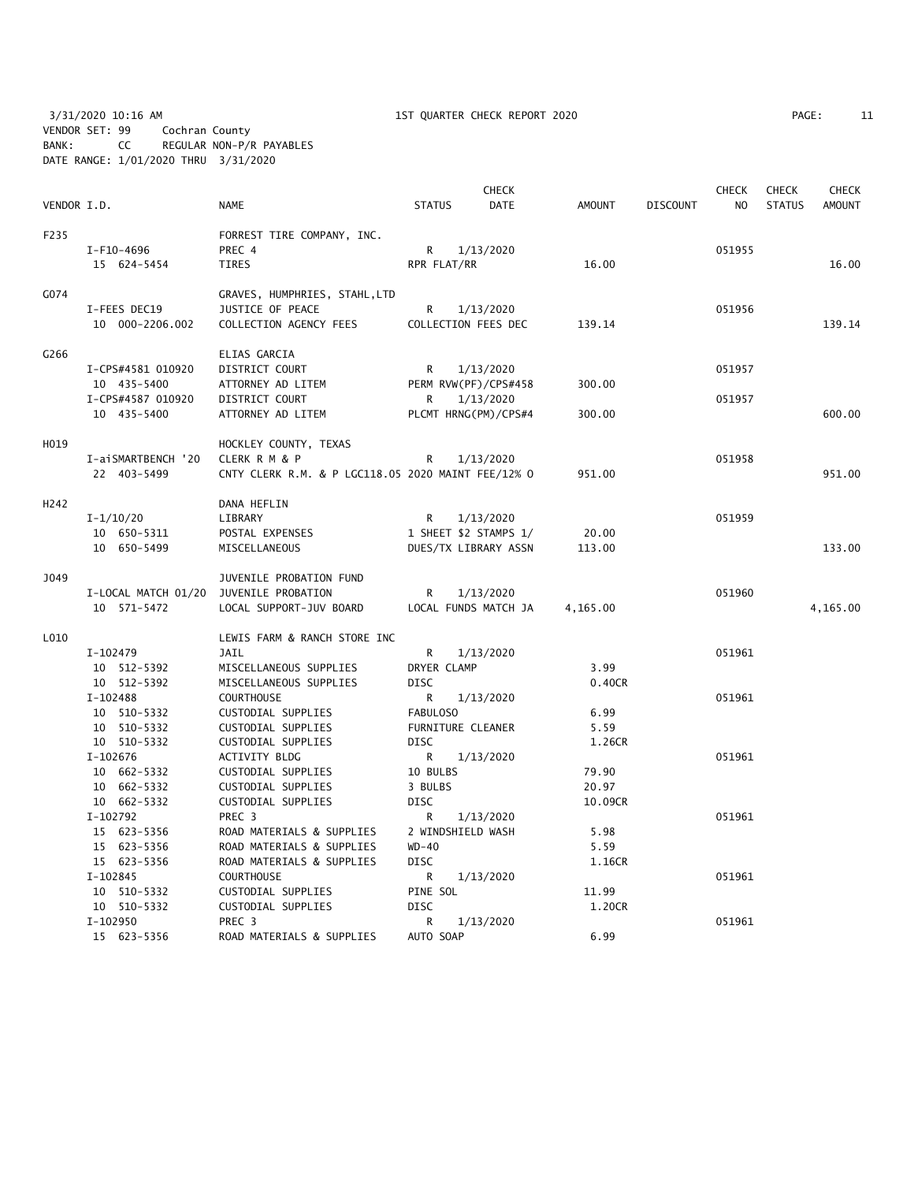3/31/2020 10:16 AM 1ST QUARTER CHECK REPORT 2020 PAGE: 11 VENDOR SET: 99 Cochran County BANK: CC REGULAR NON-P/R PAYABLES DATE RANGE: 1/01/2020 THRU 3/31/2020

| PAGE: | 11 |
|-------|----|
|       |    |

| VENDOR I.D. |                         | NAME                                               |                  | <b>CHECK</b><br><b>DATE</b> | AMOUNT   | <b>DISCOUNT</b> | <b>CHECK</b><br>NO. | <b>CHECK</b><br><b>STATUS</b> | <b>CHECK</b><br><b>AMOUNT</b> |
|-------------|-------------------------|----------------------------------------------------|------------------|-----------------------------|----------|-----------------|---------------------|-------------------------------|-------------------------------|
|             |                         |                                                    | <b>STATUS</b>    |                             |          |                 |                     |                               |                               |
| F235        |                         | FORREST TIRE COMPANY, INC.                         |                  |                             |          |                 |                     |                               |                               |
|             | I-F10-4696              | PREC 4                                             | R.               | 1/13/2020                   |          |                 | 051955              |                               |                               |
|             | 15 624-5454             | <b>TIRES</b>                                       | RPR FLAT/RR      |                             | 16.00    |                 |                     |                               | 16.00                         |
| G074        |                         | GRAVES, HUMPHRIES, STAHL, LTD                      |                  |                             |          |                 |                     |                               |                               |
|             | I-FEES DEC19            | JUSTICE OF PEACE                                   | R                | 1/13/2020                   |          |                 | 051956              |                               |                               |
|             | 10 000-2206.002         | COLLECTION AGENCY FEES                             |                  | COLLECTION FEES DEC         | 139.14   |                 |                     |                               | 139.14                        |
| G266        |                         | ELIAS GARCIA                                       |                  |                             |          |                 |                     |                               |                               |
|             | I-CPS#4581 010920       | DISTRICT COURT                                     | R                | 1/13/2020                   |          |                 | 051957              |                               |                               |
|             | 10 435-5400             | ATTORNEY AD LITEM                                  |                  | PERM RVW(PF)/CPS#458        | 300.00   |                 |                     |                               |                               |
|             | I-CPS#4587 010920       | DISTRICT COURT                                     | R                | 1/13/2020                   |          |                 | 051957              |                               |                               |
|             | 10 435-5400             | ATTORNEY AD LITEM                                  |                  | PLCMT HRNG(PM)/CPS#4        | 300.00   |                 |                     |                               | 600.00                        |
| H019        |                         | HOCKLEY COUNTY, TEXAS                              |                  |                             |          |                 |                     |                               |                               |
|             | I-aiSMARTBENCH '20      | CLERK R M & P                                      | R                | 1/13/2020                   |          |                 | 051958              |                               |                               |
|             | 22 403-5499             | CNTY CLERK R.M. & P LGC118.05 2020 MAINT FEE/12% 0 |                  |                             | 951.00   |                 |                     |                               | 951.00                        |
|             |                         |                                                    |                  |                             |          |                 |                     |                               |                               |
| H242        |                         | DANA HEFLIN                                        |                  |                             |          |                 |                     |                               |                               |
|             | $I - 1/10/20$           | LIBRARY                                            | R                | 1/13/2020                   |          |                 | 051959              |                               |                               |
|             | 10 650-5311             | POSTAL EXPENSES                                    |                  | 1 SHEET \$2 STAMPS 1/       | 20.00    |                 |                     |                               |                               |
|             | 10 650-5499             | MISCELLANEOUS                                      |                  | DUES/TX LIBRARY ASSN        | 113.00   |                 |                     |                               | 133.00                        |
| J049        |                         | JUVENILE PROBATION FUND                            |                  |                             |          |                 |                     |                               |                               |
|             | I-LOCAL MATCH 01/20     | JUVENILE PROBATION                                 | R                | 1/13/2020                   |          |                 | 051960              |                               |                               |
|             | 10 571-5472             | LOCAL SUPPORT-JUV BOARD                            |                  | LOCAL FUNDS MATCH JA        | 4,165.00 |                 |                     |                               | 4,165.00                      |
| L010        |                         | LEWIS FARM & RANCH STORE INC                       |                  |                             |          |                 |                     |                               |                               |
|             | I-102479                | JAIL                                               | R                | 1/13/2020                   |          |                 | 051961              |                               |                               |
|             | 10 512-5392             | MISCELLANEOUS SUPPLIES                             | DRYER CLAMP      |                             | 3.99     |                 |                     |                               |                               |
|             | 10 512-5392             | MISCELLANEOUS SUPPLIES                             | <b>DISC</b>      |                             | 0.40CR   |                 |                     |                               |                               |
|             | $I - 102488$            | <b>COURTHOUSE</b>                                  | R                | 1/13/2020                   |          |                 | 051961              |                               |                               |
|             | 10 510-5332             | CUSTODIAL SUPPLIES                                 | FABULOSO         |                             | 6.99     |                 |                     |                               |                               |
|             | 10 510-5332             | CUSTODIAL SUPPLIES                                 |                  | FURNITURE CLEANER           | 5.59     |                 |                     |                               |                               |
|             | 10 510-5332             | CUSTODIAL SUPPLIES                                 | <b>DISC</b>      |                             | 1.26CR   |                 |                     |                               |                               |
|             | $I-102676$              | <b>ACTIVITY BLDG</b>                               | R                | 1/13/2020                   |          |                 | 051961              |                               |                               |
|             | 10 662-5332             | CUSTODIAL SUPPLIES                                 | 10 BULBS         |                             | 79.90    |                 |                     |                               |                               |
|             | 10 662-5332             | CUSTODIAL SUPPLIES                                 | 3 BULBS          |                             | 20.97    |                 |                     |                               |                               |
|             | 10 662-5332             | CUSTODIAL SUPPLIES                                 | <b>DISC</b>      |                             | 10.09CR  |                 |                     |                               |                               |
|             | I-102792                | PREC <sub>3</sub>                                  | R                | 1/13/2020                   |          |                 | 051961              |                               |                               |
|             | 15 623-5356             | ROAD MATERIALS & SUPPLIES                          |                  | 2 WINDSHIELD WASH           | 5.98     |                 |                     |                               |                               |
|             | 15 623-5356             | ROAD MATERIALS & SUPPLIES                          | $WD-40$          |                             | 5.59     |                 |                     |                               |                               |
|             | 15 623-5356             | ROAD MATERIALS & SUPPLIES                          | <b>DISC</b>      |                             | 1.16CR   |                 |                     |                               |                               |
|             | $I-102845$              | COURTHOUSE                                         | R                | 1/13/2020                   |          |                 | 051961              |                               |                               |
|             | 10 510-5332             | CUSTODIAL SUPPLIES                                 | PINE SOL         |                             | 11.99    |                 |                     |                               |                               |
|             | 10 510-5332<br>I-102950 | CUSTODIAL SUPPLIES<br>PREC <sub>3</sub>            | <b>DISC</b><br>R | 1/13/2020                   | 1.20CR   |                 | 051961              |                               |                               |
|             | 15 623-5356             | ROAD MATERIALS & SUPPLIES                          | AUTO SOAP        |                             | 6.99     |                 |                     |                               |                               |
|             |                         |                                                    |                  |                             |          |                 |                     |                               |                               |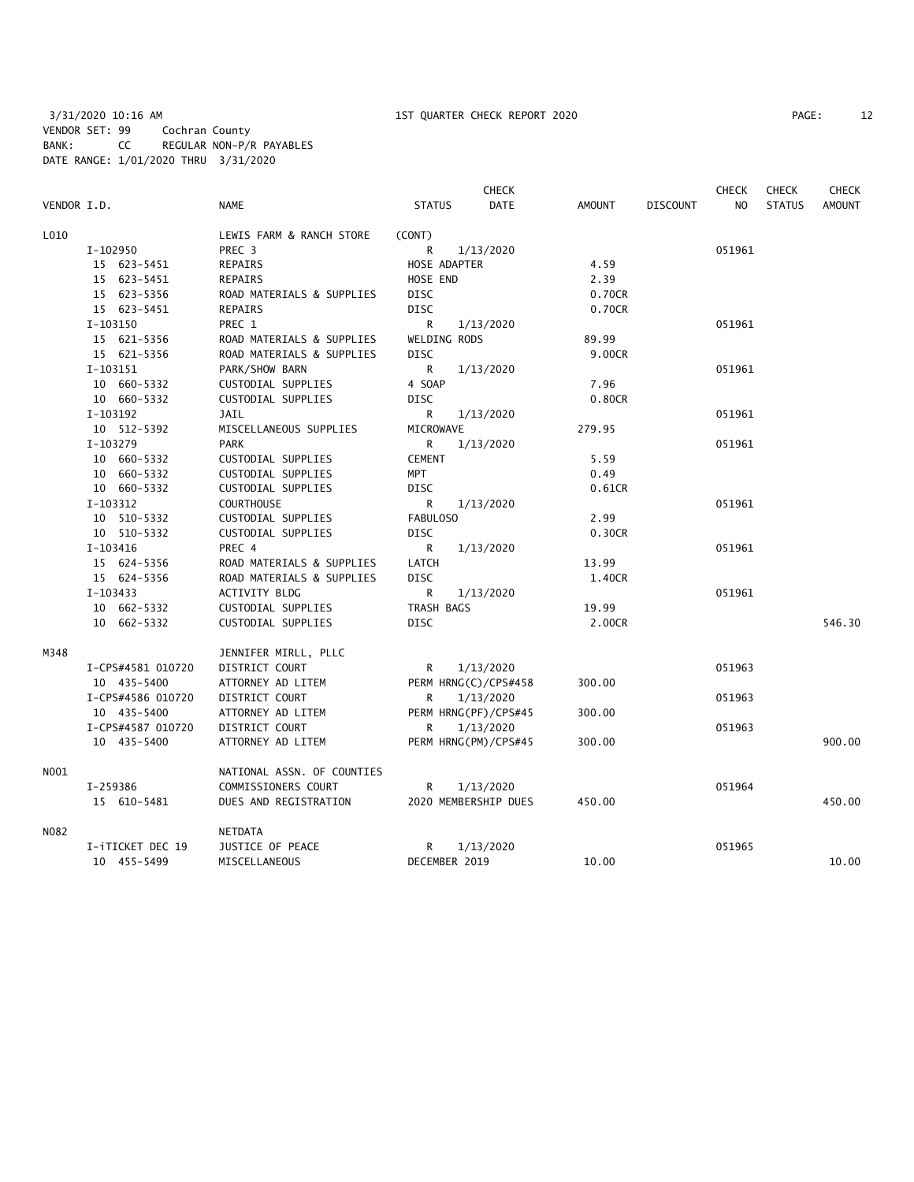|             |                   |                            |               | <b>CHECK</b>         |               |                 | <b>CHECK</b> | <b>CHECK</b>  | <b>CHECK</b>  |
|-------------|-------------------|----------------------------|---------------|----------------------|---------------|-----------------|--------------|---------------|---------------|
| VENDOR I.D. |                   | <b>NAME</b>                | <b>STATUS</b> | <b>DATE</b>          | <b>AMOUNT</b> | <b>DISCOUNT</b> | NO           | <b>STATUS</b> | <b>AMOUNT</b> |
| L010        |                   | LEWIS FARM & RANCH STORE   | (CONT)        |                      |               |                 |              |               |               |
|             | I-102950          | PREC <sub>3</sub>          | R             | 1/13/2020            |               |                 | 051961       |               |               |
|             | 15 623-5451       | REPAIRS                    | HOSE ADAPTER  |                      | 4.59          |                 |              |               |               |
|             | 15 623-5451       | REPAIRS                    | HOSE END      |                      | 2.39          |                 |              |               |               |
|             | 15 623-5356       | ROAD MATERIALS & SUPPLIES  | <b>DISC</b>   |                      | 0.70CR        |                 |              |               |               |
|             | 15 623-5451       | REPAIRS                    | <b>DISC</b>   |                      | 0.70CR        |                 |              |               |               |
|             | I-103150          | PREC 1                     | R             | 1/13/2020            |               |                 | 051961       |               |               |
|             | 15 621-5356       | ROAD MATERIALS & SUPPLIES  | WELDING RODS  |                      | 89.99         |                 |              |               |               |
|             | 15 621-5356       | ROAD MATERIALS & SUPPLIES  | <b>DISC</b>   |                      | 9.00CR        |                 |              |               |               |
|             | I-103151          | PARK/SHOW BARN             | R             | 1/13/2020            |               |                 | 051961       |               |               |
|             | 10 660-5332       | CUSTODIAL SUPPLIES         | 4 SOAP        |                      | 7.96          |                 |              |               |               |
|             | 10 660-5332       | CUSTODIAL SUPPLIES         | <b>DISC</b>   |                      | 0.80CR        |                 |              |               |               |
|             | I-103192          | JAIL                       | R             | 1/13/2020            |               |                 | 051961       |               |               |
|             | 10 512-5392       | MISCELLANEOUS SUPPLIES     | MICROWAVE     |                      | 279.95        |                 |              |               |               |
|             | I-103279          | <b>PARK</b>                | R             | 1/13/2020            |               |                 | 051961       |               |               |
|             | 10 660-5332       | CUSTODIAL SUPPLIES         | <b>CEMENT</b> |                      | 5.59          |                 |              |               |               |
|             | 10 660-5332       | CUSTODIAL SUPPLIES         | MPT           |                      | 0.49          |                 |              |               |               |
|             | 10 660-5332       | CUSTODIAL SUPPLIES         | <b>DISC</b>   |                      | 0.61CR        |                 |              |               |               |
|             | I-103312          | <b>COURTHOUSE</b>          | R             | 1/13/2020            |               |                 | 051961       |               |               |
|             | 10 510-5332       | CUSTODIAL SUPPLIES         | FABULOSO      |                      | 2.99          |                 |              |               |               |
|             | 10 510-5332       | CUSTODIAL SUPPLIES         | DISC          |                      | 0.30CR        |                 |              |               |               |
|             | $I-103416$        | PREC 4                     | R             | 1/13/2020            |               |                 | 051961       |               |               |
|             | 15 624-5356       | ROAD MATERIALS & SUPPLIES  | LATCH         |                      | 13.99         |                 |              |               |               |
|             | 15 624-5356       | ROAD MATERIALS & SUPPLIES  | <b>DISC</b>   |                      | 1.40CR        |                 |              |               |               |
|             | I-103433          | <b>ACTIVITY BLDG</b>       | R             | 1/13/2020            |               |                 | 051961       |               |               |
|             | 10 662-5332       | CUSTODIAL SUPPLIES         | TRASH BAGS    |                      | 19.99         |                 |              |               |               |
|             | 10 662-5332       | CUSTODIAL SUPPLIES         | <b>DISC</b>   |                      | 2.00CR        |                 |              |               | 546.30        |
| M348        |                   | JENNIFER MIRLL, PLLC       |               |                      |               |                 |              |               |               |
|             | I-CPS#4581 010720 | DISTRICT COURT             | R             | 1/13/2020            |               |                 | 051963       |               |               |
|             | 10 435-5400       | ATTORNEY AD LITEM          |               | PERM HRNG(C)/CPS#458 | 300.00        |                 |              |               |               |
|             | I-CPS#4586 010720 | DISTRICT COURT             | R             | 1/13/2020            |               |                 | 051963       |               |               |
|             | 10 435-5400       | ATTORNEY AD LITEM          |               | PERM HRNG(PF)/CPS#45 | 300.00        |                 |              |               |               |
|             | I-CPS#4587 010720 | DISTRICT COURT             | R             | 1/13/2020            |               |                 | 051963       |               |               |
|             | 10 435-5400       | ATTORNEY AD LITEM          |               | PERM HRNG(PM)/CPS#45 | 300.00        |                 |              |               | 900.00        |
| NO01        |                   | NATIONAL ASSN. OF COUNTIES |               |                      |               |                 |              |               |               |
|             | I-259386          | COMMISSIONERS COURT        | R             | 1/13/2020            |               |                 | 051964       |               |               |
|             | 15 610-5481       | DUES AND REGISTRATION      |               | 2020 MEMBERSHIP DUES | 450.00        |                 |              |               | 450.00        |
| N082        |                   | NETDATA                    |               |                      |               |                 |              |               |               |
|             | I-iTICKET DEC 19  | JUSTICE OF PEACE           | R             | 1/13/2020            |               |                 | 051965       |               |               |
|             | 10 455-5499       | MISCELLANEOUS              | DECEMBER 2019 |                      | 10.00         |                 |              |               | 10.00         |
|             |                   |                            |               |                      |               |                 |              |               |               |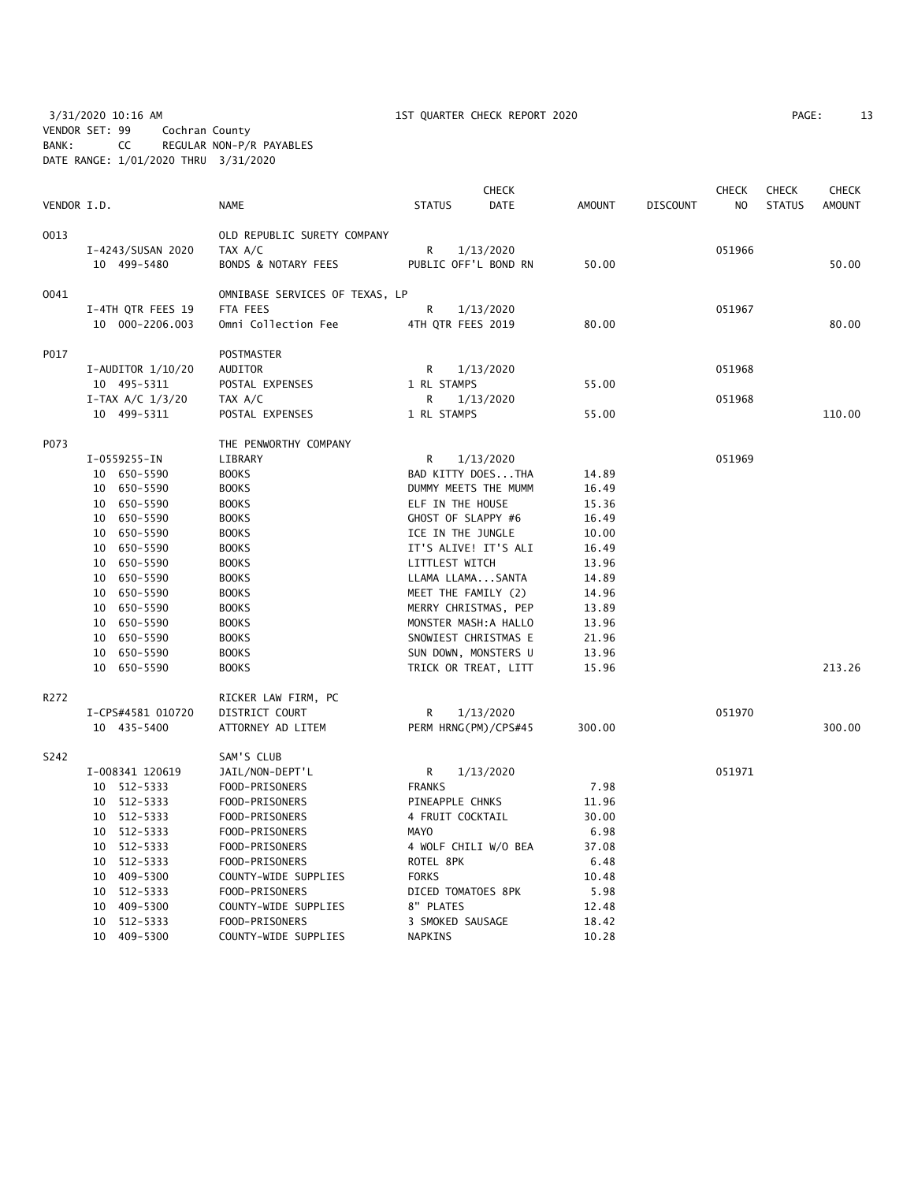3/31/2020 10:16 AM 1ST QUARTER CHECK REPORT 2020 PAGE: 13 VENDOR SET: 99 Cochran County BANK: CC REGULAR NON-P/R PAYABLES DATE RANGE: 1/01/2020 THRU 3/31/2020

| PAGE: |  |
|-------|--|
|       |  |

|             |                       |                                |                       | <b>CHECK</b> |               |                 | <b>CHECK</b>   | <b>CHECK</b>  | <b>CHECK</b>  |
|-------------|-----------------------|--------------------------------|-----------------------|--------------|---------------|-----------------|----------------|---------------|---------------|
| VENDOR I.D. |                       | <b>NAME</b>                    | <b>STATUS</b>         | <b>DATE</b>  | <b>AMOUNT</b> | <b>DISCOUNT</b> | N <sub>O</sub> | <b>STATUS</b> | <b>AMOUNT</b> |
| 0013        |                       | OLD REPUBLIC SURETY COMPANY    |                       |              |               |                 |                |               |               |
|             | I-4243/SUSAN 2020     | TAX A/C                        | R                     | 1/13/2020    |               |                 | 051966         |               |               |
|             | 10 499-5480           | BONDS & NOTARY FEES            | PUBLIC OFF'L BOND RN  |              | 50.00         |                 |                |               | 50.00         |
| 0041        |                       | OMNIBASE SERVICES OF TEXAS, LP |                       |              |               |                 |                |               |               |
|             | I-4TH QTR FEES 19     | FTA FEES                       | R                     | 1/13/2020    |               |                 | 051967         |               |               |
|             | 10 000-2206.003       | Omni Collection Fee            | 4TH QTR FEES 2019     |              | 80.00         |                 |                |               | 80.00         |
| P017        |                       | POSTMASTER                     |                       |              |               |                 |                |               |               |
|             | $I-AUDITOR$ $1/10/20$ | AUDITOR                        | R                     | 1/13/2020    |               |                 | 051968         |               |               |
|             | 10 495-5311           | POSTAL EXPENSES                | 1 RL STAMPS           |              | 55.00         |                 |                |               |               |
|             | $I-TAX A/C 1/3/20$    | TAX A/C                        | R                     | 1/13/2020    |               |                 | 051968         |               |               |
|             | 10 499-5311           | POSTAL EXPENSES                | 1 RL STAMPS           |              | 55.00         |                 |                |               | 110.00        |
| P073        |                       | THE PENWORTHY COMPANY          |                       |              |               |                 |                |               |               |
|             | I-0559255-IN          | LIBRARY                        | R                     | 1/13/2020    |               |                 | 051969         |               |               |
|             | 10 650-5590           | <b>BOOKS</b>                   | BAD KITTY DOESTHA     |              | 14.89         |                 |                |               |               |
|             | 10 650-5590           | <b>BOOKS</b>                   | DUMMY MEETS THE MUMM  |              | 16.49         |                 |                |               |               |
|             | 10 650-5590           | <b>BOOKS</b>                   | ELF IN THE HOUSE      |              | 15.36         |                 |                |               |               |
|             | 10 650-5590           | <b>BOOKS</b>                   | GHOST OF SLAPPY #6    |              | 16.49         |                 |                |               |               |
|             | 10 650-5590           | <b>BOOKS</b>                   | ICE IN THE JUNGLE     |              | 10.00         |                 |                |               |               |
|             | 10 650-5590           | <b>BOOKS</b>                   | IT'S ALIVE! IT'S ALI  |              | 16.49         |                 |                |               |               |
|             | 10 650-5590           | <b>BOOKS</b>                   | LITTLEST WITCH        |              | 13.96         |                 |                |               |               |
|             | 10 650-5590           | <b>BOOKS</b>                   | LLAMA LLAMASANTA      |              | 14.89         |                 |                |               |               |
|             | 10 650-5590           | <b>BOOKS</b>                   | MEET THE FAMILY (2)   |              | 14.96         |                 |                |               |               |
|             | 10 650-5590           | <b>BOOKS</b>                   | MERRY CHRISTMAS, PEP  |              | 13.89         |                 |                |               |               |
|             | 10 650-5590           | <b>BOOKS</b>                   | MONSTER MASH: A HALLO |              | 13.96         |                 |                |               |               |
|             | 10 650-5590           | <b>BOOKS</b>                   | SNOWIEST CHRISTMAS E  |              | 21.96         |                 |                |               |               |
|             | 10 650-5590           | <b>BOOKS</b>                   | SUN DOWN, MONSTERS U  |              | 13.96         |                 |                |               |               |
|             | 10 650-5590           | <b>BOOKS</b>                   | TRICK OR TREAT, LITT  |              | 15.96         |                 |                |               | 213.26        |
| R272        |                       | RICKER LAW FIRM, PC            |                       |              |               |                 |                |               |               |
|             | I-CPS#4581 010720     | DISTRICT COURT                 | R                     | 1/13/2020    |               |                 | 051970         |               |               |
|             | 10 435-5400           | ATTORNEY AD LITEM              | PERM HRNG(PM)/CPS#45  |              | 300.00        |                 |                |               | 300.00        |
| S242        |                       | SAM'S CLUB                     |                       |              |               |                 |                |               |               |
|             | I-008341 120619       | JAIL/NON-DEPT'L                | R                     | 1/13/2020    |               |                 | 051971         |               |               |
|             | 10 512-5333           | FOOD-PRISONERS                 | <b>FRANKS</b>         |              | 7.98          |                 |                |               |               |
|             | 10 512-5333           | FOOD-PRISONERS                 | PINEAPPLE CHNKS       |              | 11.96         |                 |                |               |               |
|             | 10 512-5333           | FOOD-PRISONERS                 | 4 FRUIT COCKTAIL      |              | 30.00         |                 |                |               |               |
|             | 10 512-5333           | FOOD-PRISONERS                 | MAYO                  |              | 6.98          |                 |                |               |               |
|             | 10 512-5333           | FOOD-PRISONERS                 | 4 WOLF CHILI W/O BEA  |              | 37.08         |                 |                |               |               |
|             | 10 512-5333           | FOOD-PRISONERS                 | ROTEL 8PK             |              | 6.48          |                 |                |               |               |
|             | 10 409-5300           | COUNTY-WIDE SUPPLIES           | <b>FORKS</b>          |              | 10.48         |                 |                |               |               |
|             | 10<br>512-5333        | FOOD-PRISONERS                 | DICED TOMATOES 8PK    |              | 5.98          |                 |                |               |               |
|             | 409-5300<br>10        | COUNTY-WIDE SUPPLIES           | 8" PLATES             |              | 12.48         |                 |                |               |               |
|             | 512-5333<br>10        | FOOD-PRISONERS                 | 3 SMOKED SAUSAGE      |              | 18.42         |                 |                |               |               |
|             | 10 409-5300           | COUNTY-WIDE SUPPLIES           | NAPKINS               |              | 10.28         |                 |                |               |               |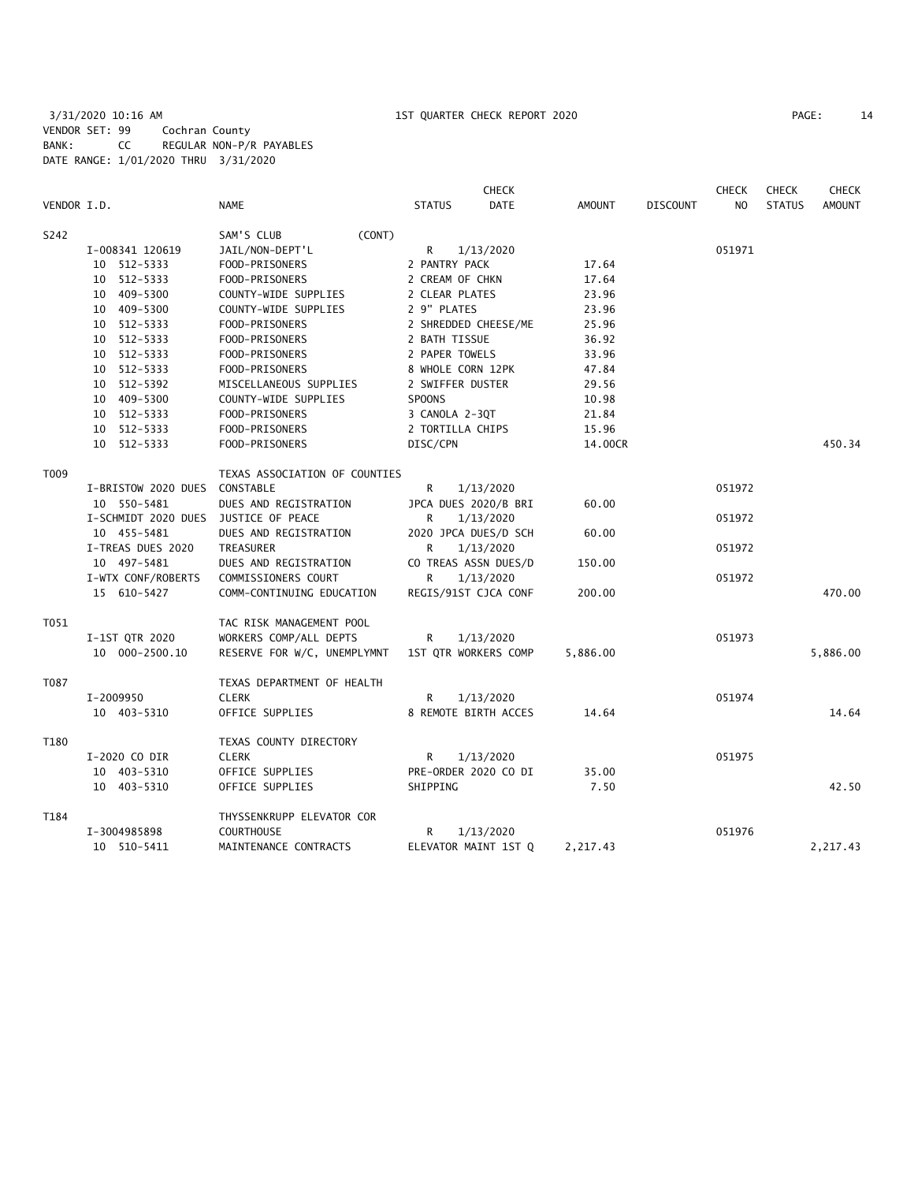|             |                               |                               |                      | <b>CHECK</b>         |               |                 | <b>CHECK</b>   | <b>CHECK</b>  | <b>CHECK</b>  |
|-------------|-------------------------------|-------------------------------|----------------------|----------------------|---------------|-----------------|----------------|---------------|---------------|
| VENDOR I.D. |                               | <b>NAME</b>                   | <b>STATUS</b>        | <b>DATE</b>          | <b>AMOUNT</b> | <b>DISCOUNT</b> | N <sub>O</sub> | <b>STATUS</b> | <b>AMOUNT</b> |
| S242        |                               | SAM'S CLUB<br>(CONT)          |                      |                      |               |                 |                |               |               |
|             | I-008341 120619               | JAIL/NON-DEPT'L               | R                    | 1/13/2020            |               |                 | 051971         |               |               |
|             | 10 512-5333                   | FOOD-PRISONERS                | 2 PANTRY PACK        |                      | 17.64         |                 |                |               |               |
|             | 10 512-5333                   | FOOD-PRISONERS                | 2 CREAM OF CHKN      |                      | 17.64         |                 |                |               |               |
|             | 10 409-5300                   | COUNTY-WIDE SUPPLIES          | 2 CLEAR PLATES       |                      | 23.96         |                 |                |               |               |
|             | 10 409-5300                   | COUNTY-WIDE SUPPLIES          | 2 9" PLATES          |                      | 23.96         |                 |                |               |               |
|             | 10 512-5333                   | FOOD-PRISONERS                | 2 SHREDDED CHEESE/ME |                      | 25.96         |                 |                |               |               |
|             | 10 512-5333                   | FOOD-PRISONERS                | 2 BATH TISSUE        |                      | 36.92         |                 |                |               |               |
|             | 10 512-5333                   | FOOD-PRISONERS                | 2 PAPER TOWELS       |                      | 33.96         |                 |                |               |               |
|             | 10 512-5333                   | FOOD-PRISONERS                | 8 WHOLE CORN 12PK    |                      | 47.84         |                 |                |               |               |
|             | 10 512-5392                   | MISCELLANEOUS SUPPLIES        | 2 SWIFFER DUSTER     |                      | 29.56         |                 |                |               |               |
|             | 10 409-5300                   | COUNTY-WIDE SUPPLIES          | <b>SPOONS</b>        |                      | 10.98         |                 |                |               |               |
|             | 10 512-5333                   | FOOD-PRISONERS                | 3 CANOLA 2-3QT       |                      | 21.84         |                 |                |               |               |
|             | 10 512-5333                   | FOOD-PRISONERS                | 2 TORTILLA CHIPS     |                      | 15.96         |                 |                |               |               |
|             | 10 512-5333                   | FOOD-PRISONERS                | DISC/CPN             |                      | 14.00CR       |                 |                |               | 450.34        |
| T009        |                               | TEXAS ASSOCIATION OF COUNTIES |                      |                      |               |                 |                |               |               |
|             | I-BRISTOW 2020 DUES CONSTABLE |                               | R                    | 1/13/2020            |               |                 | 051972         |               |               |
|             | 10 550-5481                   | DUES AND REGISTRATION         |                      | JPCA DUES 2020/B BRI | 60.00         |                 |                |               |               |
|             | I-SCHMIDT 2020 DUES           | JUSTICE OF PEACE              | R                    | 1/13/2020            |               |                 | 051972         |               |               |
|             | 10 455-5481                   | DUES AND REGISTRATION         |                      | 2020 JPCA DUES/D SCH | 60.00         |                 |                |               |               |
|             | I-TREAS DUES 2020             | TREASURER                     | R                    | 1/13/2020            |               |                 | 051972         |               |               |
|             | 10 497-5481                   | DUES AND REGISTRATION         |                      | CO TREAS ASSN DUES/D | 150.00        |                 |                |               |               |
|             | I-WTX CONF/ROBERTS            | COMMISSIONERS COURT           | R                    | 1/13/2020            |               |                 | 051972         |               |               |
|             | 15 610-5427                   | COMM-CONTINUING EDUCATION     |                      | REGIS/91ST CJCA CONF | 200.00        |                 |                |               | 470.00        |
| T051        |                               | TAC RISK MANAGEMENT POOL      |                      |                      |               |                 |                |               |               |
|             | I-1ST QTR 2020                | WORKERS COMP/ALL DEPTS        | R                    | 1/13/2020            |               |                 | 051973         |               |               |
|             | 10 000-2500.10                | RESERVE FOR W/C, UNEMPLYMNT   |                      | 1ST QTR WORKERS COMP | 5,886.00      |                 |                |               | 5,886.00      |
| T087        |                               | TEXAS DEPARTMENT OF HEALTH    |                      |                      |               |                 |                |               |               |
|             | I-2009950                     | <b>CLERK</b>                  | R                    | 1/13/2020            |               |                 | 051974         |               |               |
|             | 10 403-5310                   | OFFICE SUPPLIES               |                      | 8 REMOTE BIRTH ACCES | 14.64         |                 |                |               | 14.64         |
| T180        |                               | TEXAS COUNTY DIRECTORY        |                      |                      |               |                 |                |               |               |
|             | I-2020 CO DIR                 | <b>CLERK</b>                  | R                    | 1/13/2020            |               |                 | 051975         |               |               |
|             | 10 403-5310                   | OFFICE SUPPLIES               |                      | PRE-ORDER 2020 CO DI | 35.00         |                 |                |               |               |
|             | 10 403-5310                   | OFFICE SUPPLIES               | SHIPPING             |                      | 7.50          |                 |                |               | 42.50         |
| T184        |                               | THYSSENKRUPP ELEVATOR COR     |                      |                      |               |                 |                |               |               |
|             | I-3004985898                  | <b>COURTHOUSE</b>             | R                    | 1/13/2020            |               |                 | 051976         |               |               |
|             | 10 510-5411                   | MAINTENANCE CONTRACTS         |                      | ELEVATOR MAINT 1ST Q | 2,217.43      |                 |                |               | 2,217.43      |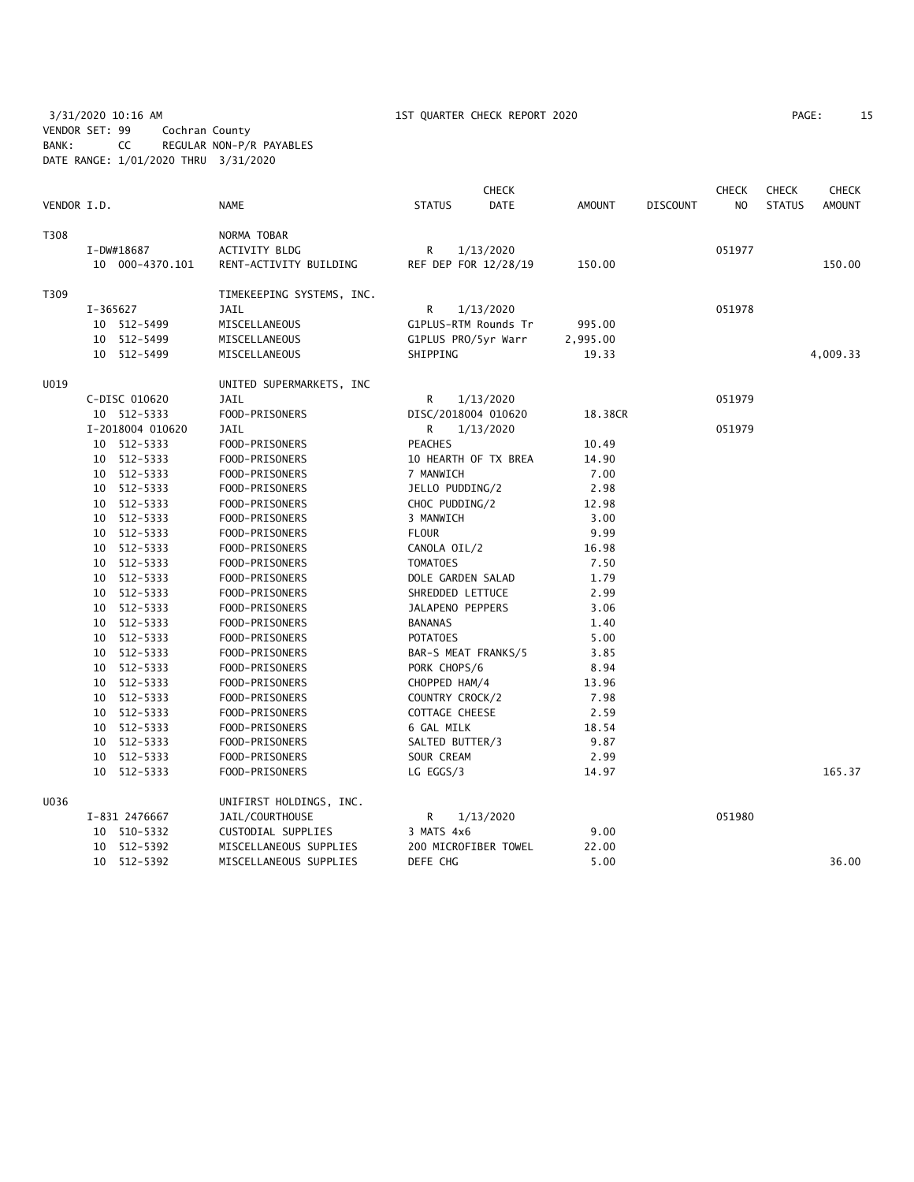3/31/2020 10:16 AM 15T QUARTER CHECK REPORT 2020 PAGE: 15 VENDOR SET: 99 Cochran County BANK: CC REGULAR NON-P/R PAYABLES DATE RANGE: 1/01/2020 THRU 3/31/2020

|             |          |                  |                           |                       | <b>CHECK</b>         |               |                 | <b>CHECK</b>   | <b>CHECK</b>  | <b>CHECK</b>  |
|-------------|----------|------------------|---------------------------|-----------------------|----------------------|---------------|-----------------|----------------|---------------|---------------|
| VENDOR I.D. |          |                  | <b>NAME</b>               | <b>STATUS</b>         | DATE                 | <b>AMOUNT</b> | <b>DISCOUNT</b> | N <sub>O</sub> | <b>STATUS</b> | <b>AMOUNT</b> |
| T308        |          |                  | NORMA TOBAR               |                       |                      |               |                 |                |               |               |
|             |          | I-DW#18687       | ACTIVITY BLDG             | R                     | 1/13/2020            |               |                 | 051977         |               |               |
|             |          | 10 000-4370.101  | RENT-ACTIVITY BUILDING    |                       | REF DEP FOR 12/28/19 | 150.00        |                 |                |               | 150.00        |
| T309        |          |                  | TIMEKEEPING SYSTEMS, INC. |                       |                      |               |                 |                |               |               |
|             | I-365627 |                  | <b>JAIL</b>               | R                     | 1/13/2020            |               |                 | 051978         |               |               |
|             |          | 10 512-5499      | MISCELLANEOUS             |                       | G1PLUS-RTM Rounds Tr | 995.00        |                 |                |               |               |
|             |          | 10 512-5499      | MISCELLANEOUS             | G1PLUS PRO/5yr Warr   |                      | 2,995.00      |                 |                |               |               |
|             |          | 10 512-5499      | MISCELLANEOUS             | SHIPPING              |                      | 19.33         |                 |                |               | 4,009.33      |
| U019        |          |                  | UNITED SUPERMARKETS, INC  |                       |                      |               |                 |                |               |               |
|             |          | C-DISC 010620    | JAIL                      | R                     | 1/13/2020            |               |                 | 051979         |               |               |
|             |          | 10 512-5333      | FOOD-PRISONERS            | DISC/2018004 010620   |                      | 18.38CR       |                 |                |               |               |
|             |          | I-2018004 010620 | JAIL                      | R                     | 1/13/2020            |               |                 | 051979         |               |               |
|             |          | 10 512-5333      | FOOD-PRISONERS            | <b>PEACHES</b>        |                      | 10.49         |                 |                |               |               |
|             |          | 10 512-5333      | FOOD-PRISONERS            |                       | 10 HEARTH OF TX BREA | 14.90         |                 |                |               |               |
|             |          | 10 512-5333      | FOOD-PRISONERS            | 7 MANWICH             |                      | 7.00          |                 |                |               |               |
|             |          | 10 512-5333      | FOOD-PRISONERS            | JELLO PUDDING/2       |                      | 2.98          |                 |                |               |               |
|             |          | 10 512-5333      | FOOD-PRISONERS            | CHOC PUDDING/2        |                      | 12.98         |                 |                |               |               |
|             |          | 10 512-5333      | FOOD-PRISONERS            | 3 MANWICH             |                      | 3.00          |                 |                |               |               |
|             |          | 10 512-5333      | FOOD-PRISONERS            | <b>FLOUR</b>          |                      | 9.99          |                 |                |               |               |
|             |          | 10 512-5333      | FOOD-PRISONERS            | CANOLA OIL/2          |                      | 16.98         |                 |                |               |               |
|             |          | 10 512-5333      | FOOD-PRISONERS            | <b>TOMATOES</b>       |                      | 7.50          |                 |                |               |               |
|             |          | 10 512-5333      | FOOD-PRISONERS            | DOLE GARDEN SALAD     |                      | 1.79          |                 |                |               |               |
|             |          | 10 512-5333      | FOOD-PRISONERS            | SHREDDED LETTUCE      |                      | 2.99          |                 |                |               |               |
|             |          | 10 512-5333      | FOOD-PRISONERS            | JALAPENO PEPPERS      |                      | 3.06          |                 |                |               |               |
|             |          | 10 512-5333      | FOOD-PRISONERS            | <b>BANANAS</b>        |                      | 1.40          |                 |                |               |               |
|             |          | 10 512-5333      | FOOD-PRISONERS            | <b>POTATOES</b>       |                      | 5.00          |                 |                |               |               |
|             |          | 10 512-5333      | FOOD-PRISONERS            | BAR-S MEAT FRANKS/5   |                      | 3.85          |                 |                |               |               |
|             |          | 10 512-5333      | FOOD-PRISONERS            | PORK CHOPS/6          |                      | 8.94          |                 |                |               |               |
|             |          | 10 512-5333      | FOOD-PRISONERS            | CHOPPED HAM/4         |                      | 13.96         |                 |                |               |               |
|             |          | 10 512-5333      | FOOD-PRISONERS            | COUNTRY CROCK/2       |                      | 7.98          |                 |                |               |               |
|             |          | 10 512-5333      | FOOD-PRISONERS            | <b>COTTAGE CHEESE</b> |                      | 2.59          |                 |                |               |               |
|             |          | 10 512-5333      | FOOD-PRISONERS            | 6 GAL MILK            |                      | 18.54         |                 |                |               |               |
|             |          | 10 512-5333      | FOOD-PRISONERS            | SALTED BUTTER/3       |                      | 9.87          |                 |                |               |               |
|             |          | 10 512-5333      | FOOD-PRISONERS            | SOUR CREAM            |                      | 2.99          |                 |                |               |               |
|             |          | 10 512-5333      | FOOD-PRISONERS            | LG EGGS/3             |                      | 14.97         |                 |                |               | 165.37        |
| U036        |          |                  | UNIFIRST HOLDINGS, INC.   |                       |                      |               |                 |                |               |               |
|             |          | I-831 2476667    | JAIL/COURTHOUSE           | R                     | 1/13/2020            |               |                 | 051980         |               |               |
|             |          | 10 510-5332      | CUSTODIAL SUPPLIES        | 3 MATS 4x6            |                      | 9.00          |                 |                |               |               |
|             |          | 10 512-5392      | MISCELLANEOUS SUPPLIES    |                       | 200 MICROFIBER TOWEL | 22.00         |                 |                |               |               |
|             |          | 10 512-5392      | MISCELLANEOUS SUPPLIES    | DEFE CHG              |                      | 5.00          |                 |                |               | 36.00         |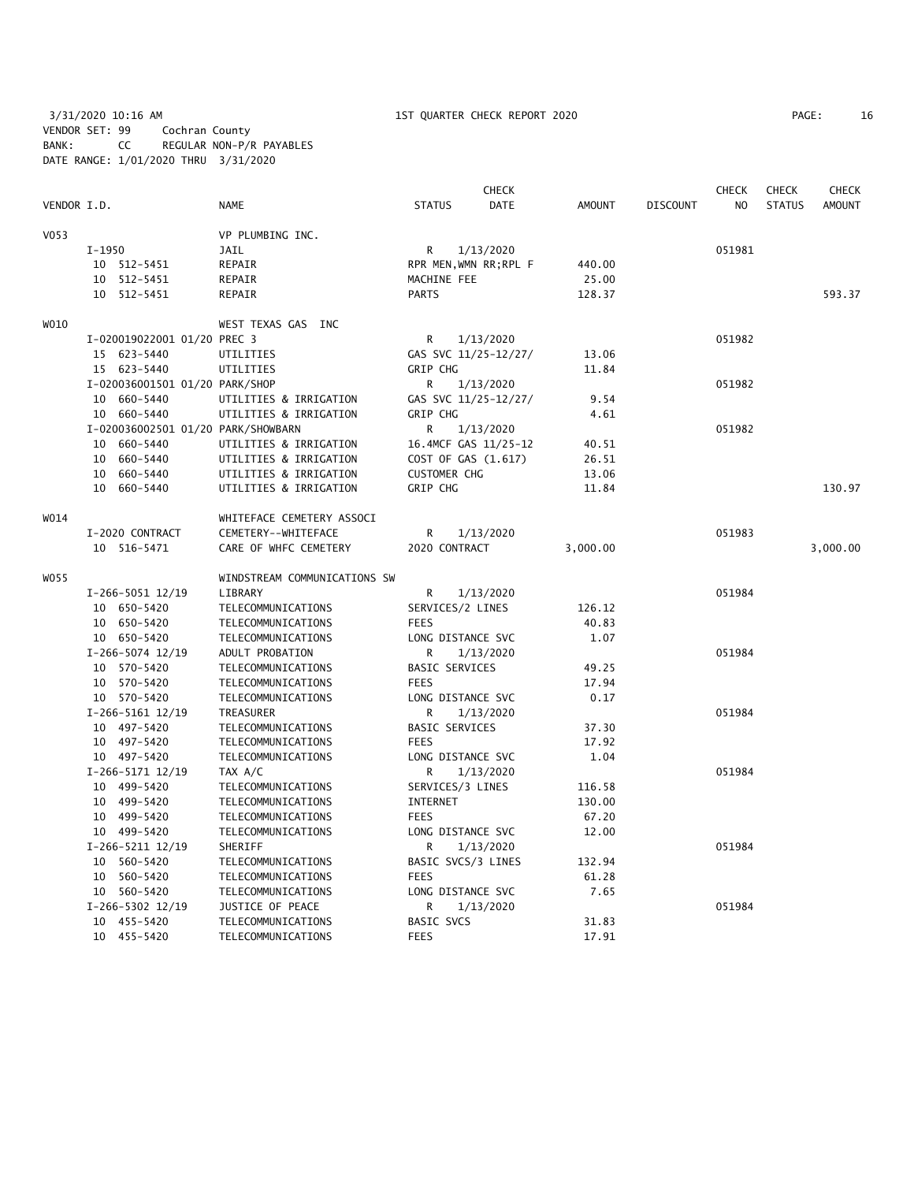3/31/2020 10:16 AM 1ST QUARTER CHECK REPORT 2020 PAGE: 16 VENDOR SET: 99 Cochran County BANK: CC REGULAR NON-P/R PAYABLES DATE RANGE: 1/01/2020 THRU 3/31/2020

|             |                                    |                                        | <b>CHECK</b>                 |               |                 | <b>CHECK</b>   | <b>CHECK</b>  | <b>CHECK</b>  |
|-------------|------------------------------------|----------------------------------------|------------------------------|---------------|-----------------|----------------|---------------|---------------|
| VENDOR I.D. |                                    | <b>NAME</b>                            | <b>STATUS</b><br><b>DATE</b> | <b>AMOUNT</b> | <b>DISCOUNT</b> | N <sub>O</sub> | <b>STATUS</b> | <b>AMOUNT</b> |
| V053        |                                    | VP PLUMBING INC.                       |                              |               |                 |                |               |               |
|             | I-1950                             | JAIL                                   | R<br>1/13/2020               |               |                 | 051981         |               |               |
|             | 10 512-5451                        | REPAIR                                 | RPR MEN, WMN RR; RPL F       | 440.00        |                 |                |               |               |
|             | 10 512-5451                        | REPAIR                                 | MACHINE FEE                  | 25.00         |                 |                |               |               |
|             | 10 512-5451                        | REPAIR                                 | <b>PARTS</b>                 | 128.37        |                 |                |               | 593.37        |
| WO10        |                                    | WEST TEXAS GAS INC                     |                              |               |                 |                |               |               |
|             | I-020019022001 01/20 PREC 3        |                                        | R<br>1/13/2020               |               |                 | 051982         |               |               |
|             | 15 623-5440                        | UTILITIES                              | GAS SVC 11/25-12/27/         | 13.06         |                 |                |               |               |
|             | 15 623-5440                        | UTILITIES                              | <b>GRIP CHG</b>              | 11.84         |                 |                |               |               |
|             | I-020036001501 01/20 PARK/SHOP     |                                        | 1/13/2020<br>R               |               |                 | 051982         |               |               |
|             | 10 660-5440                        | UTILITIES & IRRIGATION                 | GAS SVC 11/25-12/27/         | 9.54          |                 |                |               |               |
|             | 10 660-5440                        | UTILITIES & IRRIGATION                 | GRIP CHG                     | 4.61          |                 |                |               |               |
|             | I-020036002501 01/20 PARK/SHOWBARN |                                        | R<br>1/13/2020               |               |                 | 051982         |               |               |
|             | 10 660-5440                        | UTILITIES & IRRIGATION                 | 16.4MCF GAS 11/25-12         | 40.51         |                 |                |               |               |
|             |                                    |                                        |                              |               |                 |                |               |               |
|             | 10 660-5440                        | UTILITIES & IRRIGATION                 | COST OF GAS (1.617)          | 26.51         |                 |                |               |               |
|             | 10 660-5440                        | UTILITIES & IRRIGATION                 | <b>CUSTOMER CHG</b>          | 13.06         |                 |                |               |               |
|             | 10 660-5440                        | UTILITIES & IRRIGATION                 | GRIP CHG                     | 11.84         |                 |                |               | 130.97        |
| W014        |                                    | WHITEFACE CEMETERY ASSOCI              |                              |               |                 |                |               |               |
|             | I-2020 CONTRACT                    | CEMETERY--WHITEFACE                    | R<br>1/13/2020               |               |                 | 051983         |               |               |
|             | 10 516-5471                        | CARE OF WHFC CEMETERY                  | 2020 CONTRACT                | 3,000.00      |                 |                |               | 3,000.00      |
| W055        |                                    | WINDSTREAM COMMUNICATIONS SW           |                              |               |                 |                |               |               |
|             | $I-266-5051$ 12/19                 | LIBRARY                                | R<br>1/13/2020               |               |                 | 051984         |               |               |
|             | 10 650-5420                        | TELECOMMUNICATIONS                     | SERVICES/2 LINES             | 126.12        |                 |                |               |               |
|             | 10 650-5420                        | TELECOMMUNICATIONS                     | <b>FEES</b>                  | 40.83         |                 |                |               |               |
|             | 10 650-5420                        | TELECOMMUNICATIONS                     | LONG DISTANCE SVC            | 1.07          |                 |                |               |               |
|             | I-266-5074 12/19                   | ADULT PROBATION                        | R<br>1/13/2020               |               |                 | 051984         |               |               |
|             | 10 570-5420                        | TELECOMMUNICATIONS                     | <b>BASIC SERVICES</b>        | 49.25         |                 |                |               |               |
|             | 10 570-5420                        | TELECOMMUNICATIONS                     | <b>FEES</b>                  | 17.94         |                 |                |               |               |
|             | 10 570-5420                        | TELECOMMUNICATIONS                     | LONG DISTANCE SVC            | 0.17          |                 |                |               |               |
|             | $I-266-5161$ $12/19$               | TREASURER                              | R<br>1/13/2020               |               |                 | 051984         |               |               |
|             | 10 497-5420                        | TELECOMMUNICATIONS                     | <b>BASIC SERVICES</b>        | 37.30         |                 |                |               |               |
|             | 10 497-5420                        | TELECOMMUNICATIONS                     | <b>FEES</b>                  | 17.92         |                 |                |               |               |
|             | 10 497-5420                        | TELECOMMUNICATIONS                     | LONG DISTANCE SVC            | 1.04          |                 |                |               |               |
|             | $I-266-5171$ $12/19$               | TAX A/C                                | 1/13/2020<br>R               |               |                 | 051984         |               |               |
|             | 10 499-5420                        | TELECOMMUNICATIONS                     | SERVICES/3 LINES             | 116.58        |                 |                |               |               |
|             | 10 499-5420                        | TELECOMMUNICATIONS                     | INTERNET                     | 130.00        |                 |                |               |               |
|             | 10 499-5420                        | TELECOMMUNICATIONS                     | <b>FEES</b>                  | 67.20         |                 |                |               |               |
|             | 10 499-5420                        | TELECOMMUNICATIONS                     | LONG DISTANCE SVC            | 12.00         |                 |                |               |               |
|             | I-266-5211 12/19                   | SHERIFF                                | R<br>1/13/2020               |               |                 | 051984         |               |               |
|             | 10 560-5420                        | TELECOMMUNICATIONS                     | BASIC SVCS/3 LINES           | 132.94        |                 |                |               |               |
|             | 10 560-5420                        | TELECOMMUNICATIONS                     | <b>FEES</b>                  | 61.28         |                 |                |               |               |
|             | 10 560-5420                        | TELECOMMUNICATIONS                     | LONG DISTANCE SVC            | 7.65          |                 |                |               |               |
|             |                                    |                                        |                              |               |                 |                |               |               |
|             | $I-266-5302$ 12/19<br>10 455-5420  | JUSTICE OF PEACE<br>TELECOMMUNICATIONS | 1/13/2020<br>R<br>BASIC SVCS | 31.83         |                 | 051984         |               |               |
|             |                                    |                                        | <b>FEES</b>                  |               |                 |                |               |               |
|             | 10 455-5420                        | TELECOMMUNICATIONS                     |                              | 17.91         |                 |                |               |               |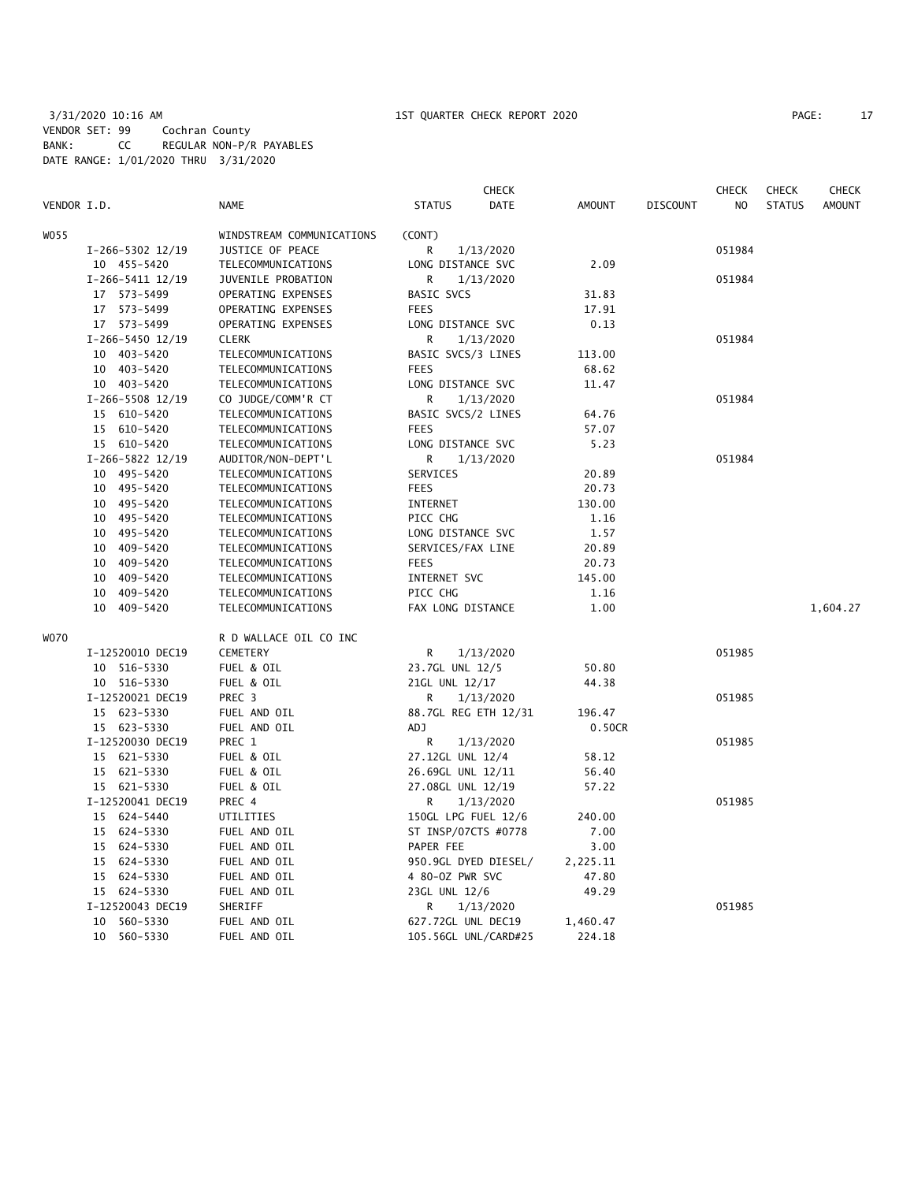## 3/31/2020 10:16 AM 1ST QUARTER CHECK REPORT 2020 PAGE: 17 VENDOR SET: 99 Cochran County BANK: CC REGULAR NON-P/R PAYABLES DATE RANGE: 1/01/2020 THRU 3/31/2020

| VENDOR I.D. |                      | <b>NAME</b>               | <b>STATUS</b>        | <b>CHECK</b><br>DATE | <b>AMOUNT</b> | <b>DISCOUNT</b> | <b>CHECK</b><br>N <sub>O</sub> | <b>CHECK</b><br><b>STATUS</b> | <b>CHECK</b><br><b>AMOUNT</b> |
|-------------|----------------------|---------------------------|----------------------|----------------------|---------------|-----------------|--------------------------------|-------------------------------|-------------------------------|
| WO55        |                      | WINDSTREAM COMMUNICATIONS | (CONT)               |                      |               |                 |                                |                               |                               |
|             | I-266-5302 12/19     | JUSTICE OF PEACE          | R                    | 1/13/2020            |               |                 | 051984                         |                               |                               |
|             | 10 455-5420          | TELECOMMUNICATIONS        | LONG DISTANCE SVC    |                      | 2.09          |                 |                                |                               |                               |
|             | $I-266-5411$ $12/19$ | JUVENILE PROBATION        | R                    | 1/13/2020            |               |                 | 051984                         |                               |                               |
|             | 17 573-5499          | OPERATING EXPENSES        | <b>BASIC SVCS</b>    |                      | 31.83         |                 |                                |                               |                               |
|             | 17 573-5499          | OPERATING EXPENSES        | <b>FEES</b>          |                      | 17.91         |                 |                                |                               |                               |
|             | 17 573-5499          | OPERATING EXPENSES        | LONG DISTANCE SVC    |                      | 0.13          |                 |                                |                               |                               |
|             | $I-266-5450$ 12/19   | <b>CLERK</b>              | R                    | 1/13/2020            |               |                 | 051984                         |                               |                               |
|             | 10 403-5420          | TELECOMMUNICATIONS        | BASIC SVCS/3 LINES   |                      | 113.00        |                 |                                |                               |                               |
|             | 10 403-5420          | TELECOMMUNICATIONS        | <b>FEES</b>          |                      | 68.62         |                 |                                |                               |                               |
|             | 10 403-5420          | TELECOMMUNICATIONS        | LONG DISTANCE SVC    |                      | 11.47         |                 |                                |                               |                               |
|             | I-266-5508 12/19     | CO JUDGE/COMM'R CT        | R                    | 1/13/2020            |               |                 | 051984                         |                               |                               |
|             | 15 610-5420          | TELECOMMUNICATIONS        | BASIC SVCS/2 LINES   |                      | 64.76         |                 |                                |                               |                               |
|             | 15 610-5420          | TELECOMMUNICATIONS        | <b>FEES</b>          |                      | 57.07         |                 |                                |                               |                               |
|             | 15 610-5420          | TELECOMMUNICATIONS        | LONG DISTANCE SVC    |                      | 5.23          |                 |                                |                               |                               |
|             | I-266-5822 12/19     | AUDITOR/NON-DEPT'L        | R                    | 1/13/2020            |               |                 | 051984                         |                               |                               |
|             | 10 495-5420          | TELECOMMUNICATIONS        | SERVICES             |                      | 20.89         |                 |                                |                               |                               |
|             | 10 495-5420          | TELECOMMUNICATIONS        | <b>FEES</b>          |                      | 20.73         |                 |                                |                               |                               |
|             | 10 495-5420          | TELECOMMUNICATIONS        | <b>INTERNET</b>      |                      | 130.00        |                 |                                |                               |                               |
|             | 10 495-5420          | TELECOMMUNICATIONS        | PICC CHG             |                      | 1.16          |                 |                                |                               |                               |
|             | 10 495-5420          | TELECOMMUNICATIONS        | LONG DISTANCE SVC    |                      | 1.57          |                 |                                |                               |                               |
|             | 10 409-5420          | TELECOMMUNICATIONS        | SERVICES/FAX LINE    |                      | 20.89         |                 |                                |                               |                               |
|             | 10<br>409-5420       | TELECOMMUNICATIONS        | <b>FEES</b>          |                      | 20.73         |                 |                                |                               |                               |
|             | 409-5420<br>10       | TELECOMMUNICATIONS        | INTERNET SVC         |                      | 145.00        |                 |                                |                               |                               |
|             | 409-5420<br>10       | TELECOMMUNICATIONS        | PICC CHG             |                      | 1.16          |                 |                                |                               |                               |
|             | 409-5420<br>10       | TELECOMMUNICATIONS        | FAX LONG DISTANCE    |                      | 1.00          |                 |                                |                               | 1,604.27                      |
|             |                      |                           |                      |                      |               |                 |                                |                               |                               |
| W070        |                      | R D WALLACE OIL CO INC    |                      |                      |               |                 |                                |                               |                               |
|             | I-12520010 DEC19     | CEMETERY                  | R                    | 1/13/2020            |               |                 | 051985                         |                               |                               |
|             | 10 516-5330          | FUEL & OIL                | 23.7GL UNL 12/5      |                      | 50.80         |                 |                                |                               |                               |
|             | 10 516-5330          | FUEL & OIL                | 21GL UNL 12/17       |                      | 44.38         |                 |                                |                               |                               |
|             | I-12520021 DEC19     | PREC 3                    | R                    | 1/13/2020            |               |                 | 051985                         |                               |                               |
|             | 15 623-5330          | FUEL AND OIL              | 88.7GL REG ETH 12/31 |                      | 196.47        |                 |                                |                               |                               |
|             | 15 623-5330          | FUEL AND OIL              | <b>ADJ</b>           |                      | 0.50CR        |                 |                                |                               |                               |
|             | I-12520030 DEC19     | PREC 1                    | R                    | 1/13/2020            |               |                 | 051985                         |                               |                               |
|             | 15 621-5330          | FUEL & OIL                | 27.12GL UNL 12/4     |                      | 58.12         |                 |                                |                               |                               |
|             | 15 621-5330          | FUEL & OIL                | 26.69GL UNL 12/11    |                      | 56.40         |                 |                                |                               |                               |
|             | 15 621-5330          | FUEL & OIL                | 27.08GL UNL 12/19    |                      | 57.22         |                 |                                |                               |                               |
|             | I-12520041 DEC19     | PREC 4                    | R                    | 1/13/2020            |               |                 | 051985                         |                               |                               |
|             | 15 624-5440          | UTILITIES                 | 150GL LPG FUEL 12/6  |                      | 240.00        |                 |                                |                               |                               |
|             | 15 624-5330          | FUEL AND OIL              | ST INSP/07CTS #0778  |                      | 7.00          |                 |                                |                               |                               |
|             | 15 624-5330          | FUEL AND OIL              | PAPER FEE            |                      | 3.00          |                 |                                |                               |                               |
|             | 15 624-5330          | FUEL AND OIL              | 950.9GL DYED DIESEL/ |                      | 2,225.11      |                 |                                |                               |                               |
|             | 15 624-5330          | FUEL AND OIL              | 4 80-0Z PWR SVC      |                      | 47.80         |                 |                                |                               |                               |
|             | 15 624-5330          | FUEL AND OIL              | 23GL UNL 12/6        |                      | 49.29         |                 |                                |                               |                               |
|             | I-12520043 DEC19     | SHERIFF                   | R                    | 1/13/2020            |               |                 | 051985                         |                               |                               |
|             | 10 560-5330          | FUEL AND OIL              | 627.72GL UNL DEC19   |                      | 1,460.47      |                 |                                |                               |                               |
|             | 10 560-5330          | FUEL AND OIL              | 105.56GL UNL/CARD#25 |                      | 224.18        |                 |                                |                               |                               |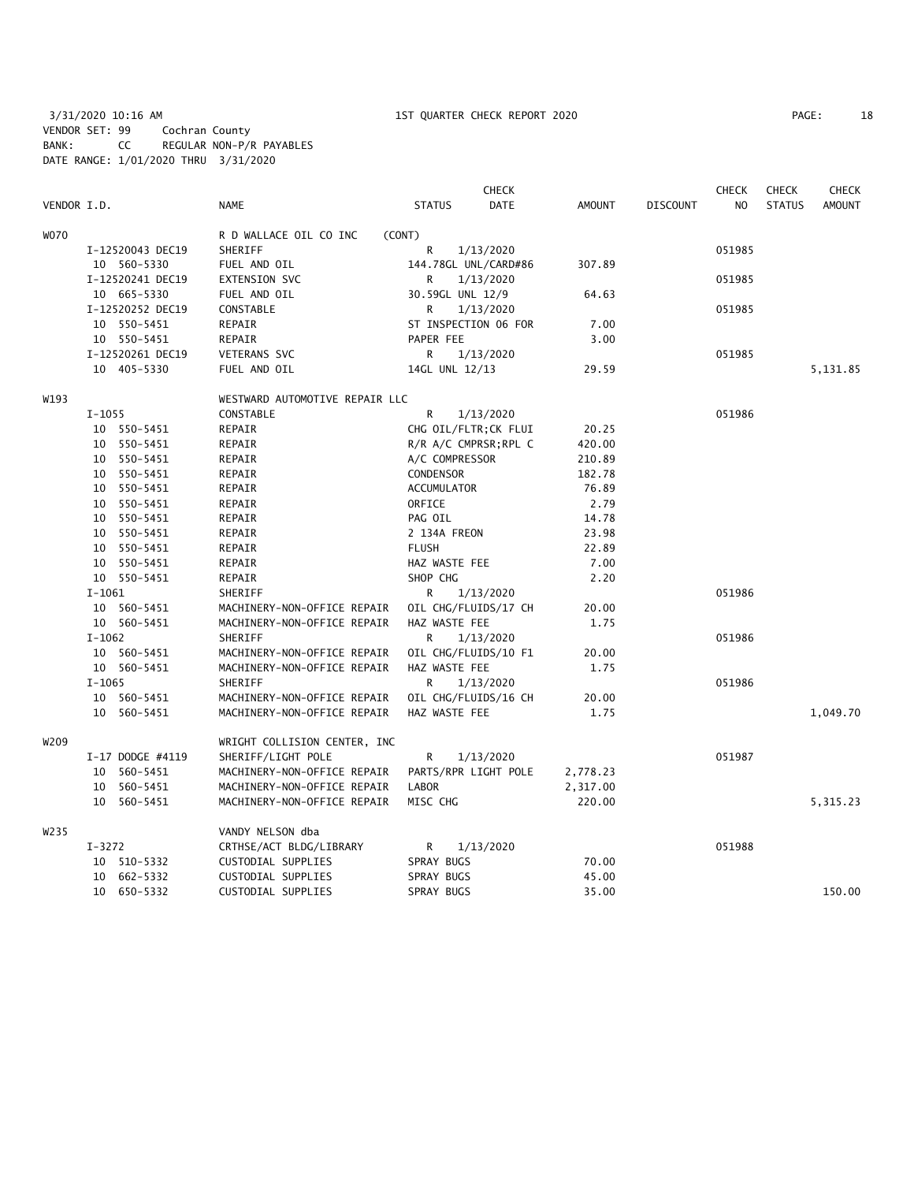3/31/2020 10:16 AM 1ST QUARTER CHECK REPORT 2020 PAGE: 18 VENDOR SET: 99 Cochran County BANK: CC REGULAR NON-P/R PAYABLES DATE RANGE: 1/01/2020 THRU 3/31/2020

| PAGE: | 18 |
|-------|----|
|-------|----|

|                  |                  |                                | <b>CHECK</b>                 |               |                 | <b>CHECK</b>   | <b>CHECK</b>  | <b>CHECK</b>  |
|------------------|------------------|--------------------------------|------------------------------|---------------|-----------------|----------------|---------------|---------------|
| VENDOR I.D.      |                  | <b>NAME</b>                    | <b>DATE</b><br><b>STATUS</b> | <b>AMOUNT</b> | <b>DISCOUNT</b> | N <sub>O</sub> | <b>STATUS</b> | <b>AMOUNT</b> |
| <b>WO70</b>      |                  | R D WALLACE OIL CO INC         | (CONT)                       |               |                 |                |               |               |
|                  | I-12520043 DEC19 | SHERIFF                        | R<br>1/13/2020               |               |                 | 051985         |               |               |
|                  | 10 560-5330      | FUEL AND OIL                   | 144.78GL UNL/CARD#86         | 307.89        |                 |                |               |               |
|                  | I-12520241 DEC19 | EXTENSION SVC                  | R<br>1/13/2020               |               |                 | 051985         |               |               |
|                  | 10 665-5330      | FUEL AND OIL                   | 30.59GL UNL 12/9             | 64.63         |                 |                |               |               |
|                  | I-12520252 DEC19 | CONSTABLE                      | 1/13/2020<br>R               |               |                 | 051985         |               |               |
|                  | 10 550-5451      | REPAIR                         | ST INSPECTION 06 FOR         | 7.00          |                 |                |               |               |
|                  | 10 550-5451      | REPAIR                         | PAPER FEE                    | 3.00          |                 |                |               |               |
|                  | I-12520261 DEC19 | VETERANS SVC                   | 1/13/2020<br>R               |               |                 | 051985         |               |               |
|                  | 10 405-5330      | FUEL AND OIL                   | 14GL UNL 12/13               | 29.59         |                 |                |               | 5,131.85      |
| W193             |                  | WESTWARD AUTOMOTIVE REPAIR LLC |                              |               |                 |                |               |               |
|                  | $I-1055$         | CONSTABLE                      | R<br>1/13/2020               |               |                 | 051986         |               |               |
|                  | 10 550-5451      | REPAIR                         | CHG OIL/FLTR; CK FLUI        | 20.25         |                 |                |               |               |
|                  | 10 550-5451      | REPAIR                         | R/R A/C CMPRSR; RPL C        | 420.00        |                 |                |               |               |
|                  | 10 550-5451      | REPAIR                         | A/C COMPRESSOR               | 210.89        |                 |                |               |               |
|                  | 10 550-5451      | REPAIR                         | CONDENSOR                    | 182.78        |                 |                |               |               |
|                  | 10 550-5451      | REPAIR                         | <b>ACCUMULATOR</b>           | 76.89         |                 |                |               |               |
|                  | 10 550-5451      | REPAIR                         | ORFICE                       | 2.79          |                 |                |               |               |
|                  | 10 550-5451      | REPAIR                         | PAG OIL                      | 14.78         |                 |                |               |               |
|                  | 10 550-5451      | REPAIR                         | 2 134A FREON                 | 23.98         |                 |                |               |               |
|                  | 10 550-5451      | REPAIR                         | <b>FLUSH</b>                 | 22.89         |                 |                |               |               |
|                  | 10 550-5451      | REPAIR                         | HAZ WASTE FEE                | 7.00          |                 |                |               |               |
|                  | 10 550-5451      | REPAIR                         | SHOP CHG                     | 2.20          |                 |                |               |               |
|                  | $I-1061$         | SHERIFF                        | R<br>1/13/2020               |               |                 | 051986         |               |               |
|                  | 10 560-5451      | MACHINERY-NON-OFFICE REPAIR    | OIL CHG/FLUIDS/17 CH         | 20.00         |                 |                |               |               |
|                  | 10 560-5451      | MACHINERY-NON-OFFICE REPAIR    | HAZ WASTE FEE                | 1.75          |                 |                |               |               |
|                  | $I-1062$         | SHERIFF                        | R<br>1/13/2020               |               |                 | 051986         |               |               |
|                  | 10 560-5451      | MACHINERY-NON-OFFICE REPAIR    | OIL CHG/FLUIDS/10 F1         | 20.00         |                 |                |               |               |
|                  | 10 560-5451      | MACHINERY-NON-OFFICE REPAIR    | HAZ WASTE FEE                | 1.75          |                 |                |               |               |
|                  | $I-1065$         | SHERIFF                        | R<br>1/13/2020               |               |                 | 051986         |               |               |
|                  | 10 560-5451      | MACHINERY-NON-OFFICE REPAIR    | OIL CHG/FLUIDS/16 CH         | 20.00         |                 |                |               |               |
|                  | 10 560-5451      | MACHINERY-NON-OFFICE REPAIR    | HAZ WASTE FEE                | 1.75          |                 |                |               | 1,049.70      |
| W <sub>209</sub> |                  | WRIGHT COLLISION CENTER, INC   |                              |               |                 |                |               |               |
|                  | I-17 DODGE #4119 | SHERIFF/LIGHT POLE             | R<br>1/13/2020               |               |                 | 051987         |               |               |
|                  | 10 560-5451      | MACHINERY-NON-OFFICE REPAIR    | PARTS/RPR LIGHT POLE         | 2,778.23      |                 |                |               |               |
|                  | 10 560-5451      | MACHINERY-NON-OFFICE REPAIR    | <b>LABOR</b>                 | 2,317.00      |                 |                |               |               |
|                  | 10 560-5451      | MACHINERY-NON-OFFICE REPAIR    | MISC CHG                     | 220.00        |                 |                |               | 5, 315.23     |
| W <sub>235</sub> |                  | VANDY NELSON dba               |                              |               |                 |                |               |               |
|                  | $I - 3272$       | CRTHSE/ACT BLDG/LIBRARY        | R<br>1/13/2020               |               |                 | 051988         |               |               |
|                  | 10 510-5332      | CUSTODIAL SUPPLIES             | SPRAY BUGS                   | 70.00         |                 |                |               |               |
|                  | 10 662-5332      | CUSTODIAL SUPPLIES             | SPRAY BUGS                   | 45.00         |                 |                |               |               |
|                  | 10 650-5332      | CUSTODIAL SUPPLIES             | SPRAY BUGS                   | 35.00         |                 |                |               | 150.00        |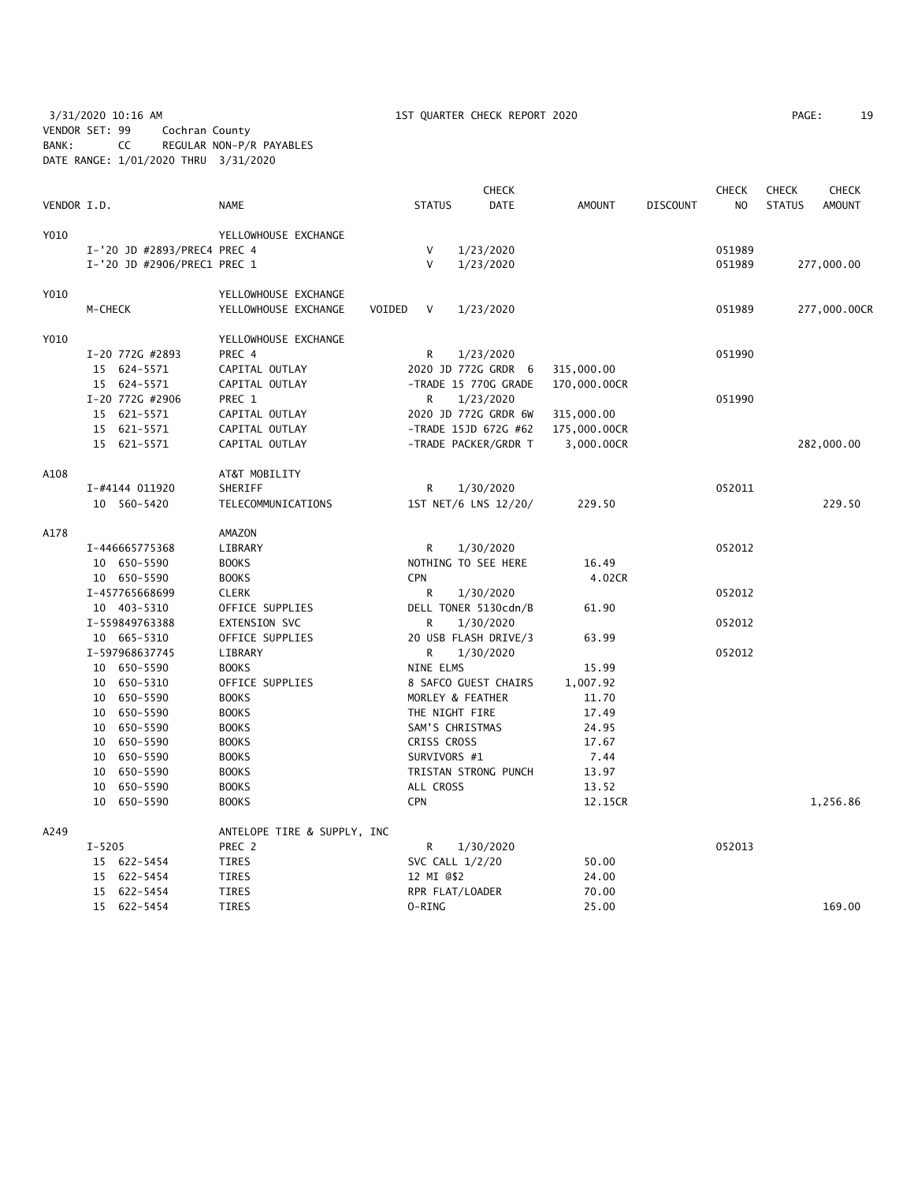3/31/2020 10:16 AM 1ST QUARTER CHECK REPORT 2020 PAGE: 19 VENDOR SET: 99 Cochran County BANK: CC REGULAR NON-P/R PAYABLES DATE RANGE: 1/01/2020 THRU 3/31/2020

| PAGE: | 19 |
|-------|----|
|-------|----|

|             |                             |                                |               | <b>CHECK</b>         |              |                 | <b>CHECK</b> | <b>CHECK</b>  | <b>CHECK</b>  |
|-------------|-----------------------------|--------------------------------|---------------|----------------------|--------------|-----------------|--------------|---------------|---------------|
| VENDOR I.D. |                             | NAME                           | <b>STATUS</b> | DATE                 | AMOUNT       | <b>DISCOUNT</b> | NO.          | <b>STATUS</b> | <b>AMOUNT</b> |
| Y010        |                             | YELLOWHOUSE EXCHANGE           |               |                      |              |                 |              |               |               |
|             | I-'20 JD #2893/PREC4 PREC 4 |                                | V             | 1/23/2020            |              |                 | 051989       |               |               |
|             | I-'20 JD #2906/PREC1 PREC 1 |                                | V             | 1/23/2020            |              |                 | 051989       |               | 277,000.00    |
| Y010        |                             | YELLOWHOUSE EXCHANGE           |               |                      |              |                 |              |               |               |
|             | M-CHECK                     | YELLOWHOUSE EXCHANGE<br>VOIDED | V             | 1/23/2020            |              |                 | 051989       |               | 277,000.00CR  |
| Y010        |                             | YELLOWHOUSE EXCHANGE           |               |                      |              |                 |              |               |               |
|             | I-20 772G #2893             | PREC 4                         | R.            | 1/23/2020            |              |                 | 051990       |               |               |
|             | 15 624-5571                 | CAPITAL OUTLAY                 |               | 2020 JD 772G GRDR 6  | 315,000.00   |                 |              |               |               |
|             | 15 624-5571                 | CAPITAL OUTLAY                 |               | -TRADE 15 770G GRADE | 170,000.00CR |                 |              |               |               |
|             | I-20 772G #2906             | PREC 1                         | R             | 1/23/2020            |              |                 | 051990       |               |               |
|             | 15 621-5571                 | CAPITAL OUTLAY                 |               | 2020 JD 772G GRDR 6W | 315,000.00   |                 |              |               |               |
|             | 15 621-5571                 | CAPITAL OUTLAY                 |               | -TRADE 15JD 672G #62 | 175,000.00CR |                 |              |               |               |
|             | 15 621-5571                 | CAPITAL OUTLAY                 |               | -TRADE PACKER/GRDR T | 3,000.00CR   |                 |              |               | 282,000.00    |
| A108        |                             | AT&T MOBILITY                  |               |                      |              |                 |              |               |               |
|             | I-#4144 011920              | SHERIFF                        | R             | 1/30/2020            |              |                 | 052011       |               |               |
|             | 10 560-5420                 | TELECOMMUNICATIONS             |               | 1ST NET/6 LNS 12/20/ | 229.50       |                 |              |               | 229.50        |
|             |                             |                                |               |                      |              |                 |              |               |               |
| A178        |                             | AMAZON                         |               |                      |              |                 |              |               |               |
|             | I-446665775368              | LIBRARY                        | R.            | 1/30/2020            |              |                 | 052012       |               |               |
|             | 10 650-5590                 | <b>BOOKS</b>                   |               | NOTHING TO SEE HERE  | 16.49        |                 |              |               |               |
|             | 10 650-5590                 | <b>BOOKS</b>                   | <b>CPN</b>    |                      | 4.02CR       |                 |              |               |               |
|             | I-457765668699              | <b>CLERK</b>                   | R             | 1/30/2020            |              |                 | 052012       |               |               |
|             | 10 403-5310                 | OFFICE SUPPLIES                |               | DELL TONER 5130cdn/B | 61.90        |                 |              |               |               |
|             | I-559849763388              | EXTENSION SVC                  | R             | 1/30/2020            |              |                 | 052012       |               |               |
|             | 10 665-5310                 | OFFICE SUPPLIES                |               | 20 USB FLASH DRIVE/3 | 63.99        |                 |              |               |               |
|             | I-597968637745              | LIBRARY                        | R.            | 1/30/2020            |              |                 | 052012       |               |               |
|             | 10 650-5590                 | <b>BOOKS</b>                   | NINE ELMS     |                      | 15.99        |                 |              |               |               |
|             | 10 650-5310                 | OFFICE SUPPLIES                |               | 8 SAFCO GUEST CHAIRS | 1,007.92     |                 |              |               |               |
|             | 10 650-5590                 | <b>BOOKS</b>                   |               | MORLEY & FEATHER     | 11.70        |                 |              |               |               |
|             | 10 650-5590                 | <b>BOOKS</b>                   |               | THE NIGHT FIRE       | 17.49        |                 |              |               |               |
|             | 650–5590<br>10              | <b>BOOKS</b>                   |               | SAM'S CHRISTMAS      | 24.95        |                 |              |               |               |
|             | 10 650-5590                 | <b>BOOKS</b>                   | CRISS CROSS   |                      | 17.67        |                 |              |               |               |
|             | 10<br>650-5590              | <b>BOOKS</b>                   | SURVIVORS #1  |                      | 7.44         |                 |              |               |               |
|             | 650-5590<br>10              | <b>BOOKS</b>                   |               | TRISTAN STRONG PUNCH | 13.97        |                 |              |               |               |
|             | 10<br>650–5590              | <b>BOOKS</b>                   | ALL CROSS     |                      | 13.52        |                 |              |               |               |
|             | 10 650-5590                 | <b>BOOKS</b>                   | <b>CPN</b>    |                      | 12.15CR      |                 |              |               | 1,256.86      |
| A249        |                             | ANTELOPE TIRE & SUPPLY, INC    |               |                      |              |                 |              |               |               |
|             | $I - 5205$                  | PREC 2                         | R             | 1/30/2020            |              |                 | 052013       |               |               |
|             | 15 622-5454                 | <b>TIRES</b>                   |               | SVC CALL 1/2/20      | 50.00        |                 |              |               |               |
|             | 15 622-5454                 | TIRES                          | 12 MI 0\$2    |                      | 24.00        |                 |              |               |               |
|             | 15 622-5454                 | <b>TIRES</b>                   |               | RPR FLAT/LOADER      | 70.00        |                 |              |               |               |
|             | 15 622-5454                 | <b>TIRES</b>                   | 0-RING        |                      | 25.00        |                 |              |               | 169.00        |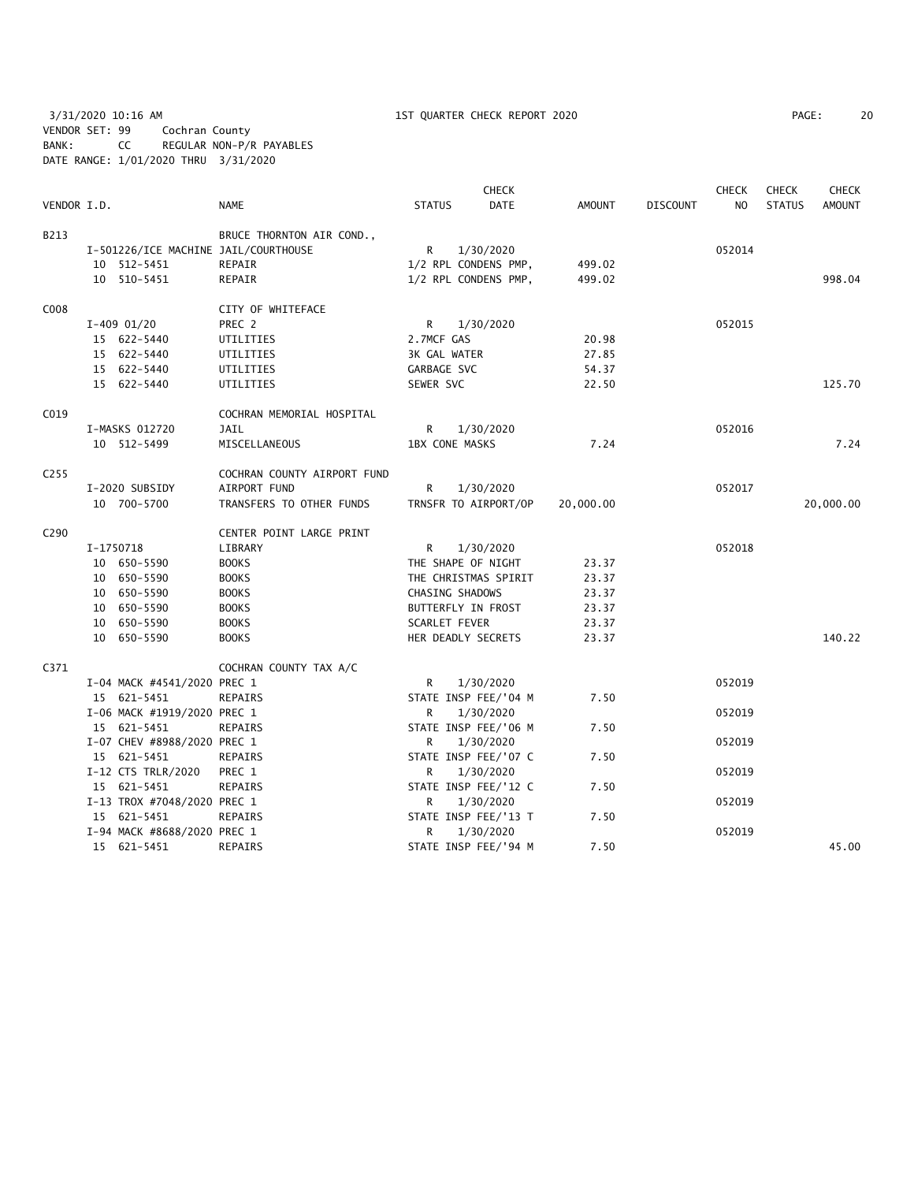3/31/2020 10:16 AM 1ST QUARTER CHECK REPORT 2020 PAGE: 20 VENDOR SET: 99 Cochran County BANK: CC REGULAR NON-P/R PAYABLES DATE RANGE: 1/01/2020 THRU 3/31/2020

| PAGE: | 20 |  |
|-------|----|--|
|-------|----|--|

|                  |                                      |                             |               | <b>CHECK</b>          |               |                 | <b>CHECK</b>   | <b>CHECK</b>  | <b>CHECK</b>  |
|------------------|--------------------------------------|-----------------------------|---------------|-----------------------|---------------|-----------------|----------------|---------------|---------------|
| VENDOR I.D.      |                                      | <b>NAME</b>                 | <b>STATUS</b> | <b>DATE</b>           | <b>AMOUNT</b> | <b>DISCOUNT</b> | N <sub>O</sub> | <b>STATUS</b> | <b>AMOUNT</b> |
| B213             |                                      | BRUCE THORNTON AIR COND.,   |               |                       |               |                 |                |               |               |
|                  | I-501226/ICE MACHINE JAIL/COURTHOUSE |                             | R.            | 1/30/2020             |               |                 | 052014         |               |               |
|                  | 10 512-5451                          | REPAIR                      |               | 1/2 RPL CONDENS PMP,  | 499.02        |                 |                |               |               |
|                  | 10 510-5451                          | REPAIR                      |               | 1/2 RPL CONDENS PMP,  | 499.02        |                 |                |               | 998.04        |
| C008             |                                      | CITY OF WHITEFACE           |               |                       |               |                 |                |               |               |
|                  | $I-409$ 01/20                        | PREC 2                      | R             | 1/30/2020             |               |                 | 052015         |               |               |
|                  | 15 622-5440                          | UTILITIES                   | 2.7MCF GAS    |                       | 20.98         |                 |                |               |               |
|                  | 15 622-5440                          | UTILITIES                   | 3K GAL WATER  |                       | 27.85         |                 |                |               |               |
|                  | 15 622-5440                          | UTILITIES                   | GARBAGE SVC   |                       | 54.37         |                 |                |               |               |
|                  | 15 622-5440                          | UTILITIES                   | SEWER SVC     |                       | 22.50         |                 |                |               | 125.70        |
| CO <sub>19</sub> |                                      | COCHRAN MEMORIAL HOSPITAL   |               |                       |               |                 |                |               |               |
|                  | I-MASKS 012720                       | JAIL                        | R             | 1/30/2020             |               |                 | 052016         |               |               |
|                  | 10 512-5499                          | MISCELLANEOUS               |               | <b>1BX CONE MASKS</b> | 7.24          |                 |                |               | 7.24          |
| C <sub>255</sub> |                                      | COCHRAN COUNTY AIRPORT FUND |               |                       |               |                 |                |               |               |
|                  | I-2020 SUBSIDY                       | AIRPORT FUND                | R             | 1/30/2020             |               |                 | 052017         |               |               |
|                  | 10 700-5700                          | TRANSFERS TO OTHER FUNDS    |               | TRNSFR TO AIRPORT/OP  | 20,000.00     |                 |                |               | 20,000.00     |
| C <sub>290</sub> |                                      | CENTER POINT LARGE PRINT    |               |                       |               |                 |                |               |               |
|                  | I-1750718                            | LIBRARY                     | R             | 1/30/2020             |               |                 | 052018         |               |               |
|                  | 10 650-5590                          | <b>BOOKS</b>                |               | THE SHAPE OF NIGHT    | 23.37         |                 |                |               |               |
|                  | 10 650-5590                          | <b>BOOKS</b>                |               | THE CHRISTMAS SPIRIT  | 23.37         |                 |                |               |               |
|                  | 10 650-5590                          | <b>BOOKS</b>                |               | CHASING SHADOWS       | 23.37         |                 |                |               |               |
|                  | 10 650-5590                          | <b>BOOKS</b>                |               | BUTTERFLY IN FROST    | 23.37         |                 |                |               |               |
|                  | 10 650-5590                          | <b>BOOKS</b>                | SCARLET FEVER |                       | 23.37         |                 |                |               |               |
|                  | 10 650-5590                          | <b>BOOKS</b>                |               | HER DEADLY SECRETS    | 23.37         |                 |                |               | 140.22        |
| C371             |                                      | COCHRAN COUNTY TAX A/C      |               |                       |               |                 |                |               |               |
|                  | I-04 MACK #4541/2020 PREC 1          |                             | R             | 1/30/2020             |               |                 | 052019         |               |               |
|                  | 15 621-5451                          | REPAIRS                     |               | STATE INSP FEE/'04 M  | 7.50          |                 |                |               |               |
|                  | I-06 MACK #1919/2020 PREC 1          |                             | R             | 1/30/2020             |               |                 | 052019         |               |               |
|                  | 15 621-5451                          | REPAIRS                     |               | STATE INSP FEE/'06 M  | 7.50          |                 |                |               |               |
|                  | I-07 CHEV #8988/2020 PREC 1          |                             | R             | 1/30/2020             |               |                 | 052019         |               |               |
|                  | 15 621-5451                          | REPAIRS                     |               | STATE INSP FEE/'07 C  | 7.50          |                 |                |               |               |
|                  | I-12 CTS TRLR/2020                   | PREC 1                      | R             | 1/30/2020             |               |                 | 052019         |               |               |
|                  | 15 621-5451                          | REPAIRS                     |               | STATE INSP FEE/'12 C  | 7.50          |                 |                |               |               |
|                  | I-13 TROX #7048/2020 PREC 1          |                             | R             | 1/30/2020             |               |                 | 052019         |               |               |
|                  | 15 621-5451                          | REPAIRS                     |               | STATE INSP FEE/'13 T  | 7.50          |                 |                |               |               |
|                  | I-94 MACK #8688/2020 PREC 1          |                             | R             | 1/30/2020             |               |                 | 052019         |               |               |
|                  | 15 621-5451                          | REPAIRS                     |               | STATE INSP FEE/'94 M  | 7.50          |                 |                |               | 45.00         |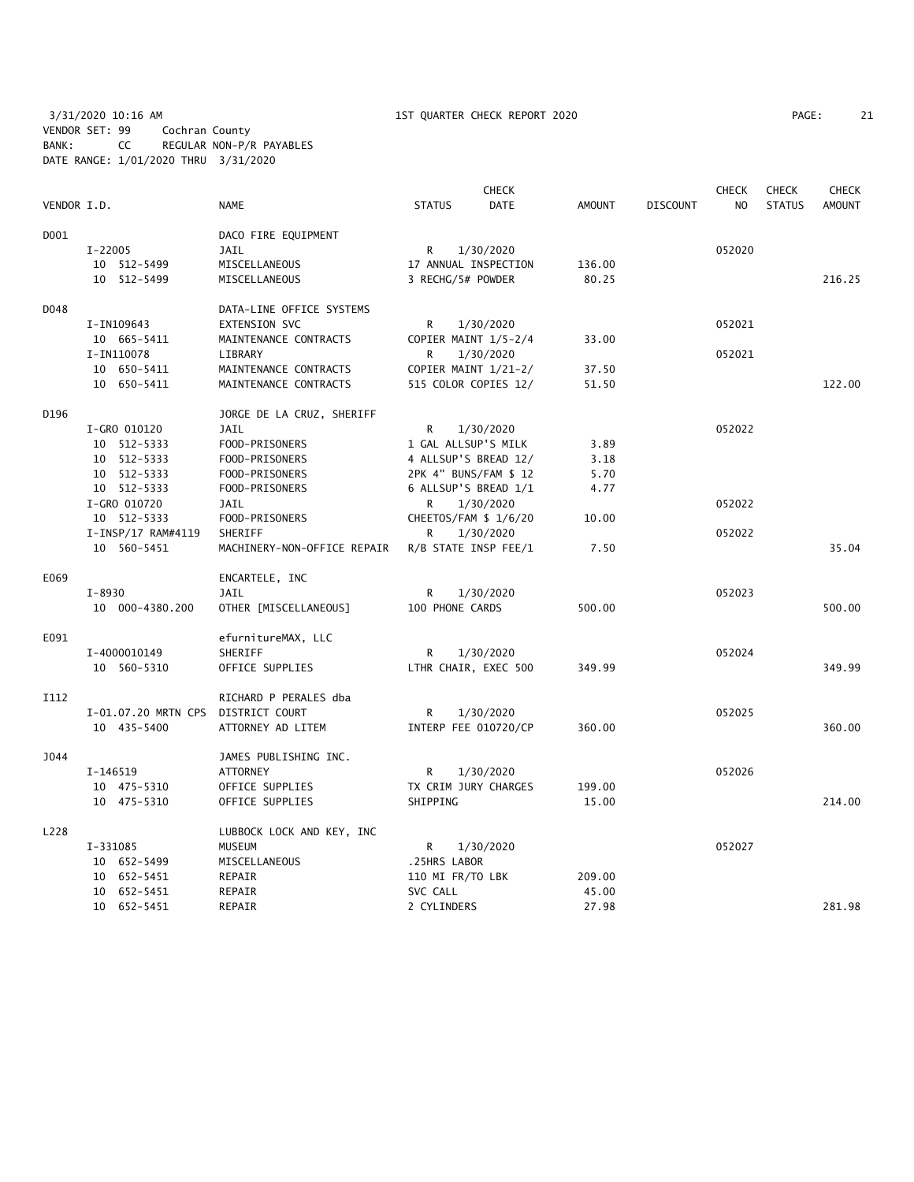3/31/2020 10:16 AM 1ST QUARTER CHECK REPORT 2020 PAGE: 21 VENDOR SET: 99 Cochran County BANK: CC REGULAR NON-P/R PAYABLES DATE RANGE: 1/01/2020 THRU 3/31/2020

| PAGE: | 21 |
|-------|----|
|-------|----|

|             |                     |                                                |                                              | <b>CHECK</b> |        |                 | <b>CHECK</b> | <b>CHECK</b>  | <b>CHECK</b>  |
|-------------|---------------------|------------------------------------------------|----------------------------------------------|--------------|--------|-----------------|--------------|---------------|---------------|
| VENDOR I.D. |                     | NAME                                           | <b>STATUS</b>                                | <b>DATE</b>  | AMOUNT | <b>DISCOUNT</b> | NO.          | <b>STATUS</b> | <b>AMOUNT</b> |
| D001        |                     | DACO FIRE EQUIPMENT                            |                                              |              |        |                 |              |               |               |
|             | I-22005             | JAIL                                           | R                                            | 1/30/2020    |        |                 | 052020       |               |               |
|             | 10 512-5499         | MISCELLANEOUS                                  | 17 ANNUAL INSPECTION                         |              | 136.00 |                 |              |               |               |
|             | 10 512-5499         | MISCELLANEOUS                                  | 3 RECHG/5# POWDER                            |              | 80.25  |                 |              |               | 216.25        |
| D048        |                     | DATA-LINE OFFICE SYSTEMS                       |                                              |              |        |                 |              |               |               |
|             | I-IN109643          | EXTENSION SVC                                  | R                                            | 1/30/2020    |        |                 | 052021       |               |               |
|             | 10 665-5411         | MAINTENANCE CONTRACTS                          | COPIER MAINT 1/5-2/4                         |              | 33.00  |                 |              |               |               |
|             | I-IN110078          | LIBRARY                                        | R                                            | 1/30/2020    |        |                 | 052021       |               |               |
|             | 10 650-5411         |                                                |                                              |              | 37.50  |                 |              |               |               |
|             | 10 650-5411         | MAINTENANCE CONTRACTS<br>MAINTENANCE CONTRACTS | COPIER MAINT 1/21-2/<br>515 COLOR COPIES 12/ |              | 51.50  |                 |              |               | 122.00        |
|             |                     |                                                |                                              |              |        |                 |              |               |               |
| D196        |                     | JORGE DE LA CRUZ, SHERIFF                      |                                              |              |        |                 |              |               |               |
|             | I-GRO 010120        | JAIL                                           | R                                            | 1/30/2020    |        |                 | 052022       |               |               |
|             | 10 512-5333         | FOOD-PRISONERS                                 | 1 GAL ALLSUP'S MILK                          |              | 3.89   |                 |              |               |               |
|             | 10 512-5333         | FOOD-PRISONERS                                 | 4 ALLSUP'S BREAD 12/                         |              | 3.18   |                 |              |               |               |
|             | 10 512-5333         | FOOD-PRISONERS                                 | 2PK 4" BUNS/FAM \$ 12                        |              | 5.70   |                 |              |               |               |
|             | 10 512-5333         | FOOD-PRISONERS                                 | 6 ALLSUP'S BREAD 1/1                         |              | 4.77   |                 |              |               |               |
|             | I-GRO 010720        | JAIL                                           | R.                                           | 1/30/2020    |        |                 | 052022       |               |               |
|             | 10 512-5333         | FOOD-PRISONERS                                 | CHEETOS/FAM \$ 1/6/20                        |              | 10.00  |                 |              |               |               |
|             | I-INSP/17 RAM#4119  | SHERIFF                                        | R                                            | 1/30/2020    |        |                 | 052022       |               |               |
|             | 10 560-5451         | MACHINERY-NON-OFFICE REPAIR                    | R/B STATE INSP FEE/1                         |              | 7.50   |                 |              |               | 35.04         |
| E069        |                     | ENCARTELE, INC                                 |                                              |              |        |                 |              |               |               |
|             | $I - 8930$          | JAIL                                           | R                                            | 1/30/2020    |        |                 | 052023       |               |               |
|             | 10 000-4380.200     | OTHER [MISCELLANEOUS]                          | 100 PHONE CARDS                              |              | 500.00 |                 |              |               | 500.00        |
|             |                     |                                                |                                              |              |        |                 |              |               |               |
| E091        |                     | efurnitureMAX, LLC                             |                                              |              |        |                 |              |               |               |
|             | I-4000010149        | SHERIFF                                        | R                                            | 1/30/2020    |        |                 | 052024       |               |               |
|             | 10 560-5310         | OFFICE SUPPLIES                                | LTHR CHAIR, EXEC 500                         |              | 349.99 |                 |              |               | 349.99        |
| I112        |                     | RICHARD P PERALES dba                          |                                              |              |        |                 |              |               |               |
|             | I-01.07.20 MRTN CPS | DISTRICT COURT                                 | R                                            | 1/30/2020    |        |                 | 052025       |               |               |
|             | 10 435-5400         | ATTORNEY AD LITEM                              | <b>INTERP FEE 010720/CP</b>                  |              | 360.00 |                 |              |               | 360.00        |
| J044        |                     | JAMES PUBLISHING INC.                          |                                              |              |        |                 |              |               |               |
|             | I-146519            | <b>ATTORNEY</b>                                | R                                            | 1/30/2020    |        |                 | 052026       |               |               |
|             | 10 475-5310         | OFFICE SUPPLIES                                | TX CRIM JURY CHARGES                         |              | 199.00 |                 |              |               |               |
|             | 10 475-5310         | OFFICE SUPPLIES                                | SHIPPING                                     |              | 15.00  |                 |              |               | 214.00        |
|             |                     |                                                |                                              |              |        |                 |              |               |               |
| L228        |                     | LUBBOCK LOCK AND KEY, INC                      |                                              |              |        |                 |              |               |               |
|             | I-331085            | <b>MUSEUM</b>                                  | R                                            | 1/30/2020    |        |                 | 052027       |               |               |
|             | 10 652-5499         | MISCELLANEOUS                                  | .25HRS LABOR                                 |              |        |                 |              |               |               |
|             | 10 652-5451         | REPAIR                                         | 110 MI FR/TO LBK                             |              | 209.00 |                 |              |               |               |
|             | 10 652-5451         | REPAIR                                         | SVC CALL                                     |              | 45.00  |                 |              |               |               |
|             | 10 652-5451         | REPAIR                                         | 2 CYLINDERS                                  |              | 27.98  |                 |              |               | 281.98        |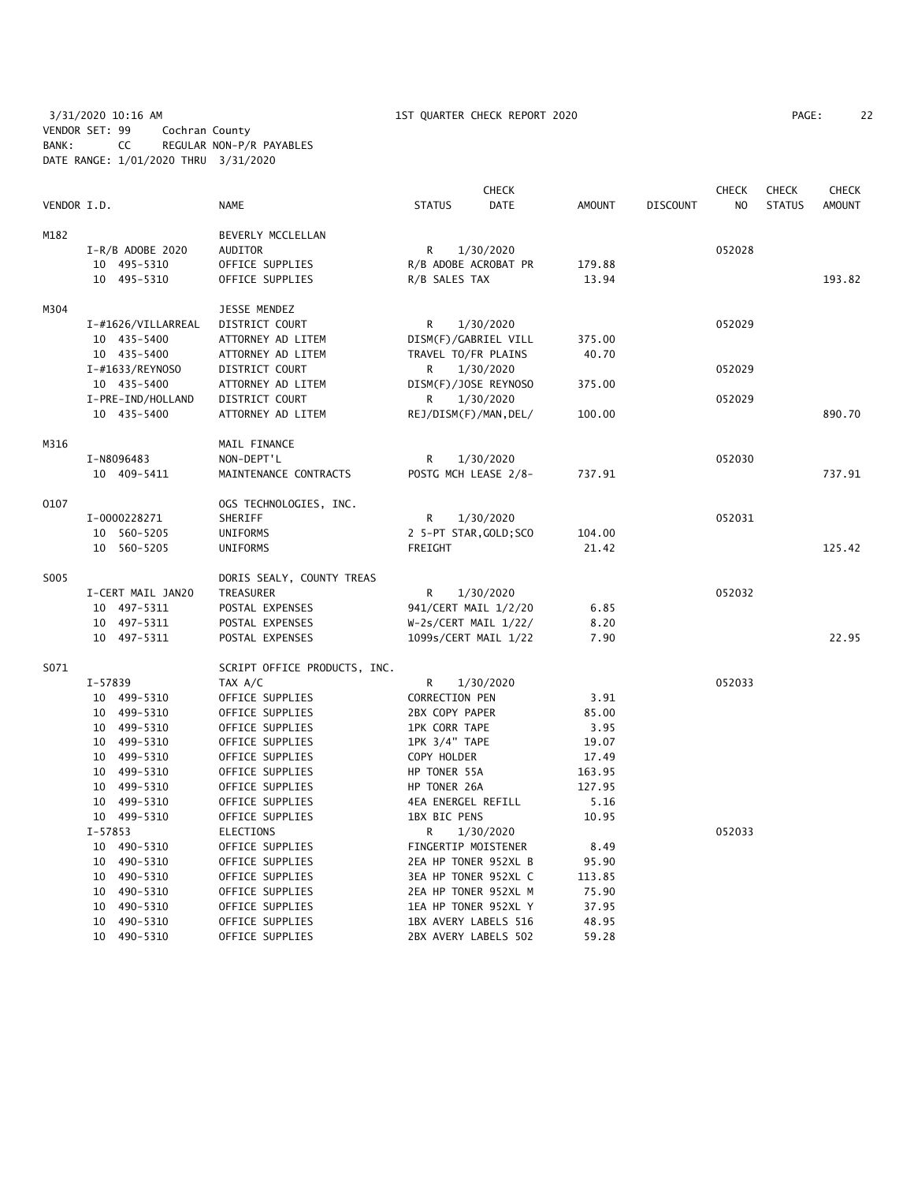3/31/2020 10:16 AM 1ST QUARTER CHECK REPORT 2020 PAGE: 22 VENDOR SET: 99 Cochran County BANK: CC REGULAR NON-P/R PAYABLES DATE RANGE: 1/01/2020 THRU 3/31/2020

|             |             |                            |                                    |                              | <b>CHECK</b> |                  |                 | <b>CHECK</b>   | <b>CHECK</b>  | <b>CHECK</b>  |
|-------------|-------------|----------------------------|------------------------------------|------------------------------|--------------|------------------|-----------------|----------------|---------------|---------------|
| VENDOR I.D. |             |                            | NAME                               | <b>STATUS</b>                | <b>DATE</b>  | <b>AMOUNT</b>    | <b>DISCOUNT</b> | N <sub>O</sub> | <b>STATUS</b> | <b>AMOUNT</b> |
| M182        |             |                            | BEVERLY MCCLELLAN                  |                              |              |                  |                 |                |               |               |
|             |             | $I-R/B$ ADOBE 2020         | AUDITOR                            | R                            | 1/30/2020    |                  |                 | 052028         |               |               |
|             |             | 10 495-5310                | OFFICE SUPPLIES                    | R/B ADOBE ACROBAT PR         |              | 179.88           |                 |                |               |               |
|             |             | 10 495-5310                | OFFICE SUPPLIES                    | R/B SALES TAX                |              | 13.94            |                 |                |               | 193.82        |
| M304        |             |                            | JESSE MENDEZ                       |                              |              |                  |                 |                |               |               |
|             |             | I-#1626/VILLARREAL         | DISTRICT COURT                     | R                            | 1/30/2020    |                  |                 | 052029         |               |               |
|             |             | 10 435-5400                | ATTORNEY AD LITEM                  | DISM(F)/GABRIEL VILL         |              | 375.00           |                 |                |               |               |
|             |             | 10 435-5400                | ATTORNEY AD LITEM                  | TRAVEL TO/FR PLAINS          |              | 40.70            |                 |                |               |               |
|             |             | I-#1633/REYNOSO            | DISTRICT COURT                     | R                            | 1/30/2020    |                  |                 | 052029         |               |               |
|             |             | 10 435-5400                | ATTORNEY AD LITEM                  | DISM(F)/JOSE REYNOSO         |              | 375.00           |                 |                |               |               |
|             |             | I-PRE-IND/HOLLAND          | DISTRICT COURT                     | R                            | 1/30/2020    |                  |                 | 052029         |               |               |
|             |             | 10 435-5400                | ATTORNEY AD LITEM                  | REJ/DISM(F)/MAN, DEL/        |              | 100.00           |                 |                |               | 890.70        |
| M316        |             |                            | MAIL FINANCE                       |                              |              |                  |                 |                |               |               |
|             |             | I-N8096483                 | NON-DEPT'L                         | R                            | 1/30/2020    |                  |                 | 052030         |               |               |
|             |             | 10 409-5411                | MAINTENANCE CONTRACTS              | POSTG MCH LEASE 2/8-         |              | 737.91           |                 |                |               | 737.91        |
| 0107        |             |                            | OGS TECHNOLOGIES, INC.             |                              |              |                  |                 |                |               |               |
|             |             | I-0000228271               | SHERIFF                            | R                            | 1/30/2020    |                  |                 | 052031         |               |               |
|             |             | 10 560-5205                | UNIFORMS                           | 2 5-PT STAR, GOLD; SCO       |              | 104.00           |                 |                |               |               |
|             |             | 10 560-5205                | UNIFORMS                           | FREIGHT                      |              | 21.42            |                 |                |               | 125.42        |
| S005        |             |                            | DORIS SEALY, COUNTY TREAS          |                              |              |                  |                 |                |               |               |
|             |             | I-CERT MAIL JAN20          | TREASURER                          | R                            | 1/30/2020    |                  |                 | 052032         |               |               |
|             |             | 10 497-5311                | POSTAL EXPENSES                    | 941/CERT MAIL 1/2/20         |              | 6.85             |                 |                |               |               |
|             |             | 10 497-5311                | POSTAL EXPENSES                    | $W-2s/CERT MAIL 1/22/$       |              | 8.20             |                 |                |               |               |
|             |             | 10 497-5311                | POSTAL EXPENSES                    | 1099s/CERT MAIL 1/22         |              | 7.90             |                 |                |               | 22.95         |
| S071        |             |                            | SCRIPT OFFICE PRODUCTS, INC.       |                              |              |                  |                 |                |               |               |
|             | $I - 57839$ |                            | TAX A/C                            | R                            | 1/30/2020    |                  |                 | 052033         |               |               |
|             |             | 10 499-5310                | OFFICE SUPPLIES                    | <b>CORRECTION PEN</b>        |              | 3.91             |                 |                |               |               |
|             |             | 10 499-5310                | OFFICE SUPPLIES                    | 2BX COPY PAPER               |              | 85.00            |                 |                |               |               |
|             |             | 10 499-5310                | OFFICE SUPPLIES                    | <b>1PK CORR TAPE</b>         |              | 3.95             |                 |                |               |               |
|             |             | 10 499-5310                | OFFICE SUPPLIES                    | 1PK 3/4" TAPE                |              | 19.07            |                 |                |               |               |
|             |             | 10 499-5310                | OFFICE SUPPLIES                    | COPY HOLDER                  |              | 17.49            |                 |                |               |               |
|             |             | 10 499-5310<br>10 499-5310 | OFFICE SUPPLIES                    | HP TONER 55A<br>HP TONER 26A |              | 163.95<br>127.95 |                 |                |               |               |
|             |             | 10 499-5310                | OFFICE SUPPLIES<br>OFFICE SUPPLIES | 4EA ENERGEL REFILL           |              | 5.16             |                 |                |               |               |
|             |             | 10 499-5310                | OFFICE SUPPLIES                    | 1BX BIC PENS                 |              | 10.95            |                 |                |               |               |
|             | $I - 57853$ |                            | ELECTIONS                          | R                            | 1/30/2020    |                  |                 | 052033         |               |               |
|             |             | 10 490-5310                | OFFICE SUPPLIES                    | FINGERTIP MOISTENER          |              | 8.49             |                 |                |               |               |
|             |             | 10 490-5310                | OFFICE SUPPLIES                    | 2EA HP TONER 952XL B         |              | 95.90            |                 |                |               |               |
|             |             | 10 490-5310                | OFFICE SUPPLIES                    | 3EA HP TONER 952XL C         |              | 113.85           |                 |                |               |               |
|             | 10          | 490-5310                   | OFFICE SUPPLIES                    | 2EA HP TONER 952XL M         |              | 75.90            |                 |                |               |               |
|             | 10          | 490-5310                   | OFFICE SUPPLIES                    | 1EA HP TONER 952XL Y         |              | 37.95            |                 |                |               |               |
|             |             | 10 490-5310                | OFFICE SUPPLIES                    | 1BX AVERY LABELS 516         |              | 48.95            |                 |                |               |               |
|             |             | 10 490-5310                | OFFICE SUPPLIES                    | 2BX AVERY LABELS 502         |              | 59.28            |                 |                |               |               |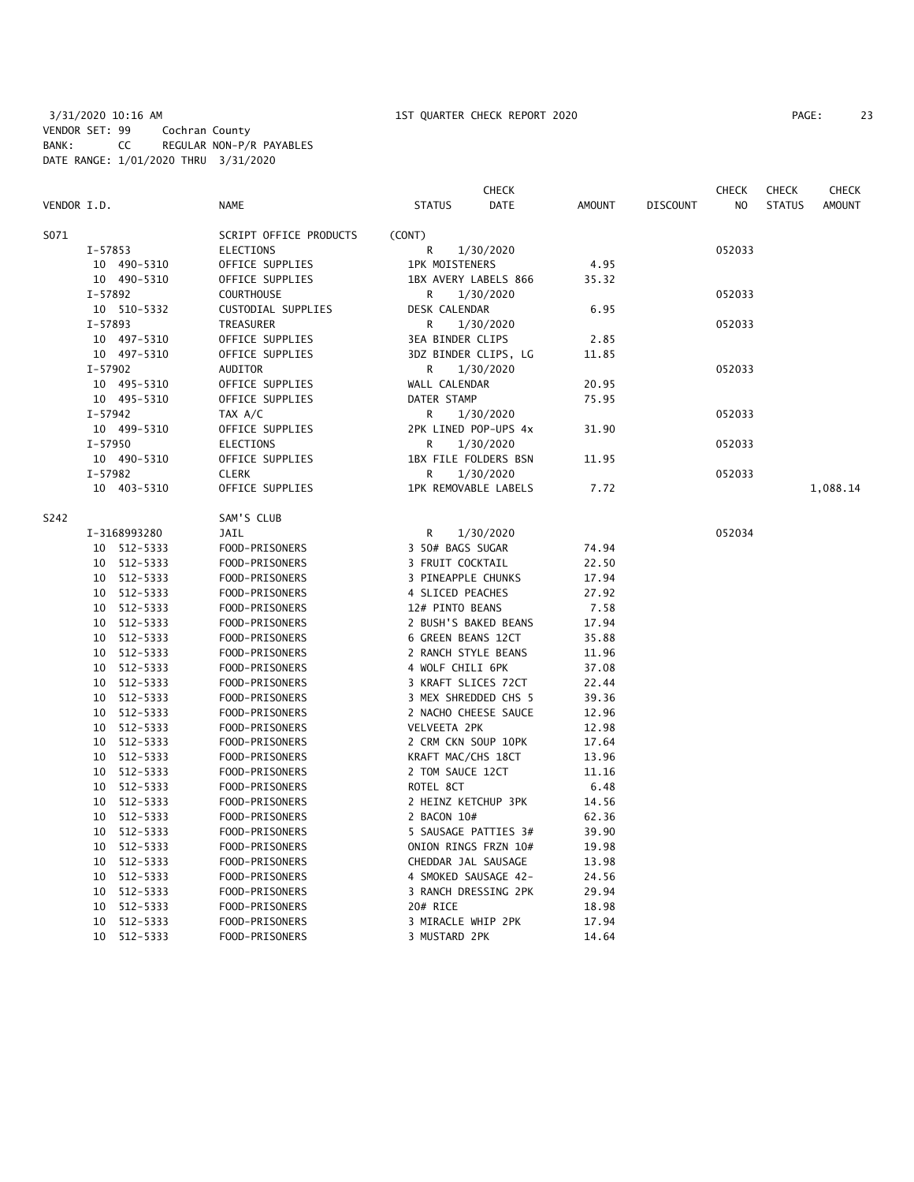| PAGE: |  |
|-------|--|
|-------|--|

|              |             |                        |                       | <b>CHECK</b>         |               |                 | <b>CHECK</b>   | <b>CHECK</b>  | <b>CHECK</b>  |
|--------------|-------------|------------------------|-----------------------|----------------------|---------------|-----------------|----------------|---------------|---------------|
| VENDOR I.D.  |             | NAME                   | <b>STATUS</b>         | <b>DATE</b>          | <b>AMOUNT</b> | <b>DISCOUNT</b> | N <sub>O</sub> | <b>STATUS</b> | <b>AMOUNT</b> |
| S071         |             | SCRIPT OFFICE PRODUCTS | (CONT)                |                      |               |                 |                |               |               |
| I-57853      |             | ELECTIONS              | R                     | 1/30/2020            |               |                 | 052033         |               |               |
|              | 10 490-5310 | OFFICE SUPPLIES        | <b>1PK MOISTENERS</b> |                      | 4.95          |                 |                |               |               |
|              | 10 490-5310 | OFFICE SUPPLIES        |                       | 1BX AVERY LABELS 866 | 35.32         |                 |                |               |               |
| $I - 57892$  |             | <b>COURTHOUSE</b>      | R                     | 1/30/2020            |               |                 | 052033         |               |               |
|              | 10 510-5332 | CUSTODIAL SUPPLIES     | DESK CALENDAR         |                      | 6.95          |                 |                |               |               |
| I-57893      |             | TREASURER              | R                     | 1/30/2020            |               |                 | 052033         |               |               |
|              | 10 497-5310 | OFFICE SUPPLIES        | 3EA BINDER CLIPS      |                      | 2.85          |                 |                |               |               |
|              | 10 497-5310 | OFFICE SUPPLIES        |                       | 3DZ BINDER CLIPS, LG | 11.85         |                 |                |               |               |
| $I - 57902$  |             | AUDITOR                | R                     | 1/30/2020            |               |                 | 052033         |               |               |
|              | 10 495-5310 | OFFICE SUPPLIES        | WALL CALENDAR         |                      | 20.95         |                 |                |               |               |
|              | 10 495-5310 | OFFICE SUPPLIES        | DATER STAMP           |                      | 75.95         |                 |                |               |               |
| $I - 57942$  |             | TAX A/C                | R                     | 1/30/2020            |               |                 | 052033         |               |               |
|              | 10 499-5310 | OFFICE SUPPLIES        |                       | 2PK LINED POP-UPS 4x | 31.90         |                 |                |               |               |
| $I - 57950$  |             | ELECTIONS              | R                     | 1/30/2020            |               |                 | 052033         |               |               |
|              | 10 490-5310 | OFFICE SUPPLIES        |                       | 1BX FILE FOLDERS BSN | 11.95         |                 |                |               |               |
| $I - 57982$  |             | <b>CLERK</b>           | R                     | 1/30/2020            |               |                 | 052033         |               |               |
|              | 10 403-5310 | OFFICE SUPPLIES        | 1PK REMOVABLE LABELS  |                      | 7.72          |                 |                |               | 1,088.14      |
| S242         |             | SAM'S CLUB             |                       |                      |               |                 |                |               |               |
| I-3168993280 |             | <b>JAIL</b>            | R                     | 1/30/2020            |               |                 | 052034         |               |               |
|              | 10 512-5333 | FOOD-PRISONERS         | 3 50# BAGS SUGAR      |                      | 74.94         |                 |                |               |               |
|              | 10 512-5333 | FOOD-PRISONERS         | 3 FRUIT COCKTAIL      |                      | 22.50         |                 |                |               |               |
| 10           | 512-5333    | FOOD-PRISONERS         | 3 PINEAPPLE CHUNKS    |                      | 17.94         |                 |                |               |               |
| 10           | 512-5333    | FOOD-PRISONERS         | 4 SLICED PEACHES      |                      | 27.92         |                 |                |               |               |
| 10           | 512-5333    | FOOD-PRISONERS         | 12# PINTO BEANS       |                      | 7.58          |                 |                |               |               |
| 10           | 512-5333    | FOOD-PRISONERS         | 2 BUSH'S BAKED BEANS  |                      | 17.94         |                 |                |               |               |
| 10           | 512-5333    | FOOD-PRISONERS         | 6 GREEN BEANS 12CT    |                      | 35.88         |                 |                |               |               |
| 10           | 512-5333    | FOOD-PRISONERS         | 2 RANCH STYLE BEANS   |                      | 11.96         |                 |                |               |               |
| 10           | 512-5333    | FOOD-PRISONERS         | 4 WOLF CHILI 6PK      |                      | 37.08         |                 |                |               |               |
| 10           | 512-5333    | FOOD-PRISONERS         | 3 KRAFT SLICES 72CT   |                      | 22.44         |                 |                |               |               |
|              | 10 512-5333 | FOOD-PRISONERS         |                       | 3 MEX SHREDDED CHS 5 | 39.36         |                 |                |               |               |
| 10           | 512-5333    | FOOD-PRISONERS         |                       | 2 NACHO CHEESE SAUCE | 12.96         |                 |                |               |               |
| 10           | 512-5333    | FOOD-PRISONERS         | VELVEETA 2PK          |                      | 12.98         |                 |                |               |               |
| 10           | 512-5333    | FOOD-PRISONERS         | 2 CRM CKN SOUP 10PK   |                      | 17.64         |                 |                |               |               |
| 10           | 512-5333    | FOOD-PRISONERS         | KRAFT MAC/CHS 18CT    |                      | 13.96         |                 |                |               |               |
| 10           | 512-5333    | FOOD-PRISONERS         | 2 TOM SAUCE 12CT      |                      | 11.16         |                 |                |               |               |
| 10           | 512-5333    | FOOD-PRISONERS         | ROTEL 8CT             |                      | 6.48          |                 |                |               |               |
| 10           | 512-5333    | FOOD-PRISONERS         | 2 HEINZ KETCHUP 3PK   |                      | 14.56         |                 |                |               |               |
|              | 10 512-5333 | FOOD-PRISONERS         | 2 BACON 10#           |                      | 62.36         |                 |                |               |               |
| 10           | 512-5333    | FOOD-PRISONERS         |                       | 5 SAUSAGE PATTIES 3# | 39.90         |                 |                |               |               |
| 10           | 512-5333    | FOOD-PRISONERS         |                       | ONION RINGS FRZN 10# | 19.98         |                 |                |               |               |
| 10           | 512-5333    | FOOD-PRISONERS         | CHEDDAR JAL SAUSAGE   |                      | 13.98         |                 |                |               |               |
| 10           | 512-5333    | FOOD-PRISONERS         |                       | 4 SMOKED SAUSAGE 42- | 24.56         |                 |                |               |               |
| 10           | 512-5333    | FOOD-PRISONERS         |                       | 3 RANCH DRESSING 2PK | 29.94         |                 |                |               |               |
| 10           | 512-5333    | FOOD-PRISONERS         | 20# RICE              |                      | 18.98         |                 |                |               |               |
| 10           | 512-5333    | FOOD-PRISONERS         | 3 MIRACLE WHIP 2PK    |                      | 17.94         |                 |                |               |               |
| 10           | 512-5333    | FOOD-PRISONERS         | 3 MUSTARD 2PK         |                      | 14.64         |                 |                |               |               |
|              |             |                        |                       |                      |               |                 |                |               |               |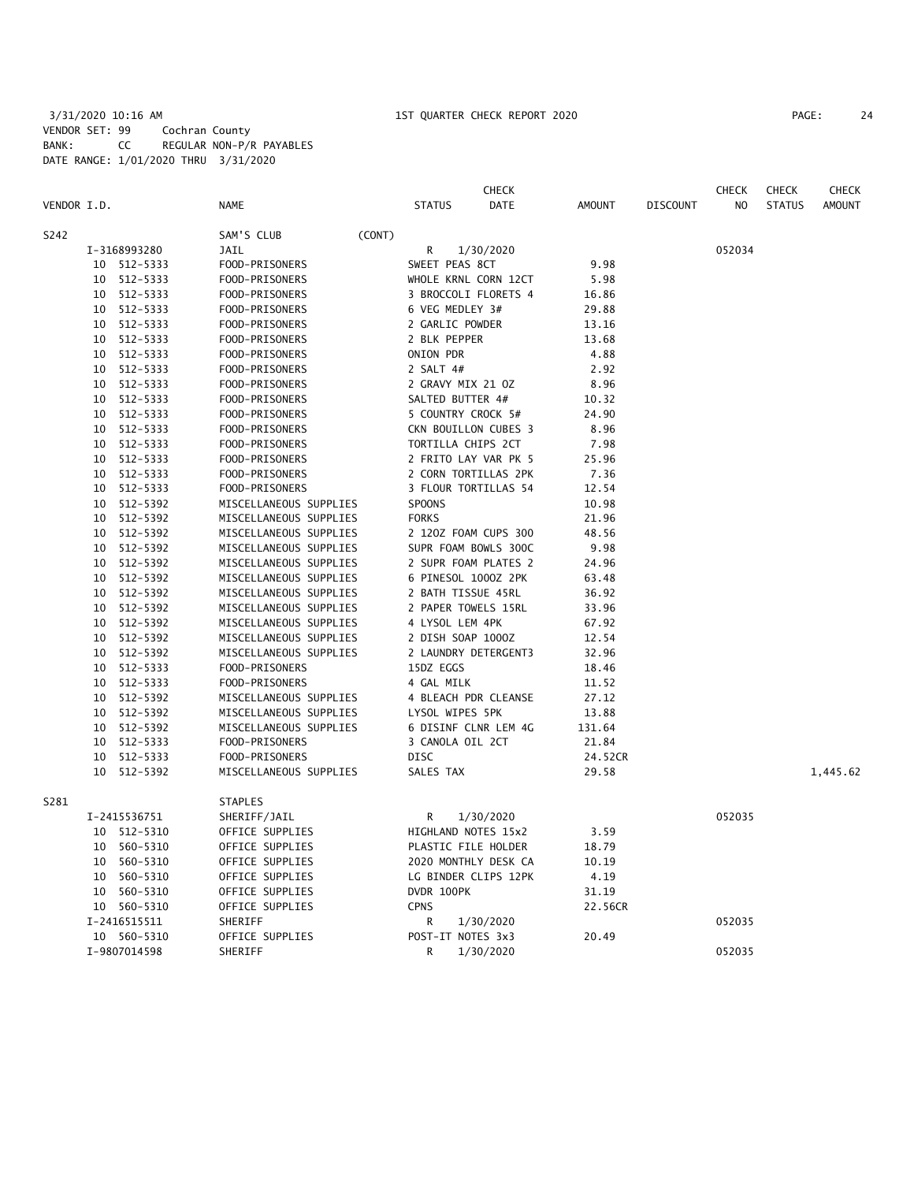## 3/31/2020 10:16 AM 1ST QUARTER CHECK REPORT 2020 PAGE: 24 VENDOR SET: 99 Cochran County BANK: CC REGULAR NON-P/R PAYABLES DATE RANGE: 1/01/2020 THRU 3/31/2020

|             |    |              |                        |        |                     | <b>CHECK</b>         |               |                 | <b>CHECK</b>   | <b>CHECK</b>  | <b>CHECK</b>  |
|-------------|----|--------------|------------------------|--------|---------------------|----------------------|---------------|-----------------|----------------|---------------|---------------|
| VENDOR I.D. |    |              | <b>NAME</b>            |        | <b>STATUS</b>       | DATE                 | <b>AMOUNT</b> | <b>DISCOUNT</b> | N <sub>O</sub> | <b>STATUS</b> | <b>AMOUNT</b> |
| S242        |    |              | SAM'S CLUB             | (CONT) |                     |                      |               |                 |                |               |               |
|             |    | I-3168993280 | JAIL                   |        | R                   | 1/30/2020            |               |                 | 052034         |               |               |
|             |    | 10 512-5333  | FOOD-PRISONERS         |        | SWEET PEAS 8CT      |                      | 9.98          |                 |                |               |               |
|             | 10 | 512-5333     | FOOD-PRISONERS         |        |                     | WHOLE KRNL CORN 12CT | 5.98          |                 |                |               |               |
|             | 10 | 512-5333     | FOOD-PRISONERS         |        |                     | 3 BROCCOLI FLORETS 4 | 16.86         |                 |                |               |               |
|             | 10 | 512-5333     | FOOD-PRISONERS         |        | 6 VEG MEDLEY 3#     |                      | 29.88         |                 |                |               |               |
|             | 10 | 512-5333     | FOOD-PRISONERS         |        | 2 GARLIC POWDER     |                      | 13.16         |                 |                |               |               |
|             | 10 | 512-5333     | FOOD-PRISONERS         |        | 2 BLK PEPPER        |                      | 13.68         |                 |                |               |               |
|             | 10 | 512-5333     | FOOD-PRISONERS         |        | ONION PDR           |                      | 4.88          |                 |                |               |               |
|             | 10 | 512-5333     | FOOD-PRISONERS         |        | 2 SALT 4#           |                      | 2.92          |                 |                |               |               |
|             | 10 | 512-5333     | FOOD-PRISONERS         |        | 2 GRAVY MIX 21 OZ   |                      | 8.96          |                 |                |               |               |
|             | 10 | 512-5333     | FOOD-PRISONERS         |        | SALTED BUTTER 4#    |                      | 10.32         |                 |                |               |               |
|             | 10 | 512-5333     | FOOD-PRISONERS         |        | 5 COUNTRY CROCK 5#  |                      | 24.90         |                 |                |               |               |
|             | 10 | 512-5333     | FOOD-PRISONERS         |        |                     | CKN BOUILLON CUBES 3 | 8.96          |                 |                |               |               |
|             | 10 | 512-5333     | FOOD-PRISONERS         |        | TORTILLA CHIPS 2CT  |                      | 7.98          |                 |                |               |               |
|             | 10 | 512-5333     | FOOD-PRISONERS         |        |                     | 2 FRITO LAY VAR PK 5 | 25.96         |                 |                |               |               |
|             | 10 | 512-5333     | FOOD-PRISONERS         |        |                     | 2 CORN TORTILLAS 2PK | 7.36          |                 |                |               |               |
|             | 10 | 512-5333     | FOOD-PRISONERS         |        |                     | 3 FLOUR TORTILLAS 54 | 12.54         |                 |                |               |               |
|             | 10 | 512-5392     | MISCELLANEOUS SUPPLIES |        | SPOONS              |                      | 10.98         |                 |                |               |               |
|             | 10 | 512-5392     | MISCELLANEOUS SUPPLIES |        | <b>FORKS</b>        |                      | 21.96         |                 |                |               |               |
|             | 10 | 512-5392     | MISCELLANEOUS SUPPLIES |        |                     | 2 120Z FOAM CUPS 300 | 48.56         |                 |                |               |               |
|             | 10 | 512-5392     | MISCELLANEOUS SUPPLIES |        |                     | SUPR FOAM BOWLS 300C | 9.98          |                 |                |               |               |
|             | 10 | 512-5392     | MISCELLANEOUS SUPPLIES |        |                     | 2 SUPR FOAM PLATES 2 | 24.96         |                 |                |               |               |
|             | 10 | 512-5392     | MISCELLANEOUS SUPPLIES |        | 6 PINESOL 1000Z 2PK |                      | 63.48         |                 |                |               |               |
|             | 10 | 512-5392     | MISCELLANEOUS SUPPLIES |        | 2 BATH TISSUE 45RL  |                      | 36.92         |                 |                |               |               |
|             | 10 | 512-5392     | MISCELLANEOUS SUPPLIES |        | 2 PAPER TOWELS 15RL |                      | 33.96         |                 |                |               |               |
|             | 10 | 512-5392     | MISCELLANEOUS SUPPLIES |        | 4 LYSOL LEM 4PK     |                      | 67.92         |                 |                |               |               |
|             | 10 | 512-5392     | MISCELLANEOUS SUPPLIES |        | 2 DISH SOAP 1000Z   |                      | 12.54         |                 |                |               |               |
|             | 10 | 512-5392     | MISCELLANEOUS SUPPLIES |        |                     | 2 LAUNDRY DETERGENT3 | 32.96         |                 |                |               |               |
|             | 10 | 512-5333     | FOOD-PRISONERS         |        | 15DZ EGGS           |                      | 18.46         |                 |                |               |               |
|             | 10 | 512-5333     | FOOD-PRISONERS         |        | 4 GAL MILK          |                      | 11.52         |                 |                |               |               |
|             | 10 | 512-5392     | MISCELLANEOUS SUPPLIES |        |                     | 4 BLEACH PDR CLEANSE | 27.12         |                 |                |               |               |
|             | 10 | 512-5392     | MISCELLANEOUS SUPPLIES |        | LYSOL WIPES 5PK     |                      | 13.88         |                 |                |               |               |
|             | 10 | 512-5392     | MISCELLANEOUS SUPPLIES |        |                     | 6 DISINF CLNR LEM 4G | 131.64        |                 |                |               |               |
|             | 10 | 512-5333     | FOOD-PRISONERS         |        | 3 CANOLA OIL 2CT    |                      | 21.84         |                 |                |               |               |
|             | 10 | 512-5333     | FOOD-PRISONERS         |        | <b>DISC</b>         |                      | 24.52CR       |                 |                |               |               |
|             | 10 | 512-5392     | MISCELLANEOUS SUPPLIES |        | SALES TAX           |                      | 29.58         |                 |                |               | 1,445.62      |
| S281        |    |              | <b>STAPLES</b>         |        |                     |                      |               |                 |                |               |               |
|             |    | I-2415536751 | SHERIFF/JAIL           |        | R                   | 1/30/2020            |               |                 | 052035         |               |               |
|             |    | 10 512-5310  | OFFICE SUPPLIES        |        | HIGHLAND NOTES 15x2 |                      | 3.59          |                 |                |               |               |
|             | 10 | 560-5310     | OFFICE SUPPLIES        |        | PLASTIC FILE HOLDER |                      | 18.79         |                 |                |               |               |
|             | 10 | 560-5310     | OFFICE SUPPLIES        |        |                     | 2020 MONTHLY DESK CA | 10.19         |                 |                |               |               |
|             | 10 | 560-5310     | OFFICE SUPPLIES        |        |                     | LG BINDER CLIPS 12PK | 4.19          |                 |                |               |               |
|             | 10 | 560-5310     | OFFICE SUPPLIES        |        | DVDR 100PK          |                      | 31.19         |                 |                |               |               |
|             |    | 10 560-5310  | OFFICE SUPPLIES        |        | <b>CPNS</b>         |                      | 22.56CR       |                 |                |               |               |
|             |    | I-2416515511 | SHERIFF                |        | R                   | 1/30/2020            |               |                 | 052035         |               |               |
|             |    | 10 560-5310  | OFFICE SUPPLIES        |        | POST-IT NOTES 3x3   |                      | 20.49         |                 |                |               |               |
|             |    | I-9807014598 | SHERIFF                |        | R                   | 1/30/2020            |               |                 | 052035         |               |               |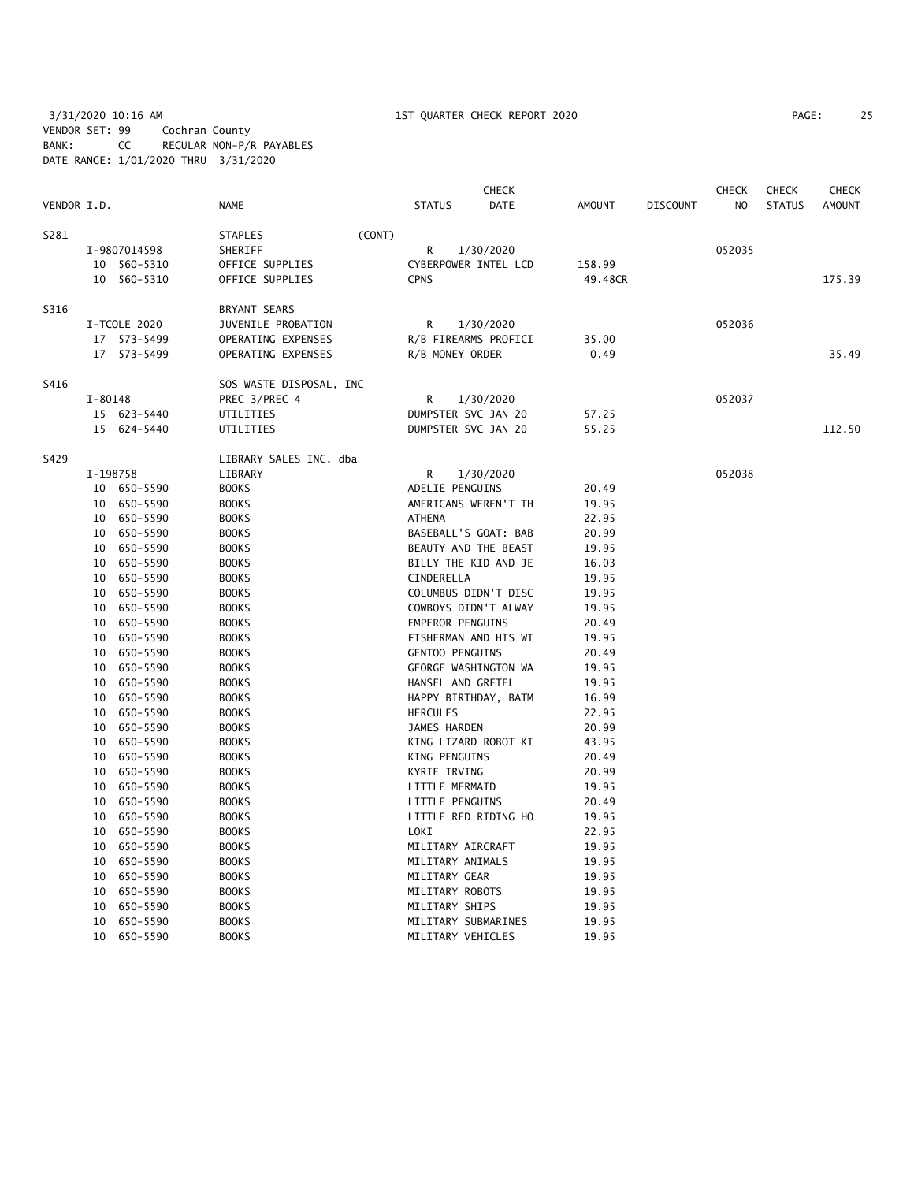## 3/31/2020 10:16 AM 1ST QUARTER CHECK REPORT 2020 PAGE: 25 VENDOR SET: 99 Cochran County BANK: CC REGULAR NON-P/R PAYABLES DATE RANGE: 1/01/2020 THRU 3/31/2020

|             |             |                      |                              |        |                                         | <b>CHECK</b>         |                |                 | <b>CHECK</b>   | <b>CHECK</b>  | <b>CHECK</b>  |
|-------------|-------------|----------------------|------------------------------|--------|-----------------------------------------|----------------------|----------------|-----------------|----------------|---------------|---------------|
| VENDOR I.D. |             |                      | <b>NAME</b>                  |        | <b>STATUS</b>                           | <b>DATE</b>          | <b>AMOUNT</b>  | <b>DISCOUNT</b> | N <sub>O</sub> | <b>STATUS</b> | <b>AMOUNT</b> |
| S281        |             |                      | <b>STAPLES</b>               | (CONT) |                                         |                      |                |                 |                |               |               |
|             |             | I-9807014598         | SHERIFF                      |        | R                                       | 1/30/2020            |                |                 | 052035         |               |               |
|             |             | 10 560-5310          | OFFICE SUPPLIES              |        | CYBERPOWER INTEL LCD                    |                      | 158.99         |                 |                |               |               |
|             |             | 10 560-5310          | OFFICE SUPPLIES              |        | <b>CPNS</b>                             |                      | 49.48CR        |                 |                |               | 175.39        |
| S316        |             |                      | BRYANT SEARS                 |        |                                         |                      |                |                 |                |               |               |
|             |             | I-TCOLE 2020         | JUVENILE PROBATION           |        | R                                       | 1/30/2020            |                |                 | 052036         |               |               |
|             |             | 17 573-5499          | OPERATING EXPENSES           |        | R/B FIREARMS PROFICI                    |                      | 35.00          |                 |                |               |               |
|             |             | 17 573-5499          | OPERATING EXPENSES           |        | R/B MONEY ORDER                         |                      | 0.49           |                 |                |               | 35.49         |
| S416        |             |                      | SOS WASTE DISPOSAL, INC      |        |                                         |                      |                |                 |                |               |               |
|             | $I - 80148$ |                      | PREC 3/PREC 4                |        | R                                       | 1/30/2020            |                |                 | 052037         |               |               |
|             |             | 15 623-5440          | UTILITIES                    |        | DUMPSTER SVC JAN 20                     |                      | 57.25          |                 |                |               |               |
|             |             | 15 624-5440          | UTILITIES                    |        | DUMPSTER SVC JAN 20                     |                      | 55.25          |                 |                |               | 112.50        |
| S429        |             |                      | LIBRARY SALES INC. dba       |        |                                         |                      |                |                 |                |               |               |
|             | I-198758    |                      | LIBRARY                      |        | R                                       | 1/30/2020            |                |                 | 052038         |               |               |
|             |             | 10 650-5590          | <b>BOOKS</b>                 |        | ADELIE PENGUINS                         |                      | 20.49          |                 |                |               |               |
|             |             | 10 650-5590          | <b>BOOKS</b>                 |        | AMERICANS WEREN'T TH                    |                      | 19.95          |                 |                |               |               |
|             | 10          | 650-5590             | <b>BOOKS</b>                 |        | <b>ATHENA</b>                           |                      | 22.95          |                 |                |               |               |
|             | 10          | 650–5590             | <b>BOOKS</b>                 |        | BASEBALL'S GOAT: BAB                    |                      | 20.99          |                 |                |               |               |
|             | 10          | 650-5590             | <b>BOOKS</b>                 |        |                                         | BEAUTY AND THE BEAST | 19.95          |                 |                |               |               |
|             | 10          | 650-5590             | <b>BOOKS</b>                 |        | BILLY THE KID AND JE                    |                      | 16.03          |                 |                |               |               |
|             | 10          | 650-5590             | <b>BOOKS</b>                 |        | CINDERELLA                              |                      | 19.95          |                 |                |               |               |
|             | 10          | 650-5590             | <b>BOOKS</b>                 |        | COLUMBUS DIDN'T DISC                    |                      | 19.95          |                 |                |               |               |
|             | 10          | 650-5590             | <b>BOOKS</b>                 |        | COWBOYS DIDN'T ALWAY                    |                      | 19.95          |                 |                |               |               |
|             | 10          | 650-5590             | <b>BOOKS</b>                 |        | <b>EMPEROR PENGUINS</b>                 |                      | 20.49          |                 |                |               |               |
|             | 10          | 650-5590             | <b>BOOKS</b>                 |        | FISHERMAN AND HIS WI                    |                      | 19.95          |                 |                |               |               |
|             | 10          | 650-5590             | <b>BOOKS</b>                 |        | <b>GENTOO PENGUINS</b>                  |                      | 20.49          |                 |                |               |               |
|             | 10          | 650-5590             | <b>BOOKS</b>                 |        | <b>GEORGE WASHINGTON WA</b>             |                      | 19.95          |                 |                |               |               |
|             | 10          | 650-5590             | <b>BOOKS</b>                 |        | HANSEL AND GRETEL                       |                      | 19.95          |                 |                |               |               |
|             | 10          | 650-5590             | <b>BOOKS</b>                 |        | HAPPY BIRTHDAY, BATM                    |                      | 16.99          |                 |                |               |               |
|             | 10          | 650-5590             | <b>BOOKS</b>                 |        | <b>HERCULES</b>                         |                      | 22.95          |                 |                |               |               |
|             | 10          | 650-5590             | <b>BOOKS</b>                 |        | JAMES HARDEN                            |                      | 20.99          |                 |                |               |               |
|             | 10          | 650-5590             | <b>BOOKS</b>                 |        | KING LIZARD ROBOT KI                    |                      | 43.95          |                 |                |               |               |
|             | 10          | 650-5590             | <b>BOOKS</b>                 |        | <b>KING PENGUINS</b>                    |                      | 20.49          |                 |                |               |               |
|             | 10          | 650-5590             | <b>BOOKS</b>                 |        | KYRIE IRVING                            |                      | 20.99          |                 |                |               |               |
|             | 10          | 650-5590             | <b>BOOKS</b>                 |        | LITTLE MERMAID                          |                      | 19.95          |                 |                |               |               |
|             | 10<br>10    | 650-5590<br>650-5590 | <b>BOOKS</b><br><b>BOOKS</b> |        | LITTLE PENGUINS<br>LITTLE RED RIDING HO |                      | 20.49<br>19.95 |                 |                |               |               |
|             | 10          |                      |                              |        | LOKI                                    |                      | 22.95          |                 |                |               |               |
|             | 10          | 650-5590<br>650-5590 | <b>BOOKS</b><br><b>BOOKS</b> |        | MILITARY AIRCRAFT                       |                      | 19.95          |                 |                |               |               |
|             | 10          | 650-5590             | <b>BOOKS</b>                 |        | MILITARY ANIMALS                        |                      | 19.95          |                 |                |               |               |
|             | 10          | 650-5590             | <b>BOOKS</b>                 |        | MILITARY GEAR                           |                      | 19.95          |                 |                |               |               |
|             | 10          | 650-5590             | <b>BOOKS</b>                 |        | MILITARY ROBOTS                         |                      | 19.95          |                 |                |               |               |
|             | 10          | 650-5590             | <b>BOOKS</b>                 |        | MILITARY SHIPS                          |                      | 19.95          |                 |                |               |               |
|             | 10          | 650-5590             | <b>BOOKS</b>                 |        | MILITARY SUBMARINES                     |                      | 19.95          |                 |                |               |               |
|             | 10          | 650-5590             | <b>BOOKS</b>                 |        | MILITARY VEHICLES                       |                      | 19.95          |                 |                |               |               |
|             |             |                      |                              |        |                                         |                      |                |                 |                |               |               |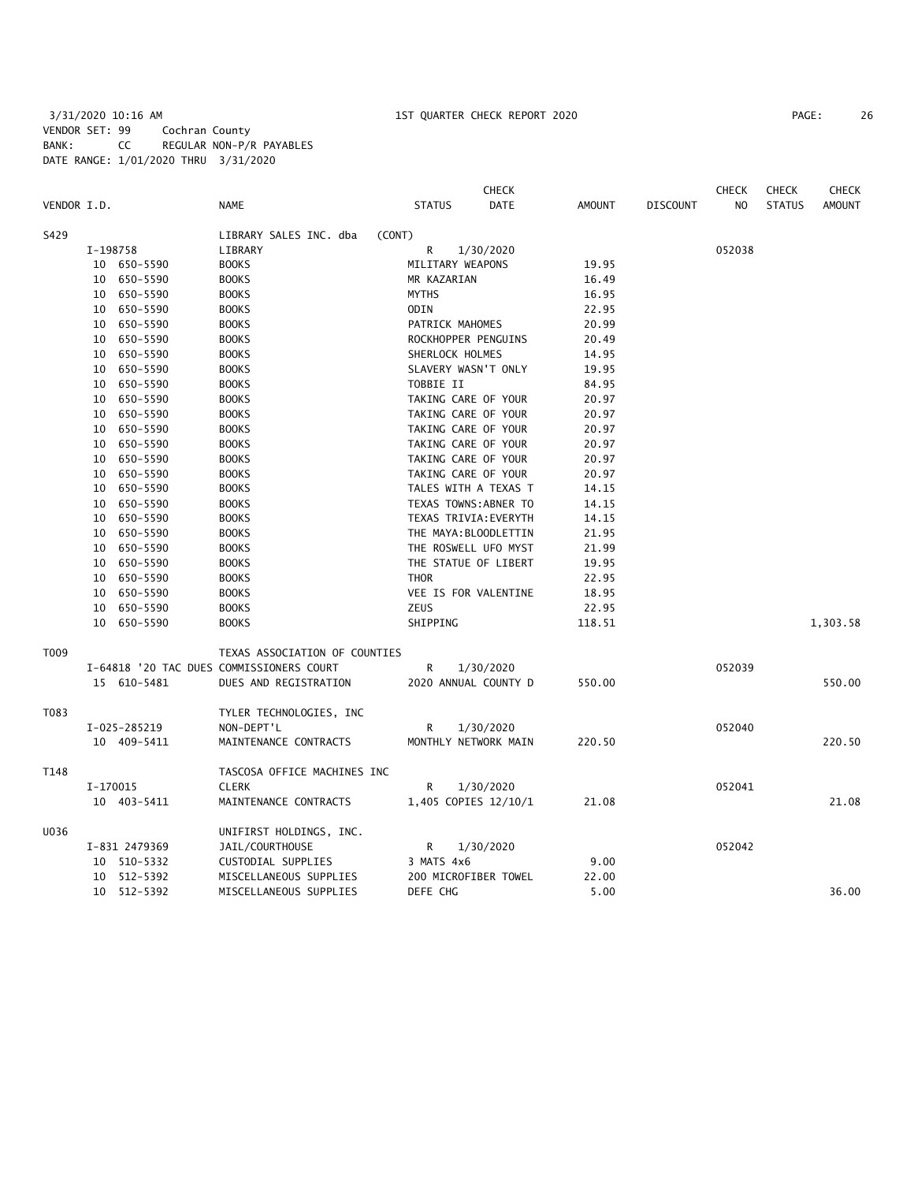3/31/2020 10:16 AM 1ST QUARTER CHECK REPORT 2020 PAGE: 26 VENDOR SET: 99 Cochran County BANK: CC REGULAR NON-P/R PAYABLES DATE RANGE: 1/01/2020 THRU 3/31/2020

|             |          |               |                                          |                       | <b>CHECK</b> |               |                 | <b>CHECK</b>   | <b>CHECK</b>  | <b>CHECK</b>  |
|-------------|----------|---------------|------------------------------------------|-----------------------|--------------|---------------|-----------------|----------------|---------------|---------------|
| VENDOR I.D. |          |               | <b>NAME</b>                              | <b>STATUS</b>         | <b>DATE</b>  | <b>AMOUNT</b> | <b>DISCOUNT</b> | N <sub>O</sub> | <b>STATUS</b> | <b>AMOUNT</b> |
| S429        |          |               | LIBRARY SALES INC. dba<br>(CONT)         |                       |              |               |                 |                |               |               |
|             | I-198758 |               | LIBRARY                                  | R                     | 1/30/2020    |               |                 | 052038         |               |               |
|             |          | 10 650-5590   | <b>BOOKS</b>                             | MILITARY WEAPONS      |              | 19.95         |                 |                |               |               |
|             |          | 10 650-5590   | <b>BOOKS</b>                             | MR KAZARIAN           |              | 16.49         |                 |                |               |               |
|             |          | 10 650-5590   | <b>BOOKS</b>                             | <b>MYTHS</b>          |              | 16.95         |                 |                |               |               |
|             |          | 10 650-5590   | <b>BOOKS</b>                             | ODIN                  |              | 22.95         |                 |                |               |               |
|             |          | 10 650-5590   | <b>BOOKS</b>                             | PATRICK MAHOMES       |              | 20.99         |                 |                |               |               |
|             | 10       | 650–5590      | <b>BOOKS</b>                             | ROCKHOPPER PENGUINS   |              | 20.49         |                 |                |               |               |
|             |          | 10 650-5590   | <b>BOOKS</b>                             | SHERLOCK HOLMES       |              | 14.95         |                 |                |               |               |
|             | 10       | 650-5590      | <b>BOOKS</b>                             | SLAVERY WASN'T ONLY   |              | 19.95         |                 |                |               |               |
|             | 10       | 650–5590      | <b>BOOKS</b>                             | TOBBIE II             |              | 84.95         |                 |                |               |               |
|             | 10       | 650-5590      | <b>BOOKS</b>                             | TAKING CARE OF YOUR   |              | 20.97         |                 |                |               |               |
|             | 10       | 650-5590      | <b>BOOKS</b>                             | TAKING CARE OF YOUR   |              | 20.97         |                 |                |               |               |
|             | 10       | 650-5590      | <b>BOOKS</b>                             | TAKING CARE OF YOUR   |              | 20.97         |                 |                |               |               |
|             | 10       | 650-5590      | <b>BOOKS</b>                             | TAKING CARE OF YOUR   |              | 20.97         |                 |                |               |               |
|             |          | 10 650-5590   | <b>BOOKS</b>                             | TAKING CARE OF YOUR   |              | 20.97         |                 |                |               |               |
|             | 10       | 650-5590      | <b>BOOKS</b>                             | TAKING CARE OF YOUR   |              | 20.97         |                 |                |               |               |
|             | 10       | 650-5590      | <b>BOOKS</b>                             | TALES WITH A TEXAS T  |              | 14.15         |                 |                |               |               |
|             | 10       | 650-5590      | <b>BOOKS</b>                             | TEXAS TOWNS: ABNER TO |              | 14.15         |                 |                |               |               |
|             | 10       | 650-5590      | <b>BOOKS</b>                             | TEXAS TRIVIA: EVERYTH |              | 14.15         |                 |                |               |               |
|             |          | 10 650-5590   | <b>BOOKS</b>                             | THE MAYA: BLOODLETTIN |              | 21.95         |                 |                |               |               |
|             | 10       | 650-5590      | <b>BOOKS</b>                             | THE ROSWELL UFO MYST  |              | 21.99         |                 |                |               |               |
|             |          | 10 650-5590   | <b>BOOKS</b>                             | THE STATUE OF LIBERT  |              | 19.95         |                 |                |               |               |
|             | 10       | 650-5590      | <b>BOOKS</b>                             | <b>THOR</b>           |              | 22.95         |                 |                |               |               |
|             | 10       | 650-5590      | <b>BOOKS</b>                             | VEE IS FOR VALENTINE  |              | 18.95         |                 |                |               |               |
|             |          | 10 650-5590   | <b>BOOKS</b>                             | <b>ZEUS</b>           |              | 22.95         |                 |                |               |               |
|             |          | 10 650-5590   | <b>BOOKS</b>                             | SHIPPING              |              | 118.51        |                 |                |               | 1,303.58      |
| T009        |          |               | TEXAS ASSOCIATION OF COUNTIES            |                       |              |               |                 |                |               |               |
|             |          |               | I-64818 '20 TAC DUES COMMISSIONERS COURT | R                     | 1/30/2020    |               |                 | 052039         |               |               |
|             |          | 15 610-5481   | DUES AND REGISTRATION                    | 2020 ANNUAL COUNTY D  |              | 550.00        |                 |                |               | 550.00        |
| T083        |          |               | TYLER TECHNOLOGIES, INC                  |                       |              |               |                 |                |               |               |
|             |          | I-025-285219  | NON-DEPT'L                               | R                     | 1/30/2020    |               |                 | 052040         |               |               |
|             |          | 10 409-5411   | MAINTENANCE CONTRACTS                    | MONTHLY NETWORK MAIN  |              | 220.50        |                 |                |               | 220.50        |
| T148        |          |               | TASCOSA OFFICE MACHINES INC              |                       |              |               |                 |                |               |               |
|             | I-170015 |               | <b>CLERK</b>                             | R                     | 1/30/2020    |               |                 | 052041         |               |               |
|             |          | 10 403-5411   | MAINTENANCE CONTRACTS                    | 1,405 COPIES 12/10/1  |              | 21.08         |                 |                |               | 21.08         |
| U036        |          |               | UNIFIRST HOLDINGS, INC.                  |                       |              |               |                 |                |               |               |
|             |          | I-831 2479369 | JAIL/COURTHOUSE                          | R                     | 1/30/2020    |               |                 | 052042         |               |               |
|             |          | 10 510-5332   | CUSTODIAL SUPPLIES                       | 3 MATS 4x6            |              | 9.00          |                 |                |               |               |
|             |          | 10 512-5392   | MISCELLANEOUS SUPPLIES                   | 200 MICROFIBER TOWEL  |              | 22.00         |                 |                |               |               |
|             |          | 10 512-5392   | MISCELLANEOUS SUPPLIES                   | DEFE CHG              |              | 5.00          |                 |                |               | 36.00         |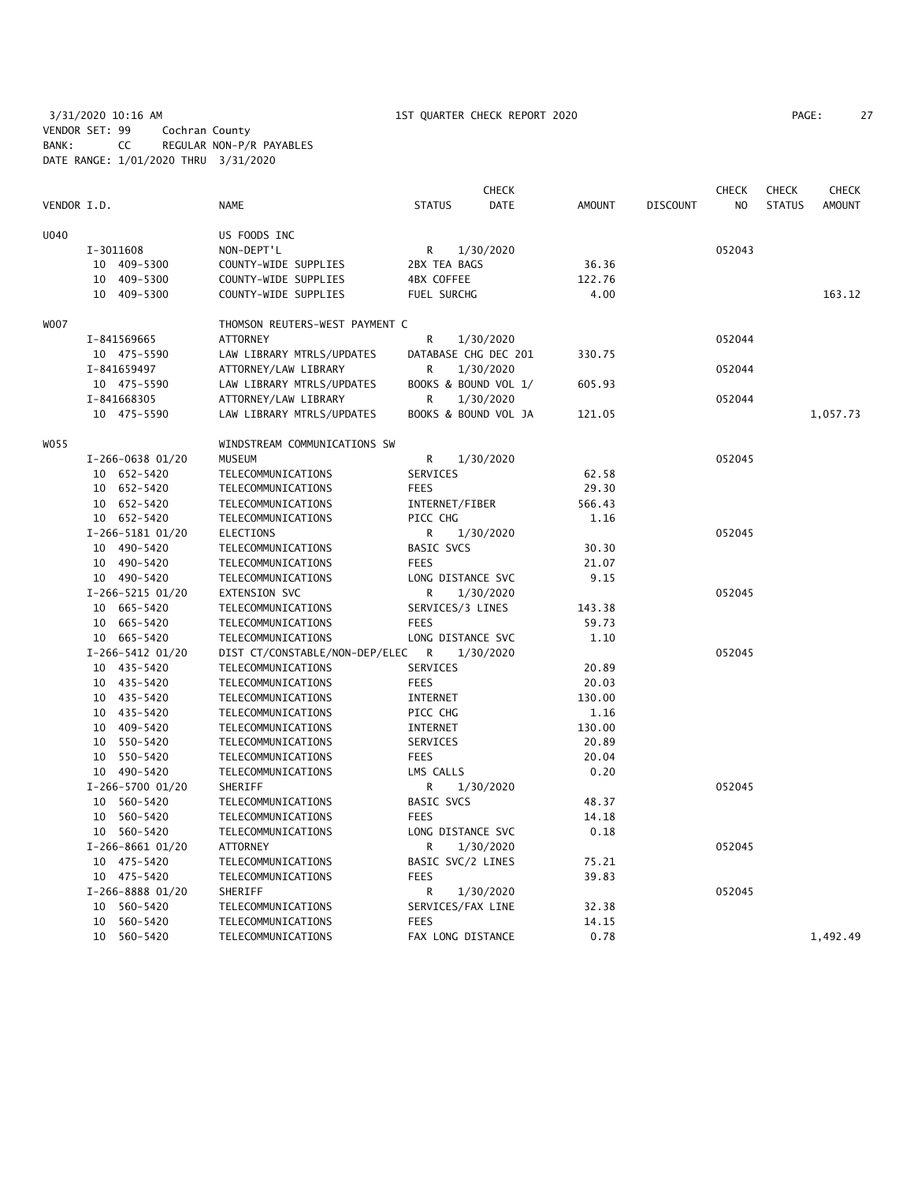3/31/2020 10:16 AM 1ST QUARTER CHECK REPORT 2020 PAGE: 27 VENDOR SET: 99 Cochran County BANK: CC REGULAR NON-P/R PAYABLES DATE RANGE: 1/01/2020 THRU 3/31/2020

| PAGE: | $\overline{a}$ |
|-------|----------------|
|-------|----------------|

|             |                  |                                |                   | <b>CHECK</b>         |               |                 | <b>CHECK</b>   | <b>CHECK</b>  | <b>CHECK</b>  |
|-------------|------------------|--------------------------------|-------------------|----------------------|---------------|-----------------|----------------|---------------|---------------|
| VENDOR I.D. |                  | NAME                           | <b>STATUS</b>     | DATE                 | <b>AMOUNT</b> | <b>DISCOUNT</b> | N <sub>O</sub> | <b>STATUS</b> | <b>AMOUNT</b> |
| U040        |                  | US FOODS INC                   |                   |                      |               |                 |                |               |               |
|             | I-3011608        | NON-DEPT'L                     | R                 | 1/30/2020            |               |                 | 052043         |               |               |
|             | 10 409-5300      | COUNTY-WIDE SUPPLIES           | 2BX TEA BAGS      |                      | 36.36         |                 |                |               |               |
|             | 409-5300<br>10   | COUNTY-WIDE SUPPLIES           | 4BX COFFEE        |                      | 122.76        |                 |                |               |               |
|             | 10 409-5300      | COUNTY-WIDE SUPPLIES           | FUEL SURCHG       |                      | 4.00          |                 |                |               | 163.12        |
| WO07        |                  | THOMSON REUTERS-WEST PAYMENT C |                   |                      |               |                 |                |               |               |
|             | I-841569665      | <b>ATTORNEY</b>                | R                 | 1/30/2020            |               |                 | 052044         |               |               |
|             | 10 475-5590      | LAW LIBRARY MTRLS/UPDATES      |                   | DATABASE CHG DEC 201 | 330.75        |                 |                |               |               |
|             | I-841659497      | ATTORNEY/LAW LIBRARY           | R                 | 1/30/2020            |               |                 | 052044         |               |               |
|             | 10 475-5590      | LAW LIBRARY MTRLS/UPDATES      |                   | BOOKS & BOUND VOL 1/ | 605.93        |                 |                |               |               |
|             | I-841668305      | ATTORNEY/LAW LIBRARY           | R                 | 1/30/2020            |               |                 | 052044         |               |               |
|             | 10 475-5590      | LAW LIBRARY MTRLS/UPDATES      |                   | BOOKS & BOUND VOL JA | 121.05        |                 |                |               | 1,057.73      |
| WO 55       |                  | WINDSTREAM COMMUNICATIONS SW   |                   |                      |               |                 |                |               |               |
|             | I-266-0638 01/20 | <b>MUSEUM</b>                  | R                 | 1/30/2020            |               |                 | 052045         |               |               |
|             | 10 652-5420      | TELECOMMUNICATIONS             | SERVICES          |                      | 62.58         |                 |                |               |               |
|             | 10 652-5420      | TELECOMMUNICATIONS             | <b>FEES</b>       |                      | 29.30         |                 |                |               |               |
|             | 10 652-5420      | TELECOMMUNICATIONS             | INTERNET/FIBER    |                      | 566.43        |                 |                |               |               |
|             | 10 652-5420      | TELECOMMUNICATIONS             | PICC CHG          |                      | 1.16          |                 |                |               |               |
|             | I-266-5181 01/20 | ELECTIONS                      | R                 | 1/30/2020            |               |                 | 052045         |               |               |
|             | 10 490-5420      | TELECOMMUNICATIONS             | BASIC SVCS        |                      | 30.30         |                 |                |               |               |
|             | 10 490-5420      | TELECOMMUNICATIONS             | <b>FEES</b>       |                      | 21.07         |                 |                |               |               |
|             | 10 490-5420      | TELECOMMUNICATIONS             | LONG DISTANCE SVC |                      | 9.15          |                 |                |               |               |
|             | I-266-5215 01/20 | EXTENSION SVC                  | R                 | 1/30/2020            |               |                 | 052045         |               |               |
|             | 10 665-5420      | TELECOMMUNICATIONS             | SERVICES/3 LINES  |                      | 143.38        |                 |                |               |               |
|             | 10 665-5420      | TELECOMMUNICATIONS             | <b>FEES</b>       |                      | 59.73         |                 |                |               |               |
|             | 10 665-5420      | TELECOMMUNICATIONS             | LONG DISTANCE SVC |                      | 1.10          |                 |                |               |               |
|             | I-266-5412 01/20 | DIST CT/CONSTABLE/NON-DEP/ELEC | R                 | 1/30/2020            |               |                 | 052045         |               |               |
|             | 10 435-5420      | TELECOMMUNICATIONS             | SERVICES          |                      | 20.89         |                 |                |               |               |
|             | 10 435-5420      | TELECOMMUNICATIONS             | <b>FEES</b>       |                      | 20.03         |                 |                |               |               |
|             | 10 435-5420      | TELECOMMUNICATIONS             | INTERNET          |                      | 130.00        |                 |                |               |               |
|             | 10 435-5420      | TELECOMMUNICATIONS             | PICC CHG          |                      | 1.16          |                 |                |               |               |
|             | 10 409-5420      | TELECOMMUNICATIONS             | <b>INTERNET</b>   |                      | 130.00        |                 |                |               |               |
|             | 10 550-5420      | TELECOMMUNICATIONS             | SERVICES          |                      | 20.89         |                 |                |               |               |
|             | 10 550-5420      | TELECOMMUNICATIONS             | <b>FEES</b>       |                      | 20.04         |                 |                |               |               |
|             | 10 490-5420      | TELECOMMUNICATIONS             | LMS CALLS         |                      | 0.20          |                 |                |               |               |
|             | I-266-5700 01/20 | SHERIFF                        | R                 | 1/30/2020            |               |                 | 052045         |               |               |
|             | 10 560-5420      | TELECOMMUNICATIONS             | BASIC SVCS        |                      | 48.37         |                 |                |               |               |
|             | 10 560-5420      | TELECOMMUNICATIONS             | <b>FEES</b>       |                      | 14.18         |                 |                |               |               |
|             | 10 560-5420      | TELECOMMUNICATIONS             | LONG DISTANCE SVC |                      | 0.18          |                 |                |               |               |
|             | I-266-8661 01/20 | ATTORNEY                       | R                 | 1/30/2020            |               |                 | 052045         |               |               |
|             | 10 475-5420      | TELECOMMUNICATIONS             | BASIC SVC/2 LINES |                      | 75.21         |                 |                |               |               |
|             | 10 475-5420      | TELECOMMUNICATIONS             | <b>FEES</b>       |                      | 39.83         |                 |                |               |               |
|             | I-266-8888 01/20 | SHERIFF                        | R                 | 1/30/2020            |               |                 | 052045         |               |               |
|             | 10 560-5420      | TELECOMMUNICATIONS             | SERVICES/FAX LINE |                      | 32.38         |                 |                |               |               |
|             | 10<br>560-5420   | TELECOMMUNICATIONS             | <b>FEES</b>       |                      | 14.15         |                 |                |               |               |
|             | 10 560-5420      | TELECOMMUNICATIONS             | FAX LONG DISTANCE |                      | 0.78          |                 |                |               | 1,492.49      |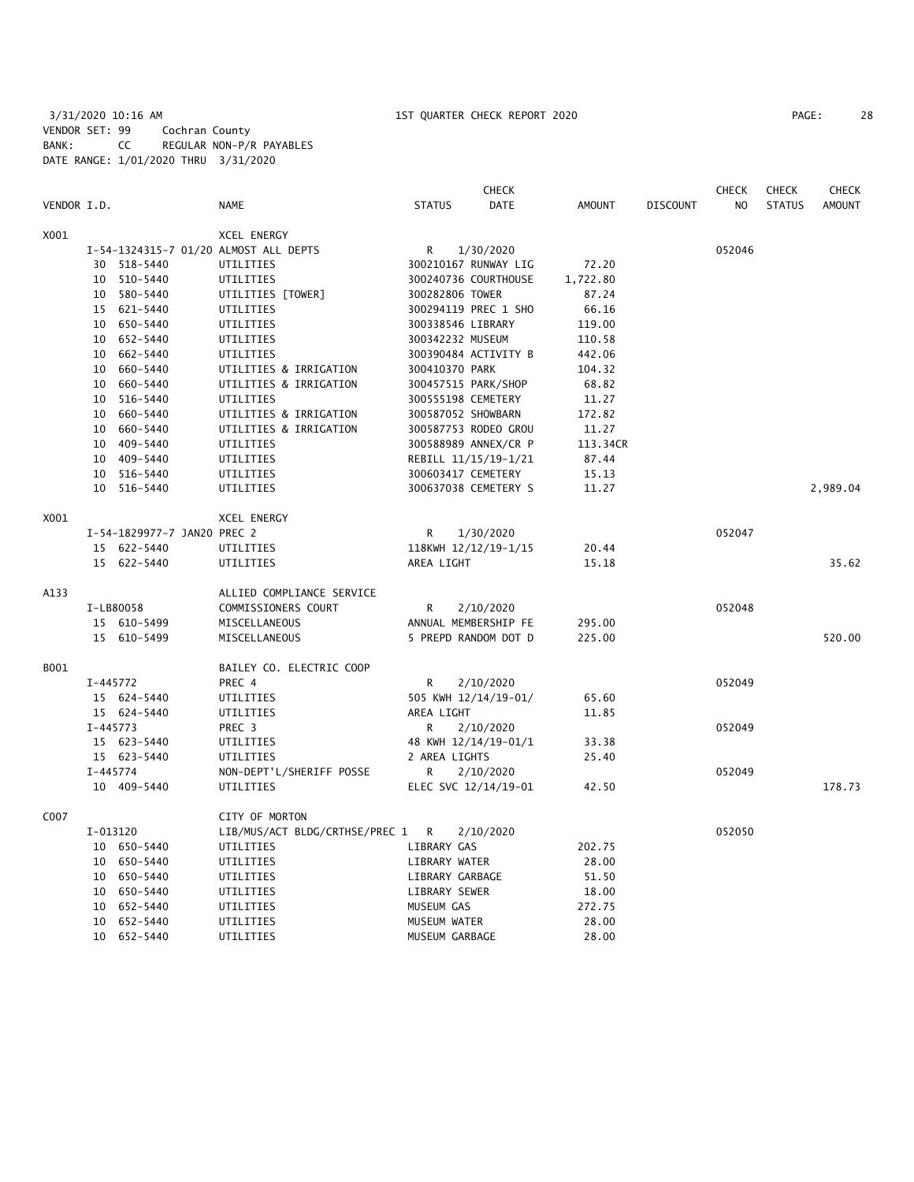3/31/2020 10:16 AM 1ST QUARTER CHECK REPORT 2020 PAGE: 28 VENDOR SET: 99 Cochran County BANK: CC REGULAR NON-P/R PAYABLES DATE RANGE: 1/01/2020 THRU 3/31/2020

|             |              |                             |                                       |                    | <b>CHECK</b>         |               |                 | <b>CHECK</b> | <b>CHECK</b>  | <b>CHECK</b>  |
|-------------|--------------|-----------------------------|---------------------------------------|--------------------|----------------------|---------------|-----------------|--------------|---------------|---------------|
| VENDOR I.D. |              |                             | <b>NAME</b>                           | <b>STATUS</b>      | <b>DATE</b>          | <b>AMOUNT</b> | <b>DISCOUNT</b> | NO           | <b>STATUS</b> | <b>AMOUNT</b> |
| X001        |              |                             | <b>XCEL ENERGY</b>                    |                    |                      |               |                 |              |               |               |
|             |              |                             | I-54-1324315-7 01/20 ALMOST ALL DEPTS | R                  | 1/30/2020            |               |                 | 052046       |               |               |
|             |              | 30 518-5440                 | UTILITIES                             |                    | 300210167 RUNWAY LIG | 72.20         |                 |              |               |               |
|             |              | 10 510-5440                 | UTILITIES                             |                    | 300240736 COURTHOUSE | 1,722.80      |                 |              |               |               |
|             |              | 10 580-5440                 | UTILITIES [TOWER]                     | 300282806 TOWER    |                      | 87.24         |                 |              |               |               |
|             |              | 15 621-5440                 | UTILITIES                             |                    | 300294119 PREC 1 SHO | 66.16         |                 |              |               |               |
|             |              | 10 650-5440                 | UTILITIES                             | 300338546 LIBRARY  |                      | 119.00        |                 |              |               |               |
|             |              | 10 652-5440                 | UTILITIES                             | 300342232 MUSEUM   |                      | 110.58        |                 |              |               |               |
|             |              | 10 662-5440                 | UTILITIES                             |                    | 300390484 ACTIVITY B | 442.06        |                 |              |               |               |
|             |              | 10 660-5440                 | UTILITIES & IRRIGATION                | 300410370 PARK     |                      | 104.32        |                 |              |               |               |
|             |              | 10 660-5440                 | UTILITIES & IRRIGATION                |                    | 300457515 PARK/SHOP  | 68.82         |                 |              |               |               |
|             |              | 10 516-5440                 | UTILITIES                             | 300555198 CEMETERY |                      | 11.27         |                 |              |               |               |
|             |              | 10 660-5440                 | UTILITIES & IRRIGATION                | 300587052 SHOWBARN |                      | 172.82        |                 |              |               |               |
|             |              | 10 660-5440                 | UTILITIES & IRRIGATION                |                    | 300587753 RODEO GROU | 11.27         |                 |              |               |               |
|             |              | 10 409-5440                 | UTILITIES                             |                    | 300588989 ANNEX/CR P | 113.34CR      |                 |              |               |               |
|             |              | 10 409-5440                 | UTILITIES                             |                    | REBILL 11/15/19-1/21 | 87.44         |                 |              |               |               |
|             |              | 10 516-5440                 | UTILITIES                             | 300603417 CEMETERY |                      | 15.13         |                 |              |               |               |
|             |              | 10 516-5440                 | UTILITIES                             |                    | 300637038 CEMETERY S | 11.27         |                 |              |               | 2,989.04      |
| X001        |              |                             | XCEL ENERGY                           |                    |                      |               |                 |              |               |               |
|             |              | I-54-1829977-7 JAN20 PREC 2 |                                       | R                  | 1/30/2020            |               |                 | 052047       |               |               |
|             |              | 15 622-5440                 | UTILITIES                             |                    | 118KWH 12/12/19-1/15 | 20.44         |                 |              |               |               |
|             |              | 15 622-5440                 | UTILITIES                             | AREA LIGHT         |                      | 15.18         |                 |              |               | 35.62         |
| A133        |              |                             | ALLIED COMPLIANCE SERVICE             |                    |                      |               |                 |              |               |               |
|             |              | I-LB80058                   | COMMISSIONERS COURT                   | R                  | 2/10/2020            |               |                 | 052048       |               |               |
|             |              | 15 610-5499                 | MISCELLANEOUS                         |                    | ANNUAL MEMBERSHIP FE | 295.00        |                 |              |               |               |
|             |              | 15 610-5499                 | MISCELLANEOUS                         |                    | 5 PREPD RANDOM DOT D | 225.00        |                 |              |               | 520.00        |
| B001        |              |                             | BAILEY CO. ELECTRIC COOP              |                    |                      |               |                 |              |               |               |
|             | I-445772     |                             | PREC 4                                | R                  | 2/10/2020            |               |                 | 052049       |               |               |
|             |              | 15 624-5440                 | UTILITIES                             |                    | 505 KWH 12/14/19-01/ | 65.60         |                 |              |               |               |
|             |              | 15 624-5440                 | UTILITIES                             | AREA LIGHT         |                      | 11.85         |                 |              |               |               |
|             | $I-445773$   |                             | PREC <sub>3</sub>                     | R                  | 2/10/2020            |               |                 | 052049       |               |               |
|             |              | 15 623-5440                 | UTILITIES                             |                    | 48 KWH 12/14/19-01/1 | 33.38         |                 |              |               |               |
|             |              | 15 623-5440                 | UTILITIES                             | 2 AREA LIGHTS      |                      | 25.40         |                 |              |               |               |
|             | $I - 445774$ |                             | NON-DEPT'L/SHERIFF POSSE              | R                  | 2/10/2020            |               |                 | 052049       |               |               |
|             |              | 10 409-5440                 | UTILITIES                             |                    | ELEC SVC 12/14/19-01 | 42.50         |                 |              |               | 178.73        |
| C007        |              |                             | CITY OF MORTON                        |                    |                      |               |                 |              |               |               |
|             | I-013120     |                             | LIB/MUS/ACT BLDG/CRTHSE/PREC 1        | R                  | 2/10/2020            |               |                 | 052050       |               |               |
|             |              | 10 650-5440                 | UTILITIES                             | LIBRARY GAS        |                      | 202.75        |                 |              |               |               |
|             |              | 10 650-5440                 | UTILITIES                             | LIBRARY WATER      |                      | 28.00         |                 |              |               |               |
|             |              | 10 650-5440                 | UTILITIES                             | LIBRARY GARBAGE    |                      | 51.50         |                 |              |               |               |
|             |              | 10 650-5440                 | UTILITIES                             | LIBRARY SEWER      |                      | 18.00         |                 |              |               |               |
|             |              | 10 652-5440                 | UTILITIES                             | MUSEUM GAS         |                      | 272.75        |                 |              |               |               |
|             |              | 10 652-5440                 | UTILITIES                             | MUSEUM WATER       |                      | 28.00         |                 |              |               |               |
|             |              | 10 652-5440                 | UTILITIES                             | MUSEUM GARBAGE     |                      | 28.00         |                 |              |               |               |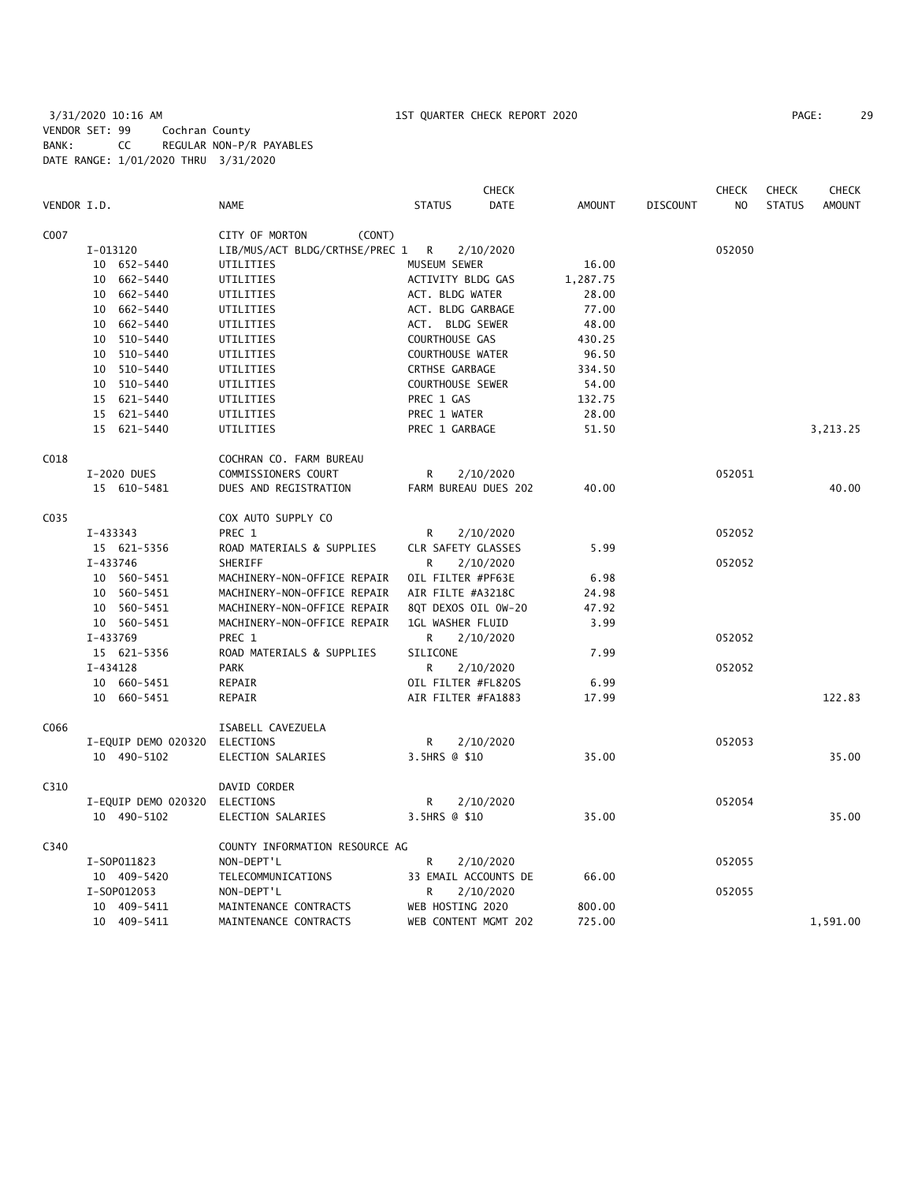# 3/31/2020 10:16 AM 1ST QUARTER CHECK REPORT 2020 PAGE: 29 VENDOR SET: 99 Cochran County BANK: CC REGULAR NON-P/R PAYABLES DATE RANGE: 1/01/2020 THRU 3/31/2020

|             |                     |                                |                       | <b>CHECK</b> |               |                 | <b>CHECK</b>   | <b>CHECK</b>  | <b>CHECK</b>  |
|-------------|---------------------|--------------------------------|-----------------------|--------------|---------------|-----------------|----------------|---------------|---------------|
| VENDOR I.D. |                     | <b>NAME</b>                    | <b>STATUS</b>         | <b>DATE</b>  | <b>AMOUNT</b> | <b>DISCOUNT</b> | N <sub>O</sub> | <b>STATUS</b> | <b>AMOUNT</b> |
| C007        |                     | CITY OF MORTON<br>(CONT)       |                       |              |               |                 |                |               |               |
|             | I-013120            | LIB/MUS/ACT BLDG/CRTHSE/PREC 1 | $\overline{R}$        | 2/10/2020    |               |                 | 052050         |               |               |
|             | 10 652-5440         | UTILITIES                      | MUSEUM SEWER          |              | 16.00         |                 |                |               |               |
|             | 662-5440<br>10      | UTILITIES                      | ACTIVITY BLDG GAS     |              | 1,287.75      |                 |                |               |               |
|             | 662-5440<br>10      | UTILITIES                      | ACT. BLDG WATER       |              | 28.00         |                 |                |               |               |
|             | 662-5440<br>10      | UTILITIES                      | ACT. BLDG GARBAGE     |              | 77.00         |                 |                |               |               |
|             | 662-5440<br>10      | UTILITIES                      | ACT. BLDG SEWER       |              | 48.00         |                 |                |               |               |
|             | 510-5440<br>10      | UTILITIES                      | COURTHOUSE GAS        |              | 430.25        |                 |                |               |               |
|             | 10<br>510-5440      | UTILITIES                      | COURTHOUSE WATER      |              | 96.50         |                 |                |               |               |
|             | 510-5440<br>10      | UTILITIES                      | <b>CRTHSE GARBAGE</b> |              | 334.50        |                 |                |               |               |
|             | 10 510-5440         | UTILITIES                      | COURTHOUSE SEWER      |              | 54.00         |                 |                |               |               |
|             | 15 621-5440         | UTILITIES                      | PREC 1 GAS            |              | 132.75        |                 |                |               |               |
|             | 15 621-5440         | UTILITIES                      | PREC 1 WATER          |              | 28.00         |                 |                |               |               |
|             | 15 621-5440         | UTILITIES                      | PREC 1 GARBAGE        |              | 51.50         |                 |                |               | 3,213.25      |
| C018        |                     | COCHRAN CO. FARM BUREAU        |                       |              |               |                 |                |               |               |
|             | I-2020 DUES         | COMMISSIONERS COURT            | R                     | 2/10/2020    |               |                 | 052051         |               |               |
|             | 15 610-5481         | DUES AND REGISTRATION          | FARM BUREAU DUES 202  |              | 40.00         |                 |                |               | 40.00         |
| C035        |                     | COX AUTO SUPPLY CO             |                       |              |               |                 |                |               |               |
|             | I-433343            | PREC 1                         | R                     | 2/10/2020    |               |                 | 052052         |               |               |
|             | 15 621-5356         | ROAD MATERIALS & SUPPLIES      | CLR SAFETY GLASSES    |              | 5.99          |                 |                |               |               |
|             | I-433746            | SHERIFF                        | R                     | 2/10/2020    |               |                 | 052052         |               |               |
|             | 10 560-5451         | MACHINERY-NON-OFFICE REPAIR    | OIL FILTER #PF63E     |              | 6.98          |                 |                |               |               |
|             | 10 560-5451         | MACHINERY-NON-OFFICE REPAIR    | AIR FILTE #A3218C     |              | 24.98         |                 |                |               |               |
|             | 10 560-5451         | MACHINERY-NON-OFFICE REPAIR    | 8QT DEXOS OIL OW-20   |              | 47.92         |                 |                |               |               |
|             | 10 560-5451         | MACHINERY-NON-OFFICE REPAIR    | 1GL WASHER FLUID      |              | 3.99          |                 |                |               |               |
|             | I-433769            | PREC 1                         | R                     | 2/10/2020    |               |                 | 052052         |               |               |
|             | 15 621-5356         | ROAD MATERIALS & SUPPLIES      | SILICONE              |              | 7.99          |                 |                |               |               |
|             | $I-434128$          | <b>PARK</b>                    | R                     | 2/10/2020    |               |                 | 052052         |               |               |
|             | 10 660-5451         | REPAIR                         | OIL FILTER #FL820S    |              | 6.99          |                 |                |               |               |
|             | 10 660-5451         | REPAIR                         | AIR FILTER #FA1883    |              | 17.99         |                 |                |               | 122.83        |
| C066        |                     | ISABELL CAVEZUELA              |                       |              |               |                 |                |               |               |
|             | I-EQUIP DEMO 020320 | ELECTIONS                      | R                     | 2/10/2020    |               |                 | 052053         |               |               |
|             | 10 490-5102         | ELECTION SALARIES              | 3.5HRS @ \$10         |              | 35.00         |                 |                |               | 35.00         |
| C310        |                     | DAVID CORDER                   |                       |              |               |                 |                |               |               |
|             | I-EQUIP DEMO 020320 | ELECTIONS                      | R                     | 2/10/2020    |               |                 | 052054         |               |               |
|             | 10 490-5102         | ELECTION SALARIES              | 3.5HRS @ \$10         |              | 35.00         |                 |                |               | 35.00         |
| C340        |                     | COUNTY INFORMATION RESOURCE AG |                       |              |               |                 |                |               |               |
|             | I-S0P011823         | NON-DEPT'L                     | R                     | 2/10/2020    |               |                 | 052055         |               |               |
|             | 10 409-5420         | TELECOMMUNICATIONS             | 33 EMAIL ACCOUNTS DE  |              | 66.00         |                 |                |               |               |
|             | I-S0P012053         | NON-DEPT'L                     | R                     | 2/10/2020    |               |                 | 052055         |               |               |
|             | 10 409-5411         | MAINTENANCE CONTRACTS          | WEB HOSTING 2020      |              | 800.00        |                 |                |               |               |
|             | 10 409-5411         | MAINTENANCE CONTRACTS          | WEB CONTENT MGMT 202  |              | 725.00        |                 |                |               | 1,591.00      |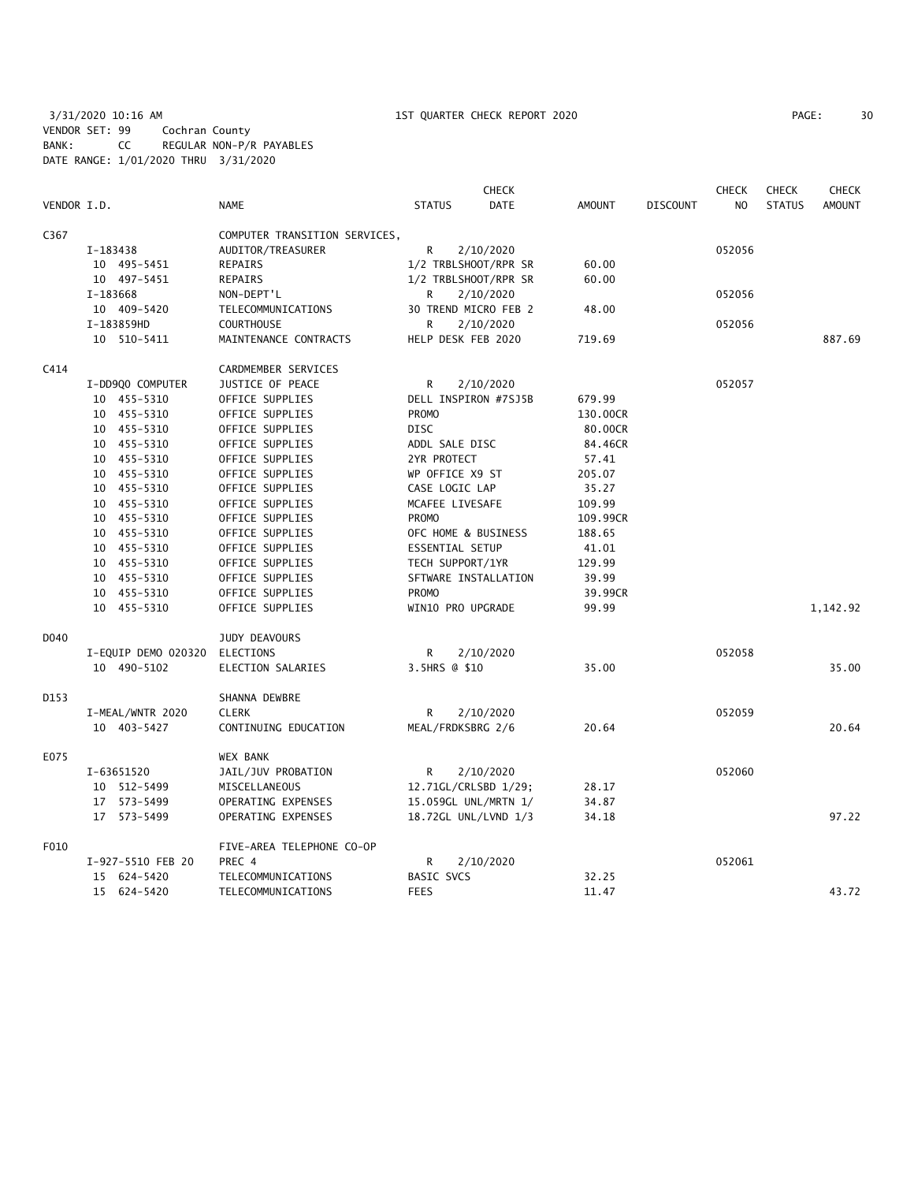3/31/2020 10:16 AM 1ST QUARTER CHECK REPORT 2020 PAGE: 30 VENDOR SET: 99 Cochran County BANK: CC REGULAR NON-P/R PAYABLES DATE RANGE: 1/01/2020 THRU 3/31/2020

| PAGE: | 30 |
|-------|----|
|       |    |

|             |          |                     |                               |                      | CHECK       |               |                 | <b>CHECK</b>   | <b>CHECK</b>  | <b>CHECK</b>  |
|-------------|----------|---------------------|-------------------------------|----------------------|-------------|---------------|-----------------|----------------|---------------|---------------|
| VENDOR I.D. |          |                     | <b>NAME</b>                   | <b>STATUS</b>        | <b>DATE</b> | <b>AMOUNT</b> | <b>DISCOUNT</b> | N <sub>O</sub> | <b>STATUS</b> | <b>AMOUNT</b> |
| C367        |          |                     | COMPUTER TRANSITION SERVICES, |                      |             |               |                 |                |               |               |
|             | I-183438 |                     | AUDITOR/TREASURER             | R                    | 2/10/2020   |               |                 | 052056         |               |               |
|             |          | 10 495-5451         | <b>REPAIRS</b>                | 1/2 TRBLSHOOT/RPR SR |             | 60.00         |                 |                |               |               |
|             |          | 10 497-5451         | REPAIRS                       | 1/2 TRBLSHOOT/RPR SR |             | 60.00         |                 |                |               |               |
|             | I-183668 |                     | NON-DEPT'L                    | R                    | 2/10/2020   |               |                 | 052056         |               |               |
|             |          | 10 409-5420         | TELECOMMUNICATIONS            | 30 TREND MICRO FEB 2 |             | 48.00         |                 |                |               |               |
|             |          | I-183859HD          | <b>COURTHOUSE</b>             | R                    | 2/10/2020   |               |                 | 052056         |               |               |
|             |          | 10 510-5411         | MAINTENANCE CONTRACTS         | HELP DESK FEB 2020   |             | 719.69        |                 |                |               | 887.69        |
| C414        |          |                     | CARDMEMBER SERVICES           |                      |             |               |                 |                |               |               |
|             |          | I-DD9Q0 COMPUTER    | JUSTICE OF PEACE              | R                    | 2/10/2020   |               |                 | 052057         |               |               |
|             |          | 10 455-5310         | OFFICE SUPPLIES               | DELL INSPIRON #7SJ5B |             | 679.99        |                 |                |               |               |
|             |          | 10 455-5310         | OFFICE SUPPLIES               | <b>PROMO</b>         |             | 130.00CR      |                 |                |               |               |
|             |          | 10 455-5310         | OFFICE SUPPLIES               | DISC                 |             | 80.00CR       |                 |                |               |               |
|             |          | 10 455-5310         | OFFICE SUPPLIES               | ADDL SALE DISC       |             | 84.46CR       |                 |                |               |               |
|             |          | 10 455-5310         | OFFICE SUPPLIES               | 2YR PROTECT          |             | 57.41         |                 |                |               |               |
|             |          | 10 455-5310         | OFFICE SUPPLIES               | WP OFFICE X9 ST      |             | 205.07        |                 |                |               |               |
|             |          | 10 455-5310         | OFFICE SUPPLIES               | CASE LOGIC LAP       |             | 35.27         |                 |                |               |               |
|             |          | 10 455-5310         | OFFICE SUPPLIES               | MCAFEE LIVESAFE      |             | 109.99        |                 |                |               |               |
|             |          | 10 455-5310         | OFFICE SUPPLIES               | <b>PROMO</b>         |             | 109.99CR      |                 |                |               |               |
|             |          | 10 455-5310         | OFFICE SUPPLIES               | OFC HOME & BUSINESS  |             | 188.65        |                 |                |               |               |
|             |          | 10 455-5310         | OFFICE SUPPLIES               | ESSENTIAL SETUP      |             | 41.01         |                 |                |               |               |
|             |          | 10 455-5310         | OFFICE SUPPLIES               | TECH SUPPORT/1YR     |             | 129.99        |                 |                |               |               |
|             |          | 10 455-5310         | OFFICE SUPPLIES               | SFTWARE INSTALLATION |             | 39.99         |                 |                |               |               |
|             |          | 10 455-5310         | OFFICE SUPPLIES               | <b>PROMO</b>         |             | 39.99CR       |                 |                |               |               |
|             |          | 10 455-5310         | OFFICE SUPPLIES               | WIN10 PRO UPGRADE    |             | 99.99         |                 |                |               | 1,142.92      |
|             |          |                     |                               |                      |             |               |                 |                |               |               |
| D040        |          |                     | JUDY DEAVOURS                 |                      |             |               |                 |                |               |               |
|             |          | I-EQUIP DEMO 020320 | ELECTIONS                     | R                    | 2/10/2020   |               |                 | 052058         |               |               |
|             |          | 10 490-5102         | ELECTION SALARIES             | 3.5HRS @ \$10        |             | 35.00         |                 |                |               | 35.00         |
| D153        |          |                     | SHANNA DEWBRE                 |                      |             |               |                 |                |               |               |
|             |          | I-MEAL/WNTR 2020    | <b>CLERK</b>                  | R                    | 2/10/2020   |               |                 | 052059         |               |               |
|             |          | 10 403-5427         | CONTINUING EDUCATION          | MEAL/FRDKSBRG 2/6    |             | 20.64         |                 |                |               | 20.64         |
| E075        |          |                     | WEX BANK                      |                      |             |               |                 |                |               |               |
|             |          | I-63651520          | JAIL/JUV PROBATION            | R                    | 2/10/2020   |               |                 | 052060         |               |               |
|             |          | 10 512-5499         | MISCELLANEOUS                 | 12.71GL/CRLSBD 1/29; |             | 28.17         |                 |                |               |               |
|             |          | 17 573-5499         | OPERATING EXPENSES            | 15.059GL UNL/MRTN 1/ |             | 34.87         |                 |                |               |               |
|             |          | 17 573-5499         | OPERATING EXPENSES            | 18.72GL UNL/LVND 1/3 |             | 34.18         |                 |                |               | 97.22         |
| F010        |          |                     | FIVE-AREA TELEPHONE CO-OP     |                      |             |               |                 |                |               |               |
|             |          | I-927-5510 FEB 20   | PREC 4                        | R                    | 2/10/2020   |               |                 | 052061         |               |               |
|             |          | 15 624-5420         | TELECOMMUNICATIONS            | <b>BASIC SVCS</b>    |             | 32.25         |                 |                |               |               |
|             |          | 15 624-5420         | TELECOMMUNICATIONS            | <b>FEES</b>          |             | 11.47         |                 |                |               | 43.72         |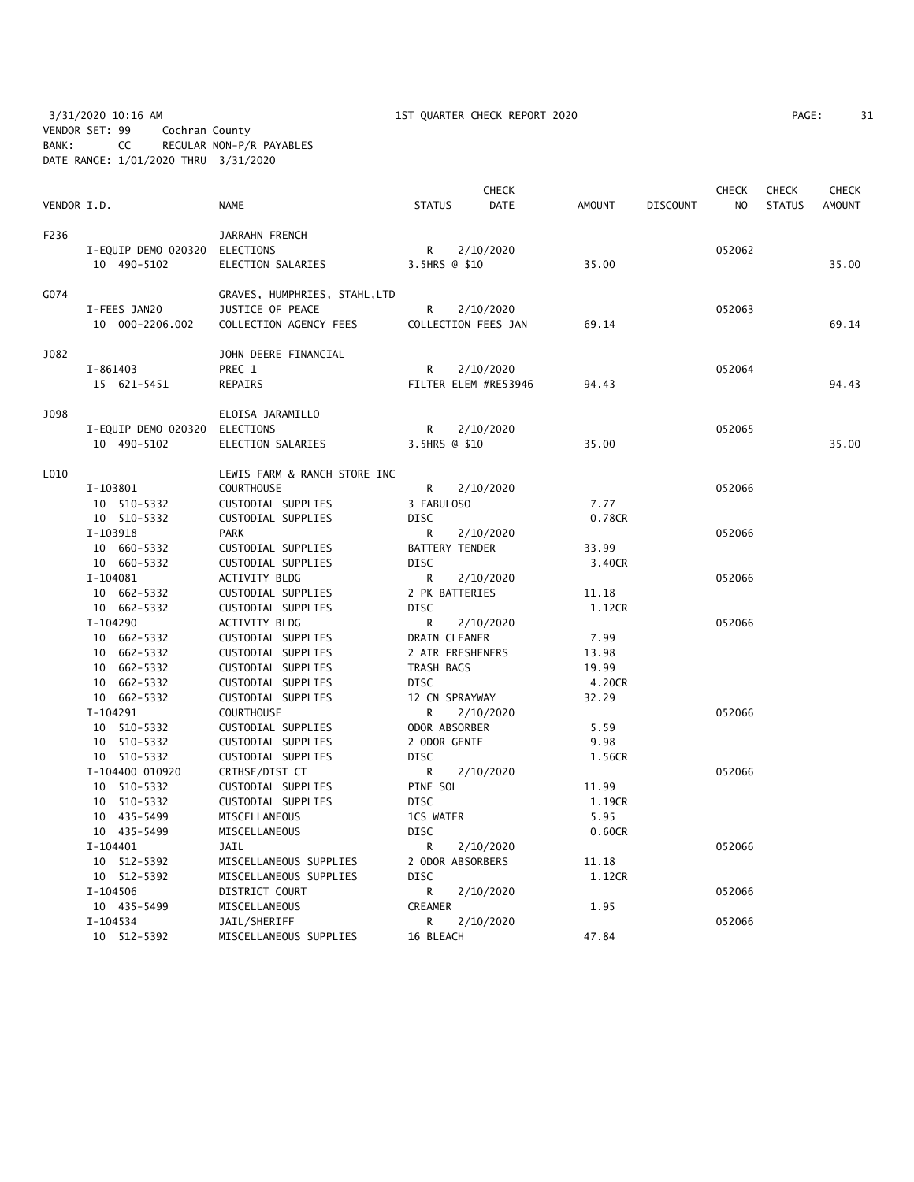3/31/2020 10:16 AM 1ST QUARTER CHECK REPORT 2020 PAGE: 31 VENDOR SET: 99 Cochran County BANK: CC REGULAR NON-P/R PAYABLES DATE RANGE: 1/01/2020 THRU 3/31/2020

| PAGE: | 31 |  |
|-------|----|--|
|       |    |  |

| VENDOR I.D. |                               | <b>NAME</b>                                       | <b>STATUS</b>             | <b>CHECK</b><br><b>DATE</b> | <b>AMOUNT</b> | <b>DISCOUNT</b> | <b>CHECK</b><br>N <sub>O</sub> | <b>CHECK</b><br><b>STATUS</b> | CHECK<br><b>AMOUNT</b> |
|-------------|-------------------------------|---------------------------------------------------|---------------------------|-----------------------------|---------------|-----------------|--------------------------------|-------------------------------|------------------------|
|             |                               |                                                   |                           |                             |               |                 |                                |                               |                        |
| F236        |                               | JARRAHN FRENCH                                    |                           |                             |               |                 |                                |                               |                        |
|             | I-EQUIP DEMO 020320 ELECTIONS |                                                   | R                         | 2/10/2020                   |               |                 | 052062                         |                               |                        |
|             | 10 490-5102                   | ELECTION SALARIES                                 | 3.5HRS @ \$10             |                             | 35.00         |                 |                                |                               | 35.00                  |
| G074        |                               | GRAVES, HUMPHRIES, STAHL, LTD                     |                           |                             |               |                 |                                |                               |                        |
|             | I-FEES JAN20                  | JUSTICE OF PEACE                                  | R                         | 2/10/2020                   |               |                 | 052063                         |                               |                        |
|             | 10 000-2206.002               | COLLECTION AGENCY FEES                            | COLLECTION FEES JAN       |                             | 69.14         |                 |                                |                               | 69.14                  |
| J082        |                               | JOHN DEERE FINANCIAL                              |                           |                             |               |                 |                                |                               |                        |
|             | I-861403                      | PREC 1                                            | R                         | 2/10/2020                   |               |                 | 052064                         |                               |                        |
|             | 15 621-5451                   | REPAIRS                                           |                           | FILTER ELEM #RE53946        | 94.43         |                 |                                |                               | 94.43                  |
| J098        |                               | ELOISA JARAMILLO                                  |                           |                             |               |                 |                                |                               |                        |
|             | I-EQUIP DEMO 020320           | ELECTIONS                                         | R                         | 2/10/2020                   |               |                 | 052065                         |                               |                        |
|             | 10 490-5102                   | ELECTION SALARIES                                 | 3.5HRS @ \$10             |                             | 35.00         |                 |                                |                               | 35.00                  |
| L010        |                               |                                                   |                           |                             |               |                 |                                |                               |                        |
|             | I-103801                      | LEWIS FARM & RANCH STORE INC<br><b>COURTHOUSE</b> | R                         |                             |               |                 | 052066                         |                               |                        |
|             |                               |                                                   |                           | 2/10/2020                   | 7.77          |                 |                                |                               |                        |
|             | 10 510-5332<br>10 510-5332    | CUSTODIAL SUPPLIES<br>CUSTODIAL SUPPLIES          | 3 FABULOSO<br><b>DISC</b> |                             | 0.78CR        |                 |                                |                               |                        |
|             | I-103918                      | <b>PARK</b>                                       | R                         | 2/10/2020                   |               |                 | 052066                         |                               |                        |
|             | 10 660-5332                   | CUSTODIAL SUPPLIES                                | <b>BATTERY TENDER</b>     |                             | 33.99         |                 |                                |                               |                        |
|             | 10 660-5332                   | CUSTODIAL SUPPLIES                                | <b>DISC</b>               |                             | 3.40CR        |                 |                                |                               |                        |
|             | I-104081                      | ACTIVITY BLDG                                     | R                         | 2/10/2020                   |               |                 | 052066                         |                               |                        |
|             | 10 662-5332                   | CUSTODIAL SUPPLIES                                | 2 PK BATTERIES            |                             | 11.18         |                 |                                |                               |                        |
|             | 10 662-5332                   | CUSTODIAL SUPPLIES                                | <b>DISC</b>               |                             | 1.12CR        |                 |                                |                               |                        |
|             | I-104290                      | ACTIVITY BLDG                                     | R                         | 2/10/2020                   |               |                 | 052066                         |                               |                        |
|             | 10 662-5332                   | CUSTODIAL SUPPLIES                                | DRAIN CLEANER             |                             | 7.99          |                 |                                |                               |                        |
|             | 10 662-5332                   | CUSTODIAL SUPPLIES                                | 2 AIR FRESHENERS          |                             | 13.98         |                 |                                |                               |                        |
|             | 10 662-5332                   | CUSTODIAL SUPPLIES                                | TRASH BAGS                |                             | 19.99         |                 |                                |                               |                        |
|             | 10 662-5332                   | CUSTODIAL SUPPLIES                                | <b>DISC</b>               |                             | 4.20CR        |                 |                                |                               |                        |
|             | 10 662-5332                   | CUSTODIAL SUPPLIES                                | 12 CN SPRAYWAY            |                             | 32.29         |                 |                                |                               |                        |
|             | I-104291                      | <b>COURTHOUSE</b>                                 | R                         | 2/10/2020                   |               |                 | 052066                         |                               |                        |
|             | 10 510-5332                   | CUSTODIAL SUPPLIES                                | ODOR ABSORBER             |                             | 5.59          |                 |                                |                               |                        |
|             | 10 510-5332                   | CUSTODIAL SUPPLIES                                | 2 ODOR GENIE              |                             | 9.98          |                 |                                |                               |                        |
|             | 10 510-5332                   | CUSTODIAL SUPPLIES                                | <b>DISC</b>               |                             | 1.56CR        |                 |                                |                               |                        |
|             | I-104400 010920               | CRTHSE/DIST CT                                    | R                         | 2/10/2020                   |               |                 | 052066                         |                               |                        |
|             | 10 510-5332                   | CUSTODIAL SUPPLIES                                | PINE SOL                  |                             | 11.99         |                 |                                |                               |                        |
|             | 10 510-5332                   | CUSTODIAL SUPPLIES                                | <b>DISC</b>               |                             | 1.19CR        |                 |                                |                               |                        |
|             | 10 435-5499                   | MISCELLANEOUS                                     | 1CS WATER                 |                             | 5.95          |                 |                                |                               |                        |
|             | 10 435-5499                   | MISCELLANEOUS                                     | DISC                      |                             | 0.60CR        |                 |                                |                               |                        |
|             | $I-104401$                    | <b>JAIL</b>                                       | R                         | 2/10/2020                   |               |                 | 052066                         |                               |                        |
|             | 10 512-5392                   | MISCELLANEOUS SUPPLIES                            | 2 ODOR ABSORBERS          |                             | 11.18         |                 |                                |                               |                        |
|             | 10 512-5392                   | MISCELLANEOUS SUPPLIES                            | <b>DISC</b>               |                             | 1.12CR        |                 |                                |                               |                        |
|             | I-104506                      | DISTRICT COURT                                    | R                         | 2/10/2020                   |               |                 | 052066                         |                               |                        |
|             | 10 435-5499                   | MISCELLANEOUS                                     | CREAMER                   |                             | 1.95          |                 |                                |                               |                        |
|             | $I - 104534$                  | JAIL/SHERIFF                                      | R                         | 2/10/2020                   |               |                 | 052066                         |                               |                        |
|             | 10 512-5392                   | MISCELLANEOUS SUPPLIES                            | 16 BLEACH                 |                             | 47.84         |                 |                                |                               |                        |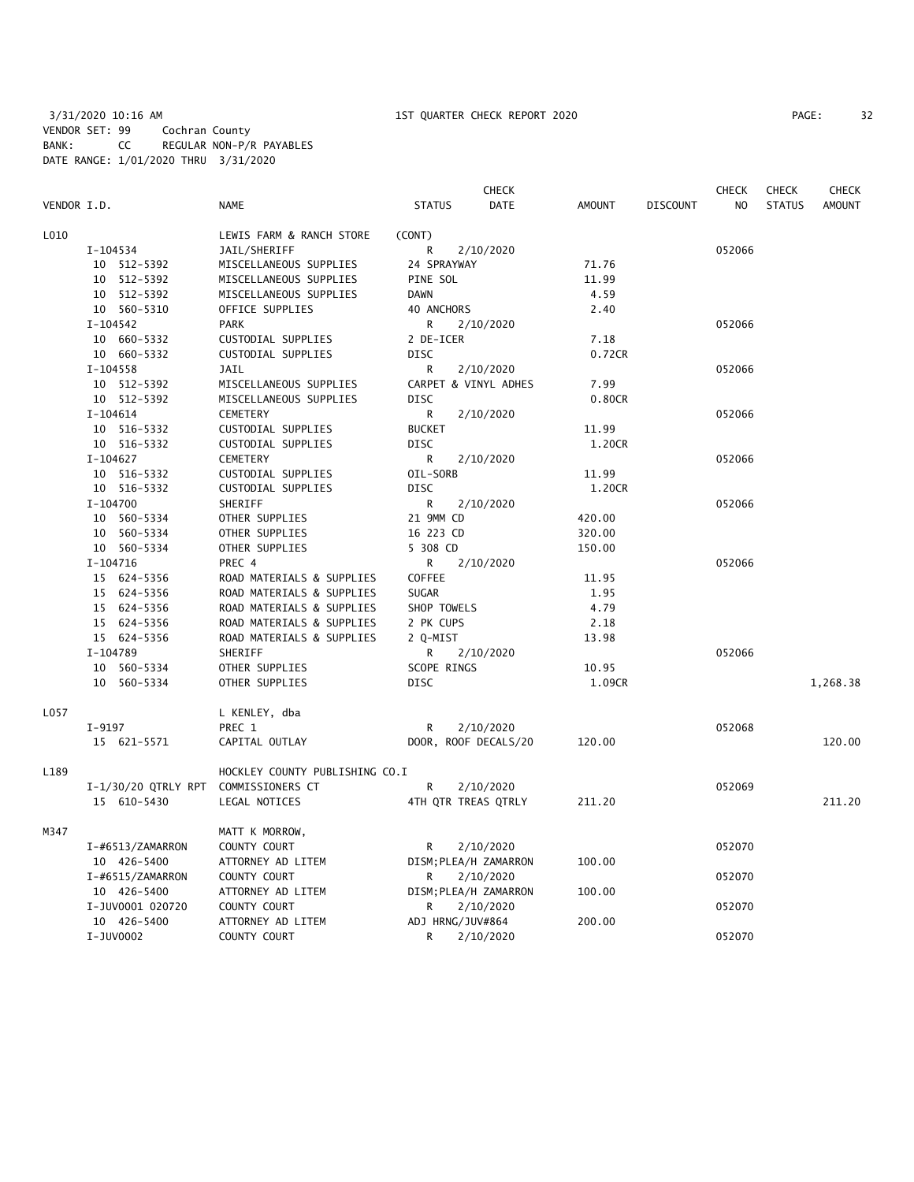|             |                       |                                |                       | <b>CHECK</b> |               |                 | <b>CHECK</b>   | <b>CHECK</b>  | <b>CHECK</b>  |
|-------------|-----------------------|--------------------------------|-----------------------|--------------|---------------|-----------------|----------------|---------------|---------------|
| VENDOR I.D. |                       | <b>NAME</b>                    | <b>STATUS</b>         | <b>DATE</b>  | <b>AMOUNT</b> | <b>DISCOUNT</b> | N <sub>O</sub> | <b>STATUS</b> | <b>AMOUNT</b> |
| L010        |                       | LEWIS FARM & RANCH STORE       | (CONT)                |              |               |                 |                |               |               |
|             | I-104534              | JAIL/SHERIFF                   | R                     | 2/10/2020    |               |                 | 052066         |               |               |
|             | 10 512-5392           | MISCELLANEOUS SUPPLIES         | 24 SPRAYWAY           |              | 71.76         |                 |                |               |               |
|             | 10 512-5392           | MISCELLANEOUS SUPPLIES         | PINE SOL              |              | 11.99         |                 |                |               |               |
|             | 10 512-5392           | MISCELLANEOUS SUPPLIES         | <b>DAWN</b>           |              | 4.59          |                 |                |               |               |
|             | 10 560-5310           | OFFICE SUPPLIES                | 40 ANCHORS            |              | 2.40          |                 |                |               |               |
|             | I-104542              | <b>PARK</b>                    | R                     | 2/10/2020    |               |                 | 052066         |               |               |
|             | 10 660-5332           | CUSTODIAL SUPPLIES             | 2 DE-ICER             |              | 7.18          |                 |                |               |               |
|             | 10 660-5332           | CUSTODIAL SUPPLIES             | <b>DISC</b>           |              | 0.72CR        |                 |                |               |               |
|             | I-104558              | JAIL                           | R                     | 2/10/2020    |               |                 | 052066         |               |               |
|             | 10 512-5392           | MISCELLANEOUS SUPPLIES         | CARPET & VINYL ADHES  |              | 7.99          |                 |                |               |               |
|             | 10 512-5392           | MISCELLANEOUS SUPPLIES         | <b>DISC</b>           |              | 0.80CR        |                 |                |               |               |
|             | $I - 104614$          | CEMETERY                       | R                     | 2/10/2020    |               |                 | 052066         |               |               |
|             | 10 516-5332           | CUSTODIAL SUPPLIES             | <b>BUCKET</b>         |              | 11.99         |                 |                |               |               |
|             | 10 516-5332           | CUSTODIAL SUPPLIES             | <b>DISC</b>           |              | 1.20CR        |                 |                |               |               |
|             | $I-104627$            | <b>CEMETERY</b>                | R                     | 2/10/2020    |               |                 | 052066         |               |               |
|             | 10 516-5332           | CUSTODIAL SUPPLIES             | OIL-SORB              |              | 11.99         |                 |                |               |               |
|             | 10 516-5332           | CUSTODIAL SUPPLIES             | <b>DISC</b>           |              | 1.20CR        |                 |                |               |               |
|             | $I-104700$            | SHERIFF                        | R.                    | 2/10/2020    |               |                 | 052066         |               |               |
|             | 10 560-5334           | OTHER SUPPLIES                 | 21 9MM CD             |              | 420.00        |                 |                |               |               |
|             | 10 560-5334           | OTHER SUPPLIES                 | 16 223 CD             |              | 320.00        |                 |                |               |               |
|             | 10 560-5334           | OTHER SUPPLIES                 | 5 308 CD              |              | 150.00        |                 |                |               |               |
|             | I-104716              | PREC 4                         | R.                    | 2/10/2020    |               |                 | 052066         |               |               |
|             | 15 624-5356           | ROAD MATERIALS & SUPPLIES      | <b>COFFEE</b>         |              | 11.95         |                 |                |               |               |
|             | 15 624-5356           | ROAD MATERIALS & SUPPLIES      | <b>SUGAR</b>          |              | 1.95          |                 |                |               |               |
|             | 15 624-5356           | ROAD MATERIALS & SUPPLIES      | SHOP TOWELS           |              | 4.79          |                 |                |               |               |
|             | 15 624-5356           | ROAD MATERIALS & SUPPLIES      | 2 PK CUPS             |              | 2.18          |                 |                |               |               |
|             | 15 624-5356           | ROAD MATERIALS & SUPPLIES      | 2 Q-MIST              |              | 13.98         |                 |                |               |               |
|             | I-104789              | SHERIFF                        | R                     | 2/10/2020    |               |                 | 052066         |               |               |
|             | 10 560-5334           | OTHER SUPPLIES                 | SCOPE RINGS           |              | 10.95         |                 |                |               |               |
|             | 10 560-5334           | OTHER SUPPLIES                 | <b>DISC</b>           |              | 1.09CR        |                 |                |               | 1,268.38      |
| L057        |                       | L KENLEY, dba                  |                       |              |               |                 |                |               |               |
|             | $I-9197$              | PREC 1                         | R                     | 2/10/2020    |               |                 | 052068         |               |               |
|             | 15 621-5571           | CAPITAL OUTLAY                 | DOOR, ROOF DECALS/20  |              | 120.00        |                 |                |               | 120.00        |
| L189        |                       | HOCKLEY COUNTY PUBLISHING CO.I |                       |              |               |                 |                |               |               |
|             | $I-1/30/20$ QTRLY RPT | COMMISSIONERS CT               | R                     | 2/10/2020    |               |                 | 052069         |               |               |
|             | 15 610-5430           | LEGAL NOTICES                  | 4TH QTR TREAS QTRLY   |              | 211.20        |                 |                |               | 211.20        |
| M347        |                       | MATT K MORROW,                 |                       |              |               |                 |                |               |               |
|             | I-#6513/ZAMARRON      | COUNTY COURT                   | R                     | 2/10/2020    |               |                 | 052070         |               |               |
|             | 10 426-5400           | ATTORNEY AD LITEM              | DISM; PLEA/H ZAMARRON |              | 100.00        |                 |                |               |               |
|             | I-#6515/ZAMARRON      | COUNTY COURT                   | R                     | 2/10/2020    |               |                 | 052070         |               |               |
|             | 10 426-5400           | ATTORNEY AD LITEM              | DISM; PLEA/H ZAMARRON |              | 100.00        |                 |                |               |               |
|             | I-JUV0001 020720      | COUNTY COURT                   | R                     | 2/10/2020    |               |                 | 052070         |               |               |
|             | 10 426-5400           | ATTORNEY AD LITEM              | ADJ HRNG/JUV#864      |              | 200.00        |                 |                |               |               |
|             | I-JUV0002             | COUNTY COURT                   | R                     | 2/10/2020    |               |                 | 052070         |               |               |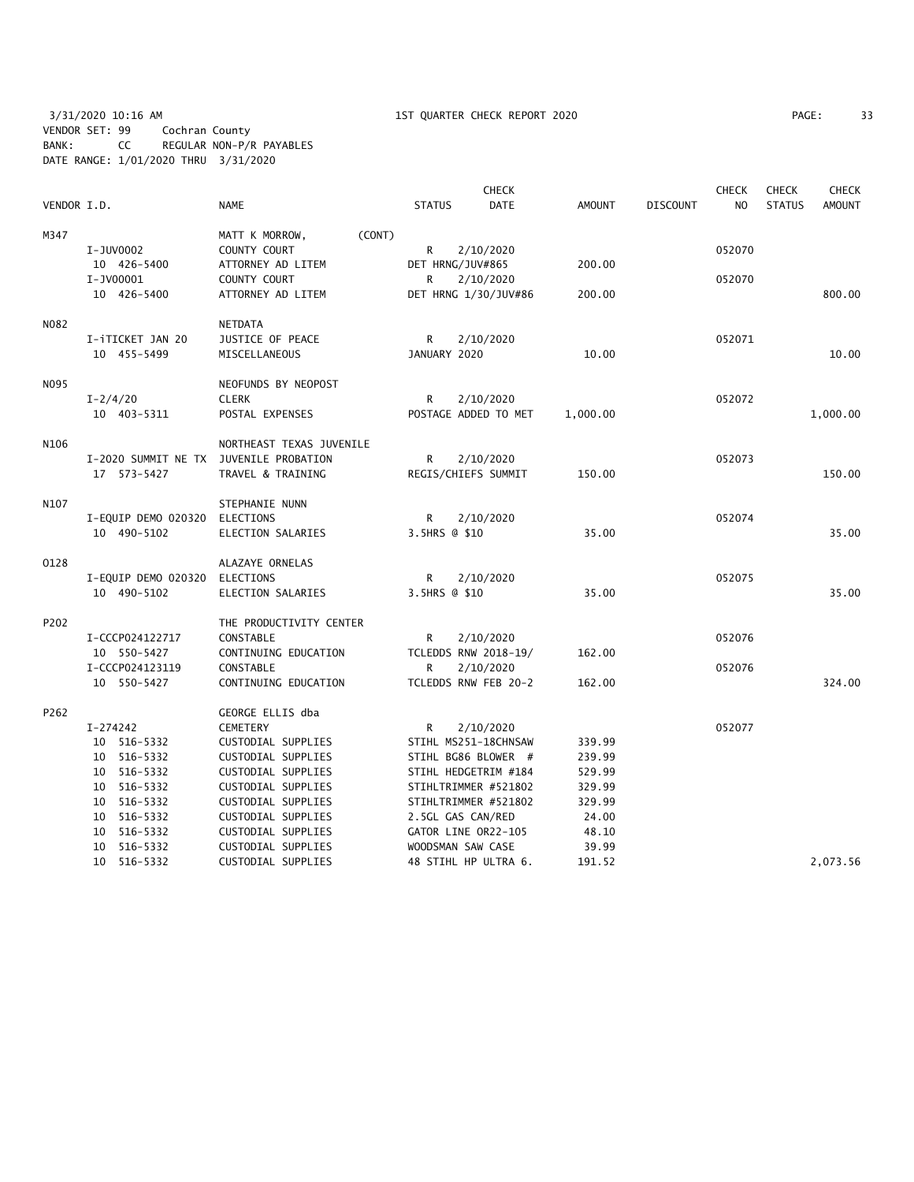3/31/2020 10:16 AM 1ST QUARTER CHECK REPORT 2020 PAGE: 33 VENDOR SET: 99 Cochran County BANK: CC REGULAR NON-P/R PAYABLES DATE RANGE: 1/01/2020 THRU 3/31/2020

|             |                                                       |                                              | <b>CHECK</b>                             |                |                 | <b>CHECK</b>   | <b>CHECK</b>  | <b>CHECK</b>  |
|-------------|-------------------------------------------------------|----------------------------------------------|------------------------------------------|----------------|-----------------|----------------|---------------|---------------|
| VENDOR I.D. |                                                       | <b>NAME</b>                                  | <b>DATE</b><br><b>STATUS</b>             | <b>AMOUNT</b>  | <b>DISCOUNT</b> | N <sub>O</sub> | <b>STATUS</b> | <b>AMOUNT</b> |
| M347        | I-JUV0002                                             | MATT K MORROW,<br>(CONT)<br>COUNTY COURT     | R<br>2/10/2020                           |                |                 | 052070         |               |               |
|             | 10 426-5400<br>I-JV00001                              | ATTORNEY AD LITEM<br>COUNTY COURT            | DET HRNG/JUV#865<br>R<br>2/10/2020       | 200.00         |                 | 052070         |               |               |
|             | 10 426-5400                                           | ATTORNEY AD LITEM                            | DET HRNG 1/30/JUV#86                     | 200.00         |                 |                |               | 800.00        |
| N082        | I-iTICKET JAN 20<br>10 455-5499                       | NETDATA<br>JUSTICE OF PEACE<br>MISCELLANEOUS | R<br>2/10/2020<br>JANUARY 2020           | 10.00          |                 | 052071         |               | 10.00         |
| N095        |                                                       | NEOFUNDS BY NEOPOST                          |                                          |                |                 |                |               |               |
|             | $I - 2/4/20$<br>10 403-5311                           | <b>CLERK</b><br>POSTAL EXPENSES              | R<br>2/10/2020<br>POSTAGE ADDED TO MET   | 1,000.00       |                 | 052072         |               | 1,000.00      |
| N106        |                                                       | NORTHEAST TEXAS JUVENILE                     |                                          |                |                 |                |               |               |
|             | I-2020 SUMMIT NE TX JUVENILE PROBATION<br>17 573-5427 | TRAVEL & TRAINING                            | 2/10/2020<br>R<br>REGIS/CHIEFS SUMMIT    | 150.00         |                 | 052073         |               | 150.00        |
| N107        |                                                       | STEPHANIE NUNN                               |                                          |                |                 |                |               |               |
|             | I-EQUIP DEMO 020320<br>10 490-5102                    | ELECTIONS<br>ELECTION SALARIES               | R<br>2/10/2020<br>3.5HRS @ \$10          | 35.00          |                 | 052074         |               | 35.00         |
| 0128        |                                                       | ALAZAYE ORNELAS                              |                                          |                |                 |                |               |               |
|             | I-EQUIP DEMO 020320                                   | <b>ELECTIONS</b>                             | 2/10/2020<br>R                           |                |                 | 052075         |               |               |
|             | 10 490-5102                                           | ELECTION SALARIES                            | 3.5HRS @ \$10                            | 35.00          |                 |                |               | 35.00         |
| P202        |                                                       | THE PRODUCTIVITY CENTER                      |                                          |                |                 |                |               |               |
|             | I-CCCP024122717<br>10 550-5427                        | CONSTABLE<br>CONTINUING EDUCATION            | R.<br>2/10/2020<br>TCLEDDS RNW 2018-19/  | 162.00         |                 | 052076         |               |               |
|             | I-CCCP024123119                                       | CONSTABLE                                    | 2/10/2020<br>R                           |                |                 | 052076         |               |               |
|             | 10 550-5427                                           | CONTINUING EDUCATION                         | TCLEDDS RNW FEB 20-2                     | 162.00         |                 |                |               | 324.00        |
| P262        |                                                       | GEORGE ELLIS dba                             |                                          |                |                 |                |               |               |
|             | I-274242                                              | CEMETERY                                     | R<br>2/10/2020                           |                |                 | 052077         |               |               |
|             | 10 516-5332                                           | CUSTODIAL SUPPLIES                           | STIHL MS251-18CHNSAW                     | 339.99         |                 |                |               |               |
|             | 10 516-5332                                           | CUSTODIAL SUPPLIES                           | STIHL BG86 BLOWER #                      | 239.99         |                 |                |               |               |
|             | 10 516-5332                                           | CUSTODIAL SUPPLIES                           | STIHL HEDGETRIM #184                     | 529.99         |                 |                |               |               |
|             | 10 516-5332                                           | CUSTODIAL SUPPLIES                           | STIHLTRIMMER #521802                     | 329.99         |                 |                |               |               |
|             | 10 516-5332                                           | CUSTODIAL SUPPLIES                           | STIHLTRIMMER #521802                     | 329.99         |                 |                |               |               |
|             | 10 516-5332<br>10 516-5332                            | CUSTODIAL SUPPLIES                           | 2.5GL GAS CAN/RED<br>GATOR LINE OR22-105 | 24.00<br>48.10 |                 |                |               |               |
|             | 10 516-5332                                           | CUSTODIAL SUPPLIES<br>CUSTODIAL SUPPLIES     | WOODSMAN SAW CASE                        | 39.99          |                 |                |               |               |
|             | 10 516-5332                                           | CUSTODIAL SUPPLIES                           | 48 STIHL HP ULTRA 6.                     | 191.52         |                 |                |               | 2.073.56      |
|             |                                                       |                                              |                                          |                |                 |                |               |               |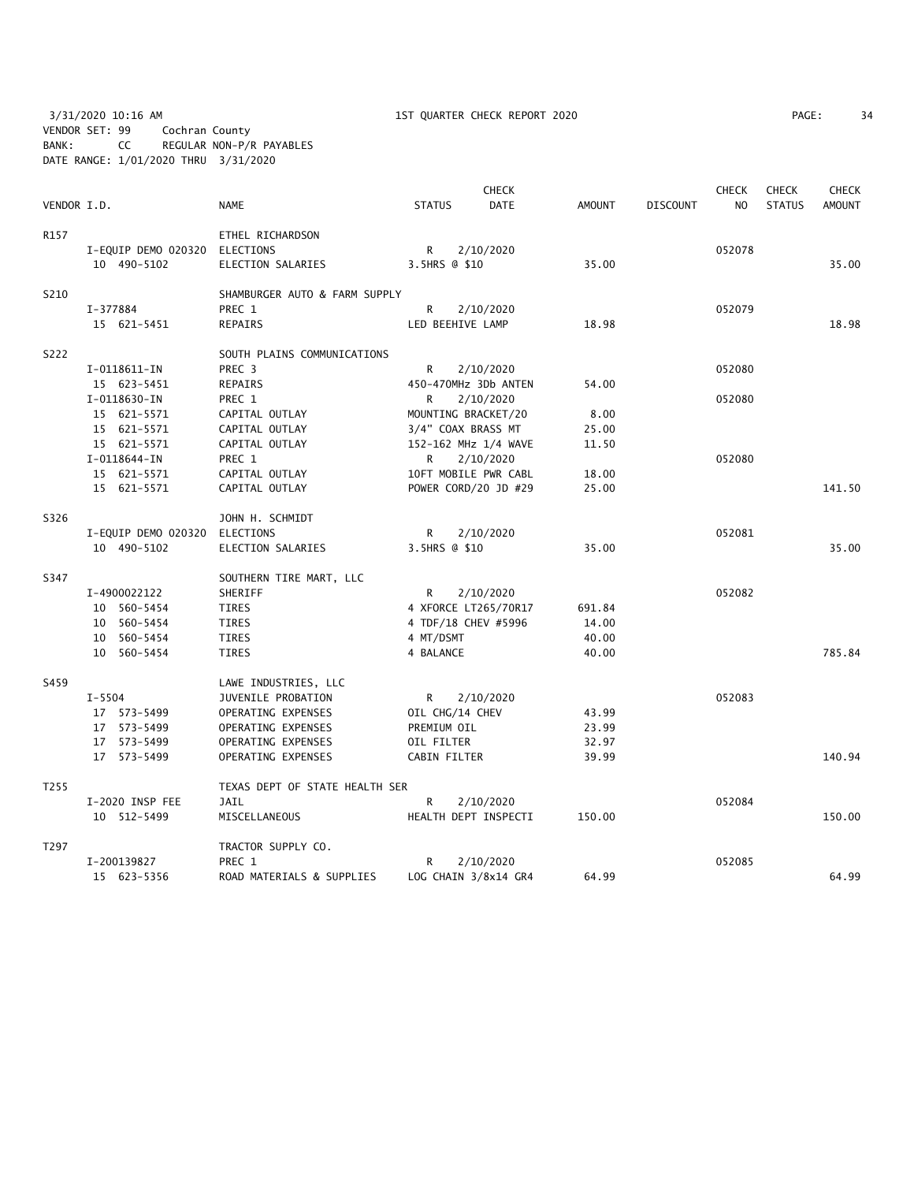3/31/2020 10:16 AM 1ST QUARTER CHECK REPORT 2020 PAGE: 34 VENDOR SET: 99 Cochran County BANK: CC REGULAR NON-P/R PAYABLES DATE RANGE: 1/01/2020 THRU 3/31/2020

| PAGE: |  |
|-------|--|
|-------|--|

|             |                               | <b>CHECK</b><br><b>CHECK</b>   |                      |             |               |                 |        |               | <b>CHECK</b>  |
|-------------|-------------------------------|--------------------------------|----------------------|-------------|---------------|-----------------|--------|---------------|---------------|
| VENDOR I.D. |                               | <b>NAME</b>                    | <b>STATUS</b>        | <b>DATE</b> | <b>AMOUNT</b> | <b>DISCOUNT</b> | NO.    | <b>STATUS</b> | <b>AMOUNT</b> |
| R157        |                               | ETHEL RICHARDSON               |                      |             |               |                 |        |               |               |
|             | I-EQUIP DEMO 020320 ELECTIONS |                                | R                    | 2/10/2020   |               |                 | 052078 |               |               |
|             | 10 490-5102                   | ELECTION SALARIES              | 3.5HRS @ \$10        |             | 35.00         |                 |        |               | 35.00         |
| S210        |                               | SHAMBURGER AUTO & FARM SUPPLY  |                      |             |               |                 |        |               |               |
|             | I-377884                      | PREC 1                         | R                    | 2/10/2020   |               |                 | 052079 |               |               |
|             | 15 621-5451                   | <b>REPAIRS</b>                 | LED BEEHIVE LAMP     |             | 18.98         |                 |        |               | 18.98         |
| S222        |                               | SOUTH PLAINS COMMUNICATIONS    |                      |             |               |                 |        |               |               |
|             | I-0118611-IN                  | PREC 3                         | R                    | 2/10/2020   |               |                 | 052080 |               |               |
|             | 15 623-5451                   | <b>REPAIRS</b>                 | 450-470MHz 3Db ANTEN |             | 54.00         |                 |        |               |               |
|             | I-0118630-IN                  | PREC 1                         | R.                   | 2/10/2020   |               |                 | 052080 |               |               |
|             | 15 621-5571                   | CAPITAL OUTLAY                 | MOUNTING BRACKET/20  |             | 8.00          |                 |        |               |               |
|             | 15 621-5571                   | CAPITAL OUTLAY                 | 3/4" COAX BRASS MT   |             | 25.00         |                 |        |               |               |
|             | 15 621-5571                   | CAPITAL OUTLAY                 | 152-162 MHz 1/4 WAVE |             | 11.50         |                 |        |               |               |
|             | I-0118644-IN                  | PREC 1                         | R                    | 2/10/2020   |               |                 | 052080 |               |               |
|             | 15 621-5571                   | CAPITAL OUTLAY                 | 10FT MOBILE PWR CABL |             | 18.00         |                 |        |               |               |
|             | 15 621-5571                   | CAPITAL OUTLAY                 | POWER CORD/20 JD #29 |             | 25.00         |                 |        |               | 141.50        |
| S326        |                               | JOHN H. SCHMIDT                |                      |             |               |                 |        |               |               |
|             | I-EQUIP DEMO 020320           | ELECTIONS                      | R                    | 2/10/2020   |               |                 | 052081 |               |               |
|             | 10 490-5102                   | ELECTION SALARIES              | 3.5HRS @ \$10        |             | 35.00         |                 |        |               | 35.00         |
| S347        |                               | SOUTHERN TIRE MART, LLC        |                      |             |               |                 |        |               |               |
|             | I-4900022122                  | SHERIFF                        | R.                   | 2/10/2020   |               |                 | 052082 |               |               |
|             | 10 560-5454                   | <b>TIRES</b>                   | 4 XFORCE LT265/70R17 |             | 691.84        |                 |        |               |               |
|             | 10 560-5454                   | TIRES                          | 4 TDF/18 CHEV #5996  |             | 14.00         |                 |        |               |               |
|             | 10 560-5454                   | <b>TIRES</b>                   | 4 MT/DSMT            |             | 40.00         |                 |        |               |               |
|             | 10 560-5454                   | <b>TIRES</b>                   | 4 BALANCE            |             | 40.00         |                 |        |               | 785.84        |
| S459        |                               | LAWE INDUSTRIES, LLC           |                      |             |               |                 |        |               |               |
|             | $I - 5504$                    | JUVENILE PROBATION             | R                    | 2/10/2020   |               |                 | 052083 |               |               |
|             | 17 573-5499                   | OPERATING EXPENSES             | OIL CHG/14 CHEV      |             | 43.99         |                 |        |               |               |
|             | 17 573-5499                   | OPERATING EXPENSES             | PREMIUM OIL          |             | 23.99         |                 |        |               |               |
|             | 17 573-5499                   | OPERATING EXPENSES             | OIL FILTER           |             | 32.97         |                 |        |               |               |
|             | 17 573-5499                   | OPERATING EXPENSES             | CABIN FILTER         |             | 39.99         |                 |        |               | 140.94        |
| T255        |                               | TEXAS DEPT OF STATE HEALTH SER |                      |             |               |                 |        |               |               |
|             | I-2020 INSP FEE               | <b>JAIL</b>                    | R                    | 2/10/2020   |               |                 | 052084 |               |               |
|             | 10 512-5499                   | MISCELLANEOUS                  | HEALTH DEPT INSPECTI |             | 150.00        |                 |        |               | 150.00        |
| T297        |                               | TRACTOR SUPPLY CO.             |                      |             |               |                 |        |               |               |
|             | I-200139827                   | PREC 1                         | R                    | 2/10/2020   |               |                 | 052085 |               |               |
|             | 15 623-5356                   | ROAD MATERIALS & SUPPLIES      | LOG CHAIN 3/8x14 GR4 |             | 64.99         |                 |        |               | 64.99         |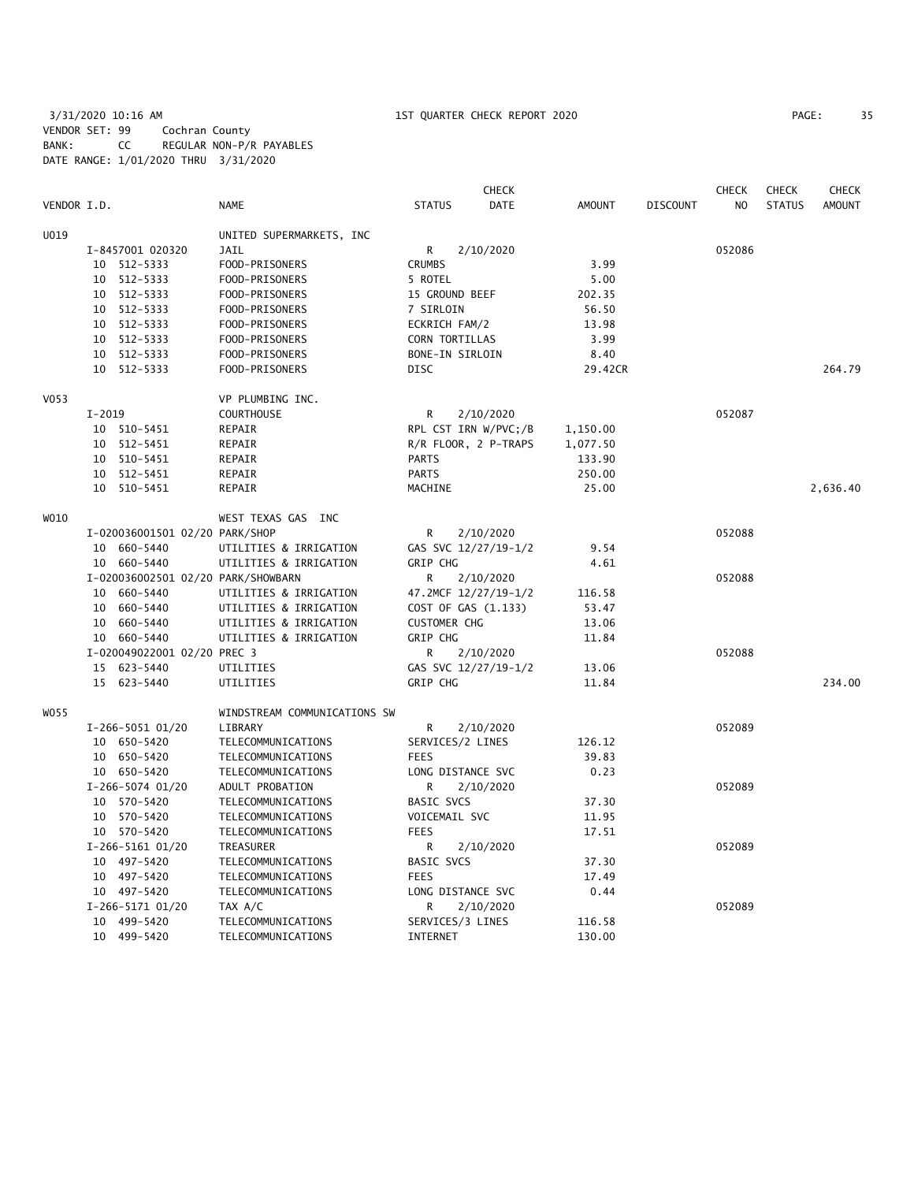3/31/2020 10:16 AM 1ST QUARTER CHECK REPORT 2020 PAGE: 35 VENDOR SET: 99 Cochran County BANK: CC REGULAR NON-P/R PAYABLES DATE RANGE: 1/01/2020 THRU 3/31/2020

|             |            |                                    |                              |                      | <b>CHECK</b> |               |                 | <b>CHECK</b>   | <b>CHECK</b>  | <b>CHECK</b>  |
|-------------|------------|------------------------------------|------------------------------|----------------------|--------------|---------------|-----------------|----------------|---------------|---------------|
| VENDOR I.D. |            |                                    | <b>NAME</b>                  | <b>STATUS</b>        | DATE         | <b>AMOUNT</b> | <b>DISCOUNT</b> | N <sub>O</sub> | <b>STATUS</b> | <b>AMOUNT</b> |
| U019        |            |                                    | UNITED SUPERMARKETS, INC     |                      |              |               |                 |                |               |               |
|             |            | I-8457001 020320                   | <b>JAIL</b>                  | R                    | 2/10/2020    |               |                 | 052086         |               |               |
|             | 10         | 512-5333                           | FOOD-PRISONERS               | <b>CRUMBS</b>        |              | 3.99          |                 |                |               |               |
|             | 10         | 512-5333                           | FOOD-PRISONERS               | 5 ROTEL              |              | 5.00          |                 |                |               |               |
|             | 10         | 512-5333                           | FOOD-PRISONERS               | 15 GROUND BEEF       |              | 202.35        |                 |                |               |               |
|             | 10         | 512-5333                           | FOOD-PRISONERS               | 7 SIRLOIN            |              | 56.50         |                 |                |               |               |
|             | 10         | 512-5333                           | FOOD-PRISONERS               | ECKRICH FAM/2        |              | 13.98         |                 |                |               |               |
|             | 10         | 512-5333                           | FOOD-PRISONERS               | CORN TORTILLAS       |              | 3.99          |                 |                |               |               |
|             | 10         | 512-5333                           | FOOD-PRISONERS               | BONE-IN SIRLOIN      |              | 8.40          |                 |                |               |               |
|             |            | 10 512-5333                        | FOOD-PRISONERS               | <b>DISC</b>          |              | 29.42CR       |                 |                |               | 264.79        |
| V053        |            |                                    | VP PLUMBING INC.             |                      |              |               |                 |                |               |               |
|             | $I - 2019$ |                                    | <b>COURTHOUSE</b>            | R                    | 2/10/2020    |               |                 | 052087         |               |               |
|             |            | 10 510-5451                        | REPAIR                       | RPL CST IRN W/PVC;/B |              | 1,150.00      |                 |                |               |               |
|             | 10         | 512-5451                           | REPAIR                       | R/R FLOOR, 2 P-TRAPS |              | 1,077.50      |                 |                |               |               |
|             | 10         | 510-5451                           | REPAIR                       | <b>PARTS</b>         |              | 133.90        |                 |                |               |               |
|             |            | 10 512-5451                        | REPAIR                       | <b>PARTS</b>         |              | 250.00        |                 |                |               |               |
|             | 10         | 510-5451                           | REPAIR                       | MACHINE              |              | 25.00         |                 |                |               | 2,636.40      |
| WO10        |            |                                    | WEST TEXAS GAS INC           |                      |              |               |                 |                |               |               |
|             |            | I-020036001501 02/20 PARK/SHOP     |                              | R                    | 2/10/2020    |               |                 | 052088         |               |               |
|             | 10         | 660-5440                           | UTILITIES & IRRIGATION       | GAS SVC 12/27/19-1/2 |              | 9.54          |                 |                |               |               |
|             |            | 10 660-5440                        | UTILITIES & IRRIGATION       | <b>GRIP CHG</b>      |              | 4.61          |                 |                |               |               |
|             |            | I-020036002501 02/20 PARK/SHOWBARN |                              | R                    | 2/10/2020    |               |                 | 052088         |               |               |
|             |            | 10 660-5440                        | UTILITIES & IRRIGATION       | 47.2MCF 12/27/19-1/2 |              | 116.58        |                 |                |               |               |
|             | 10         | 660-5440                           | UTILITIES & IRRIGATION       | COST OF GAS (1.133)  |              | 53.47         |                 |                |               |               |
|             | 10         | 660-5440                           | UTILITIES & IRRIGATION       | <b>CUSTOMER CHG</b>  |              | 13.06         |                 |                |               |               |
|             |            | 10 660-5440                        | UTILITIES & IRRIGATION       | <b>GRIP CHG</b>      |              | 11.84         |                 |                |               |               |
|             |            | I-020049022001 02/20 PREC 3        |                              | R                    | 2/10/2020    |               |                 | 052088         |               |               |
|             |            | 15 623-5440                        | UTILITIES                    | GAS SVC 12/27/19-1/2 |              | 13.06         |                 |                |               |               |
|             |            | 15 623-5440                        | UTILITIES                    | GRIP CHG             |              | 11.84         |                 |                |               | 234.00        |
| WO 55       |            |                                    | WINDSTREAM COMMUNICATIONS SW |                      |              |               |                 |                |               |               |
|             |            | I-266-5051 01/20                   | LIBRARY                      | R                    | 2/10/2020    |               |                 | 052089         |               |               |
|             |            | 10 650-5420                        | TELECOMMUNICATIONS           | SERVICES/2 LINES     |              | 126.12        |                 |                |               |               |
|             |            | 10 650-5420                        | TELECOMMUNICATIONS           | <b>FEES</b>          |              | 39.83         |                 |                |               |               |
|             |            | 10 650-5420                        | TELECOMMUNICATIONS           | LONG DISTANCE SVC    |              | 0.23          |                 |                |               |               |
|             |            | I-266-5074 01/20                   | ADULT PROBATION              | R                    | 2/10/2020    |               |                 | 052089         |               |               |
|             | 10         | 570-5420                           | TELECOMMUNICATIONS           | BASIC SVCS           |              | 37.30         |                 |                |               |               |
|             | 10         | 570-5420                           | TELECOMMUNICATIONS           | VOICEMAIL SVC        |              | 11.95         |                 |                |               |               |
|             |            | 10 570-5420                        | TELECOMMUNICATIONS           | <b>FEES</b>          |              | 17.51         |                 |                |               |               |
|             |            | I-266-5161 01/20                   | TREASURER                    | R                    | 2/10/2020    |               |                 | 052089         |               |               |
|             |            | 10 497-5420                        | TELECOMMUNICATIONS           | <b>BASIC SVCS</b>    |              | 37.30         |                 |                |               |               |
|             |            | 10 497-5420                        | TELECOMMUNICATIONS           | <b>FEES</b>          |              | 17.49         |                 |                |               |               |
|             |            | 10 497-5420                        | TELECOMMUNICATIONS           | LONG DISTANCE SVC    |              | 0.44          |                 |                |               |               |
|             |            | I-266-5171 01/20                   | TAX A/C                      | R                    | 2/10/2020    |               |                 | 052089         |               |               |
|             |            | 10 499-5420                        | TELECOMMUNICATIONS           | SERVICES/3 LINES     |              | 116.58        |                 |                |               |               |
|             |            | 10 499-5420                        | TELECOMMUNICATIONS           | INTERNET             |              | 130.00        |                 |                |               |               |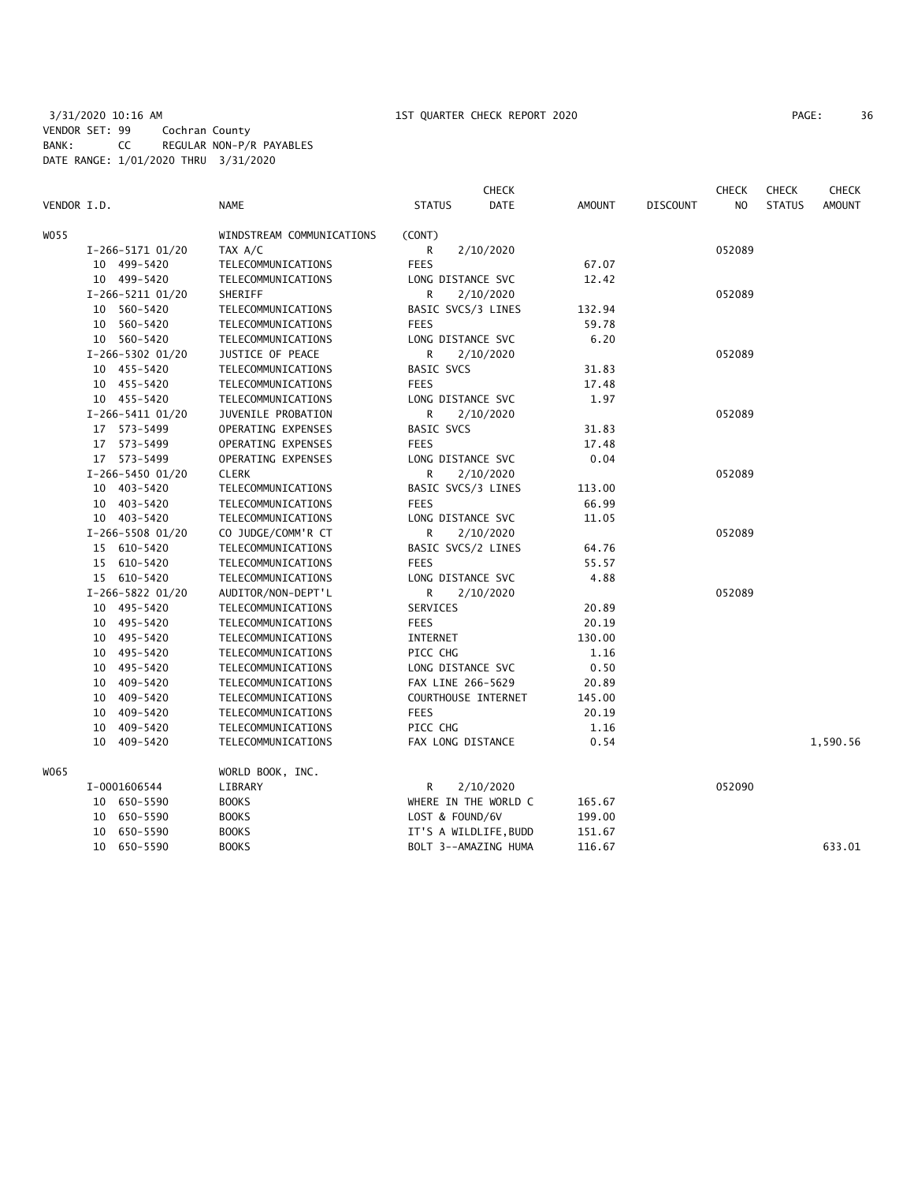## 3/31/2020 10:16 AM 1ST QUARTER CHECK REPORT 2020 PAGE: 36 VENDOR SET: 99 Cochran County BANK: CC REGULAR NON-P/R PAYABLES DATE RANGE: 1/01/2020 THRU 3/31/2020

| PAGE: | 36 |
|-------|----|
|-------|----|

|             |                  |                           |                     | <b>CHECK</b>          |               |                 | <b>CHECK</b>   | <b>CHECK</b><br><b>CHECK</b> |               |  |
|-------------|------------------|---------------------------|---------------------|-----------------------|---------------|-----------------|----------------|------------------------------|---------------|--|
| VENDOR I.D. |                  | <b>NAME</b>               | <b>STATUS</b>       | DATE                  | <b>AMOUNT</b> | <b>DISCOUNT</b> | N <sub>O</sub> | <b>STATUS</b>                | <b>AMOUNT</b> |  |
| W055        |                  | WINDSTREAM COMMUNICATIONS | (CONT)              |                       |               |                 |                |                              |               |  |
|             | I-266-5171 01/20 | TAX A/C                   | R                   | 2/10/2020             |               |                 | 052089         |                              |               |  |
|             | 10 499-5420      | TELECOMMUNICATIONS        | <b>FEES</b>         |                       | 67.07         |                 |                |                              |               |  |
|             | 10 499-5420      | TELECOMMUNICATIONS        | LONG DISTANCE SVC   |                       | 12.42         |                 |                |                              |               |  |
|             | I-266-5211 01/20 | SHERIFF                   | R                   | 2/10/2020             |               |                 | 052089         |                              |               |  |
|             | 10 560-5420      | TELECOMMUNICATIONS        | BASIC SVCS/3 LINES  |                       | 132.94        |                 |                |                              |               |  |
|             | 10 560-5420      | TELECOMMUNICATIONS        | <b>FEES</b>         |                       | 59.78         |                 |                |                              |               |  |
|             | 10 560-5420      | TELECOMMUNICATIONS        | LONG DISTANCE SVC   |                       | 6.20          |                 |                |                              |               |  |
|             | I-266-5302 01/20 | JUSTICE OF PEACE          | R                   | 2/10/2020             |               |                 | 052089         |                              |               |  |
|             | 10 455-5420      | TELECOMMUNICATIONS        | <b>BASIC SVCS</b>   |                       | 31.83         |                 |                |                              |               |  |
|             | 10 455-5420      | TELECOMMUNICATIONS        | <b>FEES</b>         |                       | 17.48         |                 |                |                              |               |  |
|             | 10 455-5420      | TELECOMMUNICATIONS        | LONG DISTANCE SVC   |                       | 1.97          |                 |                |                              |               |  |
|             | I-266-5411 01/20 | JUVENILE PROBATION        | R                   | 2/10/2020             |               |                 | 052089         |                              |               |  |
|             | 17 573-5499      | OPERATING EXPENSES        | <b>BASIC SVCS</b>   |                       | 31.83         |                 |                |                              |               |  |
|             | 17 573-5499      | OPERATING EXPENSES        | <b>FEES</b>         |                       | 17.48         |                 |                |                              |               |  |
|             | 17 573-5499      | OPERATING EXPENSES        | LONG DISTANCE SVC   |                       | 0.04          |                 |                |                              |               |  |
|             | I-266-5450 01/20 | <b>CLERK</b>              | R                   | 2/10/2020             |               |                 | 052089         |                              |               |  |
|             | 10 403-5420      | TELECOMMUNICATIONS        | BASIC SVCS/3 LINES  |                       | 113.00        |                 |                |                              |               |  |
|             | 10 403-5420      | TELECOMMUNICATIONS        | <b>FEES</b>         |                       | 66.99         |                 |                |                              |               |  |
|             | 10 403-5420      | TELECOMMUNICATIONS        | LONG DISTANCE SVC   |                       | 11.05         |                 |                |                              |               |  |
|             | I-266-5508 01/20 | CO JUDGE/COMM'R CT        | R                   | 2/10/2020             |               |                 | 052089         |                              |               |  |
|             | 15 610-5420      | TELECOMMUNICATIONS        | BASIC SVCS/2 LINES  |                       | 64.76         |                 |                |                              |               |  |
|             | 15 610-5420      | TELECOMMUNICATIONS        | <b>FEES</b>         |                       | 55.57         |                 |                |                              |               |  |
|             | 15 610-5420      | TELECOMMUNICATIONS        | LONG DISTANCE SVC   |                       | 4.88          |                 |                |                              |               |  |
|             | I-266-5822 01/20 | AUDITOR/NON-DEPT'L        | R                   | 2/10/2020             |               |                 | 052089         |                              |               |  |
|             | 10 495-5420      | TELECOMMUNICATIONS        | SERVICES            |                       | 20.89         |                 |                |                              |               |  |
|             | 10 495-5420      | TELECOMMUNICATIONS        | <b>FEES</b>         |                       | 20.19         |                 |                |                              |               |  |
|             | 10 495-5420      | TELECOMMUNICATIONS        | INTERNET            |                       | 130.00        |                 |                |                              |               |  |
|             | 10 495-5420      | TELECOMMUNICATIONS        | PICC CHG            |                       | 1.16          |                 |                |                              |               |  |
|             | 495-5420<br>10   | TELECOMMUNICATIONS        | LONG DISTANCE SVC   |                       | 0.50          |                 |                |                              |               |  |
|             | 10 409-5420      | TELECOMMUNICATIONS        | FAX LINE 266-5629   |                       | 20.89         |                 |                |                              |               |  |
|             | 10 409-5420      | TELECOMMUNICATIONS        | COURTHOUSE INTERNET |                       | 145.00        |                 |                |                              |               |  |
|             | 409-5420<br>10   | TELECOMMUNICATIONS        | <b>FEES</b>         |                       | 20.19         |                 |                |                              |               |  |
|             | 10 409-5420      | TELECOMMUNICATIONS        | PICC CHG            |                       | 1.16          |                 |                |                              |               |  |
|             | 10 409-5420      | TELECOMMUNICATIONS        | FAX LONG DISTANCE   |                       | 0.54          |                 |                |                              | 1,590.56      |  |
|             |                  |                           |                     |                       |               |                 |                |                              |               |  |
| W065        |                  | WORLD BOOK, INC.          |                     |                       |               |                 |                |                              |               |  |
|             | I-0001606544     | LIBRARY                   | R                   | 2/10/2020             |               |                 | 052090         |                              |               |  |
|             | 10 650-5590      | <b>BOOKS</b>              |                     | WHERE IN THE WORLD C  | 165.67        |                 |                |                              |               |  |
|             | 10 650-5590      | <b>BOOKS</b>              | LOST & FOUND/6V     |                       | 199.00        |                 |                |                              |               |  |
|             | 650-5590<br>10   | <b>BOOKS</b>              |                     | IT'S A WILDLIFE, BUDD | 151.67        |                 |                |                              |               |  |
|             | 10 650-5590      | <b>BOOKS</b>              |                     | BOLT 3--AMAZING HUMA  | 116.67        |                 |                |                              | 633.01        |  |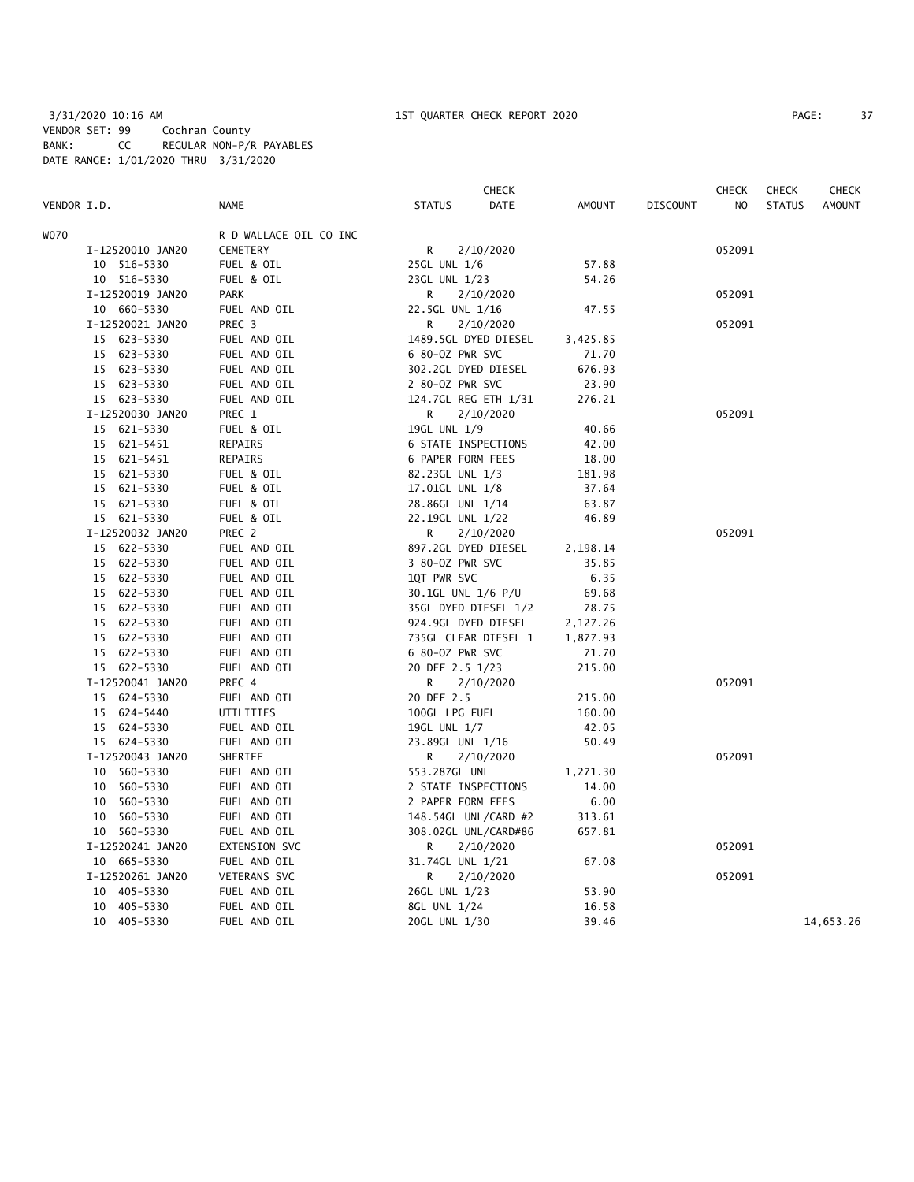3/31/2020 10:16 AM 1ST QUARTER CHECK REPORT 2020 PAGE: 37 VENDOR SET: 99 Cochran County BANK: CC REGULAR NON-P/R PAYABLES DATE RANGE: 1/01/2020 THRU 3/31/2020

|             |                  |                        | <b>CHECK</b>        |                      |               |                 | <b>CHECK</b>   | <b>CHECK</b>  | <b>CHECK</b>  |
|-------------|------------------|------------------------|---------------------|----------------------|---------------|-----------------|----------------|---------------|---------------|
| VENDOR I.D. |                  | <b>NAME</b>            | <b>STATUS</b>       | <b>DATE</b>          | <b>AMOUNT</b> | <b>DISCOUNT</b> | N <sub>O</sub> | <b>STATUS</b> | <b>AMOUNT</b> |
| <b>WO70</b> |                  | R D WALLACE OIL CO INC |                     |                      |               |                 |                |               |               |
|             | I-12520010 JAN20 | CEMETERY               | R                   | 2/10/2020            |               |                 | 052091         |               |               |
|             | 10 516-5330      | FUEL & OIL             | 25GL UNL 1/6        |                      | 57.88         |                 |                |               |               |
|             | 10 516-5330      | FUEL & OIL             | 23GL UNL 1/23       |                      | 54.26         |                 |                |               |               |
|             | I-12520019 JAN20 | <b>PARK</b>            | R                   | 2/10/2020            |               |                 | 052091         |               |               |
|             | 10 660-5330      | FUEL AND OIL           | 22.5GL UNL 1/16     |                      | 47.55         |                 |                |               |               |
|             | I-12520021 JAN20 | PREC 3                 | R                   | 2/10/2020            |               |                 | 052091         |               |               |
|             | 15 623-5330      | FUEL AND OIL           |                     | 1489.5GL DYED DIESEL | 3,425.85      |                 |                |               |               |
|             | 15 623-5330      | FUEL AND OIL           | 6 80-0Z PWR SVC     |                      | 71.70         |                 |                |               |               |
|             | 15 623-5330      | FUEL AND OIL           | 302.2GL DYED DIESEL |                      | 676.93        |                 |                |               |               |
|             | 15 623-5330      | FUEL AND OIL           | 2 80-02 PWR SVC     |                      | 23.90         |                 |                |               |               |
|             | 15 623-5330      | FUEL AND OIL           |                     | 124.7GL REG ETH 1/31 | 276.21        |                 |                |               |               |
|             | I-12520030 JAN20 | PREC 1                 | R                   | 2/10/2020            |               |                 | 052091         |               |               |
|             | 15 621-5330      | FUEL & OIL             | 19GL UNL 1/9        |                      | 40.66         |                 |                |               |               |
|             | 15 621-5451      | REPAIRS                | 6 STATE INSPECTIONS |                      | 42.00         |                 |                |               |               |
|             | 15 621-5451      | REPAIRS                | 6 PAPER FORM FEES   |                      | 18.00         |                 |                |               |               |
|             | 15 621-5330      | FUEL & OIL             | 82.23GL UNL 1/3     |                      | 181.98        |                 |                |               |               |
|             | 15 621-5330      | FUEL & OIL             | 17.01GL UNL 1/8     |                      | 37.64         |                 |                |               |               |
|             | 15 621-5330      | FUEL & OIL             | 28.86GL UNL 1/14    |                      | 63.87         |                 |                |               |               |
|             | 15 621-5330      | FUEL & OIL             | 22.19GL UNL 1/22    |                      | 46.89         |                 |                |               |               |
|             | I-12520032 JAN20 | PREC 2                 | R                   | 2/10/2020            |               |                 | 052091         |               |               |
|             | 15 622-5330      | FUEL AND OIL           | 897.2GL DYED DIESEL |                      | 2,198.14      |                 |                |               |               |
|             | 15 622-5330      | FUEL AND OIL           | 3 80-0Z PWR SVC     |                      | 35.85         |                 |                |               |               |
|             | 15 622-5330      | FUEL AND OIL           | 1QT PWR SVC         |                      | 6.35          |                 |                |               |               |
|             | 15 622-5330      | FUEL AND OIL           | 30.1GL UNL 1/6 P/U  |                      | 69.68         |                 |                |               |               |
|             | 15 622-5330      | FUEL AND OIL           |                     | 35GL DYED DIESEL 1/2 | 78.75         |                 |                |               |               |
|             | 15 622-5330      | FUEL AND OIL           | 924.9GL DYED DIESEL |                      | 2,127.26      |                 |                |               |               |
|             | 15 622-5330      | FUEL AND OIL           |                     | 735GL CLEAR DIESEL 1 | 1,877.93      |                 |                |               |               |
|             | 15 622-5330      | FUEL AND OIL           | 6 80-0Z PWR SVC     |                      | 71.70         |                 |                |               |               |
|             | 15 622-5330      | FUEL AND OIL           | 20 DEF 2.5 1/23     |                      | 215.00        |                 |                |               |               |
|             | I-12520041 JAN20 | PREC 4                 | R                   | 2/10/2020            |               |                 | 052091         |               |               |
|             | 15 624-5330      | FUEL AND OIL           | 20 DEF 2.5          |                      | 215.00        |                 |                |               |               |
|             | 15 624-5440      | UTILITIES              | 100GL LPG FUEL      |                      | 160.00        |                 |                |               |               |
|             | 15 624-5330      | FUEL AND OIL           | 19GL UNL 1/7        |                      | 42.05         |                 |                |               |               |
|             | 15 624-5330      | FUEL AND OIL           | 23.89GL UNL 1/16    |                      | 50.49         |                 |                |               |               |
|             | I-12520043 JAN20 | SHERIFF                | R                   | 2/10/2020            |               |                 | 052091         |               |               |
|             | 10 560-5330      | FUEL AND OIL           | 553.287GL UNL       |                      | 1,271.30      |                 |                |               |               |
|             | 10 560-5330      | FUEL AND OIL           | 2 STATE INSPECTIONS |                      | 14.00         |                 |                |               |               |
|             | 10 560-5330      | FUEL AND OIL           | 2 PAPER FORM FEES   |                      | 6.00          |                 |                |               |               |
|             | 10 560-5330      | FUEL AND OIL           |                     | 148.54GL UNL/CARD #2 | 313.61        |                 |                |               |               |
|             | 10 560-5330      | FUEL AND OIL           |                     | 308.02GL UNL/CARD#86 | 657.81        |                 |                |               |               |
|             | I-12520241 JAN20 | EXTENSION SVC          | R                   | 2/10/2020            |               |                 | 052091         |               |               |
|             | 10 665-5330      | FUEL AND OIL           | 31.74GL UNL 1/21    |                      | 67.08         |                 |                |               |               |
|             | I-12520261 JAN20 | VETERANS SVC           | R                   | 2/10/2020            |               |                 | 052091         |               |               |
|             | 10 405-5330      | FUEL AND OIL           | 26GL UNL 1/23       |                      | 53.90         |                 |                |               |               |
|             | 10 405-5330      | FUEL AND OIL           | 8GL UNL 1/24        |                      | 16.58         |                 |                |               |               |
|             | 10 405-5330      | FUEL AND OIL           | 20GL UNL 1/30       |                      | 39.46         |                 |                |               | 14,653.26     |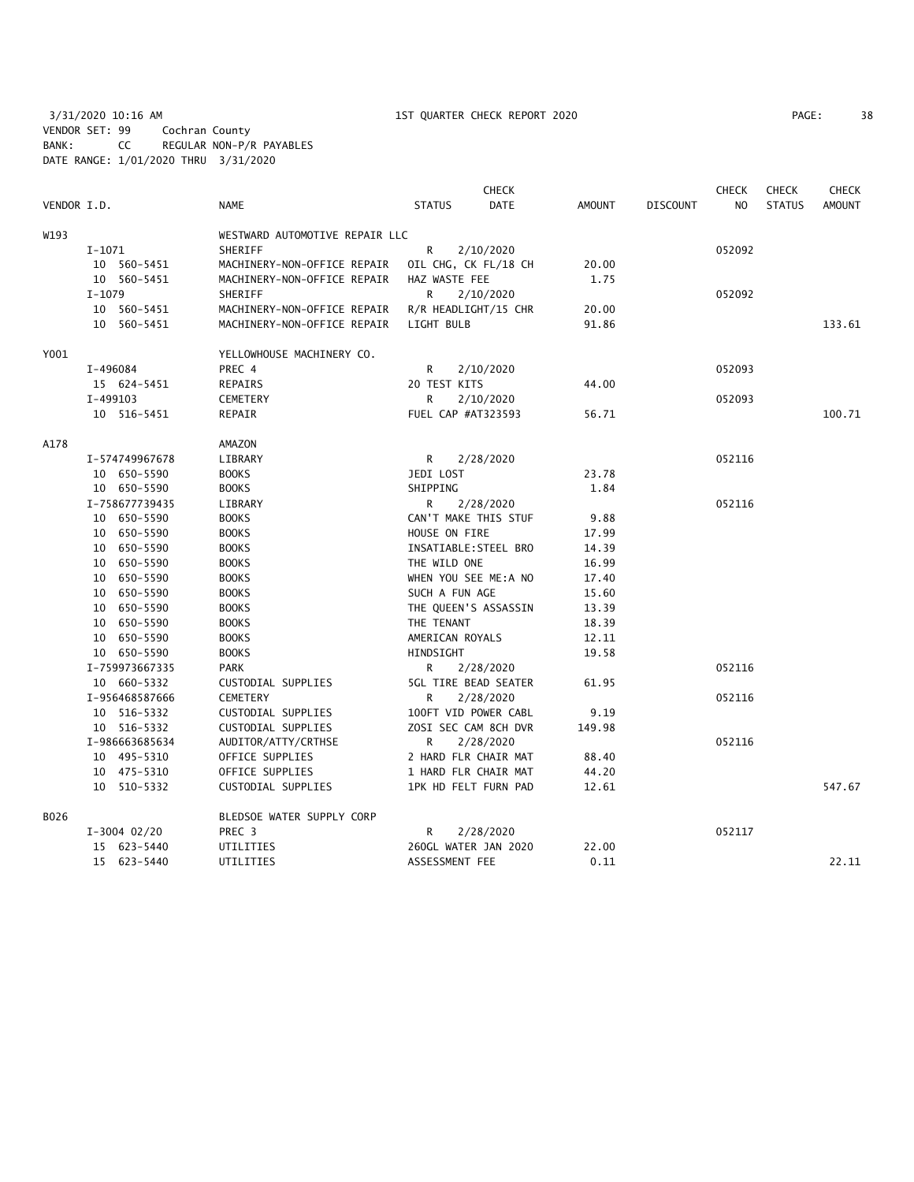3/31/2020 10:16 AM 1ST QUARTER CHECK REPORT 2020 PAGE: 38 VENDOR SET: 99 Cochran County BANK: CC REGULAR NON-P/R PAYABLES DATE RANGE: 1/01/2020 THRU 3/31/2020

| PAGE: | 38 |
|-------|----|
|       |    |

|             |                |                                | <b>CHECK</b>                 | <b>CHECK</b><br><b>CHECK</b> |                 |        | <b>CHECK</b>  |               |
|-------------|----------------|--------------------------------|------------------------------|------------------------------|-----------------|--------|---------------|---------------|
| VENDOR I.D. |                | <b>NAME</b>                    | <b>STATUS</b><br><b>DATE</b> | <b>AMOUNT</b>                | <b>DISCOUNT</b> | NO     | <b>STATUS</b> | <b>AMOUNT</b> |
| W193        |                | WESTWARD AUTOMOTIVE REPAIR LLC |                              |                              |                 |        |               |               |
|             | $I-1071$       | SHERIFF                        | R<br>2/10/2020               |                              |                 | 052092 |               |               |
|             | 10 560-5451    | MACHINERY-NON-OFFICE REPAIR    | OIL CHG, CK FL/18 CH         | 20.00                        |                 |        |               |               |
|             | 10 560-5451    | MACHINERY-NON-OFFICE REPAIR    | HAZ WASTE FEE                | 1.75                         |                 |        |               |               |
|             | $I-1079$       | SHERIFF                        | R<br>2/10/2020               |                              |                 | 052092 |               |               |
|             | 10 560-5451    | MACHINERY-NON-OFFICE REPAIR    | R/R HEADLIGHT/15 CHR         | 20.00                        |                 |        |               |               |
|             | 10 560-5451    | MACHINERY-NON-OFFICE REPAIR    | LIGHT BULB                   | 91.86                        |                 |        |               | 133.61        |
| Y001        |                | YELLOWHOUSE MACHINERY CO.      |                              |                              |                 |        |               |               |
|             | I-496084       | PREC 4                         | 2/10/2020<br>R               |                              |                 | 052093 |               |               |
|             | 15 624-5451    | REPAIRS                        | 20 TEST KITS                 | 44.00                        |                 |        |               |               |
| I-499103    |                | CEMETERY                       | R<br>2/10/2020               |                              |                 | 052093 |               |               |
|             | 10 516-5451    | REPAIR                         | FUEL CAP #AT323593           | 56.71                        |                 |        |               | 100.71        |
| A178        |                | AMAZON                         |                              |                              |                 |        |               |               |
|             | I-574749967678 | LIBRARY                        | R<br>2/28/2020               |                              |                 | 052116 |               |               |
|             | 10 650-5590    | <b>BOOKS</b>                   | JEDI LOST                    | 23.78                        |                 |        |               |               |
|             | 10 650-5590    | <b>BOOKS</b>                   | SHIPPING                     | 1.84                         |                 |        |               |               |
|             | I-758677739435 | LIBRARY                        | R.<br>2/28/2020              |                              |                 | 052116 |               |               |
|             | 10 650-5590    | <b>BOOKS</b>                   | CAN'T MAKE THIS STUF         | 9.88                         |                 |        |               |               |
|             | 10 650-5590    | <b>BOOKS</b>                   | HOUSE ON FIRE                | 17.99                        |                 |        |               |               |
|             | 10 650-5590    | <b>BOOKS</b>                   | INSATIABLE: STEEL BRO        | 14.39                        |                 |        |               |               |
|             | 10 650-5590    | <b>BOOKS</b>                   | THE WILD ONE                 | 16.99                        |                 |        |               |               |
|             | 10 650-5590    | <b>BOOKS</b>                   | WHEN YOU SEE ME:A NO         | 17.40                        |                 |        |               |               |
|             | 10 650-5590    | <b>BOOKS</b>                   | SUCH A FUN AGE               | 15.60                        |                 |        |               |               |
|             | 10 650-5590    | <b>BOOKS</b>                   | THE QUEEN'S ASSASSIN         | 13.39                        |                 |        |               |               |
|             | 10 650-5590    | <b>BOOKS</b>                   | THE TENANT                   | 18.39                        |                 |        |               |               |
|             | 10 650-5590    | <b>BOOKS</b>                   | AMERICAN ROYALS              | 12.11                        |                 |        |               |               |
|             | 10 650-5590    | <b>BOOKS</b>                   | HINDSIGHT                    | 19.58                        |                 |        |               |               |
|             | I-759973667335 | <b>PARK</b>                    | R<br>2/28/2020               |                              |                 | 052116 |               |               |
|             | 10 660-5332    | CUSTODIAL SUPPLIES             | <b>5GL TIRE BEAD SEATER</b>  | 61.95                        |                 |        |               |               |
|             | I-956468587666 | CEMETERY                       | R<br>2/28/2020               |                              |                 | 052116 |               |               |
|             | 10 516-5332    | CUSTODIAL SUPPLIES             | 100FT VID POWER CABL         | 9.19                         |                 |        |               |               |
|             | 10 516-5332    | CUSTODIAL SUPPLIES             | ZOSI SEC CAM 8CH DVR         | 149.98                       |                 |        |               |               |
|             | I-986663685634 | AUDITOR/ATTY/CRTHSE            | R<br>2/28/2020               |                              |                 | 052116 |               |               |
|             | 10 495-5310    | OFFICE SUPPLIES                | 2 HARD FLR CHAIR MAT         | 88.40                        |                 |        |               |               |
|             | 10 475-5310    | OFFICE SUPPLIES                | 1 HARD FLR CHAIR MAT         | 44.20                        |                 |        |               |               |
|             | 10 510-5332    | CUSTODIAL SUPPLIES             | 1PK HD FELT FURN PAD         | 12.61                        |                 |        |               | 547.67        |
| B026        |                | BLEDSOE WATER SUPPLY CORP      |                              |                              |                 |        |               |               |
|             | $I-3004$ 02/20 | PREC 3                         | R<br>2/28/2020               |                              |                 | 052117 |               |               |
|             | 15 623-5440    | UTILITIES                      | 260GL WATER JAN 2020         | 22.00                        |                 |        |               |               |
|             | 15 623-5440    | UTILITIES                      | ASSESSMENT FEE               | 0.11                         |                 |        |               | 22.11         |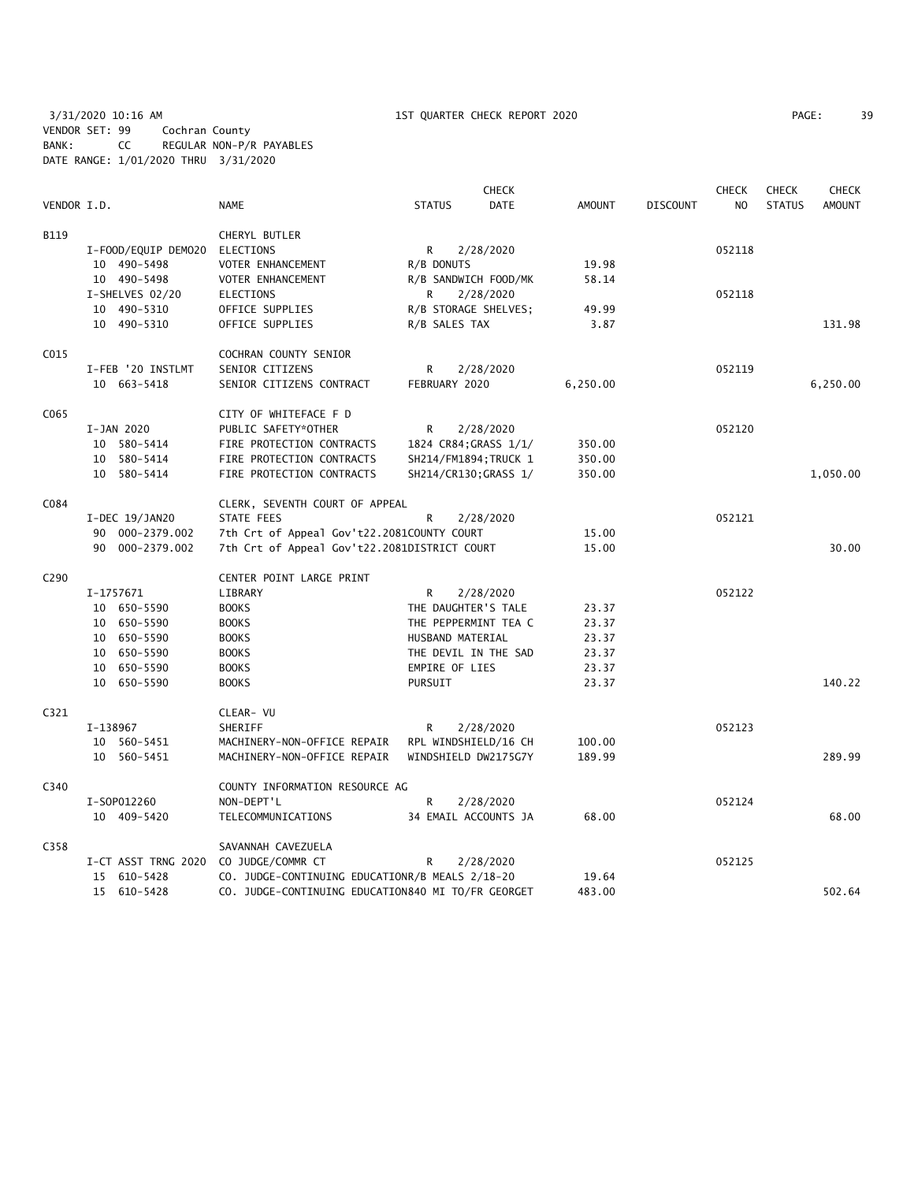3/31/2020 10:16 AM 1ST QUARTER CHECK REPORT 2020 PAGE: 39 VENDOR SET: 99 Cochran County BANK: CC REGULAR NON-P/R PAYABLES DATE RANGE: 1/01/2020 THRU 3/31/2020

|                  |                     |                                                    |                       | <b>CHECK</b> |          |                 | <b>CHECK</b> | <b>CHECK</b>  | <b>CHECK</b>  |
|------------------|---------------------|----------------------------------------------------|-----------------------|--------------|----------|-----------------|--------------|---------------|---------------|
| VENDOR I.D.      |                     | <b>NAME</b>                                        | <b>STATUS</b>         | DATE         | AMOUNT   | <b>DISCOUNT</b> | NO.          | <b>STATUS</b> | <b>AMOUNT</b> |
| B119             |                     | CHERYL BUTLER                                      |                       |              |          |                 |              |               |               |
|                  | I-FOOD/EQUIP DEMO20 | ELECTIONS                                          | R                     | 2/28/2020    |          |                 | 052118       |               |               |
|                  | 10 490-5498         | VOTER ENHANCEMENT                                  | R/B DONUTS            |              | 19.98    |                 |              |               |               |
|                  | 10 490-5498         | VOTER ENHANCEMENT                                  | R/B SANDWICH FOOD/MK  |              | 58.14    |                 |              |               |               |
|                  | I-SHELVES 02/20     | ELECTIONS                                          | R                     | 2/28/2020    |          |                 | 052118       |               |               |
|                  | 10 490-5310         | OFFICE SUPPLIES                                    | R/B STORAGE SHELVES;  |              | 49.99    |                 |              |               |               |
|                  | 10 490-5310         | OFFICE SUPPLIES                                    | R/B SALES TAX         |              | 3.87     |                 |              |               | 131.98        |
| C015             |                     | COCHRAN COUNTY SENIOR                              |                       |              |          |                 |              |               |               |
|                  | I-FEB '20 INSTLMT   | SENIOR CITIZENS                                    | R                     | 2/28/2020    |          |                 | 052119       |               |               |
|                  | 10 663-5418         | SENIOR CITIZENS CONTRACT                           | FEBRUARY 2020         |              | 6,250.00 |                 |              |               | 6,250.00      |
| C065             |                     | CITY OF WHITEFACE F D                              |                       |              |          |                 |              |               |               |
|                  | I-JAN 2020          | PUBLIC SAFETY*OTHER                                | R                     | 2/28/2020    |          |                 | 052120       |               |               |
|                  | 10 580-5414         | FIRE PROTECTION CONTRACTS                          | 1824 CR84; GRASS 1/1/ |              | 350.00   |                 |              |               |               |
|                  | 10 580-5414         | FIRE PROTECTION CONTRACTS                          | SH214/FM1894; TRUCK 1 |              | 350.00   |                 |              |               |               |
|                  | 10 580-5414         | FIRE PROTECTION CONTRACTS                          | SH214/CR130; GRASS 1/ |              | 350.00   |                 |              |               | 1,050.00      |
| C084             |                     | CLERK, SEVENTH COURT OF APPEAL                     |                       |              |          |                 |              |               |               |
|                  | I-DEC 19/JAN20      | STATE FEES                                         | R                     | 2/28/2020    |          |                 | 052121       |               |               |
|                  | 90 000-2379.002     | 7th Crt of Appeal Gov't22.2081COUNTY COURT         |                       |              | 15.00    |                 |              |               |               |
|                  | 90 000-2379.002     | 7th Crt of Appeal Gov't22.2081DISTRICT COURT       |                       |              |          |                 |              |               | 30.00         |
| C <sub>290</sub> |                     | CENTER POINT LARGE PRINT                           |                       |              |          |                 |              |               |               |
|                  | I-1757671           | LIBRARY                                            | R.                    | 2/28/2020    |          |                 | 052122       |               |               |
|                  | 10 650-5590         | <b>BOOKS</b>                                       | THE DAUGHTER'S TALE   |              | 23.37    |                 |              |               |               |
|                  | 10 650-5590         | <b>BOOKS</b>                                       | THE PEPPERMINT TEA C  |              | 23.37    |                 |              |               |               |
|                  | 10 650-5590         | <b>BOOKS</b>                                       | HUSBAND MATERIAL      |              | 23.37    |                 |              |               |               |
|                  | 10 650-5590         | <b>BOOKS</b>                                       | THE DEVIL IN THE SAD  |              | 23.37    |                 |              |               |               |
|                  | 10 650-5590         | <b>BOOKS</b>                                       | <b>EMPIRE OF LIES</b> |              | 23.37    |                 |              |               |               |
|                  | 10 650-5590         | <b>BOOKS</b>                                       | PURSUIT               |              | 23.37    |                 |              |               | 140.22        |
| C321             |                     | CLEAR- VU                                          |                       |              |          |                 |              |               |               |
|                  | I-138967            | SHERIFF                                            | R                     | 2/28/2020    |          |                 | 052123       |               |               |
|                  | 10 560-5451         | MACHINERY-NON-OFFICE REPAIR                        | RPL WINDSHIELD/16 CH  |              | 100.00   |                 |              |               |               |
|                  | 10 560-5451         | MACHINERY-NON-OFFICE REPAIR                        | WINDSHIELD DW2175G7Y  |              | 189.99   |                 |              |               | 289.99        |
| C340             |                     | COUNTY INFORMATION RESOURCE AG                     |                       |              |          |                 |              |               |               |
|                  | I-S0P012260         | NON-DEPT'L                                         | R                     | 2/28/2020    |          |                 | 052124       |               |               |
|                  | 10 409-5420         | TELECOMMUNICATIONS                                 | 34 EMAIL ACCOUNTS JA  |              | 68.00    |                 |              |               | 68.00         |
| C358             |                     | SAVANNAH CAVEZUELA                                 |                       |              |          |                 |              |               |               |
|                  | I-CT ASST TRNG 2020 | CO JUDGE/COMMR CT                                  | R.                    | 2/28/2020    |          |                 | 052125       |               |               |
|                  | 15 610-5428         | CO. JUDGE-CONTINUING EDUCATIONR/B MEALS 2/18-20    |                       |              | 19.64    |                 |              |               |               |
|                  | 15 610-5428         | CO. JUDGE-CONTINUING EDUCATION840 MI TO/FR GEORGET |                       |              | 483.00   |                 |              |               | 502.64        |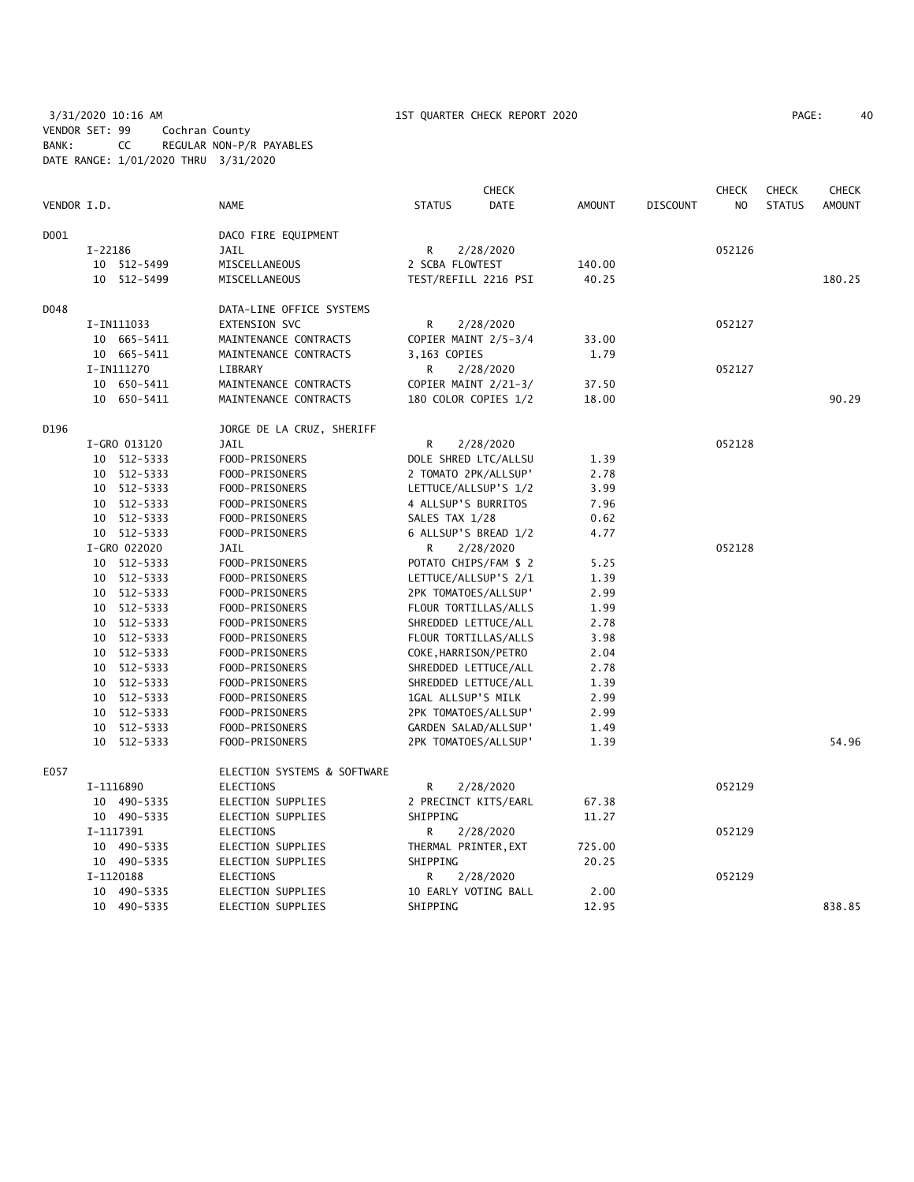3/31/2020 10:16 AM 1ST QUARTER CHECK REPORT 2020 PAGE: 40 VENDOR SET: 99 Cochran County BANK: CC REGULAR NON-P/R PAYABLES DATE RANGE: 1/01/2020 THRU 3/31/2020

| PAGE: | 40 |
|-------|----|
|-------|----|

|             |         |              |                             | <b>CHECK</b>         |                       |               | <b>CHECK</b><br><b>CHECK</b> |                |               | <b>CHECK</b>  |
|-------------|---------|--------------|-----------------------------|----------------------|-----------------------|---------------|------------------------------|----------------|---------------|---------------|
| VENDOR I.D. |         |              | <b>NAME</b>                 | <b>STATUS</b>        | DATE                  | <b>AMOUNT</b> | <b>DISCOUNT</b>              | N <sub>O</sub> | <b>STATUS</b> | <b>AMOUNT</b> |
| D001        |         |              | DACO FIRE EQUIPMENT         |                      |                       |               |                              |                |               |               |
|             | I-22186 |              | <b>JAIL</b>                 | R                    | 2/28/2020             |               |                              | 052126         |               |               |
|             |         | 10 512-5499  | MISCELLANEOUS               | 2 SCBA FLOWTEST      |                       | 140.00        |                              |                |               |               |
|             |         | 10 512-5499  | MISCELLANEOUS               |                      | TEST/REFILL 2216 PSI  | 40.25         |                              |                |               | 180.25        |
| D048        |         |              | DATA-LINE OFFICE SYSTEMS    |                      |                       |               |                              |                |               |               |
|             |         | I-IN111033   | EXTENSION SVC               | R                    | 2/28/2020             |               |                              | 052127         |               |               |
|             |         | 10 665-5411  | MAINTENANCE CONTRACTS       |                      | COPIER MAINT 2/5-3/4  | 33.00         |                              |                |               |               |
|             |         | 10 665-5411  | MAINTENANCE CONTRACTS       | 3,163 COPIES         |                       | 1.79          |                              |                |               |               |
|             |         | I-IN111270   | LIBRARY                     | R                    | 2/28/2020             |               |                              | 052127         |               |               |
|             |         | 10 650-5411  | MAINTENANCE CONTRACTS       |                      | COPIER MAINT 2/21-3/  | 37.50         |                              |                |               |               |
|             |         | 10 650-5411  | MAINTENANCE CONTRACTS       |                      | 180 COLOR COPIES 1/2  | 18.00         |                              |                |               | 90.29         |
| D196        |         |              | JORGE DE LA CRUZ, SHERIFF   |                      |                       |               |                              |                |               |               |
|             |         | I-GRO 013120 | <b>JAIL</b>                 | R                    | 2/28/2020             |               |                              | 052128         |               |               |
|             |         | 10 512-5333  | FOOD-PRISONERS              |                      | DOLE SHRED LTC/ALLSU  | 1.39          |                              |                |               |               |
|             |         | 10 512-5333  | FOOD-PRISONERS              |                      | 2 TOMATO 2PK/ALLSUP'  | 2.78          |                              |                |               |               |
|             |         | 10 512-5333  | FOOD-PRISONERS              |                      | LETTUCE/ALLSUP'S 1/2  | 3.99          |                              |                |               |               |
|             |         | 10 512-5333  | FOOD-PRISONERS              | 4 ALLSUP'S BURRITOS  |                       | 7.96          |                              |                |               |               |
|             |         | 10 512-5333  | FOOD-PRISONERS              | SALES TAX 1/28       |                       | 0.62          |                              |                |               |               |
|             |         | 10 512-5333  | FOOD-PRISONERS              |                      | 6 ALLSUP'S BREAD 1/2  | 4.77          |                              |                |               |               |
|             |         | I-GRO 022020 | JAIL                        | R                    | 2/28/2020             |               |                              | 052128         |               |               |
|             |         | 10 512-5333  | FOOD-PRISONERS              |                      | POTATO CHIPS/FAM \$ 2 | 5.25          |                              |                |               |               |
|             |         | 10 512-5333  | FOOD-PRISONERS              |                      | LETTUCE/ALLSUP'S 2/1  | 1.39          |                              |                |               |               |
|             |         | 10 512-5333  | FOOD-PRISONERS              |                      | 2PK TOMATOES/ALLSUP'  | 2.99          |                              |                |               |               |
|             |         | 10 512-5333  | FOOD-PRISONERS              |                      | FLOUR TORTILLAS/ALLS  | 1.99          |                              |                |               |               |
|             |         | 10 512-5333  | FOOD-PRISONERS              |                      | SHREDDED LETTUCE/ALL  | 2.78          |                              |                |               |               |
|             |         | 10 512-5333  | FOOD-PRISONERS              |                      | FLOUR TORTILLAS/ALLS  | 3.98          |                              |                |               |               |
|             |         | 10 512-5333  | FOOD-PRISONERS              | COKE, HARRISON/PETRO |                       | 2.04          |                              |                |               |               |
|             |         | 10 512-5333  | FOOD-PRISONERS              |                      | SHREDDED LETTUCE/ALL  | 2.78          |                              |                |               |               |
|             |         | 10 512-5333  | FOOD-PRISONERS              |                      | SHREDDED LETTUCE/ALL  | 1.39          |                              |                |               |               |
|             |         | 10 512-5333  | FOOD-PRISONERS              | 1GAL ALLSUP'S MILK   |                       | 2.99          |                              |                |               |               |
|             |         | 10 512-5333  | FOOD-PRISONERS              |                      | 2PK TOMATOES/ALLSUP'  | 2.99          |                              |                |               |               |
|             |         | 10 512-5333  | FOOD-PRISONERS              |                      | GARDEN SALAD/ALLSUP'  | 1.49          |                              |                |               |               |
|             |         | 10 512-5333  | FOOD-PRISONERS              |                      | 2PK TOMATOES/ALLSUP'  | 1.39          |                              |                |               | 54.96         |
| E057        |         |              | ELECTION SYSTEMS & SOFTWARE |                      |                       |               |                              |                |               |               |
|             |         | I-1116890    | <b>ELECTIONS</b>            | R                    | 2/28/2020             |               |                              | 052129         |               |               |
|             |         | 10 490-5335  | ELECTION SUPPLIES           |                      | 2 PRECINCT KITS/EARL  | 67.38         |                              |                |               |               |
|             |         | 10 490-5335  | ELECTION SUPPLIES           | SHIPPING             |                       | 11.27         |                              |                |               |               |
|             |         | I-1117391    | <b>ELECTIONS</b>            | R                    | 2/28/2020             |               |                              | 052129         |               |               |
|             |         | 10 490-5335  | ELECTION SUPPLIES           | THERMAL PRINTER, EXT |                       | 725.00        |                              |                |               |               |
|             |         | 10 490-5335  | ELECTION SUPPLIES           | SHIPPING             |                       | 20.25         |                              |                |               |               |
|             |         | I-1120188    | ELECTIONS                   | R                    | 2/28/2020             |               |                              | 052129         |               |               |
|             |         | 10 490-5335  | <b>ELECTION SUPPLIES</b>    |                      | 10 EARLY VOTING BALL  | 2.00          |                              |                |               |               |
|             |         | 10 490-5335  | <b>ELECTION SUPPLIES</b>    | SHIPPING             |                       | 12.95         |                              |                |               | 838.85        |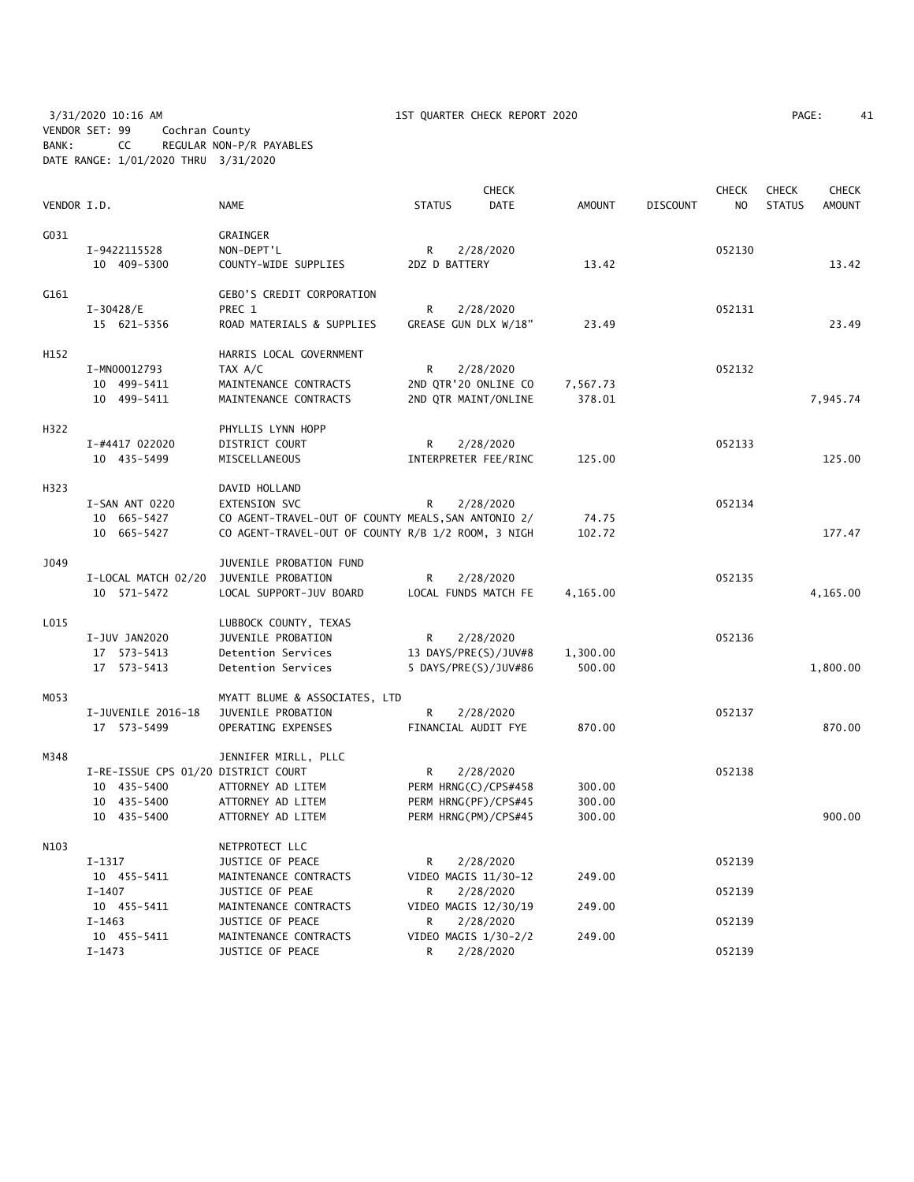3/31/2020 10:16 AM 1ST QUARTER CHECK REPORT 2020 PAGE: 41 VENDOR SET: 99 Cochran County BANK: CC REGULAR NON-P/R PAYABLES DATE RANGE: 1/01/2020 THRU 3/31/2020

| G031<br>GRAINGER<br>2/28/2020<br>052130<br>I-9422115528<br>NON-DEPT'L<br>R<br>10 409-5300<br>COUNTY-WIDE SUPPLIES<br>2DZ D BATTERY<br>13.42<br>13.42<br>G161<br><b>GEBO'S CREDIT CORPORATION</b><br>$I-30428/E$<br>PREC 1<br>R<br>2/28/2020<br>052131<br>GREASE GUN DLX W/18"<br>23.49<br>15 621-5356<br>ROAD MATERIALS & SUPPLIES<br>23.49<br>H152<br>HARRIS LOCAL GOVERNMENT<br>I-MN00012793<br>052132<br>TAX A/C<br>R<br>2/28/2020<br>2ND QTR'20 ONLINE CO<br>10 499-5411<br>MAINTENANCE CONTRACTS<br>7,567.73<br>10 499-5411<br>MAINTENANCE CONTRACTS<br>2ND QTR MAINT/ONLINE<br>378.01<br>7,945.74<br>H322<br>PHYLLIS LYNN HOPP<br>I-#4417 022020<br>DISTRICT COURT<br>R<br>2/28/2020<br>052133<br>10 435-5499<br>MISCELLANEOUS<br>INTERPRETER FEE/RINC<br>125.00<br>H323<br>DAVID HOLLAND<br>052134<br>I-SAN ANT 0220<br>EXTENSION SVC<br>2/28/2020<br>R<br>10 665-5427<br>CO AGENT-TRAVEL-OUT OF COUNTY MEALS, SAN ANTONIO 2/<br>74.75<br>CO AGENT-TRAVEL-OUT OF COUNTY R/B 1/2 ROOM, 3 NIGH<br>177.47<br>10 665-5427<br>102.72<br>J049<br>JUVENILE PROBATION FUND<br>I-LOCAL MATCH 02/20<br>JUVENILE PROBATION<br>052135<br>R<br>2/28/2020<br>LOCAL SUPPORT-JUV BOARD<br>LOCAL FUNDS MATCH FE<br>4,165.00<br>10 571-5472<br>4,165.00<br>L015<br>LUBBOCK COUNTY, TEXAS<br>I-JUV JAN2020<br>JUVENILE PROBATION<br>052136<br>R<br>2/28/2020<br>17 573-5413<br>Detention Services<br>13 DAYS/PRE(S)/JUV#8<br>1,300.00<br>17 573-5413<br>Detention Services<br>5 DAYS/PRE(S)/JUV#86<br>500.00<br>1,800.00<br>MYATT BLUME & ASSOCIATES, LTD<br>MO53<br>I-JUVENILE 2016-18<br>JUVENILE PROBATION<br>R<br>2/28/2020<br>052137<br>FINANCIAL AUDIT FYE<br>870.00<br>17 573-5499<br>OPERATING EXPENSES<br>M348<br>JENNIFER MIRLL, PLLC<br>I-RE-ISSUE CPS 01/20 DISTRICT COURT<br>R<br>2/28/2020<br>052138<br>10 435-5400<br>ATTORNEY AD LITEM<br>PERM HRNG(C)/CPS#458<br>300.00<br>10 435-5400<br>ATTORNEY AD LITEM<br>PERM HRNG(PF)/CPS#45<br>300.00<br>900.00<br>10 435-5400<br>ATTORNEY AD LITEM<br>PERM HRNG(PM)/CPS#45<br>300.00<br>N103<br>NETPROTECT LLC<br>JUSTICE OF PEACE<br>052139<br>$I-1317$<br>R<br>2/28/2020<br>10 455-5411<br>MAINTENANCE CONTRACTS<br>VIDEO MAGIS 11/30-12<br>249.00<br>$I - 1407$<br>JUSTICE OF PEAE<br>2/28/2020<br>052139<br>R<br>10 455-5411<br>MAINTENANCE CONTRACTS<br>VIDEO MAGIS 12/30/19<br>249.00<br>$I - 1463$<br>JUSTICE OF PEACE<br>2/28/2020<br>052139<br>R<br>10 455-5411<br>MAINTENANCE CONTRACTS<br>VIDEO MAGIS 1/30-2/2<br>249.00<br>$I - 1473$<br>JUSTICE OF PEACE<br>R<br>052139<br>2/28/2020 | VENDOR I.D. | <b>NAME</b> | <b>STATUS</b> | <b>CHECK</b><br><b>DATE</b> | <b>AMOUNT</b> | <b>DISCOUNT</b> | <b>CHECK</b><br>N <sub>O</sub> | <b>CHECK</b><br><b>STATUS</b> | <b>CHECK</b><br><b>AMOUNT</b> |
|-------------------------------------------------------------------------------------------------------------------------------------------------------------------------------------------------------------------------------------------------------------------------------------------------------------------------------------------------------------------------------------------------------------------------------------------------------------------------------------------------------------------------------------------------------------------------------------------------------------------------------------------------------------------------------------------------------------------------------------------------------------------------------------------------------------------------------------------------------------------------------------------------------------------------------------------------------------------------------------------------------------------------------------------------------------------------------------------------------------------------------------------------------------------------------------------------------------------------------------------------------------------------------------------------------------------------------------------------------------------------------------------------------------------------------------------------------------------------------------------------------------------------------------------------------------------------------------------------------------------------------------------------------------------------------------------------------------------------------------------------------------------------------------------------------------------------------------------------------------------------------------------------------------------------------------------------------------------------------------------------------------------------------------------------------------------------------------------------------------------------------------------------------------------------------------------------------------------------------------------------------------------------------------------------------------------------------------------------------------------------------------------------------------------------------------------------------------------------------------------------------------------------------------------------|-------------|-------------|---------------|-----------------------------|---------------|-----------------|--------------------------------|-------------------------------|-------------------------------|
|                                                                                                                                                                                                                                                                                                                                                                                                                                                                                                                                                                                                                                                                                                                                                                                                                                                                                                                                                                                                                                                                                                                                                                                                                                                                                                                                                                                                                                                                                                                                                                                                                                                                                                                                                                                                                                                                                                                                                                                                                                                                                                                                                                                                                                                                                                                                                                                                                                                                                                                                                 |             |             |               |                             |               |                 |                                |                               |                               |
|                                                                                                                                                                                                                                                                                                                                                                                                                                                                                                                                                                                                                                                                                                                                                                                                                                                                                                                                                                                                                                                                                                                                                                                                                                                                                                                                                                                                                                                                                                                                                                                                                                                                                                                                                                                                                                                                                                                                                                                                                                                                                                                                                                                                                                                                                                                                                                                                                                                                                                                                                 |             |             |               |                             |               |                 |                                |                               |                               |
|                                                                                                                                                                                                                                                                                                                                                                                                                                                                                                                                                                                                                                                                                                                                                                                                                                                                                                                                                                                                                                                                                                                                                                                                                                                                                                                                                                                                                                                                                                                                                                                                                                                                                                                                                                                                                                                                                                                                                                                                                                                                                                                                                                                                                                                                                                                                                                                                                                                                                                                                                 |             |             |               |                             |               |                 |                                |                               |                               |
|                                                                                                                                                                                                                                                                                                                                                                                                                                                                                                                                                                                                                                                                                                                                                                                                                                                                                                                                                                                                                                                                                                                                                                                                                                                                                                                                                                                                                                                                                                                                                                                                                                                                                                                                                                                                                                                                                                                                                                                                                                                                                                                                                                                                                                                                                                                                                                                                                                                                                                                                                 |             |             |               |                             |               |                 |                                |                               |                               |
|                                                                                                                                                                                                                                                                                                                                                                                                                                                                                                                                                                                                                                                                                                                                                                                                                                                                                                                                                                                                                                                                                                                                                                                                                                                                                                                                                                                                                                                                                                                                                                                                                                                                                                                                                                                                                                                                                                                                                                                                                                                                                                                                                                                                                                                                                                                                                                                                                                                                                                                                                 |             |             |               |                             |               |                 |                                |                               |                               |
|                                                                                                                                                                                                                                                                                                                                                                                                                                                                                                                                                                                                                                                                                                                                                                                                                                                                                                                                                                                                                                                                                                                                                                                                                                                                                                                                                                                                                                                                                                                                                                                                                                                                                                                                                                                                                                                                                                                                                                                                                                                                                                                                                                                                                                                                                                                                                                                                                                                                                                                                                 |             |             |               |                             |               |                 |                                |                               |                               |
|                                                                                                                                                                                                                                                                                                                                                                                                                                                                                                                                                                                                                                                                                                                                                                                                                                                                                                                                                                                                                                                                                                                                                                                                                                                                                                                                                                                                                                                                                                                                                                                                                                                                                                                                                                                                                                                                                                                                                                                                                                                                                                                                                                                                                                                                                                                                                                                                                                                                                                                                                 |             |             |               |                             |               |                 |                                |                               |                               |
|                                                                                                                                                                                                                                                                                                                                                                                                                                                                                                                                                                                                                                                                                                                                                                                                                                                                                                                                                                                                                                                                                                                                                                                                                                                                                                                                                                                                                                                                                                                                                                                                                                                                                                                                                                                                                                                                                                                                                                                                                                                                                                                                                                                                                                                                                                                                                                                                                                                                                                                                                 |             |             |               |                             |               |                 |                                |                               |                               |
|                                                                                                                                                                                                                                                                                                                                                                                                                                                                                                                                                                                                                                                                                                                                                                                                                                                                                                                                                                                                                                                                                                                                                                                                                                                                                                                                                                                                                                                                                                                                                                                                                                                                                                                                                                                                                                                                                                                                                                                                                                                                                                                                                                                                                                                                                                                                                                                                                                                                                                                                                 |             |             |               |                             |               |                 |                                |                               |                               |
|                                                                                                                                                                                                                                                                                                                                                                                                                                                                                                                                                                                                                                                                                                                                                                                                                                                                                                                                                                                                                                                                                                                                                                                                                                                                                                                                                                                                                                                                                                                                                                                                                                                                                                                                                                                                                                                                                                                                                                                                                                                                                                                                                                                                                                                                                                                                                                                                                                                                                                                                                 |             |             |               |                             |               |                 |                                |                               |                               |
|                                                                                                                                                                                                                                                                                                                                                                                                                                                                                                                                                                                                                                                                                                                                                                                                                                                                                                                                                                                                                                                                                                                                                                                                                                                                                                                                                                                                                                                                                                                                                                                                                                                                                                                                                                                                                                                                                                                                                                                                                                                                                                                                                                                                                                                                                                                                                                                                                                                                                                                                                 |             |             |               |                             |               |                 |                                |                               |                               |
|                                                                                                                                                                                                                                                                                                                                                                                                                                                                                                                                                                                                                                                                                                                                                                                                                                                                                                                                                                                                                                                                                                                                                                                                                                                                                                                                                                                                                                                                                                                                                                                                                                                                                                                                                                                                                                                                                                                                                                                                                                                                                                                                                                                                                                                                                                                                                                                                                                                                                                                                                 |             |             |               |                             |               |                 |                                |                               | 125.00                        |
|                                                                                                                                                                                                                                                                                                                                                                                                                                                                                                                                                                                                                                                                                                                                                                                                                                                                                                                                                                                                                                                                                                                                                                                                                                                                                                                                                                                                                                                                                                                                                                                                                                                                                                                                                                                                                                                                                                                                                                                                                                                                                                                                                                                                                                                                                                                                                                                                                                                                                                                                                 |             |             |               |                             |               |                 |                                |                               |                               |
|                                                                                                                                                                                                                                                                                                                                                                                                                                                                                                                                                                                                                                                                                                                                                                                                                                                                                                                                                                                                                                                                                                                                                                                                                                                                                                                                                                                                                                                                                                                                                                                                                                                                                                                                                                                                                                                                                                                                                                                                                                                                                                                                                                                                                                                                                                                                                                                                                                                                                                                                                 |             |             |               |                             |               |                 |                                |                               |                               |
|                                                                                                                                                                                                                                                                                                                                                                                                                                                                                                                                                                                                                                                                                                                                                                                                                                                                                                                                                                                                                                                                                                                                                                                                                                                                                                                                                                                                                                                                                                                                                                                                                                                                                                                                                                                                                                                                                                                                                                                                                                                                                                                                                                                                                                                                                                                                                                                                                                                                                                                                                 |             |             |               |                             |               |                 |                                |                               |                               |
|                                                                                                                                                                                                                                                                                                                                                                                                                                                                                                                                                                                                                                                                                                                                                                                                                                                                                                                                                                                                                                                                                                                                                                                                                                                                                                                                                                                                                                                                                                                                                                                                                                                                                                                                                                                                                                                                                                                                                                                                                                                                                                                                                                                                                                                                                                                                                                                                                                                                                                                                                 |             |             |               |                             |               |                 |                                |                               |                               |
|                                                                                                                                                                                                                                                                                                                                                                                                                                                                                                                                                                                                                                                                                                                                                                                                                                                                                                                                                                                                                                                                                                                                                                                                                                                                                                                                                                                                                                                                                                                                                                                                                                                                                                                                                                                                                                                                                                                                                                                                                                                                                                                                                                                                                                                                                                                                                                                                                                                                                                                                                 |             |             |               |                             |               |                 |                                |                               |                               |
|                                                                                                                                                                                                                                                                                                                                                                                                                                                                                                                                                                                                                                                                                                                                                                                                                                                                                                                                                                                                                                                                                                                                                                                                                                                                                                                                                                                                                                                                                                                                                                                                                                                                                                                                                                                                                                                                                                                                                                                                                                                                                                                                                                                                                                                                                                                                                                                                                                                                                                                                                 |             |             |               |                             |               |                 |                                |                               |                               |
|                                                                                                                                                                                                                                                                                                                                                                                                                                                                                                                                                                                                                                                                                                                                                                                                                                                                                                                                                                                                                                                                                                                                                                                                                                                                                                                                                                                                                                                                                                                                                                                                                                                                                                                                                                                                                                                                                                                                                                                                                                                                                                                                                                                                                                                                                                                                                                                                                                                                                                                                                 |             |             |               |                             |               |                 |                                |                               |                               |
|                                                                                                                                                                                                                                                                                                                                                                                                                                                                                                                                                                                                                                                                                                                                                                                                                                                                                                                                                                                                                                                                                                                                                                                                                                                                                                                                                                                                                                                                                                                                                                                                                                                                                                                                                                                                                                                                                                                                                                                                                                                                                                                                                                                                                                                                                                                                                                                                                                                                                                                                                 |             |             |               |                             |               |                 |                                |                               |                               |
|                                                                                                                                                                                                                                                                                                                                                                                                                                                                                                                                                                                                                                                                                                                                                                                                                                                                                                                                                                                                                                                                                                                                                                                                                                                                                                                                                                                                                                                                                                                                                                                                                                                                                                                                                                                                                                                                                                                                                                                                                                                                                                                                                                                                                                                                                                                                                                                                                                                                                                                                                 |             |             |               |                             |               |                 |                                |                               |                               |
|                                                                                                                                                                                                                                                                                                                                                                                                                                                                                                                                                                                                                                                                                                                                                                                                                                                                                                                                                                                                                                                                                                                                                                                                                                                                                                                                                                                                                                                                                                                                                                                                                                                                                                                                                                                                                                                                                                                                                                                                                                                                                                                                                                                                                                                                                                                                                                                                                                                                                                                                                 |             |             |               |                             |               |                 |                                |                               |                               |
|                                                                                                                                                                                                                                                                                                                                                                                                                                                                                                                                                                                                                                                                                                                                                                                                                                                                                                                                                                                                                                                                                                                                                                                                                                                                                                                                                                                                                                                                                                                                                                                                                                                                                                                                                                                                                                                                                                                                                                                                                                                                                                                                                                                                                                                                                                                                                                                                                                                                                                                                                 |             |             |               |                             |               |                 |                                |                               |                               |
|                                                                                                                                                                                                                                                                                                                                                                                                                                                                                                                                                                                                                                                                                                                                                                                                                                                                                                                                                                                                                                                                                                                                                                                                                                                                                                                                                                                                                                                                                                                                                                                                                                                                                                                                                                                                                                                                                                                                                                                                                                                                                                                                                                                                                                                                                                                                                                                                                                                                                                                                                 |             |             |               |                             |               |                 |                                |                               |                               |
|                                                                                                                                                                                                                                                                                                                                                                                                                                                                                                                                                                                                                                                                                                                                                                                                                                                                                                                                                                                                                                                                                                                                                                                                                                                                                                                                                                                                                                                                                                                                                                                                                                                                                                                                                                                                                                                                                                                                                                                                                                                                                                                                                                                                                                                                                                                                                                                                                                                                                                                                                 |             |             |               |                             |               |                 |                                |                               |                               |
|                                                                                                                                                                                                                                                                                                                                                                                                                                                                                                                                                                                                                                                                                                                                                                                                                                                                                                                                                                                                                                                                                                                                                                                                                                                                                                                                                                                                                                                                                                                                                                                                                                                                                                                                                                                                                                                                                                                                                                                                                                                                                                                                                                                                                                                                                                                                                                                                                                                                                                                                                 |             |             |               |                             |               |                 |                                |                               | 870.00                        |
|                                                                                                                                                                                                                                                                                                                                                                                                                                                                                                                                                                                                                                                                                                                                                                                                                                                                                                                                                                                                                                                                                                                                                                                                                                                                                                                                                                                                                                                                                                                                                                                                                                                                                                                                                                                                                                                                                                                                                                                                                                                                                                                                                                                                                                                                                                                                                                                                                                                                                                                                                 |             |             |               |                             |               |                 |                                |                               |                               |
|                                                                                                                                                                                                                                                                                                                                                                                                                                                                                                                                                                                                                                                                                                                                                                                                                                                                                                                                                                                                                                                                                                                                                                                                                                                                                                                                                                                                                                                                                                                                                                                                                                                                                                                                                                                                                                                                                                                                                                                                                                                                                                                                                                                                                                                                                                                                                                                                                                                                                                                                                 |             |             |               |                             |               |                 |                                |                               |                               |
|                                                                                                                                                                                                                                                                                                                                                                                                                                                                                                                                                                                                                                                                                                                                                                                                                                                                                                                                                                                                                                                                                                                                                                                                                                                                                                                                                                                                                                                                                                                                                                                                                                                                                                                                                                                                                                                                                                                                                                                                                                                                                                                                                                                                                                                                                                                                                                                                                                                                                                                                                 |             |             |               |                             |               |                 |                                |                               |                               |
|                                                                                                                                                                                                                                                                                                                                                                                                                                                                                                                                                                                                                                                                                                                                                                                                                                                                                                                                                                                                                                                                                                                                                                                                                                                                                                                                                                                                                                                                                                                                                                                                                                                                                                                                                                                                                                                                                                                                                                                                                                                                                                                                                                                                                                                                                                                                                                                                                                                                                                                                                 |             |             |               |                             |               |                 |                                |                               |                               |
|                                                                                                                                                                                                                                                                                                                                                                                                                                                                                                                                                                                                                                                                                                                                                                                                                                                                                                                                                                                                                                                                                                                                                                                                                                                                                                                                                                                                                                                                                                                                                                                                                                                                                                                                                                                                                                                                                                                                                                                                                                                                                                                                                                                                                                                                                                                                                                                                                                                                                                                                                 |             |             |               |                             |               |                 |                                |                               |                               |
|                                                                                                                                                                                                                                                                                                                                                                                                                                                                                                                                                                                                                                                                                                                                                                                                                                                                                                                                                                                                                                                                                                                                                                                                                                                                                                                                                                                                                                                                                                                                                                                                                                                                                                                                                                                                                                                                                                                                                                                                                                                                                                                                                                                                                                                                                                                                                                                                                                                                                                                                                 |             |             |               |                             |               |                 |                                |                               |                               |
|                                                                                                                                                                                                                                                                                                                                                                                                                                                                                                                                                                                                                                                                                                                                                                                                                                                                                                                                                                                                                                                                                                                                                                                                                                                                                                                                                                                                                                                                                                                                                                                                                                                                                                                                                                                                                                                                                                                                                                                                                                                                                                                                                                                                                                                                                                                                                                                                                                                                                                                                                 |             |             |               |                             |               |                 |                                |                               |                               |
|                                                                                                                                                                                                                                                                                                                                                                                                                                                                                                                                                                                                                                                                                                                                                                                                                                                                                                                                                                                                                                                                                                                                                                                                                                                                                                                                                                                                                                                                                                                                                                                                                                                                                                                                                                                                                                                                                                                                                                                                                                                                                                                                                                                                                                                                                                                                                                                                                                                                                                                                                 |             |             |               |                             |               |                 |                                |                               |                               |
|                                                                                                                                                                                                                                                                                                                                                                                                                                                                                                                                                                                                                                                                                                                                                                                                                                                                                                                                                                                                                                                                                                                                                                                                                                                                                                                                                                                                                                                                                                                                                                                                                                                                                                                                                                                                                                                                                                                                                                                                                                                                                                                                                                                                                                                                                                                                                                                                                                                                                                                                                 |             |             |               |                             |               |                 |                                |                               |                               |
|                                                                                                                                                                                                                                                                                                                                                                                                                                                                                                                                                                                                                                                                                                                                                                                                                                                                                                                                                                                                                                                                                                                                                                                                                                                                                                                                                                                                                                                                                                                                                                                                                                                                                                                                                                                                                                                                                                                                                                                                                                                                                                                                                                                                                                                                                                                                                                                                                                                                                                                                                 |             |             |               |                             |               |                 |                                |                               |                               |
|                                                                                                                                                                                                                                                                                                                                                                                                                                                                                                                                                                                                                                                                                                                                                                                                                                                                                                                                                                                                                                                                                                                                                                                                                                                                                                                                                                                                                                                                                                                                                                                                                                                                                                                                                                                                                                                                                                                                                                                                                                                                                                                                                                                                                                                                                                                                                                                                                                                                                                                                                 |             |             |               |                             |               |                 |                                |                               |                               |
|                                                                                                                                                                                                                                                                                                                                                                                                                                                                                                                                                                                                                                                                                                                                                                                                                                                                                                                                                                                                                                                                                                                                                                                                                                                                                                                                                                                                                                                                                                                                                                                                                                                                                                                                                                                                                                                                                                                                                                                                                                                                                                                                                                                                                                                                                                                                                                                                                                                                                                                                                 |             |             |               |                             |               |                 |                                |                               |                               |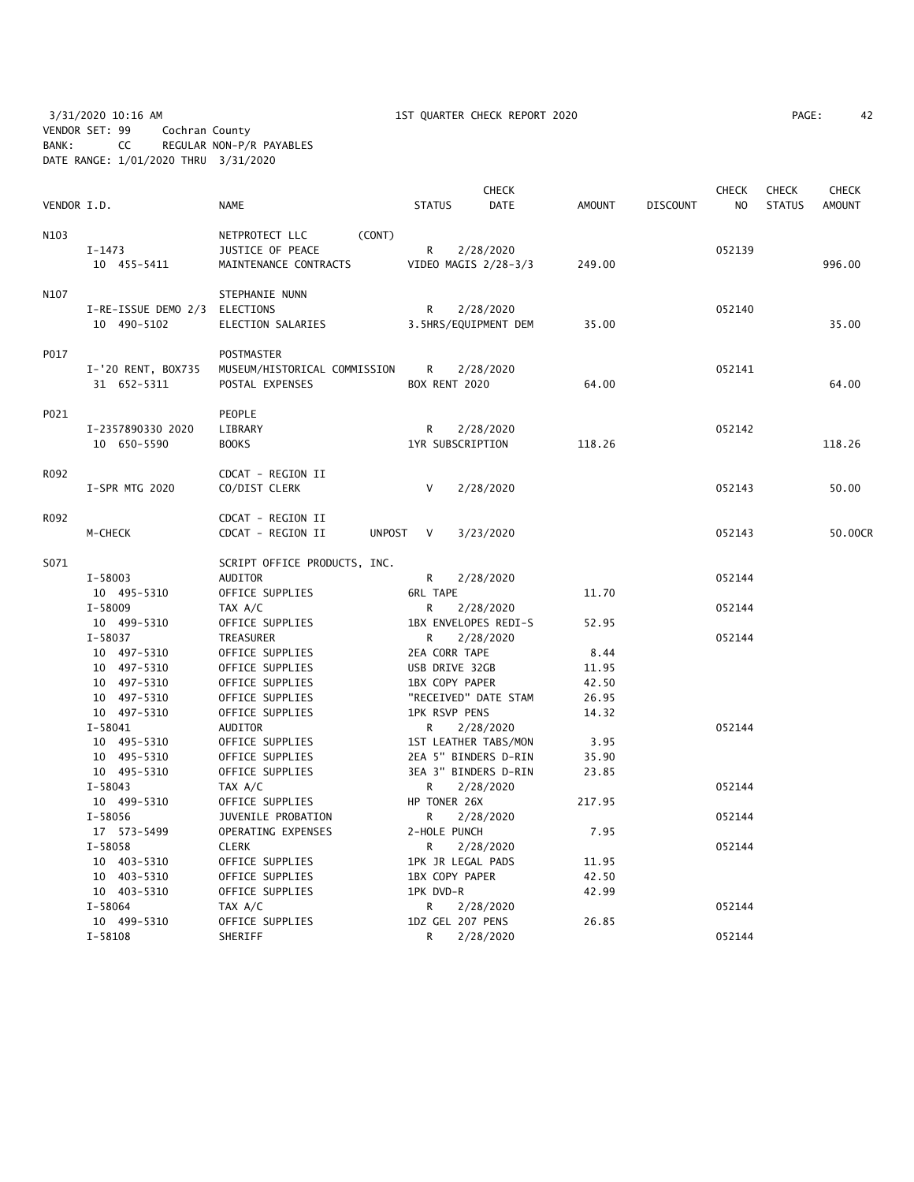3/31/2020 10:16 AM 1ST QUARTER CHECK REPORT 2020 PAGE: 42 VENDOR SET: 99 Cochran County BANK: CC REGULAR NON-P/R PAYABLES DATE RANGE: 1/01/2020 THRU 3/31/2020

| PAGE: | 42 |
|-------|----|
|-------|----|

| VENDOR I.D. |                                              | <b>NAME</b>                                                   | <b>STATUS</b>             | <b>CHECK</b><br><b>DATE</b> | <b>AMOUNT</b> | <b>DISCOUNT</b> | <b>CHECK</b><br>NO. | <b>CHECK</b><br><b>STATUS</b> | <b>CHECK</b><br><b>AMOUNT</b> |
|-------------|----------------------------------------------|---------------------------------------------------------------|---------------------------|-----------------------------|---------------|-----------------|---------------------|-------------------------------|-------------------------------|
| N103        | I-1473                                       | (CONT)<br>NETPROTECT LLC<br>JUSTICE OF PEACE                  | R                         | 2/28/2020                   |               |                 | 052139              |                               |                               |
|             | 10 455-5411                                  | MAINTENANCE CONTRACTS                                         | VIDEO MAGIS 2/28-3/3      |                             | 249.00        |                 |                     |                               | 996.00                        |
| N107        | I-RE-ISSUE DEMO 2/3 ELECTIONS<br>10 490-5102 | STEPHANIE NUNN<br>ELECTION SALARIES                           | R<br>3.5HRS/EQUIPMENT DEM | 2/28/2020                   | 35.00         |                 | 052140              |                               | 35.00                         |
|             |                                              |                                                               |                           |                             |               |                 |                     |                               |                               |
| P017        | I-'20 RENT, BOX735<br>31 652-5311            | POSTMASTER<br>MUSEUM/HISTORICAL COMMISSION<br>POSTAL EXPENSES | R.<br>BOX RENT 2020       | 2/28/2020                   | 64.00         |                 | 052141              |                               | 64.00                         |
| P021        |                                              | PEOPLE                                                        |                           |                             |               |                 |                     |                               |                               |
|             | I-2357890330 2020                            | LIBRARY                                                       | R                         | 2/28/2020                   |               |                 | 052142              |                               |                               |
|             | 10 650-5590                                  | <b>BOOKS</b>                                                  | 1YR SUBSCRIPTION          |                             | 118.26        |                 |                     |                               | 118.26                        |
| R092        |                                              | CDCAT - REGION II                                             |                           |                             |               |                 |                     |                               |                               |
|             | I-SPR MTG 2020                               | CO/DIST CLERK                                                 | $\vee$                    | 2/28/2020                   |               |                 | 052143              |                               | 50.00                         |
| R092        |                                              | CDCAT - REGION II                                             |                           |                             |               |                 |                     |                               |                               |
|             | M-CHECK                                      | <b>UNPOST</b><br>CDCAT - REGION II                            | $\vee$                    | 3/23/2020                   |               |                 | 052143              |                               | 50.00CR                       |
| S071        |                                              | SCRIPT OFFICE PRODUCTS, INC.                                  |                           |                             |               |                 |                     |                               |                               |
|             | I-58003                                      | AUDITOR                                                       | R                         | 2/28/2020                   |               |                 | 052144              |                               |                               |
|             | 10 495-5310                                  | OFFICE SUPPLIES                                               | <b>6RL TAPE</b>           |                             | 11.70         |                 |                     |                               |                               |
|             | $I - 58009$                                  | TAX A/C                                                       | 2/28/2020<br>R            |                             |               |                 | 052144              |                               |                               |
|             | 10 499-5310                                  | OFFICE SUPPLIES                                               | 1BX ENVELOPES REDI-S      |                             | 52.95         |                 |                     |                               |                               |
|             | I-58037                                      | TREASURER                                                     | R                         | 2/28/2020                   |               |                 | 052144              |                               |                               |
|             | 10 497-5310                                  | OFFICE SUPPLIES                                               | 2EA CORR TAPE             |                             | 8.44          |                 |                     |                               |                               |
|             | 10 497-5310                                  | OFFICE SUPPLIES                                               | USB DRIVE 32GB            |                             | 11.95         |                 |                     |                               |                               |
|             | 10 497-5310                                  | OFFICE SUPPLIES                                               | 1BX COPY PAPER            |                             | 42.50         |                 |                     |                               |                               |
|             | 10 497-5310                                  | OFFICE SUPPLIES                                               | "RECEIVED" DATE STAM      |                             | 26.95         |                 |                     |                               |                               |
|             | 10 497-5310                                  | OFFICE SUPPLIES                                               | <b>1PK RSVP PENS</b>      |                             | 14.32         |                 |                     |                               |                               |
|             | $I - 58041$                                  | AUDITOR                                                       | R.                        | 2/28/2020                   |               |                 | 052144              |                               |                               |
|             | 10 495-5310                                  | OFFICE SUPPLIES                                               | 1ST LEATHER TABS/MON      |                             | 3.95          |                 |                     |                               |                               |
|             | 10 495-5310                                  | OFFICE SUPPLIES                                               | 2EA 5" BINDERS D-RIN      |                             | 35.90         |                 |                     |                               |                               |
|             | 10 495-5310                                  | OFFICE SUPPLIES                                               | 3EA 3" BINDERS D-RIN      |                             | 23.85         |                 |                     |                               |                               |
|             | I-58043                                      | TAX A/C                                                       | R                         | 2/28/2020                   |               |                 | 052144              |                               |                               |
|             | 10 499-5310                                  | OFFICE SUPPLIES                                               | HP TONER 26X              |                             | 217.95        |                 |                     |                               |                               |
|             | $I - 58056$                                  | JUVENILE PROBATION                                            | R                         | 2/28/2020                   |               |                 | 052144              |                               |                               |
|             | 17 573-5499                                  | OPERATING EXPENSES                                            | 2-HOLE PUNCH              |                             | 7.95          |                 |                     |                               |                               |
|             | I-58058                                      | <b>CLERK</b>                                                  | R                         | 2/28/2020                   |               |                 | 052144              |                               |                               |
|             | 10 403-5310                                  | OFFICE SUPPLIES                                               | 1PK JR LEGAL PADS         |                             | 11.95         |                 |                     |                               |                               |
|             | 10 403-5310<br>OFFICE SUPPLIES               |                                                               | 1BX COPY PAPER<br>42.50   |                             |               |                 |                     |                               |                               |
|             | 10 403-5310                                  | OFFICE SUPPLIES                                               | 1PK DVD-R                 |                             | 42.99         |                 |                     |                               |                               |
|             | I-58064                                      | TAX A/C                                                       | R                         | 2/28/2020                   |               |                 | 052144              |                               |                               |
|             | 10 499-5310                                  | OFFICE SUPPLIES                                               | 1DZ GEL 207 PENS          |                             | 26.85         |                 |                     |                               |                               |
|             | $I - 58108$                                  | SHERIFF                                                       | R                         | 2/28/2020                   |               |                 | 052144              |                               |                               |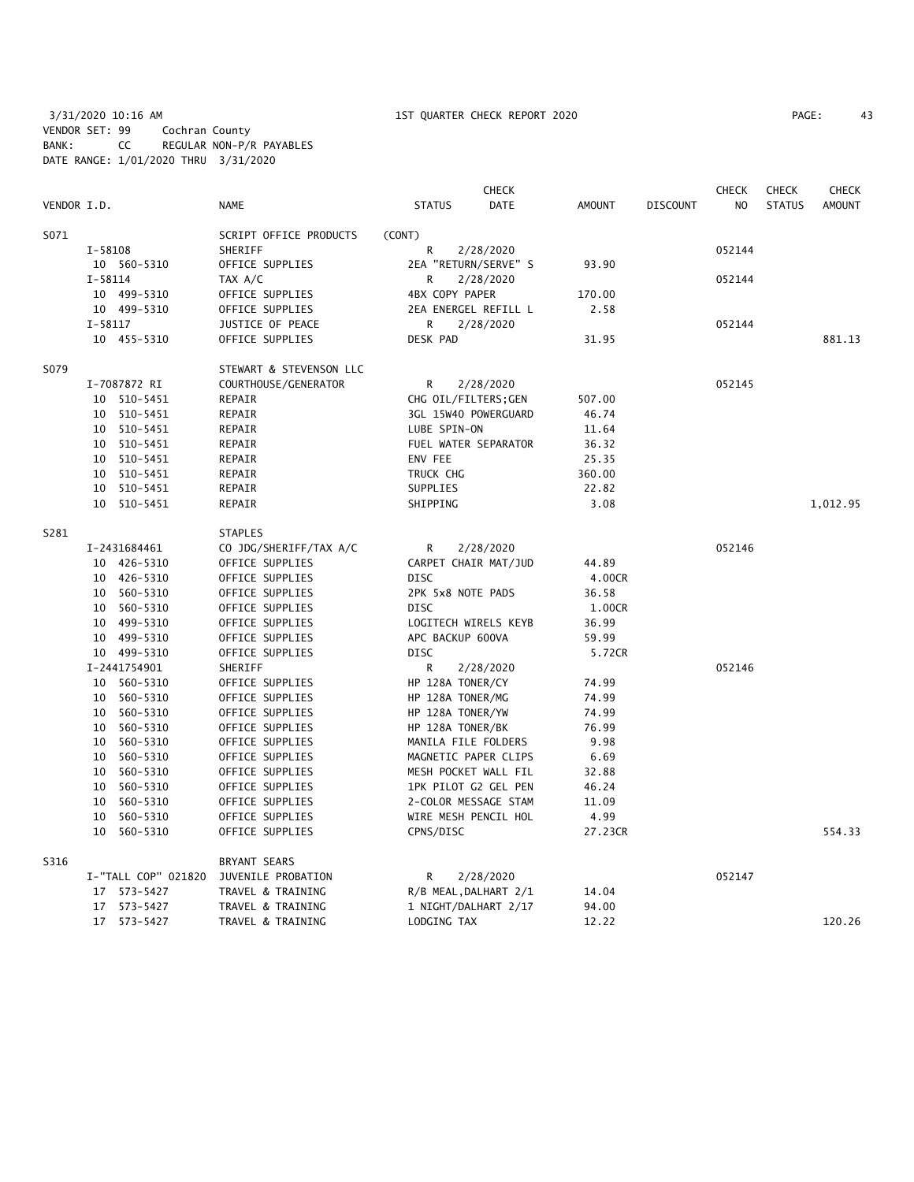3/31/2020 10:16 AM 1ST QUARTER CHECK REPORT 2020 PAGE: 43 VENDOR SET: 99 Cochran County BANK: CC REGULAR NON-P/R PAYABLES DATE RANGE: 1/01/2020 THRU 3/31/2020

| PAGE: | 43 |  |
|-------|----|--|
|-------|----|--|

|             |             |                     |                         | <b>CHECK</b>          |             |               | <b>CHECK</b><br><b>CHECK</b><br><b>CHECK</b> |                |               |               |
|-------------|-------------|---------------------|-------------------------|-----------------------|-------------|---------------|----------------------------------------------|----------------|---------------|---------------|
| VENDOR I.D. |             |                     | <b>NAME</b>             | <b>STATUS</b>         | <b>DATE</b> | <b>AMOUNT</b> | <b>DISCOUNT</b>                              | N <sub>O</sub> | <b>STATUS</b> | <b>AMOUNT</b> |
| S071        |             |                     | SCRIPT OFFICE PRODUCTS  | (CONT)                |             |               |                                              |                |               |               |
|             | $I - 58108$ |                     | SHERIFF                 | R                     | 2/28/2020   |               |                                              | 052144         |               |               |
|             |             | 10 560-5310         | OFFICE SUPPLIES         | 2EA "RETURN/SERVE" S  |             | 93.90         |                                              |                |               |               |
|             | $I - 58114$ |                     | TAX A/C                 | R                     | 2/28/2020   |               |                                              | 052144         |               |               |
|             |             | 10 499-5310         | OFFICE SUPPLIES         | 4BX COPY PAPER        |             | 170.00        |                                              |                |               |               |
|             |             | 10 499-5310         | OFFICE SUPPLIES         | 2EA ENERGEL REFILL L  |             | 2.58          |                                              |                |               |               |
|             | I-58117     |                     | JUSTICE OF PEACE        | R                     | 2/28/2020   |               |                                              | 052144         |               |               |
|             |             | 10 455-5310         | OFFICE SUPPLIES         | DESK PAD              |             | 31.95         |                                              |                |               | 881.13        |
| S079        |             |                     | STEWART & STEVENSON LLC |                       |             |               |                                              |                |               |               |
|             |             | I-7087872 RI        | COURTHOUSE/GENERATOR    | R                     | 2/28/2020   |               |                                              | 052145         |               |               |
|             |             | 10 510-5451         | REPAIR                  | CHG OIL/FILTERS; GEN  |             | 507.00        |                                              |                |               |               |
|             |             | 10 510-5451         | REPAIR                  | 3GL 15W40 POWERGUARD  |             | 46.74         |                                              |                |               |               |
|             |             | 10 510-5451         | REPAIR                  | LUBE SPIN-ON          |             | 11.64         |                                              |                |               |               |
|             |             | 10 510-5451         | REPAIR                  | FUEL WATER SEPARATOR  |             | 36.32         |                                              |                |               |               |
|             |             | 10 510-5451         | REPAIR                  | ENV FEE               |             | 25.35         |                                              |                |               |               |
|             |             | 10 510-5451         | REPAIR                  | TRUCK CHG             |             | 360.00        |                                              |                |               |               |
|             |             | 10 510-5451         | REPAIR                  | SUPPLIES              |             | 22.82         |                                              |                |               |               |
|             |             | 10 510-5451         | REPAIR                  | SHIPPING              |             | 3.08          |                                              |                |               | 1,012.95      |
| S281        |             |                     | <b>STAPLES</b>          |                       |             |               |                                              |                |               |               |
|             |             | I-2431684461        | CO JDG/SHERIFF/TAX A/C  | R                     | 2/28/2020   |               |                                              | 052146         |               |               |
|             |             | 10 426-5310         | OFFICE SUPPLIES         | CARPET CHAIR MAT/JUD  |             | 44.89         |                                              |                |               |               |
|             |             | 10 426-5310         | OFFICE SUPPLIES         | <b>DISC</b>           |             | 4.00CR        |                                              |                |               |               |
|             |             | 10 560-5310         | OFFICE SUPPLIES         | 2PK 5x8 NOTE PADS     |             | 36.58         |                                              |                |               |               |
|             |             | 10 560-5310         | OFFICE SUPPLIES         | <b>DISC</b>           |             | 1.00CR        |                                              |                |               |               |
|             |             | 10 499-5310         | OFFICE SUPPLIES         | LOGITECH WIRELS KEYB  |             | 36.99         |                                              |                |               |               |
|             |             | 10 499-5310         | OFFICE SUPPLIES         | APC BACKUP 600VA      |             | 59.99         |                                              |                |               |               |
|             |             | 10 499-5310         | OFFICE SUPPLIES         | <b>DISC</b>           |             | 5.72CR        |                                              |                |               |               |
|             |             | I-2441754901        | SHERIFF                 | R                     | 2/28/2020   |               |                                              | 052146         |               |               |
|             |             | 10 560-5310         | OFFICE SUPPLIES         | HP 128A TONER/CY      |             | 74.99         |                                              |                |               |               |
|             |             | 10 560-5310         | OFFICE SUPPLIES         | HP 128A TONER/MG      |             | 74.99         |                                              |                |               |               |
|             |             | 10 560-5310         | OFFICE SUPPLIES         | HP 128A TONER/YW      |             | 74.99         |                                              |                |               |               |
|             |             | 10 560-5310         | OFFICE SUPPLIES         | HP 128A TONER/BK      |             | 76.99         |                                              |                |               |               |
|             |             | 10 560-5310         | OFFICE SUPPLIES         | MANILA FILE FOLDERS   |             | 9.98          |                                              |                |               |               |
|             |             | 10 560-5310         | OFFICE SUPPLIES         | MAGNETIC PAPER CLIPS  |             | 6.69          |                                              |                |               |               |
|             |             | 10 560-5310         | OFFICE SUPPLIES         | MESH POCKET WALL FIL  |             | 32.88         |                                              |                |               |               |
|             |             | 10 560-5310         | OFFICE SUPPLIES         | 1PK PILOT G2 GEL PEN  |             | 46.24         |                                              |                |               |               |
|             |             | 10 560-5310         | OFFICE SUPPLIES         | 2-COLOR MESSAGE STAM  |             | 11.09         |                                              |                |               |               |
|             | 10          | 560-5310            | OFFICE SUPPLIES         | WIRE MESH PENCIL HOL  |             | 4.99          |                                              |                |               |               |
|             |             | 10 560-5310         | OFFICE SUPPLIES         | CPNS/DISC             |             | 27.23CR       |                                              |                |               | 554.33        |
| S316        |             |                     | <b>BRYANT SEARS</b>     |                       |             |               |                                              |                |               |               |
|             |             | I-"TALL COP" 021820 | JUVENILE PROBATION      | R                     | 2/28/2020   |               |                                              | 052147         |               |               |
|             |             | 17 573-5427         | TRAVEL & TRAINING       | R/B MEAL, DALHART 2/1 |             | 14.04         |                                              |                |               |               |
|             |             | 17 573-5427         | TRAVEL & TRAINING       | 1 NIGHT/DALHART 2/17  |             | 94.00         |                                              |                |               |               |
|             |             | 17 573-5427         | TRAVEL & TRAINING       | LODGING TAX           |             | 12.22         |                                              |                |               | 120.26        |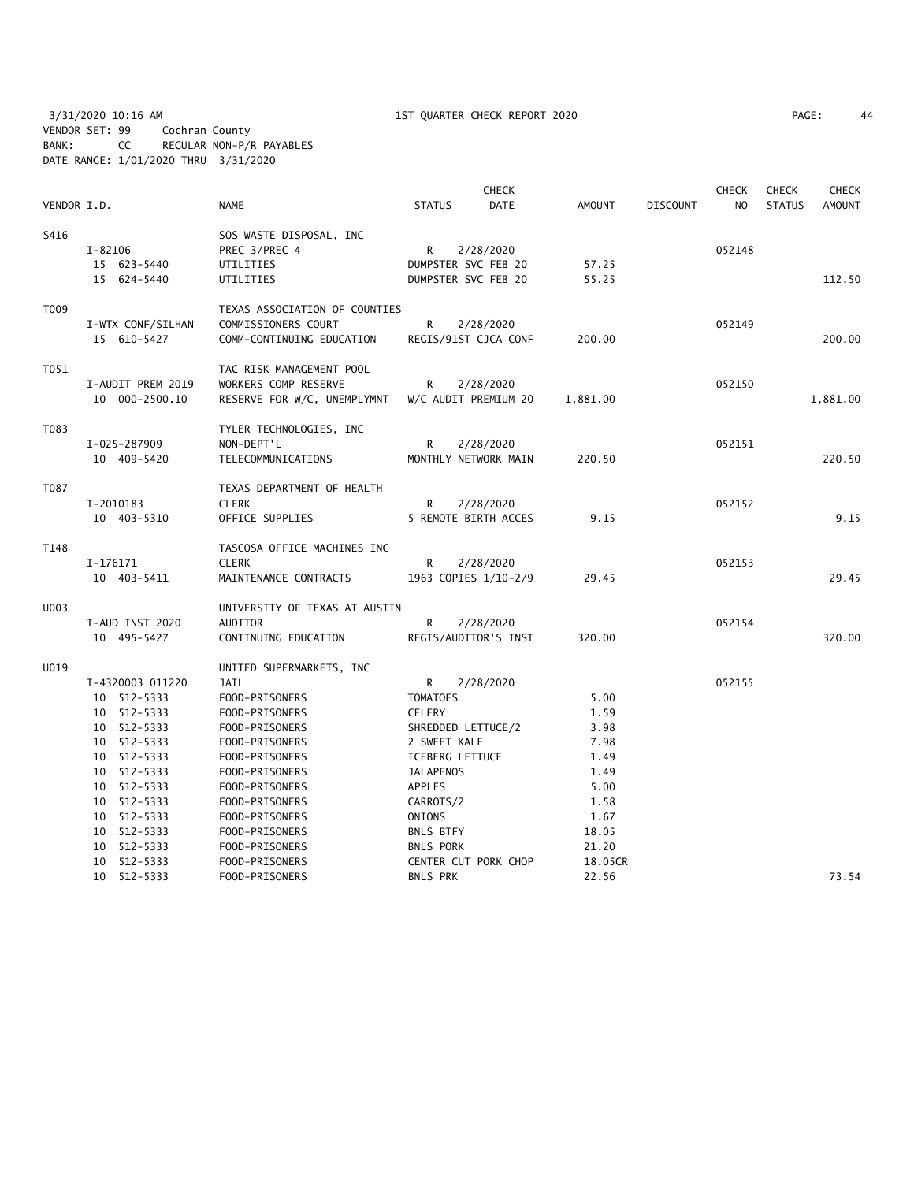3/31/2020 10:16 AM 1ST QUARTER CHECK REPORT 2020 PAGE: 44 VENDOR SET: 99 Cochran County BANK: CC REGULAR NON-P/R PAYABLES DATE RANGE: 1/01/2020 THRU 3/31/2020

|             |                            |                                  | <b>CHECK</b>                        |                      |               |                 | <b>CHECK</b>   | <b>CHECK</b>  | <b>CHECK</b>  |
|-------------|----------------------------|----------------------------------|-------------------------------------|----------------------|---------------|-----------------|----------------|---------------|---------------|
| VENDOR I.D. |                            | <b>NAME</b>                      | <b>STATUS</b>                       | DATE                 | <b>AMOUNT</b> | <b>DISCOUNT</b> | N <sub>O</sub> | <b>STATUS</b> | <b>AMOUNT</b> |
| S416        |                            | SOS WASTE DISPOSAL, INC          |                                     |                      |               |                 |                |               |               |
|             | $I - 82106$                | PREC 3/PREC 4                    | R                                   | 2/28/2020            |               |                 | 052148         |               |               |
|             | 15 623-5440                | UTILITIES                        | DUMPSTER SVC FEB 20                 |                      | 57.25         |                 |                |               |               |
|             | 15 624-5440                | UTILITIES                        | DUMPSTER SVC FEB 20                 |                      | 55.25         |                 |                |               | 112.50        |
| T009        |                            | TEXAS ASSOCIATION OF COUNTIES    |                                     |                      |               |                 |                |               |               |
|             | I-WTX CONF/SILHAN          | COMMISSIONERS COURT              | R                                   | 2/28/2020            |               |                 | 052149         |               |               |
|             | 15 610-5427                | COMM-CONTINUING EDUCATION        |                                     | REGIS/91ST CJCA CONF | 200.00        |                 |                |               | 200.00        |
| T051        |                            | TAC RISK MANAGEMENT POOL         |                                     |                      |               |                 |                |               |               |
|             | I-AUDIT PREM 2019          | WORKERS COMP RESERVE             | R                                   | 2/28/2020            |               |                 | 052150         |               |               |
|             | 10 000-2500.10             | RESERVE FOR W/C, UNEMPLYMNT      |                                     | W/C AUDIT PREMIUM 20 | 1,881.00      |                 |                |               | 1,881.00      |
| T083        |                            | TYLER TECHNOLOGIES, INC          |                                     |                      |               |                 |                |               |               |
|             | I-025-287909               | NON-DEPT'L                       | R                                   | 2/28/2020            |               |                 | 052151         |               |               |
|             | 10 409-5420                | TELECOMMUNICATIONS               |                                     | MONTHLY NETWORK MAIN | 220.50        |                 |                |               | 220.50        |
| T087        |                            | TEXAS DEPARTMENT OF HEALTH       |                                     |                      |               |                 |                |               |               |
|             | I-2010183                  | <b>CLERK</b>                     | R                                   | 2/28/2020            |               |                 | 052152         |               |               |
|             | 10 403-5310                | OFFICE SUPPLIES                  |                                     | 5 REMOTE BIRTH ACCES | 9.15          |                 |                |               | 9.15          |
| T148        |                            | TASCOSA OFFICE MACHINES INC      |                                     |                      |               |                 |                |               |               |
|             | I-176171                   | <b>CLERK</b>                     | R                                   | 2/28/2020            |               |                 | 052153         |               |               |
|             | 10 403-5411                | MAINTENANCE CONTRACTS            |                                     | 1963 COPIES 1/10-2/9 | 29.45         |                 |                |               | 29.45         |
| U003        |                            | UNIVERSITY OF TEXAS AT AUSTIN    |                                     |                      |               |                 |                |               |               |
|             | I-AUD INST 2020            | AUDITOR                          | R                                   | 2/28/2020            |               |                 | 052154         |               |               |
|             | 10 495-5427                | CONTINUING EDUCATION             |                                     | REGIS/AUDITOR'S INST | 320.00        |                 |                |               | 320.00        |
| U019        |                            | UNITED SUPERMARKETS, INC         |                                     |                      |               |                 |                |               |               |
|             | I-4320003 011220           | JAIL                             | R.                                  | 2/28/2020            |               |                 | 052155         |               |               |
|             | 10 512-5333                | FOOD-PRISONERS                   | <b>TOMATOES</b>                     |                      | 5.00          |                 |                |               |               |
|             | 10 512-5333                | FOOD-PRISONERS                   | CELERY                              |                      | 1.59          |                 |                |               |               |
|             | 10 512-5333                | FOOD-PRISONERS                   | SHREDDED LETTUCE/2                  |                      | 3.98          |                 |                |               |               |
|             | 10 512-5333                | FOOD-PRISONERS                   | 2 SWEET KALE                        |                      | 7.98          |                 |                |               |               |
|             | 10 512-5333<br>10 512-5333 | FOOD-PRISONERS<br>FOOD-PRISONERS | ICEBERG LETTUCE<br><b>JALAPENOS</b> |                      | 1.49<br>1.49  |                 |                |               |               |
|             | 10 512-5333                | FOOD-PRISONERS                   | <b>APPLES</b>                       |                      | 5.00          |                 |                |               |               |
|             | 10 512-5333                | FOOD-PRISONERS                   | CARROTS/2                           |                      | 1.58          |                 |                |               |               |
|             | 10 512-5333                | FOOD-PRISONERS                   | ONIONS                              |                      | 1.67          |                 |                |               |               |
|             | 10 512-5333                | FOOD-PRISONERS                   | <b>BNLS BTFY</b>                    |                      | 18.05         |                 |                |               |               |
|             | 10 512-5333                | FOOD-PRISONERS                   | <b>BNLS PORK</b>                    |                      | 21.20         |                 |                |               |               |
|             | 512-5333<br>10             | FOOD-PRISONERS                   |                                     | CENTER CUT PORK CHOP | 18.05CR       |                 |                |               |               |
|             | 10 512-5333                | FOOD-PRISONERS                   | <b>BNLS PRK</b>                     |                      | 22.56         |                 |                |               | 73.54         |
|             |                            |                                  |                                     |                      |               |                 |                |               |               |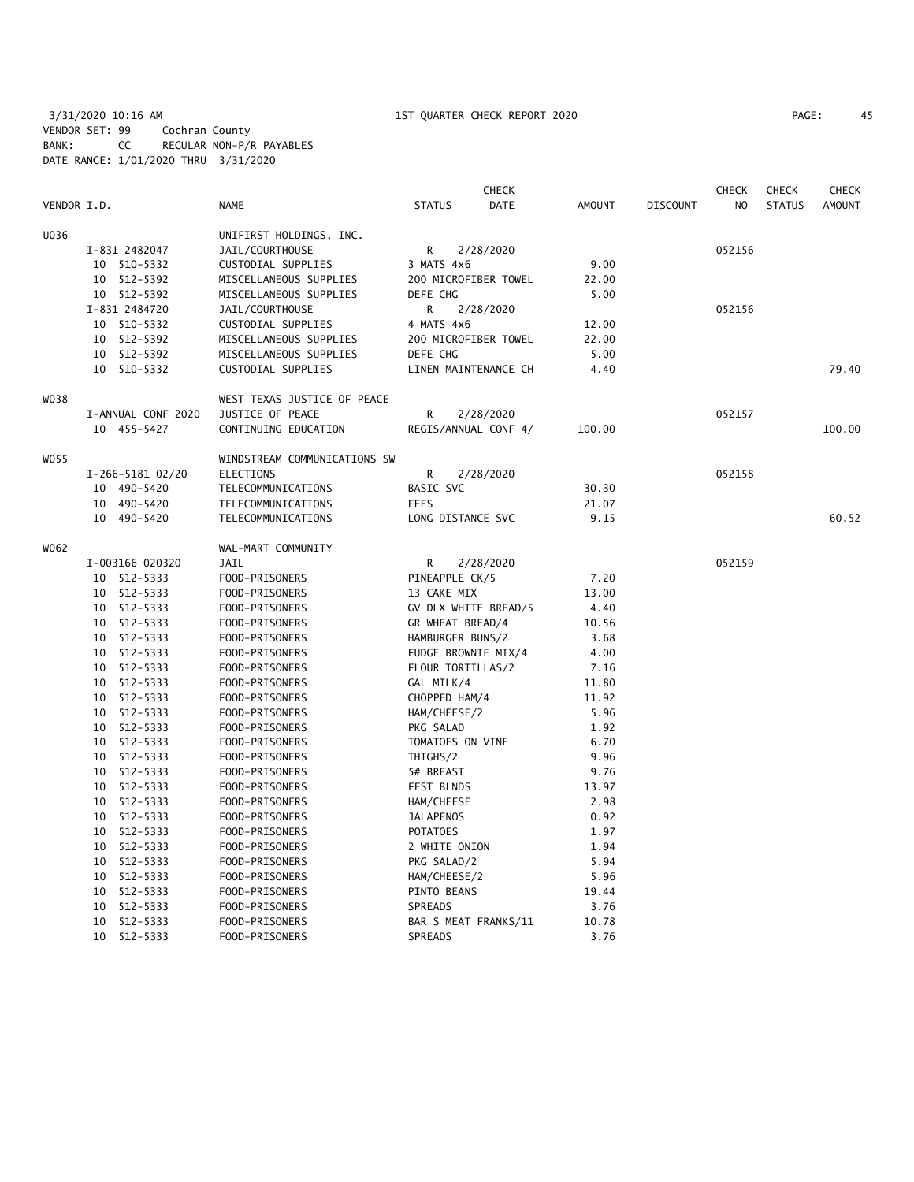3/31/2020 10:16 AM 1ST QUARTER CHECK REPORT 2020 PAGE: 45 VENDOR SET: 99 Cochran County BANK: CC REGULAR NON-P/R PAYABLES DATE RANGE: 1/01/2020 THRU 3/31/2020

| PAGE: | 45 |
|-------|----|
|-------|----|

|             |    |                    |                              |                      | <b>CHECK</b> |        |          | <b>CHECK</b> | <b>CHECK</b>  | <b>CHECK</b>  |
|-------------|----|--------------------|------------------------------|----------------------|--------------|--------|----------|--------------|---------------|---------------|
| VENDOR I.D. |    |                    | NAME                         | <b>STATUS</b>        | <b>DATE</b>  | AMOUNT | DISCOUNT | NO           | <b>STATUS</b> | <b>AMOUNT</b> |
| U036        |    |                    | UNIFIRST HOLDINGS, INC.      |                      |              |        |          |              |               |               |
|             |    | I-831 2482047      | JAIL/COURTHOUSE              | R                    | 2/28/2020    |        |          | 052156       |               |               |
|             | 10 | 510-5332           | CUSTODIAL SUPPLIES           | 3 MATS 4x6           |              | 9.00   |          |              |               |               |
|             | 10 | 512-5392           | MISCELLANEOUS SUPPLIES       | 200 MICROFIBER TOWEL |              | 22.00  |          |              |               |               |
|             |    | 10 512-5392        | MISCELLANEOUS SUPPLIES       | DEFE CHG             |              | 5.00   |          |              |               |               |
|             |    | I-831 2484720      | JAIL/COURTHOUSE              | R                    | 2/28/2020    |        |          | 052156       |               |               |
|             |    | 10 510-5332        | CUSTODIAL SUPPLIES           | 4 MATS 4x6           |              | 12.00  |          |              |               |               |
|             |    | $10 512 - 5392$    | MISCELLANEOUS SUPPLIES       | 200 MICROFIBER TOWEL |              | 22.00  |          |              |               |               |
|             |    | 10 512-5392        | MISCELLANEOUS SUPPLIES       | DEFE CHG             |              | 5.00   |          |              |               |               |
|             |    | 10 510-5332        | CUSTODIAL SUPPLIES           | LINEN MAINTENANCE CH |              | 4.40   |          |              |               | 79.40         |
| WO38        |    |                    | WEST TEXAS JUSTICE OF PEACE  |                      |              |        |          |              |               |               |
|             |    | I-ANNUAL CONF 2020 | JUSTICE OF PEACE             | R                    | 2/28/2020    |        |          | 052157       |               |               |
|             |    | 10 455-5427        | CONTINUING EDUCATION         | REGIS/ANNUAL CONF 4/ |              | 100.00 |          |              |               | 100.00        |
| W055        |    |                    | WINDSTREAM COMMUNICATIONS SW |                      |              |        |          |              |               |               |
|             |    | I-266-5181 02/20   | <b>ELECTIONS</b>             | R                    | 2/28/2020    |        |          | 052158       |               |               |
|             |    | 10 490-5420        | TELECOMMUNICATIONS           | BASIC SVC            |              | 30.30  |          |              |               |               |
|             | 10 | 490-5420           | TELECOMMUNICATIONS           | <b>FEES</b>          |              | 21.07  |          |              |               |               |
|             |    | 10 490-5420        | TELECOMMUNICATIONS           | LONG DISTANCE SVC    |              | 9.15   |          |              |               | 60.52         |
| W062        |    |                    | WAL-MART COMMUNITY           |                      |              |        |          |              |               |               |
|             |    | I-003166 020320    | <b>JAIL</b>                  | R                    | 2/28/2020    |        |          | 052159       |               |               |
|             | 10 | 512-5333           | FOOD-PRISONERS               | PINEAPPLE CK/5       |              | 7.20   |          |              |               |               |
|             | 10 | 512-5333           | FOOD-PRISONERS               | 13 CAKE MIX          |              | 13.00  |          |              |               |               |
|             |    | 10 512-5333        | FOOD-PRISONERS               | GV DLX WHITE BREAD/5 |              | 4.40   |          |              |               |               |
|             |    | 10 512-5333        | FOOD-PRISONERS               | GR WHEAT BREAD/4     |              | 10.56  |          |              |               |               |
|             |    | 10 512-5333        | FOOD-PRISONERS               | HAMBURGER BUNS/2     |              | 3.68   |          |              |               |               |
|             |    | 10 512-5333        | FOOD-PRISONERS               | FUDGE BROWNIE MIX/4  |              | 4.00   |          |              |               |               |
|             |    | 10 512-5333        | FOOD-PRISONERS               | FLOUR TORTILLAS/2    |              | 7.16   |          |              |               |               |
|             | 10 | 512-5333           | FOOD-PRISONERS               | GAL MILK/4           |              | 11.80  |          |              |               |               |
|             | 10 | 512-5333           | FOOD-PRISONERS               | CHOPPED HAM/4        |              | 11.92  |          |              |               |               |
|             | 10 | 512-5333           | FOOD-PRISONERS               | HAM/CHEESE/2         |              | 5.96   |          |              |               |               |
|             | 10 | 512-5333           | FOOD-PRISONERS               | PKG SALAD            |              | 1.92   |          |              |               |               |
|             |    | 10 512-5333        | FOOD-PRISONERS               | TOMATOES ON VINE     |              | 6.70   |          |              |               |               |
|             |    | 10 512-5333        | FOOD-PRISONERS               | THIGHS/2             |              | 9.96   |          |              |               |               |
|             | 10 | 512-5333           | FOOD-PRISONERS               | 5# BREAST            |              | 9.76   |          |              |               |               |
|             |    | 10 512-5333        | FOOD-PRISONERS               | FEST BLNDS           |              | 13.97  |          |              |               |               |
|             |    | 10 512-5333        | FOOD-PRISONERS               | HAM/CHEESE           |              | 2.98   |          |              |               |               |
|             |    | 10 512-5333        | FOOD-PRISONERS               | <b>JALAPENOS</b>     |              | 0.92   |          |              |               |               |
|             | 10 | 512-5333           | FOOD-PRISONERS               | <b>POTATOES</b>      |              | 1.97   |          |              |               |               |
|             | 10 | 512-5333           | FOOD-PRISONERS               | 2 WHITE ONION        |              | 1.94   |          |              |               |               |
|             | 10 | 512-5333           | FOOD-PRISONERS               | PKG SALAD/2          |              | 5.94   |          |              |               |               |
|             | 10 | 512-5333           | FOOD-PRISONERS               | HAM/CHEESE/2         |              | 5.96   |          |              |               |               |
|             | 10 | 512-5333           | FOOD-PRISONERS               | PINTO BEANS          |              | 19.44  |          |              |               |               |
|             | 10 | 512-5333           | FOOD-PRISONERS               | SPREADS              |              | 3.76   |          |              |               |               |
|             | 10 | 512-5333           | FOOD-PRISONERS               | BAR S MEAT FRANKS/11 |              | 10.78  |          |              |               |               |
|             | 10 | 512-5333           | FOOD-PRISONERS               | SPREADS              |              | 3.76   |          |              |               |               |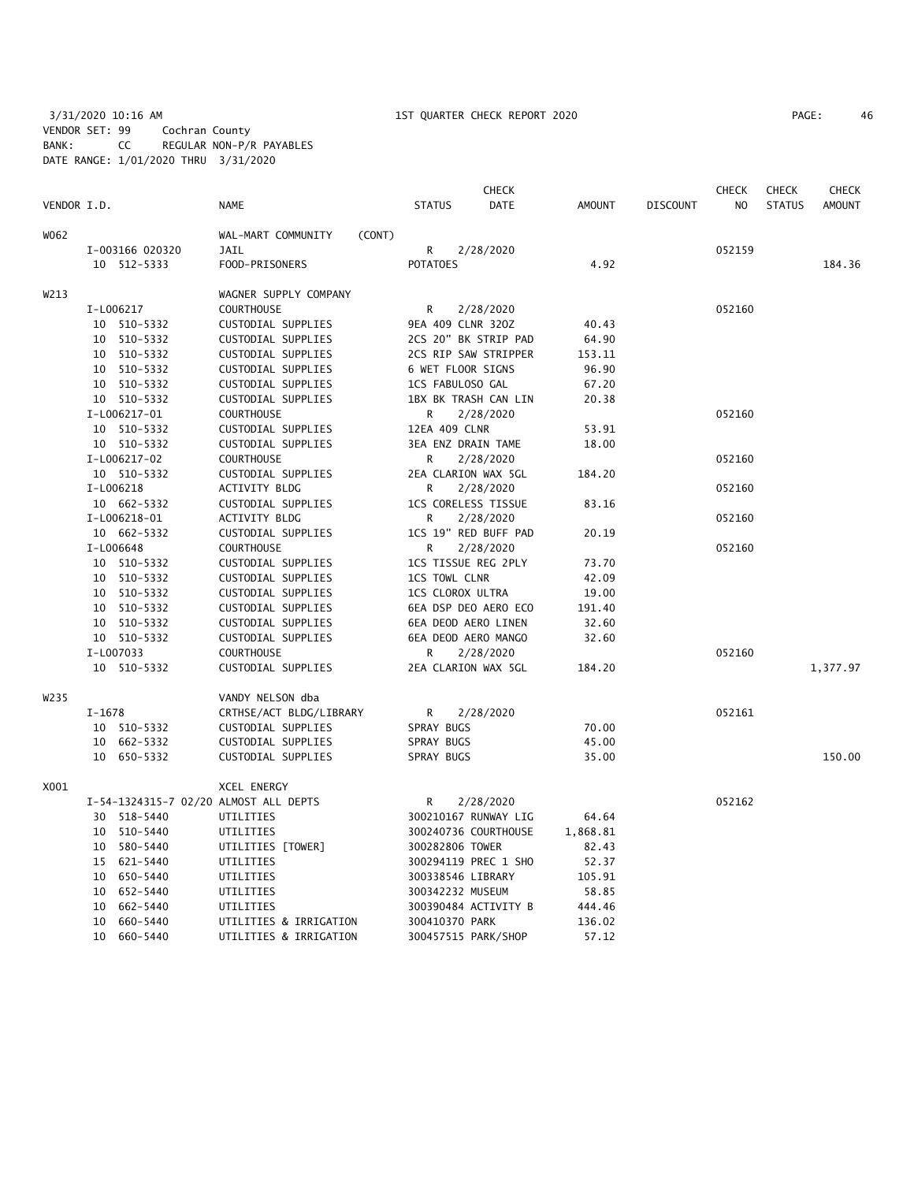# 3/31/2020 10:16 AM 1ST QUARTER CHECK REPORT 2020 PAGE: 46 VENDOR SET: 99 Cochran County BANK: CC REGULAR NON-P/R PAYABLES DATE RANGE: 1/01/2020 THRU 3/31/2020

|             |                 |                                   |                                       |                      | <b>CHECK</b>     |               | <b>CHECK</b>    | <b>CHECK</b>   | <b>CHECK</b>  |               |
|-------------|-----------------|-----------------------------------|---------------------------------------|----------------------|------------------|---------------|-----------------|----------------|---------------|---------------|
| VENDOR I.D. |                 |                                   | <b>NAME</b>                           | <b>STATUS</b>        | DATE             | <b>AMOUNT</b> | <b>DISCOUNT</b> | N <sub>O</sub> | <b>STATUS</b> | <b>AMOUNT</b> |
| W062        |                 |                                   | WAL-MART COMMUNITY<br>(CONT)          |                      |                  |               |                 |                |               |               |
|             | I-003166 020320 |                                   | <b>JAIL</b>                           | R                    | 2/28/2020        |               |                 | 052159         |               |               |
|             | 10 512-5333     |                                   | FOOD-PRISONERS                        | <b>POTATOES</b>      |                  | 4.92          |                 |                |               | 184.36        |
| W213        |                 |                                   | WAGNER SUPPLY COMPANY                 |                      |                  |               |                 |                |               |               |
|             | I-L006217       |                                   | <b>COURTHOUSE</b>                     | R                    | 2/28/2020        |               |                 | 052160         |               |               |
|             | 10 510-5332     |                                   | CUSTODIAL SUPPLIES                    | 9EA 409 CLNR 320Z    |                  | 40.43         |                 |                |               |               |
|             | 10 510-5332     |                                   | CUSTODIAL SUPPLIES                    | 2CS 20" BK STRIP PAD |                  | 64.90         |                 |                |               |               |
|             | 10 510-5332     |                                   | CUSTODIAL SUPPLIES                    | 2CS RIP SAW STRIPPER |                  | 153.11        |                 |                |               |               |
|             | 10 510-5332     |                                   | CUSTODIAL SUPPLIES                    | 6 WET FLOOR SIGNS    |                  | 96.90         |                 |                |               |               |
|             |                 | 10 510-5332<br>CUSTODIAL SUPPLIES |                                       |                      | 1CS FABULOSO GAL | 67.20         |                 |                |               |               |
|             | 10 510-5332     |                                   | CUSTODIAL SUPPLIES                    | 1BX BK TRASH CAN LIN |                  | 20.38         |                 |                |               |               |
|             | I-L006217-01    |                                   | <b>COURTHOUSE</b>                     | R                    | 2/28/2020        |               |                 | 052160         |               |               |
|             | 10 510-5332     |                                   | CUSTODIAL SUPPLIES                    | 12EA 409 CLNR        |                  | 53.91         |                 |                |               |               |
|             | 10 510-5332     |                                   | CUSTODIAL SUPPLIES                    | 3EA ENZ DRAIN TAME   |                  | 18.00         |                 |                |               |               |
|             | I-L006217-02    |                                   | <b>COURTHOUSE</b>                     | R                    | 2/28/2020        |               |                 | 052160         |               |               |
|             | 10 510-5332     |                                   | CUSTODIAL SUPPLIES                    | 2EA CLARION WAX 5GL  |                  | 184.20        |                 |                |               |               |
|             | I-L006218       |                                   | ACTIVITY BLDG                         | R                    | 2/28/2020        |               |                 | 052160         |               |               |
|             | 10 662-5332     |                                   | CUSTODIAL SUPPLIES                    | 1CS CORELESS TISSUE  |                  | 83.16         |                 |                |               |               |
|             | I-L006218-01    |                                   | ACTIVITY BLDG                         | R                    | 2/28/2020        |               |                 | 052160         |               |               |
|             | 10 662-5332     |                                   | CUSTODIAL SUPPLIES                    | 1CS 19" RED BUFF PAD |                  | 20.19         |                 |                |               |               |
|             | I-L006648       |                                   | <b>COURTHOUSE</b>                     | R                    | 2/28/2020        |               |                 | 052160         |               |               |
|             | 10 510-5332     |                                   | CUSTODIAL SUPPLIES                    | 1CS TISSUE REG 2PLY  |                  | 73.70         |                 |                |               |               |
|             | 10 510-5332     |                                   | CUSTODIAL SUPPLIES                    | 1CS TOWL CLNR        |                  | 42.09         |                 |                |               |               |
|             | 10 510-5332     |                                   | CUSTODIAL SUPPLIES                    | 1CS CLOROX ULTRA     |                  | 19.00         |                 |                |               |               |
|             | 10 510-5332     |                                   | CUSTODIAL SUPPLIES                    | 6EA DSP DEO AERO ECO |                  | 191.40        |                 |                |               |               |
|             | 10 510-5332     |                                   | CUSTODIAL SUPPLIES                    | 6EA DEOD AERO LINEN  |                  | 32.60         |                 |                |               |               |
|             | 10 510-5332     |                                   | CUSTODIAL SUPPLIES                    | 6EA DEOD AERO MANGO  |                  | 32.60         |                 |                |               |               |
|             | I-L007033       |                                   | <b>COURTHOUSE</b>                     | R                    | 2/28/2020        |               |                 | 052160         |               |               |
|             | 10 510-5332     |                                   | CUSTODIAL SUPPLIES                    | 2EA CLARION WAX 5GL  |                  | 184.20        |                 |                |               | 1,377.97      |
| W235        |                 |                                   | VANDY NELSON dba                      |                      |                  |               |                 |                |               |               |
|             | $I-1678$        |                                   | CRTHSE/ACT BLDG/LIBRARY               | R.                   | 2/28/2020        |               |                 | 052161         |               |               |
|             | 10 510-5332     |                                   | CUSTODIAL SUPPLIES                    | SPRAY BUGS           |                  | 70.00         |                 |                |               |               |
|             | 10 662-5332     |                                   | CUSTODIAL SUPPLIES                    | SPRAY BUGS           |                  | 45.00         |                 |                |               |               |
|             | 10 650-5332     |                                   | CUSTODIAL SUPPLIES                    | SPRAY BUGS           |                  | 35.00         |                 |                |               | 150.00        |
| X001        |                 |                                   | XCEL ENERGY                           |                      |                  |               |                 |                |               |               |
|             |                 |                                   | I-54-1324315-7 02/20 ALMOST ALL DEPTS | R                    | 2/28/2020        |               |                 | 052162         |               |               |
|             | 30 518-5440     |                                   | UTILITIES                             | 300210167 RUNWAY LIG |                  | 64.64         |                 |                |               |               |
|             | 10 510-5440     |                                   | UTILITIES                             | 300240736 COURTHOUSE |                  | 1,868.81      |                 |                |               |               |
|             | 10 580-5440     |                                   | UTILITIES [TOWER]                     | 300282806 TOWER      |                  | 82.43         |                 |                |               |               |
|             | 15 621-5440     |                                   | UTILITIES                             | 300294119 PREC 1 SHO |                  | 52.37         |                 |                |               |               |
|             | 10 650-5440     |                                   | UTILITIES                             | 300338546 LIBRARY    |                  | 105.91        |                 |                |               |               |
|             | 10<br>652-5440  |                                   | UTILITIES                             | 300342232 MUSEUM     |                  | 58.85         |                 |                |               |               |
|             | 662-5440<br>10  |                                   | UTILITIES                             | 300390484 ACTIVITY B |                  | 444.46        |                 |                |               |               |
|             | 10 660-5440     |                                   | UTILITIES & IRRIGATION                | 300410370 PARK       |                  | 136.02        |                 |                |               |               |

10 660-5440 UTILITIES & IRRIGATION 300457515 PARK/SHOP 57.12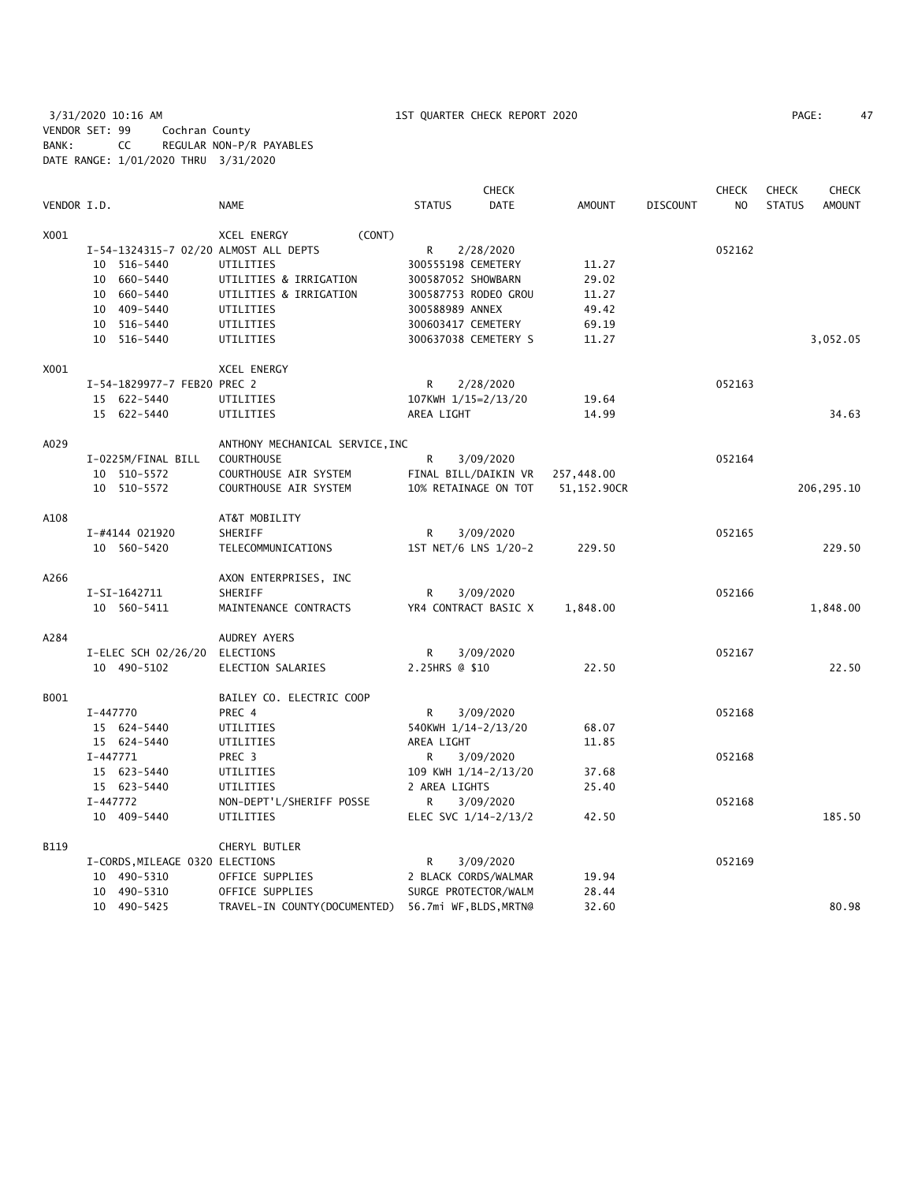3/31/2020 10:16 AM 1ST QUARTER CHECK REPORT 2020 PAGE: 47 VENDOR SET: 99 Cochran County BANK: CC REGULAR NON-P/R PAYABLES DATE RANGE: 1/01/2020 THRU 3/31/2020

|             |                                       |                                 | CHECK                        |               |                 | <b>CHECK</b>   | <b>CHECK</b>  | CHECK         |
|-------------|---------------------------------------|---------------------------------|------------------------------|---------------|-----------------|----------------|---------------|---------------|
| VENDOR I.D. |                                       | <b>NAME</b>                     | <b>STATUS</b><br><b>DATE</b> | <b>AMOUNT</b> | <b>DISCOUNT</b> | N <sub>O</sub> | <b>STATUS</b> | <b>AMOUNT</b> |
| X001        |                                       | (CONT)<br>XCEL ENERGY           |                              |               |                 |                |               |               |
|             | I-54-1324315-7 02/20 ALMOST ALL DEPTS |                                 | R<br>2/28/2020               |               |                 | 052162         |               |               |
|             | 10 516-5440                           | UTILITIES                       | 300555198 CEMETERY           | 11.27         |                 |                |               |               |
|             | 10 660-5440                           | UTILITIES & IRRIGATION          | 300587052 SHOWBARN           | 29.02         |                 |                |               |               |
|             | 10 660-5440                           | UTILITIES & IRRIGATION          | 300587753 RODEO GROU         | 11.27         |                 |                |               |               |
|             | 10 409-5440                           | UTILITIES                       | 300588989 ANNEX              | 49.42         |                 |                |               |               |
|             | 10 516-5440                           | UTILITIES                       | 300603417 CEMETERY           | 69.19         |                 |                |               |               |
|             | 10<br>516-5440                        | UTILITIES                       | 300637038 CEMETERY S         | 11.27         |                 |                |               | 3,052.05      |
| X001        |                                       | XCEL ENERGY                     |                              |               |                 |                |               |               |
|             | I-54-1829977-7 FEB20 PREC 2           |                                 | R<br>2/28/2020               |               |                 | 052163         |               |               |
|             | 15 622-5440                           | UTILITIES                       | 107KWH 1/15=2/13/20          | 19.64         |                 |                |               |               |
|             | 15 622-5440                           | UTILITIES                       | AREA LIGHT                   | 14.99         |                 |                |               | 34.63         |
| A029        |                                       | ANTHONY MECHANICAL SERVICE, INC |                              |               |                 |                |               |               |
|             | I-0225M/FINAL BILL                    | <b>COURTHOUSE</b>               | R<br>3/09/2020               |               |                 | 052164         |               |               |
|             | 10 510-5572                           | COURTHOUSE AIR SYSTEM           | FINAL BILL/DAIKIN VR         | 257,448.00    |                 |                |               |               |
|             | 10 510-5572                           | COURTHOUSE AIR SYSTEM           | 10% RETAINAGE ON TOT         | 51,152.90CR   |                 |                |               | 206, 295.10   |
| A108        |                                       | AT&T MOBILITY                   |                              |               |                 |                |               |               |
|             | I-#4144 021920                        | SHERIFF                         | R<br>3/09/2020               |               |                 | 052165         |               |               |
|             | 10 560-5420                           | TELECOMMUNICATIONS              | 1ST NET/6 LNS 1/20-2         | 229.50        |                 |                |               | 229.50        |
| A266        |                                       | AXON ENTERPRISES, INC           |                              |               |                 |                |               |               |
|             | I-SI-1642711                          | SHERIFF                         | 3/09/2020<br>R               |               |                 | 052166         |               |               |
|             | 10 560-5411                           | MAINTENANCE CONTRACTS           | YR4 CONTRACT BASIC X         | 1,848.00      |                 |                |               | 1,848.00      |
| A284        |                                       | AUDREY AYERS                    |                              |               |                 |                |               |               |
|             | I-ELEC SCH 02/26/20                   | ELECTIONS                       | 3/09/2020<br>R               |               |                 | 052167         |               |               |
|             | 10 490-5102                           | ELECTION SALARIES               | 2.25HRS @ \$10               | 22.50         |                 |                |               | 22.50         |
| B001        |                                       | BAILEY CO. ELECTRIC COOP        |                              |               |                 |                |               |               |
|             | I-447770                              | PREC 4                          | R<br>3/09/2020               |               |                 | 052168         |               |               |
|             | 15 624-5440                           | UTILITIES                       | 540KWH 1/14-2/13/20          | 68.07         |                 |                |               |               |
|             | 15 624-5440                           | UTILITIES                       | AREA LIGHT                   | 11.85         |                 |                |               |               |
|             | $I-447771$                            | PREC 3                          | R<br>3/09/2020               |               |                 | 052168         |               |               |
|             | 15 623-5440                           | UTILITIES                       | 109 KWH 1/14-2/13/20         | 37.68         |                 |                |               |               |
|             | 15 623-5440                           | UTILITIES                       | 2 AREA LIGHTS                | 25.40         |                 |                |               |               |
|             | I-447772                              | NON-DEPT'L/SHERIFF POSSE        | R<br>3/09/2020               |               |                 | 052168         |               |               |
|             | 10 409-5440                           | UTILITIES                       | ELEC SVC 1/14-2/13/2         | 42.50         |                 |                |               | 185.50        |
| B119        |                                       | CHERYL BUTLER                   |                              |               |                 |                |               |               |
|             | I-CORDS, MILEAGE 0320 ELECTIONS       |                                 | R<br>3/09/2020               |               |                 | 052169         |               |               |
|             | 10 490-5310                           | OFFICE SUPPLIES                 | 2 BLACK CORDS/WALMAR         | 19.94         |                 |                |               |               |
|             | 10 490-5310                           | OFFICE SUPPLIES                 | SURGE PROTECTOR/WALM         | 28.44         |                 |                |               |               |
|             | 10 490-5425                           | TRAVEL-IN COUNTY (DOCUMENTED)   | 56.7mi WF, BLDS, MRTN@       | 32.60         |                 |                |               | 80.98         |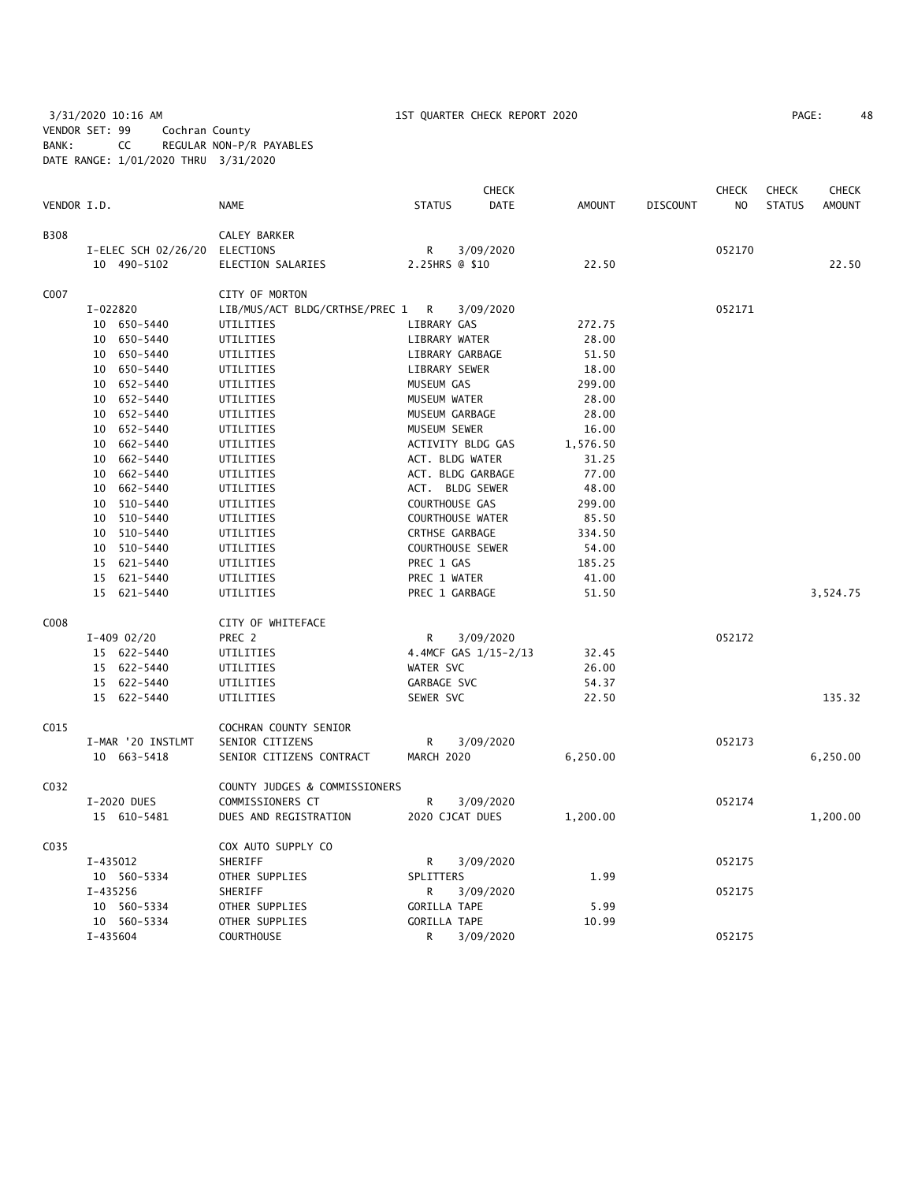3/31/2020 10:16 AM 1ST QUARTER CHECK REPORT 2020 PAGE: 48 VENDOR SET: 99 Cochran County BANK: CC REGULAR NON-P/R PAYABLES DATE RANGE: 1/01/2020 THRU 3/31/2020

| 48 |
|----|

|             |                               |                                  |                         | <b>CHECK</b>         |               |                 | <b>CHECK</b> | <b>CHECK</b>  | <b>CHECK</b>  |
|-------------|-------------------------------|----------------------------------|-------------------------|----------------------|---------------|-----------------|--------------|---------------|---------------|
| VENDOR I.D. |                               | <b>NAME</b>                      | <b>STATUS</b>           | <b>DATE</b>          | <b>AMOUNT</b> | <b>DISCOUNT</b> | NO           | <b>STATUS</b> | <b>AMOUNT</b> |
| <b>B308</b> |                               | CALEY BARKER                     |                         |                      |               |                 |              |               |               |
|             | I-ELEC SCH 02/26/20 ELECTIONS |                                  | R                       | 3/09/2020            |               |                 | 052170       |               |               |
|             | 10 490-5102                   | ELECTION SALARIES                | 2.25HRS @ \$10          |                      | 22.50         |                 |              |               | 22.50         |
| C007        |                               | CITY OF MORTON                   |                         |                      |               |                 |              |               |               |
|             | I-022820                      | LIB/MUS/ACT BLDG/CRTHSE/PREC 1 R |                         | 3/09/2020            |               |                 | 052171       |               |               |
|             | 10 650-5440                   | UTILITIES                        | LIBRARY GAS             |                      | 272.75        |                 |              |               |               |
|             | 10 650-5440                   | UTILITIES                        | LIBRARY WATER           |                      | 28.00         |                 |              |               |               |
|             | 10 650-5440                   | UTILITIES                        | LIBRARY GARBAGE         |                      | 51.50         |                 |              |               |               |
|             | 10 650-5440                   | UTILITIES                        | LIBRARY SEWER           |                      | 18.00         |                 |              |               |               |
|             | 10 652-5440                   | UTILITIES                        | MUSEUM GAS              |                      | 299.00        |                 |              |               |               |
|             | 10 652-5440                   | UTILITIES                        | MUSEUM WATER            |                      | 28.00         |                 |              |               |               |
|             | 652-5440<br>10                | UTILITIES                        | MUSEUM GARBAGE          |                      | 28.00         |                 |              |               |               |
|             | 10 652-5440                   | UTILITIES                        | MUSEUM SEWER            |                      | 16.00         |                 |              |               |               |
|             | 10 662-5440                   | UTILITIES                        | ACTIVITY BLDG GAS       |                      | 1,576.50      |                 |              |               |               |
|             | 10 662-5440                   | UTILITIES                        | ACT. BLDG WATER         |                      | 31.25         |                 |              |               |               |
|             | 10 662-5440                   | UTILITIES                        | ACT. BLDG GARBAGE       |                      | 77.00         |                 |              |               |               |
|             | 662-5440<br>10                | UTILITIES                        | ACT. BLDG SEWER         |                      | 48.00         |                 |              |               |               |
|             | 10 510-5440                   | UTILITIES                        | COURTHOUSE GAS          |                      | 299.00        |                 |              |               |               |
|             | 510-5440<br>10                | UTILITIES                        | COURTHOUSE WATER        |                      | 85.50         |                 |              |               |               |
|             | 10 510-5440                   | UTILITIES                        | <b>CRTHSE GARBAGE</b>   |                      | 334.50        |                 |              |               |               |
|             | 10 510-5440                   | UTILITIES                        | <b>COURTHOUSE SEWER</b> |                      | 54.00         |                 |              |               |               |
|             | 15 621-5440                   | UTILITIES                        | PREC 1 GAS              |                      | 185.25        |                 |              |               |               |
|             | 15 621-5440                   | UTILITIES                        | PREC 1 WATER            |                      | 41.00         |                 |              |               |               |
|             | 15 621-5440                   | UTILITIES                        | PREC 1 GARBAGE          |                      | 51.50         |                 |              |               | 3,524.75      |
|             |                               |                                  |                         |                      |               |                 |              |               |               |
| C008        |                               | CITY OF WHITEFACE                |                         |                      |               |                 |              |               |               |
|             | $I-409$ 02/20                 | PREC 2                           | $\mathsf{R}$            | 3/09/2020            |               |                 | 052172       |               |               |
|             | 15 622-5440                   | UTILITIES                        |                         | 4.4MCF GAS 1/15-2/13 | 32.45         |                 |              |               |               |
|             | 15 622-5440                   | UTILITIES                        | WATER SVC               |                      | 26.00         |                 |              |               |               |
|             | 15 622-5440                   | UTILITIES                        | GARBAGE SVC             |                      | 54.37         |                 |              |               |               |
|             | 15 622-5440                   | UTILITIES                        | SEWER SVC               |                      | 22.50         |                 |              |               | 135.32        |
| C015        |                               | COCHRAN COUNTY SENIOR            |                         |                      |               |                 |              |               |               |
|             | I-MAR '20 INSTLMT             | SENIOR CITIZENS                  | R                       | 3/09/2020            |               |                 | 052173       |               |               |
|             | 10 663-5418                   | SENIOR CITIZENS CONTRACT         | MARCH 2020              |                      | 6,250.00      |                 |              |               | 6,250.00      |
| C032        |                               | COUNTY JUDGES & COMMISSIONERS    |                         |                      |               |                 |              |               |               |
|             | I-2020 DUES                   | COMMISSIONERS CT                 | R                       | 3/09/2020            |               |                 | 052174       |               |               |
|             | 15 610-5481                   | DUES AND REGISTRATION            | 2020 CJCAT DUES         |                      | 1,200.00      |                 |              |               | 1,200.00      |
| C035        |                               | COX AUTO SUPPLY CO               |                         |                      |               |                 |              |               |               |
|             | I-435012                      | SHERIFF                          | R                       | 3/09/2020            |               |                 | 052175       |               |               |
|             | 10 560-5334                   | OTHER SUPPLIES                   | SPLITTERS               |                      | 1.99          |                 |              |               |               |
|             | I-435256                      | SHERIFF                          | R                       | 3/09/2020            |               |                 | 052175       |               |               |
|             | 10 560-5334                   | OTHER SUPPLIES                   | <b>GORILLA TAPE</b>     |                      | 5.99          |                 |              |               |               |
|             | 10 560-5334                   | OTHER SUPPLIES                   | <b>GORILLA TAPE</b>     |                      | 10.99         |                 |              |               |               |
|             | $I - 435604$                  | <b>COURTHOUSE</b>                | R                       | 3/09/2020            |               |                 | 052175       |               |               |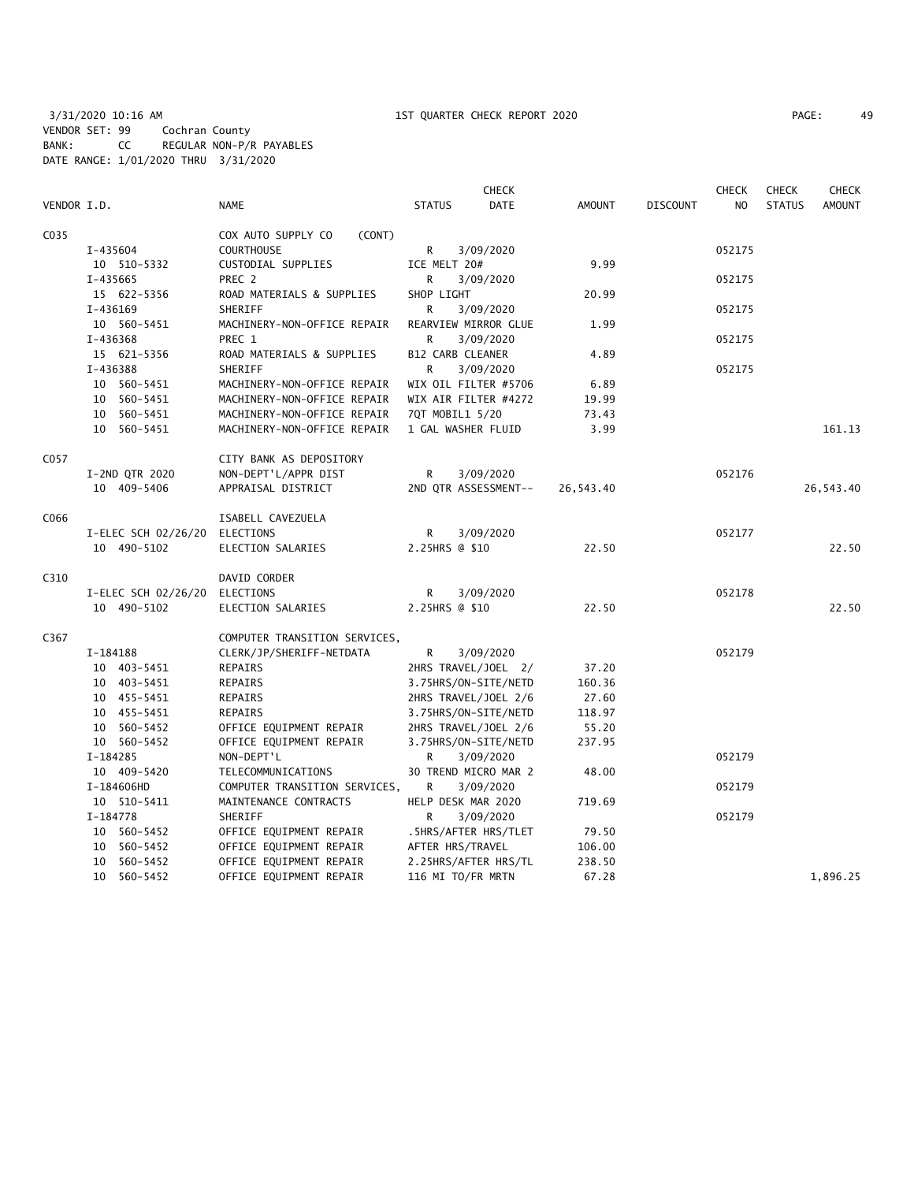|             |                               |                               | <b>CHECK</b>         |             |               |                 | <b>CHECK</b>   | <b>CHECK</b>  | <b>CHECK</b>  |
|-------------|-------------------------------|-------------------------------|----------------------|-------------|---------------|-----------------|----------------|---------------|---------------|
| VENDOR I.D. |                               | <b>NAME</b>                   | <b>STATUS</b>        | <b>DATE</b> | <b>AMOUNT</b> | <b>DISCOUNT</b> | N <sub>O</sub> | <b>STATUS</b> | <b>AMOUNT</b> |
| C035        |                               | COX AUTO SUPPLY CO<br>(CONT)  |                      |             |               |                 |                |               |               |
|             | I-435604                      | <b>COURTHOUSE</b>             | R                    | 3/09/2020   |               |                 | 052175         |               |               |
|             | 10 510-5332                   | CUSTODIAL SUPPLIES            | ICE MELT 20#         |             | 9.99          |                 |                |               |               |
|             | I-435665                      | PREC 2                        | R                    | 3/09/2020   |               |                 | 052175         |               |               |
|             | 15 622-5356                   | ROAD MATERIALS & SUPPLIES     | SHOP LIGHT           |             | 20.99         |                 |                |               |               |
|             | I-436169                      | SHERIFF                       | R                    | 3/09/2020   |               |                 | 052175         |               |               |
|             | 10 560-5451                   | MACHINERY-NON-OFFICE REPAIR   | REARVIEW MIRROR GLUE |             | 1.99          |                 |                |               |               |
|             | I-436368                      | PREC 1                        | R                    | 3/09/2020   |               |                 | 052175         |               |               |
|             | 15 621-5356                   | ROAD MATERIALS & SUPPLIES     | B12 CARB CLEANER     |             | 4.89          |                 |                |               |               |
|             | I-436388                      | SHERIFF                       | R                    | 3/09/2020   |               |                 | 052175         |               |               |
|             | 10 560-5451                   | MACHINERY-NON-OFFICE REPAIR   | WIX OIL FILTER #5706 |             | 6.89          |                 |                |               |               |
|             | 10 560-5451                   | MACHINERY-NON-OFFICE REPAIR   | WIX AIR FILTER #4272 |             | 19.99         |                 |                |               |               |
|             | 10 560-5451                   | MACHINERY-NON-OFFICE REPAIR   | 7QT MOBIL1 5/20      |             | 73.43         |                 |                |               |               |
|             | 10 560-5451                   | MACHINERY-NON-OFFICE REPAIR   | 1 GAL WASHER FLUID   |             | 3.99          |                 |                |               | 161.13        |
| C057        |                               | CITY BANK AS DEPOSITORY       |                      |             |               |                 |                |               |               |
|             | I-2ND QTR 2020                | NON-DEPT'L/APPR DIST          | R                    | 3/09/2020   |               |                 | 052176         |               |               |
|             | 10 409-5406                   | APPRAISAL DISTRICT            | 2ND QTR ASSESSMENT-- |             | 26,543.40     |                 |                |               | 26,543.40     |
|             |                               |                               |                      |             |               |                 |                |               |               |
| C066        |                               | ISABELL CAVEZUELA             |                      |             |               |                 |                |               |               |
|             | I-ELEC SCH 02/26/20 ELECTIONS |                               | R                    | 3/09/2020   |               |                 | 052177         |               |               |
|             | 10 490-5102                   | ELECTION SALARIES             | 2.25HRS @ \$10       |             | 22.50         |                 |                |               | 22.50         |
| C310        |                               | DAVID CORDER                  |                      |             |               |                 |                |               |               |
|             | I-ELEC SCH 02/26/20 ELECTIONS |                               | R                    | 3/09/2020   |               |                 | 052178         |               |               |
|             | 10 490-5102                   | ELECTION SALARIES             | 2.25HRS @ \$10       |             | 22.50         |                 |                |               | 22.50         |
| C367        |                               | COMPUTER TRANSITION SERVICES, |                      |             |               |                 |                |               |               |
|             | I-184188                      | CLERK/JP/SHERIFF-NETDATA      | R                    | 3/09/2020   |               |                 | 052179         |               |               |
|             | 10 403-5451                   | REPAIRS                       | 2HRS TRAVEL/JOEL 2/  |             | 37.20         |                 |                |               |               |
|             | 10 403-5451                   | REPAIRS                       | 3.75HRS/ON-SITE/NETD |             | 160.36        |                 |                |               |               |
|             | 10 455-5451                   | REPAIRS                       | 2HRS TRAVEL/JOEL 2/6 |             | 27.60         |                 |                |               |               |
|             | 10 455-5451                   | REPAIRS                       | 3.75HRS/ON-SITE/NETD |             | 118.97        |                 |                |               |               |
|             | 10 560-5452                   | OFFICE EQUIPMENT REPAIR       | 2HRS TRAVEL/JOEL 2/6 |             | 55.20         |                 |                |               |               |
|             | 10 560-5452                   | OFFICE EQUIPMENT REPAIR       | 3.75HRS/ON-SITE/NETD |             | 237.95        |                 |                |               |               |
|             | I-184285                      | NON-DEPT'L                    | R                    | 3/09/2020   |               |                 | 052179         |               |               |
|             | 10 409-5420                   | TELECOMMUNICATIONS            | 30 TREND MICRO MAR 2 |             | 48.00         |                 |                |               |               |
|             | I-184606HD                    | COMPUTER TRANSITION SERVICES, | R                    | 3/09/2020   |               |                 | 052179         |               |               |
|             | 10 510-5411                   | MAINTENANCE CONTRACTS         | HELP DESK MAR 2020   |             | 719.69        |                 |                |               |               |
|             | I-184778                      | SHERIFF                       | R                    | 3/09/2020   |               |                 | 052179         |               |               |
|             | 10 560-5452                   | OFFICE EQUIPMENT REPAIR       | .5HRS/AFTER HRS/TLET |             | 79.50         |                 |                |               |               |
|             | 10 560-5452                   | OFFICE EQUIPMENT REPAIR       | AFTER HRS/TRAVEL     |             | 106.00        |                 |                |               |               |
|             | 10 560-5452                   | OFFICE EQUIPMENT REPAIR       | 2.25HRS/AFTER HRS/TL |             | 238.50        |                 |                |               |               |
|             | 10 560-5452                   | OFFICE EQUIPMENT REPAIR       | 116 MI TO/FR MRTN    |             | 67.28         |                 |                |               | 1,896.25      |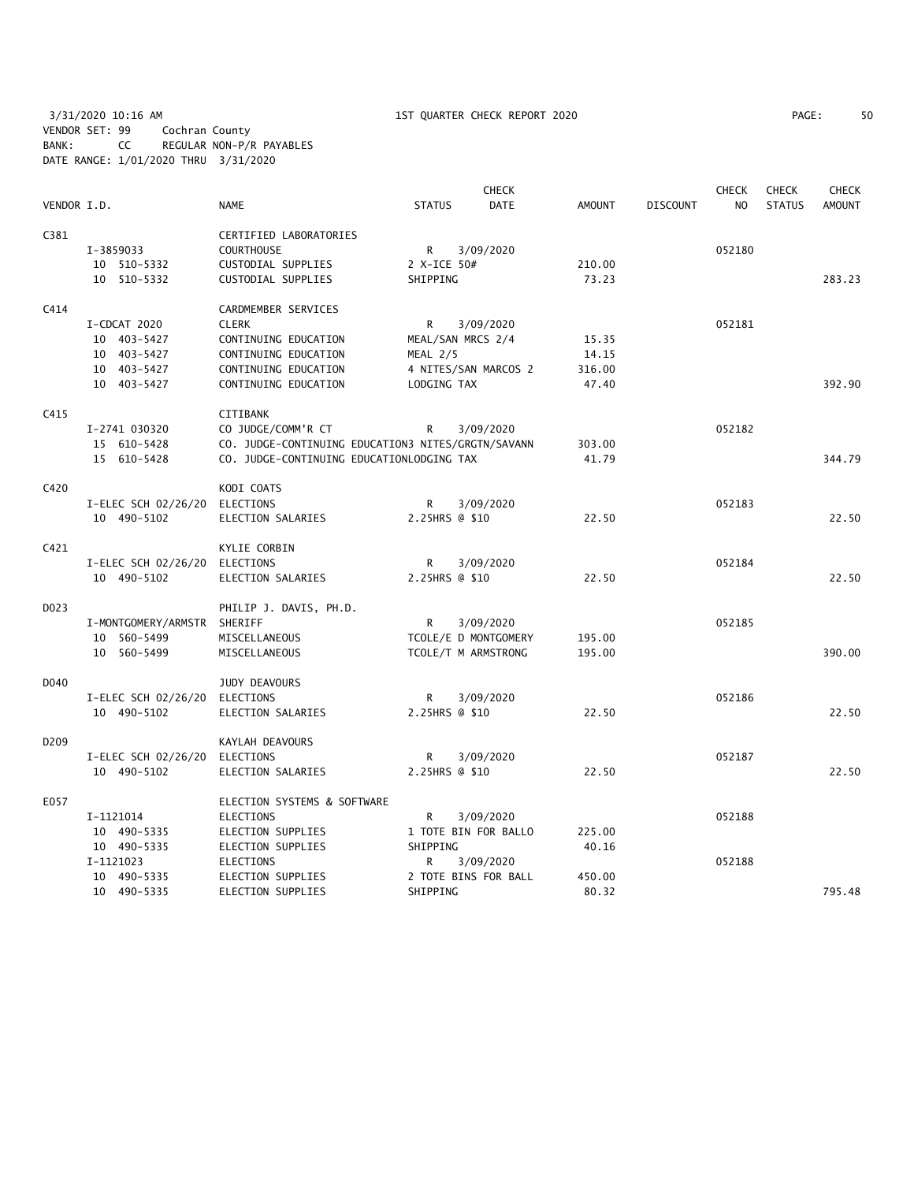3/31/2020 10:16 AM 1ST QUARTER CHECK REPORT 2020 PAGE: 50 VENDOR SET: 99 Cochran County BANK: CC REGULAR NON-P/R PAYABLES DATE RANGE: 1/01/2020 THRU 3/31/2020

| PAGE: |  |  |
|-------|--|--|
|-------|--|--|

|                  |                               |                                                    |                      | <b>CHECK</b> |               |                 | <b>CHECK</b>   | <b>CHECK</b>  | <b>CHECK</b>  |
|------------------|-------------------------------|----------------------------------------------------|----------------------|--------------|---------------|-----------------|----------------|---------------|---------------|
| VENDOR I.D.      |                               | <b>NAME</b>                                        | <b>STATUS</b>        | <b>DATE</b>  | <b>AMOUNT</b> | <b>DISCOUNT</b> | N <sub>O</sub> | <b>STATUS</b> | <b>AMOUNT</b> |
| C381             |                               | CERTIFIED LABORATORIES                             |                      |              |               |                 |                |               |               |
|                  | I-3859033                     | <b>COURTHOUSE</b>                                  | R                    | 3/09/2020    |               |                 | 052180         |               |               |
|                  | 10 510-5332                   | CUSTODIAL SUPPLIES                                 | 2 X-ICE 50#          |              | 210.00        |                 |                |               |               |
|                  | 10 510-5332                   | CUSTODIAL SUPPLIES                                 | SHIPPING             |              | 73.23         |                 |                |               | 283.23        |
| C414             |                               | CARDMEMBER SERVICES                                |                      |              |               |                 |                |               |               |
|                  | I-CDCAT 2020                  | <b>CLERK</b>                                       | R.                   | 3/09/2020    |               |                 | 052181         |               |               |
|                  | 10 403-5427                   | CONTINUING EDUCATION                               | MEAL/SAN MRCS 2/4    |              | 15.35         |                 |                |               |               |
|                  | 10 403-5427                   | CONTINUING EDUCATION                               | MEAL 2/5             |              | 14.15         |                 |                |               |               |
|                  | 10 403-5427                   | CONTINUING EDUCATION                               | 4 NITES/SAN MARCOS 2 |              | 316.00        |                 |                |               |               |
|                  | 10 403-5427                   | CONTINUING EDUCATION                               | LODGING TAX          |              | 47.40         |                 |                |               | 392.90        |
| C415             |                               | CITIBANK                                           |                      |              |               |                 |                |               |               |
|                  | I-2741 030320                 | CO JUDGE/COMM'R CT                                 | R                    | 3/09/2020    |               |                 | 052182         |               |               |
|                  | 15 610-5428                   | CO. JUDGE-CONTINUING EDUCATION3 NITES/GRGTN/SAVANN |                      |              | 303.00        |                 |                |               |               |
|                  | 15 610-5428                   | CO. JUDGE-CONTINUING EDUCATIONLODGING TAX          |                      |              | 41.79         |                 |                |               | 344.79        |
| C420             |                               | KODI COATS                                         |                      |              |               |                 |                |               |               |
|                  | I-ELEC SCH 02/26/20 ELECTIONS |                                                    | R                    | 3/09/2020    |               |                 | 052183         |               |               |
|                  | 10 490-5102                   | ELECTION SALARIES                                  | 2.25HRS @ \$10       |              | 22.50         |                 |                |               | 22.50         |
| C421             |                               | KYLIE CORBIN                                       |                      |              |               |                 |                |               |               |
|                  | I-ELEC SCH 02/26/20 ELECTIONS |                                                    | R                    | 3/09/2020    |               |                 | 052184         |               |               |
|                  | 10 490-5102                   | ELECTION SALARIES                                  | 2.25HRS @ \$10       |              | 22.50         |                 |                |               | 22.50         |
| D023             |                               | PHILIP J. DAVIS, PH.D.                             |                      |              |               |                 |                |               |               |
|                  | I-MONTGOMERY/ARMSTR SHERIFF   |                                                    | R                    | 3/09/2020    |               |                 | 052185         |               |               |
|                  | 10 560-5499                   | MISCELLANEOUS                                      | TCOLE/E D MONTGOMERY |              | 195.00        |                 |                |               |               |
|                  | 10 560-5499                   | MISCELLANEOUS                                      | TCOLE/T M ARMSTRONG  |              | 195.00        |                 |                |               | 390.00        |
| D040             |                               | <b>JUDY DEAVOURS</b>                               |                      |              |               |                 |                |               |               |
|                  | I-ELEC SCH 02/26/20 ELECTIONS |                                                    | R                    | 3/09/2020    |               |                 | 052186         |               |               |
|                  | 10 490-5102                   | ELECTION SALARIES                                  | 2.25HRS @ \$10       |              | 22.50         |                 |                |               | 22.50         |
| D <sub>209</sub> |                               | KAYLAH DEAVOURS                                    |                      |              |               |                 |                |               |               |
|                  | I-ELEC SCH 02/26/20 ELECTIONS |                                                    | R                    | 3/09/2020    |               |                 | 052187         |               |               |
|                  | 10 490-5102                   | ELECTION SALARIES                                  | 2.25HRS @ \$10       |              | 22.50         |                 |                |               | 22.50         |
| E057             |                               | ELECTION SYSTEMS & SOFTWARE                        |                      |              |               |                 |                |               |               |
|                  | I-1121014                     | <b>ELECTIONS</b>                                   | R                    | 3/09/2020    |               |                 | 052188         |               |               |
|                  | 10 490-5335                   | ELECTION SUPPLIES                                  | 1 TOTE BIN FOR BALLO |              | 225.00        |                 |                |               |               |
|                  | 10 490-5335                   | ELECTION SUPPLIES                                  | SHIPPING             |              | 40.16         |                 |                |               |               |
|                  | I-1121023                     | <b>ELECTIONS</b>                                   | R                    | 3/09/2020    |               |                 | 052188         |               |               |
|                  | 10 490-5335                   | ELECTION SUPPLIES                                  | 2 TOTE BINS FOR BALL |              | 450.00        |                 |                |               |               |
|                  | 10 490-5335                   | ELECTION SUPPLIES                                  | SHIPPING             |              | 80.32         |                 |                |               | 795.48        |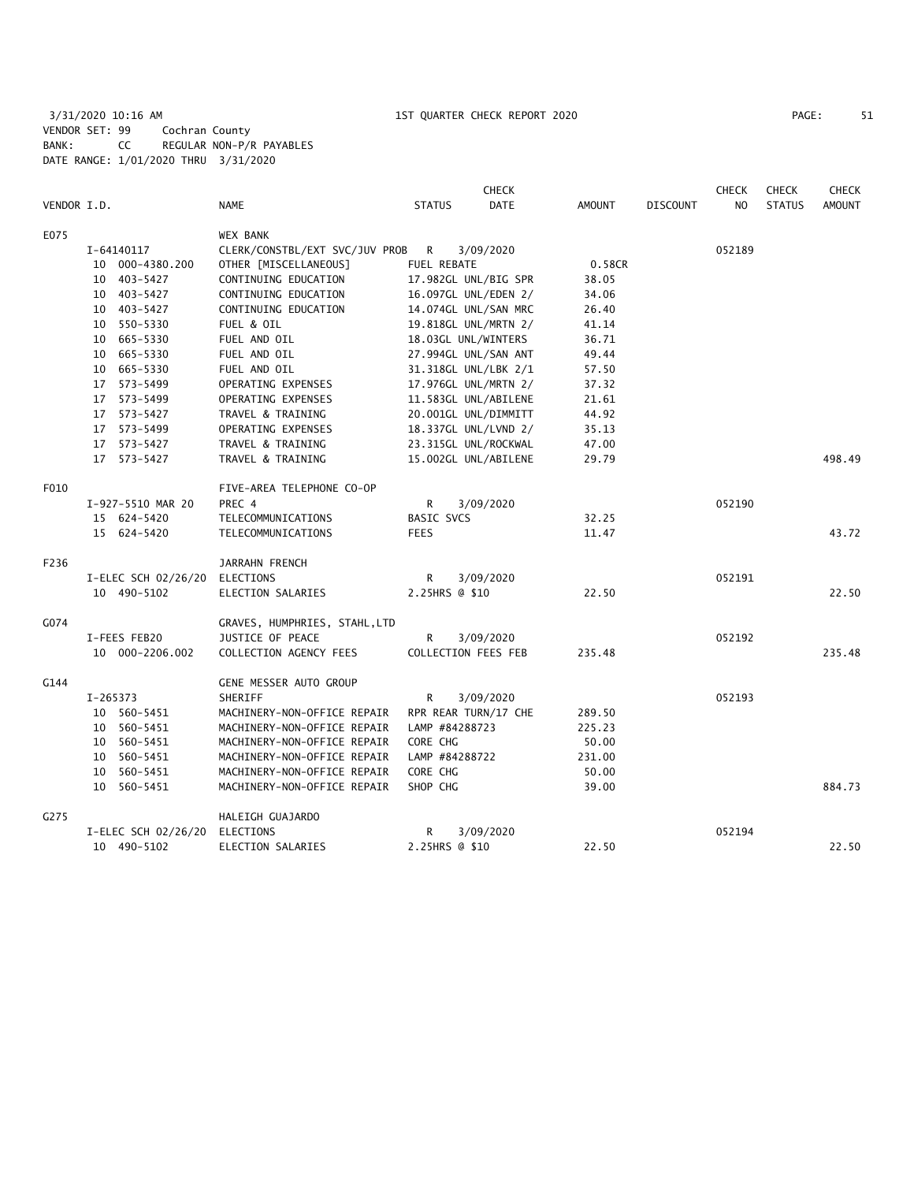3/31/2020 10:16 AM 1ST QUARTER CHECK REPORT 2020 PAGE: 51 VENDOR SET: 99 Cochran County BANK: CC REGULAR NON-P/R PAYABLES DATE RANGE: 1/01/2020 THRU 3/31/2020

| PAGE : |  |
|--------|--|
|        |  |

|             |              |                               |                                  |               |                | <b>CHECK</b>         |               |                 | <b>CHECK</b>   | <b>CHECK</b>  | <b>CHECK</b>  |
|-------------|--------------|-------------------------------|----------------------------------|---------------|----------------|----------------------|---------------|-----------------|----------------|---------------|---------------|
| VENDOR I.D. |              |                               | <b>NAME</b>                      | <b>STATUS</b> |                | <b>DATE</b>          | <b>AMOUNT</b> | <b>DISCOUNT</b> | N <sub>O</sub> | <b>STATUS</b> | <b>AMOUNT</b> |
| E075        |              |                               | WEX BANK                         |               |                |                      |               |                 |                |               |               |
|             | I-64140117   |                               | CLERK/CONSTBL/EXT SVC/JUV PROB R |               |                | 3/09/2020            |               |                 | 052189         |               |               |
|             |              | 10 000-4380.200               | OTHER [MISCELLANEOUS]            |               | FUEL REBATE    |                      | 0.58CR        |                 |                |               |               |
|             |              | 10 403-5427                   | CONTINUING EDUCATION             |               |                | 17.982GL UNL/BIG SPR | 38.05         |                 |                |               |               |
|             |              | 10 403-5427                   | CONTINUING EDUCATION             |               |                | 16.097GL UNL/EDEN 2/ | 34.06         |                 |                |               |               |
|             |              | 10 403-5427                   | CONTINUING EDUCATION             |               |                | 14.074GL UNL/SAN MRC | 26.40         |                 |                |               |               |
|             |              | 10 550-5330                   | FUEL & OIL                       |               |                | 19.818GL UNL/MRTN 2/ | 41.14         |                 |                |               |               |
|             |              | 10 665-5330                   | FUEL AND OIL                     |               |                | 18.03GL UNL/WINTERS  | 36.71         |                 |                |               |               |
|             |              | 10 665-5330                   | FUEL AND OIL                     |               |                | 27.994GL UNL/SAN ANT | 49.44         |                 |                |               |               |
|             |              | 10 665-5330                   | FUEL AND OIL                     |               |                | 31.318GL UNL/LBK 2/1 | 57.50         |                 |                |               |               |
|             |              | 17 573-5499                   | OPERATING EXPENSES               |               |                | 17.976GL UNL/MRTN 2/ | 37.32         |                 |                |               |               |
|             |              | 17 573-5499                   | OPERATING EXPENSES               |               |                | 11.583GL UNL/ABILENE | 21.61         |                 |                |               |               |
|             |              | 17 573-5427                   | TRAVEL & TRAINING                |               |                | 20.001GL UNL/DIMMITT | 44.92         |                 |                |               |               |
|             |              | 17 573-5499                   | OPERATING EXPENSES               |               |                | 18.337GL UNL/LVND 2/ | 35.13         |                 |                |               |               |
|             |              | 17 573-5427                   | TRAVEL & TRAINING                |               |                | 23.315GL UNL/ROCKWAL | 47.00         |                 |                |               |               |
|             |              | 17 573-5427                   | TRAVEL & TRAINING                |               |                | 15.002GL UNL/ABILENE | 29.79         |                 |                |               | 498.49        |
| F010        |              |                               | FIVE-AREA TELEPHONE CO-OP        |               |                |                      |               |                 |                |               |               |
|             |              | I-927-5510 MAR 20             | PREC 4                           | R             |                | 3/09/2020            |               |                 | 052190         |               |               |
|             |              | 15 624-5420                   | TELECOMMUNICATIONS               |               | BASIC SVCS     |                      | 32.25         |                 |                |               |               |
|             |              | 15 624-5420                   | TELECOMMUNICATIONS               | <b>FEES</b>   |                |                      | 11.47         |                 |                |               | 43.72         |
| F236        |              |                               | JARRAHN FRENCH                   |               |                |                      |               |                 |                |               |               |
|             |              | I-ELEC SCH 02/26/20 ELECTIONS |                                  | R             |                | 3/09/2020            |               |                 | 052191         |               |               |
|             |              | 10 490-5102                   | ELECTION SALARIES                |               | 2.25HRS @ \$10 |                      | 22.50         |                 |                |               | 22.50         |
| G074        |              |                               | GRAVES, HUMPHRIES, STAHL, LTD    |               |                |                      |               |                 |                |               |               |
|             | I-FEES FEB20 |                               | JUSTICE OF PEACE                 | $\mathsf{R}$  |                | 3/09/2020            |               |                 | 052192         |               |               |
|             |              | 10 000-2206.002               | COLLECTION AGENCY FEES           |               |                | COLLECTION FEES FEB  | 235.48        |                 |                |               | 235.48        |
| G144        |              |                               | GENE MESSER AUTO GROUP           |               |                |                      |               |                 |                |               |               |
|             | I-265373     |                               | SHERIFF                          | R             |                | 3/09/2020            |               |                 | 052193         |               |               |
|             |              | 10 560-5451                   | MACHINERY-NON-OFFICE REPAIR      |               |                | RPR REAR TURN/17 CHE | 289.50        |                 |                |               |               |
|             |              | 10 560-5451                   | MACHINERY-NON-OFFICE REPAIR      |               | LAMP #84288723 |                      | 225.23        |                 |                |               |               |
|             |              | 10 560-5451                   | MACHINERY-NON-OFFICE REPAIR      | CORE CHG      |                |                      | 50.00         |                 |                |               |               |
|             |              | 10 560-5451                   | MACHINERY-NON-OFFICE REPAIR      |               | LAMP #84288722 |                      | 231.00        |                 |                |               |               |
|             |              | 10 560-5451                   | MACHINERY-NON-OFFICE REPAIR      | CORE CHG      |                |                      | 50.00         |                 |                |               |               |
|             |              | 10 560-5451                   | MACHINERY-NON-OFFICE REPAIR      | SHOP CHG      |                |                      | 39.00         |                 |                |               | 884.73        |
| G275        |              |                               | HALEIGH GUAJARDO                 |               |                |                      |               |                 |                |               |               |
|             |              | I-ELEC SCH 02/26/20           | ELECTIONS                        | R             |                | 3/09/2020            |               |                 | 052194         |               |               |
|             |              | 10 490-5102                   | ELECTION SALARIES                |               | 2.25HRS @ \$10 |                      | 22.50         |                 |                |               | 22.50         |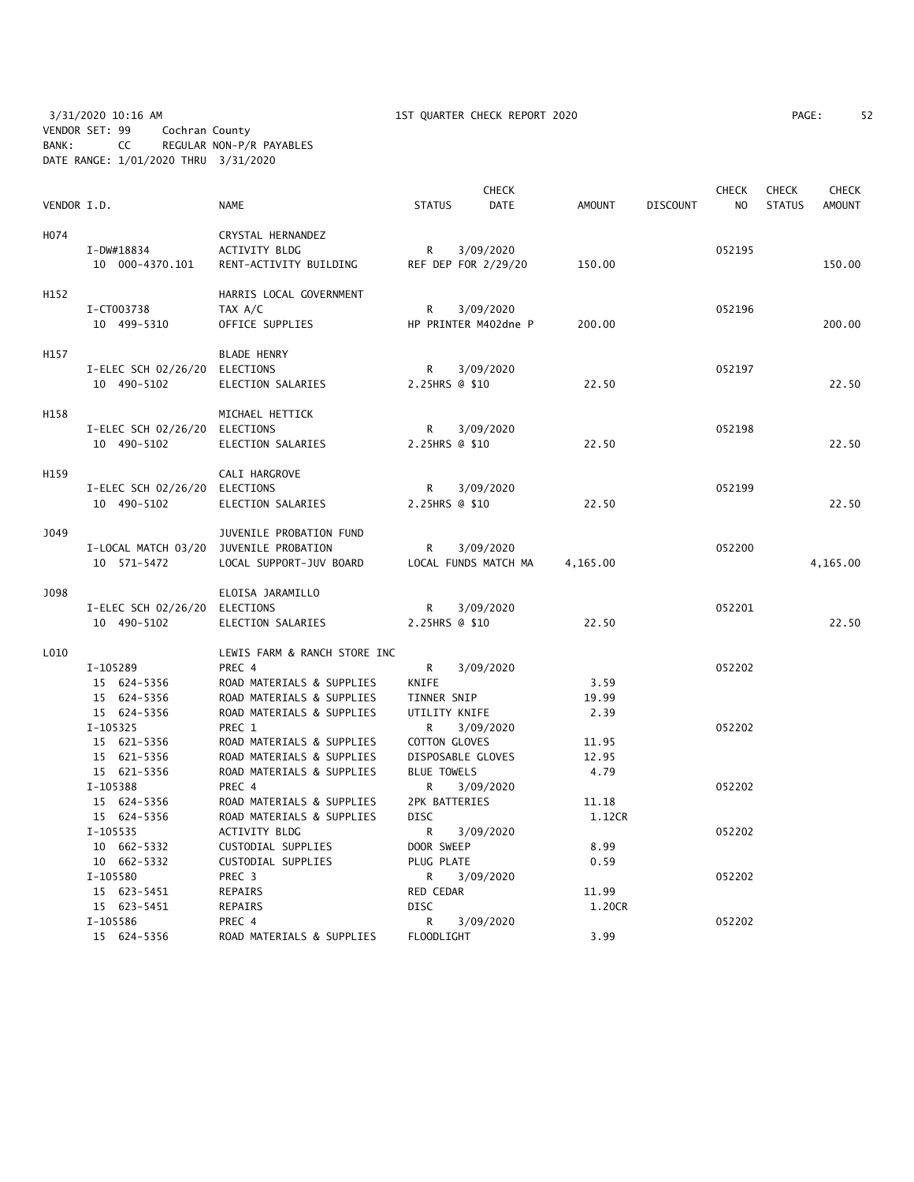3/31/2020 10:16 AM 1ST QUARTER CHECK REPORT 2020 PAGE: 52 VENDOR SET: 99 Cochran County BANK: CC REGULAR NON-P/R PAYABLES DATE RANGE: 1/01/2020 THRU 3/31/2020

| VENDOR I.D. |                                        | <b>NAME</b>                  | <b>STATUS</b>            | <b>CHECK</b><br><b>DATE</b> | <b>AMOUNT</b>   | <b>DISCOUNT</b> | <b>CHECK</b><br>N <sub>O</sub> | <b>CHECK</b><br><b>STATUS</b> | <b>CHECK</b><br><b>AMOUNT</b> |
|-------------|----------------------------------------|------------------------------|--------------------------|-----------------------------|-----------------|-----------------|--------------------------------|-------------------------------|-------------------------------|
|             |                                        |                              |                          |                             |                 |                 |                                |                               |                               |
| H074        |                                        | CRYSTAL HERNANDEZ            |                          |                             |                 |                 |                                |                               |                               |
|             | I-DW#18834                             | ACTIVITY BLDG                | R                        | 3/09/2020                   |                 |                 | 052195                         |                               |                               |
|             | 10 000-4370.101                        | RENT-ACTIVITY BUILDING       |                          | REF DEP FOR 2/29/20         | 150.00          |                 |                                |                               | 150.00                        |
| H152        |                                        | HARRIS LOCAL GOVERNMENT      |                          |                             |                 |                 |                                |                               |                               |
|             | I-CT003738                             | TAX A/C                      | R                        | 3/09/2020                   |                 |                 | 052196                         |                               |                               |
|             | 10 499-5310                            | OFFICE SUPPLIES              |                          | HP PRINTER M402dne P        | 200.00          |                 |                                |                               | 200.00                        |
| H157        |                                        | <b>BLADE HENRY</b>           |                          |                             |                 |                 |                                |                               |                               |
|             | I-ELEC SCH 02/26/20 ELECTIONS          |                              | R                        | 3/09/2020                   |                 |                 | 052197                         |                               |                               |
|             | 10 490-5102                            | ELECTION SALARIES            | 2.25HRS @ \$10           |                             | 22.50           |                 |                                |                               | 22.50                         |
|             |                                        |                              |                          |                             |                 |                 |                                |                               |                               |
| H158        |                                        | MICHAEL HETTICK              |                          |                             |                 |                 |                                |                               |                               |
|             | I-ELEC SCH 02/26/20 ELECTIONS          |                              | R                        | 3/09/2020                   |                 |                 | 052198                         |                               |                               |
|             | 10 490-5102                            | ELECTION SALARIES            | 2.25HRS @ \$10           |                             | 22.50           |                 |                                |                               | 22.50                         |
| H159        |                                        | CALI HARGROVE                |                          |                             |                 |                 |                                |                               |                               |
|             | I-ELEC SCH 02/26/20 ELECTIONS          |                              | R                        | 3/09/2020                   |                 |                 | 052199                         |                               |                               |
|             | 10 490-5102                            | ELECTION SALARIES            | 2.25HRS @ \$10           |                             | 22.50           |                 |                                |                               | 22.50                         |
| J049        |                                        | JUVENILE PROBATION FUND      |                          |                             |                 |                 |                                |                               |                               |
|             | I-LOCAL MATCH 03/20 JUVENILE PROBATION |                              | R                        | 3/09/2020                   |                 |                 | 052200                         |                               |                               |
|             | 10 571-5472                            | LOCAL SUPPORT-JUV BOARD      |                          | LOCAL FUNDS MATCH MA        | 4,165.00        |                 |                                |                               | 4,165.00                      |
|             |                                        |                              |                          |                             |                 |                 |                                |                               |                               |
| J098        |                                        | ELOISA JARAMILLO             |                          |                             |                 |                 |                                |                               |                               |
|             | I-ELEC SCH 02/26/20 ELECTIONS          |                              | R                        | 3/09/2020                   |                 |                 | 052201                         |                               |                               |
|             | 10 490-5102                            | ELECTION SALARIES            | 2.25HRS @ \$10           |                             | 22.50           |                 |                                |                               | 22.50                         |
| L010        |                                        | LEWIS FARM & RANCH STORE INC |                          |                             |                 |                 |                                |                               |                               |
|             | I-105289                               | PREC 4                       | R                        | 3/09/2020                   |                 |                 | 052202                         |                               |                               |
|             | 15 624-5356                            | ROAD MATERIALS & SUPPLIES    | KNIFE                    |                             | 3.59            |                 |                                |                               |                               |
|             | 15 624-5356                            | ROAD MATERIALS & SUPPLIES    | TINNER SNIP              |                             | 19.99           |                 |                                |                               |                               |
|             | 15 624-5356                            | ROAD MATERIALS & SUPPLIES    | UTILITY KNIFE            |                             | 2.39            |                 |                                |                               |                               |
|             | I-105325                               | PREC 1                       | R                        | 3/09/2020                   |                 |                 | 052202                         |                               |                               |
|             | 15 621-5356                            | ROAD MATERIALS & SUPPLIES    | <b>COTTON GLOVES</b>     |                             | 11.95           |                 |                                |                               |                               |
|             | 15 621-5356                            | ROAD MATERIALS & SUPPLIES    | DISPOSABLE GLOVES        |                             | 12.95           |                 |                                |                               |                               |
|             | 15 621-5356                            | ROAD MATERIALS & SUPPLIES    | <b>BLUE TOWELS</b>       |                             | 4.79            |                 |                                |                               |                               |
|             | I-105388                               | PREC 4                       | R                        | 3/09/2020                   |                 |                 | 052202                         |                               |                               |
|             | 15 624-5356                            | ROAD MATERIALS & SUPPLIES    | 2PK BATTERIES            |                             | 11.18           |                 |                                |                               |                               |
|             | 15 624-5356                            | ROAD MATERIALS & SUPPLIES    | <b>DISC</b>              |                             | 1.12CR          |                 |                                |                               |                               |
|             | I-105535                               | ACTIVITY BLDG                | R                        | 3/09/2020                   |                 |                 | 052202                         |                               |                               |
|             | 10 662-5332                            | CUSTODIAL SUPPLIES           | DOOR SWEEP               |                             | 8.99            |                 |                                |                               |                               |
|             | 10 662-5332                            | CUSTODIAL SUPPLIES           | PLUG PLATE               |                             | 0.59            |                 |                                |                               |                               |
|             | I-105580                               | PREC 3                       | R                        | 3/09/2020                   |                 |                 | 052202                         |                               |                               |
|             | 15 623-5451<br>15 623-5451             | REPAIRS<br>REPAIRS           | RED CEDAR<br><b>DISC</b> |                             | 11.99<br>1.20CR |                 |                                |                               |                               |
|             | I-105586                               | PREC 4                       | R                        | 3/09/2020                   |                 |                 | 052202                         |                               |                               |
|             | 15 624-5356                            | ROAD MATERIALS & SUPPLIES    | FLOODLIGHT               |                             | 3.99            |                 |                                |                               |                               |
|             |                                        |                              |                          |                             |                 |                 |                                |                               |                               |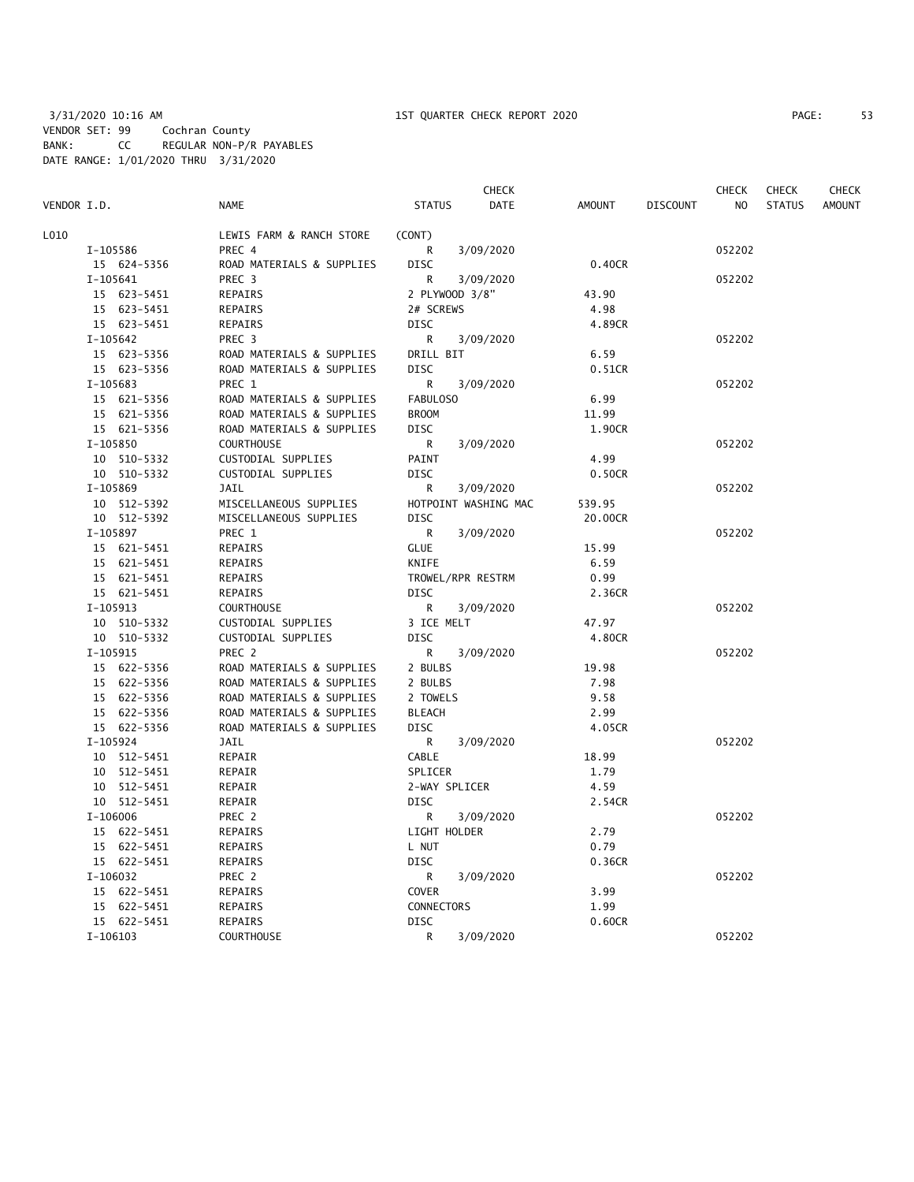|             |                           |                   | <b>CHECK</b>         |         |                 | <b>CHECK</b>   | <b>CHECK</b>  | <b>CHECK</b>  |
|-------------|---------------------------|-------------------|----------------------|---------|-----------------|----------------|---------------|---------------|
| VENDOR I.D. | <b>NAME</b>               | <b>STATUS</b>     | DATE                 | AMOUNT  | <b>DISCOUNT</b> | N <sub>O</sub> | <b>STATUS</b> | <b>AMOUNT</b> |
| L010        | LEWIS FARM & RANCH STORE  | (CONT)            |                      |         |                 |                |               |               |
| I-105586    | PREC 4                    | R                 | 3/09/2020            |         |                 | 052202         |               |               |
| 15 624-5356 | ROAD MATERIALS & SUPPLIES | <b>DISC</b>       |                      | 0.40CR  |                 |                |               |               |
| $I-105641$  | PREC <sub>3</sub>         | R                 | 3/09/2020            |         |                 | 052202         |               |               |
| 15 623-5451 | REPAIRS                   | 2 PLYWOOD 3/8"    |                      | 43.90   |                 |                |               |               |
| 15 623-5451 | REPAIRS                   | 2# SCREWS         |                      | 4.98    |                 |                |               |               |
| 15 623-5451 | REPAIRS                   | <b>DISC</b>       |                      | 4.89CR  |                 |                |               |               |
| I-105642    | PREC 3                    | R                 | 3/09/2020            |         |                 | 052202         |               |               |
| 15 623-5356 | ROAD MATERIALS & SUPPLIES | DRILL BIT         |                      | 6.59    |                 |                |               |               |
| 15 623-5356 | ROAD MATERIALS & SUPPLIES | <b>DISC</b>       |                      | 0.51CR  |                 |                |               |               |
| I-105683    | PREC 1                    | R                 | 3/09/2020            |         |                 | 052202         |               |               |
| 15 621-5356 | ROAD MATERIALS & SUPPLIES | FABULOSO          |                      | 6.99    |                 |                |               |               |
| 15 621-5356 | ROAD MATERIALS & SUPPLIES | <b>BROOM</b>      |                      | 11.99   |                 |                |               |               |
| 15 621-5356 | ROAD MATERIALS & SUPPLIES | DISC              |                      | 1.90CR  |                 |                |               |               |
| I-105850    | <b>COURTHOUSE</b>         | R                 | 3/09/2020            |         |                 | 052202         |               |               |
| 10 510-5332 | CUSTODIAL SUPPLIES        | PAINT             |                      | 4.99    |                 |                |               |               |
| 10 510-5332 | CUSTODIAL SUPPLIES        | <b>DISC</b>       |                      | 0.50CR  |                 |                |               |               |
| I-105869    | <b>JAIL</b>               | R                 | 3/09/2020            |         |                 | 052202         |               |               |
| 10 512-5392 | MISCELLANEOUS SUPPLIES    |                   | HOTPOINT WASHING MAC | 539.95  |                 |                |               |               |
| 10 512-5392 | MISCELLANEOUS SUPPLIES    | <b>DISC</b>       |                      | 20.00CR |                 |                |               |               |
| I-105897    | PREC 1                    | R                 | 3/09/2020            |         |                 | 052202         |               |               |
| 15 621-5451 | REPAIRS                   | <b>GLUE</b>       |                      | 15.99   |                 |                |               |               |
| 15 621-5451 | REPAIRS                   | KNIFE             |                      | 6.59    |                 |                |               |               |
| 15 621-5451 | REPAIRS                   | TROWEL/RPR RESTRM |                      | 0.99    |                 |                |               |               |
| 15 621-5451 | REPAIRS                   | <b>DISC</b>       |                      | 2.36CR  |                 |                |               |               |
| I-105913    | <b>COURTHOUSE</b>         | R                 | 3/09/2020            |         |                 | 052202         |               |               |
| 10 510-5332 | CUSTODIAL SUPPLIES        | 3 ICE MELT        |                      | 47.97   |                 |                |               |               |
| 10 510-5332 | CUSTODIAL SUPPLIES        | <b>DISC</b>       |                      | 4.80CR  |                 |                |               |               |
| I-105915    | PREC 2                    | R                 | 3/09/2020            |         |                 | 052202         |               |               |
| 15 622-5356 | ROAD MATERIALS & SUPPLIES | 2 BULBS           |                      | 19.98   |                 |                |               |               |
| 15 622-5356 | ROAD MATERIALS & SUPPLIES | 2 BULBS           |                      | 7.98    |                 |                |               |               |
| 15 622-5356 | ROAD MATERIALS & SUPPLIES | 2 TOWELS          |                      | 9.58    |                 |                |               |               |
| 15 622-5356 | ROAD MATERIALS & SUPPLIES | <b>BLEACH</b>     |                      | 2.99    |                 |                |               |               |
| 15 622-5356 | ROAD MATERIALS & SUPPLIES | <b>DISC</b>       |                      | 4.05CR  |                 |                |               |               |
| I-105924    | JAIL                      | R                 | 3/09/2020            |         |                 | 052202         |               |               |
| 10 512-5451 | REPAIR                    | CABLE             |                      | 18.99   |                 |                |               |               |
| 10 512-5451 | REPAIR                    | SPLICER           |                      | 1.79    |                 |                |               |               |
| 10 512-5451 | REPAIR                    | 2-WAY SPLICER     |                      | 4.59    |                 |                |               |               |
| 10 512-5451 | REPAIR                    | <b>DISC</b>       |                      | 2.54CR  |                 |                |               |               |
| I-106006    | PREC 2                    | R                 | 3/09/2020            |         |                 | 052202         |               |               |
| 15 622-5451 | REPAIRS                   | LIGHT HOLDER      |                      | 2.79    |                 |                |               |               |
| 15 622-5451 | REPAIRS                   | L NUT             |                      | 0.79    |                 |                |               |               |
| 15 622-5451 | REPAIRS                   | <b>DISC</b>       |                      | 0.36CR  |                 |                |               |               |
| I-106032    | PREC 2                    | R                 | 3/09/2020            |         |                 | 052202         |               |               |
| 15 622-5451 | REPAIRS                   | <b>COVER</b>      |                      | 3.99    |                 |                |               |               |
| 15 622-5451 | REPAIRS                   | CONNECTORS        |                      | 1.99    |                 |                |               |               |
| 15 622-5451 | REPAIRS                   | <b>DISC</b>       |                      | 0.60CR  |                 |                |               |               |
| I-106103    | <b>COURTHOUSE</b>         | R                 | 3/09/2020            |         |                 | 052202         |               |               |
|             |                           |                   |                      |         |                 |                |               |               |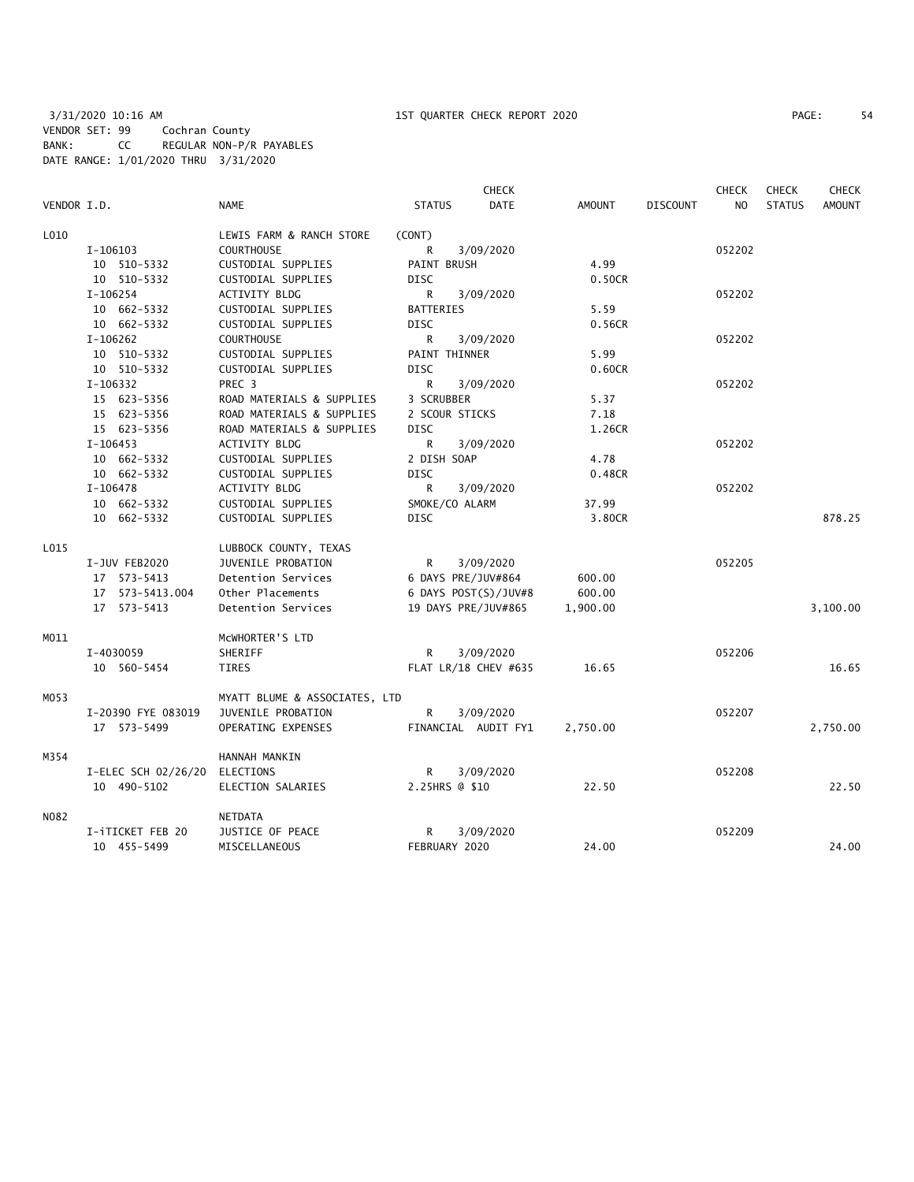|             |                               |                               |                     | <b>CHECK</b>         |               |                 | <b>CHECK</b> | <b>CHECK</b>  | <b>CHECK</b>  |
|-------------|-------------------------------|-------------------------------|---------------------|----------------------|---------------|-----------------|--------------|---------------|---------------|
| VENDOR I.D. |                               | <b>NAME</b>                   | <b>STATUS</b>       | <b>DATE</b>          | <b>AMOUNT</b> | <b>DISCOUNT</b> | NO.          | <b>STATUS</b> | <b>AMOUNT</b> |
| L010        |                               | LEWIS FARM & RANCH STORE      | (CONT)              |                      |               |                 |              |               |               |
|             | I-106103                      | <b>COURTHOUSE</b>             | R                   | 3/09/2020            |               |                 | 052202       |               |               |
|             | 10 510-5332                   | CUSTODIAL SUPPLIES            | PAINT BRUSH         |                      | 4.99          |                 |              |               |               |
|             | 10 510-5332                   | CUSTODIAL SUPPLIES            | DISC                |                      | 0.50CR        |                 |              |               |               |
|             | I-106254                      | <b>ACTIVITY BLDG</b>          | R                   | 3/09/2020            |               |                 | 052202       |               |               |
|             | 10 662-5332                   | CUSTODIAL SUPPLIES            | <b>BATTERIES</b>    |                      | 5.59          |                 |              |               |               |
|             | 10 662-5332                   | CUSTODIAL SUPPLIES            | <b>DISC</b>         |                      | 0.56CR        |                 |              |               |               |
|             | I-106262                      | <b>COURTHOUSE</b>             | R                   | 3/09/2020            |               |                 | 052202       |               |               |
|             | 10 510-5332                   | CUSTODIAL SUPPLIES            | PAINT THINNER       |                      | 5.99          |                 |              |               |               |
|             | 10 510-5332                   | CUSTODIAL SUPPLIES            | <b>DISC</b>         |                      | 0.60CR        |                 |              |               |               |
|             | I-106332                      | PREC <sub>3</sub>             | R                   | 3/09/2020            |               |                 | 052202       |               |               |
|             | 15 623-5356                   | ROAD MATERIALS & SUPPLIES     | 3 SCRUBBER          |                      | 5.37          |                 |              |               |               |
|             | 15 623-5356                   | ROAD MATERIALS & SUPPLIES     | 2 SCOUR STICKS      |                      | 7.18          |                 |              |               |               |
|             | 15 623-5356                   | ROAD MATERIALS & SUPPLIES     | <b>DISC</b>         |                      | 1.26CR        |                 |              |               |               |
|             | $I-106453$                    | <b>ACTIVITY BLDG</b>          | R                   | 3/09/2020            |               |                 | 052202       |               |               |
|             | 10 662-5332                   | CUSTODIAL SUPPLIES            | 2 DISH SOAP         |                      | 4.78          |                 |              |               |               |
|             | 10 662-5332                   | CUSTODIAL SUPPLIES            | <b>DISC</b>         |                      | 0.48CR        |                 |              |               |               |
|             | $I-106478$                    | ACTIVITY BLDG                 | R                   | 3/09/2020            |               |                 | 052202       |               |               |
|             | 10 662-5332                   | CUSTODIAL SUPPLIES            | SMOKE/CO ALARM      |                      | 37.99         |                 |              |               |               |
|             | 10 662-5332                   | CUSTODIAL SUPPLIES            | DISC                |                      | 3.80CR        |                 |              |               | 878.25        |
| L015        |                               | LUBBOCK COUNTY, TEXAS         |                     |                      |               |                 |              |               |               |
|             | I-JUV FEB2020                 | JUVENILE PROBATION            | R                   | 3/09/2020            |               |                 | 052205       |               |               |
|             | 17 573-5413                   | Detention Services            | 6 DAYS PRE/JUV#864  |                      | 600.00        |                 |              |               |               |
|             | 17 573-5413.004               | Other Placements              |                     | 6 DAYS POST(S)/JUV#8 | 600.00        |                 |              |               |               |
|             | 17 573-5413                   | Detention Services            | 19 DAYS PRE/JUV#865 |                      | 1,900.00      |                 |              |               | 3,100.00      |
| M011        |                               | MCWHORTER'S LTD               |                     |                      |               |                 |              |               |               |
|             | I-4030059                     | SHERIFF                       | R                   | 3/09/2020            |               |                 | 052206       |               |               |
|             | 10 560-5454                   | TIRES                         |                     | FLAT LR/18 CHEV #635 | 16.65         |                 |              |               | 16.65         |
| M053        |                               | MYATT BLUME & ASSOCIATES, LTD |                     |                      |               |                 |              |               |               |
|             | I-20390 FYE 083019            | JUVENILE PROBATION            | R                   | 3/09/2020            |               |                 | 052207       |               |               |
|             | 17 573-5499                   | OPERATING EXPENSES            |                     | FINANCIAL AUDIT FY1  | 2,750.00      |                 |              |               | 2,750.00      |
| M354        |                               | HANNAH MANKIN                 |                     |                      |               |                 |              |               |               |
|             | I-ELEC SCH 02/26/20 ELECTIONS |                               | R                   | 3/09/2020            |               |                 | 052208       |               |               |
|             | 10 490-5102                   | ELECTION SALARIES             | 2.25HRS @ \$10      |                      | 22.50         |                 |              |               | 22.50         |
| N082        |                               | NETDATA                       |                     |                      |               |                 |              |               |               |
|             | I-iTICKET FEB 20              | JUSTICE OF PEACE              | R                   | 3/09/2020            |               |                 | 052209       |               |               |
|             | 10 455-5499                   | MISCELLANEOUS                 | FEBRUARY 2020       |                      | 24.00         |                 |              |               | 24.00         |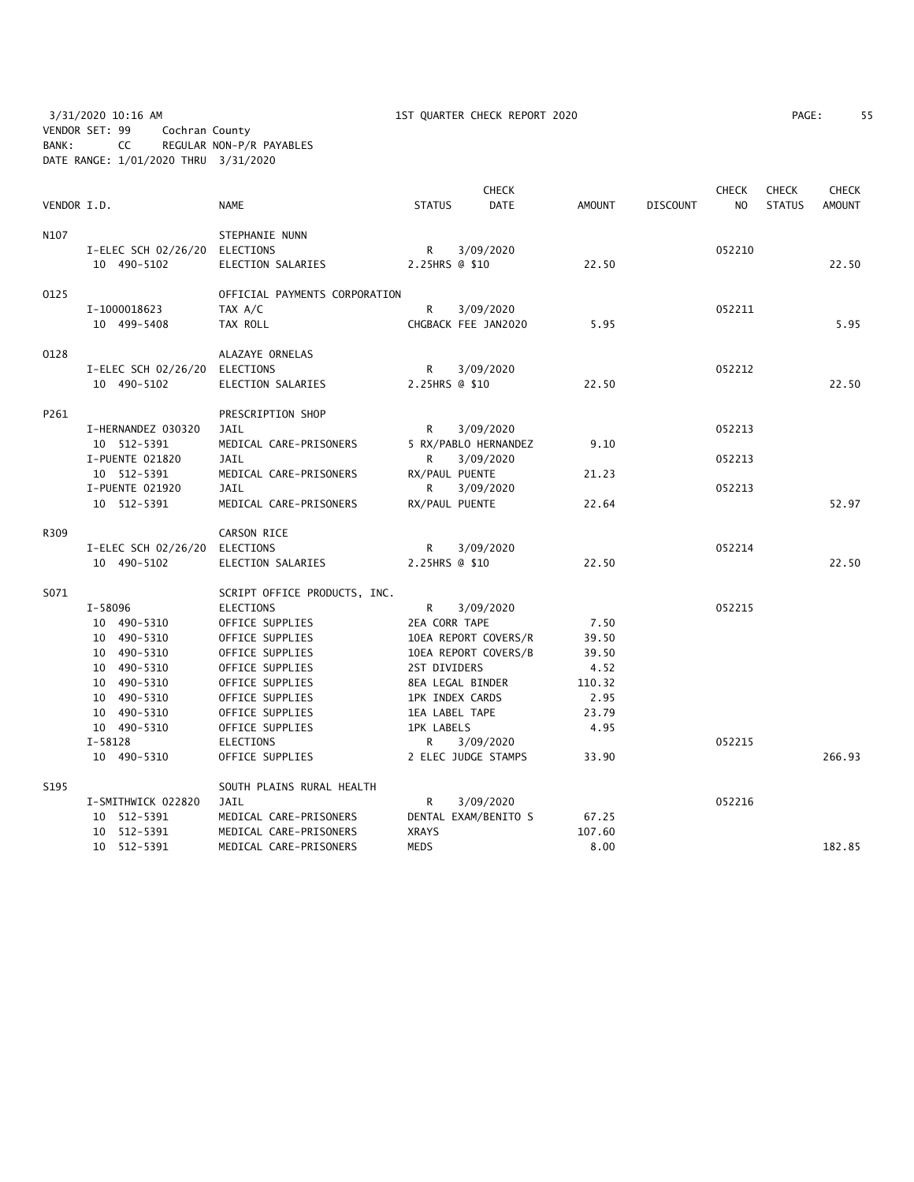3/31/2020 10:16 AM 1ST QUARTER CHECK REPORT 2020 PAGE: 55 VENDOR SET: 99 Cochran County BANK: CC REGULAR NON-P/R PAYABLES DATE RANGE: 1/01/2020 THRU 3/31/2020

| PAGE: | 55 |
|-------|----|
|       |    |

|             |                     |                               |                       | <b>CHECK</b>           |               |                 | <b>CHECK</b>   | <b>CHECK</b>  | <b>CHECK</b>  |
|-------------|---------------------|-------------------------------|-----------------------|------------------------|---------------|-----------------|----------------|---------------|---------------|
| VENDOR I.D. |                     | <b>NAME</b>                   | <b>STATUS</b>         | DATE                   | <b>AMOUNT</b> | <b>DISCOUNT</b> | N <sub>O</sub> | <b>STATUS</b> | <b>AMOUNT</b> |
| N107        |                     | STEPHANIE NUNN                |                       |                        |               |                 |                |               |               |
|             | I-ELEC SCH 02/26/20 | ELECTIONS                     | R                     | 3/09/2020              |               |                 | 052210         |               |               |
|             | 10 490-5102         | ELECTION SALARIES             | 2.25HRS @ \$10        |                        | 22.50         |                 |                |               | 22.50         |
| 0125        |                     | OFFICIAL PAYMENTS CORPORATION |                       |                        |               |                 |                |               |               |
|             | I-1000018623        | TAX A/C                       | R                     | 3/09/2020              |               |                 | 052211         |               |               |
|             | 10 499-5408         | TAX ROLL                      |                       | CHGBACK FEE JAN2020    | 5.95          |                 |                |               | 5.95          |
| 0128        |                     | ALAZAYE ORNELAS               |                       |                        |               |                 |                |               |               |
|             | I-ELEC SCH 02/26/20 | ELECTIONS                     | R                     | 3/09/2020              |               |                 | 052212         |               |               |
|             | 10 490-5102         | ELECTION SALARIES             | 2.25HRS @ \$10        |                        | 22.50         |                 |                |               | 22.50         |
| P261        |                     | PRESCRIPTION SHOP             |                       |                        |               |                 |                |               |               |
|             | I-HERNANDEZ 030320  | JAIL                          | R                     | 3/09/2020              |               |                 | 052213         |               |               |
|             | 10 512-5391         | MEDICAL CARE-PRISONERS        |                       | 5 RX/PABLO HERNANDEZ   | 9.10          |                 |                |               |               |
|             | I-PUENTE 021820     | JAIL                          | R                     | 3/09/2020              |               |                 | 052213         |               |               |
|             | 10 512-5391         | MEDICAL CARE-PRISONERS        | RX/PAUL PUENTE        |                        | 21.23         |                 |                |               |               |
|             | I-PUENTE 021920     | JAIL                          | R                     | 3/09/2020              |               |                 | 052213         |               |               |
|             | 10 512-5391         | MEDICAL CARE-PRISONERS        | RX/PAUL PUENTE        |                        | 22.64         |                 |                |               | 52.97         |
| R309        |                     | CARSON RICE                   |                       |                        |               |                 |                |               |               |
|             | I-ELEC SCH 02/26/20 | ELECTIONS                     | R                     | 3/09/2020              |               |                 | 052214         |               |               |
|             | 10 490-5102         | ELECTION SALARIES             | 2.25HRS @ \$10        |                        | 22.50         |                 |                |               | 22.50         |
| S071        |                     | SCRIPT OFFICE PRODUCTS, INC.  |                       |                        |               |                 |                |               |               |
|             | I-58096             | ELECTIONS                     | R                     | 3/09/2020              |               |                 | 052215         |               |               |
|             | 10 490-5310         | OFFICE SUPPLIES               | 2EA CORR TAPE         |                        | 7.50          |                 |                |               |               |
|             | 10 490-5310         | OFFICE SUPPLIES               |                       | 10EA REPORT COVERS/R   | 39.50         |                 |                |               |               |
|             | 10 490-5310         | OFFICE SUPPLIES               |                       | 10EA REPORT COVERS/B   | 39.50         |                 |                |               |               |
|             | 10 490-5310         | OFFICE SUPPLIES               | 2ST DIVIDERS          |                        | 4.52          |                 |                |               |               |
|             | 10 490-5310         | OFFICE SUPPLIES               |                       | 8EA LEGAL BINDER       | 110.32        |                 |                |               |               |
|             | 10 490-5310         | OFFICE SUPPLIES               |                       | <b>1PK INDEX CARDS</b> | 2.95          |                 |                |               |               |
|             | 10 490-5310         | OFFICE SUPPLIES               | <b>1EA LABEL TAPE</b> |                        | 23.79         |                 |                |               |               |
|             | 10 490-5310         | OFFICE SUPPLIES               | <b>1PK LABELS</b>     |                        | 4.95          |                 |                |               |               |
|             | $I-58128$           | ELECTIONS                     | R                     | 3/09/2020              |               |                 | 052215         |               |               |
|             | 10 490-5310         | OFFICE SUPPLIES               |                       | 2 ELEC JUDGE STAMPS    | 33.90         |                 |                |               | 266.93        |
| S195        |                     | SOUTH PLAINS RURAL HEALTH     |                       |                        |               |                 |                |               |               |
|             | I-SMITHWICK 022820  | <b>JAIL</b>                   | R                     | 3/09/2020              |               |                 | 052216         |               |               |
|             | 10 512-5391         | MEDICAL CARE-PRISONERS        |                       | DENTAL EXAM/BENITO S   | 67.25         |                 |                |               |               |
|             | 10 512-5391         | MEDICAL CARE-PRISONERS        | <b>XRAYS</b>          |                        | 107.60        |                 |                |               |               |
|             | 10 512-5391         | MEDICAL CARE-PRISONERS        | <b>MEDS</b>           |                        | 8.00          |                 |                |               | 182.85        |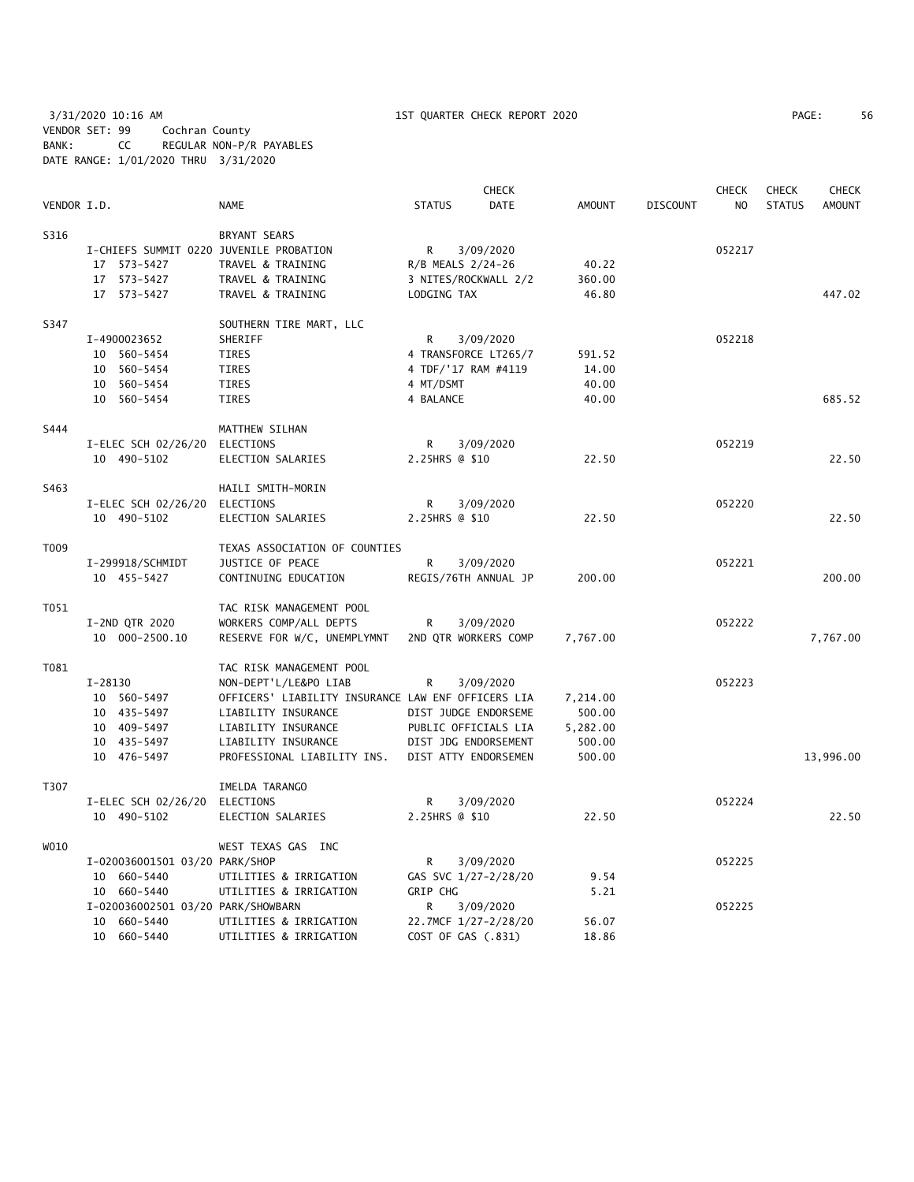3/31/2020 10:16 AM 1ST QUARTER CHECK REPORT 2020 PAGE: 56 VENDOR SET: 99 Cochran County BANK: CC REGULAR NON-P/R PAYABLES DATE RANGE: 1/01/2020 THRU 3/31/2020

|             |                                         |                                                    |                      | <b>CHECK</b> |               |                 | CHECK          | <b>CHECK</b>  | CHECK         |
|-------------|-----------------------------------------|----------------------------------------------------|----------------------|--------------|---------------|-----------------|----------------|---------------|---------------|
| VENDOR I.D. |                                         | <b>NAME</b>                                        | <b>STATUS</b>        | <b>DATE</b>  | <b>AMOUNT</b> | <b>DISCOUNT</b> | N <sub>O</sub> | <b>STATUS</b> | <b>AMOUNT</b> |
| S316        |                                         | <b>BRYANT SEARS</b>                                |                      |              |               |                 |                |               |               |
|             | I-CHIEFS SUMMIT 0220 JUVENILE PROBATION |                                                    | R                    | 3/09/2020    |               |                 | 052217         |               |               |
|             | 17 573-5427                             | TRAVEL & TRAINING                                  | R/B MEALS 2/24-26    |              | 40.22         |                 |                |               |               |
|             | 17 573-5427                             | TRAVEL & TRAINING                                  | 3 NITES/ROCKWALL 2/2 |              | 360.00        |                 |                |               |               |
|             | 17 573-5427                             | TRAVEL & TRAINING                                  | LODGING TAX          |              | 46.80         |                 |                |               | 447.02        |
| S347        |                                         | SOUTHERN TIRE MART, LLC                            |                      |              |               |                 |                |               |               |
|             | I-4900023652                            | SHERIFF                                            | R                    | 3/09/2020    |               |                 | 052218         |               |               |
|             | 10 560-5454                             | <b>TIRES</b>                                       | 4 TRANSFORCE LT265/7 |              | 591.52        |                 |                |               |               |
|             | 10 560-5454                             | <b>TIRES</b>                                       | 4 TDF/'17 RAM #4119  |              | 14.00         |                 |                |               |               |
|             | 10 560-5454                             | TIRES                                              | 4 MT/DSMT            |              | 40.00         |                 |                |               |               |
|             | 10 560-5454                             | TIRES                                              | 4 BALANCE            |              | 40.00         |                 |                |               | 685.52        |
| S444        |                                         | MATTHEW SILHAN                                     |                      |              |               |                 |                |               |               |
|             | I-ELEC SCH 02/26/20 ELECTIONS           |                                                    | R                    | 3/09/2020    |               |                 | 052219         |               |               |
|             | 10 490-5102                             | ELECTION SALARIES                                  | 2.25HRS @ \$10       |              | 22.50         |                 |                |               | 22.50         |
| S463        |                                         | HAILI SMITH-MORIN                                  |                      |              |               |                 |                |               |               |
|             | I-ELEC SCH 02/26/20 ELECTIONS           |                                                    | R                    | 3/09/2020    |               |                 | 052220         |               |               |
|             | 10 490-5102                             | ELECTION SALARIES                                  | 2.25HRS @ \$10       |              | 22.50         |                 |                |               | 22.50         |
| T009        |                                         | TEXAS ASSOCIATION OF COUNTIES                      |                      |              |               |                 |                |               |               |
|             | I-299918/SCHMIDT                        | JUSTICE OF PEACE                                   | R                    | 3/09/2020    |               |                 | 052221         |               |               |
|             | 10 455-5427                             | CONTINUING EDUCATION                               | REGIS/76TH ANNUAL JP |              | 200.00        |                 |                |               | 200.00        |
| T051        |                                         | TAC RISK MANAGEMENT POOL                           |                      |              |               |                 |                |               |               |
|             | I-2ND QTR 2020                          | WORKERS COMP/ALL DEPTS                             | R                    | 3/09/2020    |               |                 | 052222         |               |               |
|             | 10 000-2500.10                          | RESERVE FOR W/C, UNEMPLYMNT                        | 2ND OTR WORKERS COMP |              | 7,767.00      |                 |                |               | 7,767.00      |
| T081        |                                         | TAC RISK MANAGEMENT POOL                           |                      |              |               |                 |                |               |               |
|             | I-28130                                 | NON-DEPT'L/LE&PO LIAB                              | R                    | 3/09/2020    |               |                 | 052223         |               |               |
|             | 10 560-5497                             | OFFICERS' LIABILITY INSURANCE LAW ENF OFFICERS LIA |                      |              | 7,214.00      |                 |                |               |               |
|             | 10 435-5497                             | LIABILITY INSURANCE                                | DIST JUDGE ENDORSEME |              | 500.00        |                 |                |               |               |
|             | 10 409-5497                             | LIABILITY INSURANCE                                | PUBLIC OFFICIALS LIA |              | 5,282.00      |                 |                |               |               |
|             | 10 435-5497                             | LIABILITY INSURANCE                                | DIST JDG ENDORSEMENT |              | 500.00        |                 |                |               |               |
|             | 10 476-5497                             | PROFESSIONAL LIABILITY INS.                        | DIST ATTY ENDORSEMEN |              | 500.00        |                 |                |               | 13,996.00     |
| T307        |                                         | IMELDA TARANGO                                     |                      |              |               |                 |                |               |               |
|             | I-ELEC SCH 02/26/20 ELECTIONS           |                                                    | R                    | 3/09/2020    |               |                 | 052224         |               |               |
|             | 10 490-5102                             | ELECTION SALARIES                                  | 2.25HRS @ \$10       |              | 22.50         |                 |                |               | 22.50         |
| W010        |                                         | WEST TEXAS GAS INC                                 |                      |              |               |                 |                |               |               |
|             | I-020036001501 03/20 PARK/SHOP          |                                                    | R                    | 3/09/2020    |               |                 | 052225         |               |               |
|             | 10 660-5440                             | UTILITIES & IRRIGATION                             | GAS SVC 1/27-2/28/20 |              | 9.54          |                 |                |               |               |
|             | 10 660-5440                             | UTILITIES & IRRIGATION                             | GRIP CHG             |              | 5.21          |                 |                |               |               |
|             | I-020036002501 03/20 PARK/SHOWBARN      |                                                    | R.                   | 3/09/2020    |               |                 | 052225         |               |               |
|             | 10 660-5440                             | UTILITIES & IRRIGATION                             | 22.7MCF 1/27-2/28/20 |              | 56.07         |                 |                |               |               |

10 660-5440 UTILITIES & IRRIGATION COST OF GAS (.831) 18.86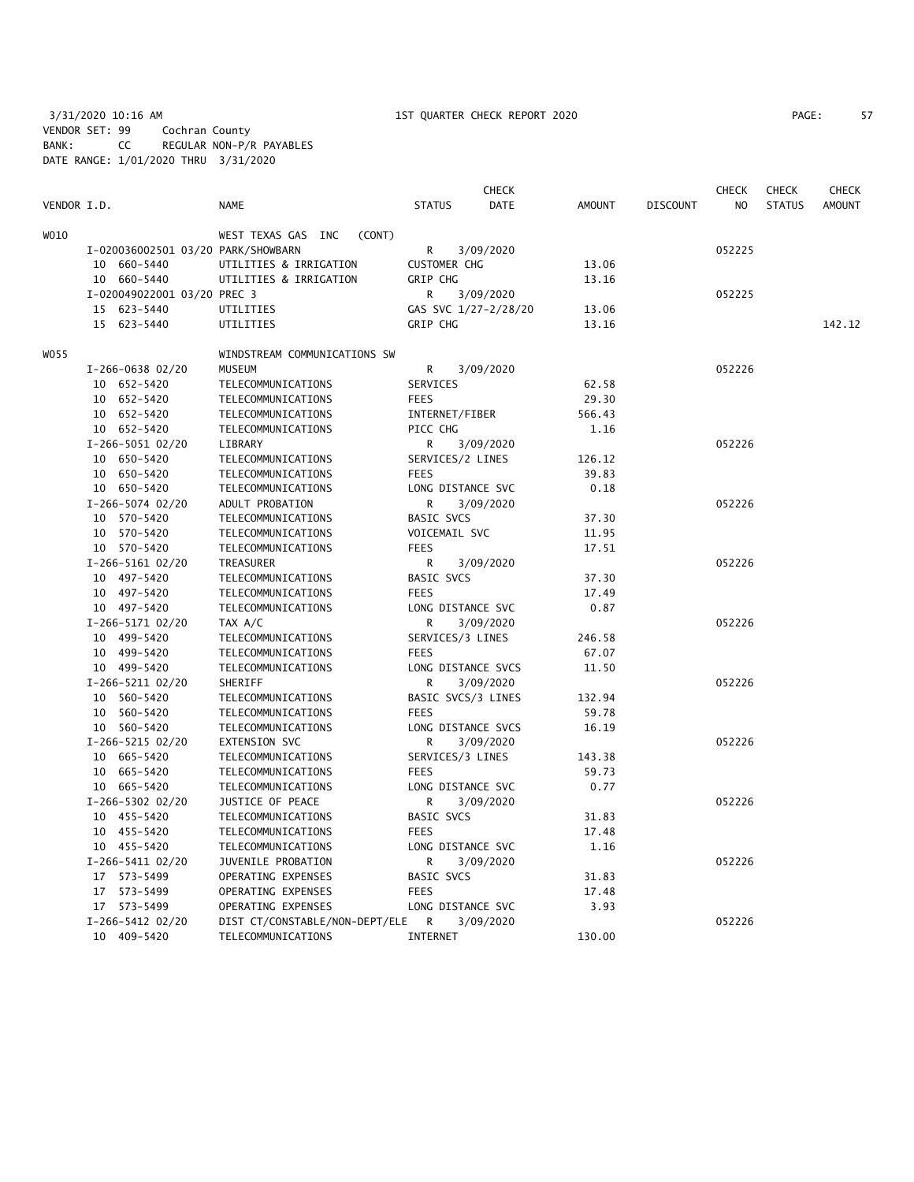3/31/2020 10:16 AM 1ST QUARTER CHECK REPORT 2020 PAGE: 57 VENDOR SET: 99 Cochran County BANK: CC REGULAR NON-P/R PAYABLES DATE RANGE: 1/01/2020 THRU 3/31/2020

| PAGE: | 51 |
|-------|----|
|       |    |

| VENDOR I.D. |                                    | <b>NAME</b>                              | <b>CHECK</b><br><b>STATUS</b><br><b>DATE</b> | <b>AMOUNT</b>  | <b>DISCOUNT</b> | <b>CHECK</b><br>N <sub>O</sub> | <b>CHECK</b><br><b>STATUS</b> | <b>CHECK</b><br><b>AMOUNT</b> |
|-------------|------------------------------------|------------------------------------------|----------------------------------------------|----------------|-----------------|--------------------------------|-------------------------------|-------------------------------|
| WO10        |                                    | WEST TEXAS GAS INC<br>(CONT)             |                                              |                |                 |                                |                               |                               |
|             | I-020036002501 03/20 PARK/SHOWBARN |                                          | 3/09/2020<br>R                               |                |                 | 052225                         |                               |                               |
|             | 10 660-5440                        | UTILITIES & IRRIGATION                   | <b>CUSTOMER CHG</b>                          | 13.06          |                 |                                |                               |                               |
|             | 10 660-5440                        | UTILITIES & IRRIGATION                   | <b>GRIP CHG</b>                              | 13.16          |                 |                                |                               |                               |
|             | I-020049022001 03/20 PREC 3        |                                          | R.<br>3/09/2020                              |                |                 | 052225                         |                               |                               |
|             | 15 623-5440                        | UTILITIES                                | GAS SVC 1/27-2/28/20                         | 13.06          |                 |                                |                               |                               |
|             | 15 623-5440                        | UTILITIES                                | GRIP CHG                                     | 13.16          |                 |                                |                               | 142.12                        |
| WO55        |                                    | WINDSTREAM COMMUNICATIONS SW             |                                              |                |                 |                                |                               |                               |
|             | I-266-0638 02/20                   | <b>MUSEUM</b>                            | R<br>3/09/2020                               |                |                 | 052226                         |                               |                               |
|             | 10 652-5420                        | TELECOMMUNICATIONS                       | SERVICES                                     | 62.58          |                 |                                |                               |                               |
|             | 10 652-5420                        | TELECOMMUNICATIONS                       | <b>FEES</b>                                  | 29.30          |                 |                                |                               |                               |
|             | 10 652-5420                        | TELECOMMUNICATIONS                       | INTERNET/FIBER                               | 566.43         |                 |                                |                               |                               |
|             | 10 652-5420                        | TELECOMMUNICATIONS                       | PICC CHG                                     | 1.16           |                 |                                |                               |                               |
|             | I-266-5051 02/20                   | LIBRARY                                  | 3/09/2020<br>R                               |                |                 | 052226                         |                               |                               |
|             | 10 650-5420                        | TELECOMMUNICATIONS                       | SERVICES/2 LINES                             | 126.12         |                 |                                |                               |                               |
|             | 10 650-5420                        | TELECOMMUNICATIONS                       | <b>FEES</b>                                  | 39.83          |                 |                                |                               |                               |
|             | 10 650-5420                        | TELECOMMUNICATIONS                       | LONG DISTANCE SVC                            | 0.18           |                 |                                |                               |                               |
|             | I-266-5074 02/20                   | ADULT PROBATION                          | R<br>3/09/2020                               |                |                 | 052226                         |                               |                               |
|             | 10 570-5420                        | TELECOMMUNICATIONS                       | <b>BASIC SVCS</b>                            | 37.30          |                 |                                |                               |                               |
|             | 10 570-5420                        | TELECOMMUNICATIONS                       | VOICEMAIL SVC                                | 11.95          |                 |                                |                               |                               |
|             | 10 570-5420                        | TELECOMMUNICATIONS                       | <b>FEES</b>                                  | 17.51          |                 |                                |                               |                               |
|             | I-266-5161 02/20                   | TREASURER                                | R<br>3/09/2020                               |                |                 | 052226                         |                               |                               |
|             | 10 497-5420                        | TELECOMMUNICATIONS                       | <b>BASIC SVCS</b>                            | 37.30          |                 |                                |                               |                               |
|             | 10 497-5420                        | TELECOMMUNICATIONS                       | <b>FEES</b>                                  | 17.49          |                 |                                |                               |                               |
|             | 10 497-5420                        | TELECOMMUNICATIONS                       | LONG DISTANCE SVC                            | 0.87           |                 |                                |                               |                               |
|             | I-266-5171 02/20                   | TAX A/C                                  | R<br>3/09/2020                               |                |                 | 052226                         |                               |                               |
|             | 10 499-5420                        | TELECOMMUNICATIONS                       | SERVICES/3 LINES                             | 246.58         |                 |                                |                               |                               |
|             | 10 499-5420                        | TELECOMMUNICATIONS                       | <b>FEES</b>                                  | 67.07          |                 |                                |                               |                               |
|             | 10 499-5420                        | TELECOMMUNICATIONS                       | LONG DISTANCE SVCS                           | 11.50          |                 |                                |                               |                               |
|             | I-266-5211 02/20                   | SHERIFF                                  | R<br>3/09/2020                               |                |                 | 052226                         |                               |                               |
|             | 10 560-5420                        | TELECOMMUNICATIONS                       | BASIC SVCS/3 LINES                           | 132.94         |                 |                                |                               |                               |
|             | 10 560-5420                        | TELECOMMUNICATIONS                       | <b>FEES</b>                                  | 59.78          |                 |                                |                               |                               |
|             | 10 560-5420                        | TELECOMMUNICATIONS                       | LONG DISTANCE SVCS                           | 16.19          |                 |                                |                               |                               |
|             | I-266-5215 02/20                   | EXTENSION SVC                            | R<br>3/09/2020                               |                |                 | 052226                         |                               |                               |
|             | 10 665-5420                        | TELECOMMUNICATIONS                       | SERVICES/3 LINES                             | 143.38         |                 |                                |                               |                               |
|             | 10 665-5420                        | TELECOMMUNICATIONS                       | <b>FEES</b>                                  | 59.73          |                 |                                |                               |                               |
|             | 10 665-5420                        | TELECOMMUNICATIONS                       | LONG DISTANCE SVC                            | 0.77           |                 |                                |                               |                               |
|             | I-266-5302 02/20                   | JUSTICE OF PEACE                         | R<br>3/09/2020                               |                |                 | 052226                         |                               |                               |
|             | 10 455-5420                        | TELECOMMUNICATIONS                       | <b>BASIC SVCS</b>                            | 31.83          |                 |                                |                               |                               |
|             | 10 455-5420                        | TELECOMMUNICATIONS                       | <b>FEES</b>                                  | 17.48<br>1.16  |                 |                                |                               |                               |
|             | 10 455-5420                        | TELECOMMUNICATIONS                       | LONG DISTANCE SVC                            |                |                 |                                |                               |                               |
|             | I-266-5411 02/20                   | JUVENILE PROBATION                       | R<br>3/09/2020<br>BASIC SVCS                 |                |                 | 052226                         |                               |                               |
|             | 17 573-5499                        | OPERATING EXPENSES                       | <b>FEES</b>                                  | 31.83<br>17.48 |                 |                                |                               |                               |
|             | 17 573-5499<br>17 573-5499         | OPERATING EXPENSES<br>OPERATING EXPENSES | LONG DISTANCE SVC                            | 3.93           |                 |                                |                               |                               |
|             | I-266-5412 02/20                   | DIST CT/CONSTABLE/NON-DEPT/ELE           | R<br>3/09/2020                               |                |                 | 052226                         |                               |                               |
|             | 10 409-5420                        | TELECOMMUNICATIONS                       | INTERNET                                     | 130.00         |                 |                                |                               |                               |
|             |                                    |                                          |                                              |                |                 |                                |                               |                               |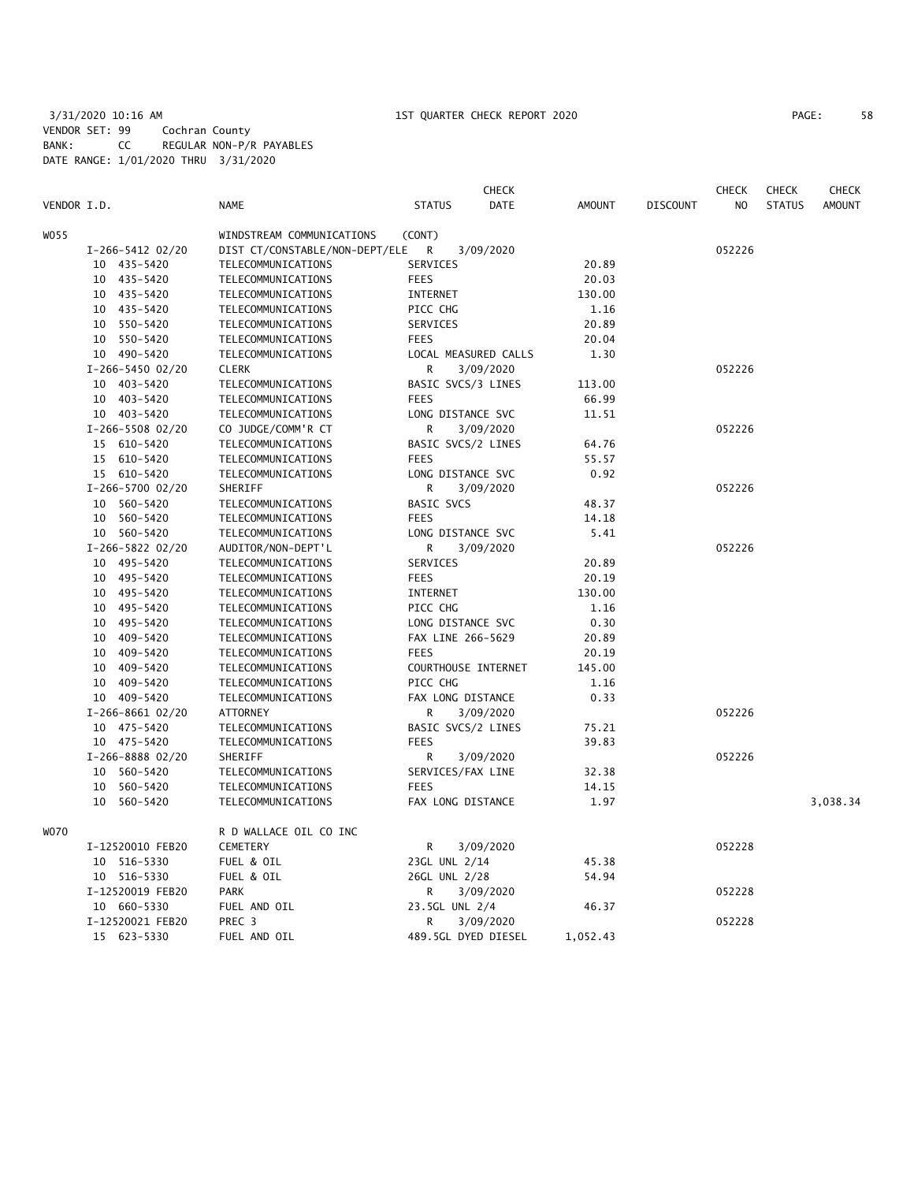# 3/31/2020 10:16 AM 1ST QUARTER CHECK REPORT 2020 PAGE: 58 VENDOR SET: 99 Cochran County BANK: CC REGULAR NON-P/R PAYABLES DATE RANGE: 1/01/2020 THRU 3/31/2020

| PAGE: | 58 |
|-------|----|
|-------|----|

|             |                  |                                | <b>CHECK</b>                      |               |                 | CHECK  | <b>CHECK</b>  | <b>CHECK</b>  |
|-------------|------------------|--------------------------------|-----------------------------------|---------------|-----------------|--------|---------------|---------------|
| VENDOR I.D. |                  | <b>NAME</b>                    | <b>STATUS</b><br><b>DATE</b>      | <b>AMOUNT</b> | <b>DISCOUNT</b> | NO.    | <b>STATUS</b> | <b>AMOUNT</b> |
| WO55        |                  | WINDSTREAM COMMUNICATIONS      | (CONT)                            |               |                 |        |               |               |
|             | I-266-5412 02/20 | DIST CT/CONSTABLE/NON-DEPT/ELE | 3/09/2020<br>R                    |               |                 | 052226 |               |               |
|             | 10 435-5420      | TELECOMMUNICATIONS             | SERVICES                          | 20.89         |                 |        |               |               |
|             | 10 435-5420      | TELECOMMUNICATIONS             | <b>FEES</b>                       | 20.03         |                 |        |               |               |
|             | 10 435-5420      | TELECOMMUNICATIONS             | INTERNET                          | 130.00        |                 |        |               |               |
|             | 10 435-5420      | TELECOMMUNICATIONS             | PICC CHG                          | 1.16          |                 |        |               |               |
|             | 10 550-5420      | TELECOMMUNICATIONS             | SERVICES                          | 20.89         |                 |        |               |               |
|             | 10 550-5420      | TELECOMMUNICATIONS             | <b>FEES</b>                       | 20.04         |                 |        |               |               |
|             | 10 490-5420      | TELECOMMUNICATIONS             | LOCAL MEASURED CALLS              | 1.30          |                 |        |               |               |
|             | I-266-5450 02/20 | <b>CLERK</b>                   | R<br>3/09/2020                    |               |                 | 052226 |               |               |
|             | 10 403-5420      | TELECOMMUNICATIONS             |                                   | 113.00        |                 |        |               |               |
|             |                  |                                | BASIC SVCS/3 LINES<br><b>FEES</b> |               |                 |        |               |               |
|             | 10 403-5420      | TELECOMMUNICATIONS             |                                   | 66.99         |                 |        |               |               |
|             | 10 403-5420      | TELECOMMUNICATIONS             | LONG DISTANCE SVC                 | 11.51         |                 |        |               |               |
|             | I-266-5508 02/20 | CO JUDGE/COMM'R CT             | R<br>3/09/2020                    |               |                 | 052226 |               |               |
|             | 15 610-5420      | TELECOMMUNICATIONS             | BASIC SVCS/2 LINES                | 64.76         |                 |        |               |               |
|             | 15 610-5420      | TELECOMMUNICATIONS             | <b>FEES</b>                       | 55.57         |                 |        |               |               |
|             | 15 610-5420      | TELECOMMUNICATIONS             | LONG DISTANCE SVC                 | 0.92          |                 |        |               |               |
|             | I-266-5700 02/20 | SHERIFF                        | R<br>3/09/2020                    |               |                 | 052226 |               |               |
|             | 10 560-5420      | TELECOMMUNICATIONS             | <b>BASIC SVCS</b>                 | 48.37         |                 |        |               |               |
|             | 10 560-5420      | TELECOMMUNICATIONS             | <b>FEES</b>                       | 14.18         |                 |        |               |               |
|             | 10 560-5420      | TELECOMMUNICATIONS             | LONG DISTANCE SVC                 | 5.41          |                 |        |               |               |
|             | I-266-5822 02/20 | AUDITOR/NON-DEPT'L             | R<br>3/09/2020                    |               |                 | 052226 |               |               |
|             | 10 495-5420      | TELECOMMUNICATIONS             | SERVICES                          | 20.89         |                 |        |               |               |
|             | 10 495-5420      | TELECOMMUNICATIONS             | <b>FEES</b>                       | 20.19         |                 |        |               |               |
|             | 10 495-5420      | TELECOMMUNICATIONS             | <b>INTERNET</b>                   | 130.00        |                 |        |               |               |
|             | 10 495-5420      | TELECOMMUNICATIONS             | PICC CHG                          | 1.16          |                 |        |               |               |
|             | 10 495-5420      | TELECOMMUNICATIONS             | LONG DISTANCE SVC                 | 0.30          |                 |        |               |               |
|             | 10 409-5420      | TELECOMMUNICATIONS             | FAX LINE 266-5629                 | 20.89         |                 |        |               |               |
|             | 10 409-5420      | TELECOMMUNICATIONS             | <b>FEES</b>                       | 20.19         |                 |        |               |               |
|             | 10 409-5420      | TELECOMMUNICATIONS             | COURTHOUSE INTERNET               | 145.00        |                 |        |               |               |
|             | 10 409-5420      | TELECOMMUNICATIONS             | PICC CHG                          | 1.16          |                 |        |               |               |
|             | 10 409-5420      | TELECOMMUNICATIONS             | FAX LONG DISTANCE                 | 0.33          |                 |        |               |               |
|             | I-266-8661 02/20 | ATTORNEY                       | R<br>3/09/2020                    |               |                 | 052226 |               |               |
|             | 10 475-5420      | TELECOMMUNICATIONS             | BASIC SVCS/2 LINES                | 75.21         |                 |        |               |               |
|             | 10 475-5420      | TELECOMMUNICATIONS             | <b>FEES</b>                       | 39.83         |                 |        |               |               |
|             | I-266-8888 02/20 | SHERIFF                        | R<br>3/09/2020                    |               |                 | 052226 |               |               |
|             | 10 560-5420      | TELECOMMUNICATIONS             | SERVICES/FAX LINE                 | 32.38         |                 |        |               |               |
|             | 10 560-5420      | TELECOMMUNICATIONS             | <b>FEES</b>                       | 14.15         |                 |        |               |               |
|             | 10 560-5420      | TELECOMMUNICATIONS             | FAX LONG DISTANCE                 | 1.97          |                 |        |               | 3,038.34      |
| WO70        |                  | R D WALLACE OIL CO INC         |                                   |               |                 |        |               |               |
|             | I-12520010 FEB20 | <b>CEMETERY</b>                | R<br>3/09/2020                    |               |                 | 052228 |               |               |
|             | 10 516-5330      | FUEL & OIL                     | 23GL UNL 2/14                     | 45.38         |                 |        |               |               |
|             | 10 516-5330      | FUEL & OIL                     | 26GL UNL 2/28                     | 54.94         |                 |        |               |               |
|             | I-12520019 FEB20 | <b>PARK</b>                    | R.<br>3/09/2020                   |               |                 | 052228 |               |               |
|             | 10 660-5330      | FUEL AND OIL                   | 23.5GL UNL 2/4                    | 46.37         |                 |        |               |               |
|             | I-12520021 FEB20 | PREC 3                         | R<br>3/09/2020                    |               |                 | 052228 |               |               |
|             |                  |                                |                                   |               |                 |        |               |               |
|             | 15 623-5330      | FUEL AND OIL                   | 489.5GL DYED DIESEL               | 1,052.43      |                 |        |               |               |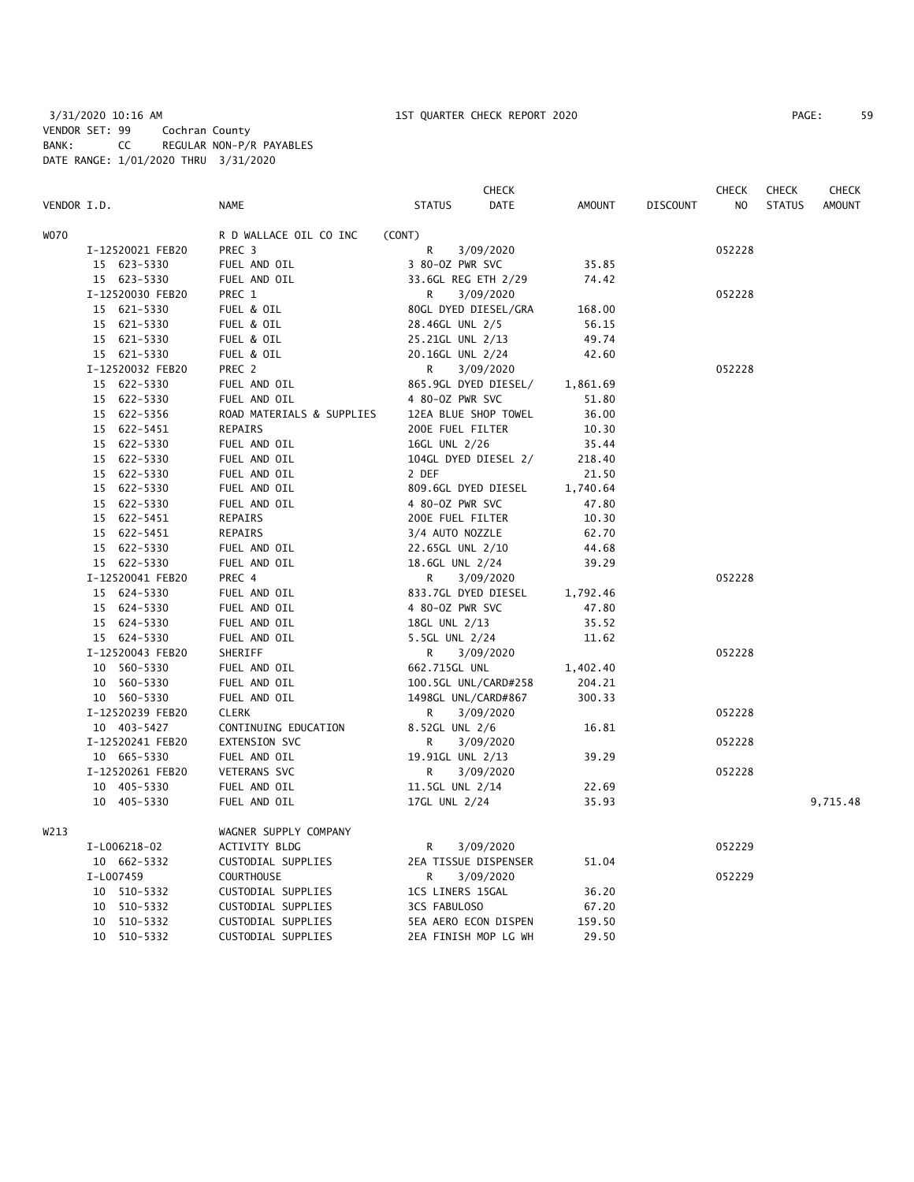|             |                  |                           | <b>CHECK</b>                 |               |                 | <b>CHECK</b> | <b>CHECK</b>  | <b>CHECK</b>  |
|-------------|------------------|---------------------------|------------------------------|---------------|-----------------|--------------|---------------|---------------|
| VENDOR I.D. |                  | <b>NAME</b>               | <b>STATUS</b><br><b>DATE</b> | <b>AMOUNT</b> | <b>DISCOUNT</b> | NO.          | <b>STATUS</b> | <b>AMOUNT</b> |
| WO70        |                  | R D WALLACE OIL CO INC    | (CONT)                       |               |                 |              |               |               |
|             | I-12520021 FEB20 | PREC <sub>3</sub>         | R<br>3/09/2020               |               |                 | 052228       |               |               |
|             | 15 623-5330      | FUEL AND OIL              | 3 80-0Z PWR SVC              | 35.85         |                 |              |               |               |
|             | 15 623-5330      | FUEL AND OIL              | 33.6GL REG ETH 2/29          | 74.42         |                 |              |               |               |
|             | I-12520030 FEB20 | PREC 1                    | R.<br>3/09/2020              |               |                 | 052228       |               |               |
|             | 15 621-5330      | FUEL & OIL                | 80GL DYED DIESEL/GRA         | 168.00        |                 |              |               |               |
|             | 15 621-5330      | FUEL & OIL                | 28.46GL UNL 2/5              | 56.15         |                 |              |               |               |
|             | 15 621-5330      | FUEL & OIL                | 25.21GL UNL 2/13             | 49.74         |                 |              |               |               |
|             | 15 621-5330      | FUEL & OIL                | 20.16GL UNL 2/24             | 42.60         |                 |              |               |               |
|             | I-12520032 FEB20 | PREC 2                    | R<br>3/09/2020               |               |                 | 052228       |               |               |
|             | 15 622-5330      | FUEL AND OIL              | 865.9GL DYED DIESEL/         | 1,861.69      |                 |              |               |               |
|             | 15 622-5330      | FUEL AND OIL              | 4 80-0Z PWR SVC              | 51.80         |                 |              |               |               |
|             | 15 622-5356      | ROAD MATERIALS & SUPPLIES | 12EA BLUE SHOP TOWEL         | 36.00         |                 |              |               |               |
|             | 15 622-5451      | REPAIRS                   | 200E FUEL FILTER             | 10.30         |                 |              |               |               |
|             | 15 622-5330      | FUEL AND OIL              | 16GL UNL 2/26                | 35.44         |                 |              |               |               |
|             | 15 622-5330      | FUEL AND OIL              | 104GL DYED DIESEL 2/         | 218.40        |                 |              |               |               |
|             | 15 622-5330      | FUEL AND OIL              | 2 DEF                        | 21.50         |                 |              |               |               |
|             | 15 622-5330      | FUEL AND OIL              | 809.6GL DYED DIESEL          | 1,740.64      |                 |              |               |               |
|             | 15 622-5330      | FUEL AND OIL              | 4 80-0Z PWR SVC              | 47.80         |                 |              |               |               |
|             | 15 622-5451      | REPAIRS                   | 200E FUEL FILTER             | 10.30         |                 |              |               |               |
|             | 15 622-5451      | REPAIRS                   | 3/4 AUTO NOZZLE              | 62.70         |                 |              |               |               |
|             | 15 622-5330      | FUEL AND OIL              | 22.65GL UNL 2/10             | 44.68         |                 |              |               |               |
|             | 15 622-5330      | FUEL AND OIL              | 18.6GL UNL 2/24              | 39.29         |                 |              |               |               |
|             | I-12520041 FEB20 | PREC 4                    | R<br>3/09/2020               |               |                 | 052228       |               |               |
|             | 15 624-5330      | FUEL AND OIL              | 833.7GL DYED DIESEL          | 1,792.46      |                 |              |               |               |
|             | 15 624-5330      | FUEL AND OIL              | 4 80-0Z PWR SVC              | 47.80         |                 |              |               |               |
|             | 15 624-5330      | FUEL AND OIL              | 18GL UNL 2/13                | 35.52         |                 |              |               |               |
|             | 15 624-5330      | FUEL AND OIL              | 5.5GL UNL 2/24               | 11.62         |                 |              |               |               |
|             | I-12520043 FEB20 | SHERIFF                   | 3/09/2020<br>R               |               |                 | 052228       |               |               |
|             | 10 560-5330      | FUEL AND OIL              | 662.715GL UNL                | 1,402.40      |                 |              |               |               |
|             | 10 560-5330      | FUEL AND OIL              | 100.5GL UNL/CARD#258         | 204.21        |                 |              |               |               |
|             | 10 560-5330      | FUEL AND OIL              | 1498GL UNL/CARD#867          | 300.33        |                 |              |               |               |
|             | I-12520239 FEB20 | <b>CLERK</b>              | 3/09/2020<br>R               |               |                 | 052228       |               |               |
|             | 10 403-5427      | CONTINUING EDUCATION      | 8.52GL UNL 2/6               | 16.81         |                 |              |               |               |
|             | I-12520241 FEB20 | EXTENSION SVC             | R<br>3/09/2020               |               |                 | 052228       |               |               |
|             | 10 665-5330      | FUEL AND OIL              | 19.91GL UNL 2/13             | 39.29         |                 |              |               |               |
|             | I-12520261 FEB20 | VETERANS SVC              | R<br>3/09/2020               |               |                 | 052228       |               |               |
|             | 10 405-5330      | FUEL AND OIL              | 11.5GL UNL 2/14              | 22.69         |                 |              |               |               |
|             | 10 405-5330      | FUEL AND OIL              | 17GL UNL 2/24                | 35.93         |                 |              |               | 9,715.48      |
|             |                  |                           |                              |               |                 |              |               |               |
| W213        |                  | WAGNER SUPPLY COMPANY     |                              |               |                 |              |               |               |
|             | I-L006218-02     | ACTIVITY BLDG             | R<br>3/09/2020               |               |                 | 052229       |               |               |
|             | 10 662-5332      | CUSTODIAL SUPPLIES        | 2EA TISSUE DISPENSER         | 51.04         |                 |              |               |               |
|             | I-L007459        | <b>COURTHOUSE</b>         | R<br>3/09/2020               |               |                 | 052229       |               |               |
|             | 10 510-5332      | CUSTODIAL SUPPLIES        | 1CS LINERS 15GAL             | 36.20         |                 |              |               |               |
|             | 10 510-5332      | CUSTODIAL SUPPLIES        | 3CS FABULOSO                 | 67.20         |                 |              |               |               |
|             | 10 510-5332      | CUSTODIAL SUPPLIES        | 5EA AERO ECON DISPEN         | 159.50        |                 |              |               |               |
|             | 10 510-5332      | CUSTODIAL SUPPLIES        | 2EA FINISH MOP LG WH         | 29.50         |                 |              |               |               |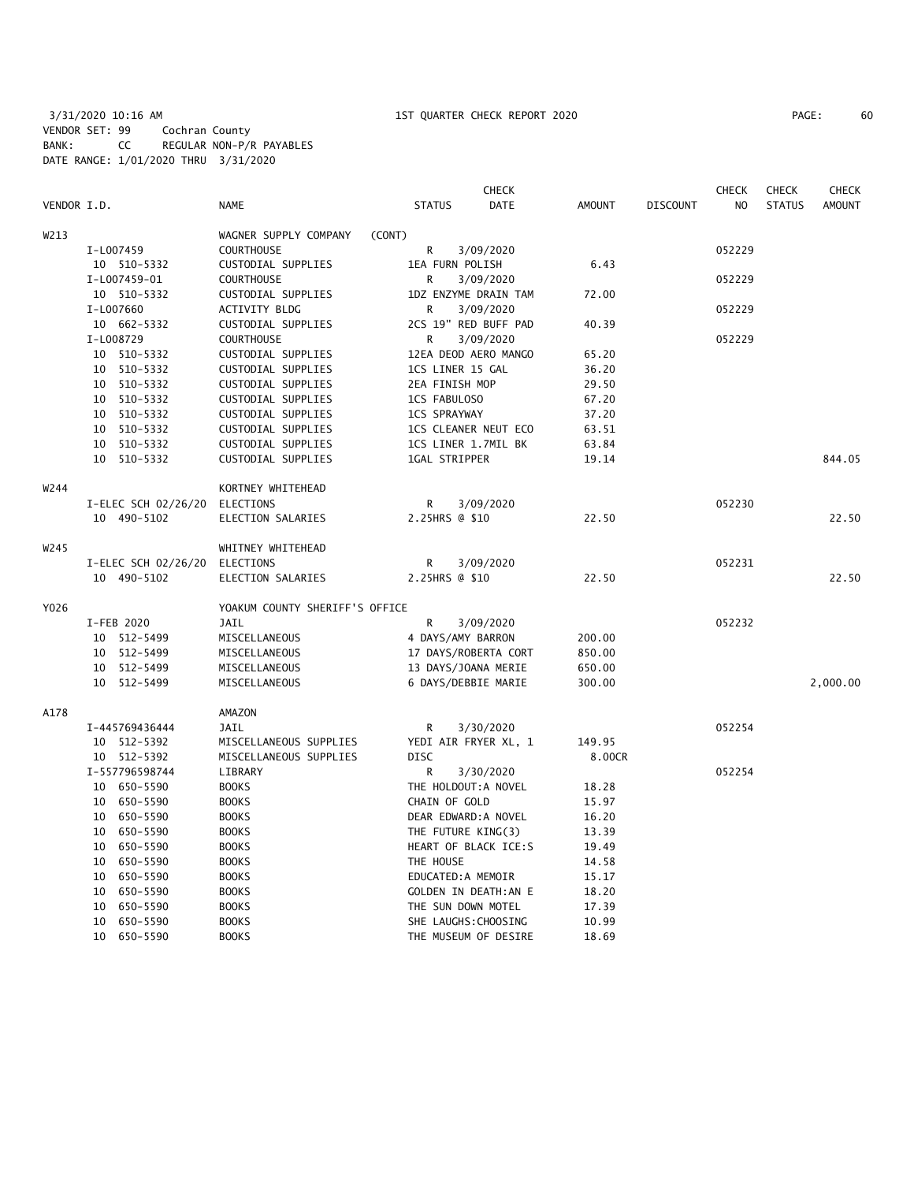|             |                               |                                |                              | <b>CHECK</b> |               |                 | <b>CHECK</b>   | <b>CHECK</b>  | <b>CHECK</b>  |
|-------------|-------------------------------|--------------------------------|------------------------------|--------------|---------------|-----------------|----------------|---------------|---------------|
| VENDOR I.D. |                               | <b>NAME</b>                    | <b>STATUS</b>                | DATE         | <b>AMOUNT</b> | <b>DISCOUNT</b> | N <sub>O</sub> | <b>STATUS</b> | <b>AMOUNT</b> |
| W213        |                               | WAGNER SUPPLY COMPANY          | (CONT)                       |              |               |                 |                |               |               |
|             | I-L007459                     | <b>COURTHOUSE</b>              | R                            | 3/09/2020    |               |                 | 052229         |               |               |
|             | 10 510-5332                   | CUSTODIAL SUPPLIES             | 1EA FURN POLISH              |              | 6.43          |                 |                |               |               |
|             | I-L007459-01                  | <b>COURTHOUSE</b>              | R                            | 3/09/2020    |               |                 | 052229         |               |               |
|             | 10 510-5332                   | CUSTODIAL SUPPLIES             | 1DZ ENZYME DRAIN TAM         |              | 72.00         |                 |                |               |               |
|             | I-L007660                     | ACTIVITY BLDG                  | R                            | 3/09/2020    |               |                 | 052229         |               |               |
|             | 10 662-5332                   | CUSTODIAL SUPPLIES             | 2CS 19" RED BUFF PAD         |              | 40.39         |                 |                |               |               |
|             | I-L008729                     | <b>COURTHOUSE</b>              | R                            | 3/09/2020    |               |                 | 052229         |               |               |
|             | 10 510-5332                   | CUSTODIAL SUPPLIES             | 12EA DEOD AERO MANGO         |              | 65.20         |                 |                |               |               |
|             | 10 510-5332                   | CUSTODIAL SUPPLIES             | 1CS LINER 15 GAL             |              | 36.20         |                 |                |               |               |
|             | 10 510-5332                   | CUSTODIAL SUPPLIES             | 2EA FINISH MOP               |              | 29.50         |                 |                |               |               |
|             | 10 510-5332                   | CUSTODIAL SUPPLIES             | 1CS FABULOSO                 |              | 67.20         |                 |                |               |               |
|             | 10 510-5332                   | CUSTODIAL SUPPLIES             | <b>1CS SPRAYWAY</b>          |              | 37.20         |                 |                |               |               |
|             | 10 510-5332                   | CUSTODIAL SUPPLIES             | 1CS CLEANER NEUT ECO         |              | 63.51         |                 |                |               |               |
|             | 10<br>510-5332                | CUSTODIAL SUPPLIES             | 1CS LINER 1.7MIL BK          |              | 63.84         |                 |                |               |               |
|             | 10 510-5332                   | CUSTODIAL SUPPLIES             | 1GAL STRIPPER                |              | 19.14         |                 |                |               | 844.05        |
| W244        |                               | KORTNEY WHITEHEAD              |                              |              |               |                 |                |               |               |
|             | I-ELEC SCH 02/26/20           | ELECTIONS                      | R                            | 3/09/2020    |               |                 | 052230         |               |               |
|             | 10 490-5102                   | ELECTION SALARIES              | 2.25HRS @ \$10               |              | 22.50         |                 |                |               | 22.50         |
| W245        |                               | WHITNEY WHITEHEAD              |                              |              |               |                 |                |               |               |
|             | I-ELEC SCH 02/26/20 ELECTIONS |                                | R                            | 3/09/2020    |               |                 | 052231         |               |               |
|             | 10 490-5102                   | ELECTION SALARIES              | 2.25HRS @ \$10               |              | 22.50         |                 |                |               | 22.50         |
| Y026        |                               | YOAKUM COUNTY SHERIFF'S OFFICE |                              |              |               |                 |                |               |               |
|             | I-FEB 2020                    | JAIL                           | R                            | 3/09/2020    |               |                 | 052232         |               |               |
|             | 10 512-5499                   | MISCELLANEOUS                  | 4 DAYS/AMY BARRON            |              | 200.00        |                 |                |               |               |
|             | 10 512-5499                   | MISCELLANEOUS                  | 17 DAYS/ROBERTA CORT         |              | 850.00        |                 |                |               |               |
|             | 10 512-5499                   | MISCELLANEOUS                  | 13 DAYS/JOANA MERIE          |              | 650.00        |                 |                |               |               |
|             | 10 512-5499                   | MISCELLANEOUS                  | 6 DAYS/DEBBIE MARIE          |              | 300.00        |                 |                |               | 2,000.00      |
| A178        |                               | AMAZON                         |                              |              |               |                 |                |               |               |
|             | I-445769436444                | JAIL                           | R                            | 3/30/2020    |               |                 | 052254         |               |               |
|             | 10 512-5392                   | MISCELLANEOUS SUPPLIES         | YEDI AIR FRYER XL, 1         |              | 149.95        |                 |                |               |               |
|             | 10 512-5392                   | MISCELLANEOUS SUPPLIES         | <b>DISC</b>                  |              | 8.00CR        |                 |                |               |               |
|             | I-557796598744                | LIBRARY                        | R                            | 3/30/2020    |               |                 | 052254         |               |               |
|             | 10 650-5590                   | <b>BOOKS</b>                   | THE HOLDOUT: A NOVEL         |              | 18.28         |                 |                |               |               |
|             | 10 650-5590                   | <b>BOOKS</b>                   | CHAIN OF GOLD                |              | 15.97         |                 |                |               |               |
|             | 10 650-5590                   | <b>BOOKS</b>                   | DEAR EDWARD: A NOVEL         |              | 16.20         |                 |                |               |               |
|             | 10 650-5590                   | <b>BOOKS</b>                   | THE FUTURE KING(3)           |              | 13.39         |                 |                |               |               |
|             | 10 650-5590                   | <b>BOOKS</b>                   | HEART OF BLACK ICE:S         |              | 19.49         |                 |                |               |               |
|             | 10 650-5590                   | <b>BOOKS</b>                   | THE HOUSE                    |              | 14.58         |                 |                |               |               |
|             | 10 650-5590                   | <b>BOOKS</b>                   | EDUCATED: A MEMOIR           |              | 15.17         |                 |                |               |               |
|             | 650-5590<br>10                | <b>BOOKS</b>                   | <b>GOLDEN IN DEATH: AN E</b> |              | 18.20         |                 |                |               |               |
|             | 10<br>650-5590                | <b>BOOKS</b>                   | THE SUN DOWN MOTEL           |              | 17.39         |                 |                |               |               |
|             | 10<br>650-5590                | <b>BOOKS</b>                   | SHE LAUGHS: CHOOSING         |              | 10.99         |                 |                |               |               |
|             | 10 650-5590                   | <b>BOOKS</b>                   | THE MUSEUM OF DESIRE         |              | 18.69         |                 |                |               |               |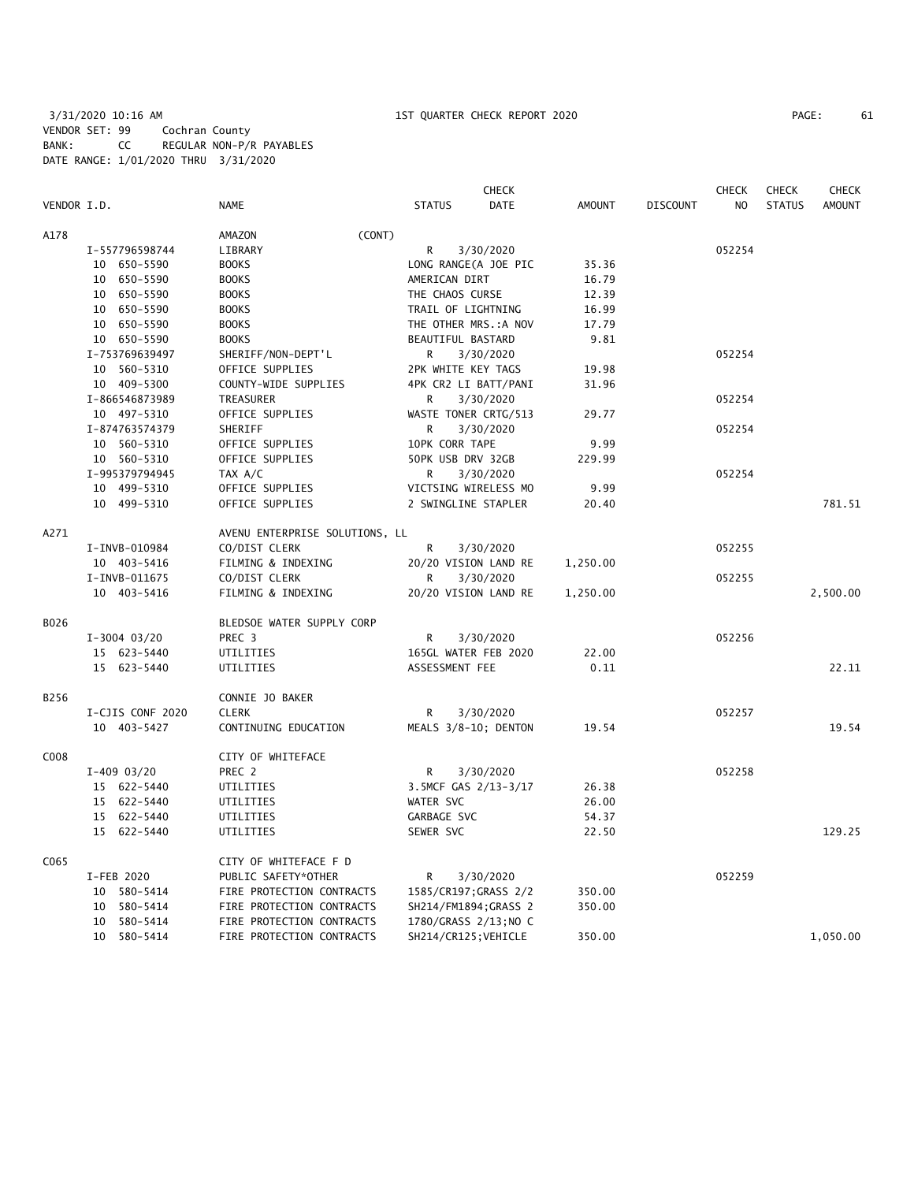# 3/31/2020 10:16 AM 1ST QUARTER CHECK REPORT 2020 PAGE: 61 VENDOR SET: 99 Cochran County BANK: CC REGULAR NON-P/R PAYABLES DATE RANGE: 1/01/2020 THRU 3/31/2020

|             |                  |                                |        |                       | <b>CHECK</b> |               |                 | <b>CHECK</b>   | <b>CHECK</b>  | <b>CHECK</b>  |
|-------------|------------------|--------------------------------|--------|-----------------------|--------------|---------------|-----------------|----------------|---------------|---------------|
| VENDOR I.D. |                  | <b>NAME</b>                    |        | <b>STATUS</b>         | DATE         | <b>AMOUNT</b> | <b>DISCOUNT</b> | N <sub>O</sub> | <b>STATUS</b> | <b>AMOUNT</b> |
| A178        |                  | AMAZON                         | (CONT) |                       |              |               |                 |                |               |               |
|             | I-557796598744   | LIBRARY                        |        | R                     | 3/30/2020    |               |                 | 052254         |               |               |
|             | 10 650-5590      | <b>BOOKS</b>                   |        | LONG RANGE(A JOE PIC  |              | 35.36         |                 |                |               |               |
|             | 10 650-5590      | <b>BOOKS</b>                   |        | AMERICAN DIRT         |              | 16.79         |                 |                |               |               |
|             | 10 650-5590      | <b>BOOKS</b>                   |        | THE CHAOS CURSE       |              | 12.39         |                 |                |               |               |
|             | 10 650-5590      | <b>BOOKS</b>                   |        | TRAIL OF LIGHTNING    |              | 16.99         |                 |                |               |               |
|             | 10 650-5590      | <b>BOOKS</b>                   |        | THE OTHER MRS.: A NOV |              | 17.79         |                 |                |               |               |
|             | 10 650-5590      | <b>BOOKS</b>                   |        | BEAUTIFUL BASTARD     |              | 9.81          |                 |                |               |               |
|             | I-753769639497   | SHERIFF/NON-DEPT'L             |        | R                     | 3/30/2020    |               |                 | 052254         |               |               |
|             | 10 560-5310      | OFFICE SUPPLIES                |        | 2PK WHITE KEY TAGS    |              | 19.98         |                 |                |               |               |
|             | 10 409-5300      | COUNTY-WIDE SUPPLIES           |        | 4PK CR2 LI BATT/PANI  |              | 31.96         |                 |                |               |               |
|             | I-866546873989   | TREASURER                      |        | R                     | 3/30/2020    |               |                 | 052254         |               |               |
|             | 10 497-5310      | OFFICE SUPPLIES                |        | WASTE TONER CRTG/513  |              | 29.77         |                 |                |               |               |
|             | I-874763574379   | SHERIFF                        |        | R                     | 3/30/2020    |               |                 | 052254         |               |               |
|             | 10 560-5310      | OFFICE SUPPLIES                |        | 10PK CORR TAPE        |              | 9.99          |                 |                |               |               |
|             | 10 560-5310      | OFFICE SUPPLIES                |        | 50PK USB DRV 32GB     |              | 229.99        |                 |                |               |               |
|             | I-995379794945   | TAX A/C                        |        | R                     | 3/30/2020    |               |                 | 052254         |               |               |
|             | 10 499-5310      | OFFICE SUPPLIES                |        | VICTSING WIRELESS MO  |              | 9.99          |                 |                |               |               |
|             | 10 499-5310      | OFFICE SUPPLIES                |        | 2 SWINGLINE STAPLER   |              | 20.40         |                 |                |               | 781.51        |
| A271        |                  | AVENU ENTERPRISE SOLUTIONS, LL |        |                       |              |               |                 |                |               |               |
|             | I-INVB-010984    | CO/DIST CLERK                  |        | R                     | 3/30/2020    |               |                 | 052255         |               |               |
|             | 10 403-5416      | FILMING & INDEXING             |        | 20/20 VISION LAND RE  |              | 1,250.00      |                 |                |               |               |
|             | I-INVB-011675    | CO/DIST CLERK                  |        | R                     | 3/30/2020    |               |                 | 052255         |               |               |
|             | 10 403-5416      | FILMING & INDEXING             |        | 20/20 VISION LAND RE  |              | 1,250.00      |                 |                |               | 2,500.00      |
| B026        |                  | BLEDSOE WATER SUPPLY CORP      |        |                       |              |               |                 |                |               |               |
|             | $I-3004$ 03/20   | PREC 3                         |        | R                     | 3/30/2020    |               |                 | 052256         |               |               |
|             | 15 623-5440      | UTILITIES                      |        | 165GL WATER FEB 2020  |              | 22.00         |                 |                |               |               |
|             | 15 623-5440      | UTILITIES                      |        | ASSESSMENT FEE        |              | 0.11          |                 |                |               | 22.11         |
| B256        |                  | CONNIE JO BAKER                |        |                       |              |               |                 |                |               |               |
|             | I-CJIS CONF 2020 | CLERK                          |        | R                     | 3/30/2020    |               |                 | 052257         |               |               |
|             | 10 403-5427      | CONTINUING EDUCATION           |        | MEALS 3/8-10; DENTON  |              | 19.54         |                 |                |               | 19.54         |
| C008        |                  | CITY OF WHITEFACE              |        |                       |              |               |                 |                |               |               |
|             | $I-409$ 03/20    | PREC 2                         |        | R                     | 3/30/2020    |               |                 | 052258         |               |               |
|             | 15 622-5440      | UTILITIES                      |        | 3.5MCF GAS 2/13-3/17  |              | 26.38         |                 |                |               |               |
|             | 15 622-5440      | UTILITIES                      |        | WATER SVC             |              | 26.00         |                 |                |               |               |
|             | 15 622-5440      | UTILITIES                      |        | GARBAGE SVC           |              | 54.37         |                 |                |               |               |
|             | 15 622-5440      | UTILITIES                      |        | SEWER SVC             |              | 22.50         |                 |                |               | 129.25        |
| C065        |                  | CITY OF WHITEFACE F D          |        |                       |              |               |                 |                |               |               |
|             | I-FEB 2020       | PUBLIC SAFETY*OTHER            |        | R                     | 3/30/2020    |               |                 | 052259         |               |               |
|             | 10 580-5414      | FIRE PROTECTION CONTRACTS      |        | 1585/CR197; GRASS 2/2 |              | 350.00        |                 |                |               |               |
|             | 10 580-5414      | FIRE PROTECTION CONTRACTS      |        | SH214/FM1894; GRASS 2 |              | 350.00        |                 |                |               |               |
|             | 10 580-5414      | FIRE PROTECTION CONTRACTS      |        | 1780/GRASS 2/13; NO C |              |               |                 |                |               |               |
|             | 10 580-5414      | FIRE PROTECTION CONTRACTS      |        | SH214/CR125; VEHICLE  |              | 350.00        |                 |                |               | 1,050.00      |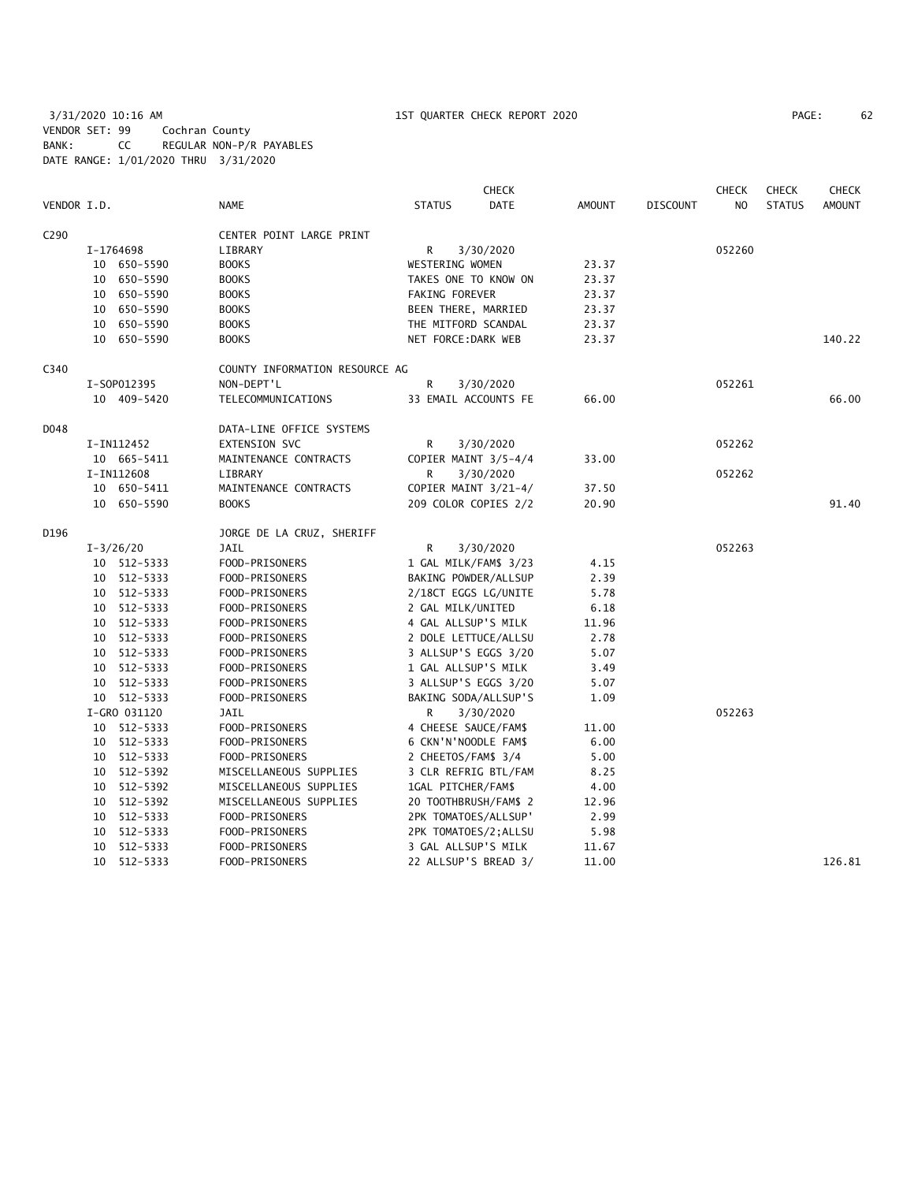3/31/2020 10:16 AM 1ST QUARTER CHECK REPORT 2020 PAGE: 62 VENDOR SET: 99 Cochran County BANK: CC REGULAR NON-P/R PAYABLES DATE RANGE: 1/01/2020 THRU 3/31/2020

| PAGE: | 62 |  |
|-------|----|--|
|-------|----|--|

|                  |    |               |                                |                       | <b>CHECK</b> |               |                 | <b>CHECK</b>   | <b>CHECK</b>  | <b>CHECK</b>  |
|------------------|----|---------------|--------------------------------|-----------------------|--------------|---------------|-----------------|----------------|---------------|---------------|
| VENDOR I.D.      |    |               | <b>NAME</b>                    | <b>STATUS</b>         | DATE         | <b>AMOUNT</b> | <b>DISCOUNT</b> | N <sub>O</sub> | <b>STATUS</b> | <b>AMOUNT</b> |
| C <sub>290</sub> |    |               | CENTER POINT LARGE PRINT       |                       |              |               |                 |                |               |               |
|                  |    | I-1764698     | LIBRARY                        | R                     | 3/30/2020    |               |                 | 052260         |               |               |
|                  |    | 10 650-5590   | <b>BOOKS</b>                   | WESTERING WOMEN       |              | 23.37         |                 |                |               |               |
|                  |    | 10 650-5590   | <b>BOOKS</b>                   | TAKES ONE TO KNOW ON  |              | 23.37         |                 |                |               |               |
|                  |    | 10 650-5590   | <b>BOOKS</b>                   | FAKING FOREVER        |              | 23.37         |                 |                |               |               |
|                  |    | 10 650-5590   | <b>BOOKS</b>                   | BEEN THERE, MARRIED   |              | 23.37         |                 |                |               |               |
|                  |    | 10 650-5590   | <b>BOOKS</b>                   | THE MITFORD SCANDAL   |              | 23.37         |                 |                |               |               |
|                  |    | 10 650-5590   | <b>BOOKS</b>                   | NET FORCE: DARK WEB   |              | 23.37         |                 |                |               | 140.22        |
| C340             |    |               | COUNTY INFORMATION RESOURCE AG |                       |              |               |                 |                |               |               |
|                  |    | I-S0P012395   | NON-DEPT'L                     | R                     | 3/30/2020    |               |                 | 052261         |               |               |
|                  |    | 10 409-5420   | TELECOMMUNICATIONS             | 33 EMAIL ACCOUNTS FE  |              | 66.00         |                 |                |               | 66.00         |
| D048             |    |               | DATA-LINE OFFICE SYSTEMS       |                       |              |               |                 |                |               |               |
|                  |    | I-IN112452    | <b>EXTENSION SVC</b>           | R                     | 3/30/2020    |               |                 | 052262         |               |               |
|                  |    | 10 665-5411   | MAINTENANCE CONTRACTS          | COPIER MAINT 3/5-4/4  |              | 33.00         |                 |                |               |               |
|                  |    | I-IN112608    | LIBRARY                        | R                     | 3/30/2020    |               |                 | 052262         |               |               |
|                  |    | 10 650-5411   | MAINTENANCE CONTRACTS          | COPIER MAINT 3/21-4/  |              | 37.50         |                 |                |               |               |
|                  |    | 10 650-5590   | <b>BOOKS</b>                   | 209 COLOR COPIES 2/2  |              | 20.90         |                 |                |               | 91.40         |
| D196             |    |               | JORGE DE LA CRUZ, SHERIFF      |                       |              |               |                 |                |               |               |
|                  |    | $I - 3/26/20$ | JAIL                           | R                     | 3/30/2020    |               |                 | 052263         |               |               |
|                  |    | 10 512-5333   | FOOD-PRISONERS                 | 1 GAL MILK/FAM\$ 3/23 |              | 4.15          |                 |                |               |               |
|                  |    | 10 512-5333   | FOOD-PRISONERS                 | BAKING POWDER/ALLSUP  |              | 2.39          |                 |                |               |               |
|                  |    | 10 512-5333   | FOOD-PRISONERS                 | 2/18CT EGGS LG/UNITE  |              | 5.78          |                 |                |               |               |
|                  |    | 10 512-5333   | FOOD-PRISONERS                 | 2 GAL MILK/UNITED     |              | 6.18          |                 |                |               |               |
|                  |    | 10 512-5333   | FOOD-PRISONERS                 | 4 GAL ALLSUP'S MILK   |              | 11.96         |                 |                |               |               |
|                  |    | 10 512-5333   | FOOD-PRISONERS                 | 2 DOLE LETTUCE/ALLSU  |              | 2.78          |                 |                |               |               |
|                  |    | 10 512-5333   | FOOD-PRISONERS                 | 3 ALLSUP'S EGGS 3/20  |              | 5.07          |                 |                |               |               |
|                  |    | 10 512-5333   | FOOD-PRISONERS                 | 1 GAL ALLSUP'S MILK   |              | 3.49          |                 |                |               |               |
|                  |    | 10 512-5333   | FOOD-PRISONERS                 | 3 ALLSUP'S EGGS 3/20  |              | 5.07          |                 |                |               |               |
|                  |    | 10 512-5333   | FOOD-PRISONERS                 | BAKING SODA/ALLSUP'S  |              | 1.09          |                 |                |               |               |
|                  |    | I-GRO 031120  | JAIL                           | R                     | 3/30/2020    |               |                 | 052263         |               |               |
|                  |    | 10 512-5333   | FOOD-PRISONERS                 | 4 CHEESE SAUCE/FAM\$  |              | 11.00         |                 |                |               |               |
|                  |    | 10 512-5333   | FOOD-PRISONERS                 | 6 CKN'N'NOODLE FAM\$  |              | 6.00          |                 |                |               |               |
|                  |    | 10 512-5333   | FOOD-PRISONERS                 | 2 CHEETOS/FAM\$ 3/4   |              | 5.00          |                 |                |               |               |
|                  |    | 10 512-5392   | MISCELLANEOUS SUPPLIES         | 3 CLR REFRIG BTL/FAM  |              | 8.25          |                 |                |               |               |
|                  |    | 10 512-5392   | MISCELLANEOUS SUPPLIES         | 1GAL PITCHER/FAM\$    |              | 4.00          |                 |                |               |               |
|                  |    | 10 512-5392   | MISCELLANEOUS SUPPLIES         | 20 TOOTHBRUSH/FAM\$ 2 |              | 12.96         |                 |                |               |               |
|                  |    | 10 512-5333   | FOOD-PRISONERS                 | 2PK TOMATOES/ALLSUP'  |              | 2.99          |                 |                |               |               |
|                  |    | 10 512-5333   | FOOD-PRISONERS                 | 2PK TOMATOES/2; ALLSU |              | 5.98          |                 |                |               |               |
|                  | 10 | 512-5333      | FOOD-PRISONERS                 | 3 GAL ALLSUP'S MILK   |              | 11.67         |                 |                |               |               |
|                  |    | 10 512-5333   | FOOD-PRISONERS                 | 22 ALLSUP'S BREAD 3/  |              | 11.00         |                 |                |               | 126.81        |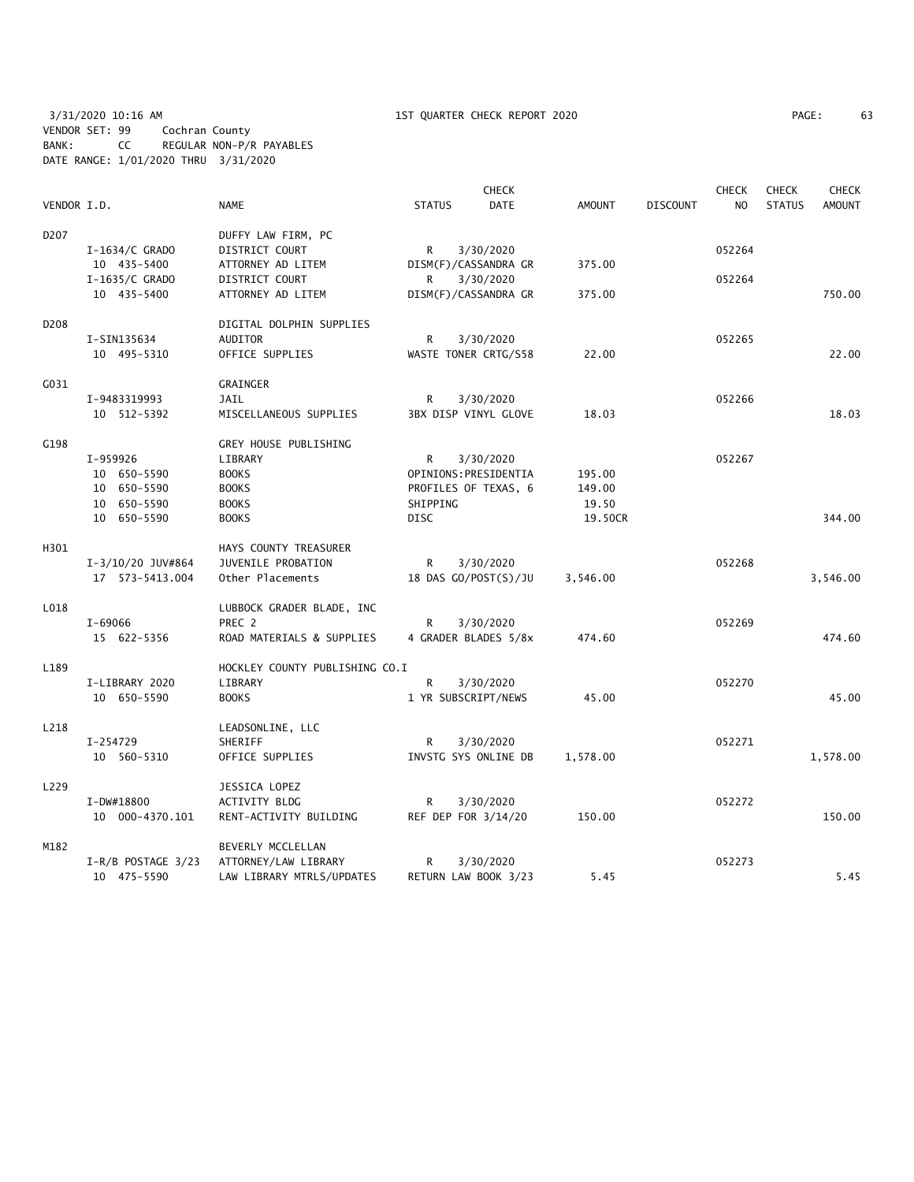3/31/2020 10:16 AM 1ST QUARTER CHECK REPORT 2020 PAGE: 63 VENDOR SET: 99 Cochran County BANK: CC REGULAR NON-P/R PAYABLES DATE RANGE: 1/01/2020 THRU 3/31/2020

| PAGE: | 63 |
|-------|----|
|       |    |

|                  |                      |                                |                       | <b>CHECK</b>         |          |                 | <b>CHECK</b>   | <b>CHECK</b>  | <b>CHECK</b>  |
|------------------|----------------------|--------------------------------|-----------------------|----------------------|----------|-----------------|----------------|---------------|---------------|
| VENDOR I.D.      |                      | <b>NAME</b>                    | <b>STATUS</b>         | <b>DATE</b>          | AMOUNT   | <b>DISCOUNT</b> | N <sub>O</sub> | <b>STATUS</b> | <b>AMOUNT</b> |
| D <sub>207</sub> |                      | DUFFY LAW FIRM, PC             |                       |                      |          |                 |                |               |               |
|                  | $I-1634/C$ GRADO     | DISTRICT COURT                 | R                     | 3/30/2020            |          |                 | 052264         |               |               |
|                  | 10 435-5400          | ATTORNEY AD LITEM              |                       | DISM(F)/CASSANDRA GR | 375.00   |                 |                |               |               |
|                  | I-1635/C GRADO       | DISTRICT COURT                 | R                     | 3/30/2020            |          |                 | 052264         |               |               |
|                  | 10 435-5400          | ATTORNEY AD LITEM              |                       | DISM(F)/CASSANDRA GR | 375.00   |                 |                |               | 750.00        |
|                  |                      |                                |                       |                      |          |                 |                |               |               |
| D208             |                      | DIGITAL DOLPHIN SUPPLIES       |                       |                      |          |                 |                |               |               |
|                  | I-SIN135634          | <b>AUDITOR</b>                 | R                     | 3/30/2020            |          |                 | 052265         |               |               |
|                  | 10 495-5310          | OFFICE SUPPLIES                |                       | WASTE TONER CRTG/S58 | 22.00    |                 |                |               | 22.00         |
| G031             |                      | <b>GRAINGER</b>                |                       |                      |          |                 |                |               |               |
|                  | I-9483319993         | JAIL                           | R                     | 3/30/2020            |          |                 | 052266         |               |               |
|                  | 10 512-5392          | MISCELLANEOUS SUPPLIES         |                       | 3BX DISP VINYL GLOVE | 18.03    |                 |                |               | 18.03         |
|                  |                      |                                |                       |                      |          |                 |                |               |               |
| G198             |                      | GREY HOUSE PUBLISHING          |                       |                      |          |                 |                |               |               |
|                  | I-959926             | LIBRARY                        | R                     | 3/30/2020            |          |                 | 052267         |               |               |
|                  | 10 650-5590          | <b>BOOKS</b>                   | OPINIONS: PRESIDENTIA |                      | 195.00   |                 |                |               |               |
|                  | 10 650-5590          | <b>BOOKS</b>                   |                       | PROFILES OF TEXAS, 6 | 149.00   |                 |                |               |               |
|                  | 10 650-5590          | <b>BOOKS</b>                   | SHIPPING              |                      | 19.50    |                 |                |               |               |
|                  | 10 650-5590          | <b>BOOKS</b>                   | <b>DISC</b>           |                      | 19.50CR  |                 |                |               | 344.00        |
|                  |                      |                                |                       |                      |          |                 |                |               |               |
| H301             |                      | HAYS COUNTY TREASURER          |                       |                      |          |                 |                |               |               |
|                  | I-3/10/20 JUV#864    | JUVENILE PROBATION             | R                     | 3/30/2020            |          |                 | 052268         |               |               |
|                  | 17 573-5413.004      | Other Placements               |                       | 18 DAS GO/POST(S)/JU | 3,546.00 |                 |                |               | 3,546.00      |
| L018             |                      |                                |                       |                      |          |                 |                |               |               |
|                  |                      | LUBBOCK GRADER BLADE, INC      |                       |                      |          |                 |                |               |               |
|                  | I-69066              | PREC 2                         | R                     | 3/30/2020            |          |                 | 052269         |               |               |
|                  | 15 622-5356          | ROAD MATERIALS & SUPPLIES      |                       | 4 GRADER BLADES 5/8x | 474.60   |                 |                |               | 474.60        |
| L189             |                      | HOCKLEY COUNTY PUBLISHING CO.I |                       |                      |          |                 |                |               |               |
|                  | I-LIBRARY 2020       | LIBRARY                        | R                     | 3/30/2020            |          |                 | 052270         |               |               |
|                  | 10 650-5590          | <b>BOOKS</b>                   | 1 YR SUBSCRIPT/NEWS   |                      | 45.00    |                 |                |               | 45.00         |
| L218             |                      | LEADSONLINE, LLC               |                       |                      |          |                 |                |               |               |
|                  | I-254729             |                                | R                     |                      |          |                 | 052271         |               |               |
|                  |                      | SHERIFF                        |                       | 3/30/2020            |          |                 |                |               |               |
|                  | 10 560-5310          | OFFICE SUPPLIES                |                       | INVSTG SYS ONLINE DB | 1,578.00 |                 |                |               | 1,578.00      |
| L229             |                      | JESSICA LOPEZ                  |                       |                      |          |                 |                |               |               |
|                  | I-DW#18800           | ACTIVITY BLDG                  | R                     | 3/30/2020            |          |                 | 052272         |               |               |
|                  | 10 000-4370.101      | RENT-ACTIVITY BUILDING         | REF DEP FOR 3/14/20   |                      | 150.00   |                 |                |               | 150.00        |
| M182             |                      | BEVERLY MCCLELLAN              |                       |                      |          |                 |                |               |               |
|                  | $I-R/B$ POSTAGE 3/23 | ATTORNEY/LAW LIBRARY           | R                     | 3/30/2020            |          |                 | 052273         |               |               |
|                  |                      |                                |                       |                      |          |                 |                |               | 5.45          |
|                  | 10 475-5590          | LAW LIBRARY MTRLS/UPDATES      |                       | RETURN LAW BOOK 3/23 | 5.45     |                 |                |               |               |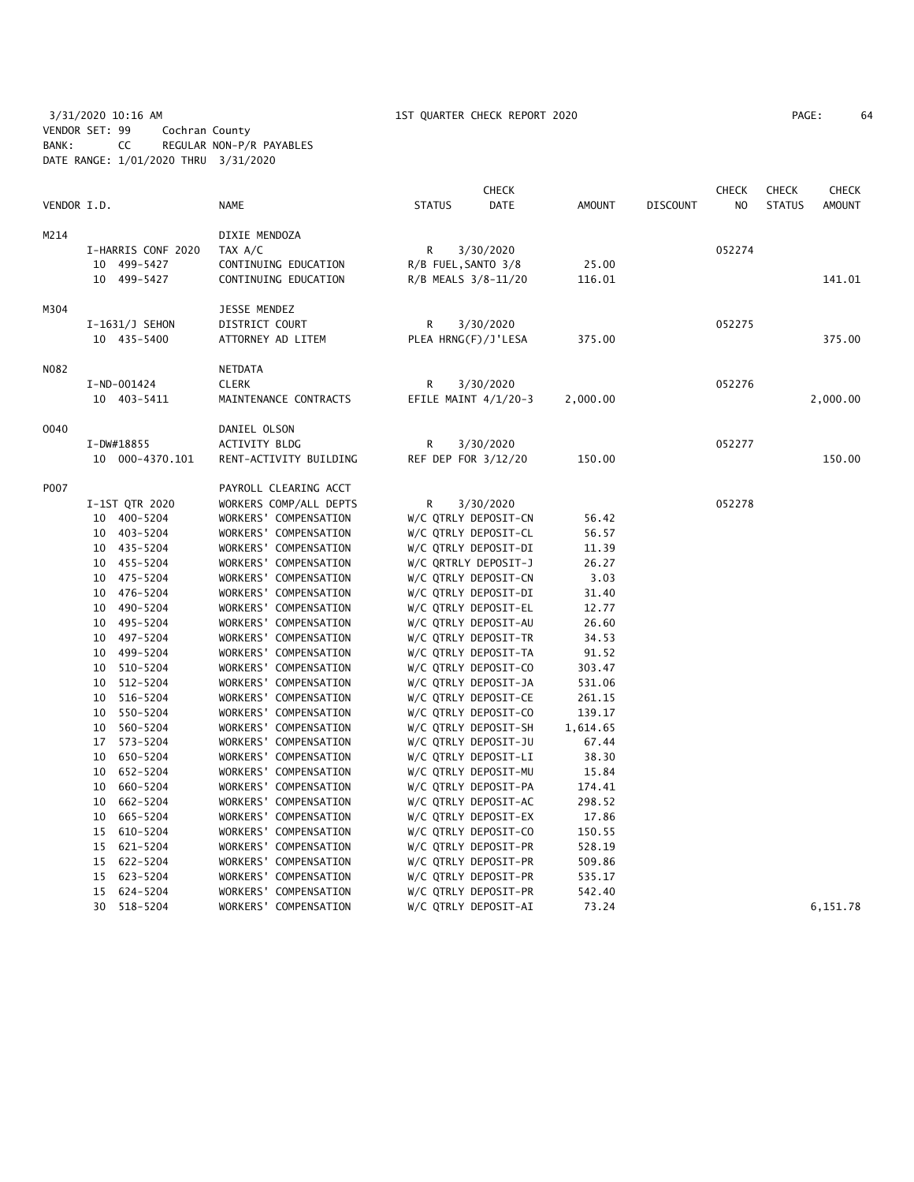3/31/2020 10:16 AM 1ST QUARTER CHECK REPORT 2020 PAGE: 64 VENDOR SET: 99 Cochran County BANK: CC REGULAR NON-P/R PAYABLES DATE RANGE: 1/01/2020 THRU 3/31/2020

| PAGE: | 64 |
|-------|----|
|-------|----|

|             |                    |                        |                     | <b>CHECK</b>           |               |                 | <b>CHECK</b>   | <b>CHECK</b>  | <b>CHECK</b>  |
|-------------|--------------------|------------------------|---------------------|------------------------|---------------|-----------------|----------------|---------------|---------------|
| VENDOR I.D. |                    | <b>NAME</b>            | <b>STATUS</b>       | DATE                   | <b>AMOUNT</b> | <b>DISCOUNT</b> | N <sub>O</sub> | <b>STATUS</b> | <b>AMOUNT</b> |
| M214        |                    | DIXIE MENDOZA          |                     |                        |               |                 |                |               |               |
|             | I-HARRIS CONF 2020 | TAX A/C                | R                   | 3/30/2020              |               |                 | 052274         |               |               |
|             | 10 499-5427        | CONTINUING EDUCATION   | R/B FUEL, SANTO 3/8 |                        | 25.00         |                 |                |               |               |
|             | 10 499-5427        | CONTINUING EDUCATION   | R/B MEALS 3/8-11/20 |                        | 116.01        |                 |                |               | 141.01        |
| M304        |                    | JESSE MENDEZ           |                     |                        |               |                 |                |               |               |
|             | I-1631/J SEHON     | DISTRICT COURT         | R                   | 3/30/2020              |               |                 | 052275         |               |               |
|             | 10 435-5400        | ATTORNEY AD LITEM      | PLEA HRNG(F)/J'LESA |                        | 375.00        |                 |                |               | 375.00        |
|             |                    |                        |                     |                        |               |                 |                |               |               |
| N082        |                    | NETDATA                |                     |                        |               |                 |                |               |               |
|             | I-ND-001424        | <b>CLERK</b>           | R                   | 3/30/2020              |               |                 | 052276         |               |               |
|             | 10 403-5411        | MAINTENANCE CONTRACTS  |                     | EFILE MAINT $4/1/20-3$ | 2,000.00      |                 |                |               | 2,000.00      |
| 0040        |                    | DANIEL OLSON           |                     |                        |               |                 |                |               |               |
|             | I-DW#18855         | ACTIVITY BLDG          | R                   | 3/30/2020              |               |                 | 052277         |               |               |
|             | 10 000-4370.101    | RENT-ACTIVITY BUILDING | REF DEP FOR 3/12/20 |                        | 150.00        |                 |                |               | 150.00        |
| P007        |                    | PAYROLL CLEARING ACCT  |                     |                        |               |                 |                |               |               |
|             | I-1ST QTR 2020     | WORKERS COMP/ALL DEPTS | R                   | 3/30/2020              |               |                 | 052278         |               |               |
|             | 10 400-5204        | WORKERS' COMPENSATION  |                     | W/C QTRLY DEPOSIT-CN   | 56.42         |                 |                |               |               |
|             | 10 403-5204        | WORKERS' COMPENSATION  |                     | W/C QTRLY DEPOSIT-CL   | 56.57         |                 |                |               |               |
|             | 10 435-5204        | WORKERS' COMPENSATION  |                     | W/C QTRLY DEPOSIT-DI   | 11.39         |                 |                |               |               |
|             | 10 455-5204        | WORKERS' COMPENSATION  |                     | W/C QRTRLY DEPOSIT-J   | 26.27         |                 |                |               |               |
|             | 10 475-5204        | WORKERS' COMPENSATION  |                     | W/C QTRLY DEPOSIT-CN   | 3.03          |                 |                |               |               |
|             | 476-5204<br>10     | WORKERS' COMPENSATION  |                     | W/C QTRLY DEPOSIT-DI   | 31.40         |                 |                |               |               |
|             | 10 490-5204        | WORKERS' COMPENSATION  |                     | W/C QTRLY DEPOSIT-EL   | 12.77         |                 |                |               |               |
|             | 495-5204<br>10     | WORKERS' COMPENSATION  |                     | W/C QTRLY DEPOSIT-AU   | 26.60         |                 |                |               |               |
|             | 10 497-5204        | WORKERS' COMPENSATION  |                     | W/C QTRLY DEPOSIT-TR   | 34.53         |                 |                |               |               |
|             | 10<br>499–5204     | WORKERS' COMPENSATION  |                     | W/C QTRLY DEPOSIT-TA   | 91.52         |                 |                |               |               |
|             | 510-5204<br>10     | WORKERS' COMPENSATION  |                     | W/C QTRLY DEPOSIT-CO   | 303.47        |                 |                |               |               |
|             | 512-5204<br>10     | WORKERS' COMPENSATION  |                     | W/C QTRLY DEPOSIT-JA   | 531.06        |                 |                |               |               |
|             | 516-5204<br>10     | WORKERS' COMPENSATION  |                     | W/C QTRLY DEPOSIT-CE   | 261.15        |                 |                |               |               |
|             | 550-5204<br>10     | WORKERS' COMPENSATION  |                     | W/C QTRLY DEPOSIT-CO   | 139.17        |                 |                |               |               |
|             | 560-5204<br>10     | WORKERS' COMPENSATION  |                     | W/C QTRLY DEPOSIT-SH   | 1,614.65      |                 |                |               |               |
|             | 17 573-5204        | WORKERS' COMPENSATION  |                     | W/C QTRLY DEPOSIT-JU   | 67.44         |                 |                |               |               |
|             | 650-5204<br>10     | WORKERS' COMPENSATION  |                     | W/C QTRLY DEPOSIT-LI   | 38.30         |                 |                |               |               |
|             | 652-5204<br>10     | WORKERS' COMPENSATION  |                     | W/C QTRLY DEPOSIT-MU   | 15.84         |                 |                |               |               |
|             | 660-5204<br>10     | WORKERS' COMPENSATION  |                     | W/C QTRLY DEPOSIT-PA   | 174.41        |                 |                |               |               |
|             | 662-5204<br>10     | WORKERS' COMPENSATION  |                     | W/C QTRLY DEPOSIT-AC   | 298.52        |                 |                |               |               |
|             | 665-5204<br>10     | WORKERS' COMPENSATION  |                     | W/C QTRLY DEPOSIT-EX   | 17.86         |                 |                |               |               |
|             | 15 610-5204        | WORKERS' COMPENSATION  |                     | W/C QTRLY DEPOSIT-CO   | 150.55        |                 |                |               |               |
|             | 15<br>621-5204     | WORKERS' COMPENSATION  |                     | W/C QTRLY DEPOSIT-PR   | 528.19        |                 |                |               |               |
|             | 15 622-5204        | WORKERS' COMPENSATION  |                     | W/C QTRLY DEPOSIT-PR   | 509.86        |                 |                |               |               |
|             | 623-5204<br>15     | WORKERS' COMPENSATION  |                     | W/C QTRLY DEPOSIT-PR   | 535.17        |                 |                |               |               |
|             | 624-5204<br>15     | WORKERS' COMPENSATION  |                     | W/C QTRLY DEPOSIT-PR   | 542.40        |                 |                |               |               |
|             | 30<br>518-5204     | WORKERS' COMPENSATION  |                     | W/C QTRLY DEPOSIT-AI   | 73.24         |                 |                |               | 6,151.78      |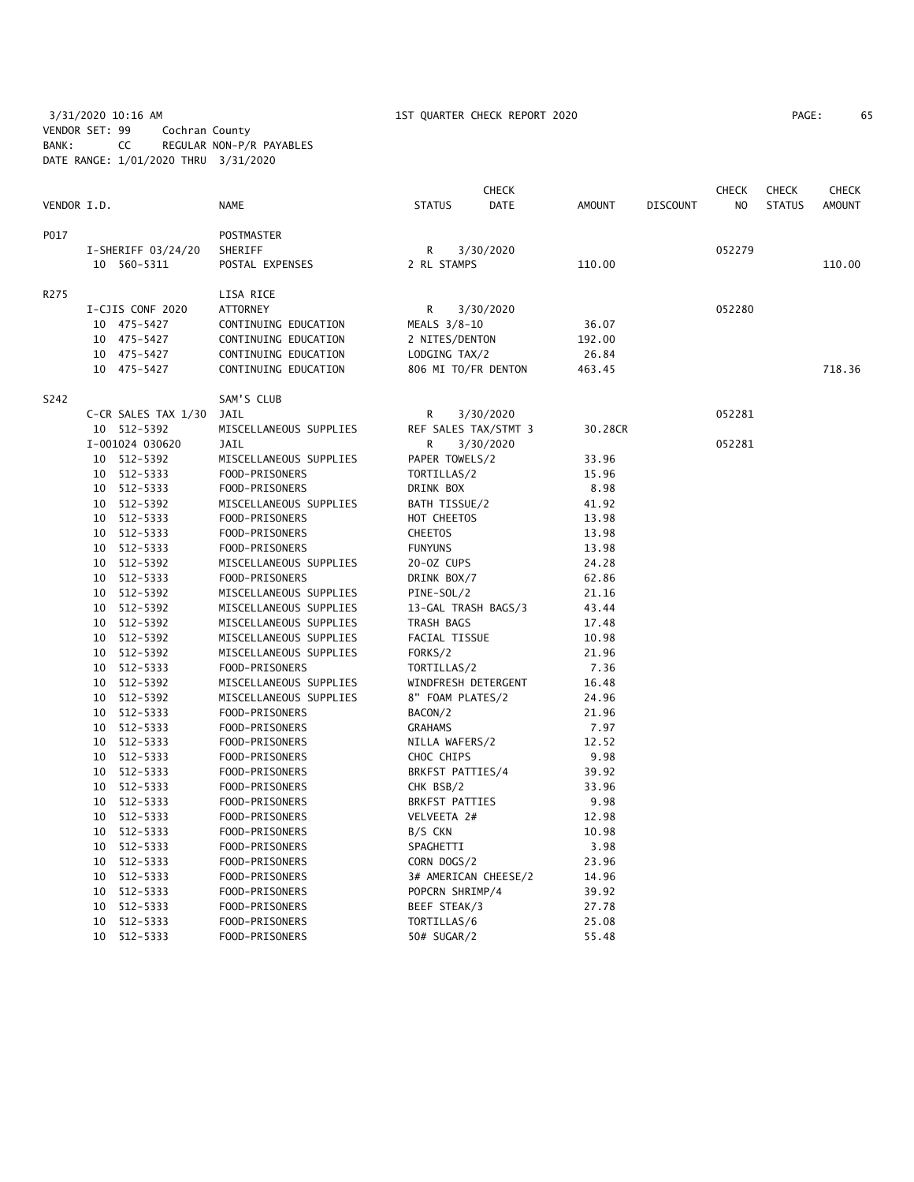3/31/2020 10:16 AM 1ST QUARTER CHECK REPORT 2020 PAGE: 65 VENDOR SET: 99 Cochran County BANK: CC REGULAR NON-P/R PAYABLES DATE RANGE: 1/01/2020 THRU 3/31/2020

| PAGE: | 65 |
|-------|----|
|-------|----|

|             |    |                      |                        |                       | CHECK                |               |                 | CHECK          | <b>CHECK</b>  | CHECK         |
|-------------|----|----------------------|------------------------|-----------------------|----------------------|---------------|-----------------|----------------|---------------|---------------|
| VENDOR I.D. |    |                      | <b>NAME</b>            | <b>STATUS</b>         | <b>DATE</b>          | <b>AMOUNT</b> | <b>DISCOUNT</b> | N <sub>O</sub> | <b>STATUS</b> | <b>AMOUNT</b> |
| P017        |    |                      | <b>POSTMASTER</b>      |                       |                      |               |                 |                |               |               |
|             |    | $I-SHERIFF 03/24/20$ | SHERIFF                | R                     | 3/30/2020            |               |                 | 052279         |               |               |
|             |    | 10 560-5311          | POSTAL EXPENSES        | 2 RL STAMPS           |                      | 110.00        |                 |                |               | 110.00        |
| R275        |    |                      | LISA RICE              |                       |                      |               |                 |                |               |               |
|             |    | I-CJIS CONF 2020     | ATTORNEY               | R                     | 3/30/2020            |               |                 | 052280         |               |               |
|             |    | 10 475-5427          | CONTINUING EDUCATION   | MEALS 3/8-10          |                      | 36.07         |                 |                |               |               |
|             |    | 10 475-5427          | CONTINUING EDUCATION   | 2 NITES/DENTON        |                      | 192.00        |                 |                |               |               |
|             |    | 10 475-5427          | CONTINUING EDUCATION   | LODGING TAX/2         |                      | 26.84         |                 |                |               |               |
|             |    | 10 475-5427          | CONTINUING EDUCATION   | 806 MI TO/FR DENTON   |                      | 463.45        |                 |                |               | 718.36        |
| S242        |    |                      | SAM'S CLUB             |                       |                      |               |                 |                |               |               |
|             |    | C-CR SALES TAX 1/30  | JAIL                   | R                     | 3/30/2020            |               |                 | 052281         |               |               |
|             |    | 10 512-5392          | MISCELLANEOUS SUPPLIES | REF SALES TAX/STMT 3  |                      | 30.28CR       |                 |                |               |               |
|             |    | I-001024 030620      | <b>JAIL</b>            | R                     | 3/30/2020            |               |                 | 052281         |               |               |
|             | 10 | 512-5392             | MISCELLANEOUS SUPPLIES | PAPER TOWELS/2        |                      | 33.96         |                 |                |               |               |
|             |    | 10 512-5333          | FOOD-PRISONERS         | TORTILLAS/2           |                      | 15.96         |                 |                |               |               |
|             |    | 10 512-5333          | FOOD-PRISONERS         | DRINK BOX             |                      | 8.98          |                 |                |               |               |
|             |    | 10 512-5392          | MISCELLANEOUS SUPPLIES | BATH TISSUE/2         |                      | 41.92         |                 |                |               |               |
|             |    | 10 512-5333          | FOOD-PRISONERS         | HOT CHEETOS           |                      | 13.98         |                 |                |               |               |
|             |    | 10 512-5333          | FOOD-PRISONERS         | <b>CHEETOS</b>        |                      | 13.98         |                 |                |               |               |
|             | 10 | 512-5333             | FOOD-PRISONERS         | <b>FUNYUNS</b>        |                      | 13.98         |                 |                |               |               |
|             | 10 | 512-5392             | MISCELLANEOUS SUPPLIES | 20-0Z CUPS            |                      | 24.28         |                 |                |               |               |
|             | 10 | 512-5333             | FOOD-PRISONERS         | DRINK BOX/7           |                      | 62.86         |                 |                |               |               |
|             | 10 | 512-5392             | MISCELLANEOUS SUPPLIES | PINE-SOL/2            |                      | 21.16         |                 |                |               |               |
|             | 10 | 512-5392             | MISCELLANEOUS SUPPLIES | 13-GAL TRASH BAGS/3   |                      | 43.44         |                 |                |               |               |
|             | 10 | 512-5392             | MISCELLANEOUS SUPPLIES | TRASH BAGS            |                      | 17.48         |                 |                |               |               |
|             | 10 | 512-5392             | MISCELLANEOUS SUPPLIES | FACIAL TISSUE         |                      | 10.98         |                 |                |               |               |
|             | 10 | 512-5392             | MISCELLANEOUS SUPPLIES | FORKS/2               |                      | 21.96         |                 |                |               |               |
|             | 10 | 512-5333             | FOOD-PRISONERS         | TORTILLAS/2           |                      | 7.36          |                 |                |               |               |
|             | 10 | 512-5392             | MISCELLANEOUS SUPPLIES | WINDFRESH DETERGENT   |                      | 16.48         |                 |                |               |               |
|             | 10 | 512-5392             | MISCELLANEOUS SUPPLIES | 8" FOAM PLATES/2      |                      | 24.96         |                 |                |               |               |
|             | 10 | 512-5333             | FOOD-PRISONERS         | BACON/2               |                      | 21.96         |                 |                |               |               |
|             | 10 | 512-5333             | FOOD-PRISONERS         | <b>GRAHAMS</b>        |                      | 7.97          |                 |                |               |               |
|             | 10 | 512-5333             | FOOD-PRISONERS         | NILLA WAFERS/2        |                      | 12.52         |                 |                |               |               |
|             | 10 | 512-5333             | FOOD-PRISONERS         | CHOC CHIPS            |                      | 9.98          |                 |                |               |               |
|             | 10 | 512-5333             | FOOD-PRISONERS         | BRKFST PATTIES/4      |                      | 39.92         |                 |                |               |               |
|             | 10 | 512-5333             | FOOD-PRISONERS         | CHK BSB/2             |                      | 33.96         |                 |                |               |               |
|             |    | 10 512-5333          | FOOD-PRISONERS         | <b>BRKFST PATTIES</b> |                      | 9.98          |                 |                |               |               |
|             | 10 | 512-5333             | FOOD-PRISONERS         | VELVEETA 2#           |                      | 12.98         |                 |                |               |               |
|             | 10 | 512-5333             | FOOD-PRISONERS         | B/S CKN               |                      | 10.98         |                 |                |               |               |
|             | 10 | 512-5333             | FOOD-PRISONERS         | SPAGHETTI             |                      | 3.98          |                 |                |               |               |
|             | 10 | 512-5333             | FOOD-PRISONERS         | CORN DOGS/2           |                      | 23.96         |                 |                |               |               |
|             | 10 | 512-5333             | FOOD-PRISONERS         |                       | 3# AMERICAN CHEESE/2 | 14.96         |                 |                |               |               |
|             | 10 | 512-5333             | FOOD-PRISONERS         | POPCRN SHRIMP/4       |                      | 39.92         |                 |                |               |               |
|             | 10 | 512-5333             | FOOD-PRISONERS         | BEEF STEAK/3          |                      | 27.78         |                 |                |               |               |
|             | 10 | 512-5333             | FOOD-PRISONERS         | TORTILLAS/6           |                      | 25.08         |                 |                |               |               |
|             | 10 | 512-5333             | FOOD-PRISONERS         | 50# SUGAR/2           |                      | 55.48         |                 |                |               |               |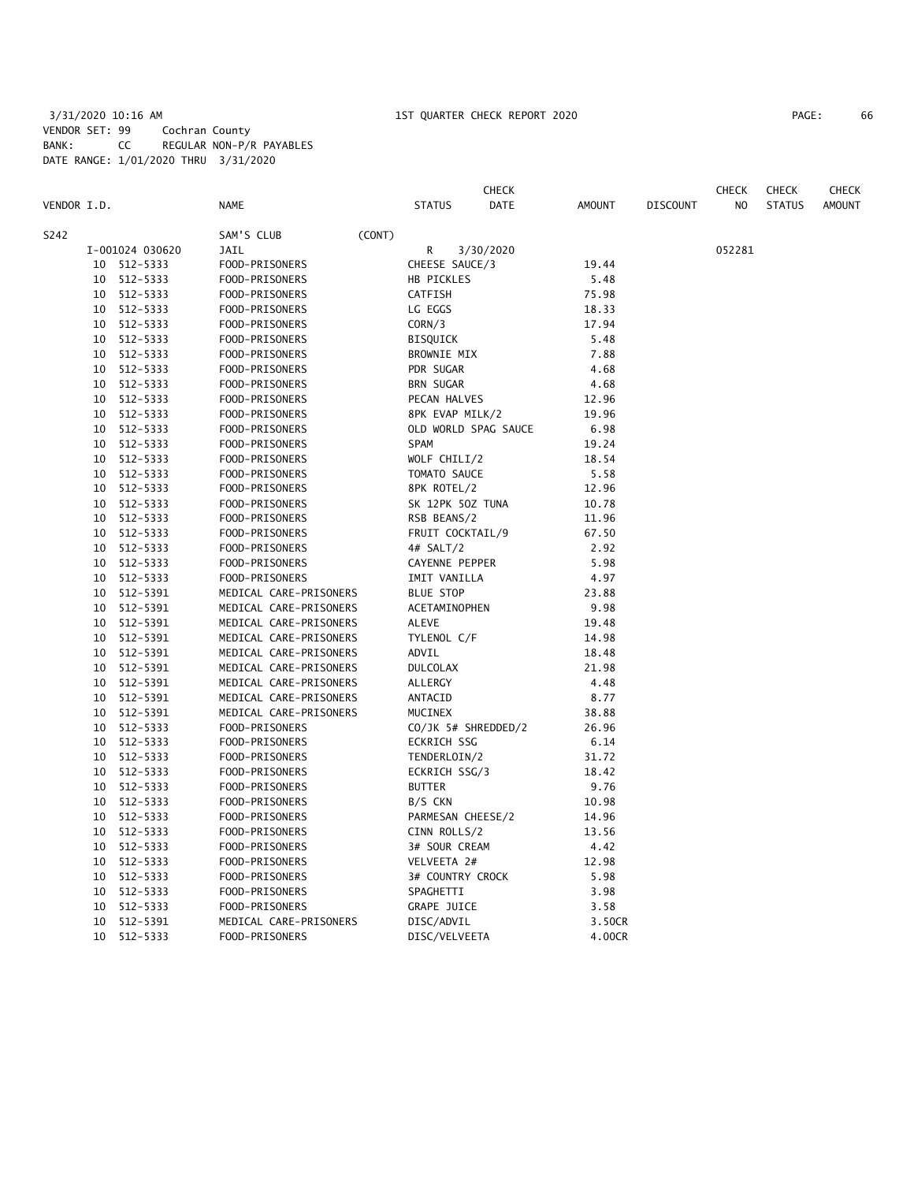# 3/31/2020 10:16 AM 1ST QUARTER CHECK REPORT 2020 PAGE: 66 VENDOR SET: 99 Cochran County BANK: CC REGULAR NON-P/R PAYABLES DATE RANGE: 1/01/2020 THRU 3/31/2020

|             |                      |                        |                                 | <b>CHECK</b>         |               |                 | <b>CHECK</b> | <b>CHECK</b>  | CHECK         |
|-------------|----------------------|------------------------|---------------------------------|----------------------|---------------|-----------------|--------------|---------------|---------------|
| VENDOR I.D. |                      | <b>NAME</b>            | STATUS                          | DATE                 | AMOUNT        | <b>DISCOUNT</b> | NO           | <b>STATUS</b> | <b>AMOUNT</b> |
| S242        |                      | SAM'S CLUB             | (CONT)                          |                      |               |                 |              |               |               |
|             | I-001024 030620      | JAIL                   | R                               | 3/30/2020            |               |                 | 052281       |               |               |
|             | 10 512-5333          | FOOD-PRISONERS         | CHEESE SAUCE/3                  |                      | 19.44         |                 |              |               |               |
| 10          | 512-5333             | FOOD-PRISONERS         | HB PICKLES                      |                      | 5.48          |                 |              |               |               |
| 10          | 512-5333             | FOOD-PRISONERS         | CATFISH                         |                      | 75.98         |                 |              |               |               |
| 10          | 512-5333             | FOOD-PRISONERS         | LG EGGS                         |                      | 18.33         |                 |              |               |               |
| 10          | 512-5333             | FOOD-PRISONERS         | CORN/3                          |                      | 17.94         |                 |              |               |               |
| 10          | 512-5333             | FOOD-PRISONERS         | <b>BISQUICK</b>                 |                      | 5.48          |                 |              |               |               |
| 10          | 512-5333             | FOOD-PRISONERS         | <b>BROWNIE MIX</b>              |                      | 7.88          |                 |              |               |               |
| 10          | 512-5333             | FOOD-PRISONERS         | PDR SUGAR                       |                      | 4.68          |                 |              |               |               |
| 10          | 512-5333             | FOOD-PRISONERS         | <b>BRN SUGAR</b>                |                      | 4.68          |                 |              |               |               |
| 10          | 512-5333             | FOOD-PRISONERS         | PECAN HALVES                    |                      | 12.96         |                 |              |               |               |
|             | 10 512-5333          | FOOD-PRISONERS         | 8PK EVAP MILK/2                 |                      | 19.96         |                 |              |               |               |
|             | 10 512-5333          | FOOD-PRISONERS         |                                 | OLD WORLD SPAG SAUCE | 6.98          |                 |              |               |               |
|             | 10 512-5333          | FOOD-PRISONERS         | SPAM                            |                      | 19.24         |                 |              |               |               |
|             | 10 512-5333          | FOOD-PRISONERS         | WOLF CHILI/2                    |                      | 18.54         |                 |              |               |               |
| 10          | 512-5333             | FOOD-PRISONERS         | TOMATO SAUCE                    |                      | 5.58          |                 |              |               |               |
| 10          | 512-5333             | FOOD-PRISONERS         | 8PK ROTEL/2                     |                      | 12.96         |                 |              |               |               |
| 10          | 512-5333             | FOOD-PRISONERS         | SK 12PK 50Z TUNA                |                      | 10.78         |                 |              |               |               |
| 10          | 512-5333             | FOOD-PRISONERS         | RSB BEANS/2                     |                      | 11.96         |                 |              |               |               |
| 10          | 512-5333             | FOOD-PRISONERS         | FRUIT COCKTAIL/9                |                      | 67.50         |                 |              |               |               |
| 10          | 512-5333             | FOOD-PRISONERS         | 4# SALT/2                       |                      | 2.92          |                 |              |               |               |
| 10          | 512-5333             | FOOD-PRISONERS         | CAYENNE PEPPER                  |                      | 5.98          |                 |              |               |               |
| 10          | 512-5333             | FOOD-PRISONERS         | IMIT VANILLA                    |                      | 4.97          |                 |              |               |               |
| 10          | 512-5391             | MEDICAL CARE-PRISONERS | <b>BLUE STOP</b>                |                      | 23.88         |                 |              |               |               |
| 10          | 512-5391             | MEDICAL CARE-PRISONERS | ACETAMINOPHEN                   |                      | 9.98          |                 |              |               |               |
|             | 10 512-5391          | MEDICAL CARE-PRISONERS | ALEVE                           |                      | 19.48         |                 |              |               |               |
| 10          | 512-5391             | MEDICAL CARE-PRISONERS | TYLENOL C/F                     |                      | 14.98         |                 |              |               |               |
| 10          | 512-5391             | MEDICAL CARE-PRISONERS | ADVIL                           |                      | 18.48         |                 |              |               |               |
| 10          | 512-5391             | MEDICAL CARE-PRISONERS | <b>DULCOLAX</b>                 |                      | 21.98         |                 |              |               |               |
| 10          | 512-5391             | MEDICAL CARE-PRISONERS | ALLERGY                         |                      | 4.48          |                 |              |               |               |
| 10          | 512-5391             | MEDICAL CARE-PRISONERS | ANTACID                         |                      | 8.77          |                 |              |               |               |
| 10          | 512-5391             | MEDICAL CARE-PRISONERS | MUCINEX                         |                      | 38.88         |                 |              |               |               |
| 10          | 512-5333             | FOOD-PRISONERS         | CO/JK 5# SHREDDED/2             |                      | 26.96         |                 |              |               |               |
| 10          | 512-5333             | FOOD-PRISONERS         | <b>ECKRICH SSG</b>              |                      | 6.14          |                 |              |               |               |
| 10          | 512-5333             | FOOD-PRISONERS         | TENDERLOIN/2                    |                      | 31.72         |                 |              |               |               |
| 10          | 512-5333             | FOOD-PRISONERS         | ECKRICH SSG/3                   |                      | 18.42         |                 |              |               |               |
| 10          | 512-5333             | FOOD-PRISONERS         | <b>BUTTER</b>                   |                      | 9.76          |                 |              |               |               |
| 10          | 512-5333             | FOOD-PRISONERS         | B/S CKN                         |                      | 10.98         |                 |              |               |               |
| 10          | 512-5333             | FOOD-PRISONERS         | PARMESAN CHEESE/2               |                      | 14.96         |                 |              |               |               |
| 10          | 512-5333             | FOOD-PRISONERS         | CINN ROLLS/2                    |                      | 13.56         |                 |              |               |               |
| 10          | 512-5333             | FOOD-PRISONERS         | 3# SOUR CREAM                   |                      | 4.42          |                 |              |               |               |
|             |                      |                        |                                 |                      |               |                 |              |               |               |
| 10<br>10    | 512-5333<br>512-5333 | FOOD-PRISONERS         | VELVEETA 2#<br>3# COUNTRY CROCK |                      | 12.98<br>5.98 |                 |              |               |               |
|             |                      | FOOD-PRISONERS         |                                 |                      |               |                 |              |               |               |
| 10          | 512-5333             | FOOD-PRISONERS         | SPAGHETTI                       |                      | 3.98          |                 |              |               |               |
|             | 10 512-5333          | FOOD-PRISONERS         | <b>GRAPE JUICE</b>              |                      | 3.58          |                 |              |               |               |
| 10          | 512-5391             | MEDICAL CARE-PRISONERS | DISC/ADVIL                      |                      | 3.50CR        |                 |              |               |               |
|             | 10 512-5333          | FOOD-PRISONERS         | DISC/VELVEETA                   |                      | 4.00CR        |                 |              |               |               |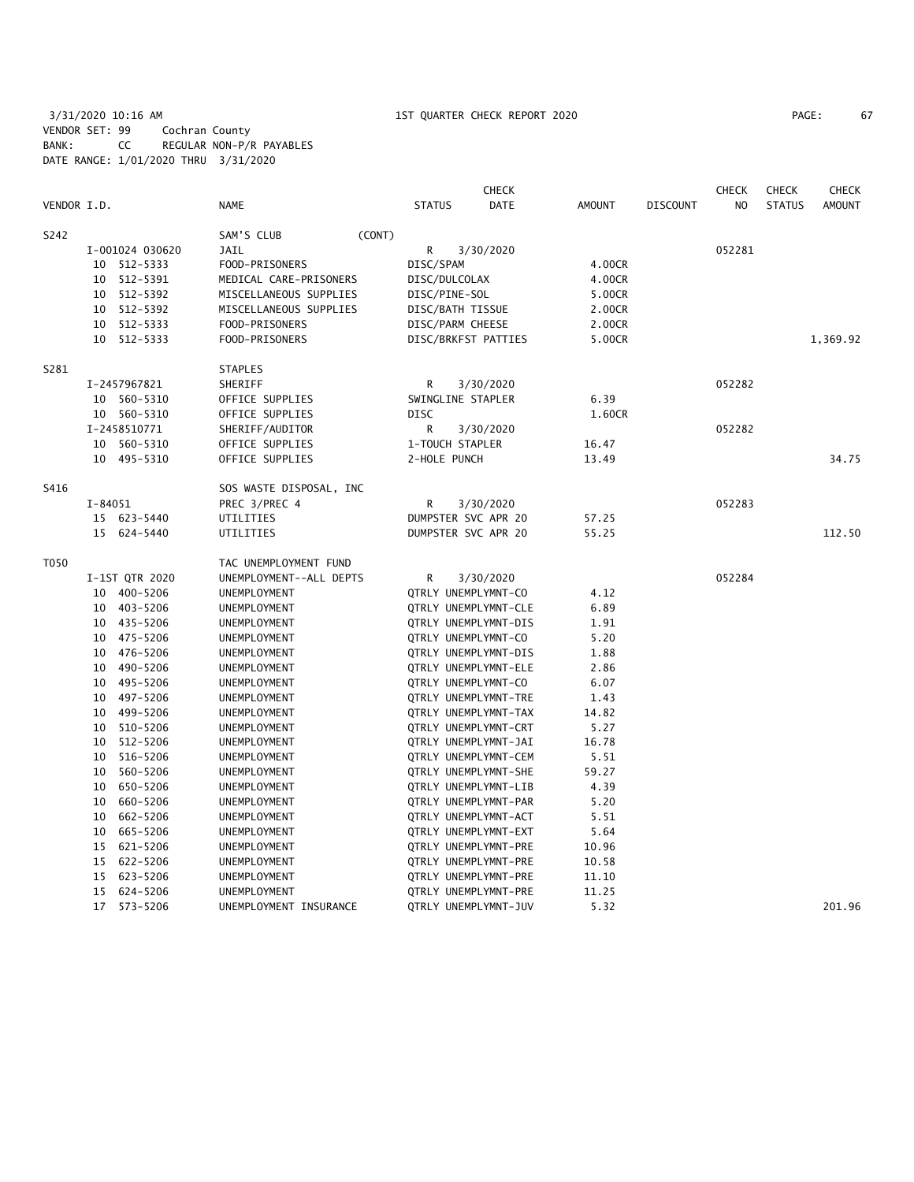# 3/31/2020 10:16 AM 1ST QUARTER CHECK REPORT 2020 PAGE: 67 VENDOR SET: 99 Cochran County BANK: CC REGULAR NON-P/R PAYABLES DATE RANGE: 1/01/2020 THRU 3/31/2020

| PAGE: | 67 |  |
|-------|----|--|
|       |    |  |

|             |         |                 |                         |        |                             | CHECK                |               |                 | <b>CHECK</b>   | <b>CHECK</b>  | <b>CHECK</b>  |
|-------------|---------|-----------------|-------------------------|--------|-----------------------------|----------------------|---------------|-----------------|----------------|---------------|---------------|
| VENDOR I.D. |         |                 | <b>NAME</b>             |        | <b>STATUS</b>               | <b>DATE</b>          | <b>AMOUNT</b> | <b>DISCOUNT</b> | N <sub>O</sub> | <b>STATUS</b> | <b>AMOUNT</b> |
| S242        |         |                 | SAM'S CLUB              | (CONT) |                             |                      |               |                 |                |               |               |
|             |         | I-001024 030620 | <b>JAIL</b>             |        | R                           | 3/30/2020            |               |                 | 052281         |               |               |
|             |         | 10 512-5333     | FOOD-PRISONERS          |        | DISC/SPAM                   |                      | 4.00CR        |                 |                |               |               |
|             | 10      | 512-5391        | MEDICAL CARE-PRISONERS  |        | DISC/DULCOLAX               |                      | 4.00CR        |                 |                |               |               |
|             | 10      | 512-5392        | MISCELLANEOUS SUPPLIES  |        | DISC/PINE-SOL               |                      | 5.00CR        |                 |                |               |               |
|             | 10      | 512-5392        | MISCELLANEOUS SUPPLIES  |        | DISC/BATH TISSUE            |                      | 2.00CR        |                 |                |               |               |
|             | 10      | 512-5333        | FOOD-PRISONERS          |        | DISC/PARM CHEESE            |                      | 2.00CR        |                 |                |               |               |
|             | 10      | 512-5333        | FOOD-PRISONERS          |        | DISC/BRKFST PATTIES         |                      | 5.00CR        |                 |                |               | 1,369.92      |
| S281        |         |                 | <b>STAPLES</b>          |        |                             |                      |               |                 |                |               |               |
|             |         | I-2457967821    | SHERIFF                 |        | R                           | 3/30/2020            |               |                 | 052282         |               |               |
|             |         | 10 560-5310     | OFFICE SUPPLIES         |        | SWINGLINE STAPLER           |                      | 6.39          |                 |                |               |               |
|             |         | 10 560-5310     | OFFICE SUPPLIES         |        | <b>DISC</b>                 |                      | 1.60CR        |                 |                |               |               |
|             |         | I-2458510771    | SHERIFF/AUDITOR         |        | R                           | 3/30/2020            |               |                 | 052282         |               |               |
|             | 10      | 560-5310        | OFFICE SUPPLIES         |        | 1-TOUCH STAPLER             |                      | 16.47         |                 |                |               |               |
|             |         | 10 495-5310     | OFFICE SUPPLIES         |        | 2-HOLE PUNCH                |                      | 13.49         |                 |                |               | 34.75         |
| S416        |         |                 | SOS WASTE DISPOSAL, INC |        |                             |                      |               |                 |                |               |               |
|             | I-84051 |                 | PREC 3/PREC 4           |        | R                           | 3/30/2020            |               |                 | 052283         |               |               |
|             |         | 15 623-5440     | UTILITIES               |        | DUMPSTER SVC APR 20         |                      | 57.25         |                 |                |               |               |
|             |         | 15 624-5440     | UTILITIES               |        | DUMPSTER SVC APR 20         |                      | 55.25         |                 |                |               | 112.50        |
| T050        |         |                 | TAC UNEMPLOYMENT FUND   |        |                             |                      |               |                 |                |               |               |
|             |         | I-1ST QTR 2020  | UNEMPLOYMENT--ALL DEPTS |        | R                           | 3/30/2020            |               |                 | 052284         |               |               |
|             |         | 10 400-5206     | UNEMPLOYMENT            |        | QTRLY UNEMPLYMNT-CO         |                      | 4.12          |                 |                |               |               |
|             |         | 10 403-5206     | UNEMPLOYMENT            |        | QTRLY UNEMPLYMNT-CLE        |                      | 6.89          |                 |                |               |               |
|             |         | 10 435-5206     | UNEMPLOYMENT            |        | QTRLY UNEMPLYMNT-DIS        |                      | 1.91          |                 |                |               |               |
|             |         | 10 475-5206     | UNEMPLOYMENT            |        | QTRLY UNEMPLYMNT-CO         |                      | 5.20          |                 |                |               |               |
|             | 10      | 476-5206        | UNEMPLOYMENT            |        | QTRLY UNEMPLYMNT-DIS        |                      | 1.88          |                 |                |               |               |
|             | 10      | 490-5206        | UNEMPLOYMENT            |        | QTRLY UNEMPLYMNT-ELE        |                      | 2.86          |                 |                |               |               |
|             | 10      | 495-5206        | UNEMPLOYMENT            |        | QTRLY UNEMPLYMNT-CO         |                      | 6.07          |                 |                |               |               |
|             | 10      | 497-5206        | UNEMPLOYMENT            |        | QTRLY UNEMPLYMNT-TRE        |                      | 1.43          |                 |                |               |               |
|             | 10      | 499-5206        | UNEMPLOYMENT            |        | QTRLY UNEMPLYMNT-TAX        |                      | 14.82         |                 |                |               |               |
|             | 10      | 510-5206        | UNEMPLOYMENT            |        | <b>QTRLY UNEMPLYMNT-CRT</b> |                      | 5.27          |                 |                |               |               |
|             | 10      | 512-5206        | UNEMPLOYMENT            |        | QTRLY UNEMPLYMNT-JAI        |                      | 16.78         |                 |                |               |               |
|             | 10      | 516-5206        | UNEMPLOYMENT            |        | QTRLY UNEMPLYMNT-CEM        |                      | 5.51          |                 |                |               |               |
|             | 10      | 560-5206        | UNEMPLOYMENT            |        | QTRLY UNEMPLYMNT-SHE        |                      | 59.27         |                 |                |               |               |
|             | 10      | 650-5206        | UNEMPLOYMENT            |        | QTRLY UNEMPLYMNT-LIB        |                      | 4.39          |                 |                |               |               |
|             | 10      | 660-5206        | UNEMPLOYMENT            |        | QTRLY UNEMPLYMNT-PAR        |                      | 5.20          |                 |                |               |               |
|             | 10      | 662-5206        | UNEMPLOYMENT            |        | QTRLY UNEMPLYMNT-ACT        |                      | 5.51          |                 |                |               |               |
|             | 10      | 665-5206        | UNEMPLOYMENT            |        | QTRLY UNEMPLYMNT-EXT        |                      | 5.64          |                 |                |               |               |
|             | 15      | 621-5206        | UNEMPLOYMENT            |        | QTRLY UNEMPLYMNT-PRE        |                      | 10.96         |                 |                |               |               |
|             | 15      | 622-5206        | UNEMPLOYMENT            |        | QTRLY UNEMPLYMNT-PRE        |                      | 10.58         |                 |                |               |               |
|             | 15      | 623-5206        | UNEMPLOYMENT            |        | QTRLY UNEMPLYMNT-PRE        |                      | 11.10         |                 |                |               |               |
|             | 15      | 624-5206        | UNEMPLOYMENT            |        | QTRLY UNEMPLYMNT-PRE        |                      | 11.25         |                 |                |               |               |
|             | 17      | 573-5206        | UNEMPLOYMENT INSURANCE  |        |                             | QTRLY UNEMPLYMNT-JUV | 5.32          |                 |                |               | 201.96        |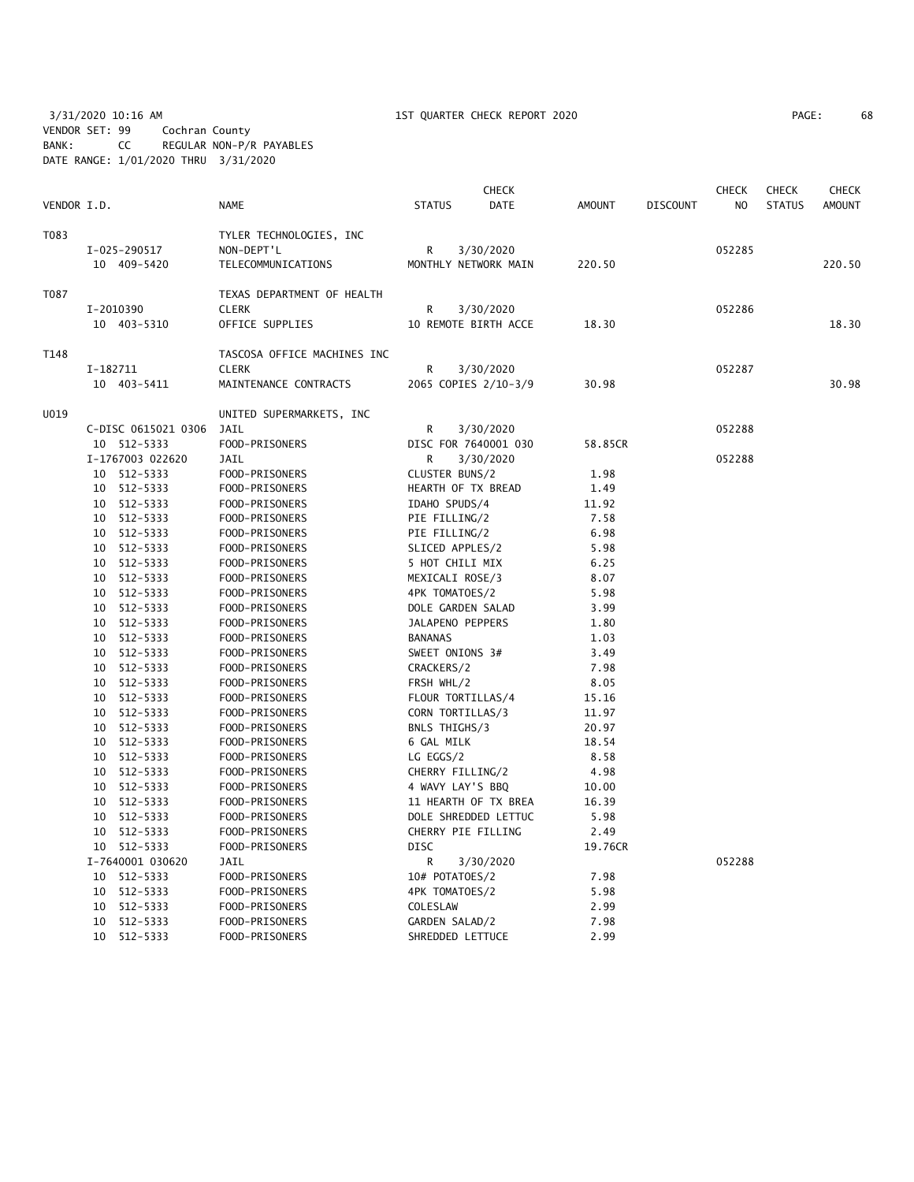3/31/2020 10:16 AM 1ST QUARTER CHECK REPORT 2020 PAGE: 68 VENDOR SET: 99 Cochran County BANK: CC REGULAR NON-P/R PAYABLES DATE RANGE: 1/01/2020 THRU 3/31/2020

| PAGE: | 68 |
|-------|----|
|-------|----|

| VENDOR I.D. |          |                             | <b>NAME</b>                                                 | <b>STATUS</b>    | <b>CHECK</b><br><b>DATE</b>       | <b>AMOUNT</b> | <b>DISCOUNT</b> | CHECK<br>NO. | <b>CHECK</b><br><b>STATUS</b> | <b>CHECK</b><br><b>AMOUNT</b> |
|-------------|----------|-----------------------------|-------------------------------------------------------------|------------------|-----------------------------------|---------------|-----------------|--------------|-------------------------------|-------------------------------|
| T083        |          | I-025-290517<br>10 409-5420 | TYLER TECHNOLOGIES, INC<br>NON-DEPT'L<br>TELECOMMUNICATIONS | R                | 3/30/2020<br>MONTHLY NETWORK MAIN | 220.50        |                 | 052285       |                               | 220.50                        |
| T087        |          |                             | TEXAS DEPARTMENT OF HEALTH                                  |                  |                                   |               |                 |              |                               |                               |
|             |          | I-2010390                   | <b>CLERK</b>                                                | R                | 3/30/2020                         |               |                 | 052286       |                               |                               |
|             |          | 10 403-5310                 | OFFICE SUPPLIES                                             |                  | 10 REMOTE BIRTH ACCE              | 18.30         |                 |              |                               | 18.30                         |
| T148        |          |                             | TASCOSA OFFICE MACHINES INC                                 |                  |                                   |               |                 |              |                               |                               |
|             | I-182711 |                             | <b>CLERK</b>                                                | R                | 3/30/2020                         |               |                 | 052287       |                               |                               |
|             |          | 10 403-5411                 | MAINTENANCE CONTRACTS                                       |                  | 2065 COPIES 2/10-3/9              | 30.98         |                 |              |                               | 30.98                         |
| U019        |          |                             | UNITED SUPERMARKETS, INC                                    |                  |                                   |               |                 |              |                               |                               |
|             |          | C-DISC 0615021 0306         | JAIL                                                        | R                | 3/30/2020                         |               |                 | 052288       |                               |                               |
|             |          | 10 512-5333                 | FOOD-PRISONERS                                              |                  | DISC FOR 7640001 030              | 58.85CR       |                 |              |                               |                               |
|             |          | I-1767003 022620            | <b>JAIL</b>                                                 | R.               | 3/30/2020                         |               |                 | 052288       |                               |                               |
|             |          | 10 512-5333                 | FOOD-PRISONERS                                              | CLUSTER BUNS/2   |                                   | 1.98          |                 |              |                               |                               |
|             |          | 10 512-5333                 | FOOD-PRISONERS                                              |                  | HEARTH OF TX BREAD                | 1.49          |                 |              |                               |                               |
|             |          | 10 512-5333                 | FOOD-PRISONERS                                              | IDAHO SPUDS/4    |                                   | 11.92         |                 |              |                               |                               |
|             |          | 10 512-5333                 | FOOD-PRISONERS                                              | PIE FILLING/2    |                                   | 7.58          |                 |              |                               |                               |
|             |          | 10 512-5333                 | FOOD-PRISONERS                                              | PIE FILLING/2    |                                   | 6.98          |                 |              |                               |                               |
|             |          | 10 512-5333                 |                                                             | SLICED APPLES/2  |                                   | 5.98          |                 |              |                               |                               |
|             |          | 10 512-5333                 | FOOD-PRISONERS<br>FOOD-PRISONERS                            | 5 HOT CHILI MIX  |                                   | 6.25          |                 |              |                               |                               |
|             |          | 10 512-5333                 | FOOD-PRISONERS                                              | MEXICALI ROSE/3  |                                   | 8.07          |                 |              |                               |                               |
|             |          | 10 512-5333                 | FOOD-PRISONERS                                              | 4PK TOMATOES/2   |                                   | 5.98          |                 |              |                               |                               |
|             |          | 10 512-5333                 | FOOD-PRISONERS                                              |                  | DOLE GARDEN SALAD                 | 3.99          |                 |              |                               |                               |
|             |          | 10 512-5333                 | FOOD-PRISONERS                                              | JALAPENO PEPPERS |                                   | 1.80          |                 |              |                               |                               |
|             |          | 10 512-5333                 |                                                             | <b>BANANAS</b>   |                                   | 1.03          |                 |              |                               |                               |
|             |          |                             | FOOD-PRISONERS                                              |                  |                                   |               |                 |              |                               |                               |
|             |          | 10 512-5333                 | FOOD-PRISONERS                                              | SWEET ONIONS 3#  |                                   | 3.49          |                 |              |                               |                               |
|             |          | 10 512-5333                 | FOOD-PRISONERS                                              | CRACKERS/2       |                                   | 7.98          |                 |              |                               |                               |
|             |          | 10 512-5333                 | FOOD-PRISONERS                                              | FRSH WHL/2       |                                   | 8.05          |                 |              |                               |                               |
|             |          | 10 512-5333                 | FOOD-PRISONERS                                              |                  | FLOUR TORTILLAS/4                 | 15.16         |                 |              |                               |                               |
|             |          | 10 512-5333                 | FOOD-PRISONERS                                              | CORN TORTILLAS/3 |                                   | 11.97         |                 |              |                               |                               |
|             |          | 10 512-5333                 | FOOD-PRISONERS                                              | BNLS THIGHS/3    |                                   | 20.97         |                 |              |                               |                               |
|             |          | 10 512-5333                 | FOOD-PRISONERS                                              | 6 GAL MILK       |                                   | 18.54         |                 |              |                               |                               |
|             |          | 10 512-5333                 | FOOD-PRISONERS                                              | LG EGGS/2        |                                   | 8.58          |                 |              |                               |                               |
|             |          | 10 512-5333                 | FOOD-PRISONERS                                              | CHERRY FILLING/2 |                                   | 4.98          |                 |              |                               |                               |
|             |          | 10 512-5333                 | FOOD-PRISONERS                                              |                  | 4 WAVY LAY'S BBQ                  | 10.00         |                 |              |                               |                               |
|             |          | 10 512-5333                 | FOOD-PRISONERS                                              |                  | 11 HEARTH OF TX BREA              | 16.39         |                 |              |                               |                               |
|             |          | 10 512-5333                 | FOOD-PRISONERS                                              |                  | DOLE SHREDDED LETTUC              | 5.98          |                 |              |                               |                               |
|             |          | 10 512-5333                 | FOOD-PRISONERS                                              |                  | CHERRY PIE FILLING                | 2.49          |                 |              |                               |                               |
|             |          | 10 512-5333                 | FOOD-PRISONERS                                              | <b>DISC</b>      |                                   | 19.76CR       |                 |              |                               |                               |
|             |          | I-7640001 030620            | JAIL                                                        | R                | 3/30/2020                         |               |                 | 052288       |                               |                               |
|             |          | 10 512-5333                 | FOOD-PRISONERS                                              | 10# POTATOES/2   |                                   | 7.98          |                 |              |                               |                               |
|             |          | 10 512-5333                 | FOOD-PRISONERS                                              | 4PK TOMATOES/2   |                                   | 5.98          |                 |              |                               |                               |
|             |          | 10 512-5333                 | FOOD-PRISONERS                                              | COLESLAW         |                                   | 2.99          |                 |              |                               |                               |
|             |          | 10 512-5333                 | FOOD-PRISONERS                                              | GARDEN SALAD/2   |                                   | 7.98          |                 |              |                               |                               |
|             |          | 10 512-5333                 | FOOD-PRISONERS                                              |                  | SHREDDED LETTUCE                  | 2.99          |                 |              |                               |                               |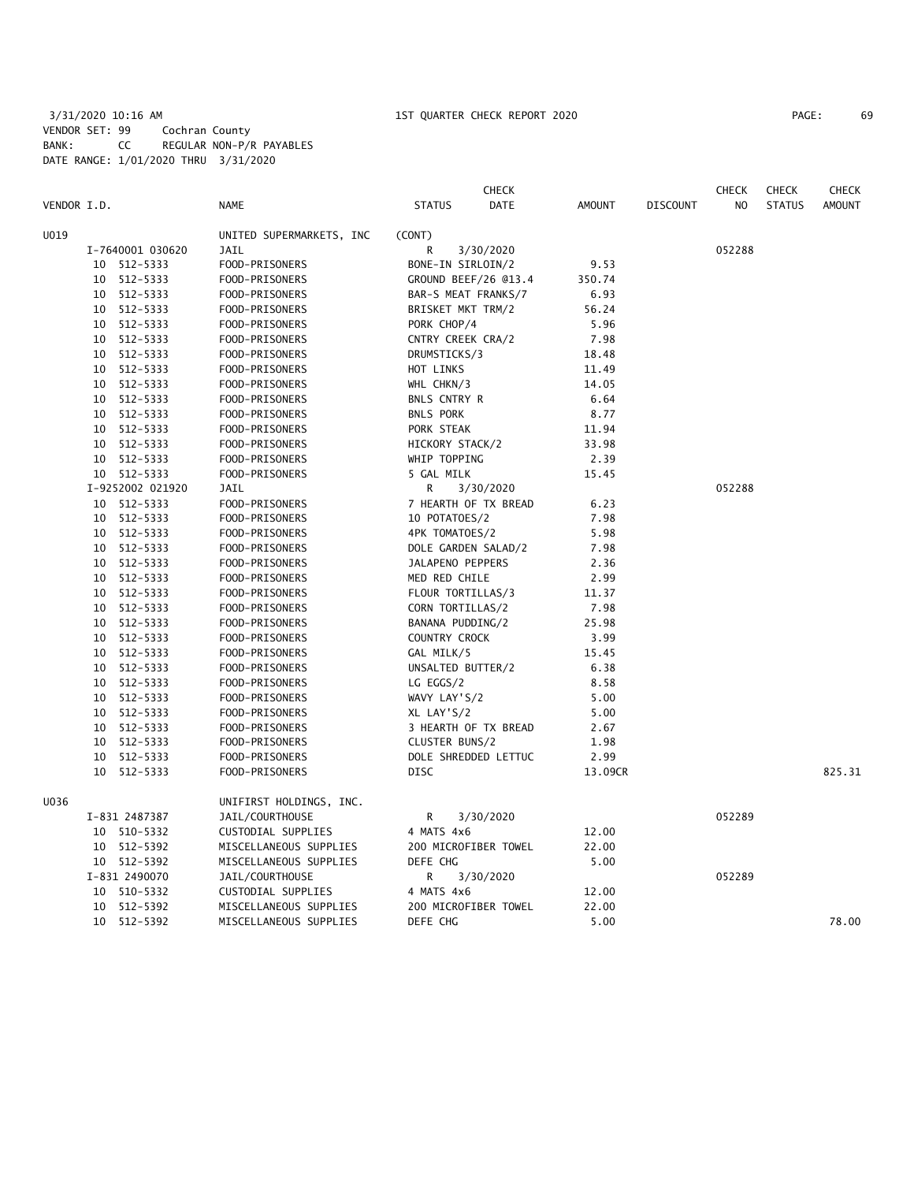# 3/31/2020 10:16 AM 1ST QUARTER CHECK REPORT 2020 PAGE: 69 VENDOR SET: 99 Cochran County BANK: CC REGULAR NON-P/R PAYABLES DATE RANGE: 1/01/2020 THRU 3/31/2020

| VENDOR I.D. |    |                  | <b>NAME</b>              | <b>STATUS</b>            | <b>CHECK</b><br><b>DATE</b> | <b>AMOUNT</b> | <b>DISCOUNT</b> | <b>CHECK</b><br>N <sub>O</sub> | <b>CHECK</b><br><b>STATUS</b> | <b>CHECK</b><br><b>AMOUNT</b> |
|-------------|----|------------------|--------------------------|--------------------------|-----------------------------|---------------|-----------------|--------------------------------|-------------------------------|-------------------------------|
| U019        |    |                  | UNITED SUPERMARKETS, INC | (CONT)                   |                             |               |                 |                                |                               |                               |
|             |    | I-7640001 030620 | <b>JAIL</b>              | R                        | 3/30/2020                   |               |                 | 052288                         |                               |                               |
|             | 10 | 512-5333         | FOOD-PRISONERS           | BONE-IN SIRLOIN/2        |                             | 9.53          |                 |                                |                               |                               |
|             | 10 | 512-5333         | FOOD-PRISONERS           |                          | GROUND BEEF/26 @13.4        | 350.74        |                 |                                |                               |                               |
|             | 10 | 512-5333         | FOOD-PRISONERS           | BAR-S MEAT FRANKS/7      |                             | 6.93          |                 |                                |                               |                               |
|             | 10 | 512-5333         | FOOD-PRISONERS           | <b>BRISKET MKT TRM/2</b> |                             | 56.24         |                 |                                |                               |                               |
|             | 10 | 512-5333         | FOOD-PRISONERS           | PORK CHOP/4              |                             | 5.96          |                 |                                |                               |                               |
|             | 10 | 512-5333         | FOOD-PRISONERS           | CNTRY CREEK CRA/2        |                             | 7.98          |                 |                                |                               |                               |
|             | 10 | 512-5333         | FOOD-PRISONERS           | DRUMSTICKS/3             |                             | 18.48         |                 |                                |                               |                               |
|             | 10 | 512-5333         | FOOD-PRISONERS           | HOT LINKS                |                             | 11.49         |                 |                                |                               |                               |
|             | 10 | 512-5333         | FOOD-PRISONERS           | WHL CHKN/3               |                             | 14.05         |                 |                                |                               |                               |
|             | 10 | 512-5333         | FOOD-PRISONERS           | <b>BNLS CNTRY R</b>      |                             | 6.64          |                 |                                |                               |                               |
|             | 10 | 512-5333         | FOOD-PRISONERS           | <b>BNLS PORK</b>         |                             | 8.77          |                 |                                |                               |                               |
|             | 10 | 512-5333         | FOOD-PRISONERS           | PORK STEAK               |                             | 11.94         |                 |                                |                               |                               |
|             | 10 | 512-5333         | FOOD-PRISONERS           | HICKORY STACK/2          |                             | 33.98         |                 |                                |                               |                               |
|             | 10 | 512-5333         | FOOD-PRISONERS           | WHIP TOPPING             |                             | 2.39          |                 |                                |                               |                               |
|             |    | 10 512-5333      | FOOD-PRISONERS           | 5 GAL MILK               |                             | 15.45         |                 |                                |                               |                               |
|             |    | I-9252002 021920 | <b>JAIL</b>              | R                        | 3/30/2020                   |               |                 | 052288                         |                               |                               |
|             | 10 | 512-5333         | FOOD-PRISONERS           |                          | 7 HEARTH OF TX BREAD        | 6.23          |                 |                                |                               |                               |
|             | 10 | 512-5333         | FOOD-PRISONERS           | 10 POTATOES/2            |                             | 7.98          |                 |                                |                               |                               |
|             | 10 | 512-5333         | FOOD-PRISONERS           | 4PK TOMATOES/2           |                             | 5.98          |                 |                                |                               |                               |
|             | 10 | 512-5333         | FOOD-PRISONERS           | DOLE GARDEN SALAD/2      |                             | 7.98          |                 |                                |                               |                               |
|             | 10 | 512-5333         | FOOD-PRISONERS           | JALAPENO PEPPERS         |                             | 2.36          |                 |                                |                               |                               |
|             | 10 | 512-5333         | FOOD-PRISONERS           | MED RED CHILE            |                             | 2.99          |                 |                                |                               |                               |
|             | 10 | 512-5333         | FOOD-PRISONERS           | FLOUR TORTILLAS/3        |                             | 11.37         |                 |                                |                               |                               |
|             | 10 | 512-5333         | FOOD-PRISONERS           | CORN TORTILLAS/2         |                             | 7.98          |                 |                                |                               |                               |
|             | 10 | 512-5333         | FOOD-PRISONERS           | BANANA PUDDING/2         |                             | 25.98         |                 |                                |                               |                               |
|             | 10 | 512-5333         | FOOD-PRISONERS           | COUNTRY CROCK            |                             | 3.99          |                 |                                |                               |                               |
|             | 10 | 512-5333         | FOOD-PRISONERS           | GAL MILK/5               |                             | 15.45         |                 |                                |                               |                               |
|             | 10 | 512-5333         | FOOD-PRISONERS           | UNSALTED BUTTER/2        |                             | 6.38          |                 |                                |                               |                               |
|             | 10 | 512-5333         | FOOD-PRISONERS           | LG EGGS/2                |                             | 8.58          |                 |                                |                               |                               |
|             | 10 | 512-5333         | FOOD-PRISONERS           | WAVY LAY'S/2             |                             | 5.00          |                 |                                |                               |                               |
|             | 10 | 512-5333         | FOOD-PRISONERS           | XL LAY'S/2               |                             | 5.00          |                 |                                |                               |                               |
|             | 10 | 512-5333         | FOOD-PRISONERS           |                          | 3 HEARTH OF TX BREAD        | 2.67          |                 |                                |                               |                               |
|             | 10 | 512-5333         | FOOD-PRISONERS           | CLUSTER BUNS/2           |                             | 1.98          |                 |                                |                               |                               |
|             | 10 | 512-5333         | FOOD-PRISONERS           |                          | DOLE SHREDDED LETTUC        | 2.99          |                 |                                |                               |                               |
|             | 10 | 512-5333         | FOOD-PRISONERS           | DISC                     |                             | 13.09CR       |                 |                                |                               | 825.31                        |
| U036        |    |                  | UNIFIRST HOLDINGS, INC.  |                          |                             |               |                 |                                |                               |                               |
|             |    | I-831 2487387    | JAIL/COURTHOUSE          | R                        | 3/30/2020                   |               |                 | 052289                         |                               |                               |
|             |    | 10 510-5332      | CUSTODIAL SUPPLIES       | 4 MATS 4x6               |                             | 12.00         |                 |                                |                               |                               |
|             | 10 | 512-5392         | MISCELLANEOUS SUPPLIES   |                          | 200 MICROFIBER TOWEL        | 22.00         |                 |                                |                               |                               |
|             |    | 10 512-5392      | MISCELLANEOUS SUPPLIES   | DEFE CHG                 |                             | 5.00          |                 |                                |                               |                               |
|             |    | I-831 2490070    | JAIL/COURTHOUSE          | R                        | 3/30/2020                   |               |                 | 052289                         |                               |                               |
|             | 10 | 510-5332         | CUSTODIAL SUPPLIES       | 4 MATS 4x6               |                             | 12.00         |                 |                                |                               |                               |
|             | 10 | 512-5392         | MISCELLANEOUS SUPPLIES   |                          | 200 MICROFIBER TOWEL        | 22.00         |                 |                                |                               |                               |
|             | 10 | 512-5392         | MISCELLANEOUS SUPPLIES   | DEFE CHG                 |                             | 5.00          |                 |                                |                               | 78.00                         |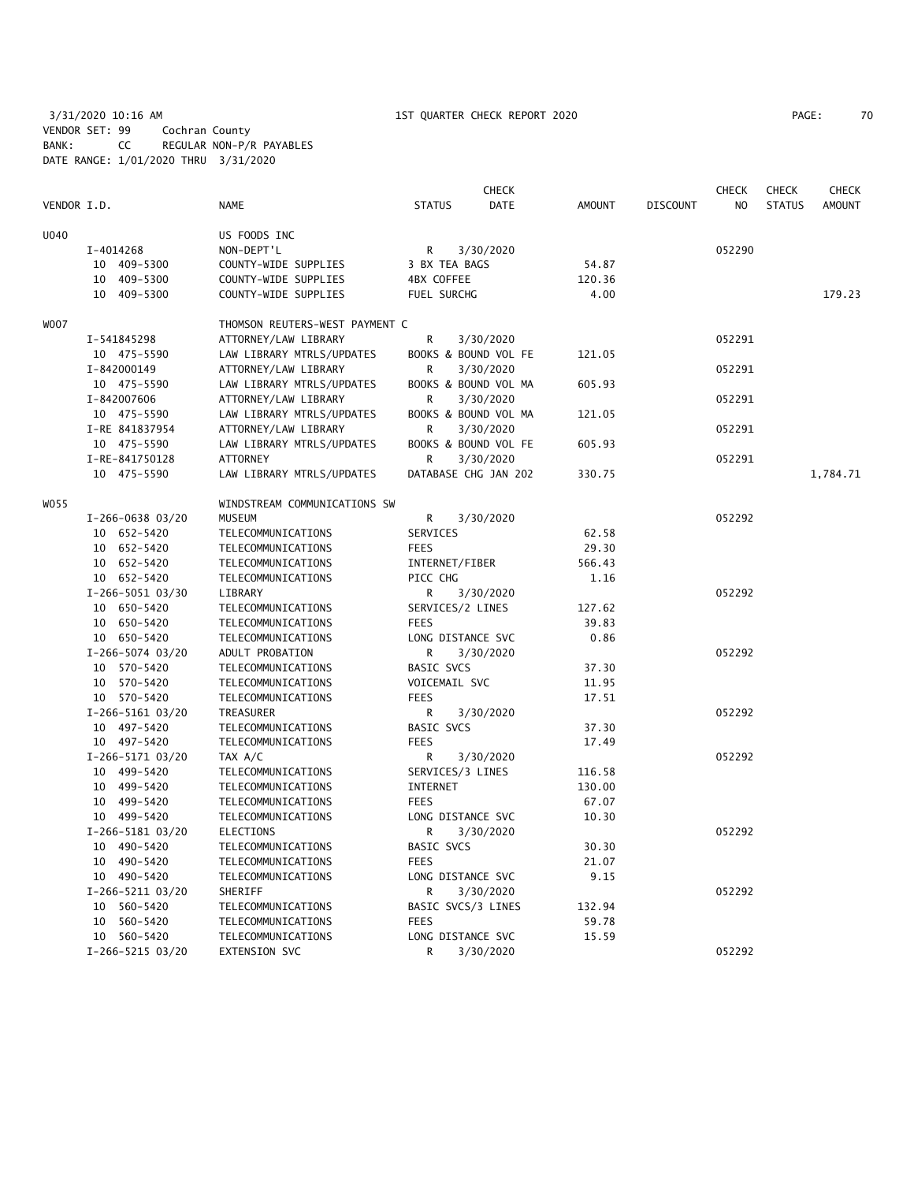3/31/2020 10:16 AM 1ST QUARTER CHECK REPORT 2020 PAGE: 70 VENDOR SET: 99 Cochran County BANK: CC REGULAR NON-P/R PAYABLES DATE RANGE: 1/01/2020 THRU 3/31/2020

| PAGE: |
|-------|
|-------|

|             |                  |                                | <b>CHECK</b>              |               |                 | <b>CHECK</b>   | <b>CHECK</b>  | <b>CHECK</b>  |
|-------------|------------------|--------------------------------|---------------------------|---------------|-----------------|----------------|---------------|---------------|
| VENDOR I.D. |                  | <b>NAME</b>                    | <b>STATUS</b><br>DATE     | <b>AMOUNT</b> | <b>DISCOUNT</b> | N <sub>O</sub> | <b>STATUS</b> | <b>AMOUNT</b> |
| U040        |                  | US FOODS INC                   |                           |               |                 |                |               |               |
|             | I-4014268        | NON-DEPT'L                     | R<br>3/30/2020            |               |                 | 052290         |               |               |
|             | 10 409-5300      | COUNTY-WIDE SUPPLIES           | 3 BX TEA BAGS             | 54.87         |                 |                |               |               |
|             | 10 409-5300      | COUNTY-WIDE SUPPLIES           | 4BX COFFEE                | 120.36        |                 |                |               |               |
|             | 10 409-5300      | COUNTY-WIDE SUPPLIES           | FUEL SURCHG               | 4.00          |                 |                |               | 179.23        |
| W007        |                  | THOMSON REUTERS-WEST PAYMENT C |                           |               |                 |                |               |               |
|             | I-541845298      | ATTORNEY/LAW LIBRARY           | R<br>3/30/2020            |               |                 | 052291         |               |               |
|             | 10 475-5590      | LAW LIBRARY MTRLS/UPDATES      | BOOKS & BOUND VOL FE      | 121.05        |                 |                |               |               |
|             | I-842000149      | ATTORNEY/LAW LIBRARY           | R<br>3/30/2020            |               |                 | 052291         |               |               |
|             | 10 475-5590      | LAW LIBRARY MTRLS/UPDATES      | BOOKS & BOUND VOL MA      | 605.93        |                 |                |               |               |
|             | I-842007606      | ATTORNEY/LAW LIBRARY           | R<br>3/30/2020            |               |                 | 052291         |               |               |
|             | 10 475-5590      | LAW LIBRARY MTRLS/UPDATES      | BOOKS & BOUND VOL MA      | 121.05        |                 |                |               |               |
|             | I-RE 841837954   | ATTORNEY/LAW LIBRARY           | 3/30/2020<br>R            |               |                 | 052291         |               |               |
|             | 10 475-5590      | LAW LIBRARY MTRLS/UPDATES      | BOOKS & BOUND VOL FE      | 605.93        |                 |                |               |               |
|             | I-RE-841750128   | <b>ATTORNEY</b>                | 3/30/2020<br>R            |               |                 | 052291         |               |               |
|             | 10 475-5590      | LAW LIBRARY MTRLS/UPDATES      | DATABASE CHG JAN 202      | 330.75        |                 |                |               | 1,784.71      |
| W055        |                  | WINDSTREAM COMMUNICATIONS SW   |                           |               |                 |                |               |               |
|             | I-266-0638 03/20 | MUSEUM                         | R<br>3/30/2020            |               |                 | 052292         |               |               |
|             | 10 652-5420      | TELECOMMUNICATIONS             | SERVICES                  | 62.58         |                 |                |               |               |
|             | 10 652-5420      | TELECOMMUNICATIONS             | <b>FEES</b>               | 29.30         |                 |                |               |               |
|             | 10 652-5420      | TELECOMMUNICATIONS             | INTERNET/FIBER            | 566.43        |                 |                |               |               |
|             | 10 652-5420      | TELECOMMUNICATIONS             | PICC CHG                  | 1.16          |                 |                |               |               |
|             | I-266-5051 03/30 | LIBRARY                        | R<br>3/30/2020            |               |                 | 052292         |               |               |
|             | 10 650-5420      | TELECOMMUNICATIONS             | SERVICES/2 LINES          | 127.62        |                 |                |               |               |
|             | 10 650-5420      | TELECOMMUNICATIONS             | <b>FEES</b>               | 39.83         |                 |                |               |               |
|             | 10 650-5420      | TELECOMMUNICATIONS             | LONG DISTANCE SVC         | 0.86          |                 |                |               |               |
|             | I-266-5074 03/20 | ADULT PROBATION                | R<br>3/30/2020            |               |                 | 052292         |               |               |
|             | 10 570-5420      | TELECOMMUNICATIONS             | <b>BASIC SVCS</b>         | 37.30         |                 |                |               |               |
|             | 10 570-5420      | TELECOMMUNICATIONS             | VOICEMAIL SVC             | 11.95         |                 |                |               |               |
|             | 10 570-5420      | TELECOMMUNICATIONS             | <b>FEES</b>               | 17.51         |                 |                |               |               |
|             | I-266-5161 03/20 | TREASURER                      | R<br>3/30/2020            |               |                 | 052292         |               |               |
|             | 10 497-5420      | TELECOMMUNICATIONS             | <b>BASIC SVCS</b>         | 37.30         |                 |                |               |               |
|             | 10 497-5420      | TELECOMMUNICATIONS             | <b>FEES</b>               | 17.49         |                 |                |               |               |
|             | I-266-5171 03/20 | TAX A/C                        | R<br>3/30/2020            |               |                 | 052292         |               |               |
|             | 10 499-5420      | TELECOMMUNICATIONS             | SERVICES/3 LINES          | 116.58        |                 |                |               |               |
|             | 10 499-5420      | TELECOMMUNICATIONS             | INTERNET                  | 130.00        |                 |                |               |               |
|             | 10 499-5420      | TELECOMMUNICATIONS             | <b>FEES</b>               | 67.07         |                 |                |               |               |
|             | 10 499-5420      | TELECOMMUNICATIONS             | LONG DISTANCE SVC         | 10.30         |                 |                |               |               |
|             | I-266-5181 03/20 | <b>ELECTIONS</b>               | R<br>3/30/2020            |               |                 | 052292         |               |               |
|             | 10 490-5420      | TELECOMMUNICATIONS             | BASIC SVCS                | 30.30         |                 |                |               |               |
|             | 10 490-5420      | TELECOMMUNICATIONS             | <b>FEES</b>               | 21.07         |                 |                |               |               |
|             | 10 490-5420      | TELECOMMUNICATIONS             | LONG DISTANCE SVC         | 9.15          |                 |                |               |               |
|             | I-266-5211 03/20 | SHERIFF                        | R<br>3/30/2020            |               |                 | 052292         |               |               |
|             | 10 560-5420      | TELECOMMUNICATIONS             | BASIC SVCS/3 LINES        | 132.94        |                 |                |               |               |
|             | 10 560-5420      | TELECOMMUNICATIONS             | <b>FEES</b>               | 59.78         |                 |                |               |               |
|             | 10 560-5420      | TELECOMMUNICATIONS             | LONG DISTANCE SVC         | 15.59         |                 |                |               |               |
|             | I-266-5215 03/20 | EXTENSION SVC                  | $\mathsf{R}$<br>3/30/2020 |               |                 | 052292         |               |               |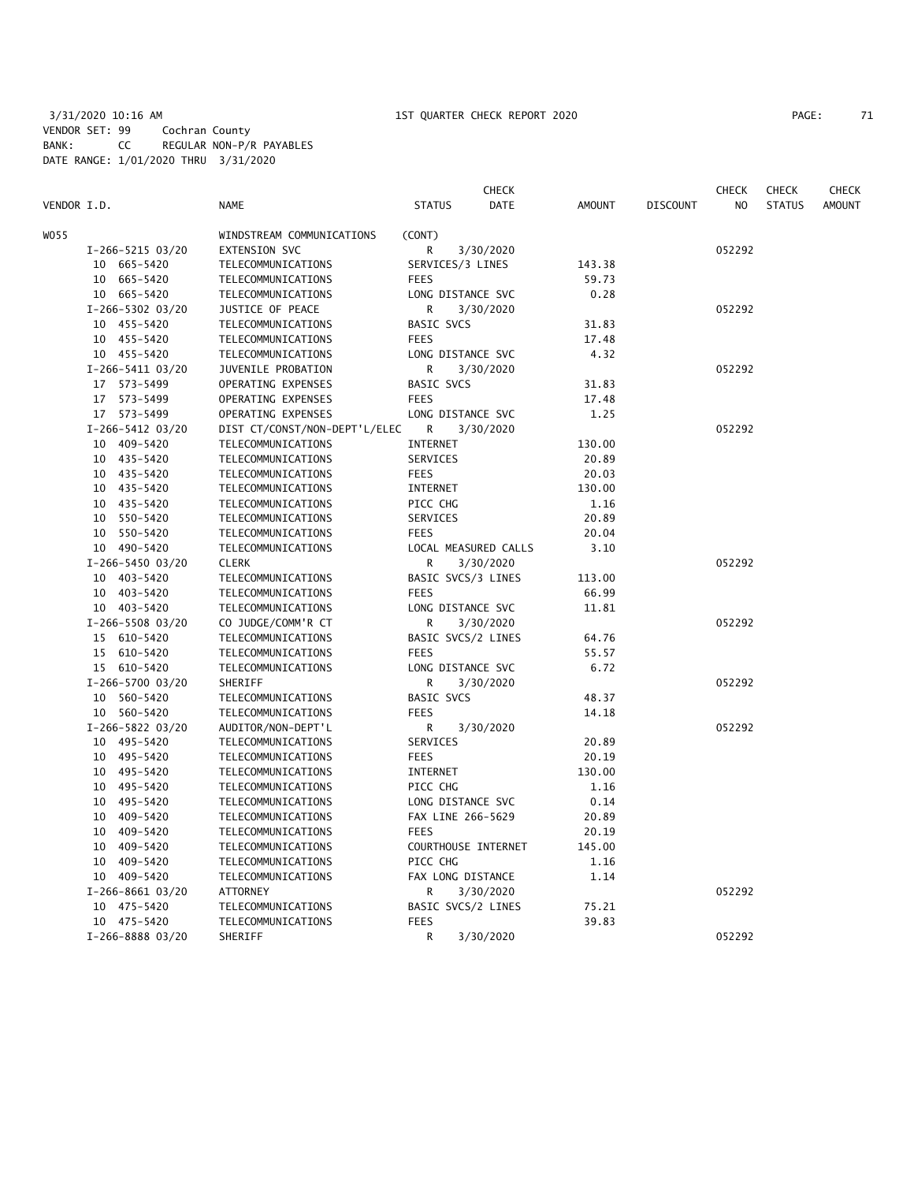|             |                  |                               |                     | <b>CHECK</b>         |               |                 | CHECK  | <b>CHECK</b>  | <b>CHECK</b>  |
|-------------|------------------|-------------------------------|---------------------|----------------------|---------------|-----------------|--------|---------------|---------------|
| VENDOR I.D. |                  | <b>NAME</b>                   | <b>STATUS</b>       | DATE                 | <b>AMOUNT</b> | <b>DISCOUNT</b> | NO     | <b>STATUS</b> | <b>AMOUNT</b> |
| WO55        |                  | WINDSTREAM COMMUNICATIONS     | (CONT)              |                      |               |                 |        |               |               |
|             | I-266-5215 03/20 | EXTENSION SVC                 | R                   | 3/30/2020            |               |                 | 052292 |               |               |
|             | 10 665-5420      | TELECOMMUNICATIONS            | SERVICES/3 LINES    |                      | 143.38        |                 |        |               |               |
|             | 10 665-5420      | TELECOMMUNICATIONS            | <b>FEES</b>         |                      | 59.73         |                 |        |               |               |
|             | 10 665-5420      | TELECOMMUNICATIONS            | LONG DISTANCE SVC   |                      | 0.28          |                 |        |               |               |
|             | I-266-5302 03/20 | JUSTICE OF PEACE              | R                   | 3/30/2020            |               |                 | 052292 |               |               |
|             | 10 455-5420      | TELECOMMUNICATIONS            | BASIC SVCS          |                      | 31.83         |                 |        |               |               |
|             | 10 455-5420      | TELECOMMUNICATIONS            | <b>FEES</b>         |                      | 17.48         |                 |        |               |               |
|             | 10 455-5420      | TELECOMMUNICATIONS            | LONG DISTANCE SVC   |                      | 4.32          |                 |        |               |               |
|             | I-266-5411 03/20 | JUVENILE PROBATION            | R                   | 3/30/2020            |               |                 | 052292 |               |               |
|             | 17 573-5499      | OPERATING EXPENSES            | <b>BASIC SVCS</b>   |                      | 31.83         |                 |        |               |               |
|             | 17 573-5499      | OPERATING EXPENSES            | <b>FEES</b>         |                      | 17.48         |                 |        |               |               |
|             | 17 573-5499      | OPERATING EXPENSES            | LONG DISTANCE SVC   |                      | 1.25          |                 |        |               |               |
|             | I-266-5412 03/20 | DIST CT/CONST/NON-DEPT'L/ELEC | R                   | 3/30/2020            |               |                 | 052292 |               |               |
|             | 10 409-5420      | TELECOMMUNICATIONS            | INTERNET            |                      | 130.00        |                 |        |               |               |
|             | 10 435-5420      | TELECOMMUNICATIONS            | SERVICES            |                      | 20.89         |                 |        |               |               |
|             | 10 435-5420      | TELECOMMUNICATIONS            | <b>FEES</b>         |                      | 20.03         |                 |        |               |               |
|             | 10 435-5420      | TELECOMMUNICATIONS            | <b>INTERNET</b>     |                      | 130.00        |                 |        |               |               |
|             |                  |                               |                     |                      |               |                 |        |               |               |
|             | 10 435-5420      | TELECOMMUNICATIONS            | PICC CHG            |                      | 1.16          |                 |        |               |               |
|             | 10 550-5420      | TELECOMMUNICATIONS            | SERVICES            |                      | 20.89         |                 |        |               |               |
|             | 10 550-5420      | TELECOMMUNICATIONS            | <b>FEES</b>         |                      | 20.04         |                 |        |               |               |
|             | 10 490-5420      | TELECOMMUNICATIONS            |                     | LOCAL MEASURED CALLS | 3.10          |                 |        |               |               |
|             | I-266-5450 03/20 | <b>CLERK</b>                  | R                   | 3/30/2020            |               |                 | 052292 |               |               |
|             | 10 403-5420      | TELECOMMUNICATIONS            | BASIC SVCS/3 LINES  |                      | 113.00        |                 |        |               |               |
|             | 10 403-5420      | TELECOMMUNICATIONS            | <b>FEES</b>         |                      | 66.99         |                 |        |               |               |
|             | 10 403-5420      | TELECOMMUNICATIONS            | LONG DISTANCE SVC   |                      | 11.81         |                 |        |               |               |
|             | I-266-5508 03/20 | CO JUDGE/COMM'R CT            | R                   | 3/30/2020            |               |                 | 052292 |               |               |
|             | 15 610-5420      | TELECOMMUNICATIONS            | BASIC SVCS/2 LINES  |                      | 64.76         |                 |        |               |               |
|             | 15 610-5420      | TELECOMMUNICATIONS            | <b>FEES</b>         |                      | 55.57         |                 |        |               |               |
|             | 15 610-5420      | TELECOMMUNICATIONS            | LONG DISTANCE SVC   |                      | 6.72          |                 |        |               |               |
|             | I-266-5700 03/20 | SHERIFF                       | R.                  | 3/30/2020            |               |                 | 052292 |               |               |
|             | 10 560-5420      | TELECOMMUNICATIONS            | <b>BASIC SVCS</b>   |                      | 48.37         |                 |        |               |               |
|             | 10 560-5420      | TELECOMMUNICATIONS            | <b>FEES</b>         |                      | 14.18         |                 |        |               |               |
|             | I-266-5822 03/20 | AUDITOR/NON-DEPT'L            | R                   | 3/30/2020            |               |                 | 052292 |               |               |
|             | 10 495-5420      | TELECOMMUNICATIONS            | SERVICES            |                      | 20.89         |                 |        |               |               |
|             | 10 495-5420      | TELECOMMUNICATIONS            | <b>FEES</b>         |                      | 20.19         |                 |        |               |               |
|             | 10 495-5420      | TELECOMMUNICATIONS            | INTERNET            |                      | 130.00        |                 |        |               |               |
|             | 10 495-5420      | TELECOMMUNICATIONS            | PICC CHG            |                      | 1.16          |                 |        |               |               |
|             | 10 495-5420      | TELECOMMUNICATIONS            | LONG DISTANCE SVC   |                      | 0.14          |                 |        |               |               |
|             | 10 409-5420      | TELECOMMUNICATIONS            | FAX LINE 266-5629   |                      | 20.89         |                 |        |               |               |
|             | 10 409-5420      | TELECOMMUNICATIONS            | <b>FEES</b>         |                      | 20.19         |                 |        |               |               |
|             | 10 409-5420      | TELECOMMUNICATIONS            | COURTHOUSE INTERNET |                      | 145.00        |                 |        |               |               |
|             | 10 409-5420      | TELECOMMUNICATIONS            | PICC CHG            |                      | 1.16          |                 |        |               |               |
|             | 10 409-5420      | TELECOMMUNICATIONS            | FAX LONG DISTANCE   |                      | 1.14          |                 |        |               |               |
|             | I-266-8661 03/20 | ATTORNEY                      | R                   | 3/30/2020            |               |                 | 052292 |               |               |
|             | 10 475-5420      | TELECOMMUNICATIONS            | BASIC SVCS/2 LINES  |                      | 75.21         |                 |        |               |               |
|             | 10 475-5420      | TELECOMMUNICATIONS            | <b>FEES</b>         |                      | 39.83         |                 |        |               |               |
|             | I-266-8888 03/20 | SHERIFF                       | R                   | 3/30/2020            |               |                 | 052292 |               |               |
|             |                  |                               |                     |                      |               |                 |        |               |               |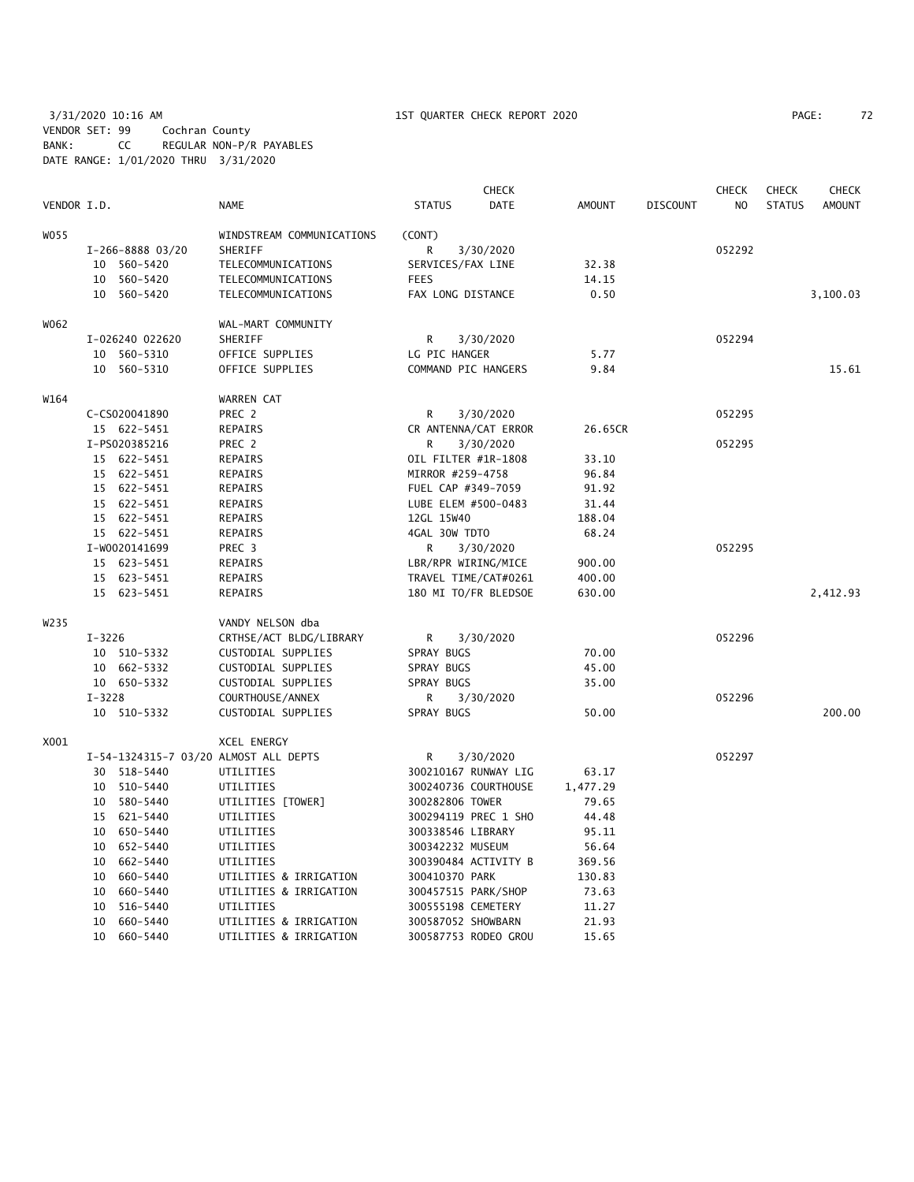# 3/31/2020 10:16 AM 1ST QUARTER CHECK REPORT 2020 PAGE: 72 VENDOR SET: 99 Cochran County BANK: CC REGULAR NON-P/R PAYABLES DATE RANGE: 1/01/2020 THRU 3/31/2020

| PAGE: |  |
|-------|--|
|-------|--|

|                  |                                      |                  |                                       |                     | <b>CHECK</b>         |               |                 | <b>CHECK</b>   | <b>CHECK</b>  | <b>CHECK</b>  |
|------------------|--------------------------------------|------------------|---------------------------------------|---------------------|----------------------|---------------|-----------------|----------------|---------------|---------------|
| VENDOR I.D.      |                                      |                  | <b>NAME</b>                           | <b>STATUS</b>       | <b>DATE</b>          | <b>AMOUNT</b> | <b>DISCOUNT</b> | N <sub>O</sub> | <b>STATUS</b> | <b>AMOUNT</b> |
| W055             |                                      |                  | WINDSTREAM COMMUNICATIONS             | (CONT)              |                      |               |                 |                |               |               |
|                  |                                      | I-266-8888 03/20 | SHERIFF                               | R                   | 3/30/2020            |               |                 | 052292         |               |               |
|                  | 10 560-5420<br>TELECOMMUNICATIONS    |                  | SERVICES/FAX LINE                     |                     | 32.38                |               |                 |                |               |               |
|                  | 560-5420<br>10<br>TELECOMMUNICATIONS |                  | FEES                                  |                     | 14.15                |               |                 |                |               |               |
|                  | 10                                   | 560-5420         | TELECOMMUNICATIONS                    | FAX LONG DISTANCE   |                      | 0.50          |                 |                |               | 3,100.03      |
| W062             |                                      |                  | WAL-MART COMMUNITY                    |                     |                      |               |                 |                |               |               |
|                  |                                      | I-026240 022620  | SHERIFF                               | R                   | 3/30/2020            |               |                 | 052294         |               |               |
|                  | 10                                   | 560-5310         | OFFICE SUPPLIES                       | LG PIC HANGER       |                      | 5.77          |                 |                |               |               |
|                  |                                      | 10 560-5310      | OFFICE SUPPLIES                       | COMMAND PIC HANGERS |                      | 9.84          |                 |                |               | 15.61         |
| W164             |                                      |                  | <b>WARREN CAT</b>                     |                     |                      |               |                 |                |               |               |
|                  |                                      | C-CS020041890    | PREC 2                                | R                   | 3/30/2020            |               |                 | 052295         |               |               |
|                  |                                      | 15 622-5451      | REPAIRS                               |                     | CR ANTENNA/CAT ERROR | 26.65CR       |                 |                |               |               |
|                  |                                      | I-PS020385216    | PREC 2                                | R                   | 3/30/2020            |               |                 | 052295         |               |               |
|                  |                                      | 15 622-5451      | REPAIRS                               | OIL FILTER #1R-1808 |                      | 33.10         |                 |                |               |               |
|                  |                                      | 15 622-5451      | REPAIRS                               | MIRROR #259-4758    |                      | 96.84         |                 |                |               |               |
|                  |                                      | 15 622-5451      | REPAIRS                               | FUEL CAP #349-7059  |                      | 91.92         |                 |                |               |               |
|                  |                                      | 15 622-5451      | REPAIRS                               | LUBE ELEM #500-0483 |                      | 31.44         |                 |                |               |               |
|                  |                                      | 15 622-5451      | REPAIRS                               | 12GL 15W40          |                      | 188.04        |                 |                |               |               |
|                  |                                      | 15 622-5451      | REPAIRS                               | 4GAL 30W TDTO       |                      | 68.24         |                 |                |               |               |
|                  |                                      | I-W0020141699    | PREC 3                                | R                   | 3/30/2020            |               |                 | 052295         |               |               |
|                  |                                      | 15 623-5451      | REPAIRS                               | LBR/RPR WIRING/MICE |                      | 900.00        |                 |                |               |               |
|                  |                                      | 15 623-5451      | REPAIRS                               |                     | TRAVEL TIME/CAT#0261 | 400.00        |                 |                |               |               |
|                  |                                      | 15 623-5451      | REPAIRS                               |                     | 180 MI TO/FR BLEDSOE | 630.00        |                 |                |               | 2,412.93      |
| W <sub>235</sub> |                                      |                  | VANDY NELSON dba                      |                     |                      |               |                 |                |               |               |
|                  | $I - 3226$                           |                  | CRTHSE/ACT BLDG/LIBRARY               | R                   | 3/30/2020            |               |                 | 052296         |               |               |
|                  |                                      | 10 510-5332      | CUSTODIAL SUPPLIES                    | SPRAY BUGS          |                      | 70.00         |                 |                |               |               |
|                  |                                      | 10 662-5332      | CUSTODIAL SUPPLIES                    | SPRAY BUGS          |                      | 45.00         |                 |                |               |               |
|                  |                                      | 10 650-5332      | CUSTODIAL SUPPLIES                    | SPRAY BUGS          |                      | 35.00         |                 |                |               |               |
|                  | $I - 3228$                           |                  | COURTHOUSE/ANNEX                      | R                   | 3/30/2020            |               |                 | 052296         |               |               |
|                  |                                      | 10 510-5332      | CUSTODIAL SUPPLIES                    | SPRAY BUGS          |                      | 50.00         |                 |                |               | 200.00        |
| X001             |                                      |                  | XCEL ENERGY                           |                     |                      |               |                 |                |               |               |
|                  |                                      |                  | I-54-1324315-7 03/20 ALMOST ALL DEPTS | R                   | 3/30/2020            |               |                 | 052297         |               |               |
|                  | 30                                   | 518-5440         | UTILITIES                             |                     | 300210167 RUNWAY LIG | 63.17         |                 |                |               |               |
|                  |                                      | 10 510-5440      | UTILITIES                             |                     | 300240736 COURTHOUSE | 1,477.29      |                 |                |               |               |
|                  | 10                                   | 580-5440         | UTILITIES [TOWER]                     | 300282806 TOWER     |                      | 79.65         |                 |                |               |               |
|                  |                                      | 15 621-5440      | UTILITIES                             |                     | 300294119 PREC 1 SHO | 44.48         |                 |                |               |               |
|                  | 10                                   | 650–5440         | UTILITIES                             | 300338546 LIBRARY   |                      | 95.11         |                 |                |               |               |
|                  | 10                                   | 652-5440         | UTILITIES                             | 300342232 MUSEUM    |                      | 56.64         |                 |                |               |               |
|                  | 10                                   | 662-5440         | UTILITIES                             |                     | 300390484 ACTIVITY B | 369.56        |                 |                |               |               |
|                  | 10                                   | 660-5440         | UTILITIES & IRRIGATION                | 300410370 PARK      |                      | 130.83        |                 |                |               |               |
|                  | 10                                   | 660-5440         | UTILITIES & IRRIGATION                | 300457515 PARK/SHOP |                      | 73.63         |                 |                |               |               |
|                  | 10                                   | 516-5440         | UTILITIES                             | 300555198 CEMETERY  |                      | 11.27         |                 |                |               |               |
|                  | 10                                   | 660-5440         | UTILITIES & IRRIGATION                | 300587052 SHOWBARN  |                      | 21.93         |                 |                |               |               |
|                  | 10                                   | 660-5440         | UTILITIES & IRRIGATION                |                     | 300587753 RODEO GROU | 15.65         |                 |                |               |               |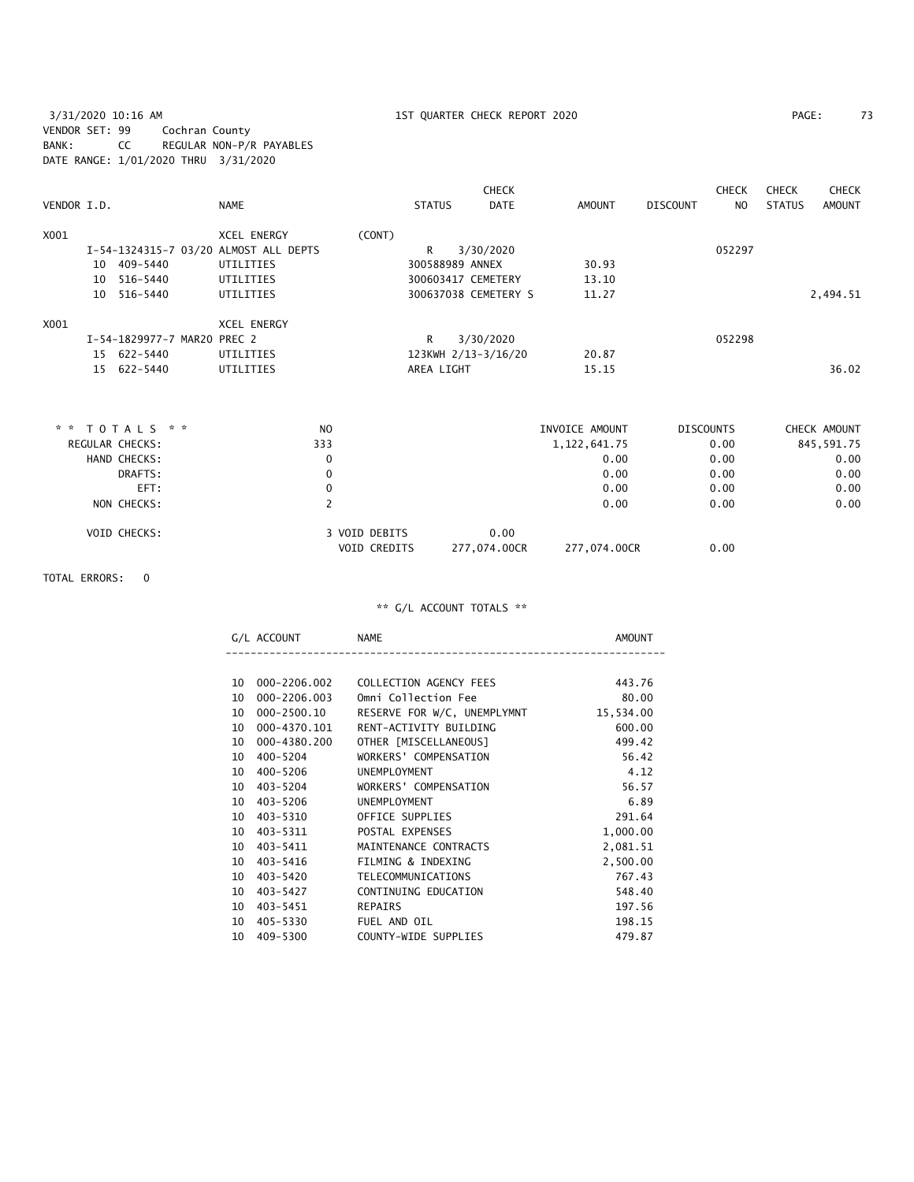3/31/2020 10:16 AM 1ST QUARTER CHECK REPORT 2020 PAGE: 73 VENDOR SET: 99 Cochran County BANK: CC REGULAR NON-P/R PAYABLES DATE RANGE: 1/01/2020 THRU 3/31/2020

| 7: |
|----|
|    |

|             |                             |                                       |        |                    | <b>CHECK</b>         |        |          | <b>CHECK</b> | <b>CHECK</b>  | <b>CHECK</b>  |
|-------------|-----------------------------|---------------------------------------|--------|--------------------|----------------------|--------|----------|--------------|---------------|---------------|
| VENDOR I.D. |                             | <b>NAME</b>                           |        | <b>STATUS</b>      | <b>DATE</b>          | AMOUNT | DISCOUNT | NO.          | <b>STATUS</b> | <b>AMOUNT</b> |
| X001        |                             | <b>XCEL ENERGY</b>                    | (CONT) |                    |                      |        |          |              |               |               |
|             |                             | I-54-1324315-7 03/20 ALMOST ALL DEPTS |        | R                  | 3/30/2020            |        |          | 052297       |               |               |
|             | 10 409-5440                 | UTILITIES                             |        | 300588989 ANNEX    |                      | 30.93  |          |              |               |               |
|             | 10 516-5440                 | UTILITIES                             |        | 300603417 CEMETERY |                      | 13.10  |          |              |               |               |
|             | 10 516-5440                 | UTILITIES                             |        |                    | 300637038 CEMETERY S | 11.27  |          |              |               | 2,494.51      |
| X001        |                             | <b>XCEL ENERGY</b>                    |        |                    |                      |        |          |              |               |               |
|             | I-54-1829977-7 MAR20 PREC 2 |                                       |        | R                  | 3/30/2020            |        |          | 052298       |               |               |
|             | 15 622-5440                 | UTILITIES                             |        |                    | 123KWH 2/13-3/16/20  | 20.87  |          |              |               |               |
|             | 15 622-5440                 | UTILITIES                             |        | AREA LIGHT         |                      | 15.15  |          |              |               | 36.02         |
|             |                             |                                       |        |                    |                      |        |          |              |               |               |
|             |                             |                                       |        |                    |                      |        |          |              |               |               |
|             |                             |                                       |        |                    |                      |        |          |              |               |               |

| * * TOTALS * *      | N <sub>0</sub> |                     |              | INVOICE AMOUNT  | <b>DISCOUNTS</b> | CHECK AMOUNT |
|---------------------|----------------|---------------------|--------------|-----------------|------------------|--------------|
| REGULAR CHECKS:     | 333            |                     |              | 1, 122, 641. 75 | 0.00             | 845,591.75   |
| HAND CHECKS:        | 0              |                     |              | 0.00            | 0.00             | 0.00         |
| DRAFTS:             | 0              |                     |              | 0.00            | 0.00             | 0.00         |
| EFT:                |                |                     |              | 0.00            | 0.00             | 0.00         |
| NON CHECKS:         |                |                     |              | 0.00            | 0.00             | 0.00         |
| <b>VOID CHECKS:</b> |                | 3 VOID DEBITS       | 0.00         |                 |                  |              |
|                     |                | <b>VOID CREDITS</b> | 277,074.00CR | 277,074.00CR    | 0.00             |              |

#### TOTAL ERRORS: 0

## \*\* G/L ACCOUNT TOTALS \*\*

G/L ACCOUNT NAME NAME AMOUNT ----------------------------------------------------------------------

| 10 | 000-2206.002 | COLLECTION AGENCY FEES      | 443.76    |
|----|--------------|-----------------------------|-----------|
| 10 | 000-2206.003 | Omni Collection Fee         | 80.00     |
| 10 | 000-2500.10  | RESERVE FOR W/C, UNEMPLYMNT | 15,534.00 |
| 10 | 000-4370.101 | RENT-ACTIVITY BUILDING      | 600.00    |
| 10 | 000-4380.200 | OTHER [MISCELLANEOUS]       | 499.42    |
| 10 | 400-5204     | WORKERS' COMPENSATION       | 56.42     |
| 10 | 400-5206     | UNEMPLOYMENT                | 4.12      |
| 10 | 403–5204     | WORKERS' COMPENSATION       | 56.57     |
|    | 10 403-5206  | <b>UNEMPLOYMENT</b>         | 6.89      |
|    | 10 403-5310  | OFFICE SUPPLIES             | 291.64    |
|    | 10 403-5311  | POSTAL EXPENSES             | 1,000.00  |
|    | 10 403-5411  | MAINTENANCE CONTRACTS       | 2,081.51  |
| 10 | 403–5416     | FILMING & INDEXING          | 2,500.00  |
| 10 | 403-5420     | TELECOMMUNICATIONS          | 767.43    |
| 10 | 403–5427     | CONTINUING EDUCATION        | 548.40    |
| 10 | 403-5451     | REPAIRS                     | 197.56    |
| 10 | 405-5330     | FUEL AND OIL                | 198.15    |
|    | 10 409-5300  | COUNTY-WIDE SUPPLIES        | 479.87    |
|    |              |                             |           |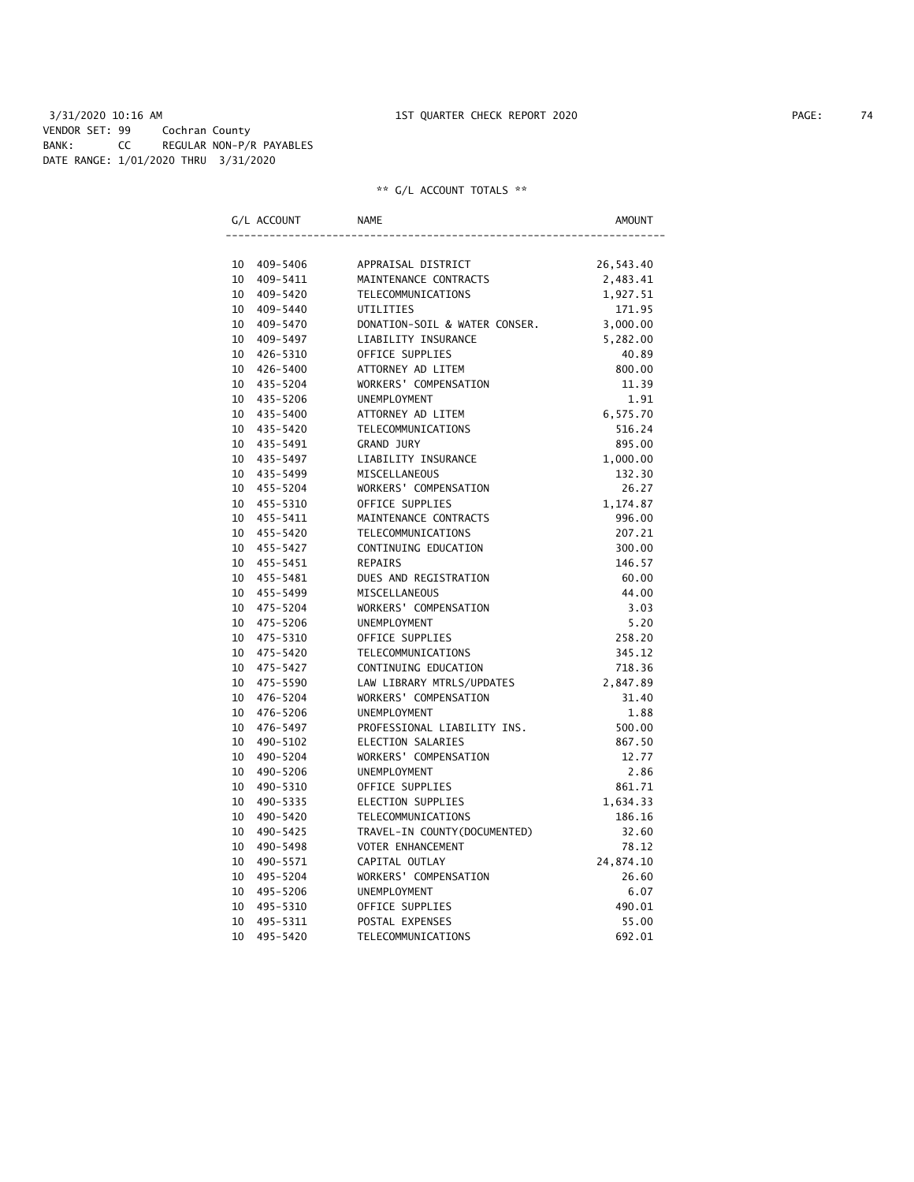3/31/2020 10:16 AM 1ST QUARTER CHECK REPORT 2020 PAGE: 74 VENDOR SET: 99 Cochran County BANK: CC REGULAR NON-P/R PAYABLES DATE RANGE: 1/01/2020 THRU 3/31/2020

|                 | G/L ACCOUNT | <b>NAME</b>                   | AMOUNT    |
|-----------------|-------------|-------------------------------|-----------|
|                 |             |                               |           |
|                 | 10 409-5406 | APPRAISAL DISTRICT            | 26,543.40 |
|                 | 10 409-5411 | MAINTENANCE CONTRACTS         | 2,483.41  |
|                 | 10 409-5420 | TELECOMMUNICATIONS            | 1,927.51  |
|                 | 10 409-5440 | UTILITIES                     | 171.95    |
|                 | 10 409-5470 | DONATION-SOIL & WATER CONSER. | 3,000.00  |
|                 | 10 409-5497 | LIABILITY INSURANCE           | 5,282.00  |
|                 | 10 426-5310 | OFFICE SUPPLIES               | 40.89     |
|                 | 10 426-5400 | ATTORNEY AD LITEM             | 800.00    |
|                 | 10 435-5204 | WORKERS' COMPENSATION         | 11.39     |
|                 | 10 435-5206 | UNEMPLOYMENT                  | 1.91      |
|                 | 10 435-5400 | ATTORNEY AD LITEM             | 6,575.70  |
|                 | 10 435-5420 | TELECOMMUNICATIONS            | 516.24    |
|                 | 10 435-5491 | GRAND JURY                    | 895.00    |
|                 | 10 435-5497 | LIABILITY INSURANCE           | 1,000.00  |
|                 | 10 435-5499 | MISCELLANEOUS                 | 132.30    |
|                 | 10 455-5204 | WORKERS' COMPENSATION         | 26.27     |
|                 | 10 455-5310 | OFFICE SUPPLIES               | 1,174.87  |
|                 | 10 455-5411 | MAINTENANCE CONTRACTS         | 996.00    |
|                 | 10 455-5420 | TELECOMMUNICATIONS            | 207.21    |
|                 | 10 455-5427 | CONTINUING EDUCATION          | 300.00    |
|                 | 10 455-5451 | REPAIRS                       | 146.57    |
|                 | 10 455-5481 | DUES AND REGISTRATION         | 60.00     |
|                 | 10 455-5499 | MISCELLANEOUS                 | 44.00     |
|                 | 10 475-5204 | WORKERS' COMPENSATION         | 3.03      |
|                 | 10 475-5206 | UNEMPLOYMENT                  | 5.20      |
| 10              | 475-5310    | OFFICE SUPPLIES               | 258.20    |
|                 | 10 475-5420 | TELECOMMUNICATIONS            | 345.12    |
|                 | 10 475-5427 | CONTINUING EDUCATION          | 718.36    |
| 10              | 475-5590    | LAW LIBRARY MTRLS/UPDATES     | 2,847.89  |
|                 | 10 476-5204 | WORKERS' COMPENSATION         | 31.40     |
| 10              | 476–5206    | UNEMPLOYMENT                  | 1.88      |
|                 | 10 476-5497 | PROFESSIONAL LIABILITY INS.   | 500.00    |
|                 | 10 490-5102 | ELECTION SALARIES             | 867.50    |
| 10              | 490-5204    | WORKERS' COMPENSATION         | 12.77     |
| 10              | 490-5206    | <b>UNEMPLOYMENT</b>           | 2.86      |
| 10              | 490-5310    | OFFICE SUPPLIES               | 861.71    |
| 10              | 490-5335    | ELECTION SUPPLIES             | 1,634.33  |
| 10              | 490-5420    | <b>TELECOMMUNICATIONS</b>     | 186.16    |
| 10              | 490-5425    | TRAVEL-IN COUNTY (DOCUMENTED) | 32.60     |
| 10 <sup>°</sup> | 490-5498    | <b>VOTER ENHANCEMENT</b>      | 78.12     |
| 10              | 490-5571    | CAPITAL OUTLAY                | 24,874.10 |
| 10              | 495-5204    | WORKERS' COMPENSATION         | 26.60     |
| 10              | 495-5206    | <b>UNEMPLOYMENT</b>           | 6.07      |
| 10              | 495-5310    | OFFICE SUPPLIES               | 490.01    |
| 10              | 495-5311    | POSTAL EXPENSES               | 55.00     |
| 10              | 495-5420    | TELECOMMUNICATIONS            | 692.01    |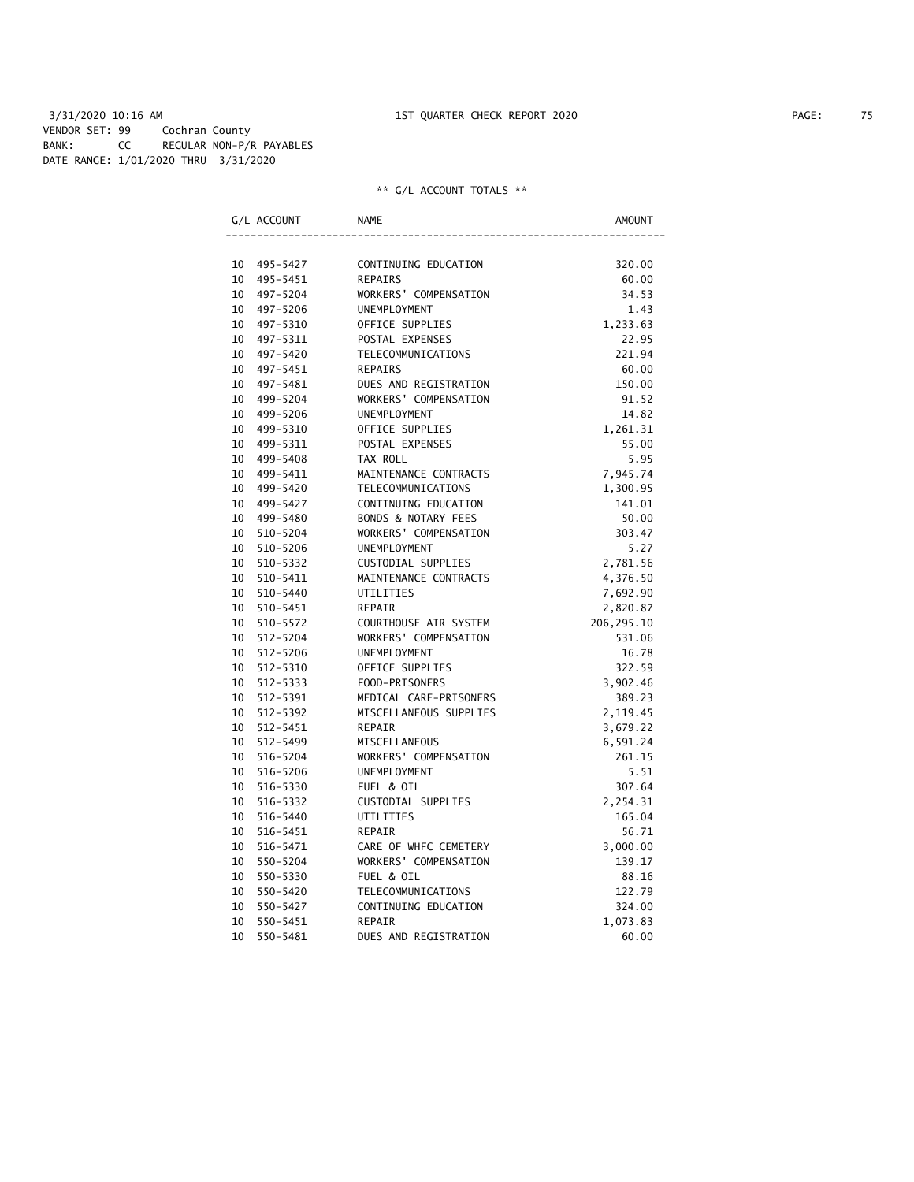3/31/2020 10:16 AM 1ST QUARTER CHECK REPORT 2020 PAGE: 75 VENDOR SET: 99 Cochran County BANK: CC REGULAR NON-P/R PAYABLES DATE RANGE: 1/01/2020 THRU 3/31/2020

|                 | G/L ACCOUNT  | <b>NAME</b>                    | AMOUNT      |
|-----------------|--------------|--------------------------------|-------------|
|                 |              |                                |             |
| 10              | 495-5427     | CONTINUING EDUCATION           | 320.00      |
| 10              | 495-5451     | <b>REPAIRS</b>                 | 60.00       |
| 10              | 497-5204     | WORKERS' COMPENSATION          | 34.53       |
| 10              | 497-5206     | UNEMPLOYMENT                   | 1.43        |
| 10              | 497-5310     | OFFICE SUPPLIES                | 1,233.63    |
| 10              | 497-5311     | POSTAL EXPENSES                | 22.95       |
| 10              | 497-5420     | <b>TELECOMMUNICATIONS</b>      | 221.94      |
| 10              | 497-5451     | REPAIRS                        | 60.00       |
| 10              | 497-5481     | DUES AND REGISTRATION          | 150.00      |
| 10              | 499-5204     | WORKERS' COMPENSATION          | 91.52       |
| 10              | 499-5206     | UNEMPLOYMENT                   | 14.82       |
| 10              | 499-5310     | OFFICE SUPPLIES                | 1,261.31    |
| 10              | 499-5311     | POSTAL EXPENSES                | 55.00       |
| 10 <sup>°</sup> | 499-5408     | TAX ROLL                       | 5.95        |
| 10              | 499-5411     | MAINTENANCE CONTRACTS          | 7,945.74    |
| 10              | 499-5420     | TELECOMMUNICATIONS             | 1,300.95    |
| 10              | 499-5427     | CONTINUING EDUCATION           | 141.01      |
| 10              | 499-5480     | <b>BONDS &amp; NOTARY FEES</b> | 50.00       |
| 10              | 510-5204     | WORKERS' COMPENSATION          | 303.47      |
| 10              | 510-5206     | <b>UNEMPLOYMENT</b>            | 5.27        |
| 10              | 510-5332     | CUSTODIAL SUPPLIES             | 2,781.56    |
| 10              | 510-5411     | MAINTENANCE CONTRACTS          | 4,376.50    |
| 10              | 510-5440     | UTILITIES                      | 7,692.90    |
| 10              | $510 - 5451$ | <b>REPAIR</b>                  | 2,820.87    |
| 10              | 510-5572     | COURTHOUSE AIR SYSTEM          | 206, 295.10 |
| 10              | $512 - 5204$ | WORKERS' COMPENSATION          | 531.06      |
| 10              | 512-5206     | <b>UNEMPLOYMENT</b>            | 16.78       |
| 10              | 512-5310     | OFFICE SUPPLIES                | 322.59      |
| 10              | 512-5333     | FOOD-PRISONERS                 | 3,902.46    |
| 10              | 512-5391     | MEDICAL CARE-PRISONERS         | 389.23      |
| 10              | 512-5392     | MISCELLANEOUS SUPPLIES         | 2,119.45    |
| 10              | 512-5451     | REPAIR                         | 3,679.22    |
| 10              | 512-5499     | MISCELLANEOUS                  | 6,591.24    |
| 10              | 516-5204     | WORKERS' COMPENSATION          | 261.15      |
| 10              | 516-5206     | UNEMPLOYMENT                   | 5.51        |
| 10              | 516-5330     | FUEL & OIL                     | 307.64      |
| 10              | 516-5332     | CUSTODIAL SUPPLIES             | 2,254.31    |
| 10              | 516-5440     | UTILITIES                      | 165.04      |
| 10              | 516-5451     | REPAIR                         | 56.71       |
| 10              | 516-5471     | CARE OF WHFC CEMETERY          | 3,000.00    |
| 10              | 550-5204     | WORKERS' COMPENSATION          | 139.17      |
| 10              | 550-5330     | FUEL & OIL                     | 88.16       |
| 10              | 550-5420     | TELECOMMUNICATIONS             | 122.79      |
| 10              | 550-5427     | CONTINUING EDUCATION           | 324.00      |
| 10              | 550-5451     | REPAIR                         | 1,073.83    |
| 10              | 550-5481     | DUES AND REGISTRATION          | 60.00       |
|                 |              |                                |             |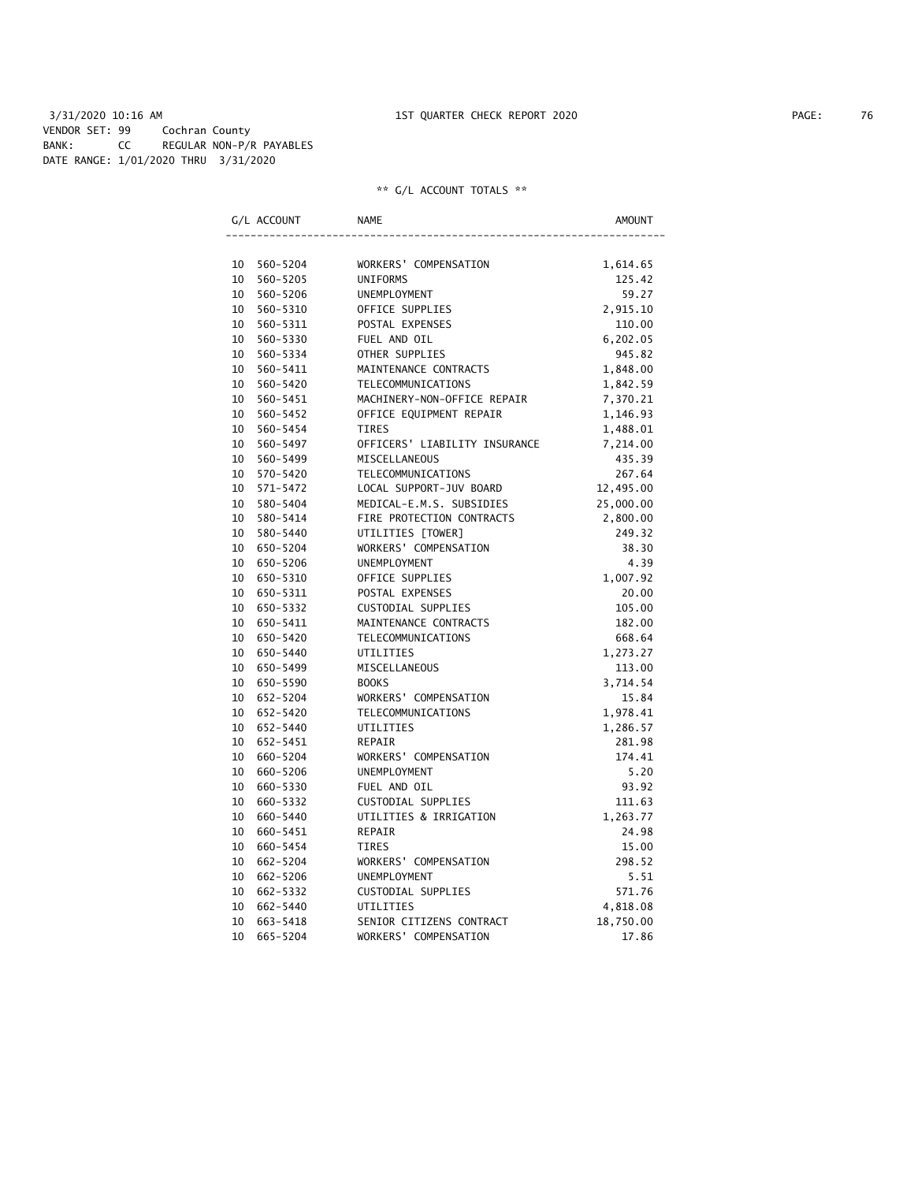3/31/2020 10:16 AM 1ST QUARTER CHECK REPORT 2020 PAGE: 76 VENDOR SET: 99 Cochran County BANK: CC REGULAR NON-P/R PAYABLES DATE RANGE: 1/01/2020 THRU 3/31/2020

|                 | G/L ACCOUNT | <b>NAME</b>                   | AMOUNT    |
|-----------------|-------------|-------------------------------|-----------|
|                 |             |                               |           |
| 10              | 560-5204    | WORKERS' COMPENSATION         | 1,614.65  |
| 10              | 560-5205    | <b>UNIFORMS</b>               | 125.42    |
| 10              | 560-5206    | UNEMPLOYMENT                  | 59.27     |
| 10              | 560-5310    | OFFICE SUPPLIES               | 2,915.10  |
| 10              | 560-5311    | POSTAL EXPENSES               | 110.00    |
| 10              | 560-5330    | FUEL AND OIL                  | 6,202.05  |
| 10              | 560-5334    | OTHER SUPPLIES                | 945.82    |
| 10              | 560-5411    | MAINTENANCE CONTRACTS         | 1,848.00  |
| 10              | 560-5420    | TELECOMMUNICATIONS            | 1,842.59  |
| 10              | 560-5451    | MACHINERY-NON-OFFICE REPAIR   | 7,370.21  |
| 10              | 560-5452    | OFFICE EQUIPMENT REPAIR       | 1,146.93  |
| 10              | 560-5454    | <b>TIRES</b>                  | 1,488.01  |
| 10              | 560-5497    | OFFICERS' LIABILITY INSURANCE | 7,214.00  |
| 10              | 560-5499    | MISCELLANEOUS                 | 435.39    |
| 10              | 570-5420    | TELECOMMUNICATIONS            | 267.64    |
| 10              | 571-5472    | LOCAL SUPPORT-JUV BOARD       | 12,495.00 |
| 10              | 580-5404    | MEDICAL-E.M.S. SUBSIDIES      | 25,000.00 |
| 10              | 580-5414    | FIRE PROTECTION CONTRACTS     | 2,800.00  |
| 10              | 580-5440    | UTILITIES [TOWER]             | 249.32    |
| 10              | 650-5204    | WORKERS' COMPENSATION         | 38.30     |
| 10              | 650-5206    | UNEMPLOYMENT                  | 4.39      |
| 10              | 650-5310    | OFFICE SUPPLIES               | 1,007.92  |
| 10              | 650-5311    | POSTAL EXPENSES               | 20.00     |
| 10              | 650-5332    | CUSTODIAL SUPPLIES            | 105.00    |
| 10              | 650-5411    | MAINTENANCE CONTRACTS         | 182.00    |
| 10              | 650-5420    | TELECOMMUNICATIONS            | 668.64    |
| 10              | 650-5440    | UTILITIES                     | 1,273.27  |
| 10              | 650-5499    | MISCELLANEOUS                 | 113.00    |
| 10              | 650-5590    | <b>BOOKS</b>                  | 3,714.54  |
| 10              | 652-5204    | WORKERS' COMPENSATION         | 15.84     |
| 10              | 652-5420    | <b>TELECOMMUNICATIONS</b>     | 1,978.41  |
| 10 <sup>1</sup> | 652-5440    | UTILITIES                     | 1,286.57  |
| 10              | 652-5451    | REPAIR                        | 281.98    |
| 10              | 660-5204    | WORKERS' COMPENSATION         | 174.41    |
| 10              | 660-5206    | <b>UNEMPLOYMENT</b>           | 5.20      |
| 10              | 660-5330    | FUEL AND OIL                  | 93.92     |
| 10              | 660-5332    | CUSTODIAL SUPPLIES            | 111.63    |
| 10              | 660-5440    | UTILITIES & IRRIGATION        | 1,263.77  |
| 10              | 660-5451    | <b>REPAIR</b>                 | 24.98     |
| 10              | 660-5454    | <b>TIRES</b>                  | 15.00     |
| 10              | 662-5204    | WORKERS' COMPENSATION         | 298.52    |
| 10              | 662-5206    | UNEMPLOYMENT                  | 5.51      |
| 10              | 662-5332    | CUSTODIAL SUPPLIES            | 571.76    |
| 10              | 662-5440    | UTILITIES                     | 4,818.08  |
| 10              | 663-5418    | SENIOR CITIZENS CONTRACT      | 18,750.00 |
| 10              | 665-5204    | WORKERS' COMPENSATION         | 17.86     |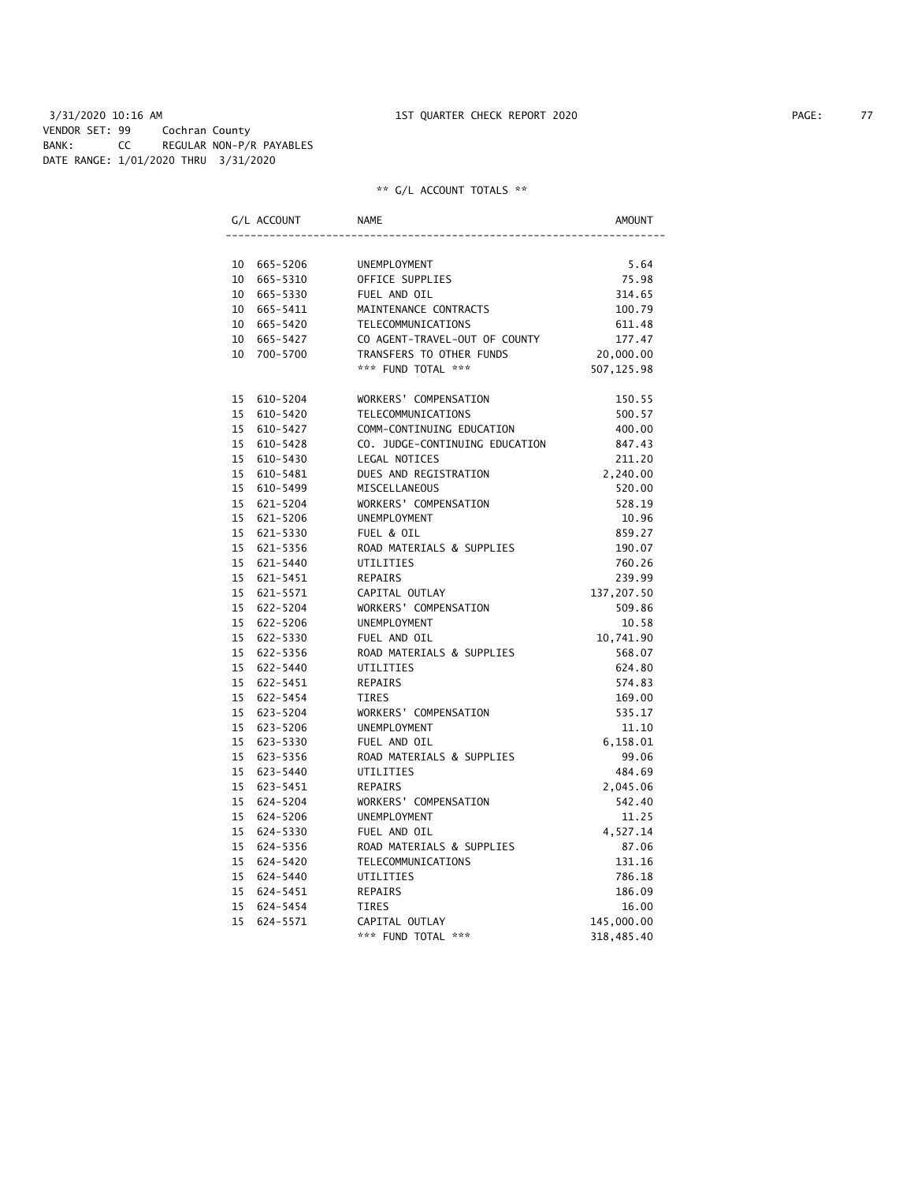## 3/31/2020 10:16 AM 1ST QUARTER CHECK REPORT 2020 PAGE: 77 VENDOR SET: 99 Cochran County BANK: CC REGULAR NON-P/R PAYABLES DATE RANGE: 1/01/2020 THRU 3/31/2020

|  | G/L ACCOUNT | NAME                           | AMOUNT     |
|--|-------------|--------------------------------|------------|
|  |             |                                |            |
|  | 10 665-5206 | UNEMPLOYMENT                   | 5.64       |
|  | 10 665-5310 | OFFICE SUPPLIES                | 75.98      |
|  | 10 665-5330 | FUEL AND OIL                   | 314.65     |
|  | 10 665-5411 | MAINTENANCE CONTRACTS          | 100.79     |
|  | 10 665-5420 | TELECOMMUNICATIONS             | 611.48     |
|  | 10 665-5427 | CO AGENT-TRAVEL-OUT OF COUNTY  | 177.47     |
|  | 10 700-5700 | TRANSFERS TO OTHER FUNDS       | 20,000.00  |
|  |             | *** FUND TOTAL ***             | 507,125.98 |
|  | 15 610-5204 | WORKERS' COMPENSATION          | 150.55     |
|  | 15 610-5420 | TELECOMMUNICATIONS             | 500.57     |
|  | 15 610-5427 | COMM-CONTINUING EDUCATION      | 400.00     |
|  | 15 610-5428 | CO. JUDGE-CONTINUING EDUCATION | 847.43     |
|  | 15 610-5430 | LEGAL NOTICES                  | 211.20     |
|  | 15 610-5481 | DUES AND REGISTRATION          | 2,240.00   |
|  | 15 610-5499 | MISCELLANEOUS                  | 520.00     |
|  | 15 621-5204 | WORKERS' COMPENSATION          | 528.19     |
|  | 15 621-5206 | UNEMPLOYMENT                   | 10.96      |
|  | 15 621-5330 | FUEL & OIL                     | 859.27     |
|  | 15 621-5356 | ROAD MATERIALS & SUPPLIES      | 190.07     |
|  | 15 621-5440 | UTILITIES                      | 760.26     |
|  | 15 621-5451 | <b>REPAIRS</b>                 | 239.99     |
|  | 15 621-5571 | CAPITAL OUTLAY                 | 137,207.50 |
|  | 15 622-5204 | WORKERS' COMPENSATION          | 509.86     |
|  | 15 622-5206 | UNEMPLOYMENT                   | 10.58      |
|  | 15 622-5330 | FUEL AND OIL                   | 10,741.90  |
|  | 15 622-5356 | ROAD MATERIALS & SUPPLIES      | 568.07     |
|  | 15 622-5440 | UTILITIES                      | 624.80     |
|  | 15 622-5451 | <b>REPAIRS</b>                 | 574.83     |
|  | 15 622-5454 | <b>TIRES</b>                   | 169.00     |
|  | 15 623-5204 | WORKERS' COMPENSATION          | 535.17     |
|  | 15 623-5206 | UNEMPLOYMENT                   | 11.10      |
|  | 15 623-5330 | FUEL AND OIL                   | 6,158.01   |
|  | 15 623-5356 | ROAD MATERIALS & SUPPLIES      | 99.06      |
|  | 15 623-5440 | UTILITIES                      | 484.69     |
|  | 15 623-5451 | <b>REPAIRS</b>                 | 2,045.06   |
|  | 15 624-5204 | WORKERS' COMPENSATION          | 542.40     |
|  | 15 624-5206 | <b>UNEMPLOYMENT</b>            | 11.25      |
|  | 15 624-5330 | FUEL AND OIL                   | 4,527.14   |
|  | 15 624-5356 | ROAD MATERIALS & SUPPLIES      | 87.06      |
|  | 15 624-5420 | TELECOMMUNICATIONS             | 131.16     |
|  | 15 624-5440 | UTILITIES                      | 786.18     |
|  | 15 624-5451 | <b>REPAIRS</b>                 | 186.09     |
|  | 15 624-5454 | <b>TIRES</b>                   | 16.00      |
|  | 15 624-5571 | CAPITAL OUTLAY                 | 145,000.00 |
|  |             | *** FUND TOTAL ***             | 318,485.40 |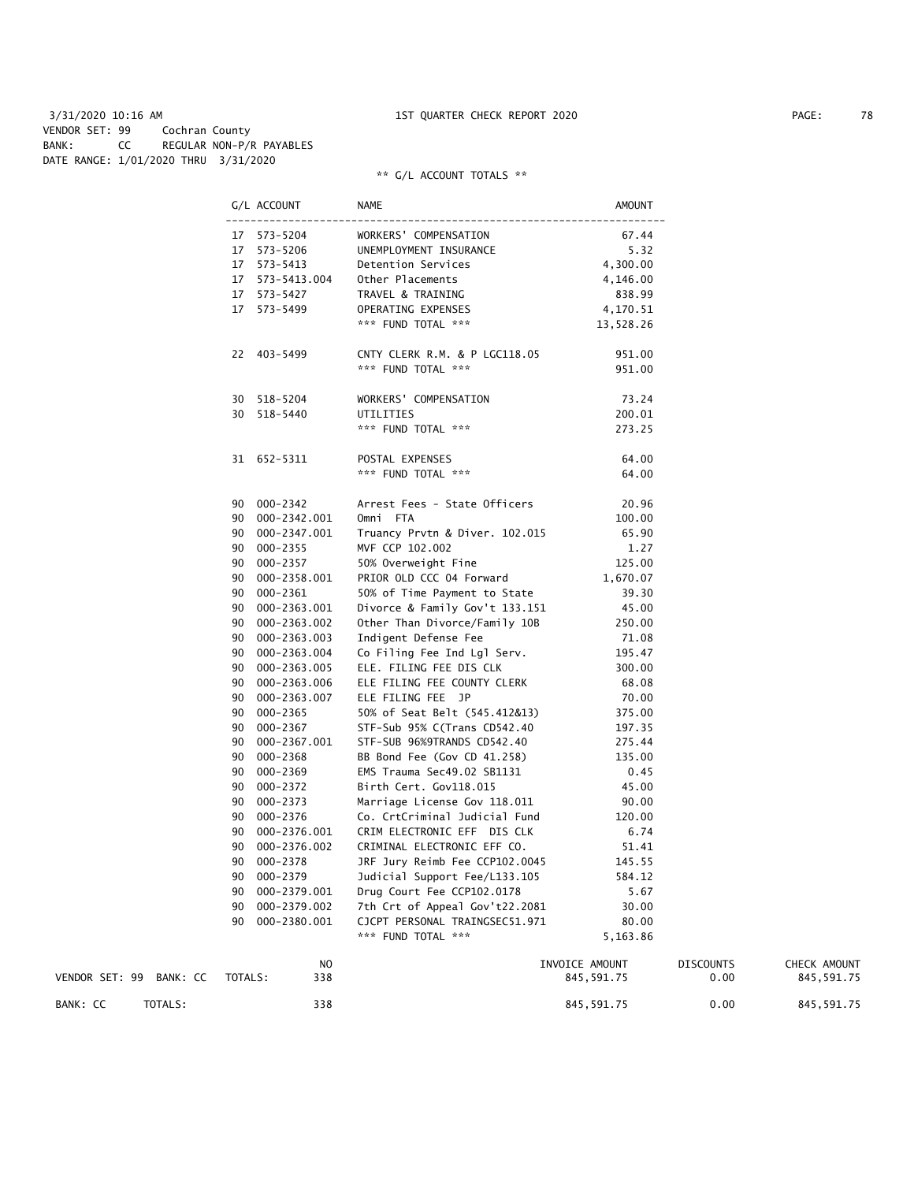#### 3/31/2020 10:16 AM 1ST QUARTER CHECK REPORT 2020 PAGE: 78 VENDOR SET: 99 Cochran County BANK: CC REGULAR NON-P/R PAYABLES DATE RANGE: 1/01/2020 THRU 3/31/2020

|                         | G/L ACCOUNT     | NAME                              | AMOUNT         |                  |              |
|-------------------------|-----------------|-----------------------------------|----------------|------------------|--------------|
|                         | 17 573-5204     | WORKERS' COMPENSATION             | 67.44          |                  |              |
|                         | 17  573-5206    | UNEMPLOYMENT INSURANCE            | 5.32           |                  |              |
|                         | 17 573-5413     | Detention Services                | 4,300.00       |                  |              |
|                         | 17 573-5413.004 | Other Placements                  | 4,146.00       |                  |              |
|                         | 17 573-5427     | TRAVEL & TRAINING                 | 838.99         |                  |              |
|                         | 17 573-5499     | OPERATING EXPENSES                | 4,170.51       |                  |              |
|                         |                 | *** FUND TOTAL ***                | 13,528.26      |                  |              |
|                         | 22 403-5499     | CNTY CLERK R.M. & P LGC118.05     | 951.00         |                  |              |
|                         |                 | *** FUND TOTAL ***                | 951.00         |                  |              |
|                         | 30 518-5204     | WORKERS' COMPENSATION             | 73.24          |                  |              |
|                         | 30 518-5440     | UTILITIES                         | 200.01         |                  |              |
|                         |                 | *** FUND TOTAL ***                | 273.25         |                  |              |
|                         | 31 652-5311     | POSTAL EXPENSES                   | 64.00          |                  |              |
|                         |                 | *** FUND TOTAL ***                | 64.00          |                  |              |
|                         | 90 000-2342     | Arrest Fees - State Officers      | 20.96          |                  |              |
|                         | 90 000-2342.001 | Omni FTA                          | 100.00         |                  |              |
|                         | 90 000-2347.001 | Truancy Prvtn & Diver. 102.015    | 65.90          |                  |              |
|                         | 90 000-2355     | MVF CCP 102.002                   | 1.27           |                  |              |
|                         | 90 000-2357     | 50% Overweight Fine               | 125.00         |                  |              |
|                         | 90 000-2358.001 | PRIOR OLD CCC 04 Forward 1,670.07 |                |                  |              |
|                         | 90 000-2361     | 50% of Time Payment to State      | 39.30          |                  |              |
|                         | 90 000-2363.001 | Divorce & Family Gov't 133.151    | 45.00          |                  |              |
|                         | 90 000-2363.002 | Other Than Divorce/Family 10B     | 250.00         |                  |              |
|                         | 90 000-2363.003 | Indigent Defense Fee              | 71.08          |                  |              |
|                         | 90 000-2363.004 | Co Filing Fee Ind Lgl Serv.       | 195.47         |                  |              |
|                         | 90 000-2363.005 | ELE. FILING FEE DIS CLK           | 300.00         |                  |              |
|                         | 90 000-2363.006 | ELE FILING FEE COUNTY CLERK       | 68.08          |                  |              |
|                         | 90 000-2363.007 | ELE FILING FEE JP                 | 70.00          |                  |              |
|                         | 90 000-2365     | 50% of Seat Belt (545.412&13)     | 375.00         |                  |              |
|                         | 90 000-2367     | STF-Sub 95% C(Trans CD542.40      | 197.35         |                  |              |
|                         | 90 000-2367.001 | STF-SUB 96%9TRANDS CD542.40       | 275.44         |                  |              |
|                         | 90 000-2368     | BB Bond Fee (Gov CD 41.258)       | 135.00         |                  |              |
|                         | 90 000-2369     | EMS Trauma Sec49.02 SB1131        | 0.45           |                  |              |
|                         | 90 000-2372     | Birth Cert. Gov118.015            | 45.00          |                  |              |
|                         | 90 000-2373     | Marriage License Gov 118.011      | 90.00          |                  |              |
|                         | 90 000-2376     | Co. CrtCriminal Judicial Fund     | 120.00         |                  |              |
|                         | 90 000-2376.001 | CRIM ELECTRONIC EFF DIS CLK       | 6.74           |                  |              |
|                         | 90 000-2376.002 | CRIMINAL ELECTRONIC EFF CO.       | 51.41          |                  |              |
|                         | 90 000-2378     | JRF Jury Reimb Fee CCP102.0045    | 145.55         |                  |              |
|                         | 90 000-2379     | Judicial Support Fee/L133.105     | 584.12         |                  |              |
|                         | 90 000-2379.001 | Drug Court Fee CCP102.0178        | 5.67           |                  |              |
|                         | 90 000-2379.002 | 7th Crt of Appeal Gov't22.2081    | 30.00          |                  |              |
|                         | 90 000-2380.001 | CJCPT PERSONAL TRAINGSEC51.971    | 80.00          |                  |              |
|                         |                 | *** FUND TOTAL ***                | 5,163.86       |                  |              |
|                         | NO              |                                   | INVOICE AMOUNT | <b>DISCOUNTS</b> | CHECK AMOUNT |
| VENDOR SET: 99 BANK: CC | TOTALS:<br>338  |                                   | 845, 591.75    | 0.00             | 845, 591.75  |
| BANK: CC<br>TOTALS:     | 338             |                                   | 845, 591.75    | 0.00             | 845, 591.75  |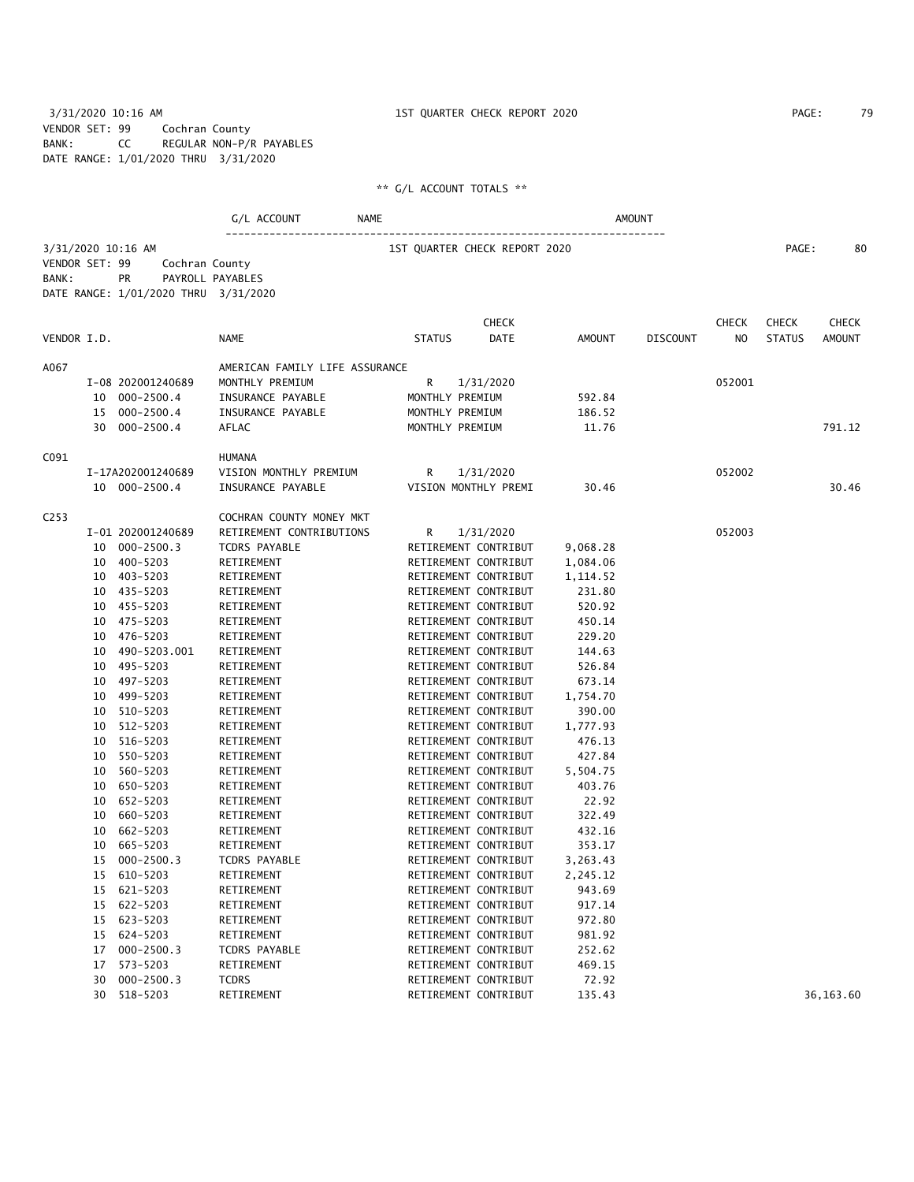3/31/2020 10:16 AM 1ST QUARTER CHECK REPORT 2020 PAGE: 79 VENDOR SET: 99 Cochran County BANK: CC REGULAR NON-P/R PAYABLES DATE RANGE: 1/01/2020 THRU 3/31/2020

## \*\* G/L ACCOUNT TOTALS \*\*

# G/L ACCOUNT NAME NAME ----------------------------------------------------------------------

3/31/2020 10:16 AM 1ST QUARTER CHECK REPORT 2020 PAGE: 80

VENDOR SET: 99 Cochran County BANK: PR PAYROLL PAYABLES DATE RANGE: 1/01/2020 THRU 3/31/2020

| VENDOR I.D. |    |                   | NAME                           | <b>STATUS</b>   | DATE                 | <b>AMOUNT</b> | <b>DISCOUNT</b> | NO.    | <b>STATUS</b> | AMOUNT    |
|-------------|----|-------------------|--------------------------------|-----------------|----------------------|---------------|-----------------|--------|---------------|-----------|
| A067        |    |                   | AMERICAN FAMILY LIFE ASSURANCE |                 |                      |               |                 |        |               |           |
|             |    | I-08 202001240689 | MONTHLY PREMIUM                | R               | 1/31/2020            |               |                 | 052001 |               |           |
|             |    | 10 000-2500.4     | INSURANCE PAYABLE              | MONTHLY PREMIUM |                      | 592.84        |                 |        |               |           |
|             |    | 15 000-2500.4     | INSURANCE PAYABLE              | MONTHLY PREMIUM |                      | 186.52        |                 |        |               |           |
|             |    | 30 000-2500.4     | AFLAC                          | MONTHLY PREMIUM |                      | 11.76         |                 |        |               | 791.12    |
| C091        |    |                   | HUMANA                         |                 |                      |               |                 |        |               |           |
|             |    | I-17A202001240689 | VISION MONTHLY PREMIUM         | R               | 1/31/2020            |               |                 | 052002 |               |           |
|             |    | 10 000-2500.4     | INSURANCE PAYABLE              |                 | VISION MONTHLY PREMI | 30.46         |                 |        |               | 30.46     |
| C253        |    |                   | COCHRAN COUNTY MONEY MKT       |                 |                      |               |                 |        |               |           |
|             |    | I-01 202001240689 | RETIREMENT CONTRIBUTIONS       | R               | 1/31/2020            |               |                 | 052003 |               |           |
|             |    | 10 000-2500.3     | TCDRS PAYABLE                  |                 | RETIREMENT CONTRIBUT | 9,068.28      |                 |        |               |           |
|             |    | 10 400-5203       | RETIREMENT                     |                 | RETIREMENT CONTRIBUT | 1,084.06      |                 |        |               |           |
|             |    | 10 403-5203       | RETIREMENT                     |                 | RETIREMENT CONTRIBUT | 1,114.52      |                 |        |               |           |
|             |    | 10 435-5203       | RETIREMENT                     |                 | RETIREMENT CONTRIBUT | 231.80        |                 |        |               |           |
|             |    | 10 455-5203       | RETIREMENT                     |                 | RETIREMENT CONTRIBUT | 520.92        |                 |        |               |           |
|             |    | 10 475-5203       | RETIREMENT                     |                 | RETIREMENT CONTRIBUT | 450.14        |                 |        |               |           |
|             |    | 10 476-5203       | RETIREMENT                     |                 | RETIREMENT CONTRIBUT | 229.20        |                 |        |               |           |
|             |    | 10 490-5203.001   | RETIREMENT                     |                 | RETIREMENT CONTRIBUT | 144.63        |                 |        |               |           |
|             |    | 10 495-5203       | RETIREMENT                     |                 | RETIREMENT CONTRIBUT | 526.84        |                 |        |               |           |
|             |    | 10 497-5203       | RETIREMENT                     |                 | RETIREMENT CONTRIBUT | 673.14        |                 |        |               |           |
|             |    | 10 499-5203       | RETIREMENT                     |                 | RETIREMENT CONTRIBUT | 1,754.70      |                 |        |               |           |
|             |    | 10 510-5203       | RETIREMENT                     |                 | RETIREMENT CONTRIBUT | 390.00        |                 |        |               |           |
|             |    | 10 512-5203       | RETIREMENT                     |                 | RETIREMENT CONTRIBUT | 1,777.93      |                 |        |               |           |
|             |    | 10 516-5203       | RETIREMENT                     |                 | RETIREMENT CONTRIBUT | 476.13        |                 |        |               |           |
|             |    | 10 550-5203       | RETIREMENT                     |                 | RETIREMENT CONTRIBUT | 427.84        |                 |        |               |           |
|             |    | 10 560-5203       | RETIREMENT                     |                 | RETIREMENT CONTRIBUT | 5,504.75      |                 |        |               |           |
|             |    | 10 650-5203       | RETIREMENT                     |                 | RETIREMENT CONTRIBUT | 403.76        |                 |        |               |           |
|             |    | 10 652-5203       | RETIREMENT                     |                 | RETIREMENT CONTRIBUT | 22.92         |                 |        |               |           |
|             |    | 10 660-5203       | RETIREMENT                     |                 | RETIREMENT CONTRIBUT | 322.49        |                 |        |               |           |
|             |    | 10 662-5203       | RETIREMENT                     |                 | RETIREMENT CONTRIBUT | 432.16        |                 |        |               |           |
|             | 10 | 665-5203          | RETIREMENT                     |                 | RETIREMENT CONTRIBUT | 353.17        |                 |        |               |           |
|             |    | 15 000-2500.3     | TCDRS PAYABLE                  |                 | RETIREMENT CONTRIBUT | 3,263.43      |                 |        |               |           |
|             |    | 15 610-5203       | RETIREMENT                     |                 | RETIREMENT CONTRIBUT | 2,245.12      |                 |        |               |           |
|             |    | 15 621-5203       | RETIREMENT                     |                 | RETIREMENT CONTRIBUT | 943.69        |                 |        |               |           |
|             |    | 15 622-5203       | RETIREMENT                     |                 | RETIREMENT CONTRIBUT | 917.14        |                 |        |               |           |
|             |    | 15 623-5203       | RETIREMENT                     |                 | RETIREMENT CONTRIBUT | 972.80        |                 |        |               |           |
|             | 15 | 624-5203          | RETIREMENT                     |                 | RETIREMENT CONTRIBUT | 981.92        |                 |        |               |           |
|             |    | 17 000-2500.3     | TCDRS PAYABLE                  |                 | RETIREMENT CONTRIBUT | 252.62        |                 |        |               |           |
|             | 17 | 573-5203          | RETIREMENT                     |                 | RETIREMENT CONTRIBUT | 469.15        |                 |        |               |           |
|             | 30 | $000 - 2500.3$    | <b>TCDRS</b>                   |                 | RETIREMENT CONTRIBUT | 72.92         |                 |        |               |           |
|             |    | 30 518-5203       | RETIREMENT                     |                 | RETIREMENT CONTRIBUT | 135.43        |                 |        |               | 36,163.60 |

CHECK CHECK CHECK CHECK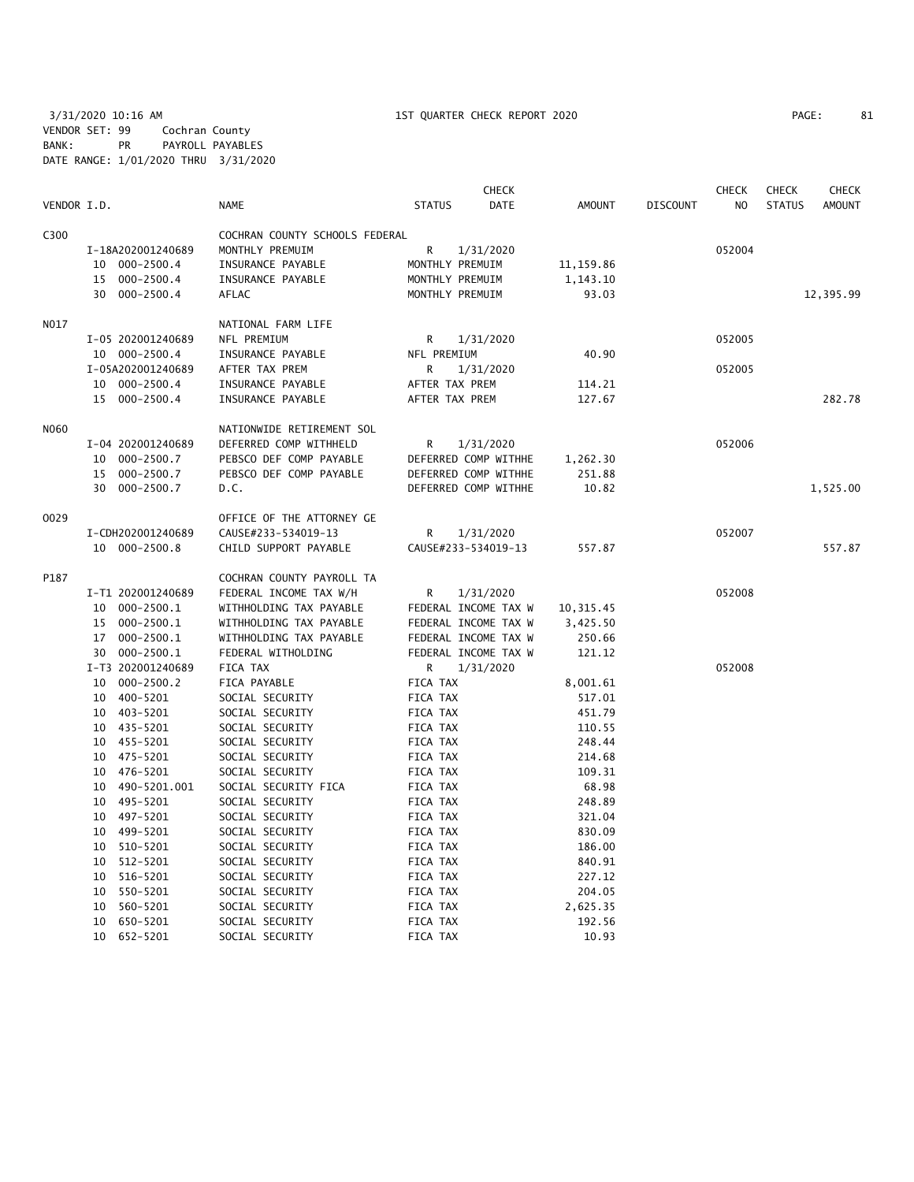| VENDOR I.D.<br><b>STATUS</b><br>DATE<br>AMOUNT<br><b>DISCOUNT</b><br>N <sub>O</sub><br><b>STATUS</b><br><b>NAME</b><br>C300<br>COCHRAN COUNTY SCHOOLS FEDERAL<br>I-18A202001240689<br>MONTHLY PREMUIM<br>R<br>1/31/2020<br>052004<br>10 000-2500.4<br>INSURANCE PAYABLE<br>MONTHLY PREMUIM<br>11,159.86<br>$000 - 2500.4$<br>15<br>INSURANCE PAYABLE<br>MONTHLY PREMUIM<br>1,143.10<br>$000 - 2500.4$<br>AFLAC<br>MONTHLY PREMUIM<br>93.03<br>12,395.99<br>30<br>N017<br>NATIONAL FARM LIFE<br>NFL PREMIUM<br>I-05 202001240689<br>R<br>1/31/2020<br>052005<br>10 000-2500.4<br>NFL PREMIUM<br>40.90<br>INSURANCE PAYABLE<br>I-05A202001240689<br>AFTER TAX PREM<br>1/31/2020<br>052005<br>R<br>10 000-2500.4<br>INSURANCE PAYABLE<br>AFTER TAX PREM<br>114.21<br>15 000-2500.4<br>INSURANCE PAYABLE<br>AFTER TAX PREM<br>127.67<br>N060<br>NATIONWIDE RETIREMENT SOL<br>DEFERRED COMP WITHHELD<br>R<br>052006<br>I-04 202001240689<br>1/31/2020<br>$000 - 2500.7$<br>PEBSCO DEF COMP PAYABLE<br>DEFERRED COMP WITHHE<br>10<br>1,262.30<br>$000 - 2500.7$<br>PEBSCO DEF COMP PAYABLE<br>DEFERRED COMP WITHHE<br>251.88<br>15<br>30<br>$000 - 2500.7$<br>D.C.<br>DEFERRED COMP WITHHE<br>10.82<br>1,525.00<br>0029<br>OFFICE OF THE ATTORNEY GE<br>CAUSE#233-534019-13<br>R<br>052007<br>I-CDH202001240689<br>1/31/2020<br>10 000-2500.8<br>CHILD SUPPORT PAYABLE<br>CAUSE#233-534019-13<br>557.87<br>P187<br>COCHRAN COUNTY PAYROLL TA | <b>CHECK</b>  |
|----------------------------------------------------------------------------------------------------------------------------------------------------------------------------------------------------------------------------------------------------------------------------------------------------------------------------------------------------------------------------------------------------------------------------------------------------------------------------------------------------------------------------------------------------------------------------------------------------------------------------------------------------------------------------------------------------------------------------------------------------------------------------------------------------------------------------------------------------------------------------------------------------------------------------------------------------------------------------------------------------------------------------------------------------------------------------------------------------------------------------------------------------------------------------------------------------------------------------------------------------------------------------------------------------------------------------------------------------------------------------------------------------------------------------------------|---------------|
|                                                                                                                                                                                                                                                                                                                                                                                                                                                                                                                                                                                                                                                                                                                                                                                                                                                                                                                                                                                                                                                                                                                                                                                                                                                                                                                                                                                                                                        | <b>AMOUNT</b> |
|                                                                                                                                                                                                                                                                                                                                                                                                                                                                                                                                                                                                                                                                                                                                                                                                                                                                                                                                                                                                                                                                                                                                                                                                                                                                                                                                                                                                                                        |               |
|                                                                                                                                                                                                                                                                                                                                                                                                                                                                                                                                                                                                                                                                                                                                                                                                                                                                                                                                                                                                                                                                                                                                                                                                                                                                                                                                                                                                                                        |               |
|                                                                                                                                                                                                                                                                                                                                                                                                                                                                                                                                                                                                                                                                                                                                                                                                                                                                                                                                                                                                                                                                                                                                                                                                                                                                                                                                                                                                                                        |               |
|                                                                                                                                                                                                                                                                                                                                                                                                                                                                                                                                                                                                                                                                                                                                                                                                                                                                                                                                                                                                                                                                                                                                                                                                                                                                                                                                                                                                                                        |               |
|                                                                                                                                                                                                                                                                                                                                                                                                                                                                                                                                                                                                                                                                                                                                                                                                                                                                                                                                                                                                                                                                                                                                                                                                                                                                                                                                                                                                                                        |               |
|                                                                                                                                                                                                                                                                                                                                                                                                                                                                                                                                                                                                                                                                                                                                                                                                                                                                                                                                                                                                                                                                                                                                                                                                                                                                                                                                                                                                                                        |               |
|                                                                                                                                                                                                                                                                                                                                                                                                                                                                                                                                                                                                                                                                                                                                                                                                                                                                                                                                                                                                                                                                                                                                                                                                                                                                                                                                                                                                                                        |               |
|                                                                                                                                                                                                                                                                                                                                                                                                                                                                                                                                                                                                                                                                                                                                                                                                                                                                                                                                                                                                                                                                                                                                                                                                                                                                                                                                                                                                                                        |               |
|                                                                                                                                                                                                                                                                                                                                                                                                                                                                                                                                                                                                                                                                                                                                                                                                                                                                                                                                                                                                                                                                                                                                                                                                                                                                                                                                                                                                                                        |               |
|                                                                                                                                                                                                                                                                                                                                                                                                                                                                                                                                                                                                                                                                                                                                                                                                                                                                                                                                                                                                                                                                                                                                                                                                                                                                                                                                                                                                                                        |               |
|                                                                                                                                                                                                                                                                                                                                                                                                                                                                                                                                                                                                                                                                                                                                                                                                                                                                                                                                                                                                                                                                                                                                                                                                                                                                                                                                                                                                                                        | 282.78        |
|                                                                                                                                                                                                                                                                                                                                                                                                                                                                                                                                                                                                                                                                                                                                                                                                                                                                                                                                                                                                                                                                                                                                                                                                                                                                                                                                                                                                                                        |               |
|                                                                                                                                                                                                                                                                                                                                                                                                                                                                                                                                                                                                                                                                                                                                                                                                                                                                                                                                                                                                                                                                                                                                                                                                                                                                                                                                                                                                                                        |               |
|                                                                                                                                                                                                                                                                                                                                                                                                                                                                                                                                                                                                                                                                                                                                                                                                                                                                                                                                                                                                                                                                                                                                                                                                                                                                                                                                                                                                                                        |               |
|                                                                                                                                                                                                                                                                                                                                                                                                                                                                                                                                                                                                                                                                                                                                                                                                                                                                                                                                                                                                                                                                                                                                                                                                                                                                                                                                                                                                                                        |               |
|                                                                                                                                                                                                                                                                                                                                                                                                                                                                                                                                                                                                                                                                                                                                                                                                                                                                                                                                                                                                                                                                                                                                                                                                                                                                                                                                                                                                                                        |               |
|                                                                                                                                                                                                                                                                                                                                                                                                                                                                                                                                                                                                                                                                                                                                                                                                                                                                                                                                                                                                                                                                                                                                                                                                                                                                                                                                                                                                                                        |               |
|                                                                                                                                                                                                                                                                                                                                                                                                                                                                                                                                                                                                                                                                                                                                                                                                                                                                                                                                                                                                                                                                                                                                                                                                                                                                                                                                                                                                                                        |               |
|                                                                                                                                                                                                                                                                                                                                                                                                                                                                                                                                                                                                                                                                                                                                                                                                                                                                                                                                                                                                                                                                                                                                                                                                                                                                                                                                                                                                                                        | 557.87        |
|                                                                                                                                                                                                                                                                                                                                                                                                                                                                                                                                                                                                                                                                                                                                                                                                                                                                                                                                                                                                                                                                                                                                                                                                                                                                                                                                                                                                                                        |               |
| I-T1 202001240689<br>FEDERAL INCOME TAX W/H<br>052008<br>R<br>1/31/2020                                                                                                                                                                                                                                                                                                                                                                                                                                                                                                                                                                                                                                                                                                                                                                                                                                                                                                                                                                                                                                                                                                                                                                                                                                                                                                                                                                |               |
| 10<br>000-2500.1<br>WITHHOLDING TAX PAYABLE<br>FEDERAL INCOME TAX W<br>10, 315.45                                                                                                                                                                                                                                                                                                                                                                                                                                                                                                                                                                                                                                                                                                                                                                                                                                                                                                                                                                                                                                                                                                                                                                                                                                                                                                                                                      |               |
| 000-2500.1<br>WITHHOLDING TAX PAYABLE<br>FEDERAL INCOME TAX W<br>15<br>3,425.50                                                                                                                                                                                                                                                                                                                                                                                                                                                                                                                                                                                                                                                                                                                                                                                                                                                                                                                                                                                                                                                                                                                                                                                                                                                                                                                                                        |               |
| $000 - 2500.1$<br>WITHHOLDING TAX PAYABLE<br>FEDERAL INCOME TAX W<br>250.66<br>17                                                                                                                                                                                                                                                                                                                                                                                                                                                                                                                                                                                                                                                                                                                                                                                                                                                                                                                                                                                                                                                                                                                                                                                                                                                                                                                                                      |               |
| 30<br>000-2500.1<br>FEDERAL WITHOLDING<br>FEDERAL INCOME TAX W<br>121.12                                                                                                                                                                                                                                                                                                                                                                                                                                                                                                                                                                                                                                                                                                                                                                                                                                                                                                                                                                                                                                                                                                                                                                                                                                                                                                                                                               |               |
| I-T3 202001240689<br>R.<br>FICA TAX<br>1/31/2020<br>052008                                                                                                                                                                                                                                                                                                                                                                                                                                                                                                                                                                                                                                                                                                                                                                                                                                                                                                                                                                                                                                                                                                                                                                                                                                                                                                                                                                             |               |
| 000-2500.2<br>FICA PAYABLE<br>FICA TAX<br>10<br>8,001.61                                                                                                                                                                                                                                                                                                                                                                                                                                                                                                                                                                                                                                                                                                                                                                                                                                                                                                                                                                                                                                                                                                                                                                                                                                                                                                                                                                               |               |
| 400-5201<br>FICA TAX<br>10<br>SOCIAL SECURITY<br>517.01                                                                                                                                                                                                                                                                                                                                                                                                                                                                                                                                                                                                                                                                                                                                                                                                                                                                                                                                                                                                                                                                                                                                                                                                                                                                                                                                                                                |               |
| 403-5201<br>SOCIAL SECURITY<br>FICA TAX<br>451.79<br>10                                                                                                                                                                                                                                                                                                                                                                                                                                                                                                                                                                                                                                                                                                                                                                                                                                                                                                                                                                                                                                                                                                                                                                                                                                                                                                                                                                                |               |
| 10 435-5201<br>SOCIAL SECURITY<br>FICA TAX<br>110.55                                                                                                                                                                                                                                                                                                                                                                                                                                                                                                                                                                                                                                                                                                                                                                                                                                                                                                                                                                                                                                                                                                                                                                                                                                                                                                                                                                                   |               |
| 455-5201<br>SOCIAL SECURITY<br>FICA TAX<br>248.44<br>10                                                                                                                                                                                                                                                                                                                                                                                                                                                                                                                                                                                                                                                                                                                                                                                                                                                                                                                                                                                                                                                                                                                                                                                                                                                                                                                                                                                |               |
| 475-5201<br>10<br>SOCIAL SECURITY<br>FICA TAX<br>214.68                                                                                                                                                                                                                                                                                                                                                                                                                                                                                                                                                                                                                                                                                                                                                                                                                                                                                                                                                                                                                                                                                                                                                                                                                                                                                                                                                                                |               |
| 476-5201<br>SOCIAL SECURITY<br>109.31<br>10<br>FICA TAX                                                                                                                                                                                                                                                                                                                                                                                                                                                                                                                                                                                                                                                                                                                                                                                                                                                                                                                                                                                                                                                                                                                                                                                                                                                                                                                                                                                |               |
| 490-5201.001<br>SOCIAL SECURITY FICA<br>FICA TAX<br>68.98<br>10                                                                                                                                                                                                                                                                                                                                                                                                                                                                                                                                                                                                                                                                                                                                                                                                                                                                                                                                                                                                                                                                                                                                                                                                                                                                                                                                                                        |               |
| 495-5201<br>SOCIAL SECURITY<br>FICA TAX<br>248.89<br>10                                                                                                                                                                                                                                                                                                                                                                                                                                                                                                                                                                                                                                                                                                                                                                                                                                                                                                                                                                                                                                                                                                                                                                                                                                                                                                                                                                                |               |
| 10 497-5201<br>SOCIAL SECURITY<br>321.04<br>FICA TAX                                                                                                                                                                                                                                                                                                                                                                                                                                                                                                                                                                                                                                                                                                                                                                                                                                                                                                                                                                                                                                                                                                                                                                                                                                                                                                                                                                                   |               |
| 499–5201<br>SOCIAL SECURITY<br>FICA TAX<br>830.09<br>10<br>510-5201<br>10                                                                                                                                                                                                                                                                                                                                                                                                                                                                                                                                                                                                                                                                                                                                                                                                                                                                                                                                                                                                                                                                                                                                                                                                                                                                                                                                                              |               |
| SOCIAL SECURITY<br>FICA TAX<br>186.00<br>512-5201<br>FICA TAX<br>840.91<br>10                                                                                                                                                                                                                                                                                                                                                                                                                                                                                                                                                                                                                                                                                                                                                                                                                                                                                                                                                                                                                                                                                                                                                                                                                                                                                                                                                          |               |
| SOCIAL SECURITY<br>516-5201<br>FICA TAX<br>227.12<br>10<br>SOCIAL SECURITY                                                                                                                                                                                                                                                                                                                                                                                                                                                                                                                                                                                                                                                                                                                                                                                                                                                                                                                                                                                                                                                                                                                                                                                                                                                                                                                                                             |               |
| 10<br>550-5201<br>SOCIAL SECURITY<br>FICA TAX<br>204.05                                                                                                                                                                                                                                                                                                                                                                                                                                                                                                                                                                                                                                                                                                                                                                                                                                                                                                                                                                                                                                                                                                                                                                                                                                                                                                                                                                                |               |
| 560-5201<br>FICA TAX<br>2,625.35<br>10<br>SOCIAL SECURITY                                                                                                                                                                                                                                                                                                                                                                                                                                                                                                                                                                                                                                                                                                                                                                                                                                                                                                                                                                                                                                                                                                                                                                                                                                                                                                                                                                              |               |
| 650-5201<br>192.56<br>10<br>SOCIAL SECURITY<br>FICA TAX                                                                                                                                                                                                                                                                                                                                                                                                                                                                                                                                                                                                                                                                                                                                                                                                                                                                                                                                                                                                                                                                                                                                                                                                                                                                                                                                                                                |               |
| 10<br>652-5201<br><b>FICA TAX</b><br>10.93<br>SOCIAL SECURITY                                                                                                                                                                                                                                                                                                                                                                                                                                                                                                                                                                                                                                                                                                                                                                                                                                                                                                                                                                                                                                                                                                                                                                                                                                                                                                                                                                          |               |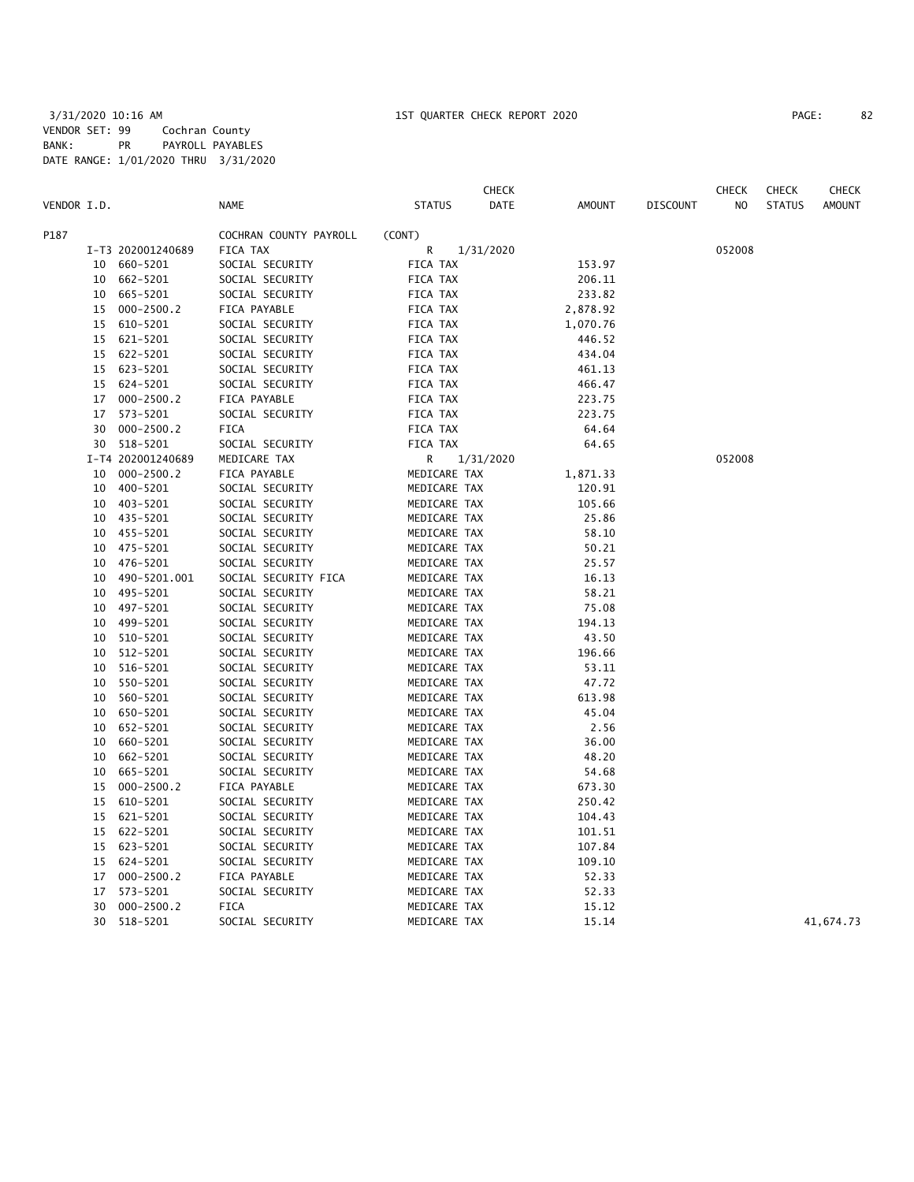|             |    |                   |                        |                | <b>CHECK</b>          |                 | <b>CHECK</b> | <b>CHECK</b>  | CHECK         |
|-------------|----|-------------------|------------------------|----------------|-----------------------|-----------------|--------------|---------------|---------------|
| VENDOR I.D. |    |                   | <b>NAME</b>            | <b>STATUS</b>  | DATE<br><b>AMOUNT</b> | <b>DISCOUNT</b> | NO.          | <b>STATUS</b> | <b>AMOUNT</b> |
| P187        |    |                   | COCHRAN COUNTY PAYROLL | (CONT)         |                       |                 |              |               |               |
|             |    | I-T3 202001240689 | FICA TAX               | R<br>1/31/2020 |                       |                 | 052008       |               |               |
|             | 10 | 660-5201          | SOCIAL SECURITY        | FICA TAX       | 153.97                |                 |              |               |               |
|             | 10 | 662-5201          | SOCIAL SECURITY        | FICA TAX       | 206.11                |                 |              |               |               |
|             |    | 10 665-5201       | SOCIAL SECURITY        | FICA TAX       | 233.82                |                 |              |               |               |
|             | 15 | $000 - 2500.2$    | FICA PAYABLE           | FICA TAX       | 2,878.92              |                 |              |               |               |
|             | 15 | 610-5201          | SOCIAL SECURITY        | FICA TAX       | 1,070.76              |                 |              |               |               |
|             | 15 | 621-5201          | SOCIAL SECURITY        | FICA TAX       | 446.52                |                 |              |               |               |
|             |    | 15 622-5201       | SOCIAL SECURITY        | FICA TAX       | 434.04                |                 |              |               |               |
|             | 15 | 623-5201          | SOCIAL SECURITY        | FICA TAX       | 461.13                |                 |              |               |               |
|             | 15 | 624-5201          | SOCIAL SECURITY        | FICA TAX       | 466.47                |                 |              |               |               |
|             | 17 | $000 - 2500.2$    | FICA PAYABLE           | FICA TAX       | 223.75                |                 |              |               |               |
|             | 17 | 573-5201          | SOCIAL SECURITY        | FICA TAX       | 223.75                |                 |              |               |               |
|             |    | 30 000-2500.2     | FICA                   | FICA TAX       | 64.64                 |                 |              |               |               |
|             |    | 30 518-5201       | SOCIAL SECURITY        | FICA TAX       | 64.65                 |                 |              |               |               |
|             |    | I-T4 202001240689 | MEDICARE TAX           | R<br>1/31/2020 |                       |                 | 052008       |               |               |
|             | 10 | 000-2500.2        | FICA PAYABLE           | MEDICARE TAX   | 1,871.33              |                 |              |               |               |
|             | 10 | 400-5201          | SOCIAL SECURITY        | MEDICARE TAX   | 120.91                |                 |              |               |               |
|             | 10 | 403-5201          | SOCIAL SECURITY        | MEDICARE TAX   | 105.66                |                 |              |               |               |
|             | 10 | 435-5201          | SOCIAL SECURITY        | MEDICARE TAX   | 25.86                 |                 |              |               |               |
|             | 10 | 455-5201          | SOCIAL SECURITY        | MEDICARE TAX   | 58.10                 |                 |              |               |               |
|             | 10 | 475-5201          | SOCIAL SECURITY        | MEDICARE TAX   | 50.21                 |                 |              |               |               |
|             | 10 | 476-5201          | SOCIAL SECURITY        | MEDICARE TAX   | 25.57                 |                 |              |               |               |
|             | 10 | 490-5201.001      | SOCIAL SECURITY FICA   | MEDICARE TAX   | 16.13                 |                 |              |               |               |
|             | 10 | 495-5201          | SOCIAL SECURITY        | MEDICARE TAX   | 58.21                 |                 |              |               |               |
|             | 10 | 497-5201          | SOCIAL SECURITY        | MEDICARE TAX   | 75.08                 |                 |              |               |               |
|             | 10 | 499-5201          | SOCIAL SECURITY        | MEDICARE TAX   | 194.13                |                 |              |               |               |
|             | 10 | 510-5201          | SOCIAL SECURITY        | MEDICARE TAX   | 43.50                 |                 |              |               |               |
|             | 10 | 512-5201          | SOCIAL SECURITY        | MEDICARE TAX   | 196.66                |                 |              |               |               |
|             | 10 | 516-5201          | SOCIAL SECURITY        | MEDICARE TAX   | 53.11                 |                 |              |               |               |
|             | 10 | 550-5201          | SOCIAL SECURITY        | MEDICARE TAX   | 47.72                 |                 |              |               |               |
|             | 10 | 560-5201          | SOCIAL SECURITY        | MEDICARE TAX   | 613.98                |                 |              |               |               |
|             | 10 | 650-5201          | SOCIAL SECURITY        | MEDICARE TAX   | 45.04                 |                 |              |               |               |
|             | 10 | 652-5201          | SOCIAL SECURITY        | MEDICARE TAX   | 2.56                  |                 |              |               |               |
|             | 10 | 660-5201          | SOCIAL SECURITY        | MEDICARE TAX   | 36.00                 |                 |              |               |               |
|             | 10 | 662-5201          | SOCIAL SECURITY        | MEDICARE TAX   | 48.20                 |                 |              |               |               |
|             | 10 | 665-5201          | SOCIAL SECURITY        | MEDICARE TAX   | 54.68                 |                 |              |               |               |
|             | 15 | $000 - 2500.2$    | FICA PAYABLE           | MEDICARE TAX   | 673.30                |                 |              |               |               |
|             | 15 | 610-5201          | SOCIAL SECURITY        | MEDICARE TAX   | 250.42                |                 |              |               |               |
|             | 15 | 621-5201          | SOCIAL SECURITY        | MEDICARE TAX   | 104.43                |                 |              |               |               |
|             |    | 15 622-5201       | SOCIAL SECURITY        | MEDICARE TAX   | 101.51                |                 |              |               |               |
|             |    | 15 623-5201       | SOCIAL SECURITY        | MEDICARE TAX   | 107.84                |                 |              |               |               |
|             | 15 | 624-5201          | SOCIAL SECURITY        | MEDICARE TAX   | 109.10                |                 |              |               |               |
|             | 17 | $000 - 2500.2$    | FICA PAYABLE           | MEDICARE TAX   | 52.33                 |                 |              |               |               |
|             | 17 | 573-5201          | SOCIAL SECURITY        | MEDICARE TAX   | 52.33                 |                 |              |               |               |
|             | 30 | $000 - 2500.2$    | <b>FICA</b>            | MEDICARE TAX   | 15.12                 |                 |              |               |               |
|             | 30 | 518-5201          | SOCIAL SECURITY        | MEDICARE TAX   | 15.14                 |                 |              |               | 41,674.73     |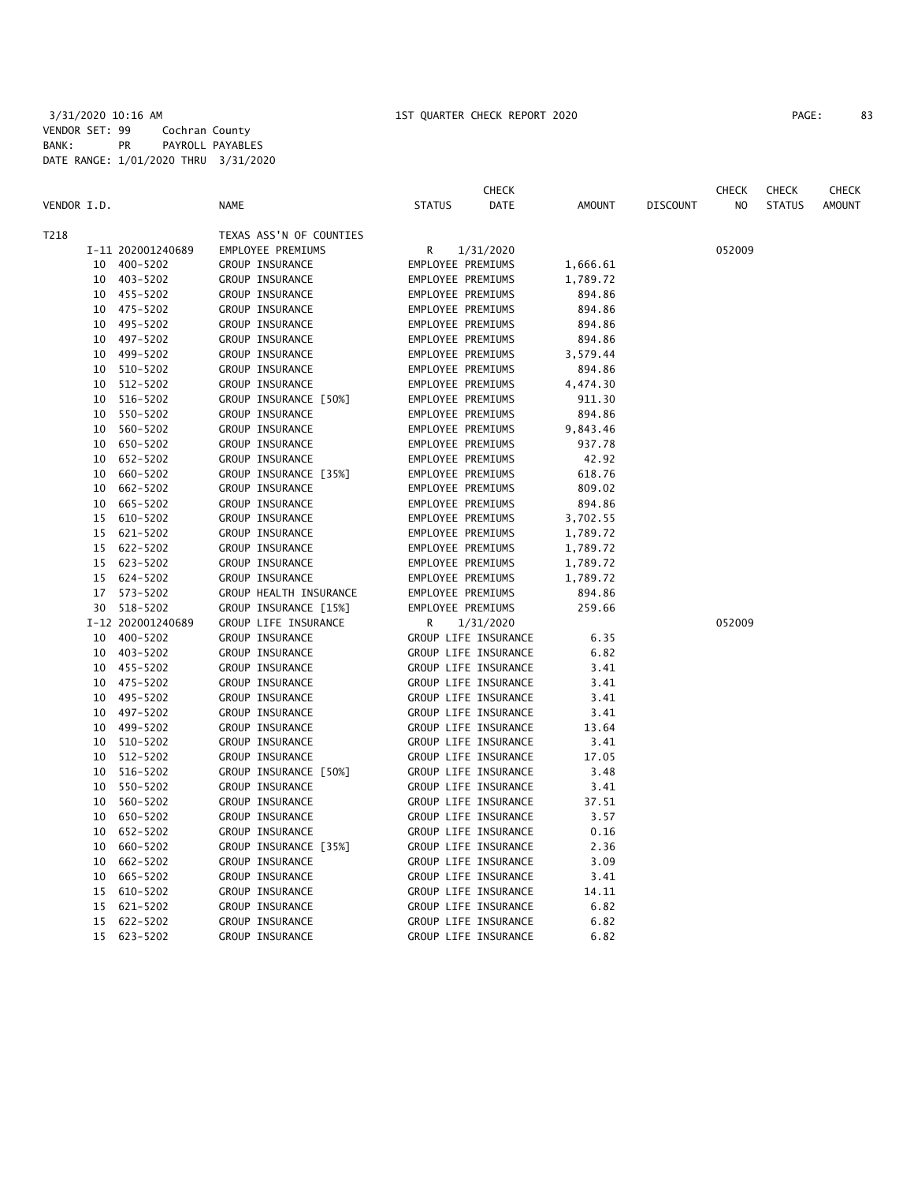|             |    |                   |                         |                      | <b>CHECK</b> |          |                 | <b>CHECK</b>   | <b>CHECK</b>  | CHECK         |
|-------------|----|-------------------|-------------------------|----------------------|--------------|----------|-----------------|----------------|---------------|---------------|
| VENDOR I.D. |    |                   | <b>NAME</b>             | <b>STATUS</b>        | DATE         | AMOUNT   | <b>DISCOUNT</b> | N <sub>O</sub> | <b>STATUS</b> | <b>AMOUNT</b> |
| T218        |    |                   | TEXAS ASS'N OF COUNTIES |                      |              |          |                 |                |               |               |
|             |    | I-11 202001240689 | EMPLOYEE PREMIUMS       | R                    | 1/31/2020    |          |                 | 052009         |               |               |
|             |    | 10 400-5202       | GROUP INSURANCE         | EMPLOYEE PREMIUMS    |              | 1,666.61 |                 |                |               |               |
|             |    | 10 403-5202       | GROUP INSURANCE         | EMPLOYEE PREMIUMS    |              | 1,789.72 |                 |                |               |               |
|             |    | 10 455-5202       | GROUP INSURANCE         | EMPLOYEE PREMIUMS    |              | 894.86   |                 |                |               |               |
|             |    | 10 475-5202       | GROUP INSURANCE         | EMPLOYEE PREMIUMS    |              | 894.86   |                 |                |               |               |
|             |    | 10 495-5202       | GROUP INSURANCE         | EMPLOYEE PREMIUMS    |              | 894.86   |                 |                |               |               |
|             |    | 10 497-5202       | GROUP INSURANCE         | EMPLOYEE PREMIUMS    |              | 894.86   |                 |                |               |               |
|             |    | 10 499-5202       | GROUP INSURANCE         | EMPLOYEE PREMIUMS    |              | 3,579.44 |                 |                |               |               |
|             |    | 10 510-5202       | GROUP INSURANCE         | EMPLOYEE PREMIUMS    |              | 894.86   |                 |                |               |               |
|             | 10 | 512-5202          | GROUP INSURANCE         | EMPLOYEE PREMIUMS    |              | 4,474.30 |                 |                |               |               |
|             | 10 | 516-5202          | GROUP INSURANCE [50%]   | EMPLOYEE PREMIUMS    |              | 911.30   |                 |                |               |               |
|             | 10 | 550-5202          | GROUP INSURANCE         | EMPLOYEE PREMIUMS    |              | 894.86   |                 |                |               |               |
|             | 10 | 560-5202          | GROUP INSURANCE         | EMPLOYEE PREMIUMS    |              | 9,843.46 |                 |                |               |               |
|             | 10 | 650-5202          | GROUP INSURANCE         | EMPLOYEE PREMIUMS    |              | 937.78   |                 |                |               |               |
|             | 10 | 652-5202          | GROUP INSURANCE         | EMPLOYEE PREMIUMS    |              | 42.92    |                 |                |               |               |
|             | 10 | 660-5202          | GROUP INSURANCE [35%]   | EMPLOYEE PREMIUMS    |              | 618.76   |                 |                |               |               |
|             | 10 | 662-5202          | GROUP INSURANCE         | EMPLOYEE PREMIUMS    |              | 809.02   |                 |                |               |               |
|             | 10 | 665-5202          | GROUP INSURANCE         | EMPLOYEE PREMIUMS    |              | 894.86   |                 |                |               |               |
|             | 15 | 610-5202          | GROUP INSURANCE         | EMPLOYEE PREMIUMS    |              | 3,702.55 |                 |                |               |               |
|             | 15 | 621-5202          | GROUP INSURANCE         | EMPLOYEE PREMIUMS    |              | 1,789.72 |                 |                |               |               |
|             | 15 | 622-5202          | GROUP INSURANCE         | EMPLOYEE PREMIUMS    |              | 1,789.72 |                 |                |               |               |
|             |    | 15 623-5202       | GROUP INSURANCE         | EMPLOYEE PREMIUMS    |              | 1,789.72 |                 |                |               |               |
|             |    | 15 624-5202       | GROUP INSURANCE         | EMPLOYEE PREMIUMS    |              | 1,789.72 |                 |                |               |               |
|             | 17 | 573-5202          | GROUP HEALTH INSURANCE  | EMPLOYEE PREMIUMS    |              | 894.86   |                 |                |               |               |
|             |    | 30 518-5202       | GROUP INSURANCE [15%]   | EMPLOYEE PREMIUMS    |              | 259.66   |                 |                |               |               |
|             |    | I-12 202001240689 | GROUP LIFE INSURANCE    | R                    | 1/31/2020    |          |                 | 052009         |               |               |
|             |    | 10 400-5202       | GROUP INSURANCE         | GROUP LIFE INSURANCE |              | 6.35     |                 |                |               |               |
|             |    | 10 403-5202       | GROUP INSURANCE         | GROUP LIFE INSURANCE |              | 6.82     |                 |                |               |               |
|             |    | 10 455-5202       | GROUP INSURANCE         | GROUP LIFE INSURANCE |              | 3.41     |                 |                |               |               |
|             |    | 10 475-5202       | GROUP INSURANCE         | GROUP LIFE INSURANCE |              | 3.41     |                 |                |               |               |
|             | 10 | 495-5202          | GROUP INSURANCE         | GROUP LIFE INSURANCE |              | 3.41     |                 |                |               |               |
|             | 10 | 497-5202          | GROUP INSURANCE         | GROUP LIFE INSURANCE |              | 3.41     |                 |                |               |               |
|             | 10 | 499-5202          | GROUP INSURANCE         | GROUP LIFE INSURANCE |              | 13.64    |                 |                |               |               |
|             |    | 10 510-5202       | GROUP INSURANCE         | GROUP LIFE INSURANCE |              | 3.41     |                 |                |               |               |
|             |    | 10 512-5202       | GROUP INSURANCE         | GROUP LIFE INSURANCE |              | 17.05    |                 |                |               |               |
|             | 10 | 516-5202          | GROUP INSURANCE [50%]   | GROUP LIFE INSURANCE |              | 3.48     |                 |                |               |               |
|             | 10 | 550-5202          | GROUP INSURANCE         | GROUP LIFE INSURANCE |              | 3.41     |                 |                |               |               |
|             | 10 | 560-5202          | GROUP INSURANCE         | GROUP LIFE INSURANCE |              | 37.51    |                 |                |               |               |
|             | 10 | 650-5202          | GROUP INSURANCE         | GROUP LIFE INSURANCE |              | 3.57     |                 |                |               |               |
|             | 10 | 652-5202          | GROUP INSURANCE         | GROUP LIFE INSURANCE |              | 0.16     |                 |                |               |               |
|             | 10 | 660-5202          | GROUP INSURANCE [35%]   | GROUP LIFE INSURANCE |              | 2.36     |                 |                |               |               |
|             | 10 | 662-5202          | GROUP INSURANCE         | GROUP LIFE INSURANCE |              | 3.09     |                 |                |               |               |
|             | 10 | 665-5202          | GROUP INSURANCE         | GROUP LIFE INSURANCE |              | 3.41     |                 |                |               |               |
|             | 15 | 610-5202          | GROUP INSURANCE         | GROUP LIFE INSURANCE |              | 14.11    |                 |                |               |               |
|             | 15 | 621-5202          | GROUP INSURANCE         | GROUP LIFE INSURANCE |              | 6.82     |                 |                |               |               |
|             | 15 | 622-5202          | GROUP INSURANCE         | GROUP LIFE INSURANCE |              | 6.82     |                 |                |               |               |
|             | 15 | 623-5202          | GROUP INSURANCE         | GROUP LIFE INSURANCE |              | 6.82     |                 |                |               |               |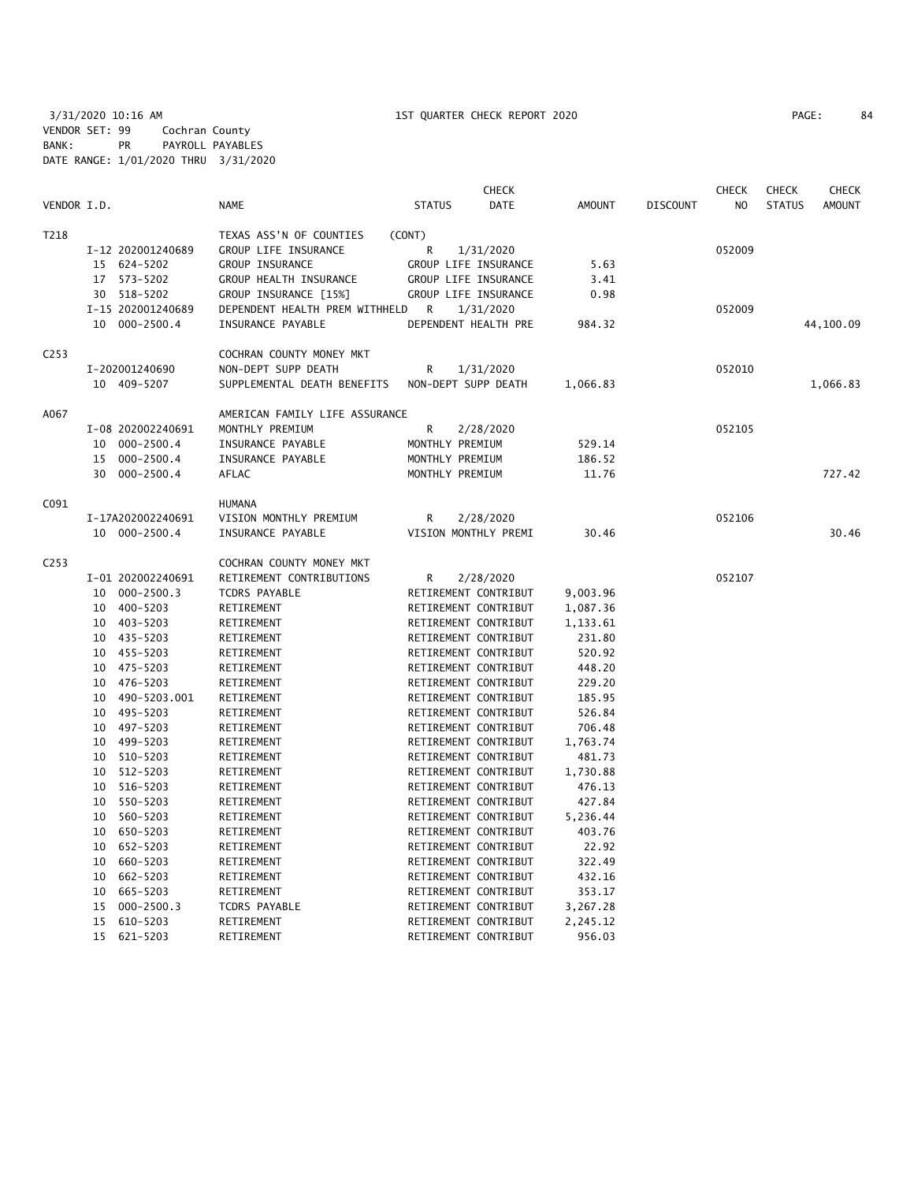3/31/2020 10:16 AM 1ST QUARTER CHECK REPORT 2020 PAGE: 84 VENDOR SET: 99 Cochran County BANK: PR PAYROLL PAYABLES DATE RANGE: 1/01/2020 THRU 3/31/2020

|                  |          |                            |                                |                                              | <b>CHECK</b> |               |                 | <b>CHECK</b>   | <b>CHECK</b>  | <b>CHECK</b>  |
|------------------|----------|----------------------------|--------------------------------|----------------------------------------------|--------------|---------------|-----------------|----------------|---------------|---------------|
| VENDOR I.D.      |          |                            | <b>NAME</b>                    | <b>STATUS</b>                                | <b>DATE</b>  | <b>AMOUNT</b> | <b>DISCOUNT</b> | N <sub>O</sub> | <b>STATUS</b> | <b>AMOUNT</b> |
| T218             |          |                            | TEXAS ASS'N OF COUNTIES        | (CONT)                                       |              |               |                 |                |               |               |
|                  |          | I-12 202001240689          | GROUP LIFE INSURANCE           | R                                            | 1/31/2020    |               |                 | 052009         |               |               |
|                  |          | 15 624-5202                | GROUP INSURANCE                | GROUP LIFE INSURANCE                         |              | 5.63          |                 |                |               |               |
|                  |          | 17 573-5202                | GROUP HEALTH INSURANCE         | GROUP LIFE INSURANCE                         |              | 3.41          |                 |                |               |               |
|                  |          | 30 518-5202                | GROUP INSURANCE [15%]          | GROUP LIFE INSURANCE                         |              | 0.98          |                 |                |               |               |
|                  |          | I-15 202001240689          | DEPENDENT HEALTH PREM WITHHELD | R                                            | 1/31/2020    |               |                 | 052009         |               |               |
|                  |          | 10 000-2500.4              | INSURANCE PAYABLE              | DEPENDENT HEALTH PRE                         |              | 984.32        |                 |                |               | 44,100.09     |
| C <sub>253</sub> |          |                            | COCHRAN COUNTY MONEY MKT       |                                              |              |               |                 |                |               |               |
|                  |          | I-202001240690             | NON-DEPT SUPP DEATH            | R                                            | 1/31/2020    |               |                 | 052010         |               |               |
|                  |          | 10 409-5207                | SUPPLEMENTAL DEATH BENEFITS    | NON-DEPT SUPP DEATH                          |              | 1,066.83      |                 |                |               | 1,066.83      |
| A067             |          |                            | AMERICAN FAMILY LIFE ASSURANCE |                                              |              |               |                 |                |               |               |
|                  |          | I-08 202002240691          | MONTHLY PREMIUM                | R                                            | 2/28/2020    |               |                 | 052105         |               |               |
|                  | 10       | 000-2500.4                 | INSURANCE PAYABLE              | MONTHLY PREMIUM                              |              | 529.14        |                 |                |               |               |
|                  | 15       | $000 - 2500.4$             | INSURANCE PAYABLE              | MONTHLY PREMIUM                              |              | 186.52        |                 |                |               |               |
|                  | 30       | $000 - 2500.4$             | AFLAC                          | MONTHLY PREMIUM                              |              | 11.76         |                 |                |               | 727.42        |
| C091             |          |                            | <b>HUMANA</b>                  |                                              |              |               |                 |                |               |               |
|                  |          | I-17A202002240691          | VISION MONTHLY PREMIUM         | R                                            | 2/28/2020    |               |                 | 052106         |               |               |
|                  |          | 10 000-2500.4              | INSURANCE PAYABLE              | VISION MONTHLY PREMI                         |              | 30.46         |                 |                |               | 30.46         |
| C <sub>253</sub> |          |                            | COCHRAN COUNTY MONEY MKT       |                                              |              |               |                 |                |               |               |
|                  |          | I-01 202002240691          | RETIREMENT CONTRIBUTIONS       | R                                            | 2/28/2020    |               |                 | 052107         |               |               |
|                  | 10       | $000 - 2500.3$             | TCDRS PAYABLE                  | RETIREMENT CONTRIBUT                         |              | 9,003.96      |                 |                |               |               |
|                  |          | 10 400-5203                | RETIREMENT                     | RETIREMENT CONTRIBUT                         |              | 1,087.36      |                 |                |               |               |
|                  |          | 10 403-5203                | RETIREMENT                     | RETIREMENT CONTRIBUT                         |              | 1,133.61      |                 |                |               |               |
|                  |          | 10 435-5203                | RETIREMENT                     | RETIREMENT CONTRIBUT                         |              | 231.80        |                 |                |               |               |
|                  |          | 10 455-5203                | RETIREMENT                     | RETIREMENT CONTRIBUT                         |              | 520.92        |                 |                |               |               |
|                  |          | 10 475-5203                | RETIREMENT                     | RETIREMENT CONTRIBUT                         |              | 448.20        |                 |                |               |               |
|                  |          | 10 476-5203                | RETIREMENT                     | RETIREMENT CONTRIBUT                         |              | 229.20        |                 |                |               |               |
|                  | 10       | 490-5203.001               | RETIREMENT                     | RETIREMENT CONTRIBUT                         |              | 185.95        |                 |                |               |               |
|                  | 10       | 495-5203                   | RETIREMENT                     | RETIREMENT CONTRIBUT                         |              | 526.84        |                 |                |               |               |
|                  | 10       | 497-5203                   | RETIREMENT                     | RETIREMENT CONTRIBUT                         |              | 706.48        |                 |                |               |               |
|                  | 10       | 499-5203                   | RETIREMENT                     | RETIREMENT CONTRIBUT                         |              | 1,763.74      |                 |                |               |               |
|                  | 10       | 510-5203                   | RETIREMENT                     | RETIREMENT CONTRIBUT                         |              | 481.73        |                 |                |               |               |
|                  | 10       | 512-5203                   | RETIREMENT                     | RETIREMENT CONTRIBUT                         |              | 1,730.88      |                 |                |               |               |
|                  | 10       | 516-5203                   | RETIREMENT                     | RETIREMENT CONTRIBUT                         |              | 476.13        |                 |                |               |               |
|                  | 10       | 550-5203                   | RETIREMENT                     | RETIREMENT CONTRIBUT                         |              | 427.84        |                 |                |               |               |
|                  | 10       | 560-5203                   | RETIREMENT                     | RETIREMENT CONTRIBUT                         |              | 5,236.44      |                 |                |               |               |
|                  | 10       | 650-5203                   | RETIREMENT                     | RETIREMENT CONTRIBUT                         |              | 403.76        |                 |                |               |               |
|                  | 10       | 652-5203                   | RETIREMENT                     | RETIREMENT CONTRIBUT                         |              | 22.92         |                 |                |               |               |
|                  |          |                            |                                |                                              |              | 322.49        |                 |                |               |               |
|                  | 10       | 660-5203<br>662-5203       | RETIREMENT                     | RETIREMENT CONTRIBUT                         |              | 432.16        |                 |                |               |               |
|                  | 10       |                            | RETIREMENT                     | RETIREMENT CONTRIBUT<br>RETIREMENT CONTRIBUT |              |               |                 |                |               |               |
|                  | 10       | 665-5203                   | RETIREMENT                     |                                              |              | 353.17        |                 |                |               |               |
|                  | 15<br>15 | $000 - 2500.3$<br>610-5203 | TCDRS PAYABLE<br>RETIREMENT    | RETIREMENT CONTRIBUT<br>RETIREMENT CONTRIBUT |              | 3,267.28      |                 |                |               |               |
|                  | 15       |                            |                                |                                              |              | 2,245.12      |                 |                |               |               |
|                  |          | 621-5203                   | RETIREMENT                     | RETIREMENT CONTRIBUT                         |              | 956.03        |                 |                |               |               |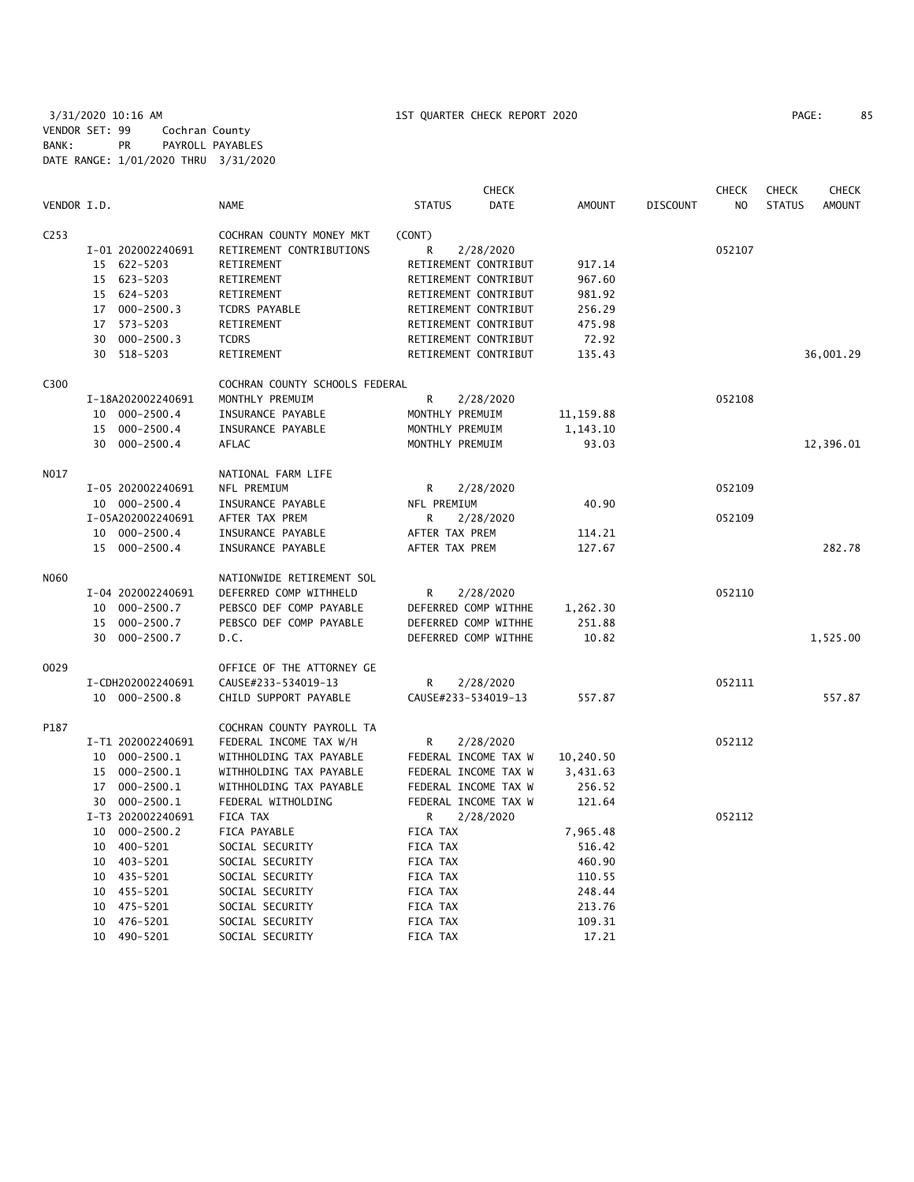|                  |                      |                                | <b>CHECK</b>          |               |                 | <b>CHECK</b>   | <b>CHECK</b>  | <b>CHECK</b>  |
|------------------|----------------------|--------------------------------|-----------------------|---------------|-----------------|----------------|---------------|---------------|
| VENDOR I.D.      |                      | <b>NAME</b>                    | <b>STATUS</b><br>DATE | <b>AMOUNT</b> | <b>DISCOUNT</b> | N <sub>O</sub> | <b>STATUS</b> | <b>AMOUNT</b> |
| C <sub>253</sub> |                      | COCHRAN COUNTY MONEY MKT       | (CONT)                |               |                 |                |               |               |
|                  | I-01 202002240691    | RETIREMENT CONTRIBUTIONS       | 2/28/2020<br>R        |               |                 | 052107         |               |               |
|                  | 15 622-5203          | RETIREMENT                     | RETIREMENT CONTRIBUT  | 917.14        |                 |                |               |               |
|                  | 15 623-5203          | RETIREMENT                     | RETIREMENT CONTRIBUT  | 967.60        |                 |                |               |               |
|                  | 624-5203<br>15       | RETIREMENT                     | RETIREMENT CONTRIBUT  | 981.92        |                 |                |               |               |
|                  | 17 000-2500.3        | <b>TCDRS PAYABLE</b>           | RETIREMENT CONTRIBUT  | 256.29        |                 |                |               |               |
|                  | 573-5203<br>17       | RETIREMENT                     | RETIREMENT CONTRIBUT  | 475.98        |                 |                |               |               |
|                  | $000 - 2500.3$<br>30 | <b>TCDRS</b>                   | RETIREMENT CONTRIBUT  | 72.92         |                 |                |               |               |
|                  | 518-5203<br>30       | RETIREMENT                     | RETIREMENT CONTRIBUT  | 135.43        |                 |                |               | 36,001.29     |
| C300             |                      | COCHRAN COUNTY SCHOOLS FEDERAL |                       |               |                 |                |               |               |
|                  | I-18A202002240691    | MONTHLY PREMUIM                | R<br>2/28/2020        |               |                 | 052108         |               |               |
|                  | 000-2500.4<br>10     | INSURANCE PAYABLE              | MONTHLY PREMUIM       | 11,159.88     |                 |                |               |               |
|                  | 000-2500.4<br>15     | INSURANCE PAYABLE              | MONTHLY PREMUIM       | 1,143.10      |                 |                |               |               |
|                  | 30 000-2500.4        | AFLAC                          | MONTHLY PREMUIM       | 93.03         |                 |                |               | 12,396.01     |
| N017             |                      | NATIONAL FARM LIFE             |                       |               |                 |                |               |               |
|                  | I-05 202002240691    | NFL PREMIUM                    | 2/28/2020<br>R        |               |                 | 052109         |               |               |
|                  | 10 000-2500.4        | INSURANCE PAYABLE              | NFL PREMIUM           | 40.90         |                 |                |               |               |
|                  | I-05A202002240691    | AFTER TAX PREM                 | R<br>2/28/2020        |               |                 | 052109         |               |               |
|                  | 10 000-2500.4        | INSURANCE PAYABLE              | AFTER TAX PREM        | 114.21        |                 |                |               |               |
|                  | 15 000-2500.4        | INSURANCE PAYABLE              | AFTER TAX PREM        | 127.67        |                 |                |               | 282.78        |
| N060             |                      | NATIONWIDE RETIREMENT SOL      |                       |               |                 |                |               |               |
|                  | I-04 202002240691    | DEFERRED COMP WITHHELD         | R<br>2/28/2020        |               |                 | 052110         |               |               |
|                  | 10 000-2500.7        | PEBSCO DEF COMP PAYABLE        | DEFERRED COMP WITHHE  | 1,262.30      |                 |                |               |               |
|                  | $000 - 2500.7$<br>15 | PEBSCO DEF COMP PAYABLE        | DEFERRED COMP WITHHE  | 251.88        |                 |                |               |               |
|                  | 30<br>000-2500.7     | D.C.                           | DEFERRED COMP WITHHE  | 10.82         |                 |                |               | 1,525.00      |
| 0029             |                      | OFFICE OF THE ATTORNEY GE      |                       |               |                 |                |               |               |
|                  | I-CDH202002240691    | CAUSE#233-534019-13            | R<br>2/28/2020        |               |                 | 052111         |               |               |
|                  | 10 000-2500.8        | CHILD SUPPORT PAYABLE          | CAUSE#233-534019-13   | 557.87        |                 |                |               | 557.87        |
| P187             |                      | COCHRAN COUNTY PAYROLL TA      |                       |               |                 |                |               |               |
|                  | I-T1 202002240691    | FEDERAL INCOME TAX W/H         | R<br>2/28/2020        |               |                 | 052112         |               |               |
|                  | 10 000-2500.1        | WITHHOLDING TAX PAYABLE        | FEDERAL INCOME TAX W  | 10,240.50     |                 |                |               |               |
|                  | 000-2500.1<br>15     | WITHHOLDING TAX PAYABLE        | FEDERAL INCOME TAX W  | 3,431.63      |                 |                |               |               |
|                  | 17 000-2500.1        | WITHHOLDING TAX PAYABLE        | FEDERAL INCOME TAX W  | 256.52        |                 |                |               |               |
|                  | 30 000-2500.1        | FEDERAL WITHOLDING             | FEDERAL INCOME TAX W  | 121.64        |                 |                |               |               |
|                  | I-T3 202002240691    | FICA TAX                       | R<br>2/28/2020        |               |                 | 052112         |               |               |
|                  | 10 000-2500.2        | FICA PAYABLE                   | FICA TAX              | 7,965.48      |                 |                |               |               |
|                  | 400-5201<br>10       | SOCIAL SECURITY                | FICA TAX              | 516.42        |                 |                |               |               |
|                  | 10 403-5201          | SOCIAL SECURITY                | FICA TAX              | 460.90        |                 |                |               |               |
|                  | 10 435-5201          | SOCIAL SECURITY                | <b>FICA TAX</b>       | 110.55        |                 |                |               |               |
|                  | 10<br>455-5201       | SOCIAL SECURITY                | FICA TAX              | 248.44        |                 |                |               |               |
|                  | 475-5201<br>10       | SOCIAL SECURITY                | <b>FICA TAX</b>       | 213.76        |                 |                |               |               |
|                  | 476-5201<br>10       | SOCIAL SECURITY                | FICA TAX              | 109.31        |                 |                |               |               |
|                  | 10 490-5201          | SOCIAL SECURITY                | <b>FICA TAX</b>       | 17.21         |                 |                |               |               |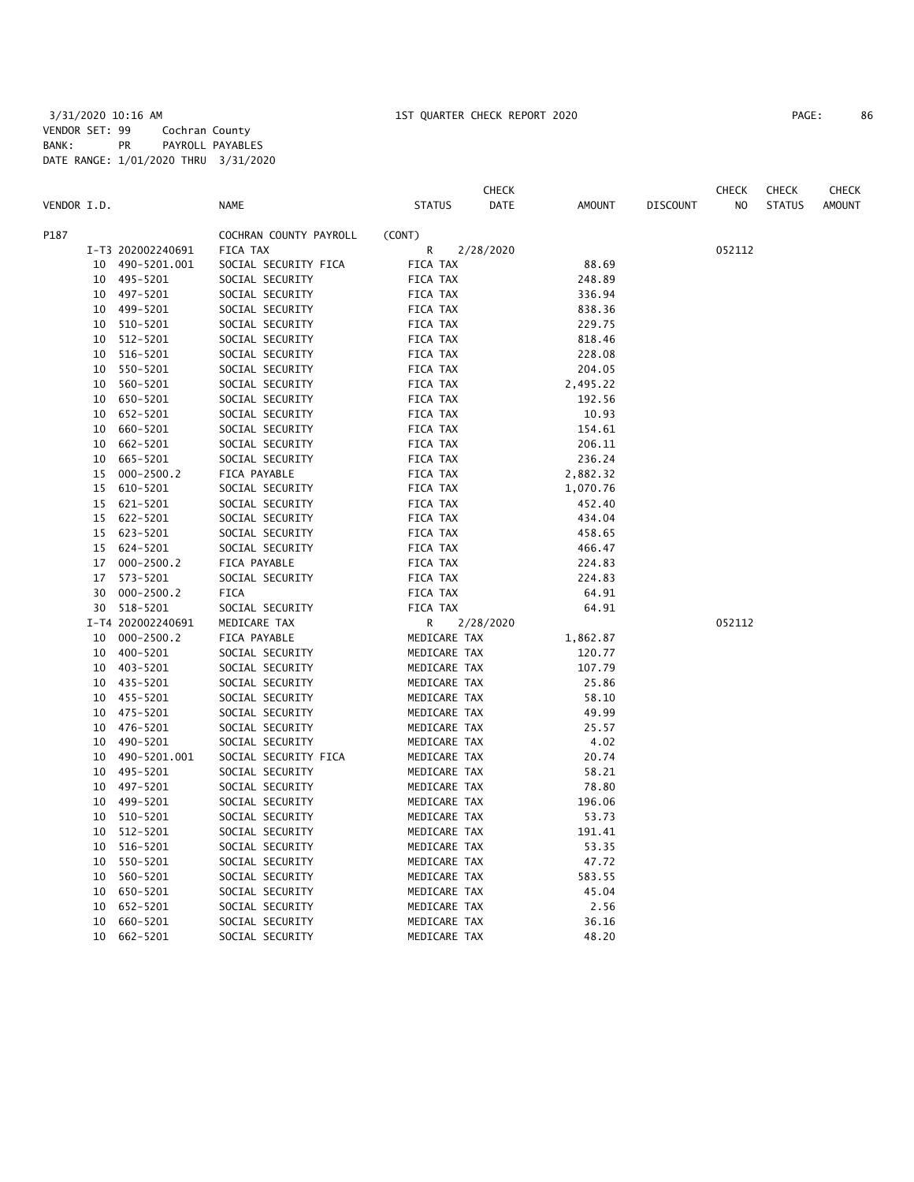|             |    |                   |                        |               | CHECK     |          |                 | CHECK  | <b>CHECK</b>  | CHECK         |
|-------------|----|-------------------|------------------------|---------------|-----------|----------|-----------------|--------|---------------|---------------|
| VENDOR I.D. |    |                   | <b>NAME</b>            | <b>STATUS</b> | DATE      | AMOUNT   | <b>DISCOUNT</b> | NO.    | <b>STATUS</b> | <b>AMOUNT</b> |
| P187        |    |                   | COCHRAN COUNTY PAYROLL | (CONT)        |           |          |                 |        |               |               |
|             |    | I-T3 202002240691 | FICA TAX               | R             | 2/28/2020 |          |                 | 052112 |               |               |
|             | 10 | 490-5201.001      | SOCIAL SECURITY FICA   | FICA TAX      |           | 88.69    |                 |        |               |               |
|             | 10 | 495-5201          | SOCIAL SECURITY        | FICA TAX      |           | 248.89   |                 |        |               |               |
|             |    | 10 497-5201       | SOCIAL SECURITY        | FICA TAX      |           | 336.94   |                 |        |               |               |
|             | 10 | 499-5201          | SOCIAL SECURITY        | FICA TAX      |           | 838.36   |                 |        |               |               |
|             | 10 | 510-5201          | SOCIAL SECURITY        | FICA TAX      |           | 229.75   |                 |        |               |               |
|             | 10 | 512-5201          | SOCIAL SECURITY        | FICA TAX      |           | 818.46   |                 |        |               |               |
|             | 10 | 516-5201          | SOCIAL SECURITY        | FICA TAX      |           | 228.08   |                 |        |               |               |
|             | 10 | 550-5201          | SOCIAL SECURITY        | FICA TAX      |           | 204.05   |                 |        |               |               |
|             | 10 | 560-5201          | SOCIAL SECURITY        | FICA TAX      |           | 2,495.22 |                 |        |               |               |
|             | 10 | 650-5201          | SOCIAL SECURITY        | FICA TAX      |           | 192.56   |                 |        |               |               |
|             | 10 | 652-5201          | SOCIAL SECURITY        | FICA TAX      |           | 10.93    |                 |        |               |               |
|             | 10 | 660-5201          | SOCIAL SECURITY        | FICA TAX      |           | 154.61   |                 |        |               |               |
|             | 10 | 662-5201          | SOCIAL SECURITY        | FICA TAX      |           | 206.11   |                 |        |               |               |
|             | 10 | 665-5201          | SOCIAL SECURITY        | FICA TAX      |           | 236.24   |                 |        |               |               |
|             | 15 | $000 - 2500.2$    | FICA PAYABLE           | FICA TAX      |           | 2,882.32 |                 |        |               |               |
|             | 15 | 610-5201          | SOCIAL SECURITY        | FICA TAX      |           | 1,070.76 |                 |        |               |               |
|             | 15 | 621-5201          | SOCIAL SECURITY        | FICA TAX      |           | 452.40   |                 |        |               |               |
|             | 15 | 622-5201          | SOCIAL SECURITY        | FICA TAX      |           | 434.04   |                 |        |               |               |
|             | 15 | 623-5201          | SOCIAL SECURITY        | FICA TAX      |           | 458.65   |                 |        |               |               |
|             | 15 | 624-5201          | SOCIAL SECURITY        | FICA TAX      |           | 466.47   |                 |        |               |               |
|             | 17 | $000 - 2500.2$    | FICA PAYABLE           | FICA TAX      |           | 224.83   |                 |        |               |               |
|             | 17 | 573-5201          | SOCIAL SECURITY        | FICA TAX      |           | 224.83   |                 |        |               |               |
|             | 30 | $000 - 2500.2$    | FICA                   | FICA TAX      |           | 64.91    |                 |        |               |               |
|             | 30 | 518-5201          | SOCIAL SECURITY        | FICA TAX      |           | 64.91    |                 |        |               |               |
|             |    | I-T4 202002240691 | MEDICARE TAX           | R             | 2/28/2020 |          |                 | 052112 |               |               |
|             | 10 | $000 - 2500.2$    | FICA PAYABLE           | MEDICARE TAX  |           | 1,862.87 |                 |        |               |               |
|             | 10 | 400-5201          | SOCIAL SECURITY        | MEDICARE TAX  |           | 120.77   |                 |        |               |               |
|             | 10 | 403-5201          | SOCIAL SECURITY        | MEDICARE TAX  |           | 107.79   |                 |        |               |               |
|             | 10 | 435-5201          | SOCIAL SECURITY        | MEDICARE TAX  |           | 25.86    |                 |        |               |               |
|             | 10 | 455-5201          | SOCIAL SECURITY        | MEDICARE TAX  |           | 58.10    |                 |        |               |               |
|             | 10 | 475-5201          | SOCIAL SECURITY        | MEDICARE TAX  |           | 49.99    |                 |        |               |               |
|             | 10 | 476-5201          | SOCIAL SECURITY        | MEDICARE TAX  |           | 25.57    |                 |        |               |               |
|             | 10 | 490-5201          | SOCIAL SECURITY        | MEDICARE TAX  |           | 4.02     |                 |        |               |               |
|             | 10 | 490-5201.001      | SOCIAL SECURITY FICA   | MEDICARE TAX  |           | 20.74    |                 |        |               |               |
|             | 10 | 495-5201          | SOCIAL SECURITY        | MEDICARE TAX  |           | 58.21    |                 |        |               |               |
|             | 10 | 497-5201          | SOCIAL SECURITY        | MEDICARE TAX  |           | 78.80    |                 |        |               |               |
|             | 10 | 499-5201          | SOCIAL SECURITY        | MEDICARE TAX  |           | 196.06   |                 |        |               |               |
|             | 10 | 510-5201          | SOCIAL SECURITY        | MEDICARE TAX  |           | 53.73    |                 |        |               |               |
|             | 10 | 512-5201          | SOCIAL SECURITY        | MEDICARE TAX  |           | 191.41   |                 |        |               |               |
|             | 10 | 516-5201          | SOCIAL SECURITY        | MEDICARE TAX  |           | 53.35    |                 |        |               |               |
|             | 10 | 550-5201          | SOCIAL SECURITY        | MEDICARE TAX  |           | 47.72    |                 |        |               |               |
|             | 10 | 560-5201          | SOCIAL SECURITY        | MEDICARE TAX  |           | 583.55   |                 |        |               |               |
|             | 10 | 650-5201          | SOCIAL SECURITY        | MEDICARE TAX  |           | 45.04    |                 |        |               |               |
|             | 10 | 652-5201          | SOCIAL SECURITY        | MEDICARE TAX  |           | 2.56     |                 |        |               |               |
|             | 10 | 660-5201          | SOCIAL SECURITY        | MEDICARE TAX  |           | 36.16    |                 |        |               |               |
|             | 10 | 662-5201          | SOCIAL SECURITY        | MEDICARE TAX  |           | 48.20    |                 |        |               |               |
|             |    |                   |                        |               |           |          |                 |        |               |               |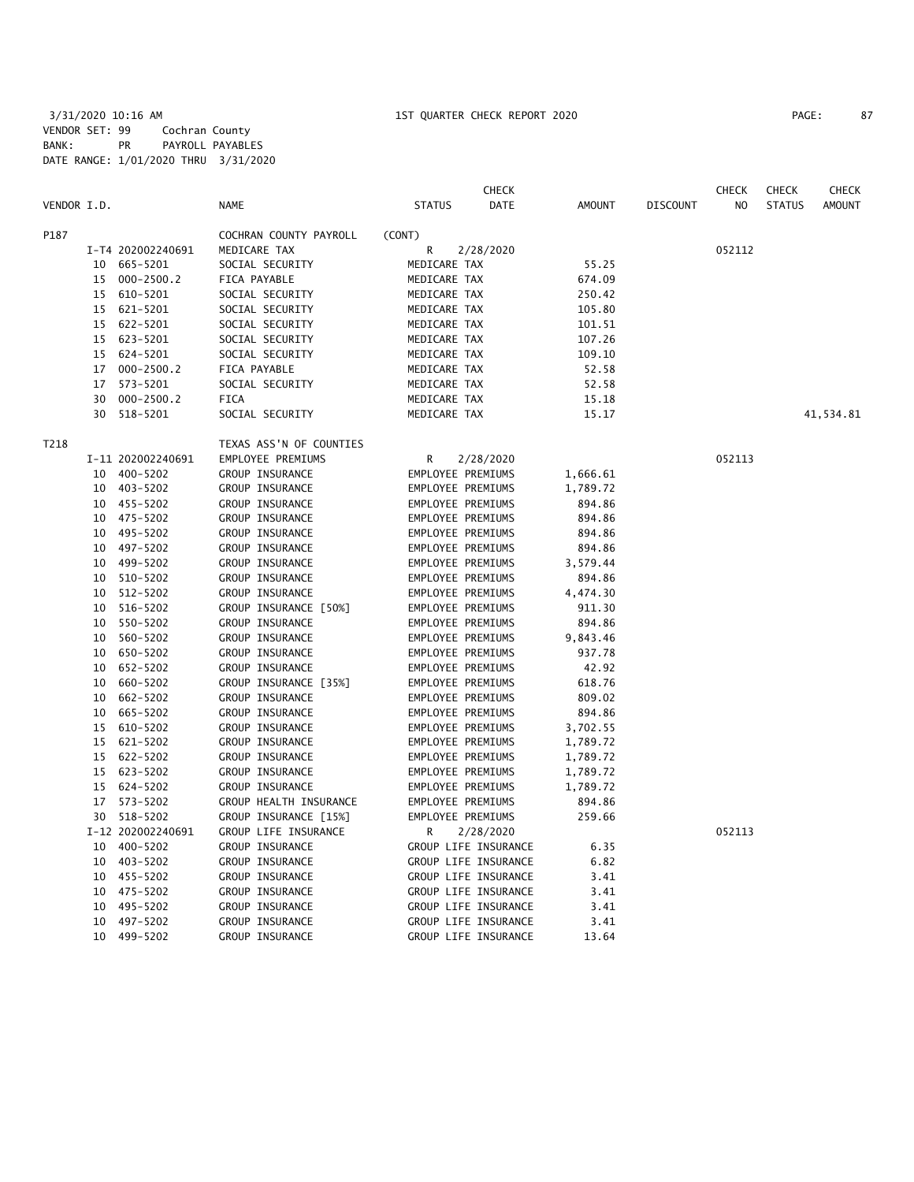|             |    |                   |                         |                   | <b>CHECK</b>         |               |                 | <b>CHECK</b> | <b>CHECK</b>  | CHECK         |
|-------------|----|-------------------|-------------------------|-------------------|----------------------|---------------|-----------------|--------------|---------------|---------------|
| VENDOR I.D. |    |                   | <b>NAME</b>             | <b>STATUS</b>     | DATE                 | <b>AMOUNT</b> | <b>DISCOUNT</b> | NO           | <b>STATUS</b> | <b>AMOUNT</b> |
| P187        |    |                   | COCHRAN COUNTY PAYROLL  | (CONT)            |                      |               |                 |              |               |               |
|             |    | I-T4 202002240691 | MEDICARE TAX            | R                 | 2/28/2020            |               |                 | 052112       |               |               |
|             | 10 | 665-5201          | SOCIAL SECURITY         | MEDICARE TAX      |                      | 55.25         |                 |              |               |               |
|             | 15 | $000 - 2500.2$    | FICA PAYABLE            | MEDICARE TAX      |                      | 674.09        |                 |              |               |               |
|             |    | 15 610-5201       | SOCIAL SECURITY         | MEDICARE TAX      |                      | 250.42        |                 |              |               |               |
|             | 15 | 621-5201          | SOCIAL SECURITY         | MEDICARE TAX      |                      | 105.80        |                 |              |               |               |
|             | 15 | 622-5201          | SOCIAL SECURITY         | MEDICARE TAX      |                      | 101.51        |                 |              |               |               |
|             | 15 | 623-5201          | SOCIAL SECURITY         | MEDICARE TAX      |                      | 107.26        |                 |              |               |               |
|             | 15 | 624-5201          | SOCIAL SECURITY         | MEDICARE TAX      |                      | 109.10        |                 |              |               |               |
|             | 17 | $000 - 2500.2$    | FICA PAYABLE            | MEDICARE TAX      |                      | 52.58         |                 |              |               |               |
|             | 17 | 573-5201          | SOCIAL SECURITY         | MEDICARE TAX      |                      | 52.58         |                 |              |               |               |
|             | 30 | $000 - 2500.2$    | <b>FICA</b>             | MEDICARE TAX      |                      | 15.18         |                 |              |               |               |
|             | 30 | 518-5201          | SOCIAL SECURITY         | MEDICARE TAX      |                      | 15.17         |                 |              |               | 41,534.81     |
| T218        |    |                   | TEXAS ASS'N OF COUNTIES |                   |                      |               |                 |              |               |               |
|             |    | I-11 202002240691 | EMPLOYEE PREMIUMS       | R                 | 2/28/2020            |               |                 | 052113       |               |               |
|             |    | 10 400-5202       | GROUP INSURANCE         | EMPLOYEE PREMIUMS |                      | 1,666.61      |                 |              |               |               |
|             |    | 10 403-5202       | GROUP INSURANCE         | EMPLOYEE PREMIUMS |                      | 1,789.72      |                 |              |               |               |
|             |    | 10 455-5202       | GROUP INSURANCE         | EMPLOYEE PREMIUMS |                      | 894.86        |                 |              |               |               |
|             |    | 10 475-5202       | GROUP INSURANCE         | EMPLOYEE PREMIUMS |                      | 894.86        |                 |              |               |               |
|             |    | 10 495-5202       | GROUP INSURANCE         | EMPLOYEE PREMIUMS |                      | 894.86        |                 |              |               |               |
|             |    | 10 497-5202       | GROUP INSURANCE         | EMPLOYEE PREMIUMS |                      | 894.86        |                 |              |               |               |
|             | 10 | 499-5202          | GROUP INSURANCE         | EMPLOYEE PREMIUMS |                      | 3,579.44      |                 |              |               |               |
|             | 10 | 510-5202          | GROUP INSURANCE         | EMPLOYEE PREMIUMS |                      | 894.86        |                 |              |               |               |
|             | 10 | 512-5202          | GROUP INSURANCE         | EMPLOYEE PREMIUMS |                      | 4,474.30      |                 |              |               |               |
|             | 10 | 516-5202          | GROUP INSURANCE [50%]   | EMPLOYEE PREMIUMS |                      | 911.30        |                 |              |               |               |
|             | 10 | 550-5202          | GROUP INSURANCE         | EMPLOYEE PREMIUMS |                      | 894.86        |                 |              |               |               |
|             | 10 | 560-5202          | GROUP INSURANCE         | EMPLOYEE PREMIUMS |                      | 9,843.46      |                 |              |               |               |
|             | 10 | 650-5202          | GROUP INSURANCE         | EMPLOYEE PREMIUMS |                      | 937.78        |                 |              |               |               |
|             | 10 | 652-5202          | GROUP INSURANCE         | EMPLOYEE PREMIUMS |                      | 42.92         |                 |              |               |               |
|             | 10 | 660-5202          | GROUP INSURANCE [35%]   | EMPLOYEE PREMIUMS |                      | 618.76        |                 |              |               |               |
|             | 10 | 662-5202          | GROUP INSURANCE         | EMPLOYEE PREMIUMS |                      | 809.02        |                 |              |               |               |
|             | 10 | 665-5202          | GROUP INSURANCE         | EMPLOYEE PREMIUMS |                      | 894.86        |                 |              |               |               |
|             | 15 | 610-5202          | GROUP INSURANCE         | EMPLOYEE PREMIUMS |                      | 3,702.55      |                 |              |               |               |
|             | 15 | 621-5202          | GROUP INSURANCE         | EMPLOYEE PREMIUMS |                      | 1,789.72      |                 |              |               |               |
|             | 15 | 622-5202          | GROUP INSURANCE         | EMPLOYEE PREMIUMS |                      | 1,789.72      |                 |              |               |               |
|             |    | 15 623-5202       | GROUP INSURANCE         | EMPLOYEE PREMIUMS |                      | 1,789.72      |                 |              |               |               |
|             |    | 15 624-5202       | GROUP INSURANCE         | EMPLOYEE PREMIUMS |                      | 1,789.72      |                 |              |               |               |
|             |    | 17 573-5202       | GROUP HEALTH INSURANCE  | EMPLOYEE PREMIUMS |                      | 894.86        |                 |              |               |               |
|             |    | 30 518-5202       | GROUP INSURANCE [15%]   | EMPLOYEE PREMIUMS |                      | 259.66        |                 |              |               |               |
|             |    | I-12 202002240691 | GROUP LIFE INSURANCE    | R                 | 2/28/2020            |               |                 | 052113       |               |               |
|             | 10 | 400-5202          | GROUP INSURANCE         |                   | GROUP LIFE INSURANCE | 6.35          |                 |              |               |               |
|             | 10 | 403-5202          | GROUP INSURANCE         |                   | GROUP LIFE INSURANCE | 6.82          |                 |              |               |               |
|             |    | 10 455-5202       | GROUP INSURANCE         |                   | GROUP LIFE INSURANCE | 3.41          |                 |              |               |               |
|             |    | 10 475-5202       | GROUP INSURANCE         |                   | GROUP LIFE INSURANCE | 3.41          |                 |              |               |               |
|             | 10 | 495-5202          | GROUP INSURANCE         |                   | GROUP LIFE INSURANCE | 3.41          |                 |              |               |               |
|             | 10 | 497-5202          | GROUP INSURANCE         |                   | GROUP LIFE INSURANCE | 3.41          |                 |              |               |               |
|             | 10 | 499-5202          | GROUP INSURANCE         |                   | GROUP LIFE INSURANCE | 13.64         |                 |              |               |               |
|             |    |                   |                         |                   |                      |               |                 |              |               |               |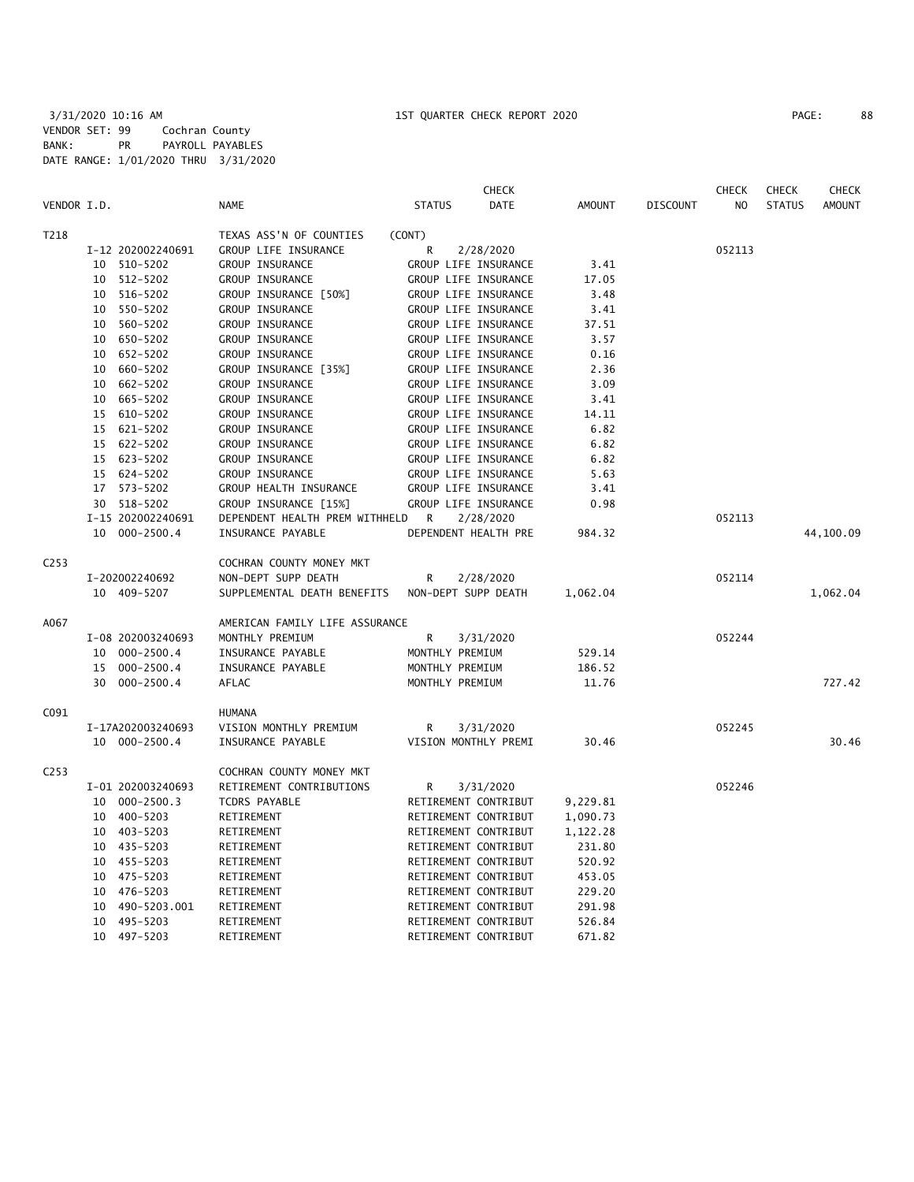|             |                      |                                | <b>CHECK</b>          |               |                 | <b>CHECK</b>   | <b>CHECK</b>  | <b>CHECK</b>  |
|-------------|----------------------|--------------------------------|-----------------------|---------------|-----------------|----------------|---------------|---------------|
| VENDOR I.D. |                      | <b>NAME</b>                    | <b>STATUS</b><br>DATE | <b>AMOUNT</b> | <b>DISCOUNT</b> | N <sub>O</sub> | <b>STATUS</b> | <b>AMOUNT</b> |
| T218        |                      | TEXAS ASS'N OF COUNTIES        | (CONT)                |               |                 |                |               |               |
|             | I-12 202002240691    | GROUP LIFE INSURANCE           | R<br>2/28/2020        |               |                 | 052113         |               |               |
|             | 10 510-5202          | GROUP INSURANCE                | GROUP LIFE INSURANCE  | 3.41          |                 |                |               |               |
|             | 10 512-5202          | GROUP INSURANCE                | GROUP LIFE INSURANCE  | 17.05         |                 |                |               |               |
|             | 10 516-5202          | GROUP INSURANCE [50%]          | GROUP LIFE INSURANCE  | 3.48          |                 |                |               |               |
|             | 10 550-5202          | GROUP INSURANCE                | GROUP LIFE INSURANCE  | 3.41          |                 |                |               |               |
|             | 10 560-5202          | GROUP INSURANCE                | GROUP LIFE INSURANCE  | 37.51         |                 |                |               |               |
|             | 10 650-5202          | GROUP INSURANCE                | GROUP LIFE INSURANCE  | 3.57          |                 |                |               |               |
|             | 652-5202<br>10       | GROUP INSURANCE                | GROUP LIFE INSURANCE  | 0.16          |                 |                |               |               |
|             | 660-5202<br>10       | GROUP INSURANCE [35%]          | GROUP LIFE INSURANCE  | 2.36          |                 |                |               |               |
|             | 662-5202<br>10       | GROUP INSURANCE                | GROUP LIFE INSURANCE  | 3.09          |                 |                |               |               |
|             | 665-5202<br>10       | <b>GROUP INSURANCE</b>         | GROUP LIFE INSURANCE  | 3.41          |                 |                |               |               |
|             | 610-5202<br>15       | GROUP INSURANCE                | GROUP LIFE INSURANCE  | 14.11         |                 |                |               |               |
|             | 15 621-5202          | GROUP INSURANCE                | GROUP LIFE INSURANCE  | 6.82          |                 |                |               |               |
|             | 622-5202<br>15       | <b>GROUP INSURANCE</b>         | GROUP LIFE INSURANCE  | 6.82          |                 |                |               |               |
|             | 15 623-5202          | <b>GROUP INSURANCE</b>         | GROUP LIFE INSURANCE  | 6.82          |                 |                |               |               |
|             | 15 624-5202          | GROUP INSURANCE                | GROUP LIFE INSURANCE  | 5.63          |                 |                |               |               |
|             | 17 573-5202          | GROUP HEALTH INSURANCE         | GROUP LIFE INSURANCE  | 3.41          |                 |                |               |               |
|             | 30 518-5202          | GROUP INSURANCE [15%]          | GROUP LIFE INSURANCE  | 0.98          |                 |                |               |               |
|             | I-15 202002240691    | DEPENDENT HEALTH PREM WITHHELD | R<br>2/28/2020        |               |                 | 052113         |               |               |
|             | 10 000-2500.4        | INSURANCE PAYABLE              | DEPENDENT HEALTH PRE  | 984.32        |                 |                |               | 44,100.09     |
| C253        |                      | COCHRAN COUNTY MONEY MKT       |                       |               |                 |                |               |               |
|             | I-202002240692       | NON-DEPT SUPP DEATH            | R<br>2/28/2020        |               |                 | 052114         |               |               |
|             | 10 409-5207          | SUPPLEMENTAL DEATH BENEFITS    | NON-DEPT SUPP DEATH   | 1,062.04      |                 |                |               | 1,062.04      |
| A067        |                      | AMERICAN FAMILY LIFE ASSURANCE |                       |               |                 |                |               |               |
|             | I-08 202003240693    | MONTHLY PREMIUM                | R<br>3/31/2020        |               |                 | 052244         |               |               |
|             | 10<br>$000 - 2500.4$ | INSURANCE PAYABLE              | MONTHLY PREMIUM       | 529.14        |                 |                |               |               |
|             | 15<br>$000 - 2500.4$ | INSURANCE PAYABLE              | MONTHLY PREMIUM       | 186.52        |                 |                |               |               |
|             | 30<br>$000 - 2500.4$ | AFLAC                          | MONTHLY PREMIUM       | 11.76         |                 |                |               | 727.42        |
| C091        |                      | HUMANA                         |                       |               |                 |                |               |               |
|             | I-17A202003240693    | VISION MONTHLY PREMIUM         | R<br>3/31/2020        |               |                 | 052245         |               |               |
|             | 10 000-2500.4        | INSURANCE PAYABLE              | VISION MONTHLY PREMI  | 30.46         |                 |                |               | 30.46         |
| C253        |                      | COCHRAN COUNTY MONEY MKT       |                       |               |                 |                |               |               |
|             | I-01 202003240693    | RETIREMENT CONTRIBUTIONS       | R<br>3/31/2020        |               |                 | 052246         |               |               |
|             | 10<br>$000 - 2500.3$ | TCDRS PAYABLE                  | RETIREMENT CONTRIBUT  | 9,229.81      |                 |                |               |               |
|             | 10 400-5203          | RETIREMENT                     | RETIREMENT CONTRIBUT  | 1,090.73      |                 |                |               |               |
|             | 10 403-5203          | RETIREMENT                     | RETIREMENT CONTRIBUT  | 1,122.28      |                 |                |               |               |
|             | 10 435-5203          | RETIREMENT                     | RETIREMENT CONTRIBUT  | 231.80        |                 |                |               |               |
|             | 10 455-5203          | RETIREMENT                     | RETIREMENT CONTRIBUT  | 520.92        |                 |                |               |               |
|             | 10 475-5203          | RETIREMENT                     | RETIREMENT CONTRIBUT  | 453.05        |                 |                |               |               |
|             | 476-5203<br>10       | RETIREMENT                     | RETIREMENT CONTRIBUT  | 229.20        |                 |                |               |               |
|             | 490-5203.001<br>10   | RETIREMENT                     | RETIREMENT CONTRIBUT  | 291.98        |                 |                |               |               |
|             | 10 495-5203          | RETIREMENT                     | RETIREMENT CONTRIBUT  | 526.84        |                 |                |               |               |

10 497-5203 RETIREMENT RETIREMENT CONTRIBUT 671.82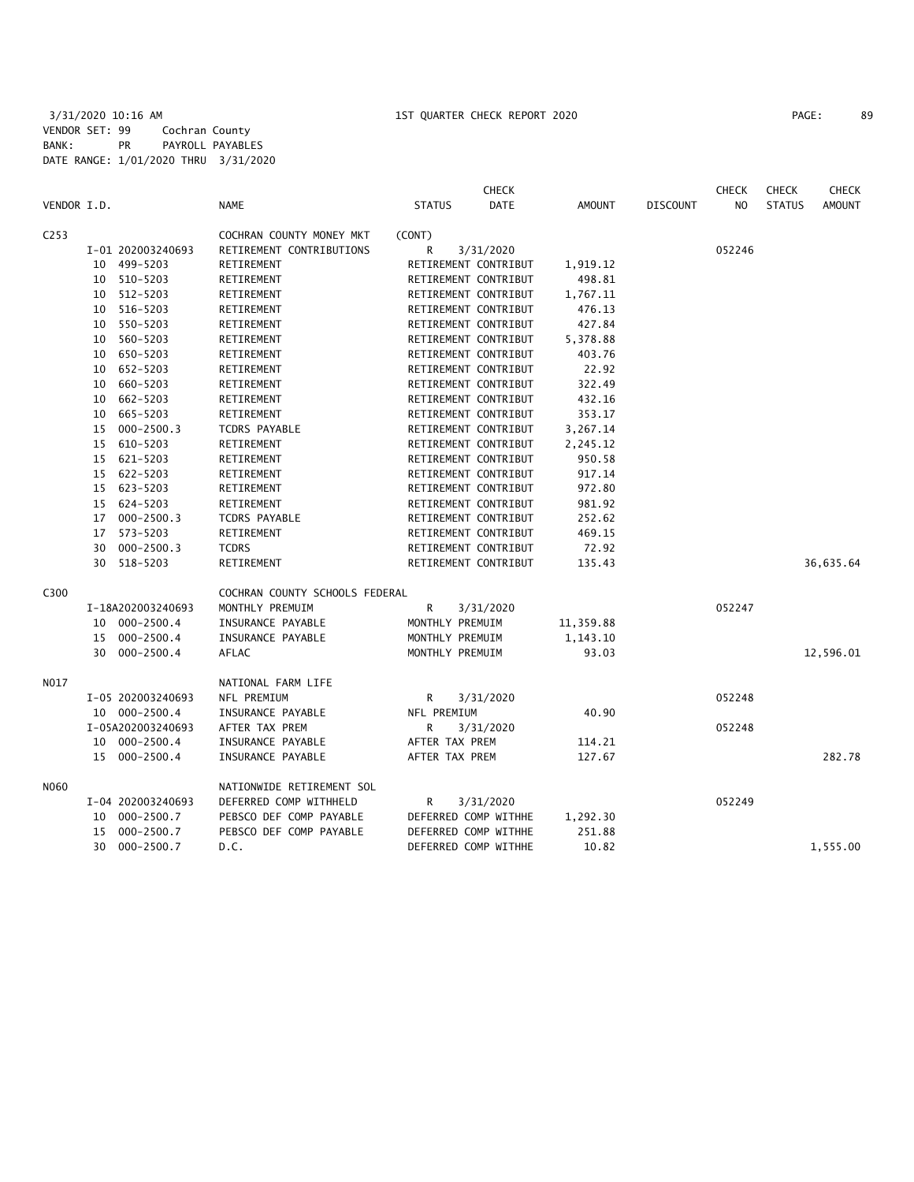| VENDOR I.D. |    |                   | <b>NAME</b>                    | <b>STATUS</b>        | <b>CHECK</b><br>DATE | AMOUNT    | <b>DISCOUNT</b> | <b>CHECK</b><br>NO. | <b>CHECK</b><br><b>STATUS</b> | <b>CHECK</b><br><b>AMOUNT</b> |
|-------------|----|-------------------|--------------------------------|----------------------|----------------------|-----------|-----------------|---------------------|-------------------------------|-------------------------------|
|             |    |                   |                                |                      |                      |           |                 |                     |                               |                               |
| C253        |    |                   | COCHRAN COUNTY MONEY MKT       | (CONT)               |                      |           |                 |                     |                               |                               |
|             |    | I-01 202003240693 | RETIREMENT CONTRIBUTIONS       | R                    | 3/31/2020            |           |                 | 052246              |                               |                               |
|             | 10 | 499-5203          | RETIREMENT                     | RETIREMENT CONTRIBUT |                      | 1,919.12  |                 |                     |                               |                               |
|             |    | 10 510-5203       | RETIREMENT                     | RETIREMENT CONTRIBUT |                      | 498.81    |                 |                     |                               |                               |
|             |    | 10 512-5203       | RETIREMENT                     | RETIREMENT CONTRIBUT |                      | 1,767.11  |                 |                     |                               |                               |
|             |    | 10 516-5203       | RETIREMENT                     | RETIREMENT CONTRIBUT |                      | 476.13    |                 |                     |                               |                               |
|             |    | 10 550-5203       | RETIREMENT                     | RETIREMENT CONTRIBUT |                      | 427.84    |                 |                     |                               |                               |
|             | 10 | 560-5203          | RETIREMENT                     | RETIREMENT CONTRIBUT |                      | 5,378.88  |                 |                     |                               |                               |
|             | 10 | 650-5203          | RETIREMENT                     | RETIREMENT CONTRIBUT |                      | 403.76    |                 |                     |                               |                               |
|             |    | 10 652-5203       | RETIREMENT                     | RETIREMENT CONTRIBUT |                      | 22.92     |                 |                     |                               |                               |
|             | 10 | 660-5203          | RETIREMENT                     | RETIREMENT CONTRIBUT |                      | 322.49    |                 |                     |                               |                               |
|             | 10 | 662-5203          | RETIREMENT                     | RETIREMENT CONTRIBUT |                      | 432.16    |                 |                     |                               |                               |
|             | 10 | 665-5203          | RETIREMENT                     | RETIREMENT CONTRIBUT |                      | 353.17    |                 |                     |                               |                               |
|             | 15 | $000 - 2500.3$    | <b>TCDRS PAYABLE</b>           | RETIREMENT CONTRIBUT |                      | 3,267.14  |                 |                     |                               |                               |
|             | 15 | 610-5203          | RETIREMENT                     | RETIREMENT CONTRIBUT |                      | 2,245.12  |                 |                     |                               |                               |
|             |    | 15 621-5203       | RETIREMENT                     | RETIREMENT CONTRIBUT |                      | 950.58    |                 |                     |                               |                               |
|             |    | 15 622-5203       | RETIREMENT                     | RETIREMENT CONTRIBUT |                      | 917.14    |                 |                     |                               |                               |
|             |    | 15 623-5203       | RETIREMENT                     | RETIREMENT CONTRIBUT |                      | 972.80    |                 |                     |                               |                               |
|             |    | 15 624-5203       | RETIREMENT                     | RETIREMENT CONTRIBUT |                      | 981.92    |                 |                     |                               |                               |
|             |    | 17 000-2500.3     | <b>TCDRS PAYABLE</b>           | RETIREMENT CONTRIBUT |                      | 252.62    |                 |                     |                               |                               |
|             | 17 | 573-5203          | RETIREMENT                     | RETIREMENT CONTRIBUT |                      | 469.15    |                 |                     |                               |                               |
|             | 30 | $000 - 2500.3$    | <b>TCDRS</b>                   | RETIREMENT CONTRIBUT |                      | 72.92     |                 |                     |                               |                               |
|             | 30 | 518-5203          | RETIREMENT                     | RETIREMENT CONTRIBUT |                      | 135.43    |                 |                     |                               | 36,635.64                     |
| C300        |    |                   | COCHRAN COUNTY SCHOOLS FEDERAL |                      |                      |           |                 |                     |                               |                               |
|             |    | I-18A202003240693 | MONTHLY PREMUIM                | R                    | 3/31/2020            |           |                 | 052247              |                               |                               |
|             |    | 10 000-2500.4     | INSURANCE PAYABLE              | MONTHLY PREMUIM      |                      | 11,359.88 |                 |                     |                               |                               |
|             | 15 | 000-2500.4        | INSURANCE PAYABLE              | MONTHLY PREMUIM      |                      | 1,143.10  |                 |                     |                               |                               |
|             |    | 30 000-2500.4     | AFLAC                          | MONTHLY PREMUIM      |                      | 93.03     |                 |                     |                               | 12,596.01                     |
| NO17        |    |                   | NATIONAL FARM LIFE             |                      |                      |           |                 |                     |                               |                               |
|             |    | I-05 202003240693 | NFL PREMIUM                    | R                    | 3/31/2020            |           |                 | 052248              |                               |                               |
|             |    | 10 000-2500.4     | INSURANCE PAYABLE              | NFL PREMIUM          |                      | 40.90     |                 |                     |                               |                               |
|             |    | I-05A202003240693 | AFTER TAX PREM                 | R                    | 3/31/2020            |           |                 | 052248              |                               |                               |
|             |    | 10 000-2500.4     | INSURANCE PAYABLE              | AFTER TAX PREM       |                      | 114.21    |                 |                     |                               |                               |
|             |    | 15 000-2500.4     | INSURANCE PAYABLE              | AFTER TAX PREM       |                      | 127.67    |                 |                     |                               | 282.78                        |
| N060        |    |                   | NATIONWIDE RETIREMENT SOL      |                      |                      |           |                 |                     |                               |                               |
|             |    | I-04 202003240693 | DEFERRED COMP WITHHELD         | R                    | 3/31/2020            |           |                 | 052249              |                               |                               |
|             |    | 10 000-2500.7     | PEBSCO DEF COMP PAYABLE        | DEFERRED COMP WITHHE |                      | 1,292.30  |                 |                     |                               |                               |
|             | 15 | $000 - 2500.7$    | PEBSCO DEF COMP PAYABLE        | DEFERRED COMP WITHHE |                      | 251.88    |                 |                     |                               |                               |
|             | 30 | $000 - 2500.7$    | D.C.                           | DEFERRED COMP WITHHE |                      | 10.82     |                 |                     |                               | 1,555.00                      |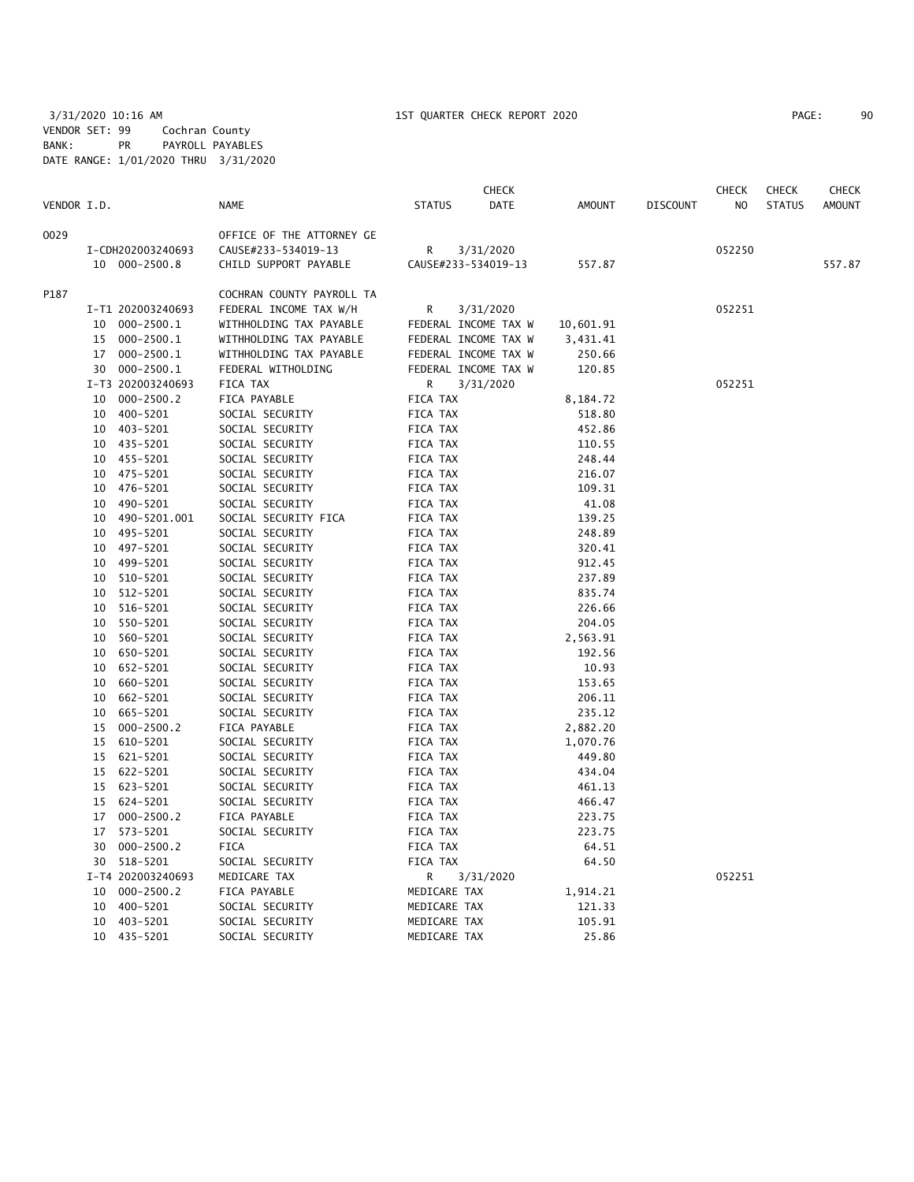|             |          |                   |                           |                      | <b>CHECK</b>         |           |                 | <b>CHECK</b> | <b>CHECK</b>  | <b>CHECK</b>  |
|-------------|----------|-------------------|---------------------------|----------------------|----------------------|-----------|-----------------|--------------|---------------|---------------|
| VENDOR I.D. |          |                   | <b>NAME</b>               | <b>STATUS</b>        | DATE                 | AMOUNT    | <b>DISCOUNT</b> | NO.          | <b>STATUS</b> | <b>AMOUNT</b> |
| 0029        |          |                   | OFFICE OF THE ATTORNEY GE |                      |                      |           |                 |              |               |               |
|             |          | I-CDH202003240693 | CAUSE#233-534019-13       | R                    | 3/31/2020            |           |                 | 052250       |               |               |
|             |          | 10 000-2500.8     | CHILD SUPPORT PAYABLE     | CAUSE#233-534019-13  |                      | 557.87    |                 |              |               | 557.87        |
| P187        |          |                   | COCHRAN COUNTY PAYROLL TA |                      |                      |           |                 |              |               |               |
|             |          | I-T1 202003240693 | FEDERAL INCOME TAX W/H    | R                    | 3/31/2020            |           |                 | 052251       |               |               |
|             |          | 10 000-2500.1     | WITHHOLDING TAX PAYABLE   |                      | FEDERAL INCOME TAX W | 10,601.91 |                 |              |               |               |
|             |          | 15 000-2500.1     | WITHHOLDING TAX PAYABLE   |                      | FEDERAL INCOME TAX W | 3,431.41  |                 |              |               |               |
|             |          | 17 000-2500.1     | WITHHOLDING TAX PAYABLE   |                      | FEDERAL INCOME TAX W | 250.66    |                 |              |               |               |
|             |          | 30 000-2500.1     | FEDERAL WITHOLDING        |                      | FEDERAL INCOME TAX W | 120.85    |                 |              |               |               |
|             |          | I-T3 202003240693 | FICA TAX                  | R                    | 3/31/2020            |           |                 | 052251       |               |               |
|             |          | 10 000-2500.2     | FICA PAYABLE              | FICA TAX             |                      | 8,184.72  |                 |              |               |               |
|             |          | 10 400-5201       | SOCIAL SECURITY           | FICA TAX             |                      | 518.80    |                 |              |               |               |
|             |          | 10 403-5201       | SOCIAL SECURITY           | FICA TAX             |                      | 452.86    |                 |              |               |               |
|             |          | 10 435-5201       | SOCIAL SECURITY           | FICA TAX             |                      | 110.55    |                 |              |               |               |
|             |          | 10 455-5201       | SOCIAL SECURITY           | FICA TAX             |                      | 248.44    |                 |              |               |               |
|             |          | 10 475-5201       | SOCIAL SECURITY           | FICA TAX             |                      | 216.07    |                 |              |               |               |
|             |          | 10 476-5201       | SOCIAL SECURITY           | FICA TAX             |                      | 109.31    |                 |              |               |               |
|             |          | 10 490-5201       | SOCIAL SECURITY           | FICA TAX             |                      | 41.08     |                 |              |               |               |
|             |          | 10 490-5201.001   | SOCIAL SECURITY FICA      | FICA TAX             |                      | 139.25    |                 |              |               |               |
|             |          | 10 495-5201       | SOCIAL SECURITY           | FICA TAX             |                      | 248.89    |                 |              |               |               |
|             |          | 10 497-5201       | SOCIAL SECURITY           | FICA TAX             |                      | 320.41    |                 |              |               |               |
|             |          | 10 499-5201       | SOCIAL SECURITY           | FICA TAX             |                      | 912.45    |                 |              |               |               |
|             |          | 10 510-5201       | SOCIAL SECURITY           | FICA TAX             |                      | 237.89    |                 |              |               |               |
|             | 10       | 512-5201          | SOCIAL SECURITY           | FICA TAX             |                      | 835.74    |                 |              |               |               |
|             | 10       | 516-5201          | SOCIAL SECURITY           | FICA TAX             |                      | 226.66    |                 |              |               |               |
|             | 10       | 550-5201          | SOCIAL SECURITY           | FICA TAX             |                      | 204.05    |                 |              |               |               |
|             | 10       | 560-5201          | SOCIAL SECURITY           | FICA TAX             |                      | 2,563.91  |                 |              |               |               |
|             |          | 10 650-5201       | SOCIAL SECURITY           | FICA TAX             |                      | 192.56    |                 |              |               |               |
|             |          | 10 652-5201       | SOCIAL SECURITY           | FICA TAX             |                      | 10.93     |                 |              |               |               |
|             | 10       | 660-5201          | SOCIAL SECURITY           | FICA TAX             |                      | 153.65    |                 |              |               |               |
|             |          | 10 662-5201       | SOCIAL SECURITY           | FICA TAX             |                      | 206.11    |                 |              |               |               |
|             | 10       | 665-5201          | SOCIAL SECURITY           | FICA TAX             |                      | 235.12    |                 |              |               |               |
|             |          | 15 000-2500.2     | FICA PAYABLE              | FICA TAX             |                      | 2,882.20  |                 |              |               |               |
|             | 15       | 610-5201          | SOCIAL SECURITY           | FICA TAX             |                      | 1,070.76  |                 |              |               |               |
|             | 15       | 621-5201          | SOCIAL SECURITY           | FICA TAX             |                      | 449.80    |                 |              |               |               |
|             | 15       | 622-5201          | SOCIAL SECURITY           |                      |                      | 434.04    |                 |              |               |               |
|             | 15       | 623-5201          | SOCIAL SECURITY           | FICA TAX<br>FICA TAX |                      | 461.13    |                 |              |               |               |
|             |          | 15 624-5201       | SOCIAL SECURITY           |                      |                      | 466.47    |                 |              |               |               |
|             |          | $000 - 2500.2$    | FICA PAYABLE              | FICA TAX             |                      | 223.75    |                 |              |               |               |
|             | 17<br>17 | 573-5201          | SOCIAL SECURITY           | FICA TAX<br>FICA TAX |                      | 223.75    |                 |              |               |               |
|             | 30       |                   |                           | FICA TAX             |                      |           |                 |              |               |               |
|             |          | $000 - 2500.2$    | <b>FICA</b>               |                      |                      | 64.51     |                 |              |               |               |
|             |          | 30 518-5201       | SOCIAL SECURITY           | FICA TAX             |                      | 64.50     |                 | 052251       |               |               |
|             |          | I-T4 202003240693 | MEDICARE TAX              | R                    | 3/31/2020            |           |                 |              |               |               |
|             |          | 10 000-2500.2     | FICA PAYABLE              | MEDICARE TAX         |                      | 1,914.21  |                 |              |               |               |
|             | 10       | 400-5201          | SOCIAL SECURITY           | MEDICARE TAX         |                      | 121.33    |                 |              |               |               |
|             | 10       | 403-5201          | SOCIAL SECURITY           | MEDICARE TAX         |                      | 105.91    |                 |              |               |               |
|             | 10       | 435-5201          | SOCIAL SECURITY           | MEDICARE TAX         |                      | 25.86     |                 |              |               |               |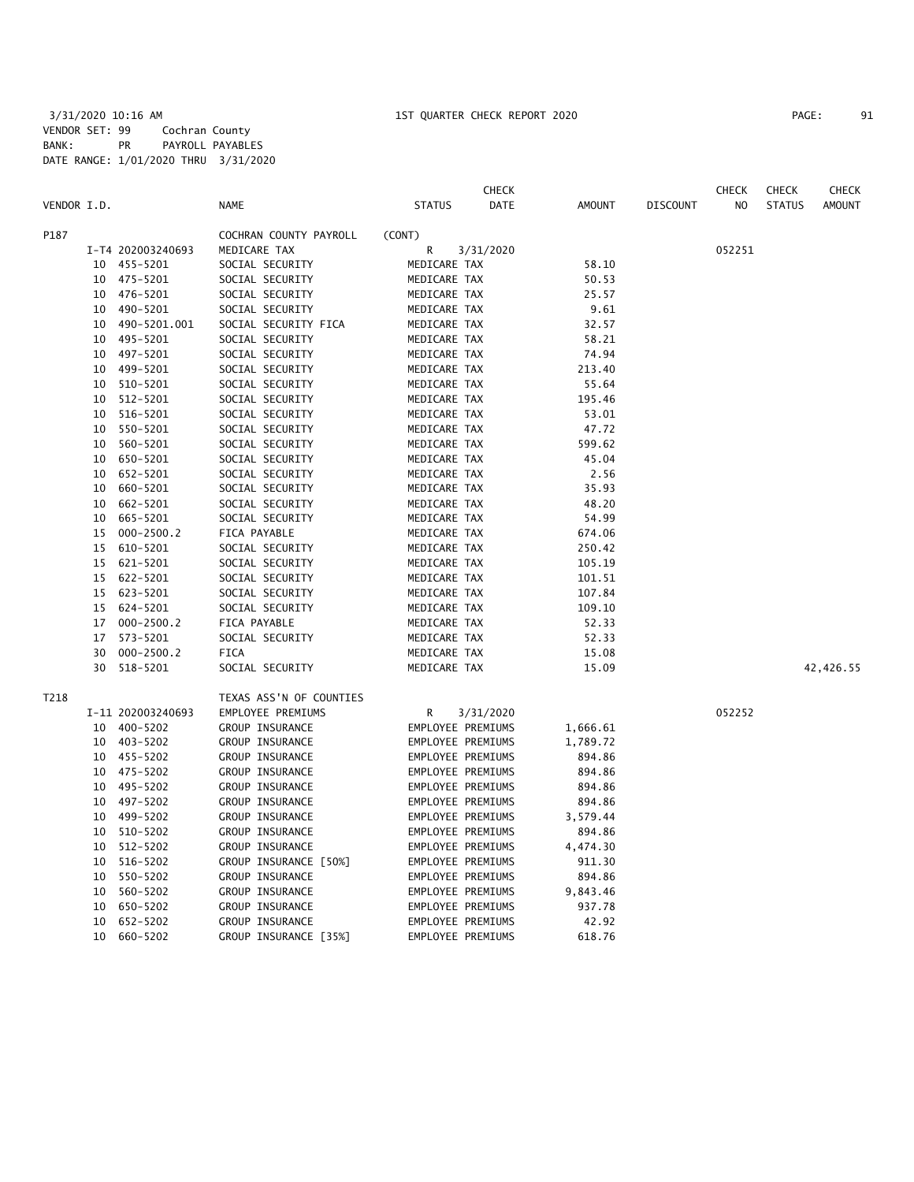|             |    |                   |                         |                   | <b>CHECK</b> |               |                 | <b>CHECK</b>   | <b>CHECK</b>  | CHECK         |
|-------------|----|-------------------|-------------------------|-------------------|--------------|---------------|-----------------|----------------|---------------|---------------|
| VENDOR I.D. |    |                   | <b>NAME</b>             | <b>STATUS</b>     | DATE         | <b>AMOUNT</b> | <b>DISCOUNT</b> | N <sub>O</sub> | <b>STATUS</b> | <b>AMOUNT</b> |
| P187        |    |                   | COCHRAN COUNTY PAYROLL  | (CONT)            |              |               |                 |                |               |               |
|             |    | I-T4 202003240693 | MEDICARE TAX            | R                 | 3/31/2020    |               |                 | 052251         |               |               |
|             |    | 10 455-5201       | SOCIAL SECURITY         | MEDICARE TAX      |              | 58.10         |                 |                |               |               |
|             | 10 | 475-5201          | SOCIAL SECURITY         | MEDICARE TAX      |              | 50.53         |                 |                |               |               |
|             | 10 | 476-5201          | SOCIAL SECURITY         | MEDICARE TAX      |              | 25.57         |                 |                |               |               |
|             | 10 | 490-5201          | SOCIAL SECURITY         | MEDICARE TAX      |              | 9.61          |                 |                |               |               |
|             | 10 | 490-5201.001      | SOCIAL SECURITY FICA    | MEDICARE TAX      |              | 32.57         |                 |                |               |               |
|             | 10 | 495-5201          | SOCIAL SECURITY         | MEDICARE TAX      |              | 58.21         |                 |                |               |               |
|             | 10 | 497-5201          | SOCIAL SECURITY         | MEDICARE TAX      |              | 74.94         |                 |                |               |               |
|             | 10 | 499-5201          | SOCIAL SECURITY         | MEDICARE TAX      |              | 213.40        |                 |                |               |               |
|             | 10 | 510-5201          | SOCIAL SECURITY         | MEDICARE TAX      |              | 55.64         |                 |                |               |               |
|             | 10 | 512-5201          | SOCIAL SECURITY         | MEDICARE TAX      |              | 195.46        |                 |                |               |               |
|             | 10 | 516-5201          | SOCIAL SECURITY         | MEDICARE TAX      |              | 53.01         |                 |                |               |               |
|             | 10 | 550-5201          | SOCIAL SECURITY         | MEDICARE TAX      |              | 47.72         |                 |                |               |               |
|             | 10 | 560-5201          | SOCIAL SECURITY         | MEDICARE TAX      |              | 599.62        |                 |                |               |               |
|             | 10 | 650-5201          | SOCIAL SECURITY         | MEDICARE TAX      |              | 45.04         |                 |                |               |               |
|             | 10 | 652-5201          | SOCIAL SECURITY         | MEDICARE TAX      |              | 2.56          |                 |                |               |               |
|             | 10 | 660-5201          | SOCIAL SECURITY         | MEDICARE TAX      |              | 35.93         |                 |                |               |               |
|             | 10 | 662-5201          | SOCIAL SECURITY         | MEDICARE TAX      |              | 48.20         |                 |                |               |               |
|             | 10 | 665-5201          | SOCIAL SECURITY         | MEDICARE TAX      |              | 54.99         |                 |                |               |               |
|             | 15 | $000 - 2500.2$    | FICA PAYABLE            | MEDICARE TAX      |              | 674.06        |                 |                |               |               |
|             | 15 | 610-5201          | SOCIAL SECURITY         | MEDICARE TAX      |              | 250.42        |                 |                |               |               |
|             | 15 | 621-5201          | SOCIAL SECURITY         | MEDICARE TAX      |              | 105.19        |                 |                |               |               |
|             | 15 | 622-5201          | SOCIAL SECURITY         | MEDICARE TAX      |              | 101.51        |                 |                |               |               |
|             | 15 | 623-5201          | SOCIAL SECURITY         | MEDICARE TAX      |              | 107.84        |                 |                |               |               |
|             | 15 | 624-5201          | SOCIAL SECURITY         | MEDICARE TAX      |              | 109.10        |                 |                |               |               |
|             | 17 | $000 - 2500.2$    | FICA PAYABLE            | MEDICARE TAX      |              | 52.33         |                 |                |               |               |
|             | 17 | 573-5201          | SOCIAL SECURITY         | MEDICARE TAX      |              | 52.33         |                 |                |               |               |
|             | 30 | $000 - 2500.2$    | <b>FICA</b>             | MEDICARE TAX      |              | 15.08         |                 |                |               |               |
|             | 30 | 518-5201          | SOCIAL SECURITY         | MEDICARE TAX      |              | 15.09         |                 |                |               | 42,426.55     |
| T218        |    |                   | TEXAS ASS'N OF COUNTIES |                   |              |               |                 |                |               |               |
|             |    | I-11 202003240693 | EMPLOYEE PREMIUMS       | R                 | 3/31/2020    |               |                 | 052252         |               |               |
|             | 10 | 400-5202          | GROUP INSURANCE         | EMPLOYEE PREMIUMS |              | 1,666.61      |                 |                |               |               |
|             | 10 | 403-5202          | GROUP INSURANCE         | EMPLOYEE PREMIUMS |              | 1,789.72      |                 |                |               |               |
|             | 10 | 455-5202          | GROUP INSURANCE         | EMPLOYEE PREMIUMS |              | 894.86        |                 |                |               |               |
|             | 10 | 475-5202          | GROUP INSURANCE         | EMPLOYEE PREMIUMS |              | 894.86        |                 |                |               |               |
|             | 10 | 495-5202          | GROUP INSURANCE         | EMPLOYEE PREMIUMS |              | 894.86        |                 |                |               |               |
|             | 10 | 497-5202          | GROUP INSURANCE         | EMPLOYEE PREMIUMS |              | 894.86        |                 |                |               |               |
|             | 10 | 499-5202          | GROUP INSURANCE         | EMPLOYEE PREMIUMS |              | 3,579.44      |                 |                |               |               |
|             | 10 | 510-5202          | GROUP INSURANCE         | EMPLOYEE PREMIUMS |              | 894.86        |                 |                |               |               |
|             | 10 | 512-5202          | GROUP INSURANCE         | EMPLOYEE PREMIUMS |              | 4,474.30      |                 |                |               |               |
|             | 10 | 516-5202          | GROUP INSURANCE [50%]   | EMPLOYEE PREMIUMS |              | 911.30        |                 |                |               |               |
|             | 10 | 550-5202          | GROUP INSURANCE         | EMPLOYEE PREMIUMS |              | 894.86        |                 |                |               |               |
|             | 10 | 560-5202          | GROUP INSURANCE         | EMPLOYEE PREMIUMS |              | 9,843.46      |                 |                |               |               |
|             | 10 | 650-5202          | GROUP INSURANCE         | EMPLOYEE PREMIUMS |              | 937.78        |                 |                |               |               |
|             | 10 | 652-5202          | GROUP INSURANCE         | EMPLOYEE PREMIUMS |              | 42.92         |                 |                |               |               |
|             | 10 | 660-5202          | GROUP INSURANCE [35%]   | EMPLOYEE PREMIUMS |              | 618.76        |                 |                |               |               |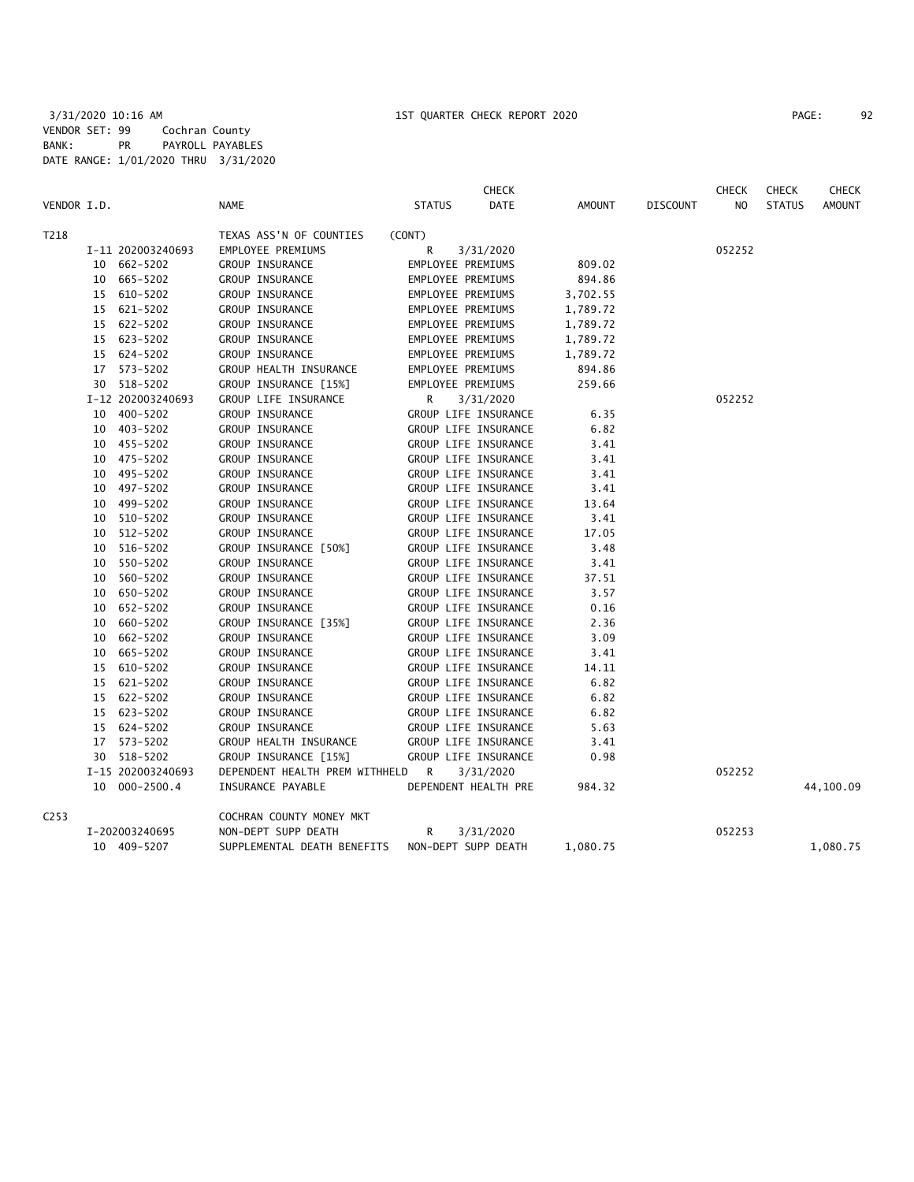|             |                   |                                  | <b>CHECK</b>          |          |                 | CHECK  | <b>CHECK</b>  | <b>CHECK</b>  |
|-------------|-------------------|----------------------------------|-----------------------|----------|-----------------|--------|---------------|---------------|
| VENDOR I.D. |                   | <b>NAME</b>                      | DATE<br><b>STATUS</b> | AMOUNT   | <b>DISCOUNT</b> | NO.    | <b>STATUS</b> | <b>AMOUNT</b> |
| T218        |                   | TEXAS ASS'N OF COUNTIES          | (CONT)                |          |                 |        |               |               |
|             | I-11 202003240693 | EMPLOYEE PREMIUMS                | R<br>3/31/2020        |          |                 | 052252 |               |               |
|             | 10 662-5202       | GROUP INSURANCE                  | EMPLOYEE PREMIUMS     | 809.02   |                 |        |               |               |
|             | 10 665-5202       | GROUP INSURANCE                  | EMPLOYEE PREMIUMS     | 894.86   |                 |        |               |               |
|             | 15 610-5202       | GROUP INSURANCE                  | EMPLOYEE PREMIUMS     | 3,702.55 |                 |        |               |               |
|             | 15 621-5202       | GROUP INSURANCE                  | EMPLOYEE PREMIUMS     | 1,789.72 |                 |        |               |               |
|             | 15 622-5202       | GROUP INSURANCE                  | EMPLOYEE PREMIUMS     | 1,789.72 |                 |        |               |               |
|             | 15 623-5202       | GROUP INSURANCE                  | EMPLOYEE PREMIUMS     | 1,789.72 |                 |        |               |               |
|             | 15 624-5202       | GROUP INSURANCE                  | EMPLOYEE PREMIUMS     | 1,789.72 |                 |        |               |               |
|             | 17 573-5202       | GROUP HEALTH INSURANCE           | EMPLOYEE PREMIUMS     | 894.86   |                 |        |               |               |
|             | 30 518-5202       | GROUP INSURANCE [15%]            | EMPLOYEE PREMIUMS     | 259.66   |                 |        |               |               |
|             | I-12 202003240693 | GROUP LIFE INSURANCE             | R<br>3/31/2020        |          |                 | 052252 |               |               |
|             | 10 400-5202       | GROUP INSURANCE                  | GROUP LIFE INSURANCE  | 6.35     |                 |        |               |               |
|             | 10 403-5202       | GROUP INSURANCE                  | GROUP LIFE INSURANCE  | 6.82     |                 |        |               |               |
|             | 10 455-5202       | GROUP INSURANCE                  | GROUP LIFE INSURANCE  | 3.41     |                 |        |               |               |
|             | 10 475-5202       | GROUP INSURANCE                  | GROUP LIFE INSURANCE  | 3.41     |                 |        |               |               |
|             | 10 495-5202       | GROUP INSURANCE                  | GROUP LIFE INSURANCE  | 3.41     |                 |        |               |               |
|             | 10 497-5202       | GROUP INSURANCE                  | GROUP LIFE INSURANCE  | 3.41     |                 |        |               |               |
|             | 10 499-5202       | GROUP INSURANCE                  | GROUP LIFE INSURANCE  | 13.64    |                 |        |               |               |
|             | 10 510-5202       | GROUP INSURANCE                  | GROUP LIFE INSURANCE  | 3.41     |                 |        |               |               |
|             | 10 512-5202       | GROUP INSURANCE                  | GROUP LIFE INSURANCE  | 17.05    |                 |        |               |               |
|             | 10 516-5202       | GROUP INSURANCE [50%]            | GROUP LIFE INSURANCE  | 3.48     |                 |        |               |               |
|             | 10 550-5202       | GROUP INSURANCE                  | GROUP LIFE INSURANCE  | 3.41     |                 |        |               |               |
|             | 10 560-5202       | GROUP INSURANCE                  | GROUP LIFE INSURANCE  | 37.51    |                 |        |               |               |
|             | 10 650-5202       | GROUP INSURANCE                  | GROUP LIFE INSURANCE  | 3.57     |                 |        |               |               |
|             | 10 652-5202       | GROUP INSURANCE                  | GROUP LIFE INSURANCE  | 0.16     |                 |        |               |               |
|             | 10 660-5202       | GROUP INSURANCE [35%]            | GROUP LIFE INSURANCE  | 2.36     |                 |        |               |               |
|             | 10 662-5202       | GROUP INSURANCE                  | GROUP LIFE INSURANCE  | 3.09     |                 |        |               |               |
|             | 10 665-5202       | GROUP INSURANCE                  | GROUP LIFE INSURANCE  | 3.41     |                 |        |               |               |
|             | 15 610-5202       | GROUP INSURANCE                  | GROUP LIFE INSURANCE  | 14.11    |                 |        |               |               |
|             | 15 621-5202       | GROUP INSURANCE                  | GROUP LIFE INSURANCE  | 6.82     |                 |        |               |               |
|             | 15 622-5202       | GROUP INSURANCE                  | GROUP LIFE INSURANCE  | 6.82     |                 |        |               |               |
|             | 15 623-5202       | GROUP INSURANCE                  | GROUP LIFE INSURANCE  | 6.82     |                 |        |               |               |
|             | 15 624-5202       | GROUP INSURANCE                  | GROUP LIFE INSURANCE  | 5.63     |                 |        |               |               |
|             | 17 573-5202       | GROUP HEALTH INSURANCE           | GROUP LIFE INSURANCE  | 3.41     |                 |        |               |               |
|             | 30 518-5202       | GROUP INSURANCE [15%]            | GROUP LIFE INSURANCE  | 0.98     |                 |        |               |               |
|             | I-15 202003240693 | DEPENDENT HEALTH PREM WITHHELD R | 3/31/2020             |          |                 | 052252 |               |               |
|             | 10 000-2500.4     | INSURANCE PAYABLE                | DEPENDENT HEALTH PRE  | 984.32   |                 |        |               | 44,100.09     |
| C253        |                   | COCHRAN COUNTY MONEY MKT         |                       |          |                 |        |               |               |
|             | I-202003240695    | NON-DEPT SUPP DEATH              | R<br>3/31/2020        |          |                 | 052253 |               |               |
|             | 10 409-5207       | SUPPLEMENTAL DEATH BENEFITS      | NON-DEPT SUPP DEATH   | 1,080.75 |                 |        |               | 1,080.75      |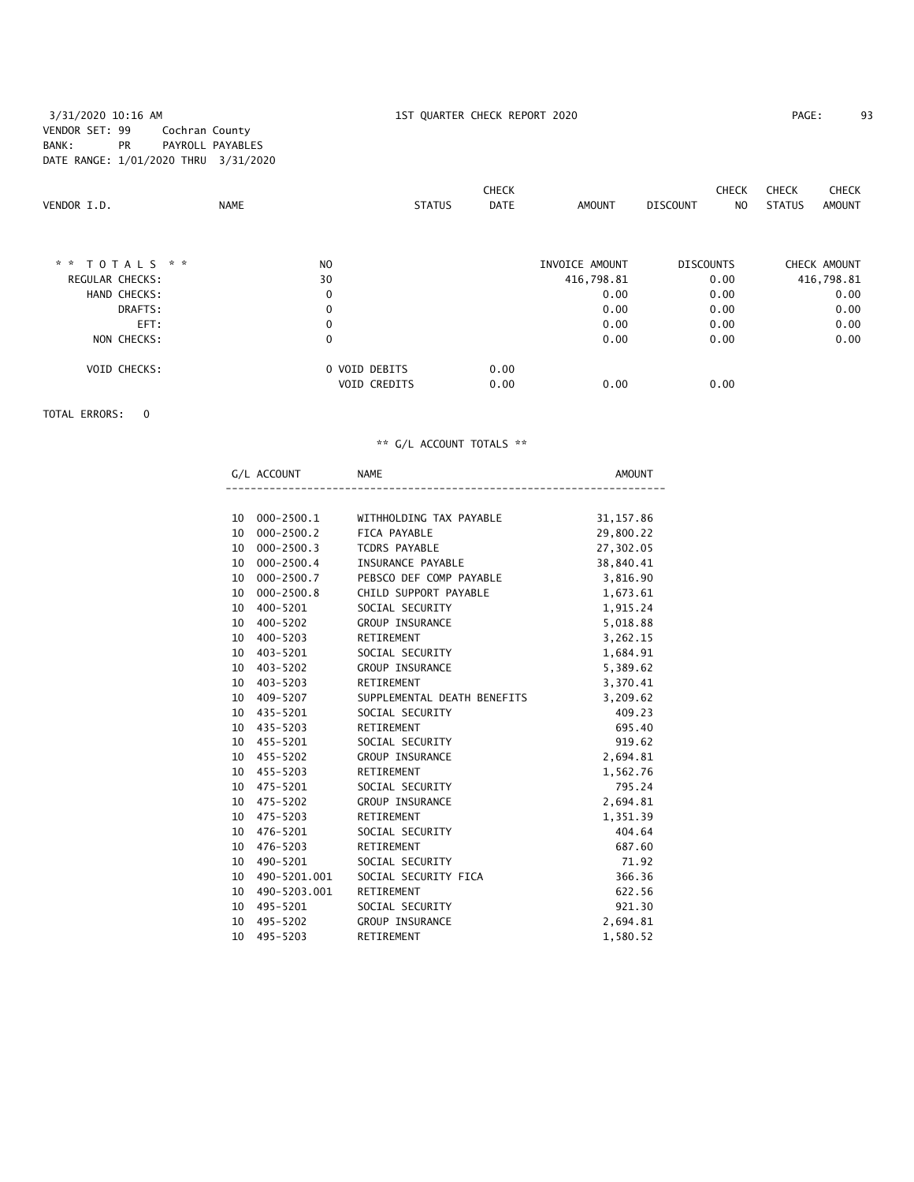#### 3/31/2020 10:16 AM 1ST QUARTER CHECK REPORT 2020 PAGE: 93 VENDOR SET: 99 Cochran County BANK: PR PAYROLL PAYABLES DATE RANGE: 1/01/2020 THRU 3/31/2020

| VENDOR I.D.            | <b>NAME</b> | <b>STATUS</b>                        | <b>CHECK</b><br><b>DATE</b> | <b>AMOUNT</b>  | <b>CHECK</b><br>DISCOUNT<br>NO. | <b>CHECK</b><br><b>CHECK</b><br><b>STATUS</b><br>AMOUNT |
|------------------------|-------------|--------------------------------------|-----------------------------|----------------|---------------------------------|---------------------------------------------------------|
| * *<br>TOTALS * *      |             | N <sub>O</sub>                       |                             | INVOICE AMOUNT | <b>DISCOUNTS</b>                | CHECK AMOUNT                                            |
| <b>REGULAR CHECKS:</b> |             | 30                                   |                             | 416,798.81     | 0.00                            | 416,798.81                                              |
| HAND CHECKS:           |             | $\mathbf 0$                          |                             | 0.00           | 0.00                            | 0.00                                                    |
| DRAFTS:                |             | 0                                    |                             | 0.00           | 0.00                            | 0.00                                                    |
| EFT:                   |             | 0                                    |                             | 0.00           | 0.00                            | 0.00                                                    |
| NON CHECKS:            |             | 0                                    |                             | 0.00           | 0.00                            | 0.00                                                    |
| <b>VOID CHECKS:</b>    |             | 0 VOID DEBITS<br><b>VOID CREDITS</b> | 0.00<br>0.00                | 0.00           | 0.00                            |                                                         |

TOTAL ERRORS: 0

|                 | G/L ACCOUNT    | <b>NAME</b>                 | AMOUNT     |
|-----------------|----------------|-----------------------------|------------|
|                 |                |                             |            |
| 10              | 000-2500.1     | WITHHOLDING TAX PAYABLE     | 31, 157.86 |
| 10              | 000-2500.2     | FICA PAYABLE                | 29,800.22  |
| 10              | 000-2500.3     | TCDRS PAYABLE               | 27,302.05  |
| 10              | 000-2500.4     | INSURANCE PAYABLE           | 38,840.41  |
| 10              | $000 - 2500.7$ | PEBSCO DEF COMP PAYABLE     | 3,816.90   |
| 10              | $000 - 2500.8$ | CHILD SUPPORT PAYABLE       | 1,673.61   |
| 10              | 400-5201       | SOCIAL SECURITY             | 1,915.24   |
| 10              | 400-5202       | <b>GROUP INSURANCE</b>      | 5,018.88   |
| 10              | 400-5203       | RETIREMENT                  | 3,262.15   |
|                 | 10 403-5201    | SOCIAL SECURITY             | 1,684.91   |
|                 | 10 403-5202    | <b>GROUP INSURANCE</b>      | 5,389.62   |
| 10              | 403-5203       | RETIREMENT                  | 3,370.41   |
| 10              | 409-5207       | SUPPLEMENTAL DEATH BENEFITS | 3,209.62   |
|                 | 10 435-5201    | SOCIAL SECURITY             | 409.23     |
|                 | 10 435-5203    | RETIREMENT                  | 695.40     |
|                 | 10 455-5201    | SOCIAL SECURITY             | 919.62     |
|                 | 10 455-5202    | <b>GROUP INSURANCE</b>      | 2,694.81   |
|                 | 10 455-5203    | RETIREMENT                  | 1,562.76   |
| 10              | 475-5201       | SOCIAL SECURITY             | 795.24     |
|                 | 10 475-5202    | <b>GROUP INSURANCE</b>      | 2,694.81   |
|                 | 10 475-5203    | RETIREMENT                  | 1,351.39   |
|                 | 10 476-5201    | SOCIAL SECURITY             | 404.64     |
| 10              | 476-5203       | RETIREMENT                  | 687.60     |
| 10              | 490-5201       | SOCIAL SECURITY             | 71.92      |
| 10              | 490-5201.001   | SOCIAL SECURITY FICA        | 366.36     |
| 10              | 490-5203.001   | RETIREMENT                  | 622.56     |
|                 | 10 495-5201    | SOCIAL SECURITY             | 921.30     |
| 10 <sup>1</sup> | 495-5202       | <b>GROUP INSURANCE</b>      | 2,694.81   |
| 10              | 495-5203       | RETIREMENT                  | 1,580.52   |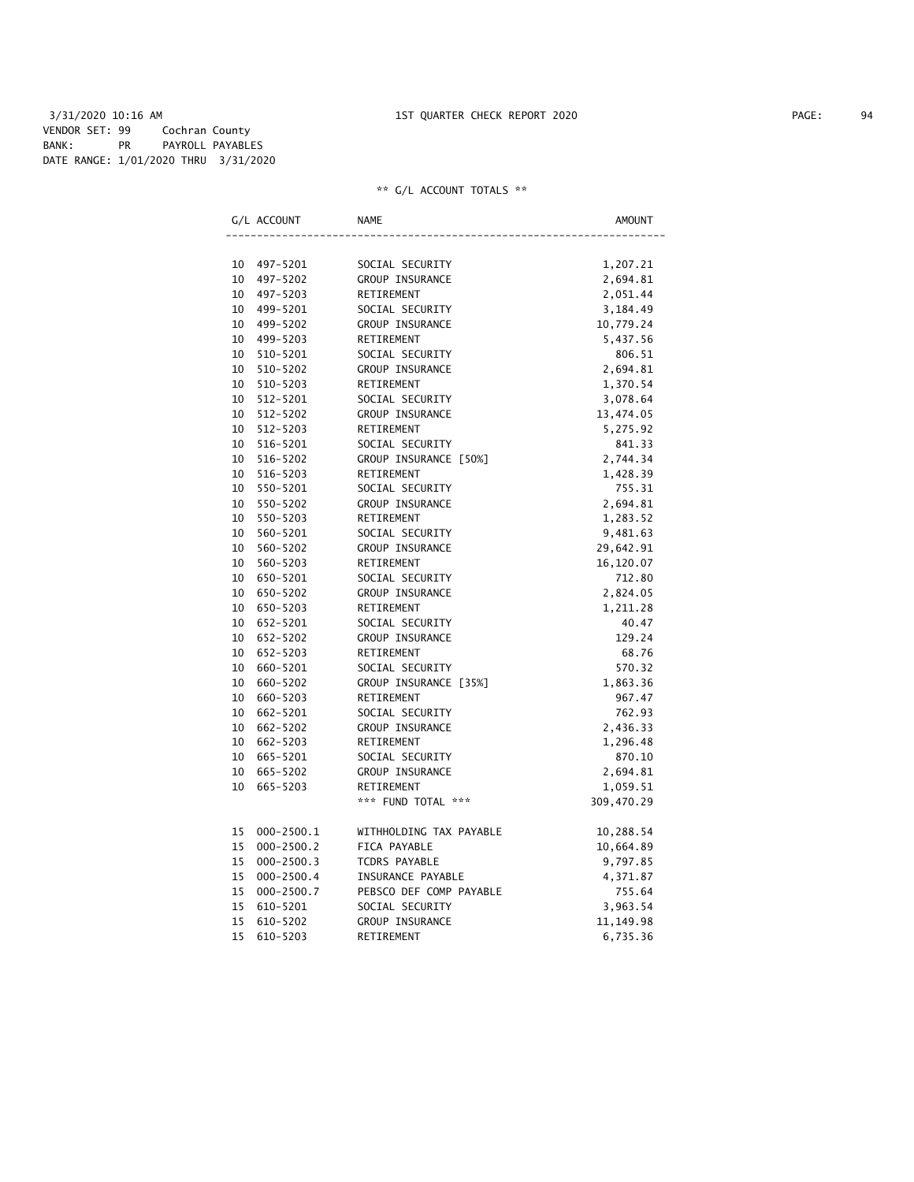3/31/2020 10:16 AM 1ST QUARTER CHECK REPORT 2020 PAGE: 94 VENDOR SET: 99 Cochran County BANK: PR PAYROLL PAYABLES DATE RANGE: 1/01/2020 THRU 3/31/2020

|    | G/L ACCOUNT    | <b>NAME</b>             | AMOUNT     |
|----|----------------|-------------------------|------------|
|    |                |                         |            |
| 10 | 497-5201       | SOCIAL SECURITY         | 1,207.21   |
| 10 | 497-5202       | GROUP INSURANCE         | 2,694.81   |
| 10 | 497-5203       | RETIREMENT              | 2,051.44   |
| 10 | 499-5201       | SOCIAL SECURITY         | 3,184.49   |
| 10 | 499-5202       | GROUP INSURANCE         | 10,779.24  |
| 10 | 499-5203       | RETIREMENT              | 5,437.56   |
| 10 | 510-5201       | SOCIAL SECURITY         | 806.51     |
| 10 | 510-5202       | GROUP INSURANCE         | 2,694.81   |
| 10 | 510-5203       | RETIREMENT              | 1,370.54   |
| 10 | $512 - 5201$   | SOCIAL SECURITY         | 3,078.64   |
| 10 | 512-5202       | <b>GROUP INSURANCE</b>  | 13,474.05  |
| 10 | 512-5203       | RETIREMENT              | 5,275.92   |
| 10 | 516-5201       | SOCIAL SECURITY         | 841.33     |
| 10 | 516-5202       | GROUP INSURANCE [50%]   | 2,744.34   |
| 10 | 516-5203       | RETIREMENT              | 1,428.39   |
| 10 | 550-5201       | SOCIAL SECURITY         | 755.31     |
| 10 | 550-5202       | GROUP INSURANCE         | 2,694.81   |
| 10 | 550-5203       | RETIREMENT              | 1,283.52   |
| 10 | 560-5201       | SOCIAL SECURITY         | 9,481.63   |
| 10 | 560-5202       | GROUP INSURANCE         | 29,642.91  |
| 10 | 560-5203       | RETIREMENT              | 16,120.07  |
| 10 | 650-5201       | SOCIAL SECURITY         | 712.80     |
| 10 | 650-5202       | GROUP INSURANCE         | 2,824.05   |
| 10 | 650-5203       | RETIREMENT              | 1,211.28   |
| 10 | 652-5201       | SOCIAL SECURITY         | 40.47      |
| 10 | 652-5202       | GROUP INSURANCE         | 129.24     |
| 10 | 652-5203       | RETIREMENT              | 68.76      |
| 10 | 660-5201       | SOCIAL SECURITY         | 570.32     |
| 10 | 660-5202       | GROUP INSURANCE [35%]   | 1,863.36   |
| 10 | 660-5203       | RETIREMENT              | 967.47     |
| 10 | 662-5201       | SOCIAL SECURITY         | 762.93     |
| 10 | 662-5202       | GROUP INSURANCE         | 2,436.33   |
| 10 | 662-5203       | RETIREMENT              | 1,296.48   |
|    | 10 665-5201    | SOCIAL SECURITY         | 870.10     |
| 10 | 665-5202       | GROUP INSURANCE         | 2,694.81   |
| 10 | 665-5203       | RETIREMENT              | 1,059.51   |
|    |                | *** FUND TOTAL ***      | 309,470.29 |
| 15 | $000 - 2500.1$ | WITHHOLDING TAX PAYABLE | 10,288.54  |
| 15 | $000 - 2500.2$ | FICA PAYABLE            | 10,664.89  |
| 15 | $000 - 2500.3$ | TCDRS PAYABLE           | 9,797.85   |
| 15 | $000 - 2500.4$ | INSURANCE PAYABLE       | 4,371.87   |
| 15 | $000 - 2500.7$ | PEBSCO DEF COMP PAYABLE | 755.64     |
| 15 | 610-5201       | SOCIAL SECURITY         | 3,963.54   |
| 15 | 610-5202       | GROUP INSURANCE         | 11, 149.98 |
| 15 | 610-5203       | RETIREMENT              | 6,735.36   |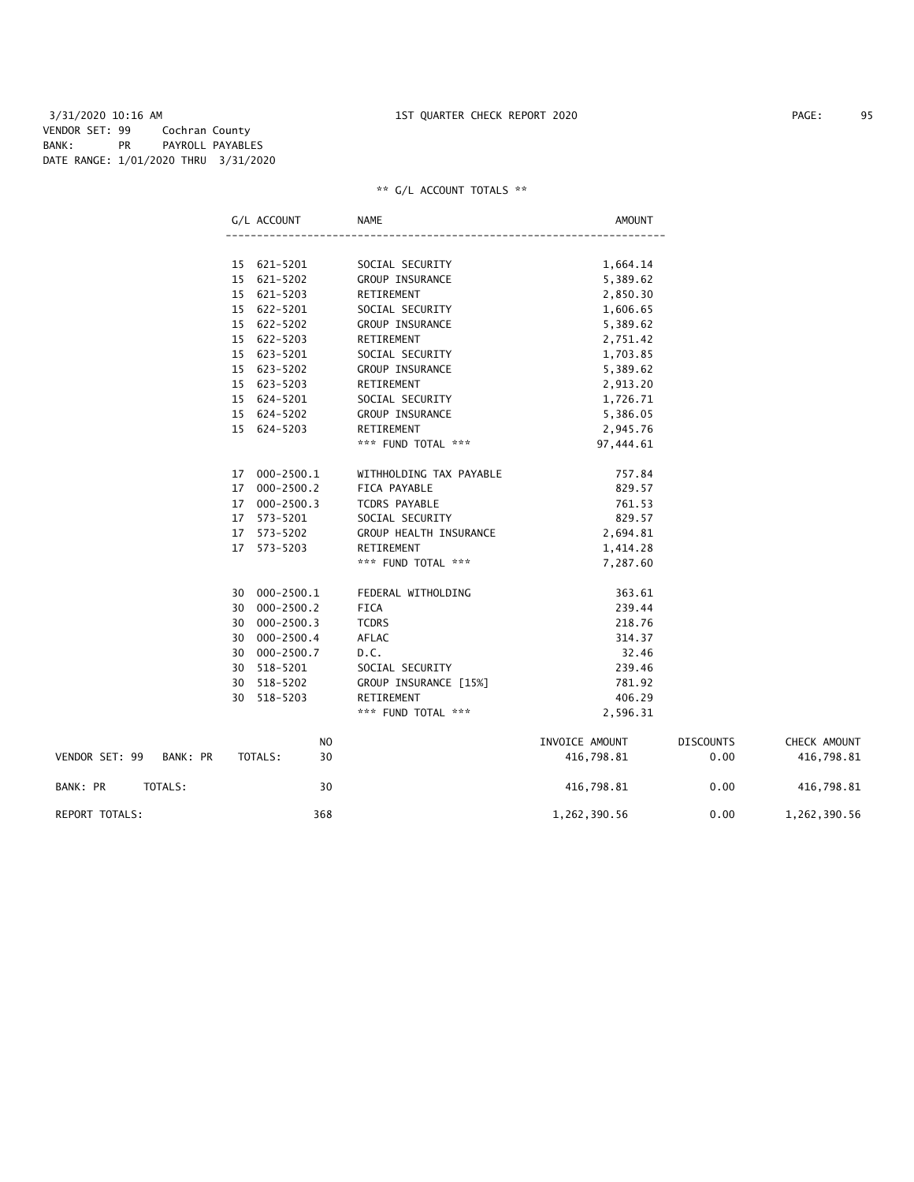3/31/2020 10:16 AM 1ST QUARTER CHECK REPORT 2020 PAGE: 95 VENDOR SET: 99 Cochran County BANK: PR PAYROLL PAYABLES DATE RANGE: 1/01/2020 THRU 3/31/2020

|                         |                 | G/L ACCOUNT    | <b>NAME</b>             | <b>AMOUNT</b>  |       |
|-------------------------|-----------------|----------------|-------------------------|----------------|-------|
|                         |                 |                |                         |                |       |
|                         |                 | 15 621-5201    | SOCIAL SECURITY         | 1,664.14       |       |
|                         | 15 <sub>1</sub> | 621-5202       | GROUP INSURANCE         | 5,389.62       |       |
|                         | 15              | 621-5203       | RETIREMENT              | 2,850.30       |       |
|                         | 15              | 622-5201       | SOCIAL SECURITY         | 1,606.65       |       |
|                         | 15 <sup>2</sup> | 622-5202       | GROUP INSURANCE         | 5,389.62       |       |
|                         | 15              | 622-5203       | RETIREMENT              | 2,751.42       |       |
|                         | 15              | 623-5201       | SOCIAL SECURITY         | 1,703.85       |       |
|                         | 15 <sup>2</sup> | 623-5202       | GROUP INSURANCE         | 5,389.62       |       |
|                         | 15              | 623-5203       | RETIREMENT              | 2,913.20       |       |
|                         | 15              | 624-5201       | SOCIAL SECURITY         | 1,726.71       |       |
|                         | 15 <sup>2</sup> | 624-5202       | <b>GROUP INSURANCE</b>  | 5,386.05       |       |
|                         |                 | 15 624-5203    | RETIREMENT              | 2,945.76       |       |
|                         |                 |                | *** FUND TOTAL ***      | 97,444.61      |       |
|                         |                 | 17 000-2500.1  | WITHHOLDING TAX PAYABLE | 757.84         |       |
|                         | 17              | $000 - 2500.2$ | FICA PAYABLE            | 829.57         |       |
|                         | 17              | $000 - 2500.3$ | <b>TCDRS PAYABLE</b>    | 761.53         |       |
|                         | 17              | 573-5201       | SOCIAL SECURITY         | 829.57         |       |
|                         | 17              | $573 - 5202$   | GROUP HEALTH INSURANCE  | 2,694.81       |       |
|                         | 17              | 573-5203       | RETIREMENT              | 1,414.28       |       |
|                         |                 |                | *** FUND TOTAL ***      | 7,287.60       |       |
|                         | 30              | 000-2500.1     | FEDERAL WITHOLDING      | 363.61         |       |
|                         | 30              | $000 - 2500.2$ | <b>FICA</b>             | 239.44         |       |
|                         | 30              | $000 - 2500.3$ | <b>TCDRS</b>            | 218.76         |       |
|                         | 30              | $000 - 2500.4$ | AFLAC                   | 314.37         |       |
|                         | 30              | $000 - 2500.7$ | D.C.                    | 32.46          |       |
|                         | 30              | $518 - 5201$   | SOCIAL SECURITY         | 239.46         |       |
|                         | 30              | $518 - 5202$   | GROUP INSURANCE [15%]   | 781.92         |       |
|                         | 30              | $518 - 5203$   | RETIREMENT              | 406.29         |       |
|                         |                 |                | *** FUND TOTAL ***      | 2,596.31       |       |
|                         |                 | N <sub>O</sub> |                         | INVOICE AMOUNT | DISCO |
| VENDOR SET: 99 BANK: PR |                 | 30<br>TOTALS:  |                         | 416,798.81     |       |
|                         |                 |                |                         |                |       |

|                            | N <sub>0</sub> | INVOICE AMOUNT | <b>DISCOUNTS</b> | CHECK AMOUNT |
|----------------------------|----------------|----------------|------------------|--------------|
| VENDOR SET: 99<br>BANK: PR | TOTALS:<br>30  | 416.798.81     | 0.00             | 416,798.81   |
| BANK: PR<br>TOTALS:        | 30             | 416,798.81     | 0.00             | 416,798.81   |
| REPORT TOTALS:             | 368            | 1,262,390.56   | 0.00             | 1,262,390.56 |